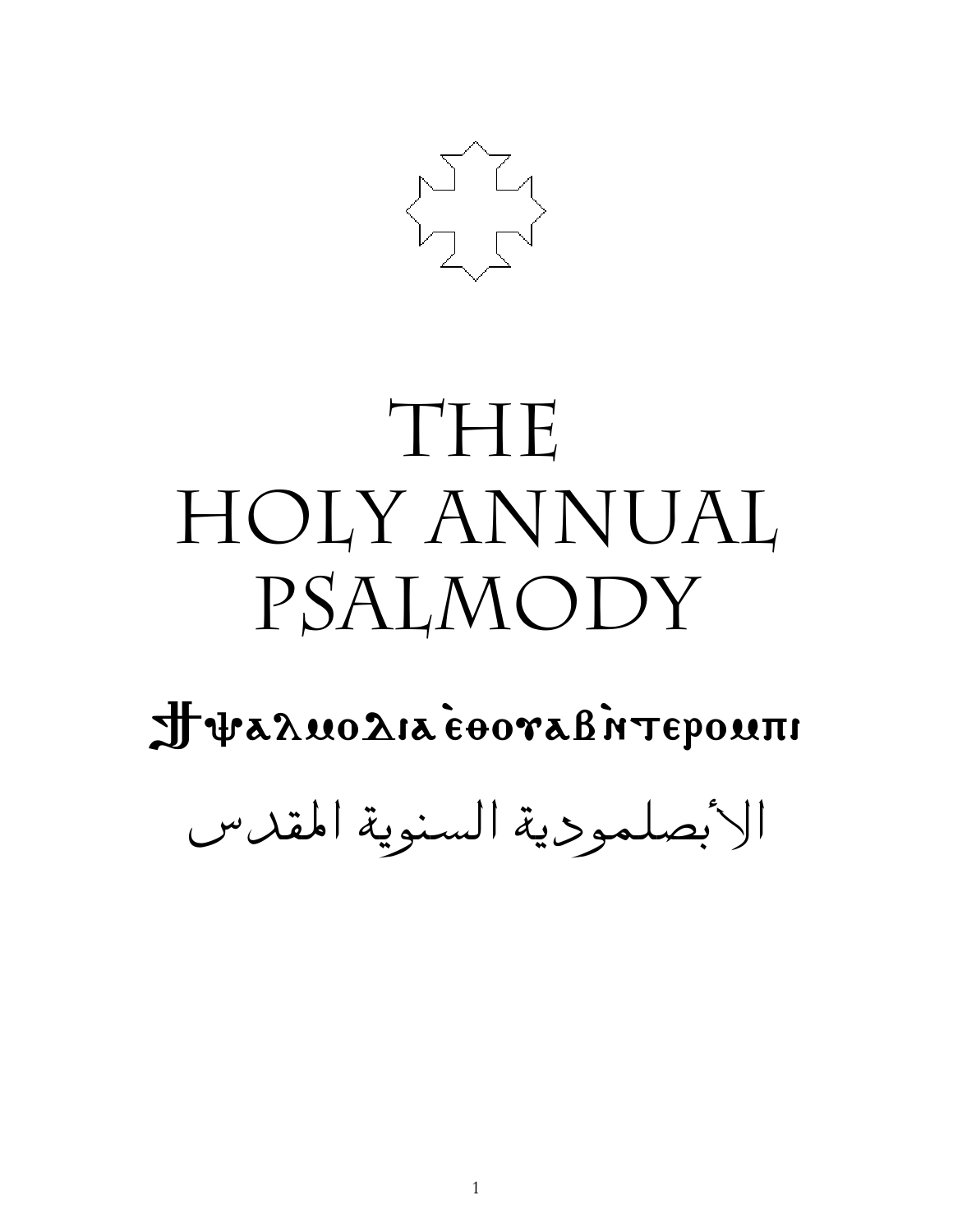

# THE HOLY ANNUAL PSALMODY

Treaducatedoral interiorn

الأبصلمودية السنوية المقدس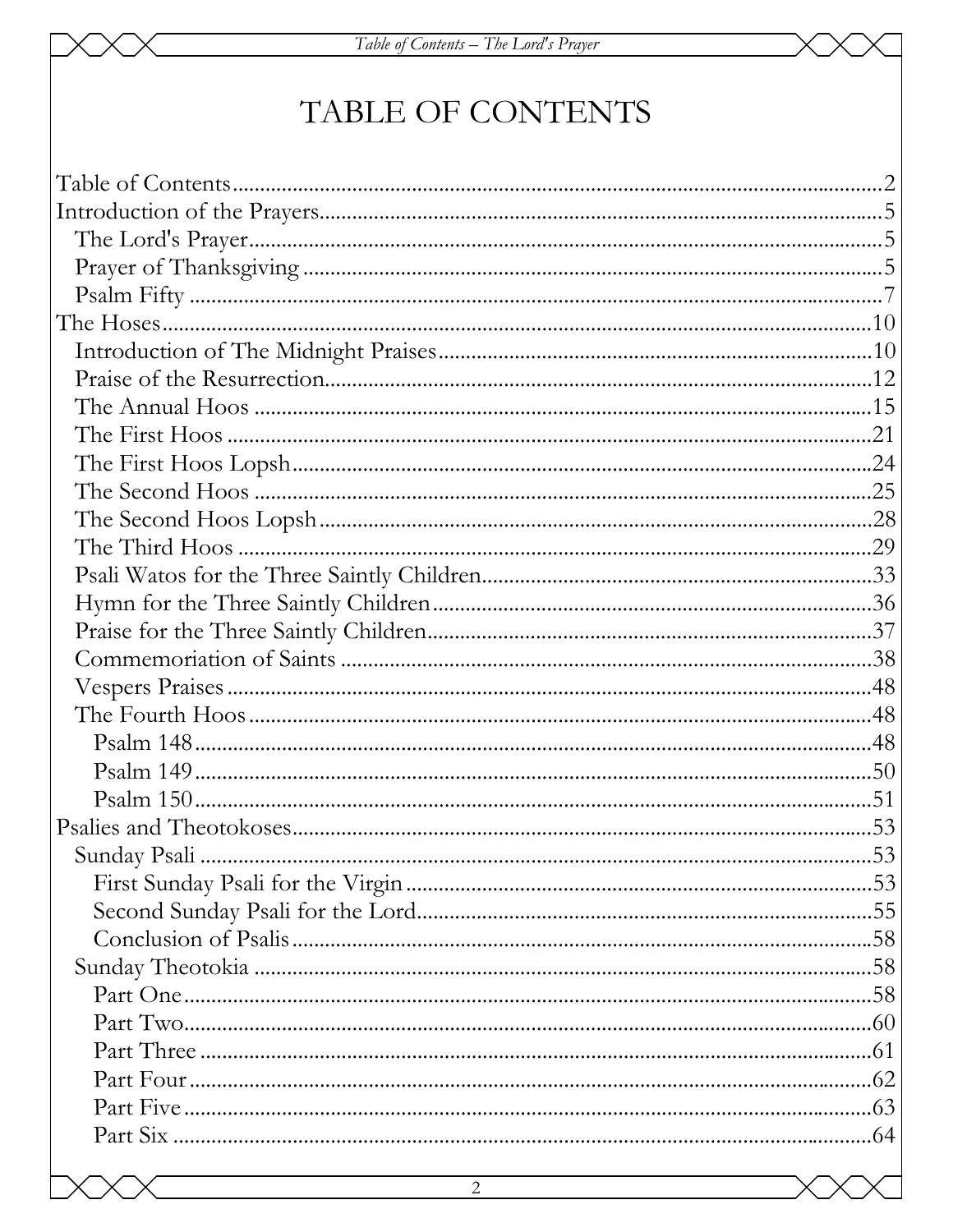# TABLE OF CONTENTS

| $\overline{2}$ |  |
|----------------|--|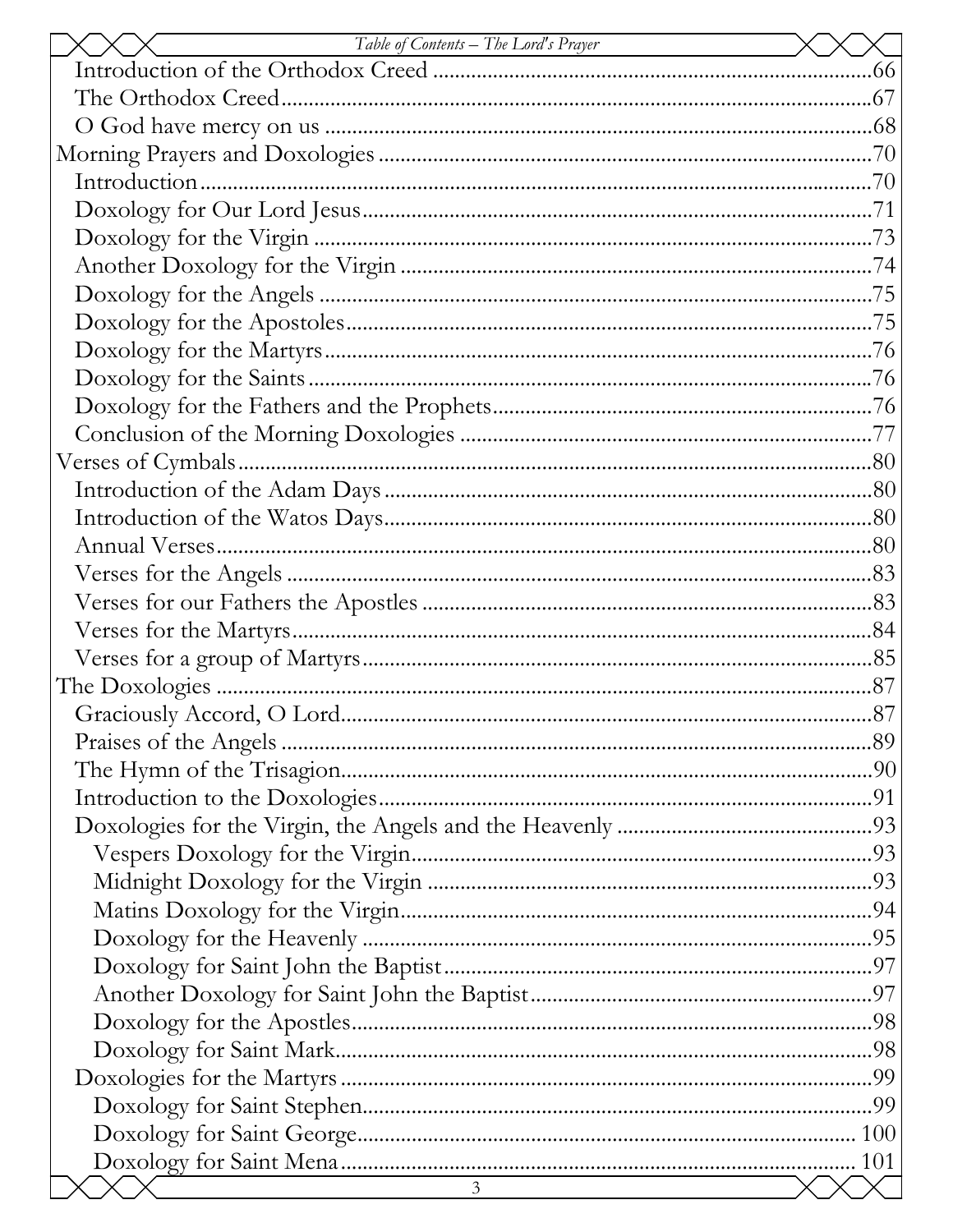| Table of Contents – The Lord's Prayer |  |
|---------------------------------------|--|
|                                       |  |
|                                       |  |
|                                       |  |
|                                       |  |
|                                       |  |
|                                       |  |
|                                       |  |
|                                       |  |
|                                       |  |
|                                       |  |
|                                       |  |
|                                       |  |
|                                       |  |
|                                       |  |
|                                       |  |
|                                       |  |
|                                       |  |
|                                       |  |
|                                       |  |
|                                       |  |
|                                       |  |
|                                       |  |
|                                       |  |
|                                       |  |
|                                       |  |
|                                       |  |
|                                       |  |
|                                       |  |
|                                       |  |
|                                       |  |
|                                       |  |
|                                       |  |
|                                       |  |
|                                       |  |
|                                       |  |
|                                       |  |
|                                       |  |
|                                       |  |
|                                       |  |
|                                       |  |
|                                       |  |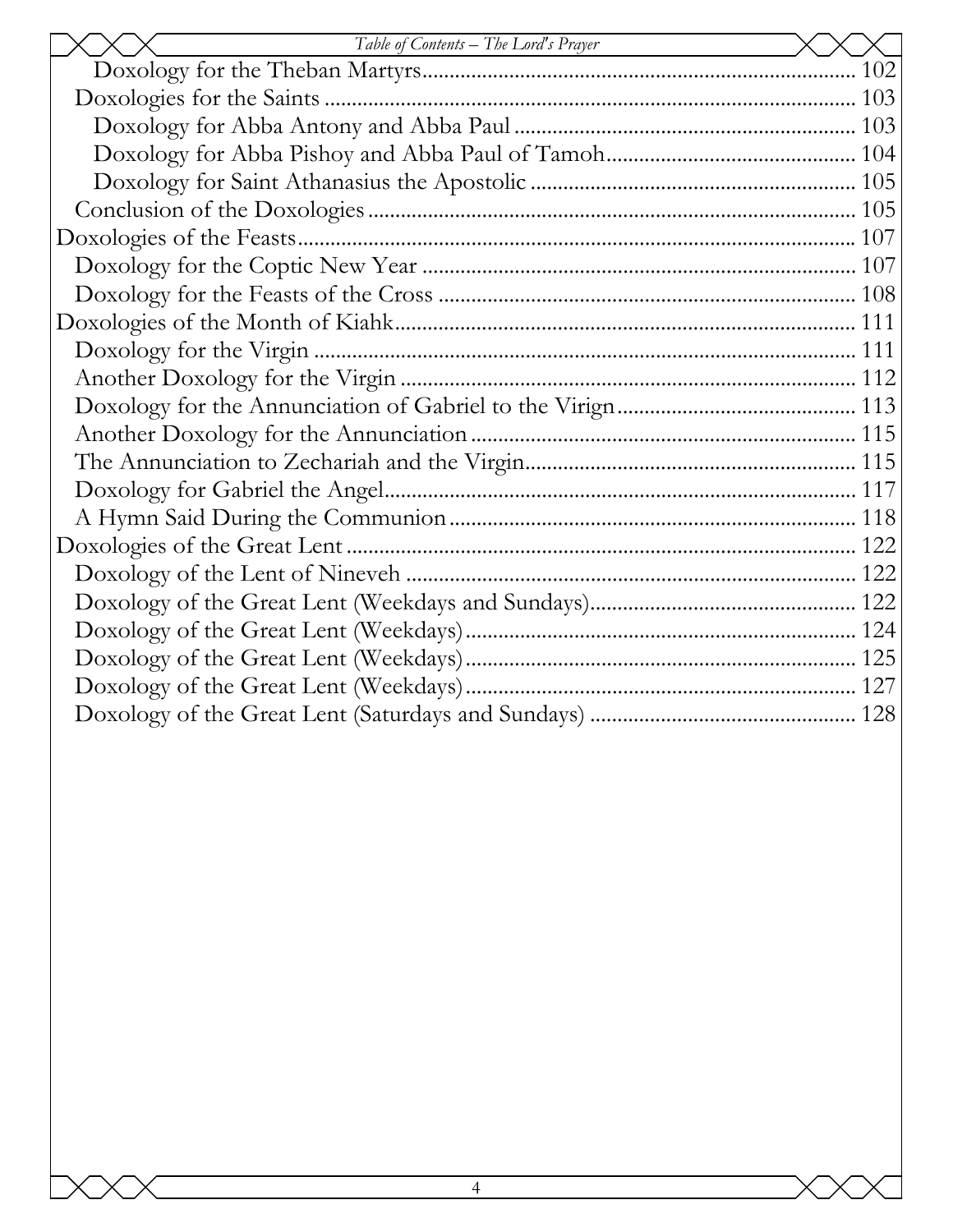| Table of Contents – The Lord's Prayer |
|---------------------------------------|
|                                       |
|                                       |
|                                       |
|                                       |
|                                       |
|                                       |
|                                       |
|                                       |
|                                       |
|                                       |
|                                       |
|                                       |
|                                       |
|                                       |
|                                       |
|                                       |
|                                       |
|                                       |
|                                       |
|                                       |
|                                       |
|                                       |
|                                       |
|                                       |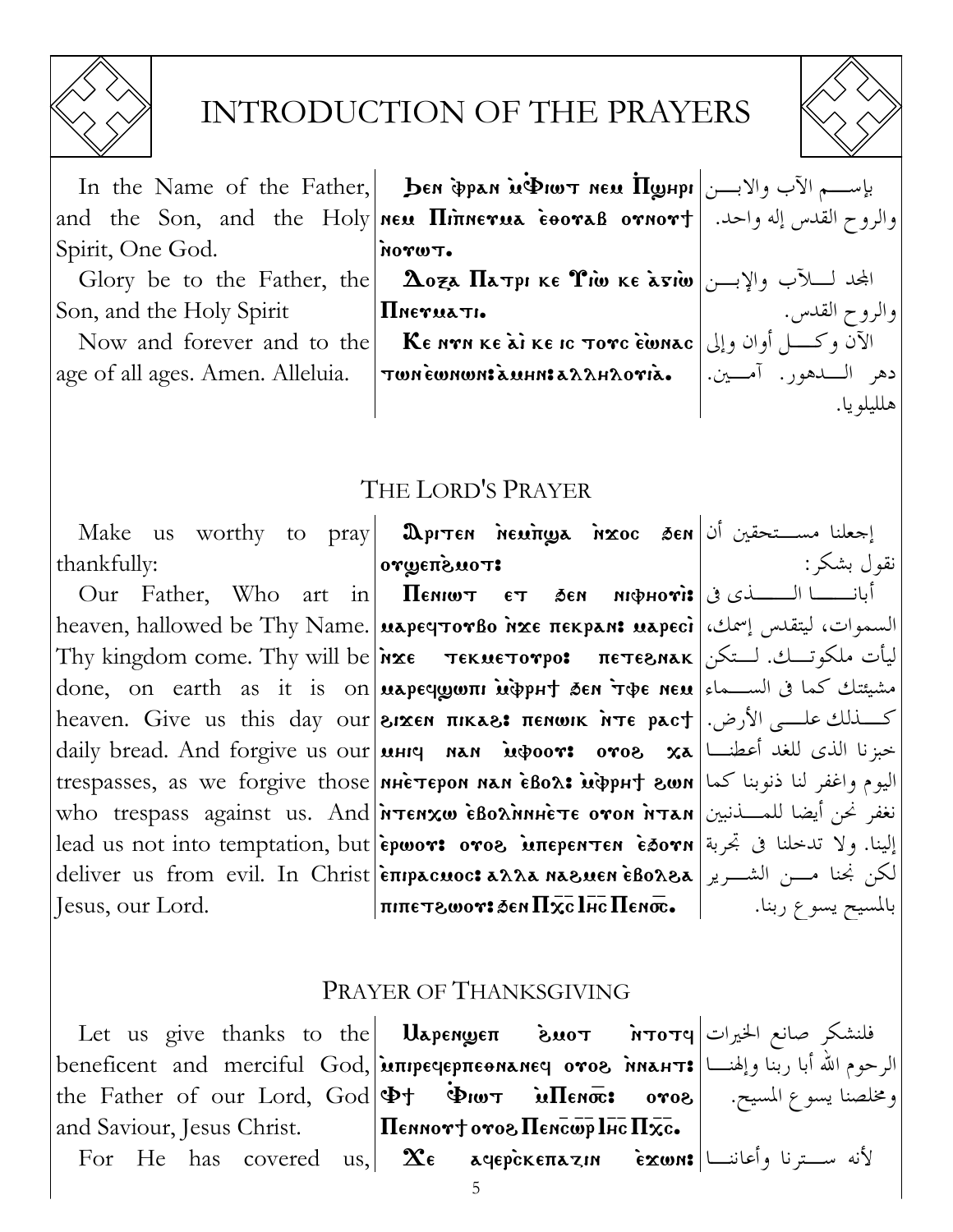

# INTRODUCTION OF THE PRAYERS

In the Name of the Father, **ben pan ughot new**  $\overline{\Pi}$ **y**  $|V|$ יוש און In the Name of the Father, **ben pan ughot new**  $\overline{\Pi}$ **y** and the Son, and the Holy new Hinnerua cooras ornort | . اوالروح القدس إله واحد. Spirit, One God.

Glory be to the Father, the Son, and the Holy Spirit

age of all ages. Amen. Alleluia.

TWYON.

*IIneruati.* 

Now and forever and to the **KE NAT KE AT KE IC TOTC EWNAC**  $\sim$ TWNEWNWMIZUHNIZAAHAOTIZ.

والروح القدس. دهر الـــــدهور. آمــــــين.|

هللىلو با.

# THE LORD'S PRAYER

Make us worthy to pray **Dpiter newings hxoc** Sen  $|\psi|$  thankfully:

Our Father, Who art in heaven, hallowed be Thy Name. **| марестотво ихе пекрам: маресі |** بالسموات، ليتقدس إسمك، ليأت ملكوتـــك. لـــتكن| Thy kingdom come. Thy will be או τεκμετονρο: πετεενιακ done, on earth as it is on **μερες μοπι μφριτ δεn τφε neu** slames done, on earth as it is on **μερες μου το δεν** heaven. Give us this day our **BIXEN TIIKAS: TENWIK NTE pact** | الأرض. | heaven. Give us this day our daily bread. And forgive us our **uHIC MAN** indoor: oros xa Julius daily bread. And forgive us our **uHIC MAN** trespasses, as we forgive those **NHETEPON NAN EBOA: WidpHT 8WN** view Lie et al. who trespass against us. And **Prenxw EBoxinnie TE oron NTAN** lead us not into temptation, but **epwor: oros мперентен еботн** الينا. ولا تدخلنا فى تجربة deliver us from evil. In Christ|επιρασιος: αλλα καεμενι εβολεα|الكن بخنا مسن الشــرير Jesus, our Lord.

ιτου*δ*πευνο|  $\Pi$ елиют ет бен инфноті: أبانـــــــــا الــــــــــذى فى

نقول بشكر :  $|\text{minerv}$ بالمسيح يسوع ربنا.  $\overline{\text{maxc}}$  الت $\overline{\text{maxc}}$  التابع بيسوع ربنا.

### PRAYER OF THANKSGIVING

Let us give thanks to the Uapenwen  $\frac{1}{2}$ فلنشكر صانع الخيرات الرحوم الله أبا ربّنا وإلهنـــا | beneficent and merciful God, אות warpeqepπεθΝaneq oros (با ربّنا وإلهنـــا the Father of our Lord, God  $\Phi$   $\phi$   $\ddot{\Phi}$   $\ddot{\Phi}$   $\ddot{\Phi}$   $\ddot{\Phi}$  $\mathbf{i}$ ومخلصنا يسوع المسيح. ﴿ ٥٣٥8  $\sqrt{100}$  The  $\sqrt{100}$  Tengtherm  $\sqrt{100}$ and Saviour, Jesus Christ. For He has covered us,  $\mathbf{x}_{\epsilon}$  agepckenazin  $\epsilon$   $\mathbf{x}$ wn: أَنه سِترنا وأعاننـا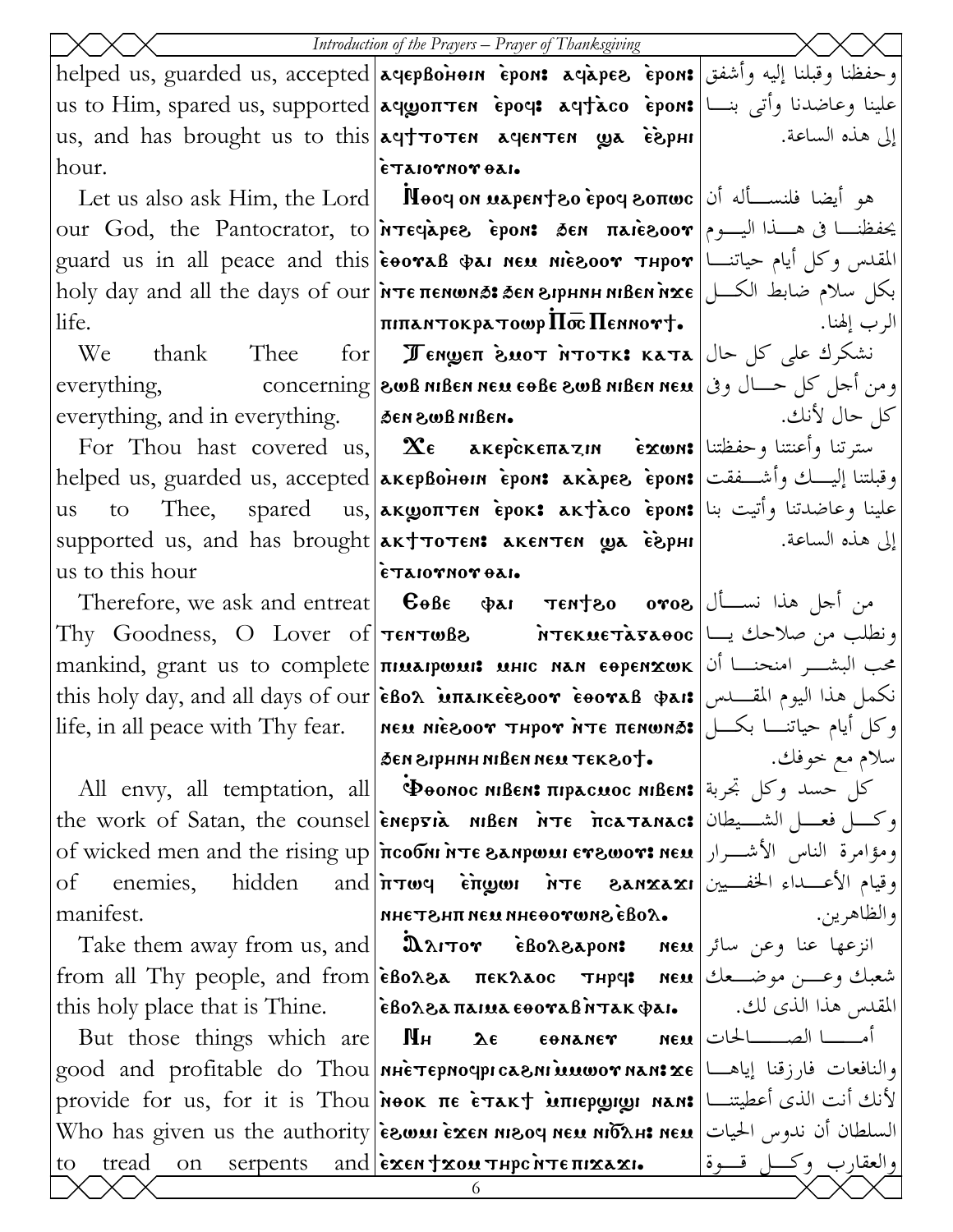|                                                                                                                                             | Introduction of the Prayers – Prayer of Thanksgiving                                                                                                         |                 |
|---------------------------------------------------------------------------------------------------------------------------------------------|--------------------------------------------------------------------------------------------------------------------------------------------------------------|-----------------|
| helped us, guarded us, accepted aqepBonon epon: aqapes epon: وحفظنا وقبلنا إليه وأشفق                                                       |                                                                                                                                                              |                 |
| us to Him, spared us, supported   aqyoπτεη ερος: aqtaco εροη: علينا وعاضدنا وأتي بنسا  us to Him, spared us, supported                      |                                                                                                                                                              |                 |
| us, and has brought us to this aqt TOTEN agenTEN wa ESPHI                                                                                   |                                                                                                                                                              | إلى هذه الساعة. |
| hour.                                                                                                                                       | ETAIOTHOT BAI.                                                                                                                                               |                 |
|                                                                                                                                             | Let us also ask Him, the Lord   Nooq on napent 80 epoq sonwo   أيضا فلنســأله أن                                                                             |                 |
| our God, the Pantocrator, to <b><i>NTECAPER</i></b> epon: SEN πλιεδοον  وسماء البسوم                                                        |                                                                                                                                                              |                 |
| guard us in all peace and this <b>eooras was neu niesoor ¬Hpor</b> and this left was in all peace and this legara                           |                                                                                                                                                              |                 |
| holy day and all the days of our <i>i</i> rte πεΝωΝΑ: ΔεΝ ενρΗΝΗ ΝΙΒεΝ Ναε (الكل) www. day and all the days of our                          |                                                                                                                                                              |                 |
| life.                                                                                                                                       | $ \pi$ الرب إلهنا. $ \pi$ 111) - الرب إلهنا. $ \pi$ 111) - الرب                                                                                              |                 |
|                                                                                                                                             | We thank Thee for <b>уенщен биот итотк: ката</b> انشکرك على كل حال                                                                                           |                 |
| ومن أحل كل حسال وفي العه concerning  الله عليه العهيم العلمية ومن أحل كل حسال وفي إ                                                         |                                                                                                                                                              |                 |
| everything, and in everything. $\cos \theta$ are $\cos \theta$ and $\sin \theta$                                                            |                                                                                                                                                              | كل حال لأنك.    |
|                                                                                                                                             |                                                                                                                                                              |                 |
| helped us, guarded us, accepted <b>akepBohom crons akapes crons</b>   فبلتنا إليــــك وأشـــفقت   helped us, guarded us                     |                                                                                                                                                              |                 |
| us                                                                                                                                          | علينا وعاضدتنا وأتيت بنا to   Thee,   spared   us, aκωσπτεn èpoκ: aκtàco èpon: فلينا وعاضدتنا وأتيت                                                          |                 |
| إلى هذه الساعة. الساعة supported us, and has brought   akt тотем: акентен மூக с̀ѐрни   чали                                                 |                                                                                                                                                              |                 |
| $ \epsilon$ Taiornor $\theta$ ai.<br>us to this hour                                                                                        |                                                                                                                                                              |                 |
|                                                                                                                                             | Therefore, we ask and entreat <b>C</b> OBE $\Phi$ AI <b>TENTEO oros</b> we ask and entreat <b>C</b>                                                          |                 |
| Thy Goodness, O Lover of <b>TENTWEE iTEKMETA5AO0C</b> 2 ملاحك يسا                                                                           |                                                                                                                                                              |                 |
| mankind, grant us to complete <b>THE MALAPWALI:</b> MAN EOPENXWK US to complete                                                             |                                                                                                                                                              |                 |
| this holy day, and all days of our EBox <b>Exalger EBor EBoraB</b> $\phi$ ars انكمل هذا اليوم المقـــدس #this holy day, and all days of our |                                                                                                                                                              |                 |
| life, in all peace with Thy fear.   мем місвоот тнрот ите пемома:   وكل أيام حياتنــا بكــل                                                 |                                                                                                                                                              |                 |
|                                                                                                                                             | مسلام مع خوفك.   ـ Э́єн Зернин иівен нем тек 80†                                                                                                             |                 |
|                                                                                                                                             | All envy, all temptation, all   Φθονος Νιβεν: πιραςμος Νιβεν: أَسْمَعْ السَّلْمُ حَسَّدٌ وَكُلْ بِحْرِبَةَ إِل                                               |                 |
| the work of Satan, the counsel enepsia niBen NTE ficaTanac: اوكر فعسل الشسيطان                                                              |                                                                                                                                                              |                 |
| of wicked men and the rising up   ncoom NTE BANPWAI ETSURE ISLE UP   Julius 1980                                                            |                                                                                                                                                              |                 |
| of                                                                                                                                          | enemies, hidden and $n\pi\omega$ y in $n\pi\epsilon$ and $\sin\omega$ in $\sin\omega\omega$ ane enemies,                                                     |                 |
| manifest.                                                                                                                                   | . Xoda Snwroeahn Nam THSTAN                                                                                                                                  | والظاهرين.      |
|                                                                                                                                             | Take them away from us, and <b>DAITOY</b> eBorsapon: <b>new</b> انزعها عنا وعن سائر <b>T</b> ake them away from us, and                                      |                 |
| from all Thy people, and from εβολελ πεκλλος τηρα new set $\epsilon$ - $\epsilon$ - $\epsilon$                                              |                                                                                                                                                              |                 |
| this holy place that is Thine. <b> eBoλ&amp;απαιμα εθοναβήτακ φαι.</b>   المقدس هذا الذي لك.   وthis holy place that is Thine.              |                                                                                                                                                              |                 |
|                                                                                                                                             | But those things which are <b>MH</b> $\lambda \epsilon$ $\epsilon$ <b>onaner</b> $\lambda \epsilon$ $\lambda \epsilon$ $\lambda \epsilon$ $\lambda \epsilon$ |                 |
| good and profitable do Thou ทนเราอุทงๆproนอกเพิ่มเขอขานลาร $\mathbf{x}$ є ياهـــا  good and profitable do Thou                              |                                                                                                                                                              |                 |
| provide for us, for it is Thou <i>i</i> now ine e trakt intepyong nan: الأنك أنت الذى أعطيتنــا                                             |                                                                                                                                                              |                 |
| Who has given us the authority <b>exen nessay ness ness</b> ness piven us the authority <b>exen ness</b> promit<br>tread<br>to              |                                                                                                                                                              |                 |
|                                                                                                                                             | <u>on serpents and εκεντασατηρεύτεπικακι. والعقارب وكسل قسوة</u><br>6                                                                                        |                 |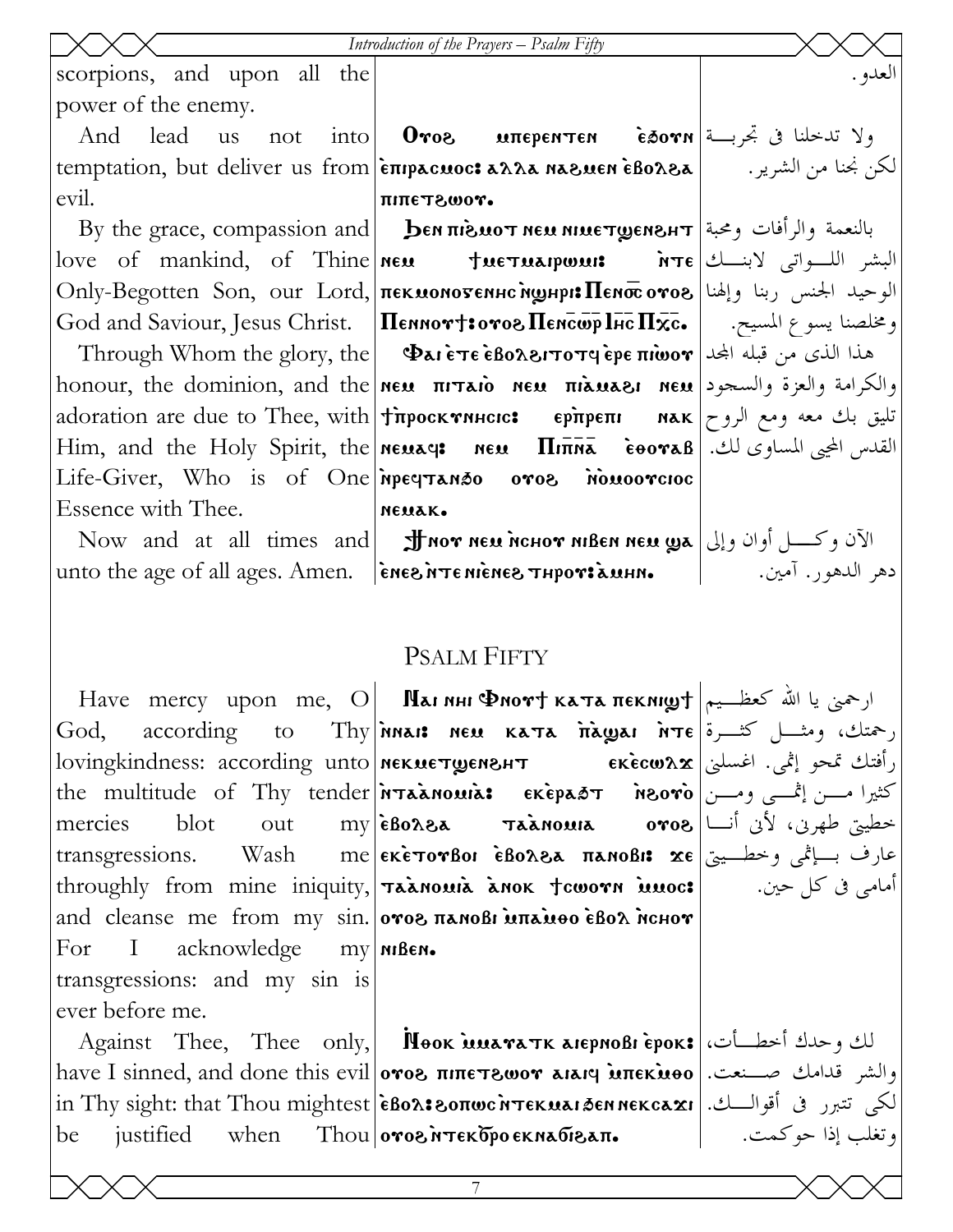Introduction of the Prayers - Psalm Fifty scorpions, and upon all the العدو . power of the enemy. us not into **Oros uπερεητεη εδονη** εν ξενική εν And lead temptation, but deliver us from επιρεσιος: ελλε κελειεή εβολελ | ... الكن بجنا من الشرير.

evil.

Essence with Thee.

Now and at all times and **J** nor new nchor nißen new  $\omega$ a الآن وكسل أوان وإلى

God. according to mercies **blot** out  $acknowledge$   $my$   $m$   $m$   $\theta$   $m$  $For$  $\mathbf{I}$ transgressions: and my sin is ever before me.

Against Thee, Thee only, **Nook MEENALE ASSOCITE** have I sinned, and done this evil **oros πιπετεωον aiarq inπεκίιθο** | الشر قدامك صدنعت. لكي تتبرر في أقوالسك. | in Thy sight: that Thou mightest |εβολ: نكرى تتبرر في أقوالسك. | 

питетгоот. By the grace, compassion and | DENTIBUOT NEU NIUETQENBHT | بالنعمة والرأفات ومحبة love of mankind, of Thine new twe tuelous irre is your liming the dum hote of mankind, of Thine new Only-Begotten Son, our Lord, πεκμονοντενικτήφιμρι: Πενστοντος |الوحيد الجنس ربنا وإلهنا God and Saviour, Jesus Christ. | Пеннот†: отов Пенсир Iнс Пхс. | | سسيح. | میکهای God and Saviour, Jesus Christ. | Пеннот†: отов Пенсир Iнс Пхс Through Whom the glory, the **Pai ETE EBOASITOTY EPE TILOOT** honour, the dominion, and the new  $\pi r x$ io new  $\pi i$ iawazi new  $\vert$  الله والعزة والسجود adoration are due to Thee, with **| thpock Thetes | EPROST BORGETI** MAK | معه ومع الروح Him, and the Holy Spirit, the **Neuage Neu**  $\Pi$ **inna**  $\tilde{\mathbf{e}}$ **eora**  $\mathbf{B}$  القدس المحيى المساوى لك. Life-Giver, Who is of One negrando oros nouvorcioc немак.

unto the age of all ages. Amen.  $\left| \right|$  energines in the symport and  $\left| \right|$ 

## **PSALM FIFTY**

Have mercy upon me, O **| Патинг Фиот + ката пекищу + | ار**حمنی یا الله کعظـیم Thy innais new Kata inawai irre  $\sum_{i=1}^{\infty}$   $\frac{1}{i}$  and  $\frac{1}{i}$ رأفتك تمحو إثمى. اغسلني | lovingkindness: according unto | мекметремент вкесшах the multitude of Thy tender **ATAANOUIA:** EKEPAOT NOOVO (تشمی ومسن خطيتي طهرن، لأن أنـــا| my|eBox8a raanowaa ovo8 أنـــا عارف بسياڻمي وخطسيتي | transgressions. Wash me | εκετονβοι εβολ&λ πληοβι: xe throughly from mine iniquity, Taanoura anok toworn innoc: and cleanse me from my sin. oros nanosi unauoo esoa nchor

دهر الدهور. آمين. ١

أمامي في كل حين.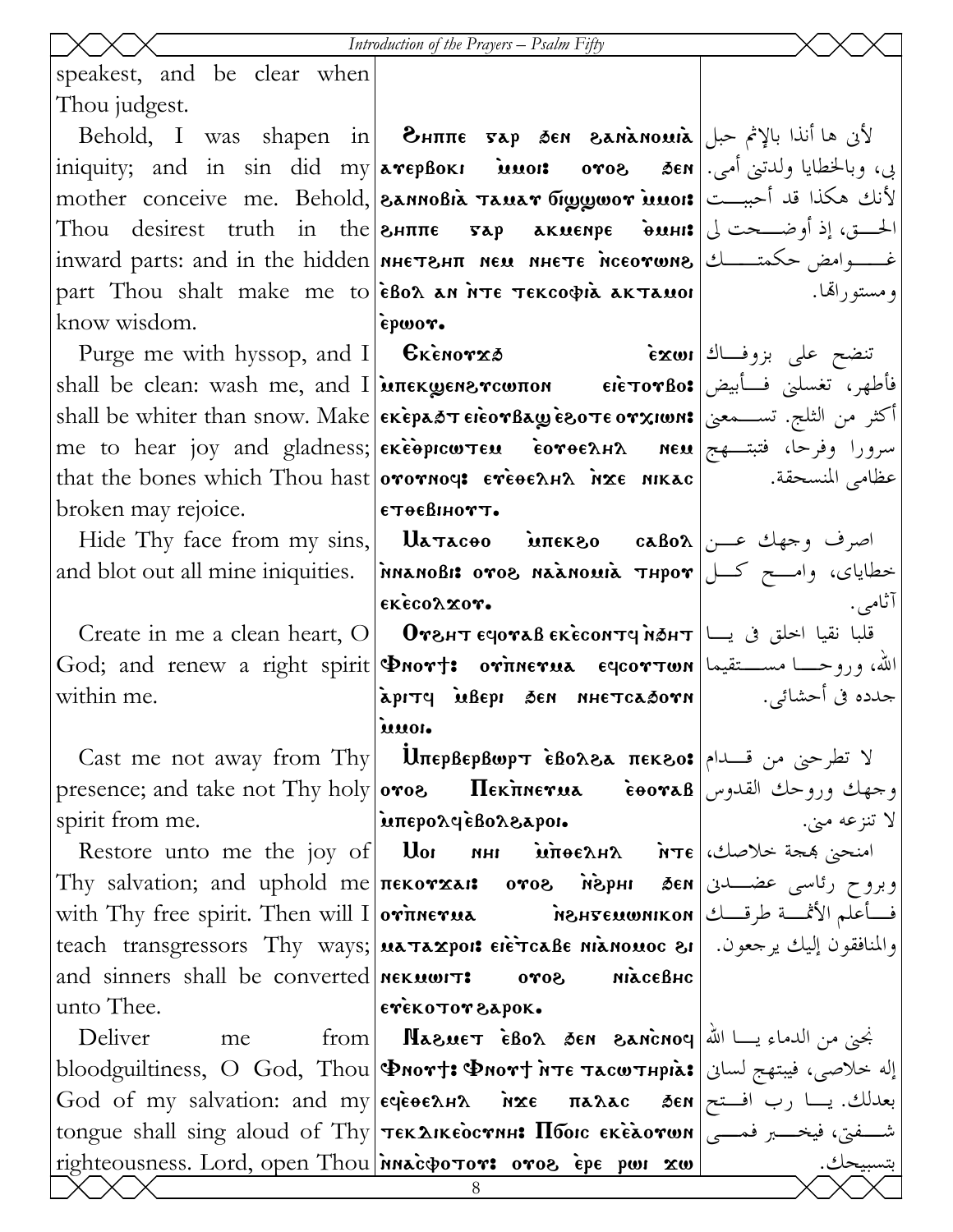#### Introduction of the Prayers - Psalm Fifty

epwor.

етеевнотт.

εκές ολ χον.

 $\ddot{\mathbf{u}}$ 

speakest, and be clear when Thou judgest.

Behold, I was shapen in **BHTTTE Fap SEN SANANOMIA** iniquity; and in sin did my arepBoks woo: oros sen . وبالخطايا ولدتني أمي. mother conceive me. Behold, annosia Tauar biggwor innois = أَذَانَ هَكَذَا قَدْ أَحْسِــتْ الحسق، إذ أوضــحت لي|Thou desirest truth in the зните тар акмемре • динг part Thou shalt make me to **EBOA** AN NTE TEKCOODIA AKTAMOI know wisdom.

Purge me with hyssop, and I  $\left| \right|$   $\mathbf{\mathsf{Exenovz}\&}$ فأطهر، تغسلني فسأبيض|shall be clean: wash me, and I **απεκωεηεντωποη ειετον βο:** أكثر من الثلج. تســمعنى|shall be whiter than snow. Make| الكثر من الثلج. تســمعنى me to hear joy and gladness; exeopicw TEM coroEAHA NEM since in the detail of the cap that the bones which Thou hast orornous ereoenna hxe NIKAC broken may rejoice.

and blot out all mine iniquities. | MARIOBIS OTOS NAANOUIA THPOT | كسل | and blot out all mine iniquities. | MARIOBIS OTOS NAANOUIA THPOT

Create in me a clean heart, O | Отънт счотав скесомтч мант | التحلق في يسا المحلق في التجميع العدة Create in me a clean heart, O | Отънт счотав скесомтч мант | God; and renew a right spirit **Dnort: orinerua eqcorton**  $|\omega|$  الله، وروحــــا مســــتقيما within me.

Cast me not away from Thy Uπερβερβωρτ εδολελ πεκεο: γ تطرحنى من قسدام presence; and take not Thy holy oros **Ileknerua** eooraB using the equal spirit from me.

Restore unto me the joy of | Uor พม พิทิษะลมล พิพะ 25% ห่อง คร Thy salvation; and uphold me пекотхан отог мерни бем رئاسی عضـــدن with Thy free spirit. Then will I | отпистиа пентеминком | الأثمَّــة طرقـــك | with Thy free spirit. Then will والمنافقون إليك يرجعون. [each transgressors Thy ways;|ματαχροι: ειεταλε μιλιομος ει and sinners shall be converted **NEXULATE** unto Thee.

 $\text{from}$ | **Nasuet •̀Bos** 8en 8anc̃noq | أَنِّي من الدماء يـــا الله Deliver me bloodguiltiness, O God, Thou PMort: Фмотт ите тасштнріа: إله خلاصي، فيبتهج لسان God of my salvation: and my eqeoe лна похе палас бем رب افتح العدلك. يسا رب افتح tongue shall sing aloud of Thy текдікеостин: Пбою екедотии | رضاح الله عني، فيخـــــبر فمــــي righteousness. Lord, open Thou MACOOTOT: OTOE EPE PWI XW

ومستوراقما.

تنضح على بزوفــاك|Exwi عظامى المنسحقة.

آثامي. apity in depi den nhetcadorn as is intered.

> لا تنزعه مين. мілсевно

εγεκοτογελροκ.

inteporcieBorsapon.

 $50<sup>0</sup>$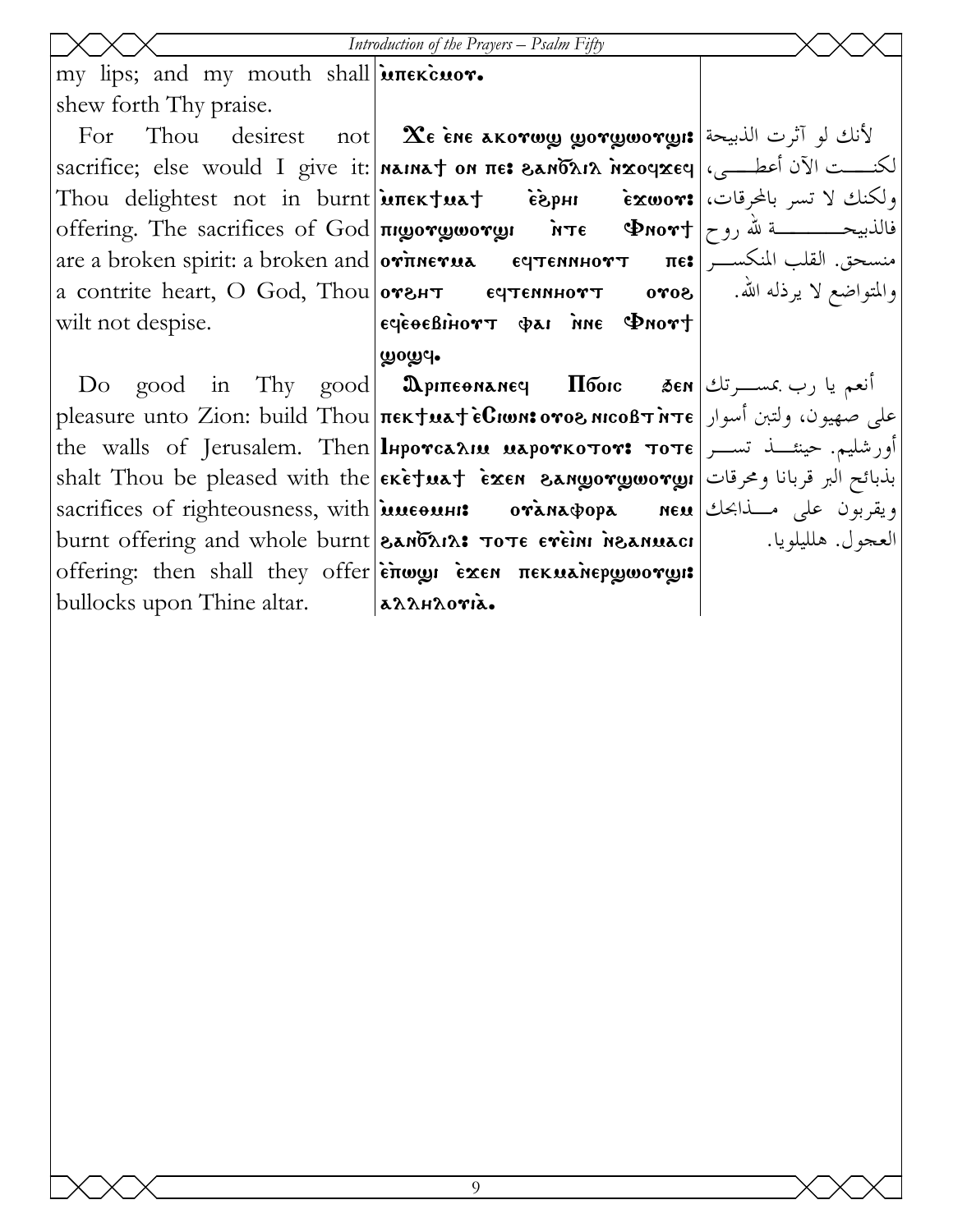my lips; and my mouth shall interieuor. shew forth Thy praise.

For Thou desirest not a contrite heart, O God, Thou **отент** wilt not despise.

Do good in Thy good bullocks upon Thine altar.

لكنــــت الآن أعطــــى،|sacrifice; else would I give it:|naina† on πε: ماي التاقيم المعام العام العا Thou delightest not in burnt anextuat esphi exwor: offering. The sacrifices of God **πιωοτωωοτωι** ητε Φηστ are a broken spirit: a broken and ou`pneuma eftennhout pe>  $\boldsymbol{\chi}$ e ène akorw $\boldsymbol{y}$  yor $\boldsymbol{y}$ wor $\boldsymbol{y}$ is  $\left| \begin{smallmatrix} 1 & 0 & 0 \ 0 & 1 & 0 \end{smallmatrix} \right.$  $\sim$   $\sigma$  $e^{\frac{i}{2}(\cos\theta)}$  is  $\phi$  in  $\phi$  in  $\phi$  is  $\phi$ ழுoழு -

pleasure unto Zion: build Thou pek;ma; `eCiwn> ouo\ nicobt `nte على صهيون، ولتبن أسوار the walls of Jerusalem. Then $\vert$ lнротса $\lambda$ ии иароткотот: тоте $\vert$ ســـر تســـر  ${\rm shalt}$  Thou be pleased with the $|$ ek̄ē†ua† •̃zɛn  $\,$ anw̥orw̥worw̥ı $|$ انا ومحرقات sacrifices of righteousness, with  $\frac{1}{n}$  integration ordinary opa new burnt offering and whole burnt **and the state of event in annuaci** offering: then shall they offer end or exen πεκμελιερωσονωι:  $\mathfrak A$ ріпефнанеч Пбоіс alanhoria.

ولكنك لا تسر بالمحرقات، فالذبيحــــــــــــــة لله روح| Флот† منسحق. القلب المنكسـر والمتواضع لا يرذله االله.

أنعم يا رب بمسـرتك ويقربون على مـذابحك العجول. هلليلويا.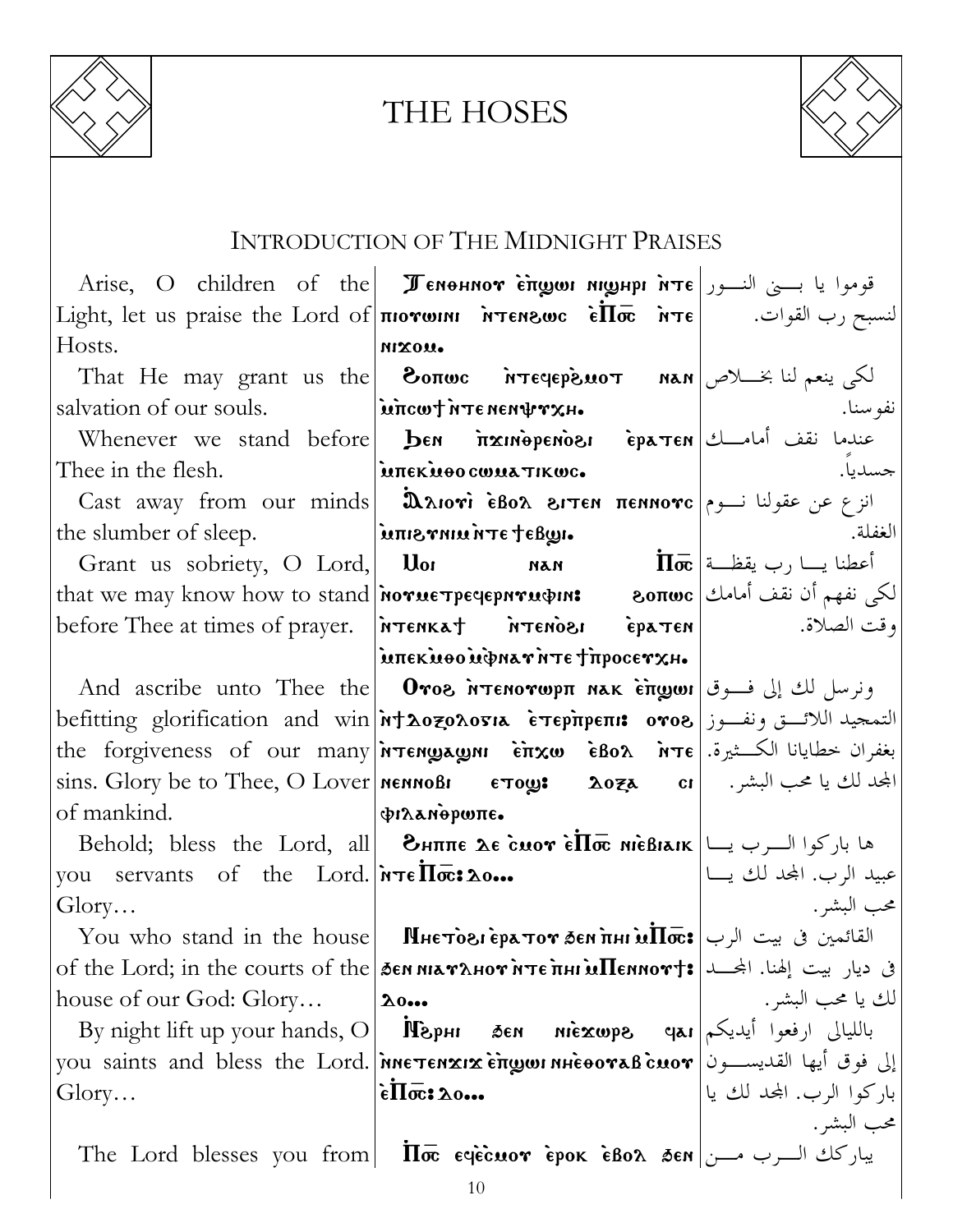

# THE HOSES



# INTRODUCTION OF THE MIDNIGHT PRAISES

|                                                                                                                                       | Arise, O children of the <i>J</i> enonnor engun nighpi $\pi$ Tel $\pi$ implement $\alpha$ and $\alpha$                                                                                 |                                                 |
|---------------------------------------------------------------------------------------------------------------------------------------|----------------------------------------------------------------------------------------------------------------------------------------------------------------------------------------|-------------------------------------------------|
|                                                                                                                                       | Light, let us praise the Lord of <b>The MOTOM ATEROUC</b> in $\vec{h}$ or $\vec{h}$ $\vec{v}$ let us praise the Lord of $ \vec{h}$ $\vec{v}$                                           |                                                 |
| Hosts.                                                                                                                                | MIXOU.                                                                                                                                                                                 |                                                 |
|                                                                                                                                       | That He may grant us the <b>Bonwe</b> <i>i</i> rreqepsior $\text{max}$ $\text{max}$ $\text{max}$ is the $\text{max}$                                                                   |                                                 |
| salvation of our souls.  incordintenent rxH.                                                                                          |                                                                                                                                                                                        | نفو سنا.<br>the contract of the contract of the |
|                                                                                                                                       | <b>Whenever we stand before ben <i>i</i>nxinepenosi</b> epa ren ladi varial                                                                                                            |                                                 |
| Thee in the flesh. Manuscript in the flesh.                                                                                           | and the contract of the contract of                                                                                                                                                    | جسديا.                                          |
|                                                                                                                                       | Cast away from our minds <b>(λλιονί έβολ ειτεν πενικονς</b> (انزع عن عقولنا نسوم                                                                                                       |                                                 |
|                                                                                                                                       |                                                                                                                                                                                        | الغفلة.                                         |
|                                                                                                                                       | the slumber of sleep.<br>Grant us sobriety, O Lord, <b>lume verture de la de la de la de la de la de la</b> de la de la de la de la de la de                                           |                                                 |
|                                                                                                                                       | that we may know how to stand <b>Norue Tpe qepnru on: 80πωc</b>   الكي نفهم أن نقف أمامك                                                                                               |                                                 |
|                                                                                                                                       | before Thee at times of prayer.   NTENKAT MTENOSI EPATEN  [3] and times of prayer.   NTENKAT                                                                                           |                                                 |
|                                                                                                                                       | ίμπεκμοομφηλτήτε τηροσετχη.                                                                                                                                                            |                                                 |
|                                                                                                                                       | And ascribe unto Thee the <b>Oros NTENOTWPIT NAK ETTE OUT</b> (عن إلى فوق السلام الثانية العاملية And ascribe wnto Thee the                                                            |                                                 |
|                                                                                                                                       | التمحيد اللائسق ونفــوز befitting glorification and win א†λοzολοσιλ επερπρεπι: ονοδ                                                                                                    |                                                 |
|                                                                                                                                       | the forgiveness of our many <i>N</i> TENWAGIN CRO $\hat{\mathbf{r}}$ $\mathbf{x}\omega$ $\hat{\mathbf{r}}$ $\mathbf{z}\omega$ $\hat{\mathbf{r}}$ $\mathbf{z}\omega$ $\hat{\mathbf{r}}$ |                                                 |
|                                                                                                                                       | sins. Glory be to Thee, O Lover   MENNOBI       ETOUS:         2024       cr               المجحد لك يا محب البشر.               2027               2028                               |                                                 |
| of mankind.<br><b>Ε</b> ΣΕΙ ΣΕΙ ΣΤΟ ΠΑΙΑ ΤΟ ΠΑΙΑ ΤΟ ΠΑΙΑ ΤΟ ΠΑΙΑ ΤΟ ΠΑΙΑ ΤΟ ΠΑΙΑ ΤΟ ΠΑΙΑ ΤΟ ΠΑΙΑ ΤΟ ΠΑΙΑ ΤΟ ΠΑΙΑ ΤΟ ΠΑΙΑ ΤΟ ΠΑΙΑ ΤΟ Π |                                                                                                                                                                                        |                                                 |
|                                                                                                                                       | Behold; bless the Lord, all <b>EHITE LE CUOT ELOTE MIEBIAIK</b> $\left  \bigcup_{i=1}^{\infty}$ All place $i$                                                                          |                                                 |
|                                                                                                                                       | you servants of the Lord. $\lceil \overline{\text{arc}} : \Delta \text{0} \rceil$                                                                                                      | عبيد الرب. المحد لك يــــا                      |
| Glory                                                                                                                                 |                                                                                                                                                                                        | محب البشر .                                     |
|                                                                                                                                       | $\quad$ You who stand in the house <b>    Мнєто̀ги ѐратот бел пні м<math>\overline{\text{Inc}}\text{:}</math> القائمين في بيت الرب</b>                                                 |                                                 |
|                                                                                                                                       | оf the Lord; in the courts of the <i>  де</i> м мьатанот ите пни м Пеммот +: إله المجمعة of the Lord; in the courts of the                                                             |                                                 |
| house of our God: Glory                                                                                                               | $\lambda$ 0                                                                                                                                                                            | لك يا محب البشر .                               |
| By night lift up your hands, O                                                                                                        | sen niexwps qar إيديكم إيما<br><b>Hagh</b>                                                                                                                                             |                                                 |
|                                                                                                                                       | you saints and bless the Lord. พิทธรรคxเxริทิญพาหนั่งองขอเป็นอง  الی فوق أيها القديســـون                                                                                              |                                                 |
| Glory                                                                                                                                 | $\epsilon \overline{\Pi} \overline{\text{oc}}$ : 20                                                                                                                                    | باركوا الرب. المحد لك يا                        |
|                                                                                                                                       |                                                                                                                                                                                        | محب البشر .                                     |
| The Lord blesses you from                                                                                                             | $\overline{\Pi}$ تيار كك السرب مسن  $\overline{\mathbf{a}}$ 680 A يبار كك السرب مسن                                                                                                    |                                                 |
|                                                                                                                                       | 10                                                                                                                                                                                     |                                                 |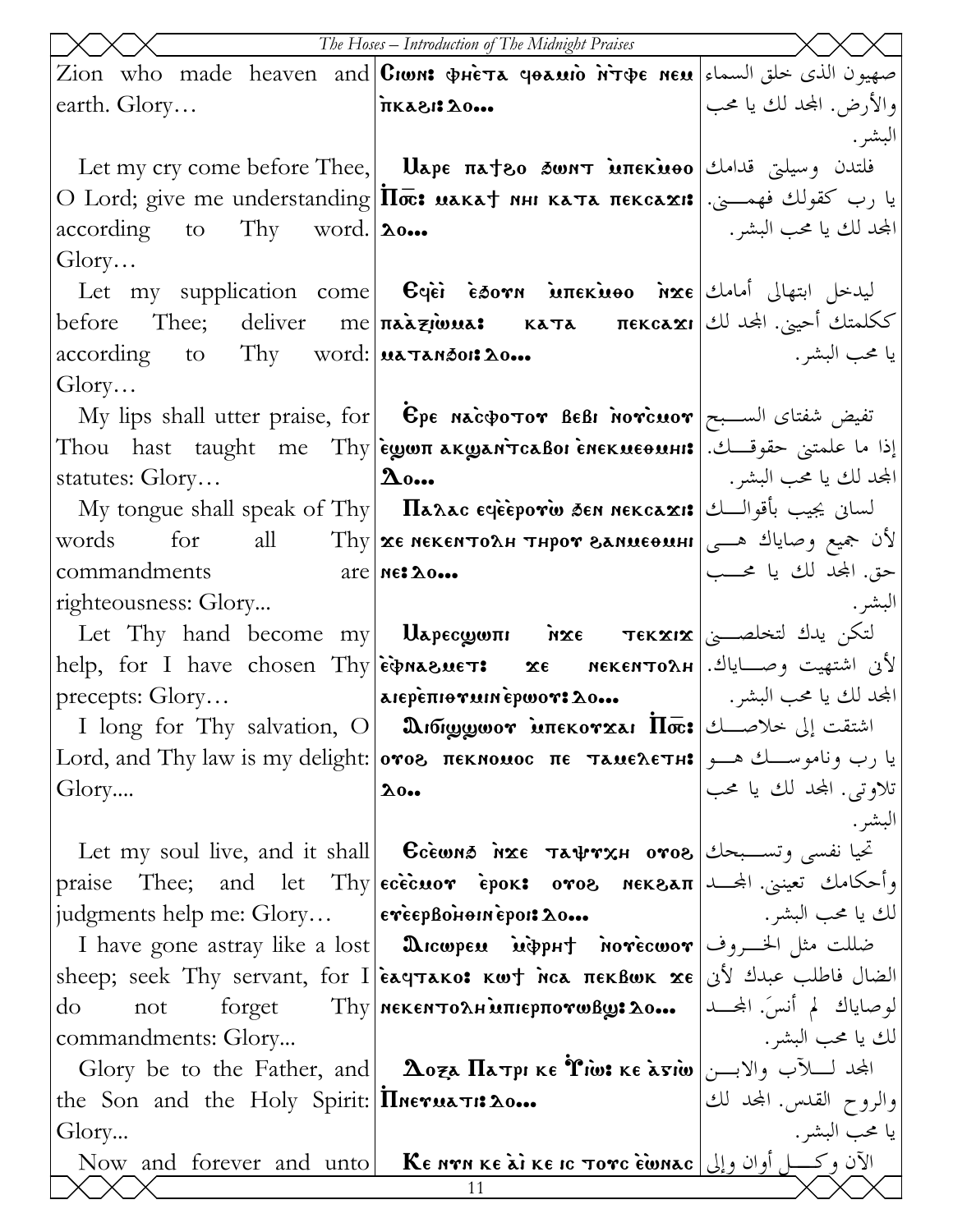|                                                      | The Hoses - Introduction of The Midnight Praises                                                                                                                           |                         |
|------------------------------------------------------|----------------------------------------------------------------------------------------------------------------------------------------------------------------------------|-------------------------|
|                                                      | Zion who made heaven and Ciwn: фнета чеаміо м̀тфє нєм سهيون الذي خلق السماء   Zion who made heaven and                                                                     |                         |
| earth. Glory                                         | $\cdot \cdot \cdot \cdot \cdot \cdot \cdot \cdot \cdot \cdot \cdot \cdot \cdot$                                                                                            | والأرض. المحد لك يا محب |
|                                                      |                                                                                                                                                                            | البشر .                 |
|                                                      | Let my cry come before Thee, <b>Uape πa†80 δωητ мπεκνοο</b> على العالمات وسيلتي قدامك                                                                                      |                         |
|                                                      | О Lord; give me understanding $ \overline{\Pi \varpi}$ : با رب كقولك فهمــــي.   О Lord; give me understanding $ \overline{\Pi \varpi}$ : мака† мни ката пекса $\bf{x}$ и: |                         |
| $\alpha$ according to Thy word. $20$                 |                                                                                                                                                                            | المجد لك يا محب البشر . |
| Glory                                                |                                                                                                                                                                            |                         |
|                                                      | Let my supplication come <b>C</b> gei esorn interiueo nxe John is the lung                                                                                                 |                         |
|                                                      | before Thee; deliver me πaaziwua: κaτa πεκcaxı الحيني. المجلد لك                                                                                                           |                         |
| according to Thy word:  uaTanson: 20                 |                                                                                                                                                                            | يا محب البشر .          |
| Glory                                                |                                                                                                                                                                            |                         |
|                                                      | My lips shall utter praise, for $\mid$ $\dot{\mathbf{E}}$ pe nacopotor BeBi norcuor $\mid$ الســبح                                                                         |                         |
|                                                      | Thou hast taught me Thy ѐуюпакуант̀саво ѐнекиеоині: إذا ما علمتنى حقوقــك.                                                                                                 |                         |
| statutes: $Glor$                                     | $\Delta$ 0                                                                                                                                                                 | المحد لك يا محب البشر . |
|                                                      | My tongue shall speak of Thy <b>ITaxac eqeeporio sen nekcaxi:</b> السابی یجیب بأقوالـــك <b>M</b> y                                                                        |                         |
| for<br>words<br>$commandments$ $are neats$           | all Thy xe NekenTOAH THPOT SANMEOMHI $\int e^{-x^2} dx$                                                                                                                    | حق. المحد لك يا محـــب  |
| righteousness: Glory                                 |                                                                                                                                                                            | البشر .                 |
|                                                      | Let Thy hand become my  <b>U</b> apecωωπι או κε τεκ $\alpha$ ובאב التكن يدك لتخلصــــی                                                                                     |                         |
|                                                      | help, for I have chosen Thy $\epsilon$ <b>)</b> $\epsilon$ <b> Are <math>\epsilon</math> are MEKENTOAH</b> $\epsilon$ $\epsilon$ $\epsilon$ $\epsilon$                     |                         |
| precents: Glory                                      | المجد لك يا محب البشر.   معدα arepèπιθνωιnepwor: λο…                                                                                                                       |                         |
|                                                      | I long for Thy salvation, O <b>  మిఠ్యుల్యంగా మπεκογχai Πoc:</b> اشتقت إلى خلاصـــك                                                                                        |                         |
|                                                      | Lord, and Thy law is my delight:   отог пекномос пе тамелетн: إيا رب وناموســك هـــو                                                                                       |                         |
| Glory                                                | $\lambda$ 0                                                                                                                                                                | تلاوتي. المحد لك يا محب |
|                                                      |                                                                                                                                                                            | البشر .                 |
|                                                      | Let my soul live, and it shall    Gcewns   nxe   Ta\rxH  oro8 تحيا نفسي وتســبحك                                                                                           |                         |
| praise                                               | اوأحكامك تعينني. المجـــد  Thee; and let Thy єсѐс̀иот ѐрок: отов мєквап                                                                                                    |                         |
|                                                      | judgments help me: Glory  everploiennepoi: 20                                                                                                                              | لك يا محب البشر .       |
|                                                      | I have gone astray like a lost <b>  మె</b> icwpeu <b>i</b> ioph† <b>novecwov</b>   الخسروف Thave gone astray like a lost   <b>A</b> icwpeu                                 |                         |
|                                                      | sheep; seek Thy servant, for I ελαμτλκο: κωτ λια πεκβωκ χε $\left  \right.$ الضال فاطلب عبدك لأن                                                                           |                         |
| do<br>not                                            | لوصاياك لم أنسَ. المحــد   forget Thy   мекентолн мперпотовоз до   L                                                                                                       |                         |
| commandments: Glory                                  |                                                                                                                                                                            | لك يا محب البشر .       |
|                                                      | Glory be to the Father, and <b>Loza Патрі ке Ріш: ке а̀тіш</b> المجمد لكلاَّب والابـــن                                                                                    |                         |
| the Son and the Holy Spirit: $\Pi$ Merua $\tau$ : 20 |                                                                                                                                                                            | والروح القدس. المحد لك  |
| Glory                                                |                                                                                                                                                                            | يا محب البشر .          |
|                                                      | Now and forever and unto <b>KE NTR KE AT KE IC TOTC EWNAC</b><br>11                                                                                                        |                         |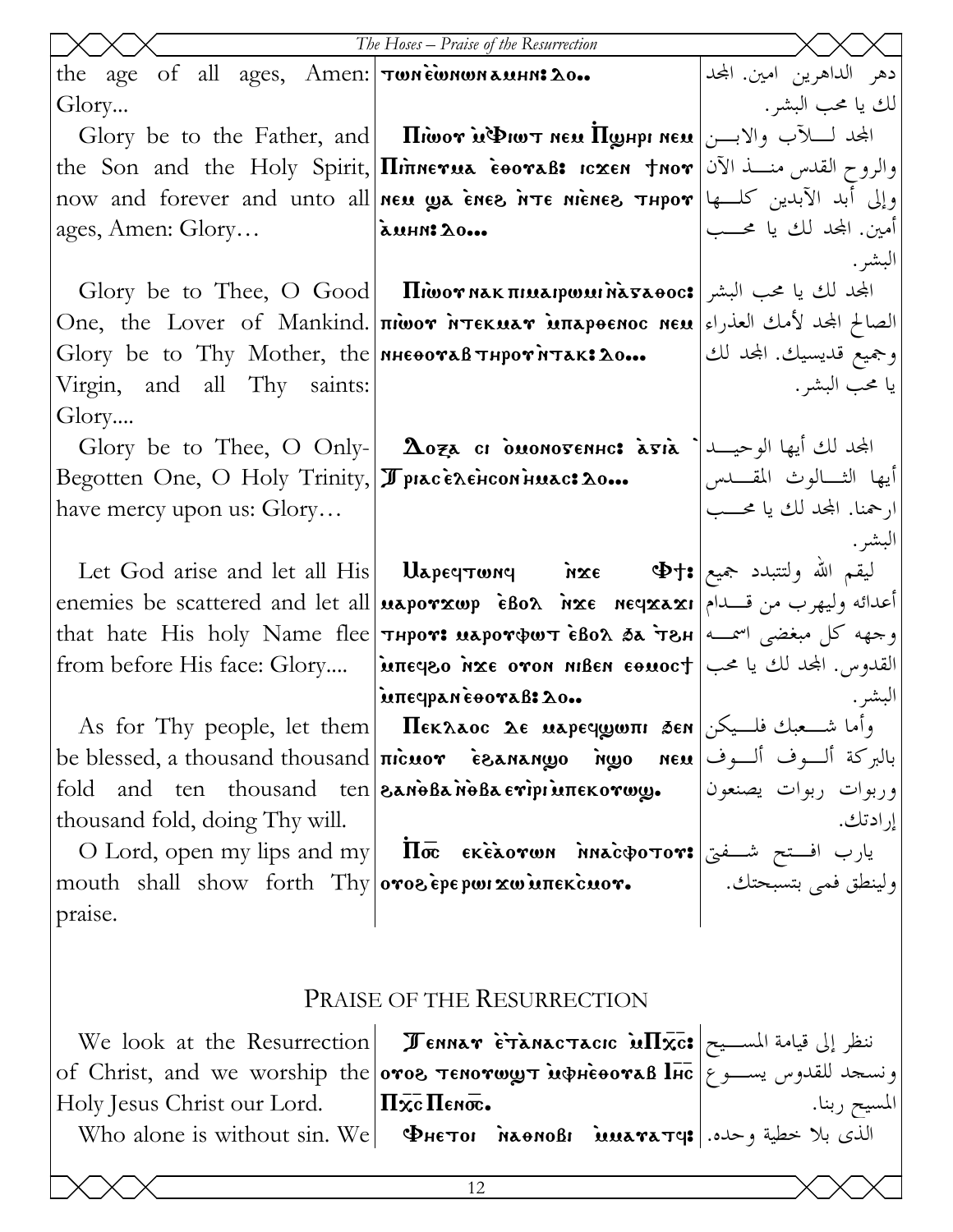|                                                              | The Hoses - Praise of the Resurrection                                                                                                                         |                                                          |
|--------------------------------------------------------------|----------------------------------------------------------------------------------------------------------------------------------------------------------------|----------------------------------------------------------|
| the age of all ages, Amen: Twnewwww.                         |                                                                                                                                                                | دهر الداهرين امين. المحد                                 |
| Glory                                                        |                                                                                                                                                                | الك يا محب البشر .                                       |
|                                                              | Glory be to the Father, and <b>Iliwor in Dur new Ilghpi new</b> المجد لسلآب والابسن <b>G</b> lory be to the Father, and <b>I</b>                               |                                                          |
|                                                              | the Son and the Holy Spirit, <b>Illinnevua eoovaß: Icxen tnov</b> الآن   The Son and the Holy Spirit, <b>Illinnevua eoovaß: Icxen tnov</b>                     |                                                          |
|                                                              | now and forever and unto all new wa enes not energy Thpor version of the now                                                                                   |                                                          |
| ages, Amen: Glory                                            | auhn: 20                                                                                                                                                       | أمين. المجد لك يا محـــب                                 |
|                                                              |                                                                                                                                                                | البشر .                                                  |
|                                                              | Glory be to Thee, O Good   $\Pi$ iwor NAK $\pi$ III $\lambda$ saeoc: الجحد لك يا محب البشر                                                                     |                                                          |
|                                                              | One, the Lover of Mankind. <b> πιωον Ντεκμαν μπαρθεnoc neu</b>  الصالح المجد لأمك العذراء الصحار المعددة                                                       |                                                          |
|                                                              | Glory be to Thy Mother, the $n\text{Hence}$ $\text{Hence}$ $\text{Hence}$                                                                                      | وجميع قديسيك. المحد لك                                   |
| Virgin, and all Thy saints:                                  |                                                                                                                                                                | يا محب البشر .                                           |
| Glory                                                        |                                                                                                                                                                |                                                          |
|                                                              | Glory be to Thee, O Only- <b>Aoza ci ouonovenne: avia</b> $\left  \right $ الجدلك أيها الوحيـــد   Glory be to Thee, O Only-   <b>Aoza ci ouonovenne: avia</b> |                                                          |
| Begotten One, O Holy Trinity, <i>J</i> piac Exencon Huac: 20 |                                                                                                                                                                | أيها الثـــالوث المقــــدس<br>ارحمنا. المحد لك يا محـــب |
| have mercy upon us: Glory                                    |                                                                                                                                                                |                                                          |
|                                                              |                                                                                                                                                                | البشر.                                                   |
|                                                              | enemies be scattered and let all uaporxwp  èßo^  mxe  neqxaxı مدائه وليهرب من قـــدام                                                                          |                                                          |
|                                                              | that hate His holy Name flee <b>Thpor: иаротфшт ѐвол ба тен</b>  سمــه   that hate His holy Name flee                                                          |                                                          |
|                                                              | القدوس. المجد لك يا محب   trom before His face: Glory   μπε νεο ντο νιηθεν εθμος +   معهة from before His                                                      |                                                          |
|                                                              | intequaneooraB: 20                                                                                                                                             | البشر.                                                   |
|                                                              | As for Thy people, let them <b>ITekaaoc 2e uapeqyoni sen</b> $\cos$ $\sin \cos \theta$                                                                         |                                                          |
|                                                              | be blessed, a thousand thousand  <b>nicuor   ceanango   new</b>   بالبركة ألـــوف ألــــوف إل <b>س</b> من مع من م                                              |                                                          |
|                                                              | fold and ten thousand ten <b>SanoBanoBaeriprienckorwy.</b> [اوربوات ربوات يصنعون                                                                               |                                                          |
| thousand fold, doing Thy will.                               |                                                                                                                                                                | إر ادتك.                                                 |
|                                                              | $\text{O}$ Lord, open my lips and my $\left \text{ or }\text{tr} \right.$ $\text{tr} \left. \text{er} \right.$ یارب افستح شسفتی                                |                                                          |
|                                                              | mouth shall show forth Thy <b>oros epepwi xw unekcuor.</b>   . مسبحتك.   mouth shall show forth Thy   <b>oros epepwi xw unekcuor.</b>                          |                                                          |
| praise.                                                      |                                                                                                                                                                |                                                          |
|                                                              |                                                                                                                                                                |                                                          |
|                                                              |                                                                                                                                                                |                                                          |
| PRAISE OF THE RESURRECTION                                   |                                                                                                                                                                |                                                          |
|                                                              | We look at the Resurrection   <b>I ENNAT ETANACTACIC MIXC:</b> ننظر إلى قيامة المسسيح                                                                          |                                                          |
|                                                              | of Christ, and we worship the <b>oros темотицут мфневотав lic</b><br>المسيح ربنا. Holy Jesus Christ our Lord. <b>ITxc Пемос.</b>                               |                                                          |
|                                                              |                                                                                                                                                                |                                                          |
|                                                              | Who alone is without sin. We  Фнетог мेхомовг имататч: الذي بلا خطية وحده.                                                                                     |                                                          |
|                                                              |                                                                                                                                                                |                                                          |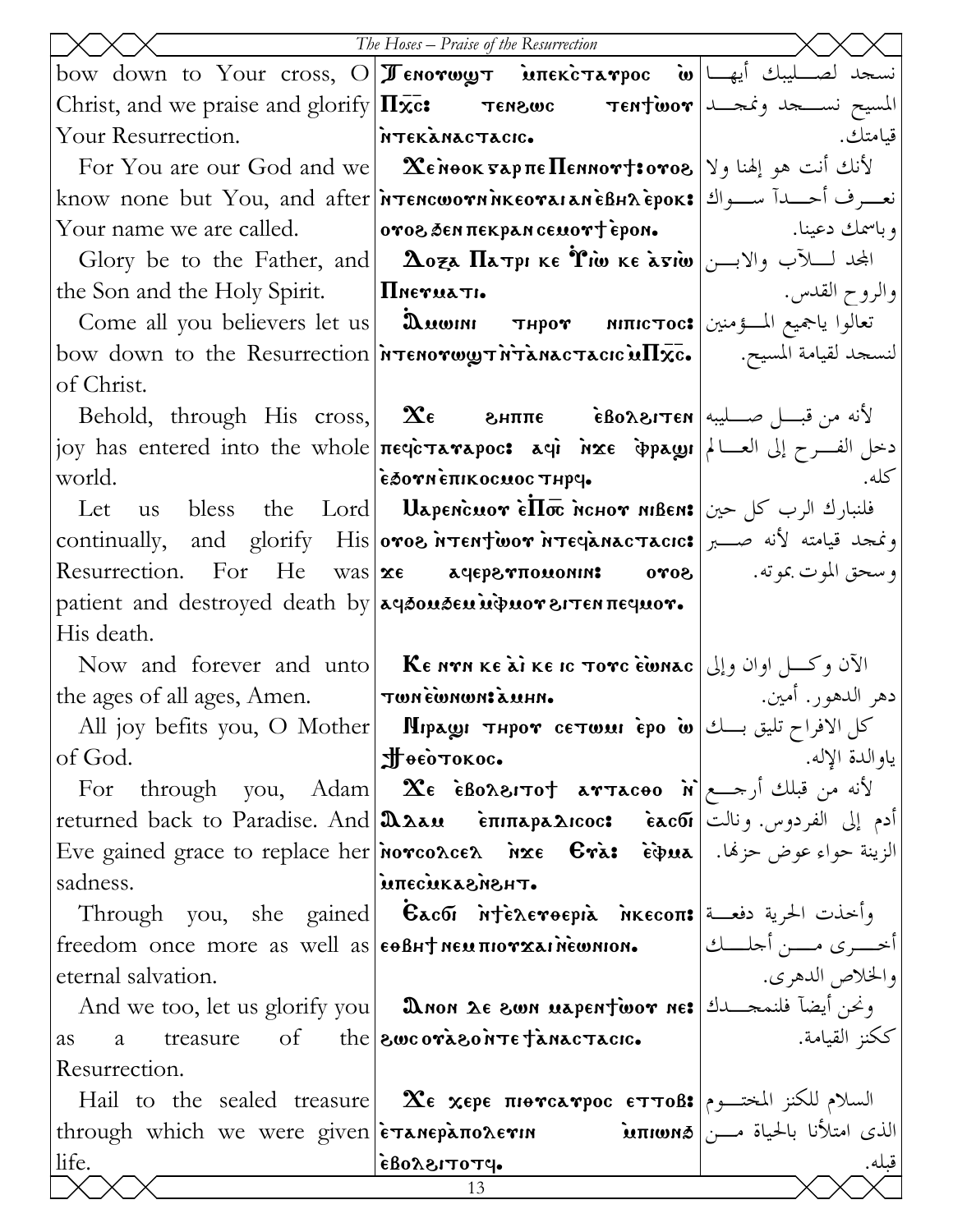|                                                                    | The Hoses – Praise of the Resurrection                                                                                                                                                 |                          |
|--------------------------------------------------------------------|----------------------------------------------------------------------------------------------------------------------------------------------------------------------------------------|--------------------------|
|                                                                    | bow down to Your cross, O <b>Jenorwy intekctarpoc w</b> under the Your cross, O and <b>Tenorwy intervals</b>                                                                           |                          |
|                                                                    |                                                                                                                                                                                        |                          |
| Your Resurrection. MTEKANACTACIC.                                  |                                                                                                                                                                                        | قيامتك.                  |
|                                                                    | For You are our God and we <b>[ <math>\alpha</math><sup>2</sup>)</b> $\alpha$ <b>26 Nook vap <math>\pi</math>e Пеннот †: لأنك</b> أنت هو إلهنا ولا                                     |                          |
|                                                                    | know none but You, and after <i>in</i> Tencworn MKEOTAIAN EPOK: نعسرف أحسدا سواك   know                                                                                                |                          |
|                                                                    | $\quad$ Your name we are called. $\qquad \qquad$   $\qquad \qquad$   $\qquad \qquad$   $\qquad \qquad$   وباسمك دعينا.                                                                 |                          |
|                                                                    | Glory be to the Father, and <b>2074 <math>\Pi</math>ATPI KE TINE KE ATIO</b> $ y - y  \leq$                                                                                            |                          |
| the Son and the Holy Spirit. $ \mathbf{\Pi}$ Neruati.              |                                                                                                                                                                                        |                          |
|                                                                    | Come all you believers let us   السؤمنين السعيم المسؤمنين العالوا ياجميع المسؤمنين                                                                                                     |                          |
|                                                                    | bow down to the Resurrection <i>ויסדאראדא וואס דאראדא דו האס</i> סאס bow down to the Resurrection l                                                                                    |                          |
| of Christ.                                                         |                                                                                                                                                                                        |                          |
|                                                                    | $\delta$ Behold, through His cross, <b>Σε</b> εμππε εδολειτεν الأنه من قبـــل صــــليبه                                                                                                |                          |
|                                                                    | joy has entered into the whole πεφεταναρος: aφi nxe φραωι   الغسرح إلى العسالم المع بوج بين العسالم ا                                                                                  |                          |
| world.                                                             | εδονη επικος πος τηρε.                                                                                                                                                                 | كله.                     |
|                                                                    | Let us bless the Lord Uapencuor $\epsilon \overline{\text{II}}$ we henror nibens افلنبارك الرب كل حين                                                                                  |                          |
|                                                                    | continually, and glorify His oros <b>NTENTWOY NTECARACTACIC:</b> ونمجد قيامته لأنه صبر                                                                                                 |                          |
|                                                                    | Resurrection. For He was <b>xe a qeps που onn: ovos</b>   . وسحق الموت بموته. ا                                                                                                        |                          |
| patient and destroyed death by $a\beta$ ousen und nor arrentequor. |                                                                                                                                                                                        |                          |
| His death.                                                         |                                                                                                                                                                                        |                          |
|                                                                    | Now and forever and unto <b>KE NTR KE AT IN EXE IS TOTE EWALE</b>                                                                                                                      |                          |
| the ages of all ages, Amen.  Twnewnware                            |                                                                                                                                                                                        | دهر الدهور. أمين.        |
|                                                                    | All joy befits you, O Mother   Пирази тнрот сетили ѐро ம்   كل الافراح تليق بـــك   Аll joy befits you, О Мother                                                                       |                          |
| of God.                                                            | Нееотокос.                                                                                                                                                                             | ياو الدة الإله.          |
|                                                                    | For through you, Adam <b>Xe EBoxerTot arTaceo</b> $\dot{\mathbf{n}}$ $\begin{bmatrix} \mathbf{\tilde{r}} & \mathbf{\tilde{r}} & \mathbf{\tilde{r}} \end{bmatrix}$ لأنه من قبلك أرجـــع |                          |
|                                                                    | أدم إلى الفردوس. ونالت  returned back to Paradise. And <b>[λλλευ core confrequence</b> core core] returned                                                                             |                          |
| sadness.                                                           | Eve gained grace to replace her norco $\alpha$ ce $\alpha$ arxe $\mathbf c$ ièpua  الزينة حواء عوض حزهًا. [Bve gained grace to replace her<br><b><i><u><b>THSMSANUSSHU</b></u></i></b> |                          |
|                                                                    | Through you, she gained <b>Eacoi ntereformi</b> nkecon: وأخذت الحرية دفعــة                                                                                                            |                          |
| freedom once more as well as <b>ε</b> θβΗΤ NEM πΙΟΥΧΑΙΝΕΜΝΙΟΝ.     |                                                                                                                                                                                        | أخــــرى مــــن أجلــــك |
| eternal salvation.                                                 |                                                                                                                                                                                        | والخلاص الدهري.          |
|                                                                    | And we too, let us glorify you <b>Donn 26 8000 uspentwor ne:</b> ونحن أيضآ فلنمحـــــدك   And we too, let us glorify you                                                               |                          |
| treasure<br>a<br><i>as</i>                                         | of the <b>swcorason Te fanactacic.</b>                                                                                                                                                 | ككنز القيامة.            |
| Resurrection.                                                      |                                                                                                                                                                                        |                          |
|                                                                    | Hail to the sealed treasure <b>Xe xepe <math>\pi</math>iorca rpoc ETTOB:</b> السلام للكنز المختــوم                                                                                    |                          |
|                                                                    |                                                                                                                                                                                        |                          |
| life.                                                              | $\cdot$ PTOTISAOA                                                                                                                                                                      | قبله.                    |
|                                                                    | 13                                                                                                                                                                                     |                          |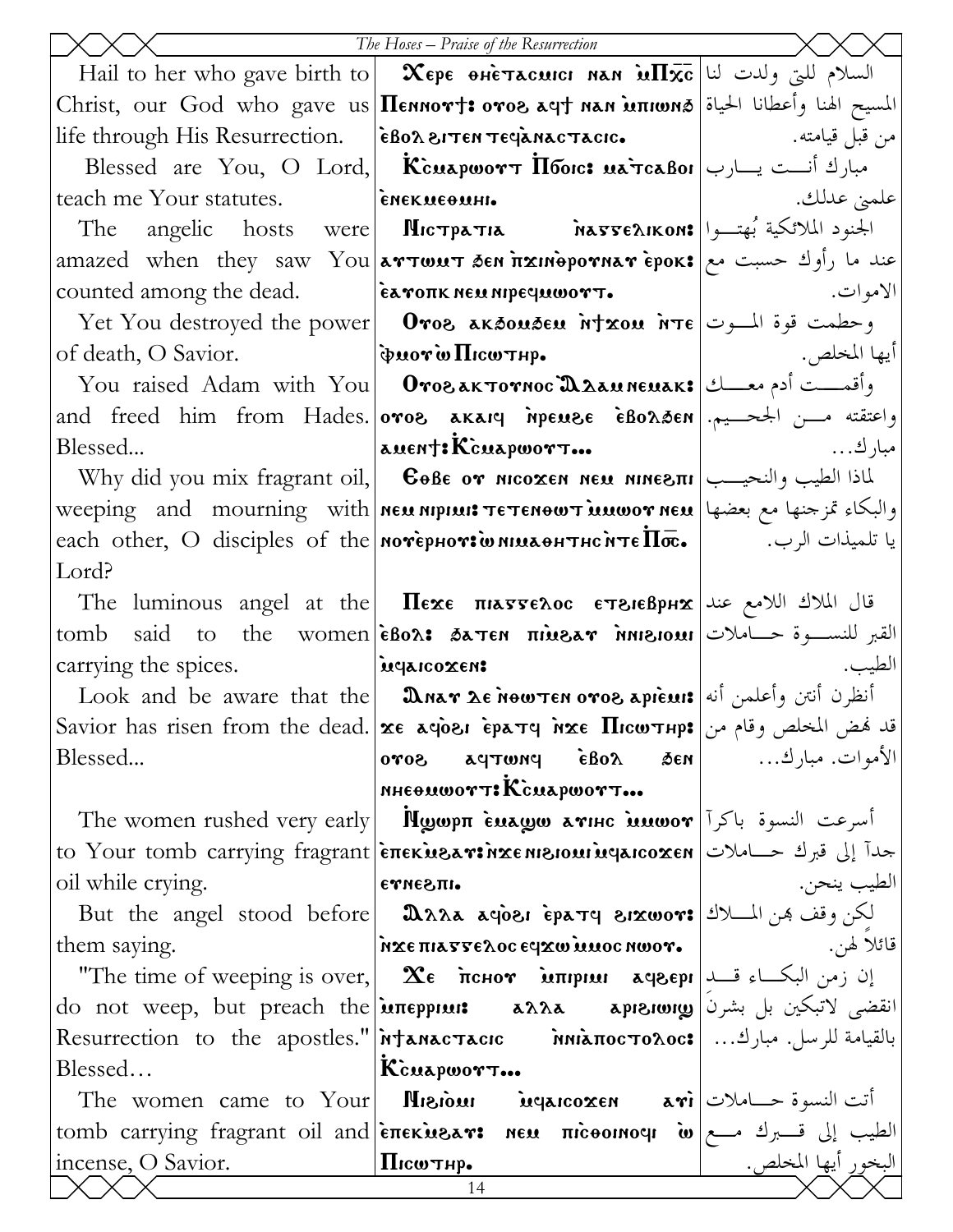|                                                   | The Hoses - Praise of the Resurrection                                                                         |                                                                                                      |
|---------------------------------------------------|----------------------------------------------------------------------------------------------------------------|------------------------------------------------------------------------------------------------------|
|                                                   | Hail to her who gave birth to $\vert$ $\infty$ ере өнетасшси нан $\inf \bar{x}$ с $\vert$ السلام للتي ولدت لنا |                                                                                                      |
|                                                   | المسيح الهنا وأعطانا الحياة @Christ, our God who gave us Πεnnor†: oro& aq† nan innon                           |                                                                                                      |
|                                                   | من قبل قيامته. [[ife through His Resurrection.   ѐВолетем теча̀мастасю    Мария в судении на станци            |                                                                                                      |
|                                                   | Blessed are You, O Lord, Kcuapwort $\overline{\text{H}}$ Toon: مبارك أنست يسارب                                |                                                                                                      |
|                                                   | teach me Your statutes.   <b>ENEXMEED AREAD  </b>                                                              | علميٰ عدلك.                                                                                          |
|                                                   | The angelic hosts were MICTPATIA MATTEAIKON: الجنود الملائكية بُهتــوا                                         |                                                                                                      |
|                                                   | amazed when they saw You <b>artwut sen fixinepornar epok:</b> عند ما رأوك حسبت مع                              |                                                                                                      |
| counted among the dead.   EXTOTK NEU NIPECULOUST. |                                                                                                                | الاموات. المستخدم المستخدم المستخدم المستخدم المستخدم المستخدم المستخدم المستخدم المستخدم المستخدمات |
|                                                   | Yet You destroyed the power   0ros aκδουδευ ήταου ήτε   $\frac{1}{\sqrt{1-x}}$ وحطمت قوة المسوت                |                                                                                                      |
|                                                   |                                                                                                                |                                                                                                      |
|                                                   | You raised Adam with You <b>  Отогактотнос Д<math>\lambda</math>амненак: وأقمـــت أدم معـــك</b>               |                                                                                                      |
|                                                   | and freed him from Hades. oros akaiq npeuse eBonden   الجحسيم. and freed him from Hades.   oros akai           |                                                                                                      |
| Blessed                                           |                                                                                                                |                                                                                                      |
|                                                   | Why did you mix fragrant oil, <b>Севе от місохем мем мімеліі</b>   الطيب والنحيــب                             |                                                                                                      |
|                                                   | weeping and mourning with neu nipiuit TETENOWT MUNOT NEU and mourning with                                     |                                                                                                      |
|                                                   | each other, O disciples of the мотернот и имлентном те $\overline{\text{Inc}}$ . با تلميذات الرب. ال           |                                                                                                      |
| Lord?                                             |                                                                                                                |                                                                                                      |
|                                                   | The luminous angel at the <b>Hexe Hasseroc ETSIEBPHX</b> (I) If the luminous angel at the <b>Hexe Hasser</b>   |                                                                                                      |
| tomb                                              | said to the women $\epsilon$ Bor: 5a Ten $\pi$ inear $\gamma$ inear القبر للنســوة حـــاملات                   |                                                                                                      |
| carrying the spices.   inequirement               |                                                                                                                | الطيب.                                                                                               |
|                                                   | Look and be aware that the <b>DARAT LE MONTEN OTOS APIEMI</b> أنظرن أنتن وأعلمن أنه                            |                                                                                                      |
|                                                   | Savior has risen from the dead. же доры ератч иже Пюштнр: قد فمض المخلص وقام من                                |                                                                                                      |
| Blessed                                           | $ $ nad $\delta$ proda $\delta$ and $\delta$ $\delta$ and $\delta$                                             | الأموات. مبارك                                                                                       |
|                                                   | NHEOMWOTT: KcMAPWOTT                                                                                           |                                                                                                      |
|                                                   | The women rushed very early <b>Mgoph Euago arihe inuwor</b> $ \vec{v} \times\vec{v}$ and $\vec{v}$             |                                                                                                      |
|                                                   | to Your tomb carrying fragrant enekusarinxemsioninqaicoxen   الى قبرك حساملات                                  |                                                                                                      |
| oil while crying.                                 | етле эпъ                                                                                                       | الطيب ينحن.                                                                                          |
|                                                   | But the angel stood before <b>DAAA aqoei epaty eixwor:</b> الكن وقف هن المسلاك                                 |                                                                                                      |
| them saying.                                      | NΣΕ ΠΙΑΣΣΕλος ε γχω μιος ηωογ.                                                                                 | قائلا لهن.                                                                                           |
|                                                   | "The time of weeping is over,   $\alpha$ тенот илприи ачверг   ان زمن البكــاء قـــد                           |                                                                                                      |
|                                                   | do not weep, but preach the <b>μπερριω: aλλa apisiong</b> علي لاتبكين بل بشرن                                  |                                                                                                      |
|                                                   | بالقيامة للرسل. مبارك   Resurrection to the apostles."  Manac Tacic Minanoc To Aoc:    عبارك                   |                                                                                                      |
| Blessed                                           | KcuapworT                                                                                                      |                                                                                                      |
|                                                   | The women came to Your <b>Misioni Myaicoxen ari</b> $ \psi(x) $ and $\sin(x)$                                  |                                                                                                      |
| incense, O Savior.                                | tomb carrying fragrant oil and επεκυελτι NEM πιτοθοικοφι ω   وtomb carrying fragrant oil and  επεκυελτι και πι | البخور أيها المخلص.                                                                                  |
|                                                   | $\frac{1}{\prod_{i} \text{Cov} \top \text{H} \cdot \text{H}}$<br>14                                            |                                                                                                      |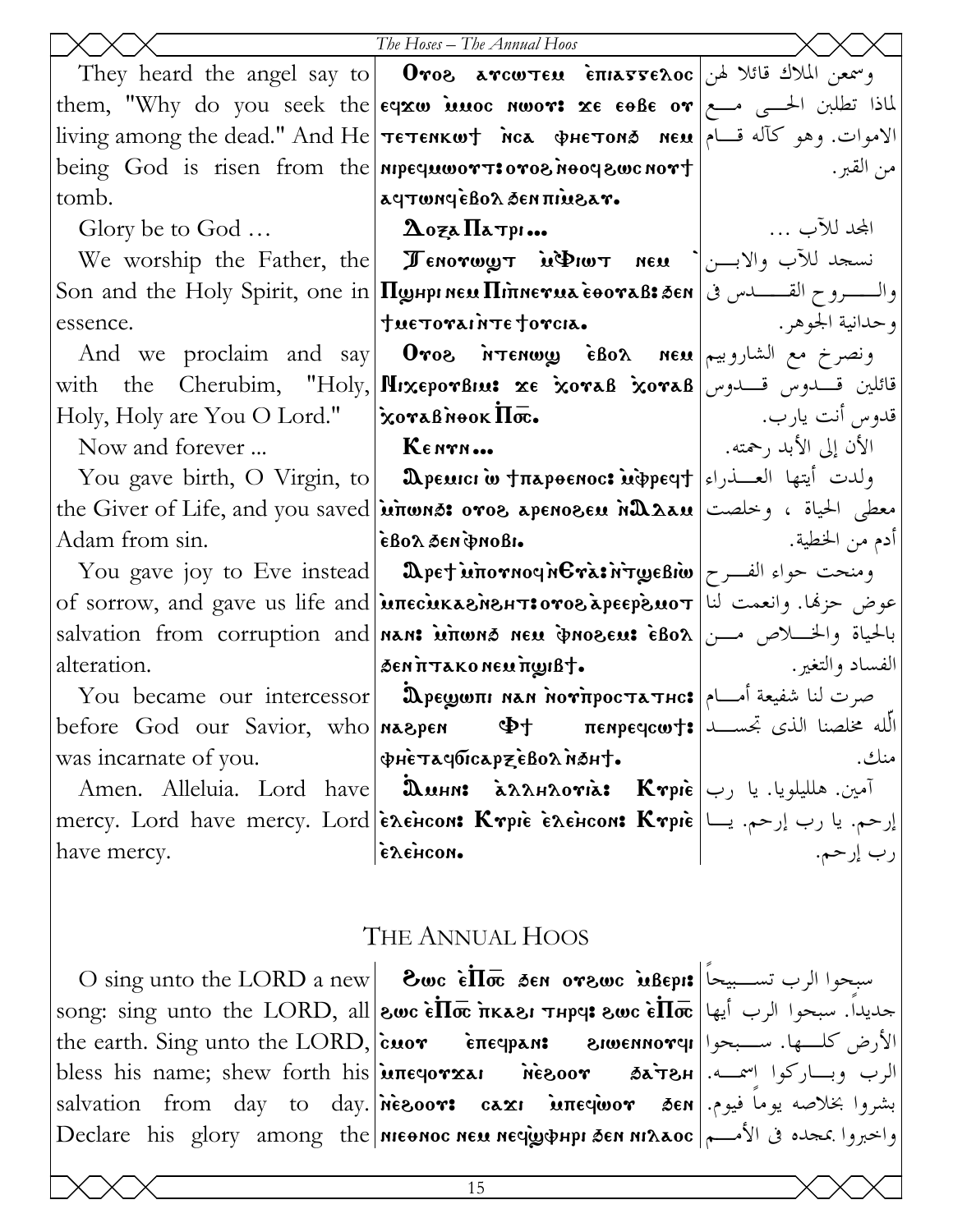|                                                             | The Hoses - The Annual Hoos                                                                                                                                             |                        |
|-------------------------------------------------------------|-------------------------------------------------------------------------------------------------------------------------------------------------------------------------|------------------------|
|                                                             | They heard the angel say to <b>Oroe arcwren</b> $\text{enimes}$ $\text{so}$ $\text{inimes}$ $\text{so}$                                                                 |                        |
|                                                             | them, "Why do you seek the $\epsilon$ $\infty$ imoc nwor: $\infty$ $\epsilon$ $\epsilon$ $\cdot$ $\infty$ $\epsilon$ $\infty$ $\epsilon$ $\infty$ $\epsilon$            |                        |
|                                                             | living among the dead." And He  тетенкшт мсл фнетона мем  الاموات. وهو كآله قسام                                                                                        |                        |
|                                                             | being God is risen from the <b>nipequipart:</b> organos nood your over $\vert$                                                                                          | من القبر .             |
| tomb.                                                       | aqtwnqeBoa den nivear.                                                                                                                                                  |                        |
| Glory be to God $\Delta$ oza $\Pi$ a Typi                   |                                                                                                                                                                         | المجد للآب …           |
|                                                             | We worship the Father, the <b>Fenorwy in DIGIT</b> new $\left  \bigcup_{i=1}^n V_i \right $ in the Father, the <b>Fundally</b>                                          |                        |
|                                                             |                                                                                                                                                                         |                        |
| essence.                                                    | tue TOTAINTE TOTCIA.                                                                                                                                                    |                        |
|                                                             | And we proclaim and say   Oros $\gamma$ (Bor $\alpha$ new $\alpha$ ) $\alpha$   And we proclaim and say                                                                 |                        |
|                                                             | with the Cherubim, "Holy, <b>HixeporBiu: xe xoraB xoraB</b> التلين قسدوس قسلومين                                                                                        |                        |
| Holy, Holy are You O Lord."   XoraBNook $\Pi\bar{\infty}$ . |                                                                                                                                                                         | قدوس أنت يارب. ﴿ إِ    |
| Now and forever                                             | $\mathbf{K}$ $\epsilon$ now                                                                                                                                             | الأن إلى الأبد , حمته. |
|                                                             | You gave birth, O Virgin, to <b>  Ωpeuici w †π</b> apoenoc: <b>u</b> dpeeyt  العسدراء   You gave birth, O Virgin, to   <b>Ωpeuici w †π</b> apoenoc: ولدت أيتها العسدراء |                        |
|                                                             | the Giver of Life, and you saved <b>inons: oros apenosen nΩλan</b>   وخلصت   علمان بيتم عطى الحياة ، وخلصت                                                              |                        |
| Adam from sin.                                              | εβολ δεηφησβι.                                                                                                                                                          | أدم من الخطية.         |
|                                                             | You gave joy to Eve instead   $\textbf{A}$ pet intornoq nera: ومنحت حواء الفرح                                                                                          |                        |
|                                                             | of sorrow, and gave us life and <b>inecukasinshtsoros apeepsuot</b> will be equal to                                                                                    |                        |
|                                                             | salvation from corruption and <b>nan: wirwns neu pnoseu: eBox</b> مــــن   salvation from corruption and                                                                |                        |
| alteration.                                                 | SENTITAKONEUTWIBT.                                                                                                                                                      |                        |
|                                                             | You became our intercessor <b>  Дрешолі нан нотпростатнс:</b> صرت لنا شفيعة أمسام                                                                                       |                        |
| before God our Savior, who <b>NASPEN</b>                    | $\Phi$ الله مخلصنا الذي تجســـد \$πεnpεqcw بالله مخلصنا الذي تجســـد                                                                                                    |                        |
| was incarnate of you.                                       | ΦΗΕΤΑΥΟΊΓΑΡΞΕΒΟΛΝΟΗΤ.                                                                                                                                                   | منك.                   |
|                                                             | Amen. Alleluia. Lord have  اُمین. هللیلویا. یا رب                                                                                                                       |                        |
|                                                             | mercy. Lord have mercy. Lord Exencon: Krpie Exencon: Krpie   إرحم. يا رب إرحم. يا السم العربية التي يتم التجار<br>المعالج العرب إرحم. العرب إرحم.                       |                        |
|                                                             |                                                                                                                                                                         |                        |
|                                                             |                                                                                                                                                                         |                        |
|                                                             |                                                                                                                                                                         |                        |

## THE ANNUAL HOOS

 $\text{O}\,\text{sing}$  unto the LORD a new  $\text{Cov}\,\text{sign}\,\text{Sov}\,\text{Sov}\,\text{Sov}\,\text{Sov}\,\text{Sov}\,\text{Sov}$ سبحوا الرب تســبيحاً song: sing unto the LORD, all  $|$ swc  $\epsilon \overline{\textbf{II}}$ क irkasi जमpe: swc  $\epsilon \overline{\textbf{II}}$ क्त  $|$ اله song: sing unto the LORD, all الأرض كلـــها. ســـبحوا|r**omanovel**|الأرض كلــــها. the earth. Sing unto the LORD, cuor επες επερελή bless his name; shew forth his *uneqovxai* الرب وبساركوا اسمــه.|H&Tٌه ه roosin بشروا بخلاصه يوماً فيوم. salvation from day to day. inesoor: caxi inteqioor 3en واخبروا بمجده في الأمـــم | Declare his glory among the nieonoc neu nequephpi sen ni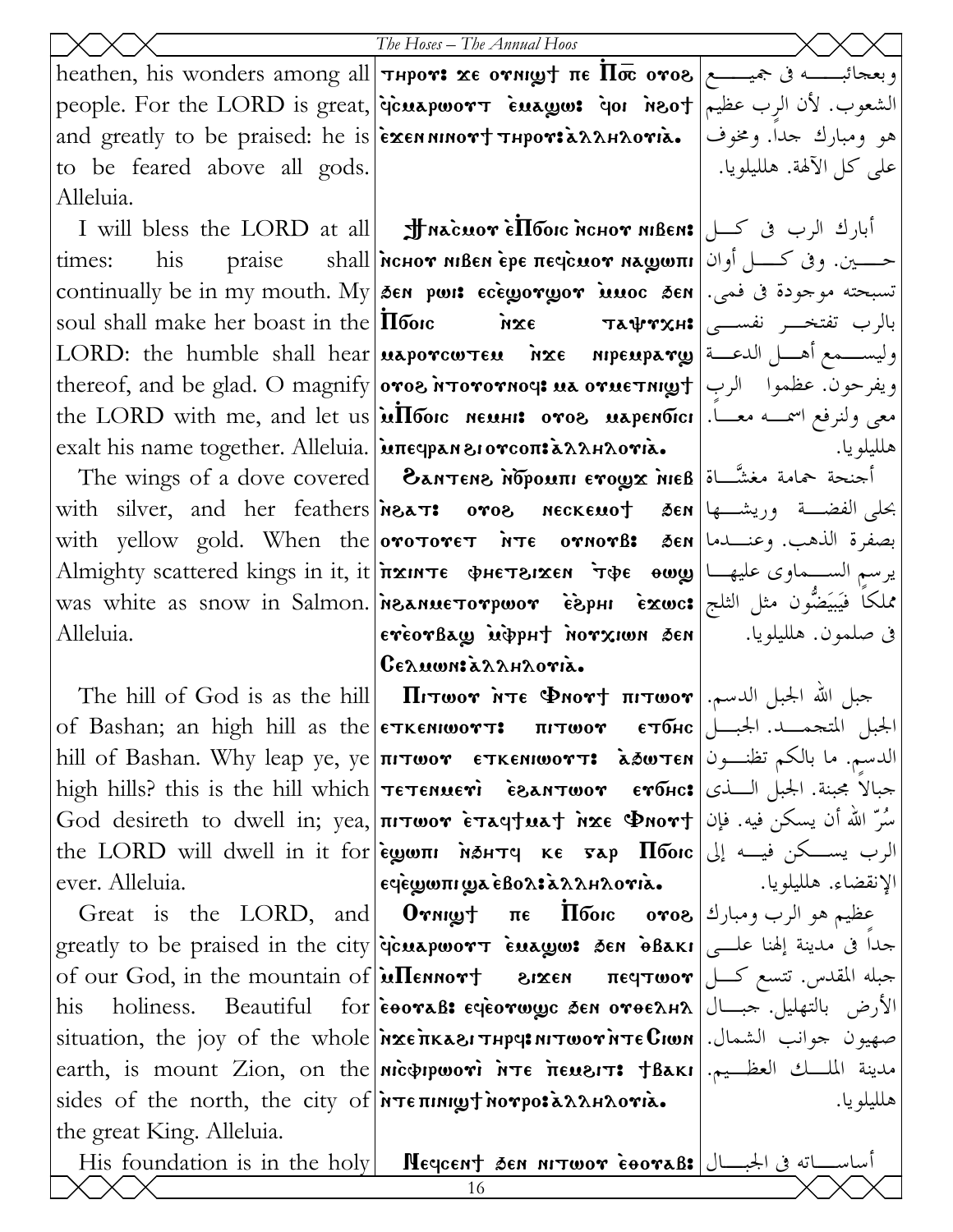people. For the LORD is great, jicuapwort Euaww: ior insot and the Violine people. and greatly to be praised: he is exen ninort THPOTIANAROTIA. to be feared above all gods. Alleluia.

times: his. soul shall make her boast in the  $\overline{\text{II}}$  forc exalt his name together. Alleluia. intequan erorcon: a AAHAOTIa.

Alleluia.

ever. Alleluia.

his the great King. Alleluia.

heathen, his wonders among all **Theor: xe ornigh ne**  $\overline{\text{In}\bar{\text{co}}}$  **oros**  $\left| \text{``s''} \right\rangle$  **.** 

I will bless the LORD at all **Jf масмот е́Пбо**ю иснот мвем: أبارك الرب في كـــل [ praise Shall MCHOT MBEN epe печсиот машопи [16] Shall MCHOT MBEN epe печсиот маш تسبحته موجودة فى فمى. | continually be in my mouth. My | 36N port coregoryor innoc sen **PXE** LORD: the humble shall hear **usporcwten**  $nxe$  mpeupary  $\frac{1}{2}$  الدعة العربية العامل الدعمة العربية العربية الع ويفرحون. عظموا الرب | thereof, and be glad. O magnify | oros N Torornous us orue Thuy + | ربا the LORD with me, and let us **infloor neuss: oves uspendics** 

The wings of a dove covered **EANTENS MOPOUTII ETOLY THE B**  $\int$ with silver, and her feathers **neckers** oros neckenot sen sen less ord sen with yellow gold. When the orotoret NTE ornors: 3en use. وعنــــــدما Almighty scattered kings in it, it *i*тхите фнетвихем тфе оюу إيرسم الســماوى عليهــا was white as snow in Salmon. Meanue orpwor EspHI Exwc: مُلكًا فِيَيَضُّون مثل الثلج ereorBaw uppht norxiwn sen  $C_{\epsilon \lambda}$ uwn:  $\lambda \lambda \lambda \mu \lambda$ ori $\lambda$ .

of Bashan; an high hill as the **єткємюотт: пітюот єтбнс** الجبل المتحمــد. الجبـــل hill of Bashan. Why leap ye, ye **THTWOY ETKENIWOYT: كلدسم.** ما بالكم تظنــون high hills? this is the hill which **TETENUETI** esanTwor erous: جبالاً مجبنة. الجبل السذى God desireth to dwell in; yea, **πιτωον εταςτικατ inxe Φnovτ** |فُسِّرٌ اللهُ أن يسكن فيه. فإن the LORD will dwell in it for εωωπι MAHTY κε sap Πόοις إلى السكن فيسه إلى  $\epsilon$ ς είται τη επιτηματική επιτηματική επιτηματική επιτηματική επιτηματική επιτηματική επιτηματική επιτηματική

Great is the LORD, and  $0$  ornight  $\pi \epsilon$   $\overline{1}$  footc  $\sigma \infty$  ( $\epsilon$ ) and  $\epsilon$  and  $\epsilon$ greatly to be praised in the city *dicuapwort Euagos SEN oBaki* all all all a ser of our God, in the mountain of  $\lambda$   $\text{Mennorr}$  are  $\text{Cov}$   $\text{Cov}$ holiness. Beautiful for eoraB: eqeorwyc den oroeana | الأرض بالتهليل. جبال | holiness. situation, the joy of the whole *n*xe *ituation*, the joy of the whole nxe *ituation*, the joy of the whole earth, is mount Zion, on the nicoppwori NTE MENSIT: TBAKI Is I Hall sides of the north, the city of NTE THING THO TO EXAMAOTIA.

هو ومبارك جدا. ومخوف على كل الآلهة. هلليلويا.

بالرب تفتخـــر نفســـى|та $\bm{\Psi}$ та $\bm{\Psi}$ та هللبلويا.

في صلمون. هلليلويا.

الإنقضاء. هلليلويا.

هللبلويا.

His foundation is in the holy **| Hegcent 3en nitwor cooraB:**  $\frac{1}{2}$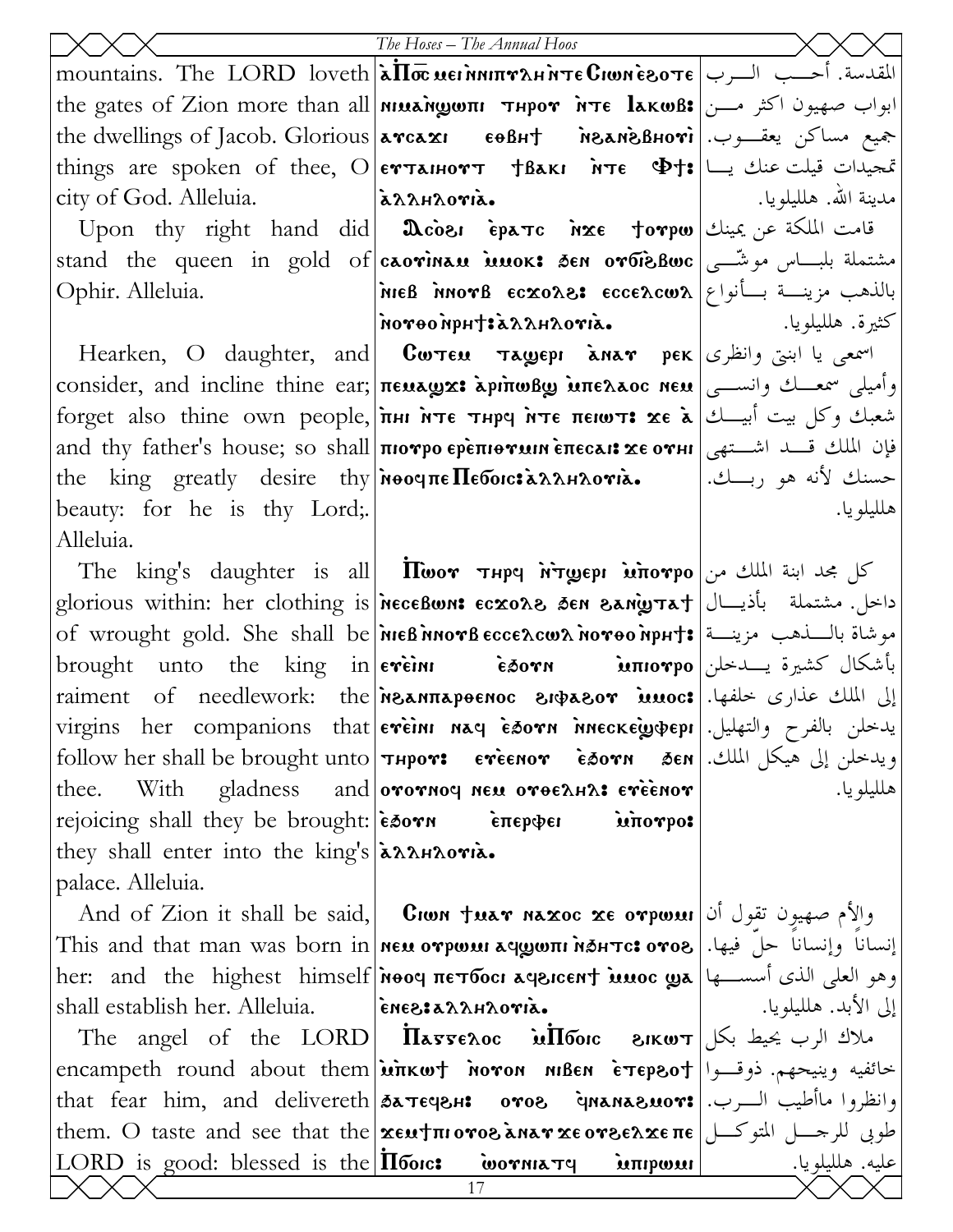|                                                                                                                                                                                                                                                                                                                                                                                                                      | The Hoses - The Annual Hoos                                                                                                                                                                                                                                                                                                                                |                       |
|----------------------------------------------------------------------------------------------------------------------------------------------------------------------------------------------------------------------------------------------------------------------------------------------------------------------------------------------------------------------------------------------------------------------|------------------------------------------------------------------------------------------------------------------------------------------------------------------------------------------------------------------------------------------------------------------------------------------------------------------------------------------------------------|-----------------------|
|                                                                                                                                                                                                                                                                                                                                                                                                                      | mountains. The LORD loveth $\lambda \overline{\text{Im}}$ wei nnin <i>γλ</i> H $\lambda$ H $\alpha$ B $\alpha$ yei $\lambda$ H $\alpha$ LORD loveth $\lambda \overline{\text{Im}}$ wei $\lambda$ H $\alpha$ H $\alpha$ B $\alpha$ H $\alpha$ H $\alpha$ H $\alpha$ H $\alpha$ H $\alpha$ H $\alpha$ H $\alpha$ H $\alpha$ H $\alpha$ H $\alpha$ H $\alpha$ |                       |
|                                                                                                                                                                                                                                                                                                                                                                                                                      | the gates of Zion more than all <i>MILANgOTI THPOY</i> NTE lakwB: ابواب صهيون اكثر مــن   the gates of Zion more than all                                                                                                                                                                                                                                  |                       |
|                                                                                                                                                                                                                                                                                                                                                                                                                      | the dwellings of Jacob. Glorious <b>  летса хг севн† мелиѐвноті</b>   .جيع مساكن يعقــوب.                                                                                                                                                                                                                                                                  |                       |
|                                                                                                                                                                                                                                                                                                                                                                                                                      | things are spoken of thee, $\bigcirc$  еттанютт †Вакг ѝте $\Phi$ †: ن قیلت عنك یــا                                                                                                                                                                                                                                                                        |                       |
| city of God. Alleluia.  a>>> a>>                                                                                                                                                                                                                                                                                                                                                                                     |                                                                                                                                                                                                                                                                                                                                                            | مدينة الله. هلليلويا. |
|                                                                                                                                                                                                                                                                                                                                                                                                                      | Upon thy right hand did  $\pmb{\mathfrak{A}}$ cōe، ѐратс אֹצוּם †orpw) قامت الملكة عن يمينك                                                                                                                                                                                                                                                                |                       |
|                                                                                                                                                                                                                                                                                                                                                                                                                      | stand the queen in gold of <b>caovinau inuok:</b> Sen orbisBwc   مشتملة بلبساس موشّــى                                                                                                                                                                                                                                                                     |                       |
| Ophir. Alleluia.                                                                                                                                                                                                                                                                                                                                                                                                     | MIEB MOTB ECXOAS: ECCEACWA بالذهب مزينــة بــأنواع  م                                                                                                                                                                                                                                                                                                      |                       |
|                                                                                                                                                                                                                                                                                                                                                                                                                      |                                                                                                                                                                                                                                                                                                                                                            |                       |
|                                                                                                                                                                                                                                                                                                                                                                                                                      | Hearken, O daughter, and <b>Cw Eu Tagepi àna r</b> pek اسمعی یا ابنتی وانظری                                                                                                                                                                                                                                                                               |                       |
|                                                                                                                                                                                                                                                                                                                                                                                                                      | consider, and incline thine ear; πεμπωναι λρίπωβω μπελλος nεμ رأميلي سمعــك وانســي                                                                                                                                                                                                                                                                        |                       |
|                                                                                                                                                                                                                                                                                                                                                                                                                      | forget also thine own people, лни ите тнрч ите пеют: xe à صحاف وكل بيت أبيـــك   forget also thine own people,                                                                                                                                                                                                                                             |                       |
|                                                                                                                                                                                                                                                                                                                                                                                                                      | and thy father's house; so shall πιονρο ερεπιθνικικ επεςλικ χε ονιμ   الشستهى and thy father's house; so shall πιονρο ερεπιθνικικ επεςλικ                                                                                                                                                                                                                  |                       |
|                                                                                                                                                                                                                                                                                                                                                                                                                      | the king greatly desire thy Mooqπe Πεδοις: مسنك لأنه هو ربسك.                                                                                                                                                                                                                                                                                              |                       |
| beauty: for he is thy Lord;                                                                                                                                                                                                                                                                                                                                                                                          |                                                                                                                                                                                                                                                                                                                                                            | هلليلو يا.            |
| Alleluia.                                                                                                                                                                                                                                                                                                                                                                                                            |                                                                                                                                                                                                                                                                                                                                                            |                       |
|                                                                                                                                                                                                                                                                                                                                                                                                                      | The king's daughter is all <b>noor The riggepi intorpo</b> $\omega$ and the king's daughter is all <b>notice</b>                                                                                                                                                                                                                                           |                       |
|                                                                                                                                                                                                                                                                                                                                                                                                                      |                                                                                                                                                                                                                                                                                                                                                            |                       |
|                                                                                                                                                                                                                                                                                                                                                                                                                      | of wrought gold. She shall be nieß norb eccescws noroo npHt: موشاة باللفهب مزينة                                                                                                                                                                                                                                                                           |                       |
|                                                                                                                                                                                                                                                                                                                                                                                                                      | بأشكال كشيرة يسدخلن brought unto the king in eveini <b>E50VN</b> into into in                                                                                                                                                                                                                                                                              |                       |
|                                                                                                                                                                                                                                                                                                                                                                                                                      | raiment of needlework: the <i>n</i> esurapenoc entrasor innoc: إلى الملك عذارى خلفها.                                                                                                                                                                                                                                                                      |                       |
|                                                                                                                                                                                                                                                                                                                                                                                                                      | virgins her companions that evein nay esorn ineckey pepi Julian of that                                                                                                                                                                                                                                                                                    |                       |
|                                                                                                                                                                                                                                                                                                                                                                                                                      | $\text{follow her shall be brought unto}$ ] اويدخلن إلى هيكل الملك.  follow her shall be brought unto                                                                                                                                                                                                                                                      |                       |
|                                                                                                                                                                                                                                                                                                                                                                                                                      | thee. With gladness and oror now $\alpha$ or $\alpha$ are $\alpha$ is a reference                                                                                                                                                                                                                                                                          | هلليلو يا.            |
| rejoicing shall they be brought: $\epsilon$ $\delta$ or $\delta$ $\epsilon$ $\delta$ $\delta$ $\epsilon$ $\delta$ $\epsilon$ $\delta$ $\epsilon$ $\delta$ $\epsilon$ $\delta$ $\epsilon$ $\delta$ $\epsilon$ $\delta$ $\epsilon$ $\delta$ $\epsilon$ $\delta$ $\epsilon$ $\delta$ $\epsilon$ $\delta$ $\epsilon$ $\delta$ $\epsilon$ $\delta$ $\epsilon$ $\delta$ $\epsilon$ $\delta$ $\epsilon$ $\delta$ $\epsilon$ | unorpo:                                                                                                                                                                                                                                                                                                                                                    |                       |
| they shall enter into the king's a ARHAOTIA.                                                                                                                                                                                                                                                                                                                                                                         |                                                                                                                                                                                                                                                                                                                                                            |                       |
| palace. Alleluia.                                                                                                                                                                                                                                                                                                                                                                                                    |                                                                                                                                                                                                                                                                                                                                                            |                       |
|                                                                                                                                                                                                                                                                                                                                                                                                                      | And of Zion it shall be said, <b>Cion tuar naxoc xe orpwui</b> (أوالأم صهيون تقول أن                                                                                                                                                                                                                                                                       |                       |
|                                                                                                                                                                                                                                                                                                                                                                                                                      | This and that man was born in <b>  neu oγpwui aqywπi n∌нтс: oγos  </b> إنساناً وإنساناً حلّ فيها.   This and that man was born in                                                                                                                                                                                                                          |                       |
|                                                                                                                                                                                                                                                                                                                                                                                                                      | her: and the highest himself אפסס πετδοςι בשפע العلمي الذي أسســـها  and the highest himself                                                                                                                                                                                                                                                               |                       |
| shall establish her. Alleluia.   ineest $\lambda \lambda A B$ oria.                                                                                                                                                                                                                                                                                                                                                  |                                                                                                                                                                                                                                                                                                                                                            | إلى الأبد. هلليلويا.  |
|                                                                                                                                                                                                                                                                                                                                                                                                                      | The angel of the LORD <b>II</b> a $\mathbf{z}$ angel of the LORD <b>II</b> a $\mathbf{z}$                                                                                                                                                                                                                                                                  |                       |
|                                                                                                                                                                                                                                                                                                                                                                                                                      | encampeth round about them <b>inker</b> noron niben e repsot  العام العدم بينجهم. ذوقــوا                                                                                                                                                                                                                                                                  |                       |
|                                                                                                                                                                                                                                                                                                                                                                                                                      | that fear him, and delivereth 3aTECPH: 0708 gnana8uor: وانظروا ماأطيب السرب.                                                                                                                                                                                                                                                                               |                       |
|                                                                                                                                                                                                                                                                                                                                                                                                                      | them. O taste and see that the <b>χευ†πιονοδληλη χεονδελχεπε</b> الحوبى للرحمل المتوكسل<br>$ LORD$ is good: blessed is the <b>Ilooic:</b> wornia $\tau$ q interposite and in the set of the $ IORD$ is good: blessed is the $ IIO$                                                                                                                         |                       |
|                                                                                                                                                                                                                                                                                                                                                                                                                      | 17                                                                                                                                                                                                                                                                                                                                                         |                       |
|                                                                                                                                                                                                                                                                                                                                                                                                                      |                                                                                                                                                                                                                                                                                                                                                            |                       |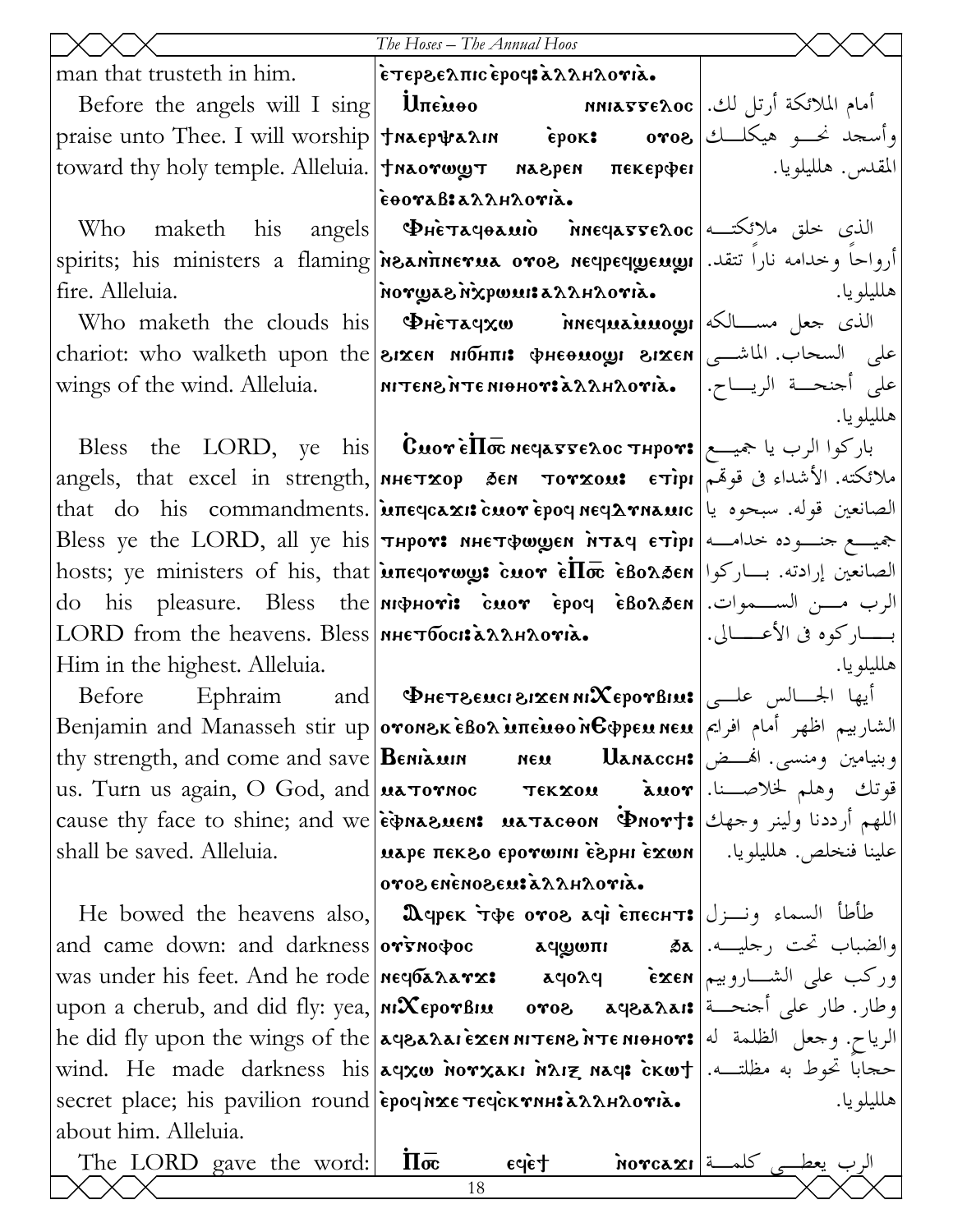|                                                      | The Hoses - The Annual Hoos                                                                                                                                                                                                                                                                                                                                                                                                                                                                                                                                                                                                     |            |
|------------------------------------------------------|---------------------------------------------------------------------------------------------------------------------------------------------------------------------------------------------------------------------------------------------------------------------------------------------------------------------------------------------------------------------------------------------------------------------------------------------------------------------------------------------------------------------------------------------------------------------------------------------------------------------------------|------------|
| man that trusteth in him.  επερεελπισεροφελλειλονιλ. |                                                                                                                                                                                                                                                                                                                                                                                                                                                                                                                                                                                                                                 |            |
|                                                      | Before the angels will I sing <b>Uπευθο MAREXOC</b> - <b>MAREXOC</b> أمام الملائكة أرتل لك.                                                                                                                                                                                                                                                                                                                                                                                                                                                                                                                                     |            |
|                                                      | praise unto Thee. I will worship   $\frac{1}{3}$ will worship   $\frac{1}{3}$ will worship   $\frac{1}{3}$ will worship   $\frac{1}{3}$ will worship   $\frac{1}{3}$ will worship   $\frac{1}{3}$ will worship   $\frac{1}{3}$ will worship   $\frac{1}{3}$ w                                                                                                                                                                                                                                                                                                                                                                   |            |
|                                                      | toward thy holy temple. Alleluia.   $\tau$ Maorwy $\tau$ Maepen $\pi$ ekep $\phi$ er   المقدس. هلليلويا.                                                                                                                                                                                                                                                                                                                                                                                                                                                                                                                        |            |
|                                                      | έθοναβιαλληλονια.                                                                                                                                                                                                                                                                                                                                                                                                                                                                                                                                                                                                               |            |
|                                                      | Who maketh his angels <b>P</b> Herayoaulo Meyarrenoc الذي خلق ملائكته                                                                                                                                                                                                                                                                                                                                                                                                                                                                                                                                                           |            |
|                                                      | spirits; his ministers a flaming <b>Meaninerua oroe necpecygeugy</b>   ارواحاً وخدامه نارا تتقد.                                                                                                                                                                                                                                                                                                                                                                                                                                                                                                                                |            |
| fire. Alleluia.                                      | $\mathbf{a}$ aiyo $\mathbf{A}$ rakashuwq $\mathbf{x}$ n $\mathbf{a}$ asyyon $\mathbf{b}$                                                                                                                                                                                                                                                                                                                                                                                                                                                                                                                                        | هلليلو يا. |
|                                                      | Who maketh the clouds his <b>PHETAGXW MEQUALLUALLY</b>                                                                                                                                                                                                                                                                                                                                                                                                                                                                                                                                                                          |            |
|                                                      | chariot: who walketh upon the <b>arxen monni: φнεθωοςη διχεη</b> (chariot: who walketh upon the                                                                                                                                                                                                                                                                                                                                                                                                                                                                                                                                 |            |
|                                                      |                                                                                                                                                                                                                                                                                                                                                                                                                                                                                                                                                                                                                                 |            |
|                                                      |                                                                                                                                                                                                                                                                                                                                                                                                                                                                                                                                                                                                                                 | هلليلويا.  |
|                                                      | Bless the LORD, ye his <b>Cuore <math>\overline{\text{Hom}}</math> <math>\text{Hom}</math> <math>\overline{\text{Hom}}</math> <math>\text{Hom}</math> <math>\overline{\text{Hom}}</math> . باركوا الرب يا جميـــم</b>                                                                                                                                                                                                                                                                                                                                                                                                           |            |
|                                                      | angels, that excel in strength, мнетхор бем тотхом: етipr الأشداء في قوقم angels, that excel in strength,                                                                                                                                                                                                                                                                                                                                                                                                                                                                                                                       |            |
|                                                      | that do his commandments.   uπε qcaxi cuor epo q ne q λ rnauic   بالصانعين قوله. سبحوه يا                                                                                                                                                                                                                                                                                                                                                                                                                                                                                                                                       |            |
|                                                      | Bless ye the LORD, all ye his <b>THPOY:</b> MHETQWEN NTAY ETIPI 3                                                                                                                                                                                                                                                                                                                                                                                                                                                                                                                                                               |            |
|                                                      | hosts; ye ministers of his, that <b>μπε ονως: cuor εΠσε εβολδεν</b>  الصانعين إرادته. بساركوا                                                                                                                                                                                                                                                                                                                                                                                                                                                                                                                                   |            |
|                                                      | do his pleasure. Bless the <i>n</i> ophovi: cuov epoq eBo $\lambda$ øen   الرب مــن الســـموات.                                                                                                                                                                                                                                                                                                                                                                                                                                                                                                                                 |            |
|                                                      | بساركوه في الأعســالي.                            LORD from the heavens. Bless <b>  мнетбос:: تصدى الأعس</b> ـــالي.                                                                                                                                                                                                                                                                                                                                                                                                                                                                                                            |            |
| Him in the highest. Alleluia.                        |                                                                                                                                                                                                                                                                                                                                                                                                                                                                                                                                                                                                                                 | هلليلويا.  |
|                                                      | <b>Before</b> Ephraim and <b>PHETSENCI SIXEN NIXEPOTBINS</b>                                                                                                                                                                                                                                                                                                                                                                                                                                                                                                                                                                    |            |
|                                                      | Benjamin and Manasseh stir up ογοΝεκ εδολ υπευθονδφρευ νευ   الشاربيم اظهر أمام افرايم  Benjamin and Manasseh stir up                                                                                                                                                                                                                                                                                                                                                                                                                                                                                                           |            |
|                                                      | thy strength, and come and save <b>Beniam MEM Nanacch:</b> وبنيامين ومنسى. الهــض  thy strength, and come and save                                                                                                                                                                                                                                                                                                                                                                                                                                                                                                              |            |
|                                                      | us. Turn us again, O God, and <b>ua Tornoc Tekxou     auor</b> [.الصحيفة and and a Tekxou     and public metal                                                                                                                                                                                                                                                                                                                                                                                                                                                                                                                  |            |
|                                                      | cause thy face to shine; and we <b>etra suent us taceon Prort:</b> اللهم أرددنا ولينر وحهك   cause thy face to shine; and we                                                                                                                                                                                                                                                                                                                                                                                                                                                                                                    |            |
| shall be saved. Alleluia.                            | علينا فنخلص. هلليلويا.     марє пєк ${\bf g}$ о єротонні є̀ ${\bf x}$ онні є́ ${\bf x}$ ом                                                                                                                                                                                                                                                                                                                                                                                                                                                                                                                                      |            |
|                                                      | oros enenoseus a Anaroria.                                                                                                                                                                                                                                                                                                                                                                                                                                                                                                                                                                                                      |            |
|                                                      | He bowed the heavens also, <b>D</b> epek τφε <b>oros</b> agi επεch <b>τε</b> $\left  \int_{0}^{1} \ln \left( \int_{0}^{1} f(x) \, dx \right) dx \right $                                                                                                                                                                                                                                                                                                                                                                                                                                                                        |            |
|                                                      |                                                                                                                                                                                                                                                                                                                                                                                                                                                                                                                                                                                                                                 |            |
|                                                      | was under his feet. And he rode   <code>neq6</code> a $x$ ar $x$ : موركب على الشـــاروبيم                                                                                                                                                                                                                                                                                                                                                                                                                                                                                                                                       |            |
|                                                      |                                                                                                                                                                                                                                                                                                                                                                                                                                                                                                                                                                                                                                 |            |
|                                                      |                                                                                                                                                                                                                                                                                                                                                                                                                                                                                                                                                                                                                                 |            |
|                                                      | wind. He made darkness his aqxw norxakı nız naq: ckwt .سحجابا تحوط به مظلتــه.                                                                                                                                                                                                                                                                                                                                                                                                                                                                                                                                                  |            |
|                                                      |                                                                                                                                                                                                                                                                                                                                                                                                                                                                                                                                                                                                                                 | هلليلو يا. |
| about him. Alleluia.                                 |                                                                                                                                                                                                                                                                                                                                                                                                                                                                                                                                                                                                                                 |            |
| The LORD gave the word:                              |                                                                                                                                                                                                                                                                                                                                                                                                                                                                                                                                                                                                                                 |            |
|                                                      | upon a cherub, and did fly: yea, MixeporBiu oros aqeanis = مطار. طار على أحنحـة   upon a cherub, and did fly: yea,  <br>he did fly upon the wings of the aqeaлa. ieхен игтене итте нонот: الرياح. وحعل الظلمة له   he did fly<br>secret place; his pavilion round epoquer течскопне аллигота.<br>$\frac{\overline{\textbf{a}}\cdot\overline{\textbf{a}}}{\sqrt{18}}$ = $\frac{12}{18}$ = $\frac{12}{18}$ = $\frac{12}{18}$ = $\frac{12}{18}$ = $\frac{12}{18}$ = $\frac{12}{18}$ = $\frac{12}{18}$ = $\frac{12}{18}$ = $\frac{12}{18}$ = $\frac{12}{18}$ = $\frac{12}{18}$ = $\frac{12}{18}$ = $\frac{12}{18}$ = $\frac{$<br>18 |            |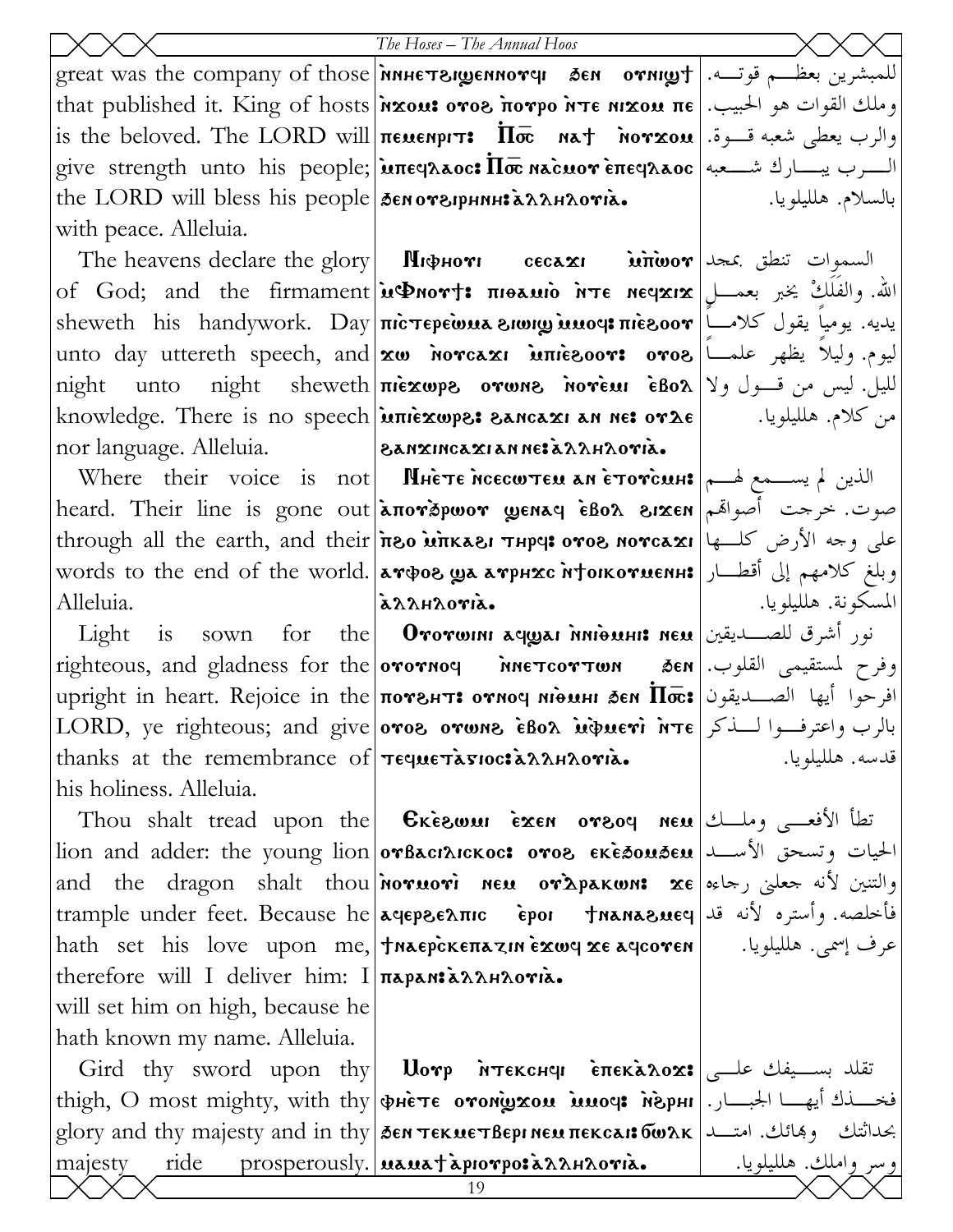the LORD will bless his people Senorsiphnh: annaoria. with peace. Alleluia.

nor language. Alleluia.

Alleluia.

Light is sown for thanks at the remembrance of  $\tau$ eque $\tau$ àgioc: à allamantia. his holiness. Alleluia.

therefore will I deliver him: I paran> `allhloui`a. will set him on high, because he hath known my name. Alleluia.

 $\text{great was the company of those}$   $\mid$ мнет $\text{supersup}$ ен ден отни $\text{gr}$ ј  $\mid$   $\text{degree}$  напол $\mid$ that published it. King of hosts|אָמֹא ονος πονρο λτε nixou πε الحبيب. إ $\frac{1}{2}$ is the beloved. The LORD will  $|{\pi}$ еменрг $\mathbf{r} \mathbf{\cdot} \quad \mathbf{\overline{1}}$ от $\mathbf{\overline{x}}$ ом  $|$  пот $\mathbf{\overline{x}}$ ом  $|$  والرب يعطى شعبه قـــوة.  ${\rm give\ \ strongth}\ \ unit$ unto his people; $|{\bf \ in}$ सह्यдаос ${\bf i}$   $\overline{\rm Im}$  ма̀с ${\bf u}$ от ѐ ${\bf \ in}$ еч $\lambda$ аос $|$  شــــــــــهبه

The heavens declare the glory | Лифнот сесахг м̀π̀woт | السموات تنطق بمجد of God; and the firmament|ນGnor†: πιθλιιο λτε neqxix|پاله. والفَلَكْ يخبر بعمـــل sheweth his handywork. Day πicτερεωμa zwww.imoep: يديه. يومياً يقول كلامــاً ليوم. وليلاً يظهر علمـــاً|lunto day uttereth speech, and $\vert$ xω אστελει אπιεδοον: ovo right unto night sheweth|πièxwps orwns norèmi èboλ|γوnight unto night sheweth knowledge. There is no speech $|$ ùπièxwpe: Sancaxi an ne: o $\mathbf{v}\mathbf{\lambda}\mathbf{\epsilon}$  $\vert$  $\delta$ anxincaxi an ne: à $\lambda\lambda$ h $\lambda$ ovià.

 $\text{Where \,}$  their voice is not **Mhète ncecwteu an ètoviculi** heard. Their line is gone out|àπογðpwor wenaq èßoλ الاعتمام العصوت. خرجت أصواهم through all the earth, and their iso unkası тнрч: ovos novcaxı على وجه الأرض كلــها words to the end of the world.|aтфог ул атрнхс н†окотиенн:|وبلغ كلامهم إلى أقطـــار allhoria.

righteous, and gladness for the **orornoq NOT NOT** NOTE MONET ME upright in heart. Rejoice in the потвит: отноч нідині бен  $\bar\Pi\bar\varpi$ : افرحوا أيها الصــديقون  $\text{LORD, ye\ \text{right} }$  and give oros orwns ebox interi inte . بالرب واعترفــوا لــذكر  ${\bf 0}$ vorwini aqyai ñnionin neu $\big|$ نور أشرق للصــديقين

Thou shalt tread upon the Gkeswui exen orsoq neu $\vert$ الأفعـــى وملـــك $\vert$ lion and adder: the young lion|orBacıAıckoc: oro& الحيات وتسحق الأســـد| and the dragon shalt thou $|$ noruori neu or $\boldsymbol{\hat{z}}$ pakwn:  $\boldsymbol{\hat{z}}$ e $|$ مas and the dragon shalt thou trample under feet. Because he afer\elpic `eroi ;nana\mef فأخلصه. وأستره لأنه قد hath set his love upon me, traepckenazin exwy xe aycoven

 $\operatorname{Gird}$  thy sword upon thy $\vert$   $\operatorname{\sf Uorp}$  м̀тєксн<code>q</code>и є̀ $\operatorname{\sf maxa}$ ло $\operatorname{\sf x}$ : تقلد بســيفك علــي thigh, O most mighty, with thy фнете отон̀ухом моср перни | الجبـــار. | thigh, O most mighty, with thy glory and thy majesty and in thy|āen τεκμετβερι neμ πεκcaι: تعدا الله عبداثتك وهائك. امتــد ا majesty ride prosperously. **Manatapiovposa Anthovia.** واملك. هلليلويا.

بالسلام. هلليلويا.

من كلام. هلليلويا.

المسكونة. هلليلويا. وفرح لمستقيمى القلوب. قدسه. هلليلويا.

عرف إسمى. هلليلويا.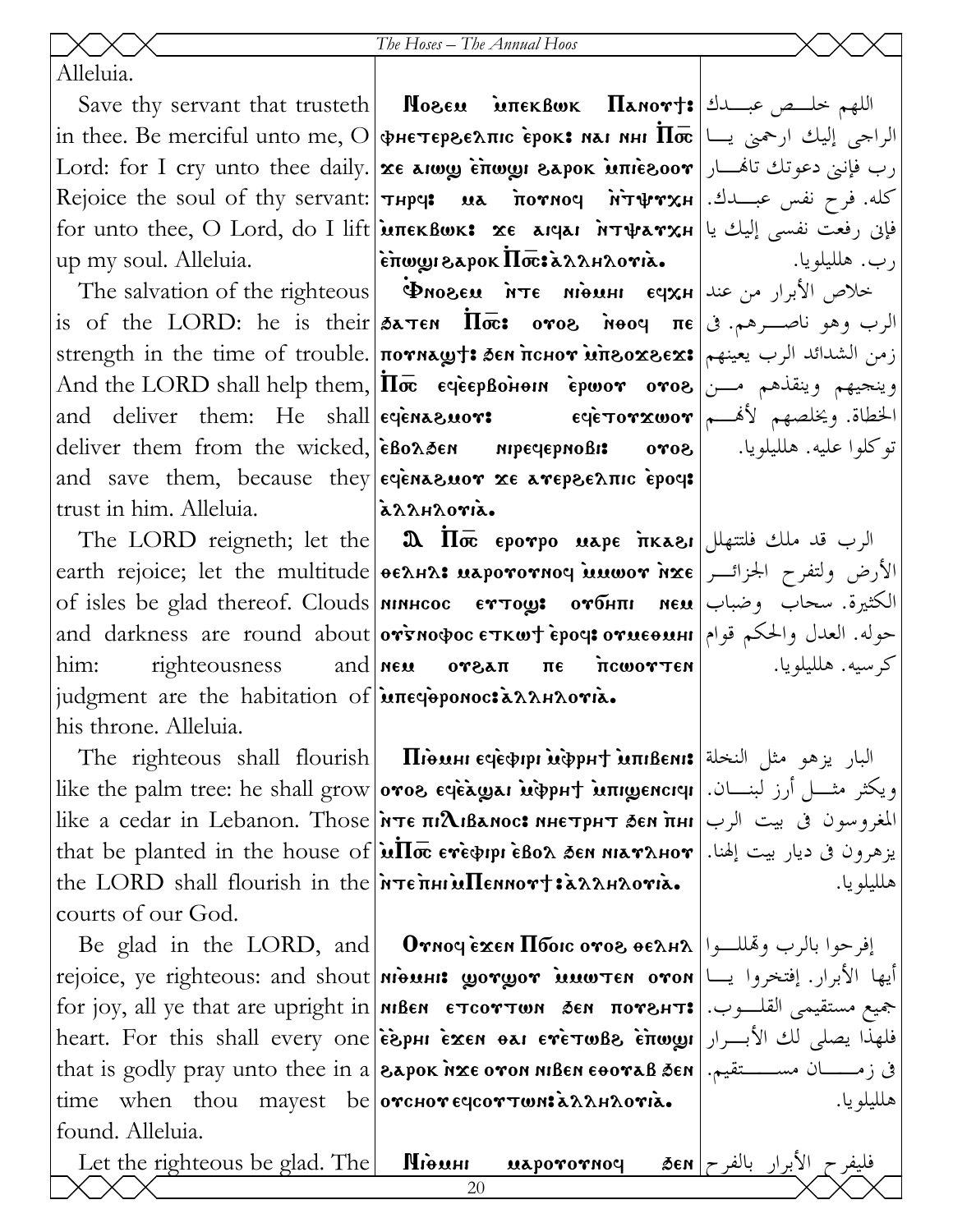Alleluia.

in thee. Be merciful unto me, O vheter\elpic `erok> nai nhi ~P\_ الراجى إليك ارحمنى يـا  $\mathrm{Lord}\colon \mathrm{for}\, \mathrm{I}\,$  cry unto thee daily. $|\mathbf{x}\epsilon\>$  معهدی و تاهنار این دعوتك تاهنــار Rejoice the soul of thy servant: thrf> ma `pounof `n`tyuxh كله. فرح نفس عبـدك.  ${\rm for\;t$ unto thee,  ${\rm O\;Lord}$ ,  ${\rm do\;I\;lift}$   $|{\bf \hat{in}}$ тек ${\bf B}$ шк ${\bf s}\;$   ${\bf z}$ е агчаг  ${\bf \hat{n}}$ т ${\bf \hat{v}}$ ат ${\bf \hat{v}}$ ау ${\bf x}$ н $|$ up my soul. Alleluia.

and deliver them: He shall eqenavous trust in him. Alleluia.

him: righteousness and new judgment are the habitation of interioponoc: annoria. his throne. Alleluia.

courts of our God.

found. Alleluia.

Save thy servant that trusteth **| Noseu `uπekBwk | Панот†: اللهم** خلــص عبــدك  $|$ èπw $\bm$ yi  $\bm{\epsilon}$ apok  $\bm{\bar{\Pi}}$ æ $\bm{\bar{\kappa}}$ . A $\bm{\lambda}$ ar $\bm{\lambda}$ ori $\bm{\lambda}$ .

 $\text{The\ salvation\ of\ the\ right} \leftarrow \text{whose \ \textbf{where} \ \textbf{n} \cdot \textbf{where} \ \textbf{where} \ \textbf{where} \ \textbf{where} \ \textbf{where} \ \textbf{where} \ \textbf{where} \ \textbf{where} \ \textbf{where} \ \textbf{where} \ \textbf{where} \ \textbf{where} \ \textbf{where} \ \textbf{where} \ \textbf{where} \ \textbf{where} \ \textbf{where} \ \textbf{where} \ \textbf{where} \ \textbf{where} \ \textbf{where} \ \textbf{where} \ \textbf{where} \ \textbf{where} \ \textbf{where} \ \textbf{where} \ \$  $\mathrm{is}\,$  of the LORD: he is their $|\tilde{\mathsf{a}}$ атем  $|\bar{\mathsf{Ioc}}:$  oro $\mathsf{a}\,$  oro $\mathsf{a}\,$  and  $\mathsf{a}\,$  is  $\mathsf{a}\,$  ${\rm strength\,\, in\,\, the\,\, time\,\, of\,\, trouble.}\,$ הסא ${\rm area}$ ל ${\rm time\,\, of\,\, two\,\, and\,\, and}$  זוֹ  $\lambda$ nd the LORD shall help them, $|\bar{\Pi\varpi}\>$  eqeepBohonn `epwo $\bm{r}\>$  o $\bm{r}$ os  $|$ وينجيهم وينقذهم مــن deliver them from the wicked, eBonsen nipeqepnoBi: oros and save them, because they eqena suor  $x \in \mathbb{R}$  are proformed by  $\mathbb{R}$ eqèna&uo**r:** eqè $\tau$ orxwor  $\vert$ الخطاة. ويخلصهم لأه allhoria.

The LORD reigneth; let the  $\parallel$   $\pmb{\mathfrak A}\parallel$   $\overline{\mathbf I}$ क्ट єротро иарє т $\kappa$ а $\epsilon$ н $\parallel$  الرب قد ملك فلتتهلل earth rejoice; let the multitude|ອελΗλ: นaporornoq யயலை nxe|الأرض ولتفرح الجزائــر of isles be glad thereof. Clouds <mark>минсос сттоу: отбнпг мем</mark> وضباب وضباب الكثيرة. سحاب وضباب and darkness are round about **orsnosocetkwt epoc: ح**وله. العدل والحكم قوام orsan ne neworten

 $\hbox{ The \,\, righteous\,\, shall \,\, flourish} \big| \quad {\bf II}$  البار يزهو مثل النخلة  $\operatorname{like}$  the palm tree: he shall grow $|$ отоგ є́чѐѧ́ழаı ѝФрн $\dagger$  ѝпреисічі  $|$ ان لبنـــان. like a cedar in Lebanon. Those $\vert$ йтє пі $\boldsymbol{\Lambda}$ іванос: ннєтрнт зен $\,$ інн $\vert$ رب المغروسون فى بيت الرب  $\mathrm{that\,\, be\,\, planeted\,\, in\,\, the\,\, house\,\, of}$   $|\rm\, \dot{u}\overline{\Pi\varpi}\,\, e$ тефрри ѐво $\rm \Lambda\,\,$ э́ем міат $\rm \Lambda$ нот $|$  بيزهرون فى ديار بيت إلهنا. the LORD shall flourish in the  $\lambda$  refinited Ennormial same oris.

 $\rm Be\;~g$ lad  $\rm ~in~the~\; LORD,~\rm and$  | Отноч ѐ $\bf x$ ен  $\bf \Pi$ боіс ото $\bf e\;$ ое $\lambda$ н $\lambda$  | إفرحوا بالرب وهّللــوا rejoice, ye righteous: and shout **niques : gorgor imwten oron** إيها الأبرار. إفتخروا يــا for joy, all ye that are upright in <code>мвем єтсоттом бем потент:</code> جميع مستقيمى القلـــوب. heart. For this shall every one $\vert$ ë $\rm\hat e$ phi e $\rm\hat z$ en  $\rm\hat e$ ai e $\rm\hat r$ e $\rm\hat r$ wgyi $\vert$ بالأبــرار  $\vert$ يا $\rm\hat e$  $\text{that is goldly } \text{gray}$  unto thee in  $a$  **eapok inxe oron niben eoorab 3en** . فى زمــــــان مســـــتقيم. time when thou mayest be **orchor** eqcortwn:  $\lambda \lambda$ H $\lambda$ ori $\lambda$ .

رب. هلليلويا. توكلوا عليه. هلليلويا.

كرسيه. هلليلويا.

هلليلويا.

هلليلويا.

Let the righteous be glad. The  $\parallel$ Mi $\cdot$ uaporornoq  $\parallel$   $\delta$ en  $\mid$   $\sim$   $\parallel$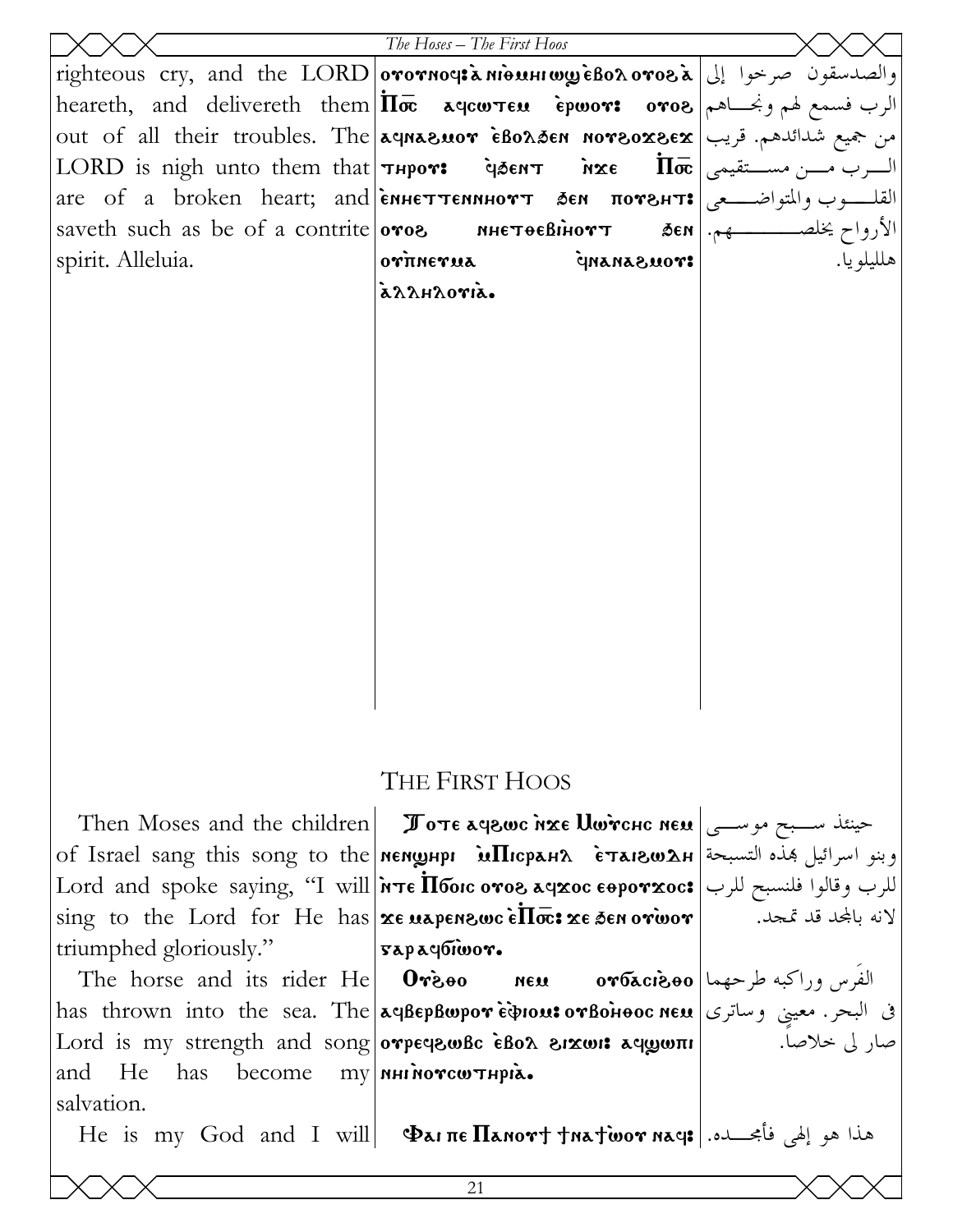|                                                      | The Hoses - The First Hoos                                                                                                                                                                  |            |
|------------------------------------------------------|---------------------------------------------------------------------------------------------------------------------------------------------------------------------------------------------|------------|
|                                                      | righteous cry, and the LORD orornous a nious of the SORD or and the LORD or region or the new regio                                                                                         |            |
|                                                      | heareth, and delivereth them $ \bar{\Pi\varpi}$ aqcw $\tau$ en epwo $\bm{r}$ : o $\bm{r}$ oa الرب فسمع لهم ونجـــاهم                                                                        |            |
|                                                      | out of all their troubles. The aqnazuor eBonden norsoxex = ويب                                                                                                                              |            |
|                                                      | السرب مسن مستقيمي   LORD is nigh unto them that <b>  тнрот:</b> дент ихе $\Pi \bar{\mathbf{\alpha}}$   السرب مسن مستقيمى                                                                    |            |
|                                                      | are of a broken heart; and смнеттеминотт дем потент: القلوب والمتواضيعي                                                                                                                     |            |
|                                                      |                                                                                                                                                                                             |            |
| spirit. Alleluia.                                    | ${\bf o}\hat{{\bf r}}$ Trine ${\bf r}$ ua<br>STOUSANANP                                                                                                                                     | هلليلو يا. |
|                                                      | azzhzoria.                                                                                                                                                                                  |            |
|                                                      |                                                                                                                                                                                             |            |
|                                                      |                                                                                                                                                                                             |            |
|                                                      |                                                                                                                                                                                             |            |
|                                                      |                                                                                                                                                                                             |            |
|                                                      |                                                                                                                                                                                             |            |
|                                                      |                                                                                                                                                                                             |            |
|                                                      |                                                                                                                                                                                             |            |
|                                                      |                                                                                                                                                                                             |            |
|                                                      |                                                                                                                                                                                             |            |
|                                                      |                                                                                                                                                                                             |            |
|                                                      |                                                                                                                                                                                             |            |
|                                                      |                                                                                                                                                                                             |            |
|                                                      |                                                                                                                                                                                             |            |
|                                                      |                                                                                                                                                                                             |            |
|                                                      |                                                                                                                                                                                             |            |
|                                                      |                                                                                                                                                                                             |            |
|                                                      | THE FIRST HOOS                                                                                                                                                                              |            |
|                                                      | Then Moses and the children <b>I</b> ove ayewe nxe Uwrene new $\cos \theta$                                                                                                                 |            |
|                                                      | of Israel sang this song to the мемшнри мПюран ? وبنو اسرائيل هذه التسبحة   оf Israel sang this song to the                                                                                 |            |
|                                                      | Lord and spoke saying, ''I will <b>אדו h T6orc oros געצופ און האר</b> Lord and spoke saying, ''I will <b>h Te H6orc oros געצופ ו</b>                                                        |            |
|                                                      | sing to the Lord for He has xe uapensusc ellos: xe sen orivor   $\overline{\phantom{a}}$ is ing to the Lord for He has $\vert$ xe uapensusc ellos: xe sen orivor   $\overline{\phantom{a}}$ |            |
| triumphed gloriously."                               | $\sqrt{3}$ sapayonooro                                                                                                                                                                      |            |
|                                                      | الفَرس وراكبه طرحهما 0r6xci300                                                                                                                                                              |            |
| The horse and its rider He $0\dot{r}$ <sub>200</sub> |                                                                                                                                                                                             |            |

and He has become salvation.

في البحر. معيني وساترى |<br>مصار لي خلاصاً. لا Tord is my strenoth and song <mark>aqBepBwpor ὲφιουι ειχωιι aqwwπι</mark> Lord is my strength and song orpeqewBc εδολ erxwis aquon  $\text{my}$  | ингиотсштнрід.

Ale is my God and I will | ΦαιπεΠανοντ tνατώον νας: أعجب الله He is my God and I will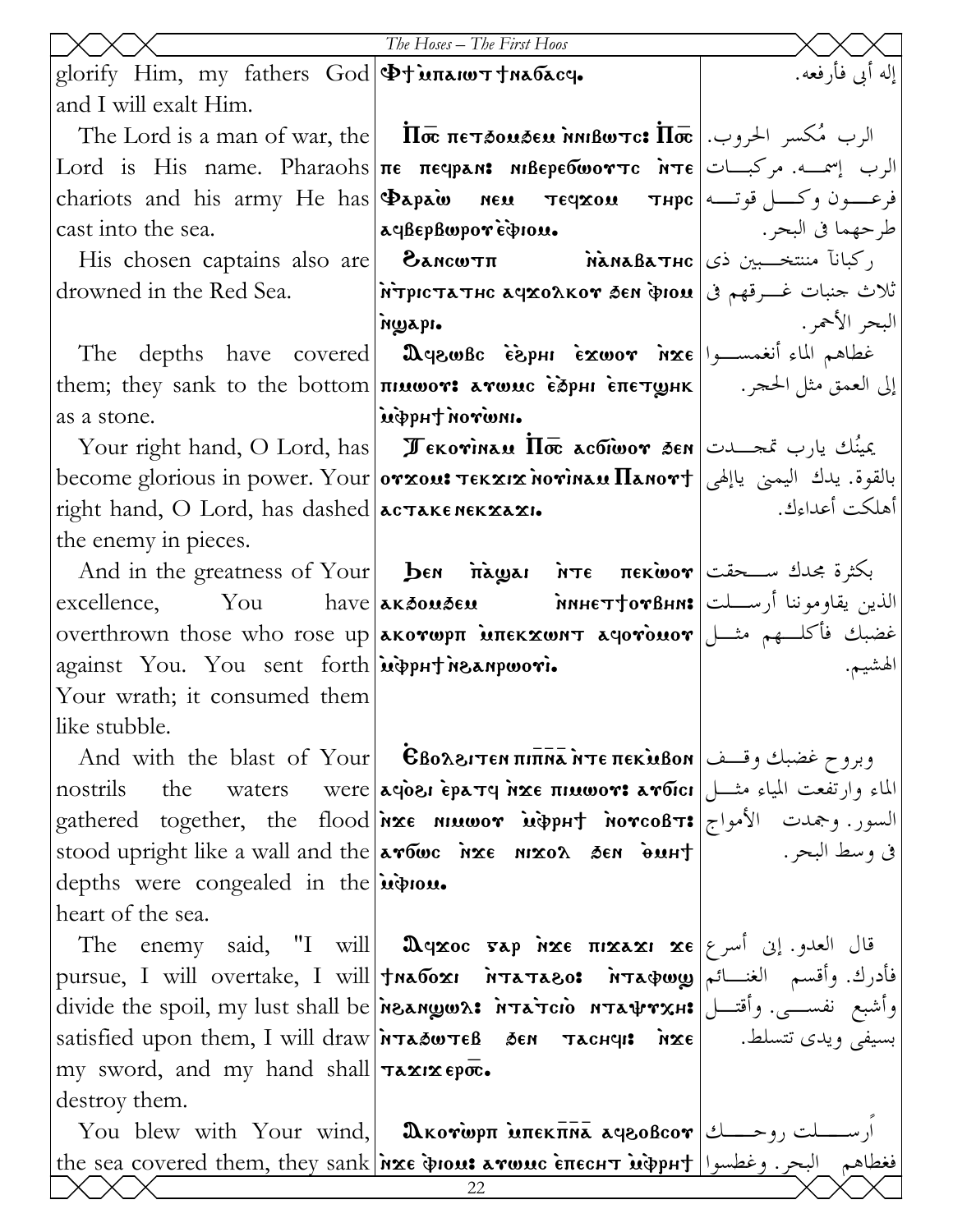|                                                                                             | The Hoses - The First Hoos                                                                                                                                                                                                                                                                                                                                    |                     |
|---------------------------------------------------------------------------------------------|---------------------------------------------------------------------------------------------------------------------------------------------------------------------------------------------------------------------------------------------------------------------------------------------------------------------------------------------------------------|---------------------|
| glorify Him, my fathers God   Φτυπλιωτ τηλόλος.                                             |                                                                                                                                                                                                                                                                                                                                                               | إله أبي فأرفعه.     |
| and I will exalt Him.                                                                       |                                                                                                                                                                                                                                                                                                                                                               |                     |
|                                                                                             | The Lord is a man of war, the $ \overline{\text{In}\bar{\text{}}}\ \overline{\text{In}}\ \overline{\text{in}}\ \overline{\text{In}}\ \overline{\text{in}}\ \overline{\text{In}}\ \overline{\text{in}}\ \overline{\text{In}}\ \overline{\text{in}}\ \overline{\text{In}}\ \overline{\text{in}}\ \overline{\text{In}}\ \overline{\text{in}}$ الرب مُكسر الحروب. |                     |
|                                                                                             | Lord is His name. Pharaohs πε πεφρελε Μιβερεδωοντς Ντε = الرب إسمــه. مركبـــات                                                                                                                                                                                                                                                                               |                     |
|                                                                                             | chariots and his army He has <b>Dapain neu Teyxou Thpc</b>   وعسون وكسل قوتها                                                                                                                                                                                                                                                                                 |                     |
| cast into the sea.                                                                          | aeBepBwporepiou.                                                                                                                                                                                                                                                                                                                                              | طرحهما في البحر . إ |
|                                                                                             | His chosen captains also are <b>[ <math>\delta</math>ансштп hàнаватнс</b>   مَتَنْتَخِّــبِين ذي [ His chosen captains also are                                                                                                                                                                                                                               |                     |
|                                                                                             | drowned in the Red Sea. [MrpIcTATHC AYXOAKOY SEN PION] تَلاث جنبات غـــرقهم في   drowned in the Red Sea                                                                                                                                                                                                                                                       |                     |
|                                                                                             | ngapi.                                                                                                                                                                                                                                                                                                                                                        | البحر الأحمر .      |
|                                                                                             |                                                                                                                                                                                                                                                                                                                                                               |                     |
|                                                                                             | إلى العمق مثل الحجر . ( , them; they sank to the bottom <b>πιμωον: aνωμc ὲਠੋpнι επετωμκ</b>                                                                                                                                                                                                                                                                   |                     |
| as a stone.                                                                                 | .nwron tuqqui                                                                                                                                                                                                                                                                                                                                                 |                     |
|                                                                                             | Your right hand, O Lord, has <b>II</b> $\overline{x}$ <b>Exovinally II</b> $\overline{x}$ active $\overline{y}$ and $\overline{y}$ and $\overline{y}$                                                                                                                                                                                                         |                     |
|                                                                                             | become glorious in power. Your 0YX011 TEKXIX NOYINAU ManoY† بالقوة. يدك اليمني ياإلهي                                                                                                                                                                                                                                                                         |                     |
| right hand, O Lord, has dashed <b>acTAKENEKXAXI.</b>                                        |                                                                                                                                                                                                                                                                                                                                                               | أهلكت أعداءك.       |
| the enemy in pieces.                                                                        |                                                                                                                                                                                                                                                                                                                                                               |                     |
|                                                                                             | And in the greatness of Your <b>ben inages</b> in $\pi$ <b>e</b> πεκίωον سعقت And in the greatness of Your                                                                                                                                                                                                                                                    |                     |
|                                                                                             | excellence, You have <b>aksouseu have have the TiorBhn:</b> الذين يقاوموننا أرســـلت                                                                                                                                                                                                                                                                          |                     |
|                                                                                             | عضبك فأكلَّـهم مثَّــل  overthrown those who rose up <b>λκονωρπ мπεκχωητ λησνομον</b>                                                                                                                                                                                                                                                                         |                     |
| against You. You sent forth wipput neanpwori.                                               |                                                                                                                                                                                                                                                                                                                                                               | لهشيم.              |
| Your wrath; it consumed them                                                                |                                                                                                                                                                                                                                                                                                                                                               |                     |
| like stubble.                                                                               |                                                                                                                                                                                                                                                                                                                                                               |                     |
|                                                                                             | And with the blast of Your   Εβολειτεν πιππλήτε πεκλιβον   اوبروح غضبك وقدف                                                                                                                                                                                                                                                                                   |                     |
| nostrils                                                                                    | the waters were   aqosi ερaτq nxe πιαωον: aνδιci   الماء وارتفعت المياء مثـــل                                                                                                                                                                                                                                                                                |                     |
|                                                                                             | gathered together, the flood <b>ixe niuwor uppht norcoBT:</b> السور. وجمدت الأمواج                                                                                                                                                                                                                                                                            |                     |
|                                                                                             | في وسط البحر. العرب العربي العلاج العام العلم عليه عليه عليه العلم العام العام العام العام العام الع                                                                                                                                                                                                                                                          |                     |
| depths were congealed in the <i>induou</i> .                                                |                                                                                                                                                                                                                                                                                                                                                               |                     |
| heart of the sea.                                                                           |                                                                                                                                                                                                                                                                                                                                                               |                     |
|                                                                                             | The enemy said, "I will <b>D</b> qxoc sap inxe $\pi$ pxaxi xe $\epsilon$ أسرع The enemy said, "I will                                                                                                                                                                                                                                                         |                     |
|                                                                                             | فأدرك. وأقسم الغنسائم  will overtake, I will  tnaбохι мтатаво: мтафωу  فأدرك. وأقسم الغنسائم                                                                                                                                                                                                                                                                  |                     |
|                                                                                             | وأشبع نفســي. وأقتـــل ಚாக்ராம் мтафтхн: الdivide the spoil, my lust shall be مقصـــي. وأقتـــل                                                                                                                                                                                                                                                               |                     |
|                                                                                             | satisfied upon them, I will draw <i>NTASWTEB</i> 5EN TACHUIS NXE   . بسيفى ويدى تتسلط.                                                                                                                                                                                                                                                                        |                     |
| my sword, and my hand shall $\tau \in \mathbb{Z}$ is $\epsilon \in \overline{\mathbb{Q}}$ . |                                                                                                                                                                                                                                                                                                                                                               |                     |
| destroy them.                                                                               |                                                                                                                                                                                                                                                                                                                                                               |                     |
|                                                                                             | You blew with Your wind, <b>[ Ωκογωρπ Μπεκπηλ ληροβcoγ</b>   ارســــلت روحـــــك                                                                                                                                                                                                                                                                              |                     |
|                                                                                             | <u>the sea covered them, they sank inxe doon: arwuc enecht idepht   البحر. وغطسوا   the sea covered them, they sank</u>                                                                                                                                                                                                                                       |                     |
|                                                                                             | 22                                                                                                                                                                                                                                                                                                                                                            |                     |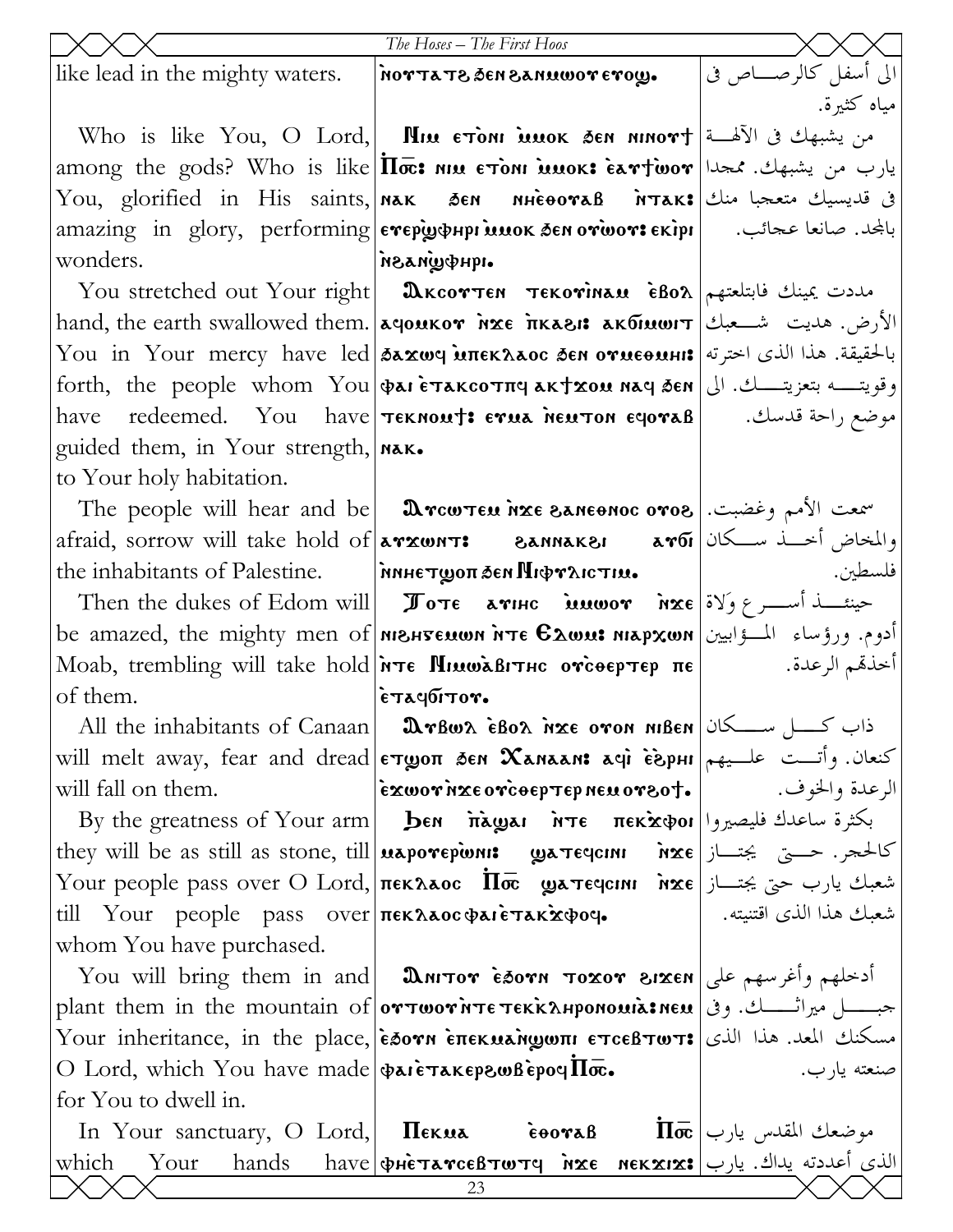|                                                                                   | The Hoses - The First Hoos                                                                                                                                                                                                                                                                                                                                                     |                         |
|-----------------------------------------------------------------------------------|--------------------------------------------------------------------------------------------------------------------------------------------------------------------------------------------------------------------------------------------------------------------------------------------------------------------------------------------------------------------------------|-------------------------|
| like lead in the mighty waters.                                                   | <b>NOTTATE SEN BANUWOT ETOY.</b>                                                                                                                                                                                                                                                                                                                                               | الى أسفل كالرصــــاص فى |
|                                                                                   |                                                                                                                                                                                                                                                                                                                                                                                | مياه كثيرة.             |
|                                                                                   | Who is like You, O Lord, <b>  Пии стом миок зем миот</b> † الله ق الآلهـــة                                                                                                                                                                                                                                                                                                    |                         |
|                                                                                   | among the gods? Who is like $\Pi\bar{\infty}$ : ווא נדסו השנע האסעו האסעול אדו האסעול אדו האסעול אדו האסעול א                                                                                                                                                                                                                                                                  |                         |
|                                                                                   | You, glorified in His saints, Nak Sen MHeooraB MTak: في قديسيك متعجبا منك                                                                                                                                                                                                                                                                                                      |                         |
|                                                                                   | amazing in glory, performing <b>eγepw+pr MMOK SEN o YWOY: EKipr</b> amazing in glory, performing evepw+inuok SEN o YWO                                                                                                                                                                                                                                                         |                         |
| wonders.                                                                          | .iquewasan                                                                                                                                                                                                                                                                                                                                                                     |                         |
|                                                                                   | You stretched out Your right <b>Δκcoντεη τεκονιπευ εβολ</b> $\epsilon$ Bo امددت یمینك فابتلعتهم                                                                                                                                                                                                                                                                                |                         |
|                                                                                   | hand, the earth swallowed them. <b>[λειρικον λεε πκλει: λειδικωιτ   الأرض.</b> هديت شــعبك                                                                                                                                                                                                                                                                                     |                         |
|                                                                                   | You in Your mercy have led διχως υπεκλιος δεν ογμεθμης علقيقة. هذا الذي اخترته  You in Your mercy have led                                                                                                                                                                                                                                                                     |                         |
|                                                                                   | وقويتــــه بتعزيتــــك. الى  forth, the people whom You φaι ετακοστπα ακταου naq δεη                                                                                                                                                                                                                                                                                           |                         |
|                                                                                   | have redeemed. You have <b>TEKNOUT: ETUA NEUTON ECOTAB</b>   . موضع راحة قدسك.                                                                                                                                                                                                                                                                                                 |                         |
| guided them, in Your strength,   NAK.                                             |                                                                                                                                                                                                                                                                                                                                                                                |                         |
| to Your holy habitation.                                                          |                                                                                                                                                                                                                                                                                                                                                                                |                         |
|                                                                                   | The people will hear and be <b>Drcwten inze Saneonoc oros</b> $\cos \theta$ = $\sin \theta$                                                                                                                                                                                                                                                                                    |                         |
|                                                                                   | afraid, sorrow will take hold of <b>arxwnt: 8annak81 aroi</b> and i                                                                                                                                                                                                                                                                                                            |                         |
|                                                                                   | the inhabitants of Palestine.   MINITY THET MOVITIM.                                                                                                                                                                                                                                                                                                                           | فلسطين.                 |
|                                                                                   | Then the dukes of Edom will <b>Iote arise inuwor</b> $\hat{\mathbf{n}}$ <b>xe</b> $\hat{\mathbf{v}}$                                                                                                                                                                                                                                                                           |                         |
|                                                                                   | be amazed, the mighty men of <b>MBHTELLON TTE EXWLI NIAPXWN</b> ادوم. ورؤساء المسؤابيين <b> </b>                                                                                                                                                                                                                                                                               |                         |
|                                                                                   | Moab, trembling will take hold $\lambda \tau \epsilon$ Minwashing or $\epsilon \epsilon$                                                                                                                                                                                                                                                                                       | أخذهم الرعدة.           |
| of them.                                                                          | $ \epsilon$ тачбітот.                                                                                                                                                                                                                                                                                                                                                          |                         |
|                                                                                   | All the inhabitants of Canaan <b>Drbws ebos ixe oron niben</b> $\cos$ $\cos$                                                                                                                                                                                                                                                                                                   |                         |
|                                                                                   | will melt away, fear and dread επωσπ δεν Χανααλι αφί εδριμ $ $ كنعان. وأتــت علــيهم                                                                                                                                                                                                                                                                                           |                         |
| will fall on them.                                                                |                                                                                                                                                                                                                                                                                                                                                                                |                         |
|                                                                                   | By the greatness of Your arm  Бем падзагите пек̀хфог  بكثرة ساعدك فليصيروا                                                                                                                                                                                                                                                                                                     |                         |
|                                                                                   | they will be as still as stone, till <b>uaporepions: gatedcini</b> $\hat{\mathbf{n}}$ xe $\hat{\mathbf{z}}$ and $\hat{\mathbf{z}}$<br>Your people pass over O Lord, лекллос Пос длятеченн أشعبك يارب حتى يجتـــاز   Your people pass over O Lord,                                                                                                                              |                         |
|                                                                                   | شعبك هذا الذي اقتنيته. [10] Your people pass over πεκλλος φλιετλκάφος. [10] الذي اقتنيته. [10] till                                                                                                                                                                                                                                                                            |                         |
| whom You have purchased.                                                          |                                                                                                                                                                                                                                                                                                                                                                                |                         |
|                                                                                   | You will bring them in and  <b>DANTOT ESOTH TOXOT 81XEN</b>                                                                                                                                                                                                                                                                                                                    |                         |
|                                                                                   | plant them in the mountain of <b>or Twor NTE TEKKAHPONOMIS.INEM</b> (e) plant them in the mountain of                                                                                                                                                                                                                                                                          |                         |
|                                                                                   | Your inheritance, in the place, εδονη επεκμεήφωπι ετοεβτωτ: مسكنك المعد. هذا الذي                                                                                                                                                                                                                                                                                              |                         |
| O Lord, which You have made $\phi$ aie TakepswBepoy $\Pi \bar{\mathbf{\infty}}$ . |                                                                                                                                                                                                                                                                                                                                                                                | صنعته يارب.             |
| for You to dwell in.                                                              |                                                                                                                                                                                                                                                                                                                                                                                |                         |
|                                                                                   | In Your sanctuary, O Lord, <b>IIEKUA</b> eovaB $\overline{\text{I\hspace{-1.2mm}I\hspace{-1.2mm}I}}$ $\overline{\text{I\hspace{-1.2mm}I}}$ $\overline{\text{I\hspace{-1.2mm}I}}$ $\overline{\text{I\hspace{-1.2mm}I}}$ $\overline{\text{I\hspace{-1.2mm}I}}$ $\overline{\text{I\hspace{-1.2mm}I}}$ $\overline{\text{I\hspace{-1.2mm}I}}$ $\overline{\text{I\hspace{-1.2mm}I}}$ |                         |
| which                                                                             | <u>Vour hands</u> have pretarceBTwTq nxe nekxix: الذي أعددته يداك. يارب                                                                                                                                                                                                                                                                                                        |                         |
|                                                                                   | 23                                                                                                                                                                                                                                                                                                                                                                             |                         |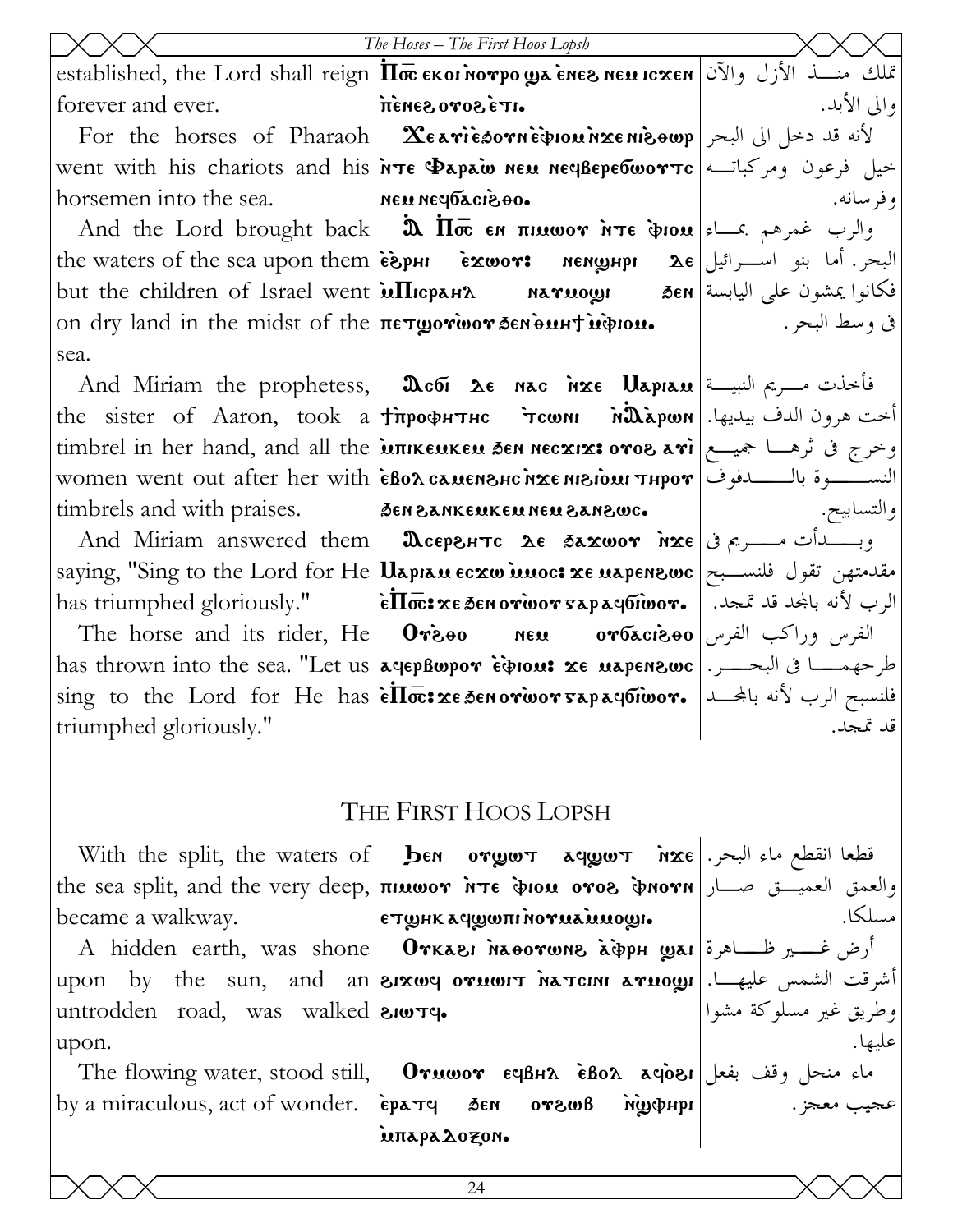|                                           | The Hoses – The First Hoos Lopsh<br>Established, the Lord shall reign <b>II</b> oc EKOI MOTPO <b>ya ènes neu Icxen</b> اتمال والآن المجمع التي تفلك منســذ الأزل والآن                                                                                                                                                                                                                                             |             |
|-------------------------------------------|--------------------------------------------------------------------------------------------------------------------------------------------------------------------------------------------------------------------------------------------------------------------------------------------------------------------------------------------------------------------------------------------------------------------|-------------|
|                                           |                                                                                                                                                                                                                                                                                                                                                                                                                    |             |
| forever and ever.   itenes oros etn.      |                                                                                                                                                                                                                                                                                                                                                                                                                    | والي الأبد. |
|                                           | For the horses of Pharaoh   $\text{Xearièsown\`{convmaxenis}$ فد دخل الى البحر                                                                                                                                                                                                                                                                                                                                     |             |
|                                           | went with his chariots and his <i>in</i> Te Papaw neu neyBepebwor Tc   ومركباته ا                                                                                                                                                                                                                                                                                                                                  |             |
| horsemen into the sea. Neu neu neupacies. |                                                                                                                                                                                                                                                                                                                                                                                                                    | وفرسانه.    |
|                                           | And the Lord brought back <b>a</b> $\overline{\mathbf{a}}$ and the Lord brought back <b>a</b> $\overline{\mathbf{a}}$ <b>a</b> $\overline{\mathbf{b}}$ <b>a</b> $\overline{\mathbf{a}}$ <b>a</b> $\overline{\mathbf{b}}$ <b>a</b> $\overline{\mathbf{a}}$ <b>a</b> $\overline{\mathbf{b}}$ <b>a</b> $\overline{\mathbf{a}}$ <b>a</b> $\overline{\mathbf{b}}$ <b>a</b> $\overline{\mathbf{a}}$ <b>a</b> $\overline$ |             |
|                                           | the waters of the sea upon them $ \tilde{\epsilon}$ pHI $\tilde{\epsilon}$ $\infty$ wor: nenghpI $\Delta \epsilon$ $ $ البحر. أما بنو اسرائيل                                                                                                                                                                                                                                                                      |             |
|                                           | إفكانوا يمشون على اليابسة Энt the children of Israel went மПюрана матиош бем هكانوا يمشون على اليابسة                                                                                                                                                                                                                                                                                                              |             |
|                                           | on dry land in the midst of the петротоот бенонн идном. $\qquad$   $\qquad \qquad$ . وسط البحر                                                                                                                                                                                                                                                                                                                     |             |
| sea.                                      |                                                                                                                                                                                                                                                                                                                                                                                                                    |             |
|                                           | And Miriam the prophetess, <b>Deta</b> $\alpha$ is $\alpha$ and Miriam the prophetess, <b>Deta</b> $\alpha$                                                                                                                                                                                                                                                                                                        |             |
|                                           | the sister of Aaron, took a †профитнс `тсоли мДаром .انحت هرون الدف بيديها.                                                                                                                                                                                                                                                                                                                                        |             |
|                                           | timbrel in her hand, and all the <b>juπικευικευ δεν νεοχιχ: ονοδ λνi</b>   مجيسع   timbrel in her hand, and all the                                                                                                                                                                                                                                                                                                |             |
|                                           | Women went out after her with <b>EBOA CAMENSIC NIE NIGION THPOT</b>   women went out after her with                                                                                                                                                                                                                                                                                                                |             |
|                                           | timbrels and with praises. Journal provises and with praises. Journal procertions and with praises.                                                                                                                                                                                                                                                                                                                |             |
|                                           | And Miriam answered them <b>  дееренте де бахшот нхе</b> $\phi$ = $\phi$                                                                                                                                                                                                                                                                                                                                           |             |
|                                           | saying, "Sing to the Lord for He Uapran Ecxw unoc: xe napenswc   مقدمتهن تقول فلنسبح                                                                                                                                                                                                                                                                                                                               |             |
|                                           | has triumphed gloriously."   ẽ $\overline{\text{I}}$ we ze zenorwor sapayorwor.   الرب لأنه بالمجد قد تمجد.                                                                                                                                                                                                                                                                                                        |             |
|                                           | The horse and its rider, He <b>Orgoo New orbaciooo</b> الفرس وراكب الفرس العامل التاقيم العامل العامل ال                                                                                                                                                                                                                                                                                                           |             |
|                                           | has thrown into the sea. "Let us a rep Bupor Ection: xe napensuse   . سرحهمسا فى البحسر.   has thrown into the sea. "Let us   a rep Bupor Ection: xe napensuse                                                                                                                                                                                                                                                     |             |
|                                           | $\frac{1}{2}$ sing to the Lord for He has $\frac{1}{6}\overline{\text{H}\sigma}$ : $x \in \text{S}\text{C}$ and $y \in \mathbb{R}$ is the Lord for He has $\frac{1}{6}\overline{\text{H}\sigma}$ : فلنسبح الرب لأنه بالمجـــد                                                                                                                                                                                      |             |
| triumphed gloriously."                    |                                                                                                                                                                                                                                                                                                                                                                                                                    | قد تمجد.    |
|                                           |                                                                                                                                                                                                                                                                                                                                                                                                                    |             |
|                                           |                                                                                                                                                                                                                                                                                                                                                                                                                    |             |
|                                           | THE FIRST HOOS LOPSH                                                                                                                                                                                                                                                                                                                                                                                               |             |
|                                           | With the split, the waters of <b>ben orgot aqgot</b> $\alpha$ <b>xe</b> المقطع ماء البحر                                                                                                                                                                                                                                                                                                                           |             |
|                                           | the sea split, and the very deep, πιμωστ Ντε φιομ οτοε φηστη العميـــق صـــار                                                                                                                                                                                                                                                                                                                                      |             |
| became a walkway.                         | $\epsilon$ тшнк ачшипі потиа $\alpha$ иошы                                                                                                                                                                                                                                                                                                                                                                         | مسلكا.      |
|                                           | A hidden earth, was shone   Orkası Naoorwns aipph yai  أرض غـــير ظـــاهرة   A                                                                                                                                                                                                                                                                                                                                     |             |
|                                           |                                                                                                                                                                                                                                                                                                                                                                                                                    |             |
|                                           |                                                                                                                                                                                                                                                                                                                                                                                                                    |             |
|                                           | A muuch carui, was shorter -<br> أشرقت الشمس عليهـــا.  won by the sun, and an <mark>enxwy orwwr hatch arwow:</mark><br> وطريق غير مسلوكة مشوا                                                                                                                                                                                                                                                                     |             |

The flowing water, stood still, by a miraculous, act of wonder.

 $\bf{O}$ ماء منحل وقف بفعل $\bf{O}$ 189  $\bf{e}$ Bo $\bf{\Omega}$  ، ماء ique ausvo nas pragá **`uπapa2ozon.** 

عجيب معجز.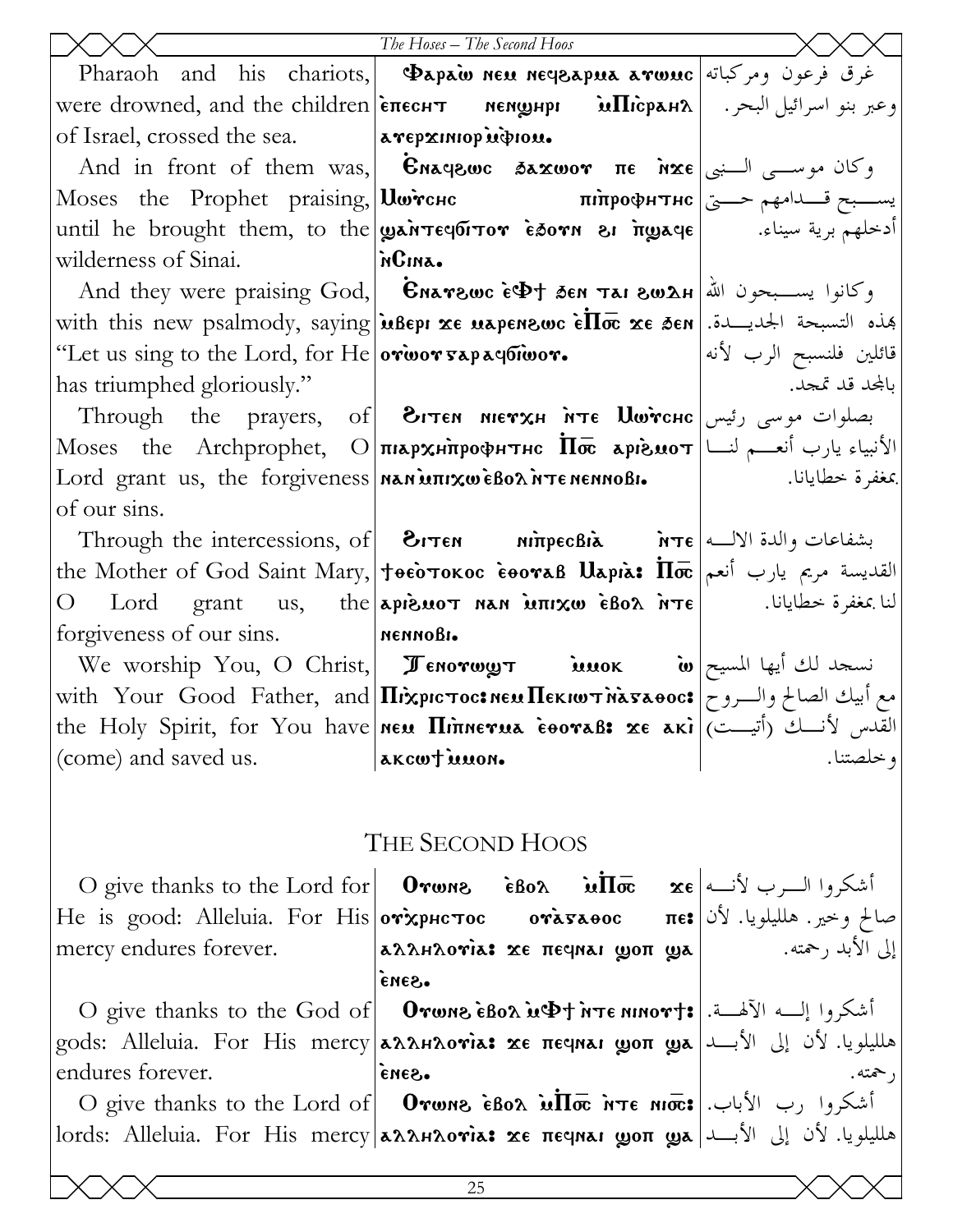|                                                    | The Hoses - The Second Hoos                                                                                                                                                                       |                         |
|----------------------------------------------------|---------------------------------------------------------------------------------------------------------------------------------------------------------------------------------------------------|-------------------------|
|                                                    | <u>Ibe Hoses – The Second Hoos</u><br>Pharaoh and his chariots, <b>Papaw neu neqeapua arwuc</b> ومركباته Pharaoh and his chariots, <b>Papaw neu neqeapua arwuc</b>                                |                         |
|                                                    | were drowned, and the children  епеснт мемфнри иПісран $\lambda$   . وعبر بنو اسرائيل البحر                                                                                                       |                         |
| of Israel, crossed the sea.  avepxiniop indicate   |                                                                                                                                                                                                   |                         |
|                                                    | And in front of them was, <b>Enagewe 3axwor</b> $\pi \epsilon$ $\alpha \leq \epsilon$ $ \epsilon $ $\alpha \leq \epsilon$                                                                         |                         |
|                                                    | Moses the Prophet praising, <i>Шетснс</i> питрофитнс $\frac{1}{2}$ یسبح قــدامهم حـــی                                                                                                            |                         |
|                                                    | until he brought them, to the war requiror Esorn & ngaqe    ادخلهم برية سيناء.                                                                                                                    |                         |
| wilderness of Sinai.   MGINA.                      |                                                                                                                                                                                                   |                         |
|                                                    | And they were praising God, Charewc is the feat Tai swah and they were praising God, Charewc is $\frac{1}{2}$                                                                                     |                         |
|                                                    | with this new psalmody, saying <b>u</b> Bepi xe uspenswe $\epsilon \Pi \bar{\mathbf{\sigma}}$ xe sen - التسبحة الجديسدة                                                                           |                         |
| "Let us sing to the Lord, for He orwor sapayoiwor. |                                                                                                                                                                                                   | قائلين فلنسبح الرب لأنه |
| has triumphed gloriously."                         |                                                                                                                                                                                                   | بالمجد قد تمجد.         |
|                                                    | Through the prayers, of <b>дотем метхн ите Џойснс</b> ابصلوات موسى رئيس                                                                                                                           |                         |
|                                                    | Moses the Archprophet, О плархнирофитис $\overline{\mathbf{a}}$ аргомот $ \Box$ أالأنبياء يارب أنعــم لنــا                                                                                       |                         |
|                                                    | Lord grant us, the forgiveness <b>  MAN MILLON DE TE MENTO DE LORE EXECUTE 1</b>                                                                                                                  |                         |
| of our sins.                                       |                                                                                                                                                                                                   |                         |
|                                                    | Through the intercessions, of $\mid$ 1768 $\rho$ بشفاعات والدة الالــه                                                                                                                            |                         |
|                                                    | the Mother of God Saint Mary,   † $\vec{r}$ $\vec{r}$ $\vec{r}$ $\vec{r}$ $\vec{n}$ $\vec{r}$ $\vec{n}$ $\vec{r}$ القديسة مريم يارب أنعم                                                          |                         |
|                                                    | O Lord grant us, the apiswoτ nan warxw εβολ nτε    النا بمغفرة خطايانا.                                                                                                                           |                         |
| forgiveness of our sins. NennoBi.                  |                                                                                                                                                                                                   |                         |
|                                                    | We worship You, O Christ, <i>J</i> enorwy $\pi$ into $\omega$ in $\omega$                                                                                                                         |                         |
|                                                    | with Your Good Father, and <i>Hixpic Tocs NEM HEKIWT NASAOC</i> : مع أبيك الصالح والروح                                                                                                           |                         |
|                                                    | with Your Good Father, and Minories Coral: xe aki (القدس لأنسك أن أنت المستخدمة التأثير التي تناسب التأثير ال<br>  القدس لأنسك (أتيست)   womtimina.                                               |                         |
| (come) and saved us.                               |                                                                                                                                                                                                   |                         |
|                                                    |                                                                                                                                                                                                   |                         |
|                                                    | THE SECOND HOOS                                                                                                                                                                                   |                         |
|                                                    |                                                                                                                                                                                                   |                         |
|                                                    | O give thanks to the Lord for <b>Orwne éBoλ ùΠσ xe</b> معده O give thanks to the Lord for <b>Orwne éBoλ أ</b> شكروا الــــرب لأنـــه He is good: Alleluia. For His <b>orxphc τος orasaeoc</b> πe: |                         |
| mercy endures forever.                             | اِلِی الأَبد رحمته.   aλλHλovia: xe πeqnai gon gja                                                                                                                                                |                         |
|                                                    | ·Sana                                                                                                                                                                                             |                         |
|                                                    | O give thanks to the God of   Orwns iBox uDt ire ninort: [[صد الآلهـــة.] [O give thanks to the God of                                                                                            |                         |
|                                                    | gods: Alleluia. For His mercy <b>aλληλονia: хє пєчнаі ழоп ழக</b> علليلويا. لأن إلى الأبـــد                                                                                                       |                         |
| endures forever.                                   | ·Sana                                                                                                                                                                                             |                         |
|                                                    | O give thanks to the Lord of $ $ Orwns is the $\ln \pi$ irre niots $ \cdot $ شكروا رب الأباب.                                                                                                     |                         |
|                                                    | lords: Alleluia. For His mercy <b>aλληλονία: xe πεqnai ωσπ ωα ال</b> طلويا. لأن إلى الأبــد lords: Alleluia. For His mercy <b>aλληλονία: xe πεqnai ωσπ ωα</b>                                     |                         |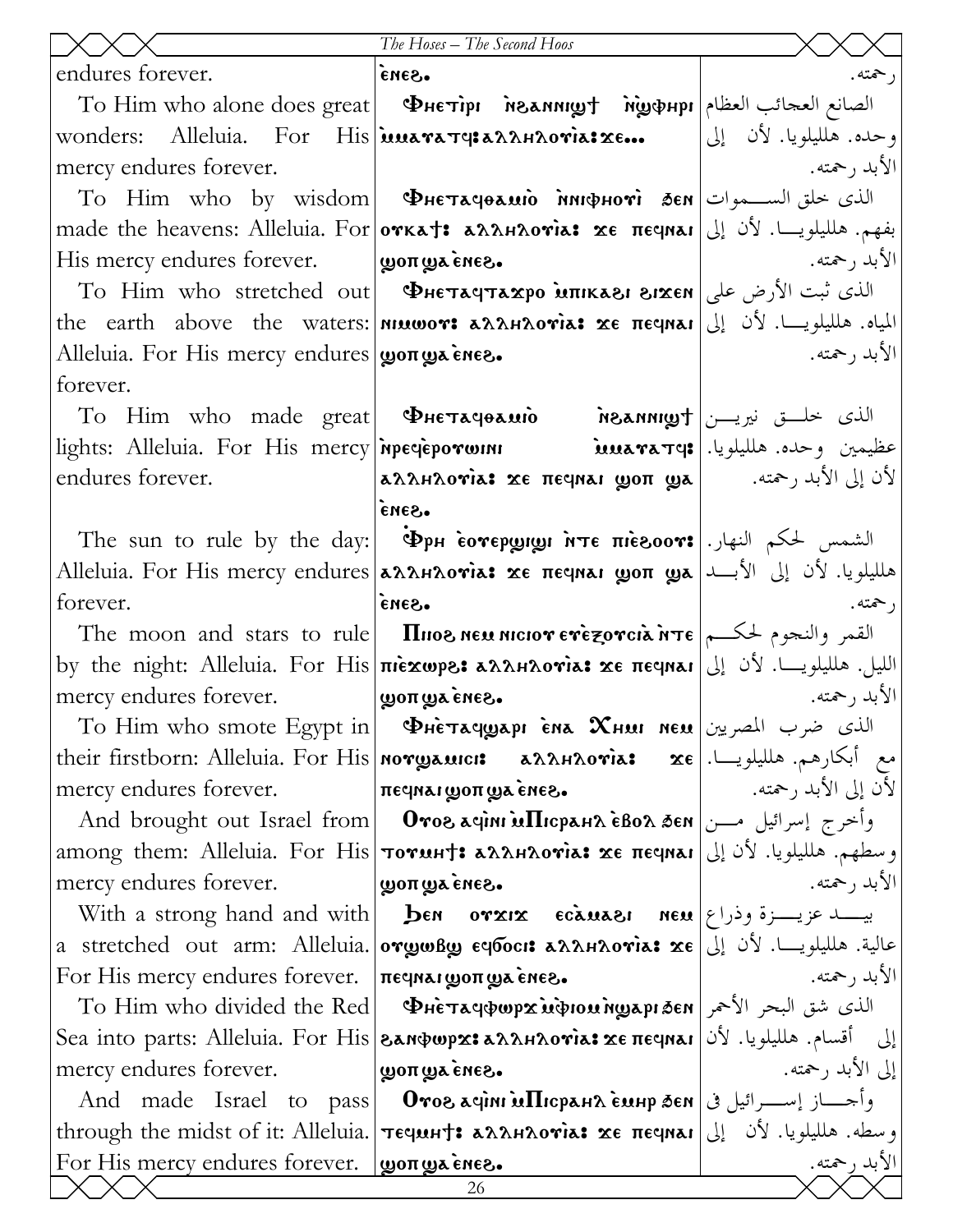|                                                      | The Hoses - The Second Hoos                                                                                                 |                         |
|------------------------------------------------------|-----------------------------------------------------------------------------------------------------------------------------|-------------------------|
| endures forever.                                     | ·Sana                                                                                                                       | ر حمته.                 |
|                                                      | To Him who alone does great   Фнєтірі   йолищу † ѝழுфнрі   الصانع العجائب العظام                                            |                         |
|                                                      | wonders: Alleluia. For His iuua ra Ty: a A A H A o ria: xe                                                                  | وحده. هلليلويا. لأن إلى |
| mercy endures forever.                               |                                                                                                                             | الأبد , حمته.           |
|                                                      | $\overline{\text{To}}$ Him who by wisdom <b>  Фнєтачеаміо імнфноті бем</b> الذي خلق الســـموات                              |                         |
|                                                      | made the heavens: Alleluia. For <b>orkat: aλληλονία: xe πεqnai</b> [إلى   made the heavens: Alleluia. For                   |                         |
| His mercy endures forever. <b>ψοπωλείνες.</b>        |                                                                                                                             | الأبد , حمته.           |
|                                                      | To Him who stretched out <b>  Фнетачтахро мпказі зіхен</b>  الذي ثبت الأرض على                                              |                         |
|                                                      | the earth above the waters: nιμωον: λλληλονιλ: xε πεγηλι  إلمياه. هلليلويــا. لأن إلى                                       |                         |
| Alleluia. For His mercy endures   won wa εnεε.       |                                                                                                                             | الأبد , حمته.           |
| forever.                                             |                                                                                                                             |                         |
|                                                      | To Him who made great <b>Фнетачеаміо</b> по нетиру ) الذي خلـــق نيريـــن                                                   |                         |
|                                                      | lights: Alleluia. For His mercy <b>inpecieporwini busines is alleluia.</b> For His mercy <b>inpecieporwini</b>              |                         |
| endures forever.                                     | لأن إلى الأبد رحمته. [ aλλHλoγia: xe πeqnai goπ gya                                                                         |                         |
|                                                      | eues.                                                                                                                       |                         |
|                                                      | The sun to rule by the day:   Фрн сотерущи ите пісвоот:   الشمس لحكم النهار.                                                |                         |
|                                                      | هلليلويا. لأن إلى الأبـــد  Alleluia. For His mercy endures אطليلويا. لأن إلى الأبـــد Alleluia. For                        |                         |
| forever.                                             | ·Gana                                                                                                                       | ر حمته.                 |
|                                                      | The moon and stars to rule <b>IIIIIIIII NEXT EXERCTION</b> of the moon and stars to rule <b>IIIIIIIIIIIIIIIIIIIIIIIIIII</b> |                         |
|                                                      | by the night: Alleluia. For His πιεχωρε: مالليلويـــا. لأن إلى  by the night: Alleluia. For His πιεχωρε: مالليلويــا        |                         |
| mercy endures forever.                               | woπ wa εnεε.                                                                                                                | الأبد رحمته.            |
|                                                      | To Him who smote Egypt in $\blacklozenge$ PHETAqwapi Ena XHMI neu                                                           |                         |
|                                                      | their firstborn: Alleluia. For His  <b>norgauici:        x</b> AAHA <b>oria:       x</b> e . يم أبكارهم. هلليلويـــا.       |                         |
| mercy endures forever.                               | Ineqnargoπ ga ènes.                                                                                                         |                         |
|                                                      | And brought out Israel from     Отов дчин мПюранл ѐвол бен   سرائيل مـــن                                                   |                         |
|                                                      | among them: Alleluia. For His <b>τονυμτ: aλλμλονia: xe πεγιλι</b>   إلى among them: Alleluia. For His                       |                         |
| mercy endures forever.                               | -Sana ay <del>n</del> oy                                                                                                    | الأبد , حمته.           |
|                                                      | With a strong hand and with   ben orxix ecauses neu   $\epsilon$ ابیسد عزیسـزة وذراع                                        |                         |
|                                                      | a stretched out arm: Alleluia. တrgဖBg ပေါ်စင်း၊ နေ့ညေးကလေးနဲ့ xe عالية. هلليلويـــا. لأن إلى                                |                         |
| For His mercy endures forever.   печная доп да енег. |                                                                                                                             | الأبد , حمته.           |
|                                                      | To Him who divided the Red  PHETaqpwpx wiprowngaprsen سالذى شق البحر الأحمر                                                 |                         |
|                                                      | إلى أقسام. هلليلويا. لأن Sea into parts: Alleluia. For His გѧӎֆωpϫਃѧ۩ѧҥ۩٥જiѧਃϫͼ πεϥͷѧι                                      |                         |
| mercy endures forever.                               | goπ ψα εnεε.                                                                                                                | إلى الأبد رحمته.        |
|                                                      | And made Israel to pass   Отовачин иПюран бемнр бем   وأحسار إسبرائيل في ا                                                  |                         |
|                                                      | وسطه. هلليلويا. لأن إلى through the midst of it: Alleluia. πεquurt: aλληλονιλι xe πεqnar                                    |                         |
| For His mercy endures forever. $\psi$ $\psi$         | 26                                                                                                                          | الأبد رحمته.            |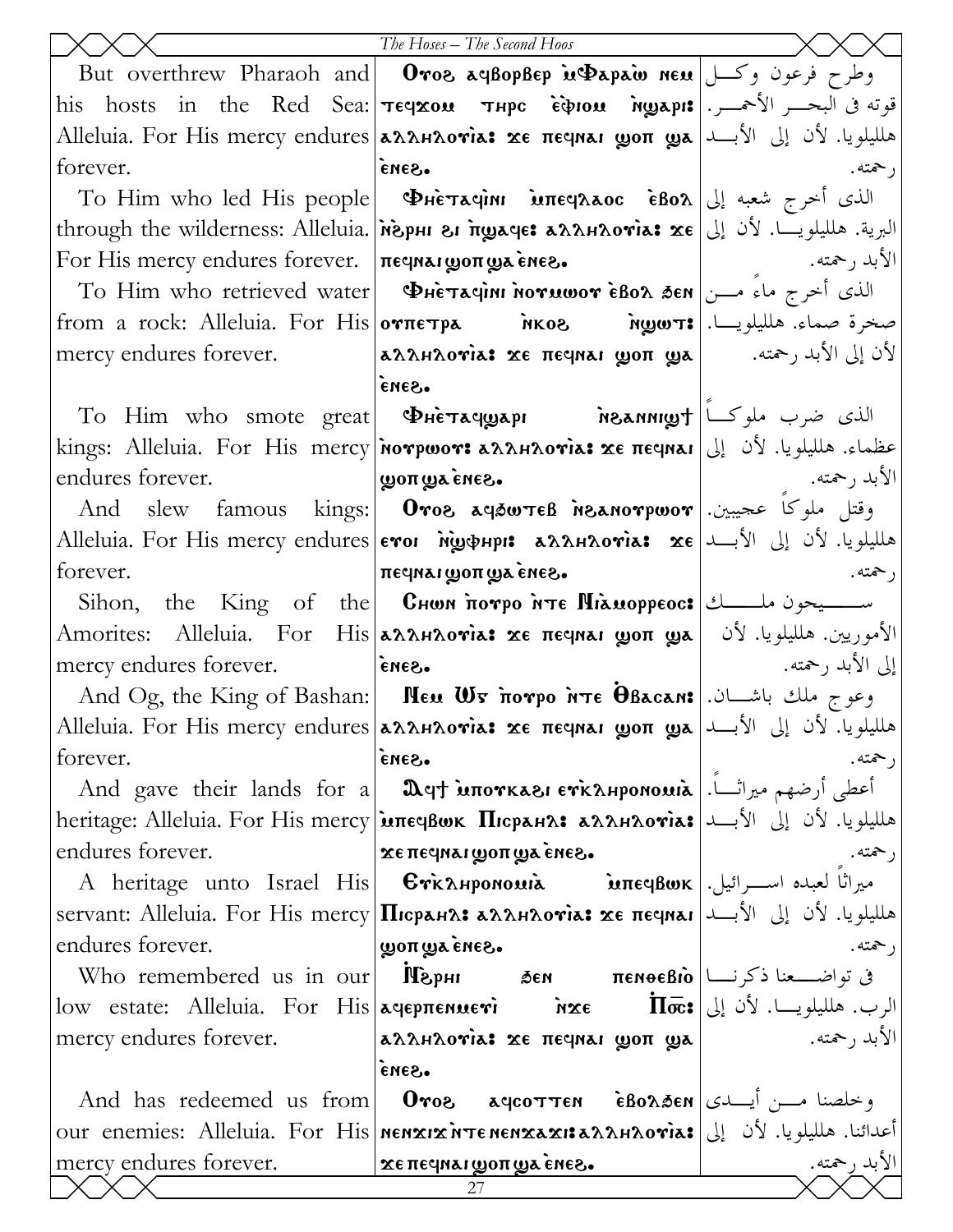|                                                                                                                                               | The Hoses - The Second Hoos                                                                                                                                          |                  |
|-----------------------------------------------------------------------------------------------------------------------------------------------|----------------------------------------------------------------------------------------------------------------------------------------------------------------------|------------------|
|                                                                                                                                               | But overthrew Pharaoh and <b>Oros ayBopBep is Dapaio neu</b> وطرح فرعون وكسل                                                                                         |                  |
|                                                                                                                                               | his hosts in the Red Sea: <b>Teqxou Thpc Eipiou ngapi:</b> الجمسر الأحمسر. his hosts in the Red Sea: <b>Teqxou Thpc Eipiou</b>                                       |                  |
|                                                                                                                                               | هلليلويا. لأن إلى الأبـــد  Alleluia. For His mercy endures אطليلويا. لأن إلى الأبـــد Alleluia. For                                                                 |                  |
| forever.                                                                                                                                      | enes.                                                                                                                                                                | , حمته.          |
|                                                                                                                                               | To Him who led His people   ΦHετλιμπι Μπειλλος εδολ   بالذي أخرج شعبه إلى                                                                                            |                  |
|                                                                                                                                               | through the wilderness: Alleluia. <i> พ</i> ้อpн & mgaqe: аллнлотіа: xe  إلى التبرية. هلليلويـــا. لأن إلى                                                           |                  |
| For His mercy endures forever.   печная доп да енег.                                                                                          |                                                                                                                                                                      | الأبد , حمته.    |
|                                                                                                                                               | To Him who retrieved water <b>DHETAUINI NOYUWOY EBOA SEN</b> الذى أخرج ماء مـــن                                                                                     |                  |
|                                                                                                                                               |                                                                                                                                                                      |                  |
| mercy endures forever.                                                                                                                        | إذن إلى الأبد رحمته.       aλλΗλογίa: xe πεςμαι goπ gya                                                                                                              |                  |
|                                                                                                                                               | .Gana                                                                                                                                                                |                  |
|                                                                                                                                               | To Him who smote great <b>PHETAqwAPI</b> notannigh than who smote great                                                                                              |                  |
|                                                                                                                                               | عظماء. هلليلويا. لأن إلى  kings: Alleluia. For His mercy พorpwor: منظماء. هلليلويا. لأن إلى                                                                          |                  |
| endures forever.<br>$\sim$ 3 παιτικά με τη συμβουασία με τη συμβουασία και της περιοχής της περιοχής της περιοχής της περιοχής περιοχής της π |                                                                                                                                                                      | الأبد رحمته.     |
|                                                                                                                                               | And slew famous kings: <b>Oros ayšwteß insanorpwor</b> . وقتل ملوكا عجيبين                                                                                           |                  |
|                                                                                                                                               | هلليلويا. لأن إلى الأبـــد  Alleluia. For His mercy endures єтої м̀ழфнрі: مطليلويا. لأن إلى الأبـــد                                                                 |                  |
| forever.                                                                                                                                      | ι πες με του πωα τη Περι                                                                                                                                             | , حمته.          |
|                                                                                                                                               | Sihon, the King of the <b>Choon norpo inte Hiamoppeoc:</b> ســــــيحون ملـــــــــك Sihon, the King of the $\theta$                                                  |                  |
|                                                                                                                                               | Amorites: Alleluia. For His <b> aλλΗλονὶa: xe πεςιναι ωρπ ωλ  </b> ألأموريين. هلليلويا. لأن <b> </b>                                                                 |                  |
| mercy endures forever.                                                                                                                        | .Sana                                                                                                                                                                | إلى الأبد رحمته. |
|                                                                                                                                               | And Og, the King of Bashan: <b>  Neu Us norpo NTE OBacan:</b>   اوعوج ملك باشــان.                                                                                   |                  |
|                                                                                                                                               | Alleluia. For His mercy endures <b> aλληλογὶa: xe πεqnaı ωσπ ω  ال</b> جلويا. لأن إلى الأبـــد Alleluia. For His mercy endures   <b>aλληλογὶa: xe πεqnaı ωσπ ω  </b> |                  |
| forever.                                                                                                                                      | .Gana                                                                                                                                                                | , حمته.          |
|                                                                                                                                               | And gave their lands for a   Ωqt мпотказь стканрономы   أعطى أرضهم ميراثــاً.                                                                                        |                  |
|                                                                                                                                               | heritage: Alleluia. For His mercy μπες βωκ Πισρειήλ: ελληλονίε: بالى الأبــد   heritage: Αlleluia. For His mercy                                                     |                  |
| endures forever.                                                                                                                              | · Saná awoπ mow τα Free.                                                                                                                                             | رحمته.           |
|                                                                                                                                               | A heritage unto Israel His   Εγκληροποιιλ   .اســرائيل A heritage unto Israel His   Εγκληροποιιλ                                                                     |                  |
| endures forever.                                                                                                                              | هلليلويا. لأن إلى الأبـــد  servant: Alleluia. For His mercy Пюрана: مطليلويا. لأن إلى الأبـــد                                                                      | , حمته.          |
|                                                                                                                                               | -Saná au proul                                                                                                                                                       |                  |
|                                                                                                                                               | low estate: Alleluia. For His لوب. هلليلويـــا. لأن إلى ا $\bar{\mathbf{w}}$ estate: Alleluia. For His مرب. هلليلويـــا. لأن إلى                                     |                  |
| mercy endures forever.                                                                                                                        | $\alpha$ λληλονία: χε πεγιαι ψοπ ψα                                                                                                                                  | الأبد , حمته.    |
|                                                                                                                                               | ·Gana                                                                                                                                                                |                  |
|                                                                                                                                               | And has redeemed us from <b>Oros agcotten e</b> Bo $\lambda$ gen <b>c</b> $\frac{1}{2}$ and has redeemed us from <b>Oros</b>                                         |                  |
|                                                                                                                                               | our enemies: Alleluia. For His nenxıxiv=nenxaxı:aλληλονia: والدائنا. هلليلويا. لأن إلى                                                                               |                  |
| mercy endures forever.                                                                                                                        | <i>κε πε</i> μαι χροπ χράτες.                                                                                                                                        | الأبد رحمته.     |
|                                                                                                                                               | 27                                                                                                                                                                   |                  |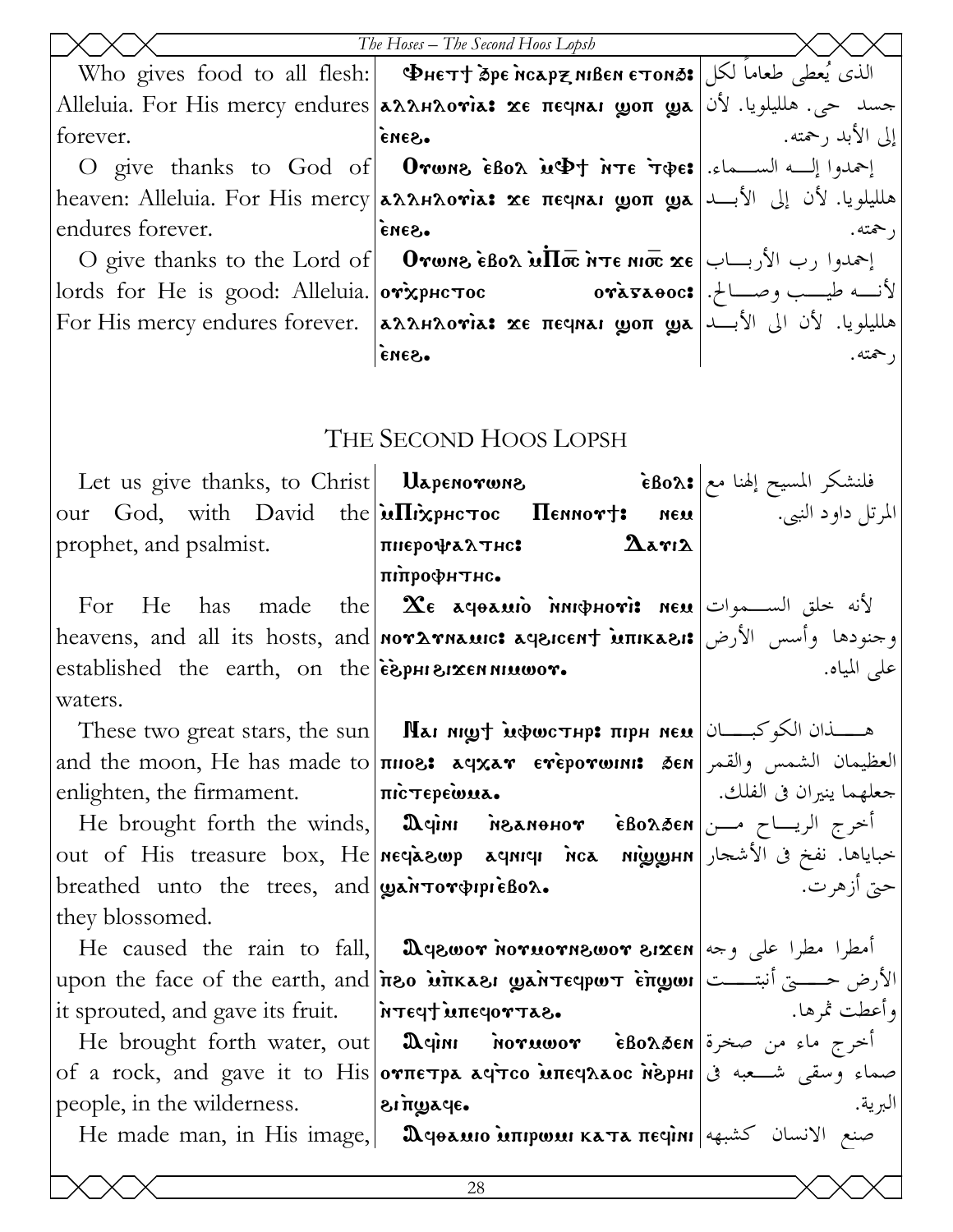|                                                                                                              | The Hoses - The Second Hoos Lopsh                                                                                                                                                                                                                                                                                                                                             |                    |
|--------------------------------------------------------------------------------------------------------------|-------------------------------------------------------------------------------------------------------------------------------------------------------------------------------------------------------------------------------------------------------------------------------------------------------------------------------------------------------------------------------|--------------------|
|                                                                                                              | Who gives food to all flesh: <b>  Фнет† бре нсари ивен етоноз:  </b> الذي يُعطى طعاماً لكل                                                                                                                                                                                                                                                                                    |                    |
|                                                                                                              | جسد حي. هلليلويا. لأن Alleluia. For His mercy endures סאמאמאו κε πεςμειτία. For His mercy endures                                                                                                                                                                                                                                                                             |                    |
| forever.                                                                                                     | eues.                                                                                                                                                                                                                                                                                                                                                                         | إلى الأبد , حمته.  |
|                                                                                                              | O give thanks to God of <b>Orwns εδολ μΦ† nτε τφε:</b> إحمدوا إلــه الســـماء.                                                                                                                                                                                                                                                                                                |                    |
|                                                                                                              | heaven: Alleluia. For His mercy <b>aλληλονία: xe πεqnaı ωοπ ωa</b> علليلويا. لأن إلى الأبــد aللجمعات heaven: Alleluia. For His mercy <b>aλληλονία: xe πεqnaı ωοπ ωa</b>                                                                                                                                                                                                      |                    |
| endures forever.                                                                                             | •Gana                                                                                                                                                                                                                                                                                                                                                                         | ر حمته.            |
|                                                                                                              | O give thanks to the Lord of     Orwns εδολ μΠσ Ντε Νιστ xe  إحمدوا رب الأربـــاب                                                                                                                                                                                                                                                                                             |                    |
|                                                                                                              | $\text{ords for He is good: Alleluia.}   \text{or} \text{x} \text{p} \text{h} \text{c} \text{or}$ أنــه طيــب وصـــالح.                                                                                                                                                                                                                                                       |                    |
|                                                                                                              | For His mercy endures forever. [AAAHAOVIA: xe печная доп дл  الأبد  الأباسويا. لأن الى الأبسد                                                                                                                                                                                                                                                                                 |                    |
|                                                                                                              | ·Sana                                                                                                                                                                                                                                                                                                                                                                         | , حمته.            |
|                                                                                                              |                                                                                                                                                                                                                                                                                                                                                                               |                    |
|                                                                                                              |                                                                                                                                                                                                                                                                                                                                                                               |                    |
|                                                                                                              | THE SECOND HOOS LOPSH                                                                                                                                                                                                                                                                                                                                                         |                    |
|                                                                                                              |                                                                                                                                                                                                                                                                                                                                                                               |                    |
|                                                                                                              | our God, with David the $\hat{\mathbf{u}}$ $\hat{\mathbf{u}}$ $\hat{\mathbf{v}}$ $\hat{\mathbf{v}}$ $\hat{\mathbf{v}}$ $\hat{\mathbf{v}}$ $\hat{\mathbf{v}}$ $\hat{\mathbf{v}}$ $\hat{\mathbf{v}}$ $\hat{\mathbf{v}}$ $\hat{\mathbf{v}}$ $\hat{\mathbf{v}}$ $\hat{\mathbf{v}}$ $\hat{\mathbf{v}}$ $\hat{\mathbf{v}}$ $\hat{\mathbf{v}}$ $\hat{\mathbf{v}}$ $\hat{\mathbf{v}}$ | المرتل داود النبي. |
| prophet, and psalmist.                                                                                       | $\mathbf{\Delta}$ arı $\mathbf{\Delta}$<br>пперофалтнс:                                                                                                                                                                                                                                                                                                                       |                    |
|                                                                                                              | піпрофитис.                                                                                                                                                                                                                                                                                                                                                                   |                    |
|                                                                                                              | For He has made the <b>Xe ageamo numphoris neu</b> تأنه خلق الســموات   For He has made the                                                                                                                                                                                                                                                                                   |                    |
|                                                                                                              | heavens, and all its hosts, and <mark>noγλγnauc: aqeicent intikaei: و</mark> جنودها وأسس الأرض                                                                                                                                                                                                                                                                                |                    |
| established the earth, on the $\epsilon$ $\epsilon$ $\epsilon$ $\mu$ $\alpha$ $\alpha$ $\mu$                 |                                                                                                                                                                                                                                                                                                                                                                               | على المياه.        |
| waters.                                                                                                      |                                                                                                                                                                                                                                                                                                                                                                               |                    |
|                                                                                                              | These two great stars, the sun <b>Mai night inducting: при нем</b> $ \psi(x) $                                                                                                                                                                                                                                                                                                |                    |
|                                                                                                              | and the moon, He has made to <b>nios: aqxav eveporwini: 3en</b> Jean (العظيمان الشمس والقمر                                                                                                                                                                                                                                                                                   |                    |
|                                                                                                              | enlighten, the firmament. $ \text{ncrep}$ eiwua. $ \text{ncrep}$ and $ \text{red} \rangle$ .                                                                                                                                                                                                                                                                                  |                    |
|                                                                                                              | He brought forth the winds, $\vert$ Дери пельенот ѐволбем $\vert$ المحرج الريساح مــن                                                                                                                                                                                                                                                                                         |                    |
|                                                                                                              | out of His treasure box, He neclasure acuncu niggunn   التحباياها. نفخ في الأشجار                                                                                                                                                                                                                                                                                             |                    |
| breathed unto the trees, and $\alpha$ is interpresent.                                                       |                                                                                                                                                                                                                                                                                                                                                                               | حتي أزهرت.         |
| they blossomed.                                                                                              |                                                                                                                                                                                                                                                                                                                                                                               |                    |
|                                                                                                              | He caused the rain to fall, <b>D</b> egwor norwornswor sixen as $e^{\pm i}$ and $e^{\pm i}$                                                                                                                                                                                                                                                                                   |                    |
|                                                                                                              | upon the face of the earth, and <i>וֹאֹם וֹאָאπκאוּ wan</i> reqpw וֹצ <i>וֹפֹם حــــــــى أنبتــــــــــــــــــ</i>                                                                                                                                                                                                                                                          |                    |
| it sprouted, and gave its fruit. Freely intersetable                                                         |                                                                                                                                                                                                                                                                                                                                                                               | [وأعطت ثمرها.      |
|                                                                                                              | He brought forth water, out <b>Demini noruwor</b> eBo $\lambda$ øen is and it is it is it it is $\lambda$                                                                                                                                                                                                                                                                     |                    |
|                                                                                                              | of a rock, and gave it to His <b>oνπετρα αφτοο inteqλaoc nephi</b> s                                                                                                                                                                                                                                                                                                          |                    |
| people, in the wilderness. $\vert$ $\delta$ $\mathbf{r}$ $\mathbf{w}$ $\mathbf{w}$ $\mathbf{w}$ $\mathbf{w}$ |                                                                                                                                                                                                                                                                                                                                                                               | البرية.            |
|                                                                                                              |                                                                                                                                                                                                                                                                                                                                                                               |                    |
|                                                                                                              |                                                                                                                                                                                                                                                                                                                                                                               |                    |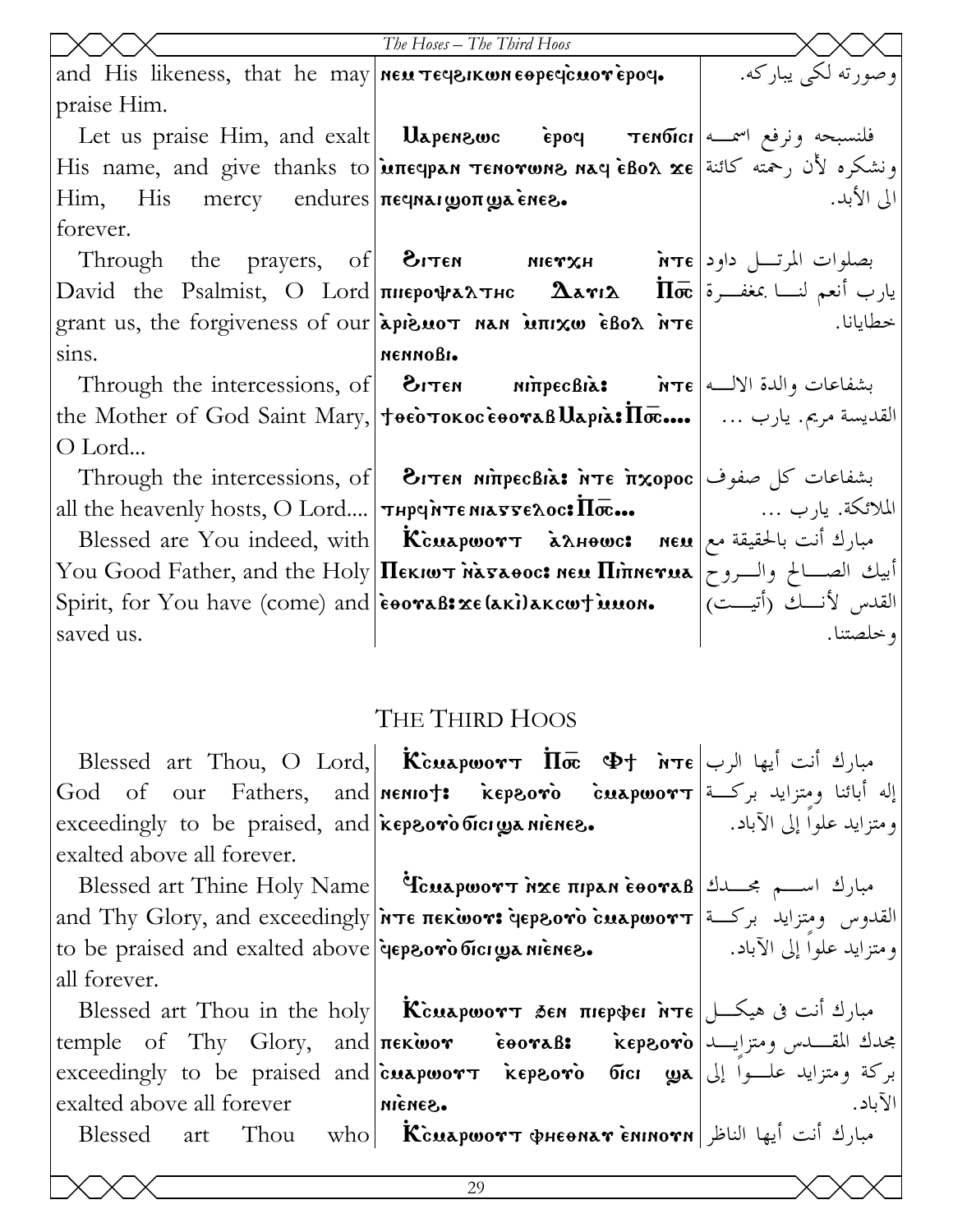|                                                                          | The Hoses - The Third Hoos                                                                                                                                                        |                    |
|--------------------------------------------------------------------------|-----------------------------------------------------------------------------------------------------------------------------------------------------------------------------------|--------------------|
| and His likeness, that he may new $\tau$ ey on $\epsilon$ apeycuove poy. |                                                                                                                                                                                   | وصورته لکي پيارکه. |
| praise Him.                                                              |                                                                                                                                                                                   |                    |
|                                                                          | Let us praise Him, and exalt <b>Uapenzwc epoq Tenoici</b> $\alpha$ <sup>u</sup> ونرفع اسمعه ونرفع اسمعه                                                                           |                    |
|                                                                          | ونشكره لأن رحمته كائنة His name, and give thanks to μπεψρι τενονωνε νια ερολ χε                                                                                                   |                    |
| Him, His mercy endures πεγναιωσπωλένες.                                  |                                                                                                                                                                                   | الى الأبد.         |
| forever.                                                                 |                                                                                                                                                                                   |                    |
|                                                                          | Through the prayers, of $\text{O}-\text{O}$ אזדו $\text{O}-\text{O}$ את Through the prayers, of                                                                                   |                    |
|                                                                          | David the Psalmist, O Lord <b>пнерофалтис <math>\Delta</math>аті<math>\Delta</math> Пос</b> المعلمة                                                                               |                    |
|                                                                          | grant us, the forgiveness of our $\alpha$ is not nan intervalue $\alpha$ inte                                                                                                     | خطايانا.           |
| sins.                                                                    | меммовь.                                                                                                                                                                          |                    |
|                                                                          |                                                                                                                                                                                   |                    |
|                                                                          |                                                                                                                                                                                   |                    |
| O Lord                                                                   |                                                                                                                                                                                   |                    |
|                                                                          |                                                                                                                                                                                   |                    |
|                                                                          | all the heavenly hosts, O Lord   $\tau$ $\pi$ $\sigma$ $\alpha$ $\sigma$ $\pi$ $\sigma$ $\alpha$ $\sigma$ $\alpha$ $\sigma$ $\alpha$ $\sigma$ $\alpha$ $\sigma$ $\alpha$ $\sigma$ |                    |
|                                                                          | Blessed are You indeed, with   Ксилроотт $\lambda$ лнөшс: мем   مبارك أنت بالحقيقة مع                                                                                             |                    |
|                                                                          | You Good Father, and the Holy <b> Пекішт натавос: нем Піпнетма</b>  والسروح   You Good Father, and the Holy                                                                       |                    |
|                                                                          | Spirit, for You have (come) and  eooraB: xe(aki)akcw†iunon.   (القدس لأنسك (أتيست)                                                                                                |                    |
| saved us.                                                                |                                                                                                                                                                                   | و خلصتنا.          |
|                                                                          |                                                                                                                                                                                   |                    |
|                                                                          |                                                                                                                                                                                   |                    |
|                                                                          | THE THIRD HOOS                                                                                                                                                                    |                    |
|                                                                          | Blessed art Thou, O Lord, Kcuapwort $\overline{\text{II}\bar{\sigma}}$ $\Phi$ t $\overline{\text{I}\bar{\sigma}}$ $\Phi$ t $\overline{\text{I}\bar{\sigma}}$ $\Phi$               |                    |
|                                                                          | God of our Fathers, and <b>nemo†: kepsoro cuapwor</b> $\tau$ اإله أبائنا ومتزايد بركــة                                                                                           |                    |
|                                                                          | exceedingly to be praised, and keprovo biciga nienes. [3] exceedingly to be praised, and keprovo biciga nienes                                                                    |                    |
| exalted above all forever.                                               |                                                                                                                                                                                   |                    |
|                                                                          | Blessed art Thine Holy Name   icuapwort NXE HIPAN EOOTAB   المبارك اسم بحسدك                                                                                                      |                    |
|                                                                          | and Thy Glory, and exceedingly <i>אד</i> ו (and Thy Glory, and exceedingly in e πεκωονι depsovo cuapwort                                                                          |                    |
|                                                                          | to be praised and exalted above   depsoro bicrya nienes. [1] [1] to be praised and exalted above                                                                                  |                    |
| all forever.                                                             |                                                                                                                                                                                   |                    |
|                                                                          | Blessed art Thou in the holy <b>Kcuapwort δεν πιερφει nτε</b> مبارك أنت فى هيكـــل                                                                                                |                    |
|                                                                          |                                                                                                                                                                                   |                    |
|                                                                          |                                                                                                                                                                                   |                    |
| exalted above all forever nienes.                                        |                                                                                                                                                                                   | الآياد.            |

Thou who  $\overline{\textbf{K}}$ cuapwort фнеемат с̀миюти الناظر  $\overline{\textbf{K}}$ 

Blessed

art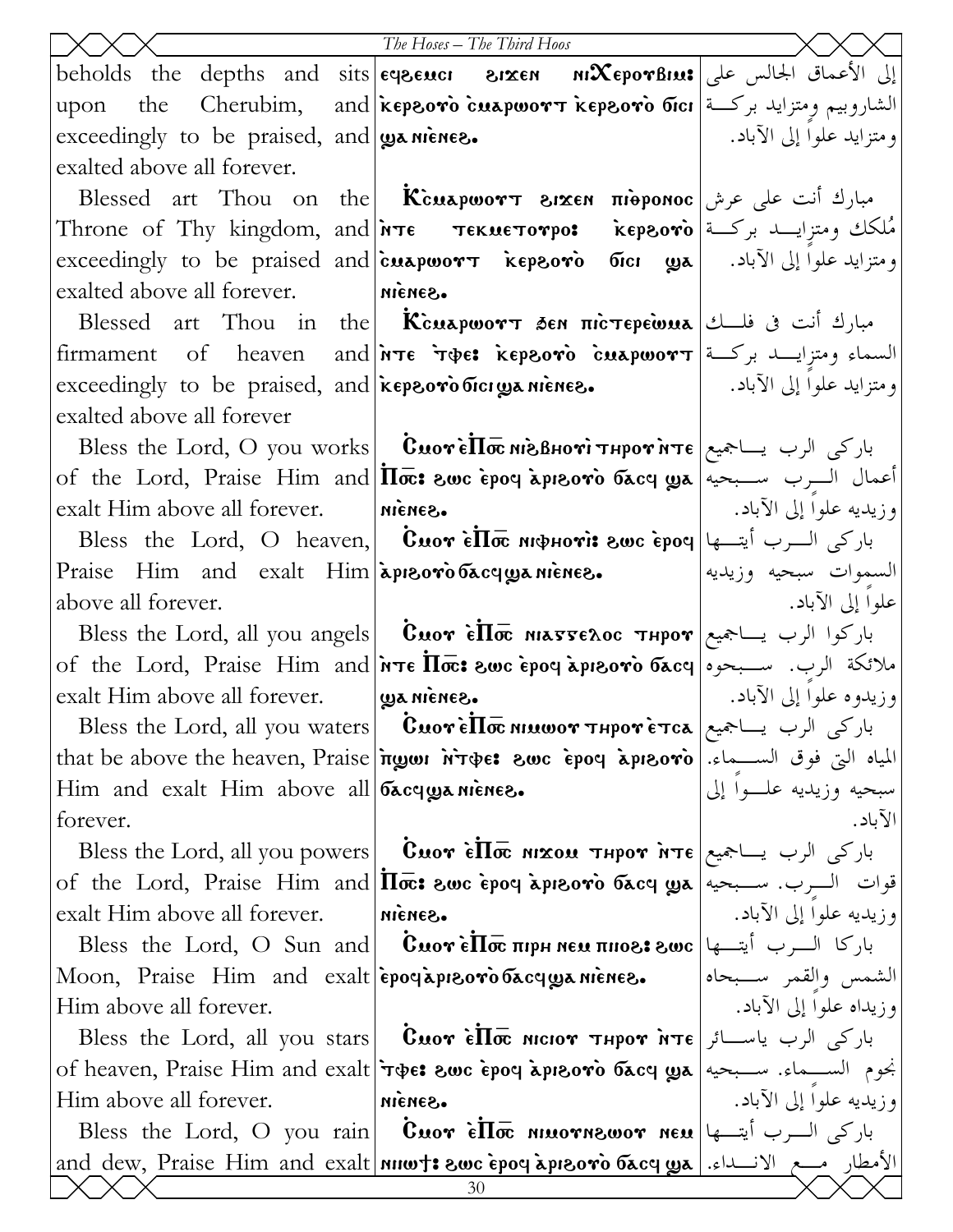|                                                        | The Hoses - The Third Hoos                                                                                                                                                                                                                                                                                                                   |                           |
|--------------------------------------------------------|----------------------------------------------------------------------------------------------------------------------------------------------------------------------------------------------------------------------------------------------------------------------------------------------------------------------------------------------|---------------------------|
|                                                        | beholds the depths and sits eqecuci 81xen $n\mathcal{X}$ eporBius site it is beholds the depths and sits eqecuci                                                                                                                                                                                                                             |                           |
| upon                                                   | the Cherubim, and ikepsoro cuapwor $\bm{\tau}$ kepsoro bici الشاروبيم ومتزايد بركــة                                                                                                                                                                                                                                                         |                           |
| exceedingly to be praised, and $\cos$ nienes.          |                                                                                                                                                                                                                                                                                                                                              | ومتزايد علوا إلى الآباد.  |
| exalted above all forever.                             |                                                                                                                                                                                                                                                                                                                                              |                           |
|                                                        | Blessed art Thou on the <b>Kcuapwort 81xen nieponoc</b> مبارك أنت على عرش                                                                                                                                                                                                                                                                    |                           |
|                                                        | Throne of Thy kingdom, and <b>א</b> דו <b>Tekue¬orpo:     kepsoro</b> المملكك ومتزايـــد بركــة                                                                                                                                                                                                                                              |                           |
|                                                        | exceedingly to be praised and cuapwor $\tau$ kepsoro fici ya [1] exceedingly to be praised and cuapwor $\tau$ kepsoro fici                                                                                                                                                                                                                   |                           |
| exalted above all forever. Michea.                     |                                                                                                                                                                                                                                                                                                                                              |                           |
|                                                        | Blessed art Thou in the <b>Kcuapwort Sen mic Tepewua</b> $\exists$ and $\exists$ in the $\exists$ $\forall$ in the $\exists$ or $\exists$ or $\exists$ or $\exists$ or $\exists$ or $\exists$ or $\exists$ or $\exists$ or $\exists$ or $\exists$ or $\exists$ or $\exists$ or $\exists$ or $\exists$ or $\exists$ or $\exists$ or $\exists$ |                           |
|                                                        | السماء ومتزايـــد بركــة firmament of heaven and พระ ร���: kepsoro cuapwors                                                                                                                                                                                                                                                                  |                           |
|                                                        | exceedingly to be praised, and Esprovio bicrya nienes. [13] الآباد. [13] exceedingly to be praised, and                                                                                                                                                                                                                                      |                           |
| exalted above all forever                              |                                                                                                                                                                                                                                                                                                                                              |                           |
|                                                        | Bless the Lord, O you works   CuoreПостеноти тнротите   باركى الرب يساجميع                                                                                                                                                                                                                                                                   |                           |
|                                                        | of the Lord, Praise Him and $ \overline{\text{In}\bar{\text{ce}}}$ : محيه التسبحيه ) of the Lord, Praise Him and $ \overline{\text{In}\bar{\text{ce}}}$ : والمعه                                                                                                                                                                             |                           |
| $\alpha$ exalt Him above all forever. $\alpha$ nienes. |                                                                                                                                                                                                                                                                                                                                              | وزيديه علوا إلى الآباد. ١ |
|                                                        | Bless the Lord, O heaven, <i>Cuor</i> $\epsilon \overline{\text{II}\bar{\text{oc}}}$ мфноті: гос ероч $ $ ابارکی السرب أيتسها                                                                                                                                                                                                                |                           |
| Praise Him and exalt Him apreoro bacquanience.         |                                                                                                                                                                                                                                                                                                                                              | السموات سبحيه وزيديه      |
| above all forever.                                     |                                                                                                                                                                                                                                                                                                                                              | علوا إلى الآباد.          |
|                                                        | Bless the Lord, all you angels <b>  Cuor èllo niasseloc тнрот</b>  باركوا الرب يساجميع                                                                                                                                                                                                                                                       |                           |
|                                                        | of the Lord, Praise Him and <i>i</i> rre <i>IIo</i> c: swc epoq apisoro bacq   ملائكة الرب. سبحوه                                                                                                                                                                                                                                            |                           |
| exalt Him above all forever. $\log a$ nienes.          |                                                                                                                                                                                                                                                                                                                                              | وزيدوه علوا إلى الآباد.   |
|                                                        | Bless the Lord, all you waters <b>  Cuorello nuwor тнротетса</b>   باركى الرب يساجميع                                                                                                                                                                                                                                                        |                           |
|                                                        | that be above the heaven, Praise <b> πωωι หา++ e: المياه التي فوق الســـماء. [that be above the heaven, Praise</b>                                                                                                                                                                                                                           |                           |
| Him and exalt Him above all $\alpha$ acquainlence.     |                                                                                                                                                                                                                                                                                                                                              | سبحيه وزيديه علسوا إلى    |
| forever.                                               |                                                                                                                                                                                                                                                                                                                                              | الآباد.                   |
|                                                        | Bless the Lord, all you powers <b>  Cuor èllo nixou тнрот ите</b> مجميع <b>  Bless the Lord, all you powers   Cuor èllo nixou тнрот ите</b>                                                                                                                                                                                                  |                           |
|                                                        | of the Lord, Praise Him and $ \overline{\Pi} \overline{\varpi}$ : swc epoq apisovo oacq ga مسبحيه $ \mathbf{x} $                                                                                                                                                                                                                             |                           |
| exalt Him above all forever.                           | Sanain                                                                                                                                                                                                                                                                                                                                       | وزيديه علوا إلى الآباد.   |
|                                                        | Bless the Lord, O Sun and   Cuor $\epsilon \Pi \bar{\varpi}$ прн нем пного всло   باركا السرب أيتسها                                                                                                                                                                                                                                         |                           |
|                                                        | Moon, Praise Him and exalt epocapporo bacqwanienes. الشمس والقمر سبحاه                                                                                                                                                                                                                                                                       |                           |
| Him above all forever.                                 |                                                                                                                                                                                                                                                                                                                                              | وزيداه علواً إلى الآباد.  |
|                                                        | Bless the Lord, all you stars <b>  Cuor èllo nicior тнрот ите</b> باركى الرب ياســائر   Bless the Lord, all you stars                                                                                                                                                                                                                        |                           |
|                                                        | of heaven, Praise Him and exalt (700: 800 èpoq apisovò басq ya  سسماء. سـبحيه   of heaven, Praise Him and exalt                                                                                                                                                                                                                              |                           |
| Him above all forever.                                 | S <sub>3</sub> N <sub>3</sub> IN                                                                                                                                                                                                                                                                                                             | وزيديه علوا إلى الآباد.   |
|                                                        | Bless the Lord, O you rain <b>Cuor Elloc niuovnewor neu</b> باركى السرب أيتسها   Bless the Lord, O you rain                                                                                                                                                                                                                                  |                           |
|                                                        | <u>and dew, Praise Him and exalt nuwt: swc epoq apisovo bacq ya   الأمطار مسع الانسداء. [عدم الله عن الله المستر</u>                                                                                                                                                                                                                         |                           |
|                                                        | 30                                                                                                                                                                                                                                                                                                                                           |                           |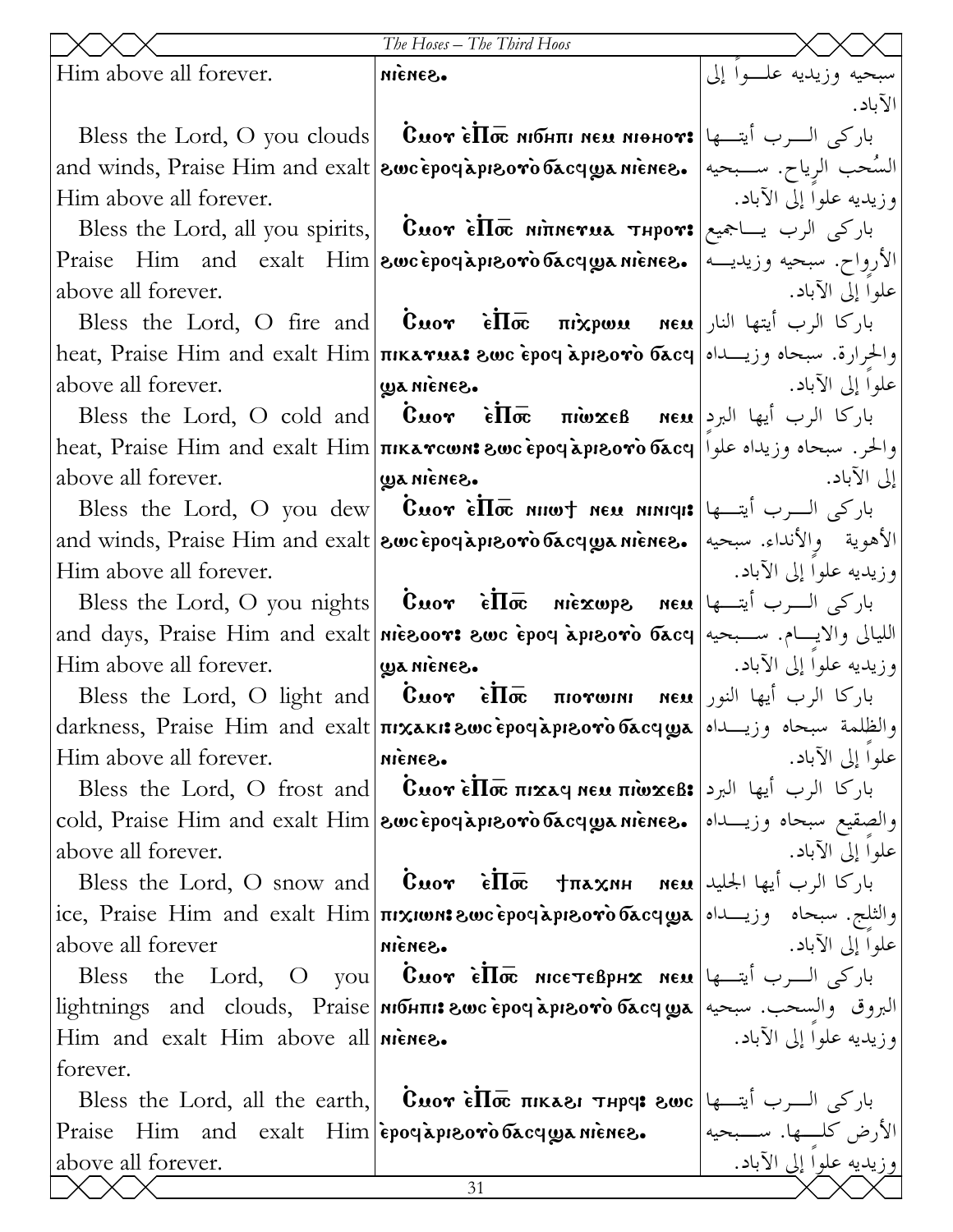|                                     | The Hoses - The Third Hoos                                                                                                                                                |                         |
|-------------------------------------|---------------------------------------------------------------------------------------------------------------------------------------------------------------------------|-------------------------|
| Him above all forever.              | S <sub>3</sub> N <sub>3</sub> IN                                                                                                                                          | سبحيه وزيديه علموا إلى  |
|                                     |                                                                                                                                                                           | الآباد.                 |
|                                     | Bless the Lord, O you clouds <b>  Смот є̀П</b> ос мібни мем міонот: باركي السرب أيتسها                                                                                    |                         |
|                                     | and winds, Praise Him and exalt  <b>&amp;wc epoclapi&amp;ovo бассуда міенег.</b> السَّحب الرياح. سـبحيه  and winds, Praise Him and exalt                                  |                         |
| Him above all forever.              |                                                                                                                                                                           | وزيديه علوا إلى الآباد. |
|                                     | Bless the Lord, all you spirits,   Cuor Elloc Minerua Thpor: باركى الرب يساجميع                                                                                           |                         |
|                                     | الأرواح. سبحيه وزيديــه  .Praise Him and exalt Him  <b>zwc̀epoq̀apızoròбacqyaniènes</b>                                                                                   |                         |
| above all forever.                  |                                                                                                                                                                           | علوا إلى الآباد.        |
|                                     | Bless the Lord, O fire and <b>Cuor</b> $\hat{\epsilon} \overline{\Pi} \overline{\sigma}$ <b>nixpws neu</b> باركا الرب أيتها النار                                         |                         |
|                                     | heat, Praise Him and exalt Him πικαγμα: والحرارة. سبحاه وزيـــداه  heat, Praise Him and exalt Him πικαγμα: و                                                              |                         |
| above all forever.                  | ·Sanana ay                                                                                                                                                                | علوا إلى الآباد.        |
|                                     | Bless the Lord, O cold and $\cos \theta$ $\sin \theta$ $\cos \theta$ $\sin \theta$ $\cos \theta$ $\sin \theta$ $\sin \theta$ $\cos \theta$                                |                         |
|                                     | heat, Praise Him and exalt Him πικαγοωνι εως εροφλριεογο δας   والحر. سبحاه وزيداه علوا                                                                                   |                         |
| above all forever.                  | ·Sanain aw                                                                                                                                                                | إلى الآباد.             |
|                                     | Bless the Lord, O you dew <b>Cuor ello numely new numers</b> $ \psi - \psi $                                                                                              |                         |
|                                     | and winds, Praise Him and exalt 800cepoc aprovo bacqyanienes. الأهوية والأنداء. سبحيه   and winds, Praise Him and exalt                                                   |                         |
| Him above all forever.              |                                                                                                                                                                           | وزيديه علوا إلى الآباد. |
|                                     | Bless the Lord, O you nights <b>Cuor</b> $\hat{\epsilon} \overline{\Pi} \overline{\sigma}$ niexwps neu باركى السرب أيتسها ا                                               |                         |
|                                     | and days, Praise Him and exalt niesoor: swc epoq aprsoro басq سليالى والايسام. ســبحيه                                                                                    |                         |
| Him above all forever.              | .Sanain aw                                                                                                                                                                | وزيديه علوا إلى الآباد. |
|                                     | Bless the Lord, O light and <b>Cuor</b> $\vec{\epsilon} \Pi \bar{\vec{\alpha}}$ <b>morwini neu</b> باركا الرب أيها النور                                                  |                         |
|                                     | والظلمة سبحاه وزيـــداه معرام darkness, Praise Him and exalt πιχικι: والظلمة سبحاه وزيـــداه معرا                                                                         |                         |
| Him above all forever.              | ·Sanain                                                                                                                                                                   | علوا إلى الآباد.        |
|                                     | Bless the Lord, O frost and <b>Cuor ello nixay neu niwxeß:</b> باركا الرب أيها البرد                                                                                      |                         |
|                                     | cold, Praise Him and exalt Him awcepoqapreoro bacquanienee. [مالصقيع سبحاه وزيــــداه ]                                                                                   | علوا إلى الآباد.        |
| above all forever.                  | Bless the Lord, O snow and <b>Cuor</b> $\vec{\epsilon} \cdot \vec{\ln} \cdot \vec{\sigma}$ $\vec{\pi} \cdot \vec{\pi}$ $\vec{\pi} \cdot \vec{\pi}$ باركا الرب أيها الجليد |                         |
|                                     |                                                                                                                                                                           |                         |
| above all forever                   | ice, Praise Him and exalt Him <mark>πιχιωνι εως εροφλριεονο δλcqωλ</mark>   والثلج. سبحاه وزيـــداه   مع<br>·Sanain                                                       | علوا إلى الآباد.        |
|                                     | Bless the Lord, O you <b>Cuor elloc MiceTeBphx Neu</b>                                                                                                                    |                         |
|                                     | البروق والسحب. سبحيه   lightnings and clouds, Praise   MIOHTII: 8wc ερο appe oro σεσα με   سبحيه   and clouds,                                                            |                         |
| Him and exalt Him above all nienes. |                                                                                                                                                                           | وزيديه علوا إلى الآباد. |
| forever.                            |                                                                                                                                                                           |                         |
|                                     | Bless the Lord, all the earth, <b>Cuor ello mikasi Thpes swc</b> $ \psi - \psi $ where $\psi$                                                                             |                         |
|                                     | Praise Him and exalt Him epociapiesoro bacques niènes. الأرض كلَّــها. سبحيه                                                                                              |                         |
| above all forever.                  |                                                                                                                                                                           | وزيديه علوا إلى الآباد. |
|                                     | 31                                                                                                                                                                        |                         |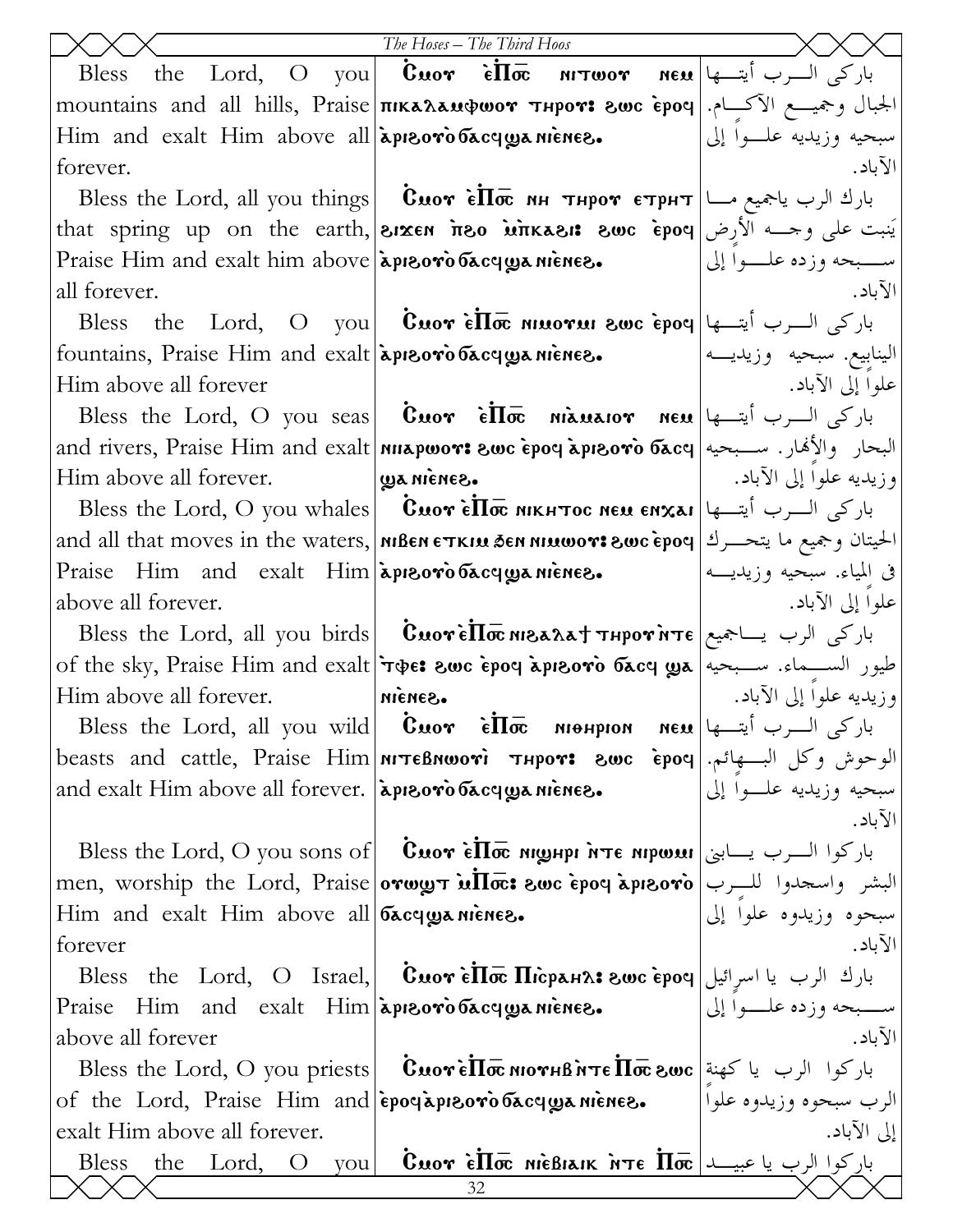|                                                                                        | The Hoses - The Third Hoos                                                                                                                                                                                                                                                                                                                                                                          |                             |
|----------------------------------------------------------------------------------------|-----------------------------------------------------------------------------------------------------------------------------------------------------------------------------------------------------------------------------------------------------------------------------------------------------------------------------------------------------------------------------------------------------|-----------------------------|
|                                                                                        | Bless the Lord, O you <b>Cuor et look</b> $\mathbf{u}$ $\mathbf{v}$ $\mathbf{v}$ $\mathbf{v}$ $\mathbf{v}$ $\mathbf{v}$ $\mathbf{v}$ $\mathbf{v}$ $\mathbf{v}$                                                                                                                                                                                                                                      |                             |
|                                                                                        | mountains and all hills, Praise πικαλαμφωον τμρον: الجبال وجميـــع الآكـــام.                                                                                                                                                                                                                                                                                                                       |                             |
| Him and exalt Him above all apieoro bacquanience.                                      |                                                                                                                                                                                                                                                                                                                                                                                                     | سبحيه وزيديه علــوا إلى     |
| forever.                                                                               |                                                                                                                                                                                                                                                                                                                                                                                                     | الآباد.                     |
|                                                                                        | Bless the Lord, all you things   Смот ѐ $\overline{\text{h\}}$ بارك الرب ياجميع مــا   Вless the Lord, all you things   Смот ѐ $\overline{\text{h\}}$                                                                                                                                                                                                                                               |                             |
|                                                                                        | that spring up on the earth, <b>Sixen free</b> <i>inkasi</i> : swc epoq light spring up on the earth, sixen <b>free</b> <i>inkasi</i> : swc epoq                                                                                                                                                                                                                                                    |                             |
| Praise Him and exalt him above $\alpha$ is preovious $\alpha$ or $\alpha$ is a rience. |                                                                                                                                                                                                                                                                                                                                                                                                     | ســــبحه وزده علــــوا إلى  |
| all forever.                                                                           |                                                                                                                                                                                                                                                                                                                                                                                                     | الآباد.                     |
|                                                                                        | Bless the Lord, O you cero $\mathbf{\hat{e}}$ $\mathbf{\hat{I}}$ $\mathbf{\hat{w}}$ and $\mathbf{\hat{v}}$ and $\mathbf{\hat{v}}$ and $\mathbf{\hat{v}}$ and $\mathbf{\hat{v}}$ and $\mathbf{\hat{v}}$ and $\mathbf{\hat{v}}$ and $\mathbf{\hat{v}}$ and $\mathbf{\hat{v}}$ and $\mathbf{\hat{v}}$ and $\mathbf{\hat{v}}$ and $\mathbf{\hat$                                                        |                             |
|                                                                                        | fountains, Praise Him and exalt apreoro bacqua nienes.                                                                                                                                                                                                                                                                                                                                              | الينابيع. سبحيه وزيديـــه   |
| Him above all forever                                                                  |                                                                                                                                                                                                                                                                                                                                                                                                     | علوا إلى الآباد.            |
|                                                                                        | Bless the Lord, O you seas <b>Cuor</b> $\hat{\epsilon} \Pi \bar{\sigma}$ niauaior neu باركى السرب أيتسها                                                                                                                                                                                                                                                                                            |                             |
|                                                                                        | and rivers, Praise Him and exalt ทนรุดของ: swc epoq apisovo басq البحار والأنهار. سبحيه                                                                                                                                                                                                                                                                                                             |                             |
| Him above all forever.                                                                 | Sanin au                                                                                                                                                                                                                                                                                                                                                                                            | وزيديه علوا إلى الآباد.     |
|                                                                                        | Bless the Lord, O you whales <b>Cuor ello mikhtioc neu enxai</b> ly باركى السرب أيتسها                                                                                                                                                                                                                                                                                                              |                             |
|                                                                                        | and all that moves in the waters,   мівен єткім бен мімшот: الحيتان وجميع ما يتحـــرك   and all that moves in the waters,   мівен єткім бен мімшот:                                                                                                                                                                                                                                                 |                             |
| Praise Him and exalt Him apieoro bacquanience.                                         |                                                                                                                                                                                                                                                                                                                                                                                                     | في المياء. سبحيه وزيديــــه |
| above all forever.                                                                     |                                                                                                                                                                                                                                                                                                                                                                                                     | علوا إلى الآباد.            |
|                                                                                        | Bless the Lord, all you birds <b>  Cuorello MBAAT THPOT NTE</b>                                                                                                                                                                                                                                                                                                                                     |                             |
|                                                                                        | of the sky, Praise Him and exalt (age: swc epoq apisoro $\delta$ acq $\alpha$ a مليور الســماء. ســبحيه   of the sky, Praise Him and exalt                                                                                                                                                                                                                                                          |                             |
| Him above all forever.                                                                 | ·Sanain                                                                                                                                                                                                                                                                                                                                                                                             | وزيديه علوا إلى الآباد.     |
|                                                                                        | Bless the Lord, all you wild <b>Cuor</b> $\dot{\epsilon} \overline{\Pi} \overline{\sigma}$ <b>Midhelic Mexical Mex</b> Pless the Lord, all you wild                                                                                                                                                                                                                                                 |                             |
|                                                                                        | beasts and cattle, Praise Him MTEBNWOTI THPOT: 8WC Epoq   الوحوش وكل البسفجائم.   beasts and cattle, Praise Him                                                                                                                                                                                                                                                                                     |                             |
| and exalt Him above all forever. [apiroro bacqua niènes.                               |                                                                                                                                                                                                                                                                                                                                                                                                     | سبحيه وزيديه علــواً إلى    |
|                                                                                        |                                                                                                                                                                                                                                                                                                                                                                                                     | الآباد.                     |
|                                                                                        | Bless the Lord, O you sons of   Cuor ellow pri nte Mipwau   باركوا السرب يسابني                                                                                                                                                                                                                                                                                                                     |                             |
|                                                                                        | men, worship the Lord, Praise orwy <del>g i ullos:</del> swc epoq apisoro البشر واسحدوا للــــرب<br>Him and exalt Him above all bacqyanienes.                                                                                                                                                                                                                                                       |                             |
| forever                                                                                |                                                                                                                                                                                                                                                                                                                                                                                                     | الآباد.                     |
|                                                                                        | Bless the Lord, O Israel, $\mid$ Cuor è $\overline{\ln}$ $\overline{\ln}$ $\overline{\ln}$ $\overline{\ln}$ $\overline{\ln}$ $\overline{\ln}$ $\overline{\ln}$ $\overline{\ln}$ $\overline{\ln}$ $\overline{\ln}$ $\overline{\ln}$ $\overline{\ln}$ $\overline{\ln}$ $\overline{\ln}$ $\overline{\ln}$ $\overline{\ln}$ $\overline{\ln}$ $\overline{\ln}$ $\overline{\ln}$ $\overline{\ln}$ $\over$ |                             |
|                                                                                        | Praise Him and exalt Him apreoro басуща ніснего.                                                                                                                                                                                                                                                                                                                                                    | ســــبحه وزده علــــوا إلى  |
| above all forever                                                                      |                                                                                                                                                                                                                                                                                                                                                                                                     | الآباد.                     |
|                                                                                        | Bless the Lord, O you priests <b>  CuoreII</b> o MornB NTe $\overline{\text{In}}$ buor $\vert$ كهنة Bless the Lord, O you priests   $\overline{\text{C}}$                                                                                                                                                                                                                                           |                             |
|                                                                                        | of the Lord, Praise Him and epocapie oro bacquanience.                                                                                                                                                                                                                                                                                                                                              | الرب سبحوه وزيدوه علواً     |
| exalt Him above all forever.                                                           |                                                                                                                                                                                                                                                                                                                                                                                                     | إلى الآباد.                 |
| the Lord, O<br><b>Bless</b><br>vou                                                     | $\mathbf C$ י אַ $\mathbf C$ פֿן الرب يا عبيـــد   $\mathbf{\overline{m}}$ זית הואפ $\mathbf{\overline{m}}$ דאס $\mathbf{\overline{r}}$                                                                                                                                                                                                                                                             |                             |
|                                                                                        | 32                                                                                                                                                                                                                                                                                                                                                                                                  |                             |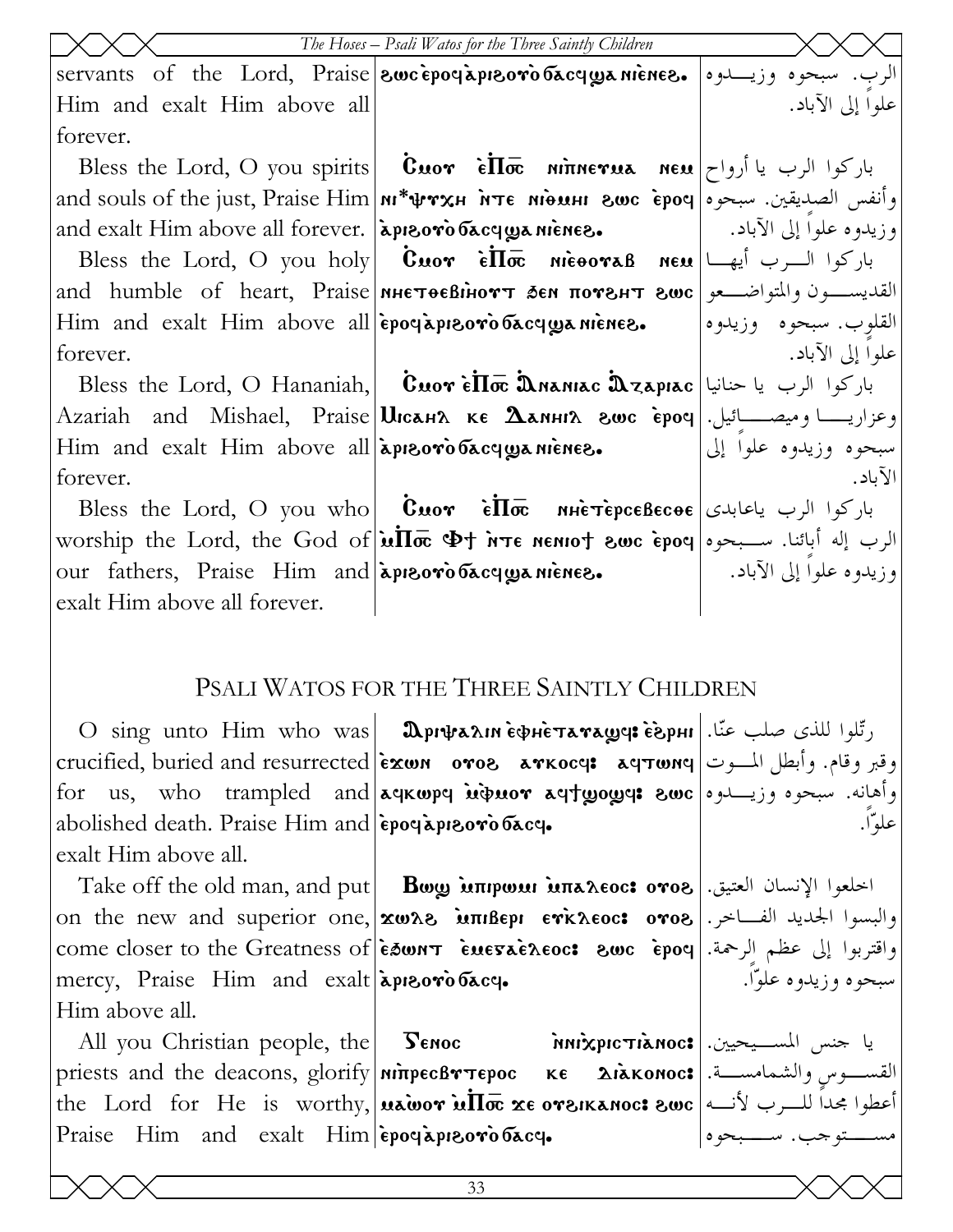|                                                          | The Hoses - Psali Watos for the Three Saintly Children                                                                                                                                                                                               |                         |
|----------------------------------------------------------|------------------------------------------------------------------------------------------------------------------------------------------------------------------------------------------------------------------------------------------------------|-------------------------|
|                                                          | servants of the Lord, Praise <b>Swcepogapisoro bacquanienes.</b> وزيدوه ا                                                                                                                                                                            |                         |
| Him and exalt Him above all                              |                                                                                                                                                                                                                                                      | علوا إلى الآباد.        |
| forever.                                                 |                                                                                                                                                                                                                                                      |                         |
|                                                          | Bless the Lord, O you spirits <b>Cuor</b> $\overrightarrow{e}\overrightarrow{\Pi\varpi}$ ninerua neu باركوا الرب يا أرواح                                                                                                                            |                         |
|                                                          | and souls of the just, Praise Him <b>N*\prxH</b> $\overrightarrow{h}$ $\overrightarrow{r}$ <b>Example 10</b> and souls of the just, Praise Him $\overrightarrow{h}$                                                                                  |                         |
| and exalt Him above all forever. [apisoro bacqua niènes. |                                                                                                                                                                                                                                                      | وزيدوه علوا إلى الآباد. |
|                                                          | Bless the Lord, O you holy <b>Cuor</b> $\vec{\epsilon} \cdot \vec{\ln} \cdot \vec{\epsilon}$ $\vec{\epsilon} \cdot \vec{\epsilon}$ $\vec{\epsilon} \cdot \vec{\epsilon}$ $\vec{\epsilon} \cdot \vec{\epsilon}$ $\vec{\epsilon} \cdot \vec{\epsilon}$ |                         |
|                                                          | and humble of heart, Praise MHETOEBIHOTT SEN NOTEHT 8WC   القديســـون والمتواضـــعو                                                                                                                                                                  |                         |
|                                                          | Him and exalt Him above all epogapieoro bacquanience.                                                                                                                                                                                                | القلوب. سبحوه وزيدوه    |
| forever.                                                 |                                                                                                                                                                                                                                                      | علوا إلى الآباد.        |
|                                                          | Bless the Lord, O Hananiah, <b>Cuor èllo Dananiac Dzapiac</b> باركوا الرب يا حنانيا                                                                                                                                                                  |                         |
|                                                          | Azariah and Mishael, Praise Шсанл ке Дамніл гос е́роч . وعزاريــــا وميصــــائيل                                                                                                                                                                     |                         |
| Him and exalt Him above all apieorobacquanience.         |                                                                                                                                                                                                                                                      | سبحوه وزيدوه علوا إلى   |
| forever.                                                 |                                                                                                                                                                                                                                                      | الآباد.                 |
|                                                          | Bless the Lord, O you who <b>Cuor</b> $\vec{\epsilon} \cdot \vec{\ln} \cdot \vec{\epsilon}$ باركوا الرب ياعابدى                                                                                                                                      |                         |
|                                                          | worship the Lord, the God of $\ln \overline{\ln \alpha}$ $\Phi$ t א $\pi$ e neniot swc epoq we kee i                                                                                                                                                 |                         |
| our fathers, Praise Him and apieoro bacquanience.        |                                                                                                                                                                                                                                                      | وزيدوه علوا إلى الآباد. |
| exalt Him above all forever.                             |                                                                                                                                                                                                                                                      |                         |

## PSALI WATOS FOR THE THREE SAINTLY CHILDREN

علوّاً.

سبحوه وزيدوه علوّاً.

 $\rm O\; \; sing \;$ unto  $\rm Him \;\; who \;\; was$  **Дрифали ѐфнѐтата** $\bm{w}$ **а! ѐърні |**  $\ddot$ etucified, buried and resurrected |غير وقام. وأبطل المــوت | crucified, buried and resurrected for us, who trampled and aqkwpq wibwor aqtyoyq: swc abolished death. Praise Him and  $\epsilon$ poq apreovo  $\delta$ acq. exalt Him above all.

 $\hbox{Take off the old man, and put} \begin{vmatrix} & \hbox{Bow} \ \hbox{Mnpow inna} \hbox{Rooc: oro} \ \hbox{Oone} \end{vmatrix}$ . اخلعوا الإنسان العتيق والبسوا الجديد الفــاخر.| on the new and superior one,|xωλ8 אתπιβερι εγκλεος: ογο8 come closer to the Greatness of `e'wnt `emega`eleoc> \wc `erof واقتربوا إلى عظم الرحمة.  $\text{mercy,}$  Praise Him and exalt approviation. Him above all.

All you Christian people, the **Senoc** priests and the deacons, glorify **|ninpecBขาepoc ке Aiakonoc: القســو**س والشمامســة. the Lord for He is worthy, **uawor ulloc** xe oreikanoc: اعطوا مجداً للــرب لأنــه Praise Him and exalt  $\lim|\tilde{\epsilon}$ poe apreovo bace. Genoc `nni`xricti`anoc> يا جنس المسـيحيين. مســتوجب. ســبحوه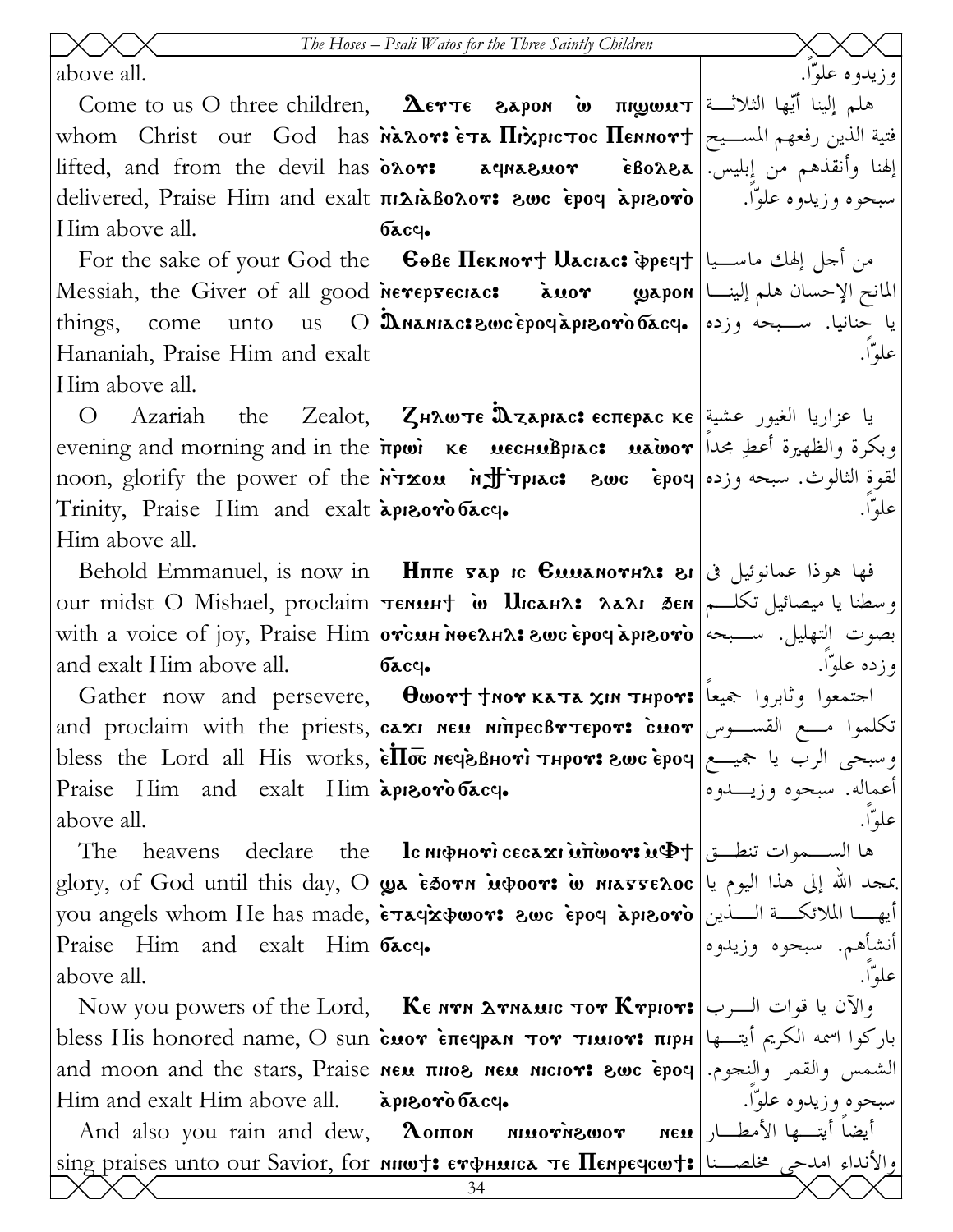above all. Come to us O three children, **AETTE** 8apon **w**  $\overline{m}$   $\overline{m}$ الثلاثة الثلاثة التابعة التابعة التابعة التابعة التابعة التابعة التابعة التابعة التابعة التابعة التابعة التابعة التابعة التابعة التابعة التابعة التابعة التا whom Christ our God has Manor: ETA HixpicToc Hennort |سلسـيح | whom Christ our God has lifted, and from the devil has  $\delta$   $\delta \sim r$ : delivered, Praise Him and exalt **ni** LiaBonov: 2wc epoy apisovo басч. Him above all. For the sake of your God the **E Co**Be **Heknort Uaciac: Specif** | العالي ماسسيا Messiah, the Giver of all good nevepsectac: معلم إلينا | Messiah, the Giver of all good nevepsectac:

unto

Hananiah, Praise Him and exalt Him above all.

come

things,

 $\operatorname{Zeadot},$ يا عزاريا الغيور عشية|Zealot, Zн $\alpha$ wтє  $\mathbf{\hat{a}}$ zарıас: єспєрас кє Azariah  $\Omega$ the evening and morning and in the *newi* **KE MECHMBPIAC: wawor** like self and morning and in the new i noon, glorify the power of the **NTxou Morthly in act evoc epoy** is a swe **ext** where  $\alpha$ Trinity, Praise Him and exalt apreorobacy. Him above all.

and exalt Him above all.

and proclaim with the priests, **caxi NEM MITTEROTTEPOTS cuor** USA of the priests, bless the Lord all His works, |  $\epsilon \overline{\text{II}\bar{\text{oc}}}$  мече внот тнрот: гоос  $\epsilon$ роч | المجيسع | bless the Lord all His works, |  $\epsilon$ Praise Him and exalt Him apreorobacq. above all.

Praise Him and exalt Him bacq. above all.

Him and exalt Him above all.

إلهنا وأنقذهم من إبليس.|&Bo2جة rousanpa

و زيدوه علوّا.

علواٌ).

علوّا.

وزده علوّا.

علوهّا.

علواٌ).

أعماله. سبحوه وزيـــدوه

أنشأهم. سبحوه وزيدوه

سبحوه وزيدوه علوّا.

سبحوه وزيدوه علوّا.

us  $\text{O}$ ايا حنانيا. ســـبحه وزده|عربية من التابع العربية التابع التابع التابع التابع التابع التابع

Behold Emmanuel, is now in **H** $\pi$  **H** $\pi$   $\pi$   $\sigma$   $\pi$   $\sigma$   $\sigma$   $\pi$   $\sigma$   $\sigma$   $\sigma$   $\sigma$   $\sigma$ our midst O Mishael, proclaim|темин† พ Uıcан2: 2а21 бем|سطنا یا میصائیل تکلــم with a voice of joy, Praise Him orcun noe ansis swe epoy aprooro | سبحه التهليل. سبحه السبحه الله بعده التهليل  $6acq.$ 

Gather now and persevere, **Owort thor kata xin thpor:** اجتمعوا وثابروا جميعا

The heavens declare the **lc инфноті сесахімітю оті мФ**† | الســموات تنطــق The heavens declare the | **Ic инфноті сесахімітю оті**  $\left. \right.$ بمجد الله إلى هذا اليوم يا $\left. \right\vert$  glory, of God until this day, O $\left\vert \right.$ يعق في مُعاد الله إلى هذا اليوم يا you angels whom He has made, etaqxowor: swc epoq aprsoro ايها الملائكة السذين

Now you powers of the Lord, **Ke NTH ATHAMIC TOT KTPIOT:** والآن يا قوات السرب باركوا اسمه الكريم أيتــها |bless His honored name, O sun|c̀иот є̀πєчран тот тииот: πιρн and moon and the stars, Praise new nicors are suc epoy [... ] and moon and the stars, Praise apisoro dacq.

أيضاً أيته عا الأمطار | neu And also you rain and dew,  $\lambda$  or  $\lambda$   $\alpha$   $\alpha$   $\gamma$   $\alpha$   $\alpha$   $\gamma$  $\frac{1}{2} \sin\!g$  praises unto our Savior, for nuw†:  $\epsilon$ тфника т $\epsilon$  Пенречсит $\epsilon$ ) العاء امدحى مخلصـــنا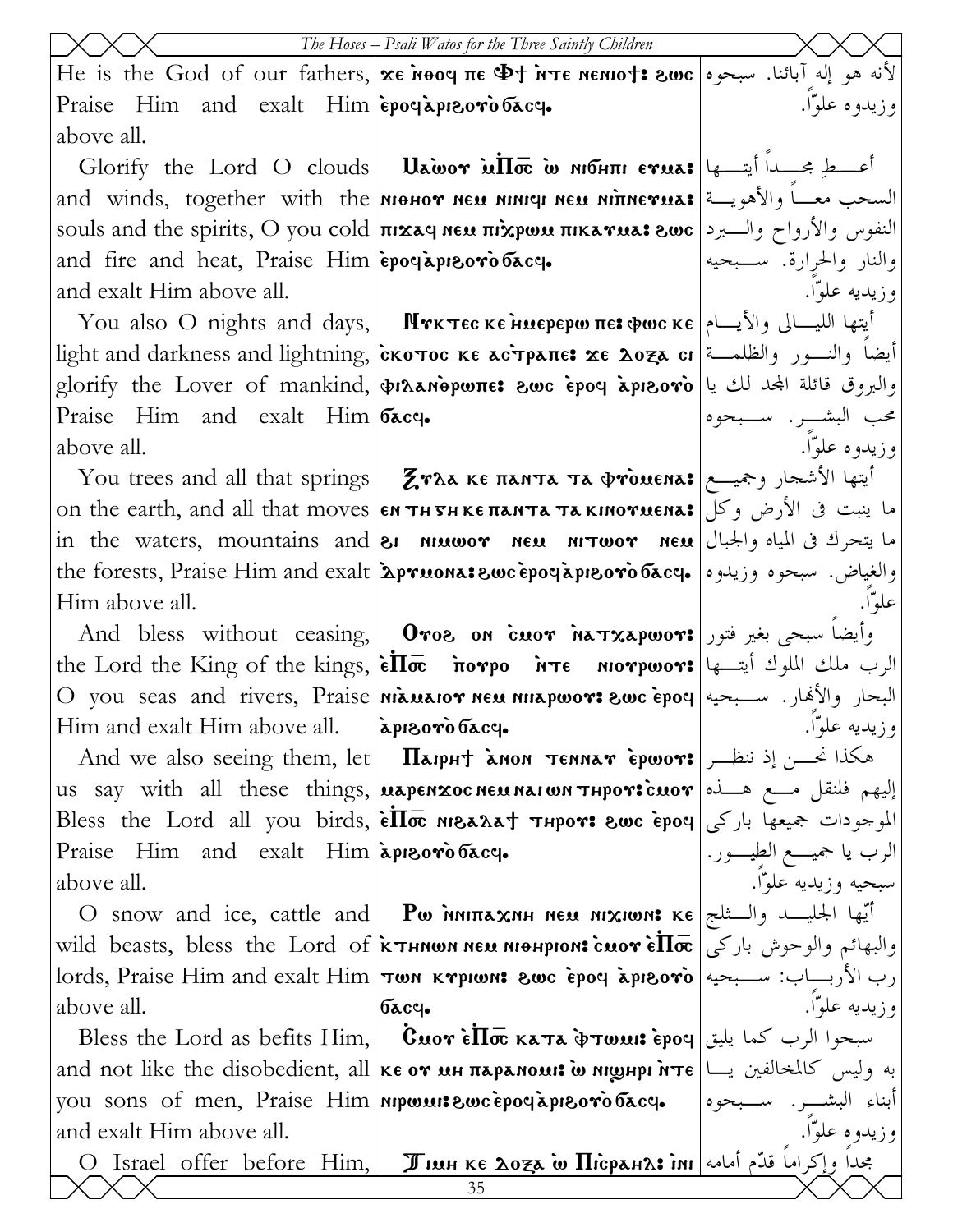$\rm He$  is the God of our fathers, $\vert {\bf x}$ е ̀мооч πε  $\Phi$ т ̀ите мемю $\uparrow$ : نه هو إله آبائنا. سبحوه Praise Him and exalt  $\lim|\tilde{\epsilon}$ poe aprovio bacq. above all. وزيدوه علوّاً.

and fire and heat, Praise Him  $\epsilon$ poq apreovo bacq. and exalt Him above all.

Praise Him and exalt  $\lim |\nabla \text{c} \cdot \mathbf{c}|$ . above all.

Him above all.

Him and exalt Him above all.

Praise Him and exalt  $\lim|\mathbf{\lambda}P\|\mathbf{\lambda}$ above all.

above all.

and exalt Him above all.

O Israel offer before Him,  $\parallel$  Жинке доза ̀w Пісранл: أبامه أسامه ا $\parallel$ 

Glorify the Lord O clouds | Uawor uHo io mohni erua: أعــطِ مجــدا أيتــها and winds, together with the менот нем нініч нем нілнетма: السحب معــا والأهويـــة souls and the spirits, O you cold **|πικαq neu πιχρωυ πικαγμα; sωc |** النفوس والأرواح والـبرد

You also O nights and days, Mrκτες κε ниерерω πε: جام الليـــالى والأيـــام light and darkness and lightning,|cκοτος κε ac̀τpaπε**: x**ε λο<del>z</del>a cı|تيضاً والنــور والظلمــة  $\text{glorify the Lower of manifold, }|\textbf{wh}|\textbf{h}$ والبروق قائلة المجد لك يا

You trees and all that springs |  $\cal Z}$ тла ке панта та фтоиена: أيتها الأشجار وجميــع on the earth, and all that moves вн тн тн ке панта та кінотиєна: الأرض وكل  $\;$ in the waters, mountains and $\;$ sı או $\;$ יווט וואס ne $\;$  nem האדמס $\;$  nem  $\;$ the forests, Praise Him and exalt **`Apruona: نوالغياض.** سبحوه وزيدوه | مه**f**orests, Praise Him and exalt

 $\operatorname{And}$  bless without ceasing, $|$   $\textbf{O}$ ro $\textbf{s}$  on  $\operatorname{c}{\boldsymbol{u}}$  or  $\operatorname{h}$ م $\textbf{a}$  or  $\operatorname{c}{\boldsymbol{u}}$  $\text{the Lord the King of the kings, }|\tilde{\text{\textbf{e}}}\text{\textbf{I}}\text{\textbf{w}}$  ألرب ملك الملوك أيتــها  $\rm O$  you seas and rivers,  $\rm Praise$ |niauaio $\bm r$  neu niiapwo $\bm r$ : نسـبحيه  $\bm r$ o `epoq البحار والأهار. سـبحيه apisorò bacq.

 $\rm{And} \,\,$  ve also seeing them, let **Haipht ànon tenna** $\rm{\bf r}$  **epwo** $\rm{\bf r}$ **:** انخــن إذ ننظــر us say with all these things,|**uapenxocneunaiwn thpovicuov**|ملع هــذه العام العمام لله التابع بها بن التابع بن Bless the Lord all you birds, $|\dot{\tilde{\epsilon}}\overline{\Pi} \bar{\varpi}$  мюд $\lambda$ д† тнрот: نالموجودات جميعها باركى

 $\rm O$  snow and ice, cattle and  $\mid\, {\bf P}$ ω אווא $\rm x$ אווא $\rm x$ וואות κε الـثلج (O snow and ice, cattle and wild beasts, bless the Lord of  $\kappa$  when new niquipron: cuover  $\epsilon \Pi \bar{\infty}$  $\text{holds,}$  Praise Him and exalt Him  $|\text{row} \times \text{approx}$  swc `epoq `api $\text{so}\text{v}$ `o  $6acq.$ 

Bless the Lord as befits Him, ~Cmou `e~P\_ kata `vtwmi> `erof سبحوا الرب كما يليق and not like the disobedient, all ке от ин парамоми ̀о ніднрі ̀нте  $\vert$  به وليس كالمخالفين يــا you sons of men, Praise Him **nipwui: Swc epocapieovo bacq.** 

علوّاً.

والنار والحرارة. سـبحيه

محب البشـر. سـبحوه

وزيديه علوّاً.

وزيدوه علوّاً.

وزيديه علوّاً. الرب يا جميـع الطيـور. سبحيه وزيديه علوّاً. والبهائم والوحوش باركى رب الأربـاب: سـبحيه وزيديه علوّاً.

أبناء البشـر. سـبحوه وزيدوه علوّاً.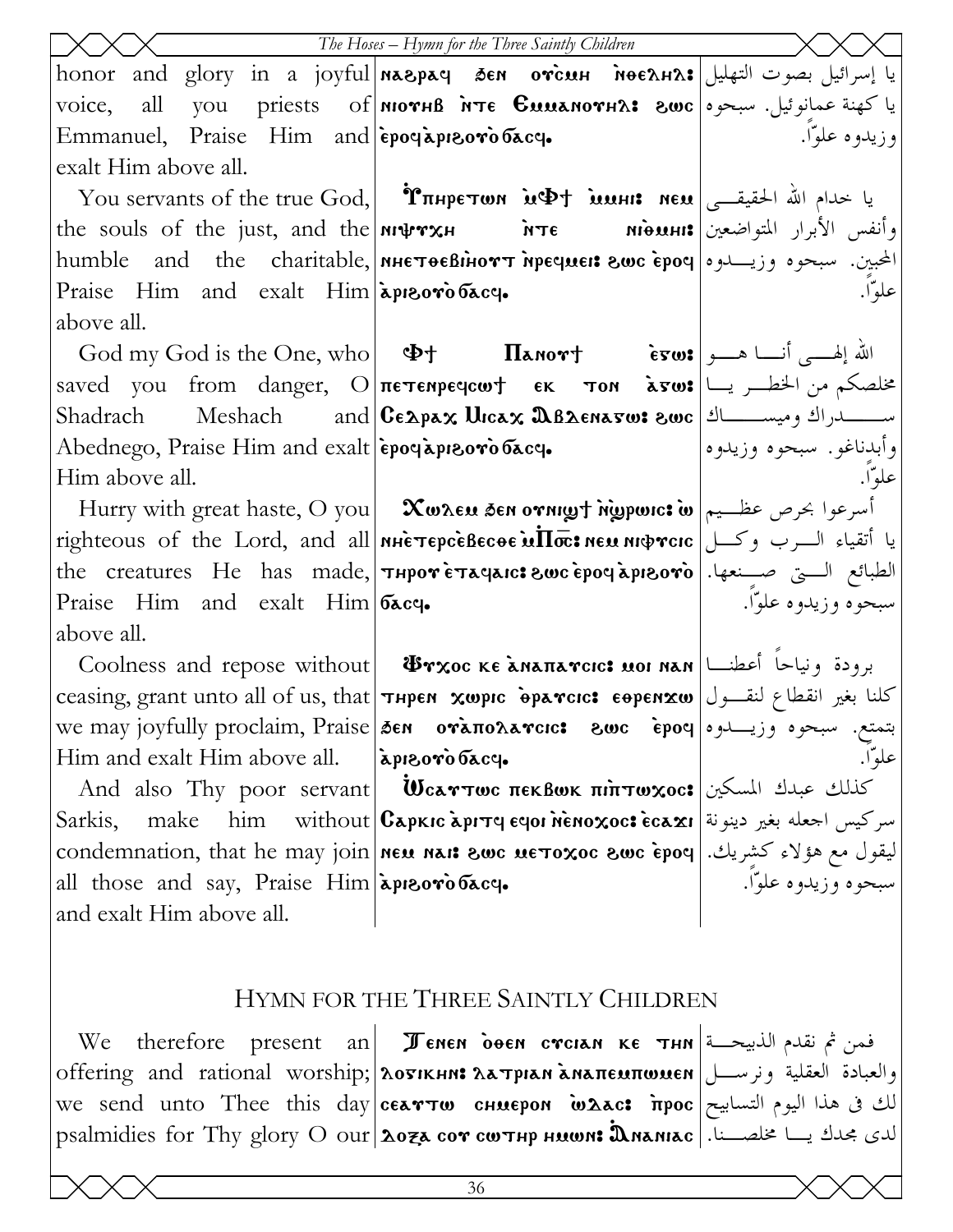| The Hoses - Hymn for the Three Saintly Children      |                                                                                                                                                                                                                                 |                        |  |
|------------------------------------------------------|---------------------------------------------------------------------------------------------------------------------------------------------------------------------------------------------------------------------------------|------------------------|--|
|                                                      | يا إسرائيل بصوت التهليل honor and glory in a joyful ма&рач бем отсин моедна:                                                                                                                                                    |                        |  |
| all<br>voice,                                        | یا کهنة عمانوئیل. سبحوه ори рriests of мютнв ите Сиилмотн $\alpha$ : 8wc یا کهنة عمانوئیل. سبحوه                                                                                                                                |                        |  |
| Emmanuel, Praise Him and epoclapizoro bacq.          |                                                                                                                                                                                                                                 | وزيدوه علوّا.          |  |
| exalt Him above all.                                 |                                                                                                                                                                                                                                 |                        |  |
|                                                      | You servants of the true God, <b><i>Υπηρετωπ ινΦτ ισμη: neu</i></b> $\left  \int_{-\infty}^{\infty}$ $\frac{1}{2}$ $\frac{1}{2}$ $\frac{1}{2}$                                                                                  |                        |  |
|                                                      | the souls of the just, and the <b>NIPTXH inte nificulties</b> $\mathbf{N}$ <b>inte nificulties</b> $\mathbf{N}$                                                                                                                 |                        |  |
|                                                      | humble and the charitable,   мнетоевінотт пречиеі: гоос ероч   وزيسدوه وزيسدوه   humble                                                                                                                                         |                        |  |
| Praise Him and exalt Him apreoro bacq.               |                                                                                                                                                                                                                                 | علوّا.                 |  |
| above all.                                           |                                                                                                                                                                                                                                 |                        |  |
|                                                      | $\text{God my God is the One, who}$ 4t $\text{Haou}$ $\text{Haou}$ $\text{H}$                                                                                                                                                   |                        |  |
|                                                      | saved you from danger, O $\pi$ e er $\pi$ on $\frac{1}{\alpha}$ you from danger, O $\pi$ e $\pi$ e er $\pi$ on $\frac{1}{\alpha}$ you $\frac{1}{\alpha}$                                                                        |                        |  |
|                                                      | Shadrach Meshach and CEApax Urcax 2BAENa5w: ewc إستسملراك وميســــاك   Shadrach                                                                                                                                                 |                        |  |
| Abednego, Praise Him and exalt epoquipresoro bacq.   |                                                                                                                                                                                                                                 | وأبدناغو. سبحوه وزيدوه |  |
| Him above all.                                       |                                                                                                                                                                                                                                 | علواٌ.                 |  |
|                                                      | Hurry with great haste, O you   Xwxeu sen ornigh nigpwic: أسرعوا بحرص عظــيم   Hurry with great haste, O you                                                                                                                    |                        |  |
|                                                      | $\frac{1}{2}$ righteous of the Lord, and all  <b>NHETEPCEBECOE</b> in the with the Lord, and all                                                                                                                                |                        |  |
|                                                      | the creatures He has made, <i>THPOT</i> ETACRICS 2000 EPOC APIBOTO   الطبائع الستى صنعها.                                                                                                                                       |                        |  |
| Praise Him and exalt $\lim \mathbf{c}_{\text{ac}}\ $ |                                                                                                                                                                                                                                 | سبحوه وزيدوه علوّا.    |  |
| above all.                                           |                                                                                                                                                                                                                                 |                        |  |
|                                                      | Coolness and repose without   $\Phi$ тхос ке анапатсьс: ион нан   اعطنـــا                                                                                                                                                      |                        |  |
|                                                      | ceasing, grant unto all of us, that <b>THPEN XWPIC PPATCIC: EOPENXW</b> كلنا بغير انقطاع لنقـــول                                                                                                                               |                        |  |
|                                                      | بتمتع. سبحوه وزيـــــدوه اوGen oràπολarcıc: و بي الله عليه عليه الله عليه عليه الله عليه عليه الله we may joyfully proclaim, Praise<br>عليه السلم الله الله الله عليه الله عليه الله عليه الله عليه الله الله Him and exalt Him |                        |  |
| Him and exalt Him above all. <i>[apreoro bace]</i> . |                                                                                                                                                                                                                                 | علواٌ.                 |  |
|                                                      | And also Thy poor servant <b>WearTwe πεκβωκ πιπτωχος:</b> كذلك عبدك المسكين                                                                                                                                                     |                        |  |
|                                                      | Sarkis, make him without Capkic api rq eqoi nenoxoc: ecaxi si اسركيس اجعله بغير دينونة   Sarkis,                                                                                                                                |                        |  |
|                                                      |                                                                                                                                                                                                                                 |                        |  |
|                                                      | condemnation, that he may join <b>MEN NAIS SWC METOXOC SWC epoq</b><br>all those and say, Praise Him <b>apporobacq.</b><br>and exalt Him above all                                                                              |                        |  |
| and exalt Him above all.                             |                                                                                                                                                                                                                                 |                        |  |
|                                                      |                                                                                                                                                                                                                                 |                        |  |
| HYMN FOR THE THREE SAINTLY CHILDREN                  |                                                                                                                                                                                                                                 |                        |  |
| We                                                   | therefore present an <b>Jenen deen creian KE THN</b>                                                                                                                                                                            |                        |  |
|                                                      | offering and rational worship; [λοσικμη: λατριαν ληαπευπωυεν   العقلية ونرســـل                                                                                                                                                 |                        |  |
|                                                      | we send unto Thee this day <b>cearTw сниером waac: irpoc</b> $\frac{1}{\pi}$ الك فى هذا اليوم التسابيح                                                                                                                          |                        |  |
|                                                      | psalmidies for Thy glory O our 2077 сот сотнр нишля Дланнас   الدى مجدك يا مخلصـنا.                                                                                                                                             |                        |  |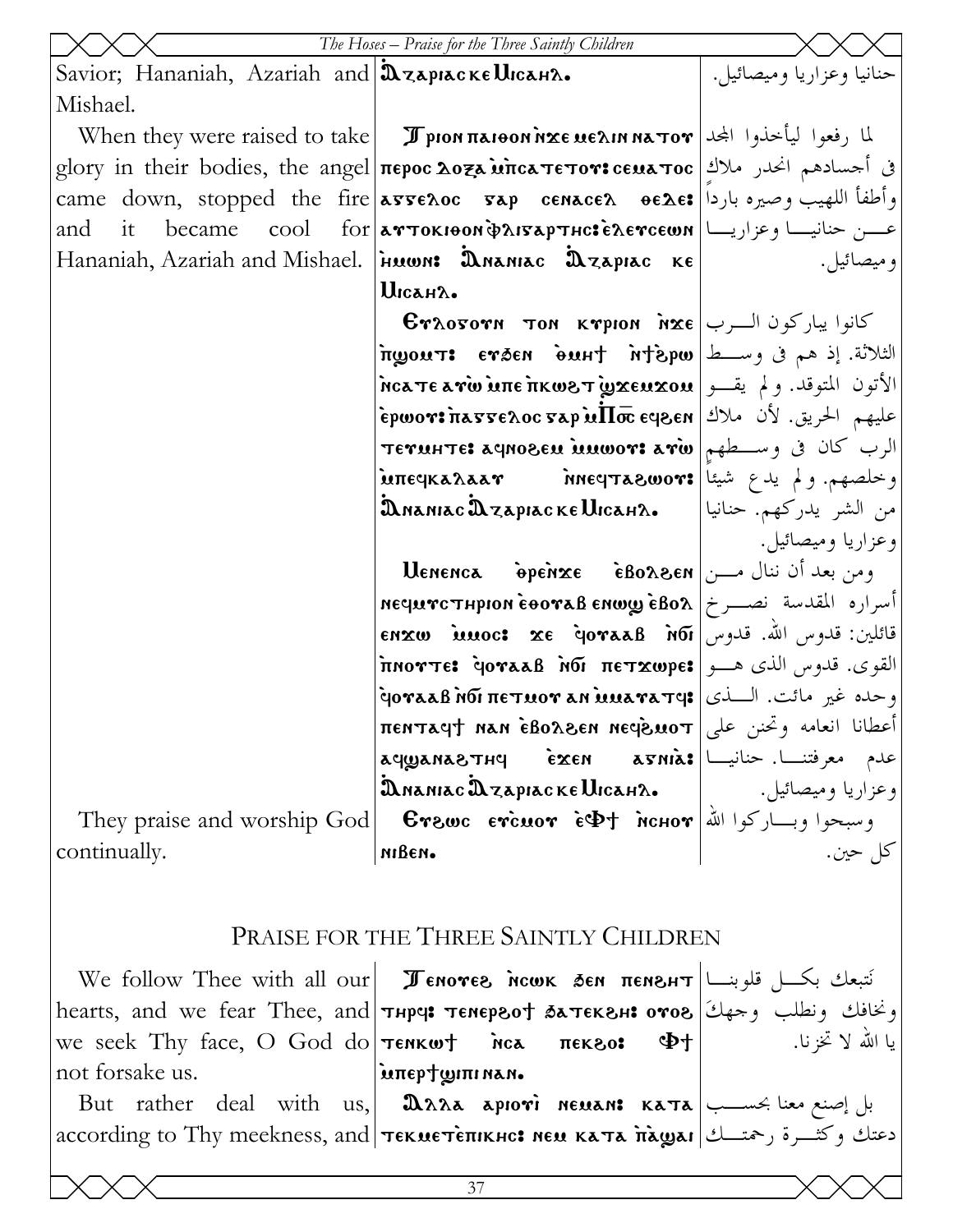|                                                 | The Hoses - Praise for the Three Saintly Children                                                                                      |                          |
|-------------------------------------------------|----------------------------------------------------------------------------------------------------------------------------------------|--------------------------|
| Savior; Hananiah, Azariah and Dzapiacke Uicaha. |                                                                                                                                        | حنانيا وعزاريا وميصائيل. |
| Mishael.                                        |                                                                                                                                        |                          |
|                                                 | When they were raised to take <b>I pion <math>\pi</math>aioon nxe ue ain na to r</b> and they were raised to take                      |                          |
|                                                 | في أحسادهم انحدر ملاك  glory in their bodies, the angel περος λο <del>z</del> a wnca Teror: cεμa Toc                                   |                          |
|                                                 | came down, stopped the fire <b>asseroc sap cenacer oede:</b> وأطفأ اللهيب وصيره باردا   came down, stopped the fire                    |                          |
| it became<br>and                                | $\text{cool} \quad \text{for} \text{a}$ 913 - 100 مـــن حنانيــــا وعزاريــــا                                                         |                          |
|                                                 | Hananiah, Azariah and Mishael. Finon: DNANIAC DZAPIAC KE                                                                               | وميصائيل.                |
|                                                 | UICAH2.                                                                                                                                |                          |
|                                                 | $\mathbf{E}$ كانوا يباركون الــرب א& $\mathbf{c}$ Kapion كانوا يباركون الــرب                                                          |                          |
|                                                 | الثلاثة. إذ هم في وســط stépw فاسم irgours erāen anāri                                                                                 |                          |
|                                                 | الأتون المتوقد. ولم يقــو  nca τε a vw inte πκω&τ wxou والأتون المتوقد. ولم يقــو                                                      |                          |
|                                                 | عليهم الحريق. لأن ملاك repwor: massenoc sap u $\Pi$ oc eq $8$ en                                                                       |                          |
|                                                 | الرب كان في وسطهم سعة:TETUHTE: aqno8EU MUWOT: arw                                                                                      |                          |
|                                                 | وخلصهم. ولم يدع شيئا πεςκaλaar `` месртa&wo                                                                                            |                          |
|                                                 | من الشر يدركهم. حنانيا      இианас $\mathbf{\mathfrak{A}}$ дярнаске $\mathbf{\mathfrak{U}}$ сан $\lambda$ .                            |                          |
|                                                 |                                                                                                                                        | وعزاريا وميصائيل.        |
|                                                 | $\textbf{U}$ enenca $\textbf{\textit{v}}$ ومن بعد أن ننال مـــن  $\textbf{\textit{re}}$ 80 و $\textbf{\textit{v}}$                     |                          |
|                                                 | أسراره المقدسة نصب خ   нечитстнрюм ѐвотав емшу ѐвол                                                                                    |                          |
|                                                 | قائلين: قدوس الله. قدوس   Moi AaaB in tenxw iuuoc: xe qoraaB                                                                           |                          |
|                                                 | القوى. قدوس الذي هــو πιοντε: أو φνααβ λοί πετχωρε                                                                                     |                          |
|                                                 | وحده غير مائت. الــــذي   •વoraaß n̄бī πεтиот an uuaraтq:                                                                              |                          |
|                                                 | أعطانا انعامه وتحنن على   пентач† нан е́воден несремот                                                                                 |                          |
|                                                 |                                                                                                                                        |                          |
|                                                 | عدم معرفتنـــا. حنانيـــا   aqwana&THq     èxen     asnia:<br>وعزاريا وميصائيل.<br>وسبحوا وبـــاركوا الله   Erawc  ercuor  eDt   nchor |                          |
| They praise and worship God                     |                                                                                                                                        | كل حين.                  |
| continually.                                    | мівем.                                                                                                                                 |                          |
|                                                 |                                                                                                                                        |                          |
|                                                 | PRAISE FOR THE THREE SAINTLY CHILDREN                                                                                                  |                          |
|                                                 |                                                                                                                                        |                          |

We follow Thee with all our **| Ленотег ном бен пенгнт** | مقلوبنــا | We follow Thee with all our hearts, and we fear Thee, and *тнр*ч: темергот батекгн: отог [زان بو نطلب وحهك] یا اللہ لا تخزنا. we seek Thy face, O God do  $\tau$ enkwt пса Ф† лек 80: not forsake us. inteptwininan. But rather deal with us, 2022 aprovi newan: Kara بال إصنع معنا بحسب according to Thy meekness, and **текнетепинс: нем ката па̀gai** (3) according to Thy meekness, and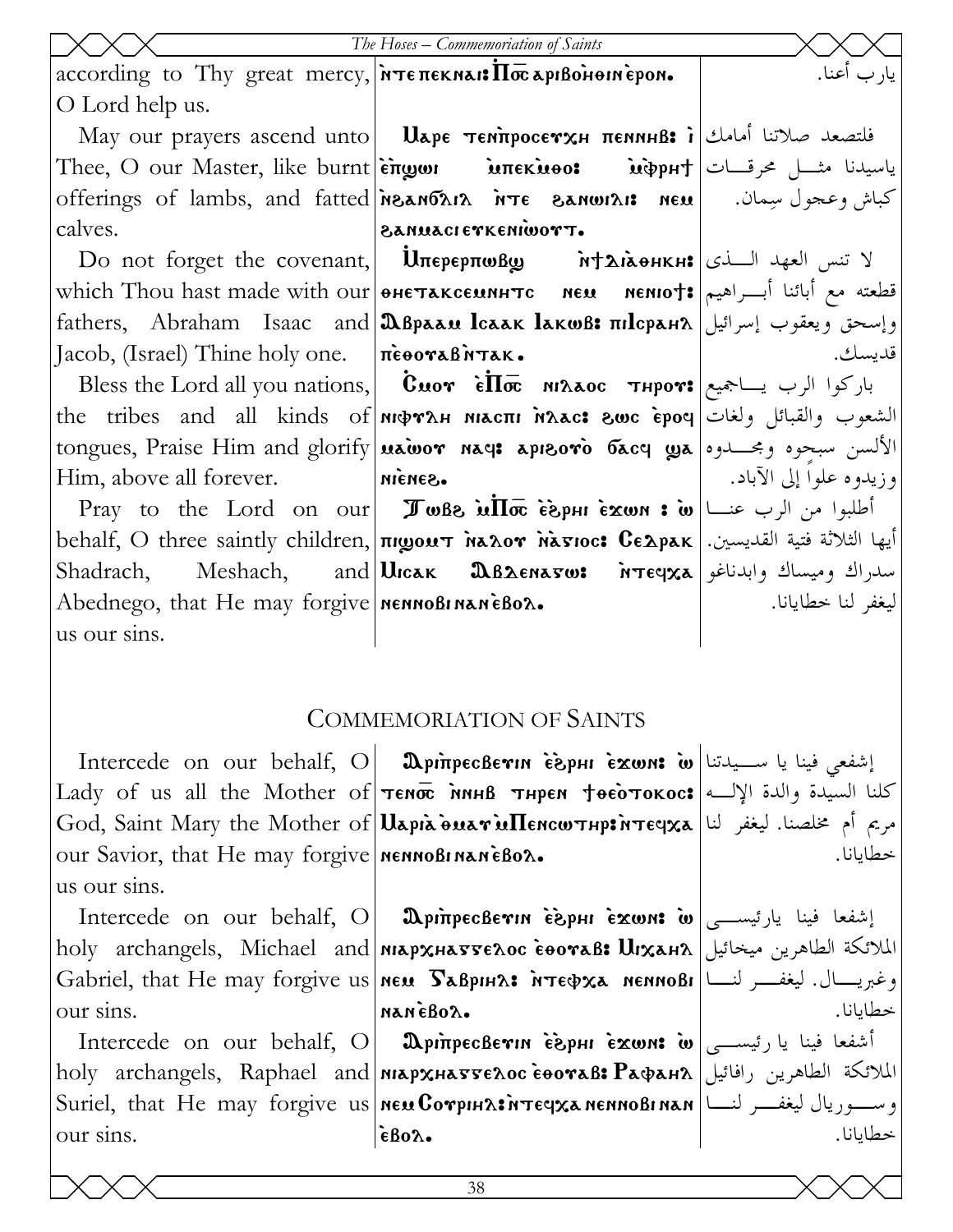|                                                                                                                                           | The Hoses - Commemoriation of Saints                                                                                                                          |                         |
|-------------------------------------------------------------------------------------------------------------------------------------------|---------------------------------------------------------------------------------------------------------------------------------------------------------------|-------------------------|
| according to Thy great mercy, $\frac{1}{n}$ $\pi \epsilon \pi \epsilon \kappa n \kappa \kappa \kappa \pi \epsilon \pi \kappa \rho \kappa$ |                                                                                                                                                               | يار ب أعنا.             |
| O Lord help us.                                                                                                                           |                                                                                                                                                               |                         |
|                                                                                                                                           | May our prayers ascend unto   Uape τεΝπροσενχΗ πεΝΝΗΒ: i مالك   i May our prayers ascend unto   Uape τεΝπροσενχΗ πεΝΝΗΒ: i                                    |                         |
|                                                                                                                                           | Thee, O our Master, like burnt $\lambda$ engor interios inpert   ایاسیدنا مثـــل محرقـــات                                                                    |                         |
|                                                                                                                                           | Offerings of lambs, and fatted אגשות הת Te Banwar איז בואדו offerings of lambs, and fatted א                                                                  |                         |
| calves.                                                                                                                                   | SANUACIETKENIWOTT.                                                                                                                                            |                         |
|                                                                                                                                           | Do not forget the covenant, $ $ $\mathbf{l}$ лерерпову $\mathbf{w}$ $\mathbf{w}$ $\mathbf{w}$ $\mathbf{w}$ $\mathbf{w}$ $\mathbf{w}$                          |                         |
|                                                                                                                                           | قطعته مع أبائنا أبــراهيم #which Thou hast made with our өнетаксемннтс мем мемю†                                                                              |                         |
|                                                                                                                                           | وإسحق ويعقوب إسرائيل  fathers, Abraham Isaac and  <b>ື Βρααυ Ισαακ Ιακωβ: πιΙσρα</b> μλ                                                                       |                         |
| Jacob, (Israel) Thine holy one.   $\vec{n}$ <b>e</b> $\vec{r}$                                                                            |                                                                                                                                                               | قديسك.                  |
|                                                                                                                                           | Bless the Lord all you nations, $ \textbf{C}_{\text{uov}} $ $\textbf{C}_{\text{uov}}$ $\textbf{C}_{\text{uov}}$ $\textbf{C}_{\text{uov}}$ باركوا الرب يساجميع |                         |
|                                                                                                                                           | the tribes and all kinds of nιφγλΗ nιαcπι nλαc: swc epoq الشعوب والقبائل ولغات                                                                                |                         |
|                                                                                                                                           |                                                                                                                                                               |                         |
| Him, above all forever. Miches.                                                                                                           |                                                                                                                                                               | وزيدوه علوا إلى الآباد. |
|                                                                                                                                           | Pray to the Lord on our <b>I whe in Tue of in Fray</b> i w $  \psi \rangle$ and the Lord on our <b>I we be in Tue of in Fray</b>                              |                         |
|                                                                                                                                           | أيها الثلاثة فتية القديسين.  behalf, O three saintly children, πιωουτ λελον λετιος: Cελρεκ                                                                    |                         |
|                                                                                                                                           | Shadrach, Meshach, and UIcak BBAENa5w: wreqxa سدراك وميساك وابدناغو                                                                                           |                         |
| Abednego, that He may forgive <b>NET</b> NOR 1802.                                                                                        |                                                                                                                                                               | ليغفر لنا خطايانا.      |
| us our sins.                                                                                                                              |                                                                                                                                                               |                         |
|                                                                                                                                           |                                                                                                                                                               |                         |

#### **COMMEMORIATION OF SAINTS**

Intercede on our behalf, O our Savior, that He may forgive nennoBinaneBox. us our sins.

our sins.

Intercede on our behalf, O our sins.

اِشفعي فينا يا ســيدتنا | Ü mpiπpecBeγın esphi exwns w Lady of us all the Mother of TENOC MAHB THPEN TOEOTOKOC: كلنا السيدة والدة الإلــه God, Saint Mary the Mother of Uapia buar ullencw THP in Teqxa [ Li Saint Mary the Mother of | Uapia buar ullencw THP in Teqxa

Intercede on our behalf, O **DpinpecBevin esphi exwn: أ**شفعا فينا يارئيسها (Intercede on our behalf, O  $\alpha$ holy archangels, Michael and|мархнаттелос соотав: Шканл|الملائكة الطاهرين ميخائيل Gabriel, that He may forgive us NEM  $\sum_{\mathbf{A}}$ BpHA:  $\inf_{\mathbf{A}}$  NemnoBi (المغفسر لنسا nanèBor.

 $\mathbf{D}$ أشفعا فينا يا رئيســـى |  $\omega$  exwns  $\mathbf{D}$  in Fig. holy archangels, Raphael and|мархнаттелос соотав: Рафанл|الملائكة الطاهرين رافائيل Suriel, that He may forgive us new Corpina: *n* reqxa nenno Binan | اسمه المعامل Suriel, that He may forgive us  $\epsilon$ Bo $\lambda$ .

خطابانا.

خطايانا.

خطايانا.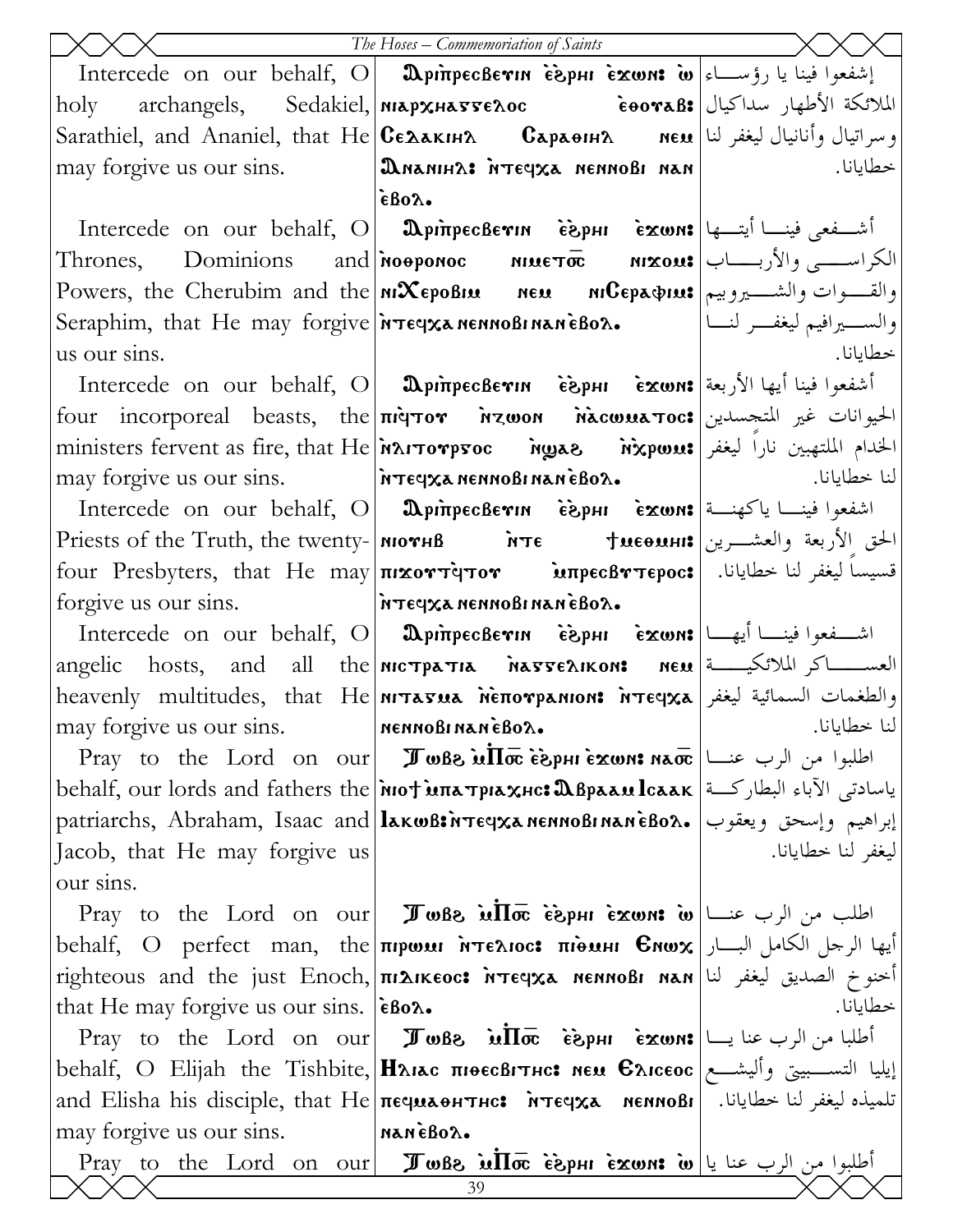|                                                                          | The Hoses – Commemoriation of Saints                                                                                                      |                    |
|--------------------------------------------------------------------------|-------------------------------------------------------------------------------------------------------------------------------------------|--------------------|
|                                                                          | Intercede on our behalf, O <b>DpinpecBevin esphi exwn: w</b> اشفعوا فينا يا رؤســـاء ا                                                    |                    |
|                                                                          | holy archangels, Sedakiel, MAPXHATTELOC : فالملائكة الأطهار سداكيال ا                                                                     |                    |
|                                                                          | Sarathiel, and Ananiel, that He <b>CEAAKIHA CapaeIHA MEN</b> lists be directly be a GapaeIHA                                              |                    |
| may forgive us our sins.                                                 |                                                                                                                                           | خطايانا.           |
|                                                                          | $\epsilon$ Bo $\lambda$ .                                                                                                                 |                    |
|                                                                          | Intercede on our behalf, O   DpinpecBevin $\epsilon$ èphi $\epsilon$ ismon: [التسلفعي فينسا أيتسها                                        |                    |
|                                                                          | Thrones, Dominions and Mooponoc Mueto Mxout   الكراســــى والأربـــــاب                                                                   |                    |
|                                                                          | Powers, the Cherubim and the <b>MiXepoBiu Result AuCepa pius</b>   والقــــوات والشــــيروبيم                                             |                    |
|                                                                          | والســــيرافيم ليغفــــر لنــــا             Seraphim, that He may forgive   ireqxa nennoBi nan eBoa                                      |                    |
| us our sins.                                                             |                                                                                                                                           | خطايانا.           |
|                                                                          | Intercede on our behalf, O <b>  இpinpecBevin   èSphi   exwn: أشفع</b> وا فينا أيها الأربعة <b> </b>                                       |                    |
|                                                                          | four incorporeal beasts, the πιάτον <i>inzwon nacwuatoc</i> : الحيوانات غير المتجسدين                                                     |                    |
|                                                                          | ministers fervent as fire, that He MAITOTPFOC Myas Mixpwus   الخدام الملتهبين نارا ليغفر                                                  |                    |
|                                                                          | may forgive us our sins.<br>livi <a></a>                                                                                                  |                    |
|                                                                          | Intercede on our behalf, O   $\mathbf 0$ pinpecBevin $\mathbf i$ èxwn: اشفعوا فينـــا ياكهنـــة                                           |                    |
|                                                                          | Priests of the Truth, the twenty- MOTHB MTE + MEOUHI والحشرين   Priests of the Truth, the twenty-   MOTHB                                 |                    |
|                                                                          | four Presbyters, that He may πικοντίμτιον impecBντερος: [ اقسيساً ليغفر لنا خطايانا.                                                      |                    |
| forgive us our sins.   MTEYXA NENNOBI NANEBOL.                           |                                                                                                                                           |                    |
|                                                                          | Intercede on our behalf, O <b>  Ω</b> piπpecBevin $\epsilon$ èpHi $\epsilon$ exwn: اشــفعوا فينـــا أيهــا                                |                    |
|                                                                          | angelic hosts, and all the MICTPATIA MATTELIKON: NEU [ العســاكر الملائكيــة                                                              |                    |
|                                                                          | heavenly multitudes, that He niπaσua nenorpanion: nτεςγχa بعنه السمائية ليغفر                                                             |                    |
| may forgive us our sins.                                                 | MENNOBINAN EBOA.                                                                                                                          | لنا خطايانا.       |
|                                                                          | Pray to the Lord on our <b>I Jule ME is phi exwn: nao Pray</b> to the Lord on our <b>Jule ME</b> $\vec{a}$                                |                    |
|                                                                          | behalf, our lords and fathers the   мот илатриахнс: Двраам Ісаак   البطاركة   علمها الجاء البطاركة   علمها                                |                    |
|                                                                          | patriarchs, Abraham, Isaac and lakwß:พับธุรุน ทรมทอบเทลท์ธิบอล. ابراهيم وإسحق ويعقوب                                                      |                    |
| Jacob, that He may forgive us                                            |                                                                                                                                           | ليغفر لنا خطايانا. |
| our sins.                                                                |                                                                                                                                           |                    |
|                                                                          | Pray to the Lord on our <b>I Jule in Trang is phi exwn:</b> $\omega$ $\omega$ $\omega$ $\omega$ $\omega$ $\omega$ Pray to the Lord on our |                    |
|                                                                          | behalf, O perfect man, the πιρωμι ντελιος: πιδιμι Ενωχ بالكامل البار الكامل البار                                                         |                    |
|                                                                          | righteous and the just Enoch, πιλικεος: אית κερικει και الصديق ليغفر لنا πιλικεος: بالصديق ليغفر لنا                                      |                    |
| that He may forgive us our sins. $ \epsilon \text{Bo}\lambda_{\bullet} $ |                                                                                                                                           | خطايانا.           |
|                                                                          | Pray to the Lord on our <b>I whe in the i</b> sput $\vec{c}$ and $\vec{c}$ and $\vec{c}$                                                  |                    |
|                                                                          | إيليا التســـبيتي وأليشـــع  behalf, O Elijah the Tishbite,  <b>Ηλικς πιθεςβιτης: нем Єλιςεος</b>                                         |                    |
|                                                                          | and Elisha his disciple, that He $ \pi$ equaoh $\pi$ Here $\pi$ $\pi$ eqxa   nennoßi   المجانا. [and Elisha his disciple, that He         |                    |
| may forgive us our sins. MANEBOX.                                        |                                                                                                                                           |                    |
|                                                                          | Pray to the Lord on our Just into isput is une w lu and the Lord on our Just<br>39                                                        |                    |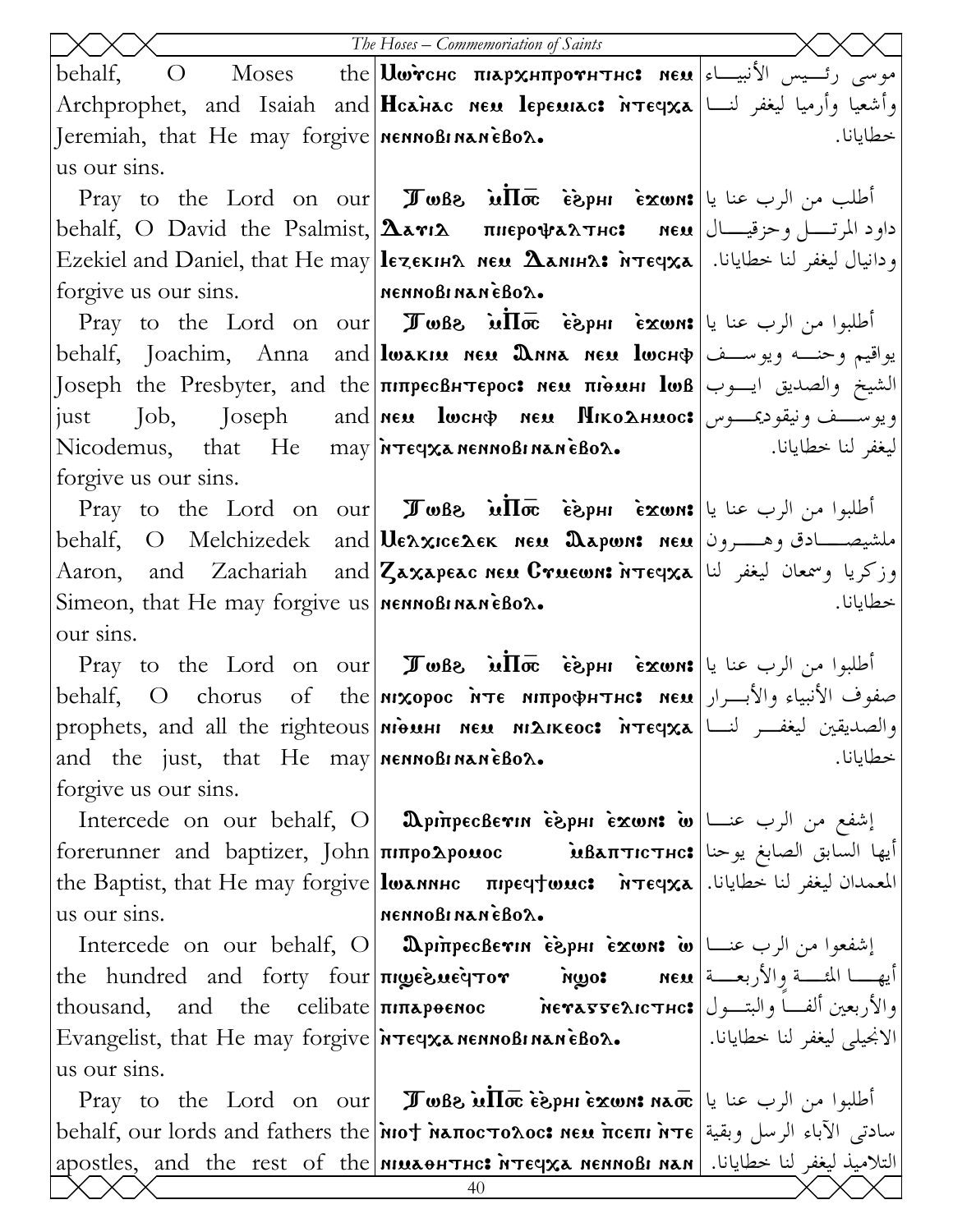|                                                                                 | The Hoses - Commemoriation of Saints                                                                                                                                                                                                                                                                           |                    |
|---------------------------------------------------------------------------------|----------------------------------------------------------------------------------------------------------------------------------------------------------------------------------------------------------------------------------------------------------------------------------------------------------------|--------------------|
| behalf,<br>$\overline{O}$                                                       |                                                                                                                                                                                                                                                                                                                |                    |
|                                                                                 | Archprophet, and Isaiah and  <b>Hcainac neu lepeurac: הُ</b> تَّعْمُو لِمَعْيَّا وَأَرْمِيَا لِيَغْفِرِ لِنَسَا                                                                                                                                                                                                |                    |
| Jeremiah, that He may forgive <b>NET NOBI NANEBOX.</b>                          |                                                                                                                                                                                                                                                                                                                | خطايانا.           |
| us our sins.                                                                    |                                                                                                                                                                                                                                                                                                                |                    |
|                                                                                 | Pray to the Lord on our <b>I whe in the External Pray</b> to the Lord on our <b>I when</b> $\vec{a}$                                                                                                                                                                                                           |                    |
|                                                                                 | behalf, O David the Psalmist, $ \Delta$ arı $\lambda$ пнерофа $\lambda$ тнс: мем $ \cup$ وحزقیـــال                                                                                                                                                                                                            |                    |
|                                                                                 | Ezekiel and Daniel, that He may lezекина мем Данна: итечха  اليغفر لنا خطايانا. [ Ezekiel and Daniel, that He                                                                                                                                                                                                  |                    |
| forgive us our sins. MennoBinaneBox.                                            |                                                                                                                                                                                                                                                                                                                |                    |
|                                                                                 | Pray to the Lord on our <b>I whe in Tray</b> is put is use $\sin \pi x$ with $\sin \pi x$                                                                                                                                                                                                                      |                    |
|                                                                                 | behalf, Joachim, Anna and lwakiu неи Днна неи lwcнф يواقيم وحنــه ويوســف                                                                                                                                                                                                                                      |                    |
|                                                                                 | الشيخ والصديق ايسوب Joseph the Presbyter, and the πιπρεσβΗπεροσ: neu πιθuH lωβ                                                                                                                                                                                                                                 |                    |
|                                                                                 | just Job, Joseph and мем lwcнф мем Ніко $\Delta$ нмос: ويوســـف ونيقودىجـــوس                                                                                                                                                                                                                                  |                    |
|                                                                                 | Nicodemus, that He may $\frac{1}{2}$ $\frac{1}{2}$ $\frac{1}{2}$ $\frac{1}{2}$ $\frac{1}{2}$ $\frac{1}{2}$ $\frac{1}{2}$ $\frac{1}{2}$ $\frac{1}{2}$ $\frac{1}{2}$ $\frac{1}{2}$ $\frac{1}{2}$ $\frac{1}{2}$ $\frac{1}{2}$ $\frac{1}{2}$ $\frac{1}{2}$ $\frac{1}{2}$ $\frac{1}{2}$ $\frac{1}{2}$ $\frac{1}{2}$ | ليغفر لنا خطايانا. |
| forgive us our sins.                                                            |                                                                                                                                                                                                                                                                                                                |                    |
|                                                                                 | Pray to the Lord on our Juse in $\overline{I\sigma}$ is $\overline{I\sigma}$ is $\overline{I\sigma}$ is $\overline{I\sigma}$ is $ u $ and $ u $                                                                                                                                                                |                    |
|                                                                                 | behalf,    O    Melchizedek    and  <b>Ue^xice^ek    neu   Dapwn:  neu</b>  فلشيصــــادق وهــــــرون                                                                                                                                                                                                           |                    |
|                                                                                 | Aaron, and Zachariah and Zaxapeac нем Стиешн: اوزكريا وسمعان ليغفر لنا Ааron, аnd Zachariah аnd Zaxapeac нем Стиешн                                                                                                                                                                                            |                    |
| Simeon, that He may forgive us $n$ menno Binan $\epsilon$ Bo $\lambda$ .        |                                                                                                                                                                                                                                                                                                                | خطايانا.           |
| our sins.                                                                       |                                                                                                                                                                                                                                                                                                                |                    |
|                                                                                 | <b>Pray</b> to the Lord on our <b>I TwBe in the complight is rewser</b> is put if $\vec{r}$                                                                                                                                                                                                                    |                    |
| behalf,<br>$\overline{O}$                                                       | صفوف الأنبياء والأبــرار  chorus - of - the nixopoc אדе интрофнтнс: нем                                                                                                                                                                                                                                        |                    |
|                                                                                 | prophets, and all the righteous мідин мем мідіксос: мтєчха نيغفر لنسا   prophets, and all the righteous                                                                                                                                                                                                        |                    |
| and the just, that He may $\left \right $ nenno Binan $\epsilon$ Bo $\lambda$ . |                                                                                                                                                                                                                                                                                                                | خطايانا.           |
| forgive us our sins.                                                            |                                                                                                                                                                                                                                                                                                                |                    |
|                                                                                 | Intercede on our behalf, O <b>DpinpecBevin esphi exwn: w</b> $\omega$ الشفع من الرب عنسا                                                                                                                                                                                                                       |                    |
|                                                                                 | أيها السابق الصابغ يوحنا Βαπτιστμο: أيها السابق الصابغ يوحنا  forerunner and baptizer, John πιπροΔροιιος                                                                                                                                                                                                       |                    |
|                                                                                 | the Baptist, that He may forgive <b>  lwannhc</b> пречтиле: <b>h</b> reqxa   المعمدان ليغفر لنا خطايانا.                                                                                                                                                                                                       |                    |
| us our sins.                                                                    | MENNOBINANEBOX.                                                                                                                                                                                                                                                                                                |                    |
|                                                                                 | Intercede on our behalf, O <b>DpinpecBevin esphi exwn: w</b> إشفعوا من الرب عنسا ]                                                                                                                                                                                                                             |                    |
|                                                                                 | the hundred and forty four πιωεδιιείτον Mwo: neu أيها المثلسة والأربعسة   the hundred and forty four<br>والأربعين ألفَاً والبتـــول  thousand, and the celibate πιπερθεΝος herasseλιcτμc: توالأربعين ألفـــاً والبتـــول                                                                                       |                    |
|                                                                                 | الانجيلي ليغفر لنا خطايانا.   Evangelist, that He may forgive   ir reqxa nennoßi nan ẽBo2.                                                                                                                                                                                                                     |                    |
| us our sins.                                                                    |                                                                                                                                                                                                                                                                                                                |                    |
|                                                                                 | Pray to the Lord on our <b>I who willow</b> $\vec{a}$ are $\vec{b}$ and $\vec{a}$ $\vec{b}$ and $\vec{b}$                                                                                                                                                                                                      |                    |
|                                                                                 | mehalf, our lords and fathers the Mot Maπocτoλoc: new πceπι λτε   بسادتي الآباء الرسل وبقية                                                                                                                                                                                                                    |                    |
|                                                                                 | apostles, and the rest of the <b>MILLATHC: MTECCA MENNOBI NAN</b>   . التلاميذ ليغفر لنا خطايانا                                                                                                                                                                                                               |                    |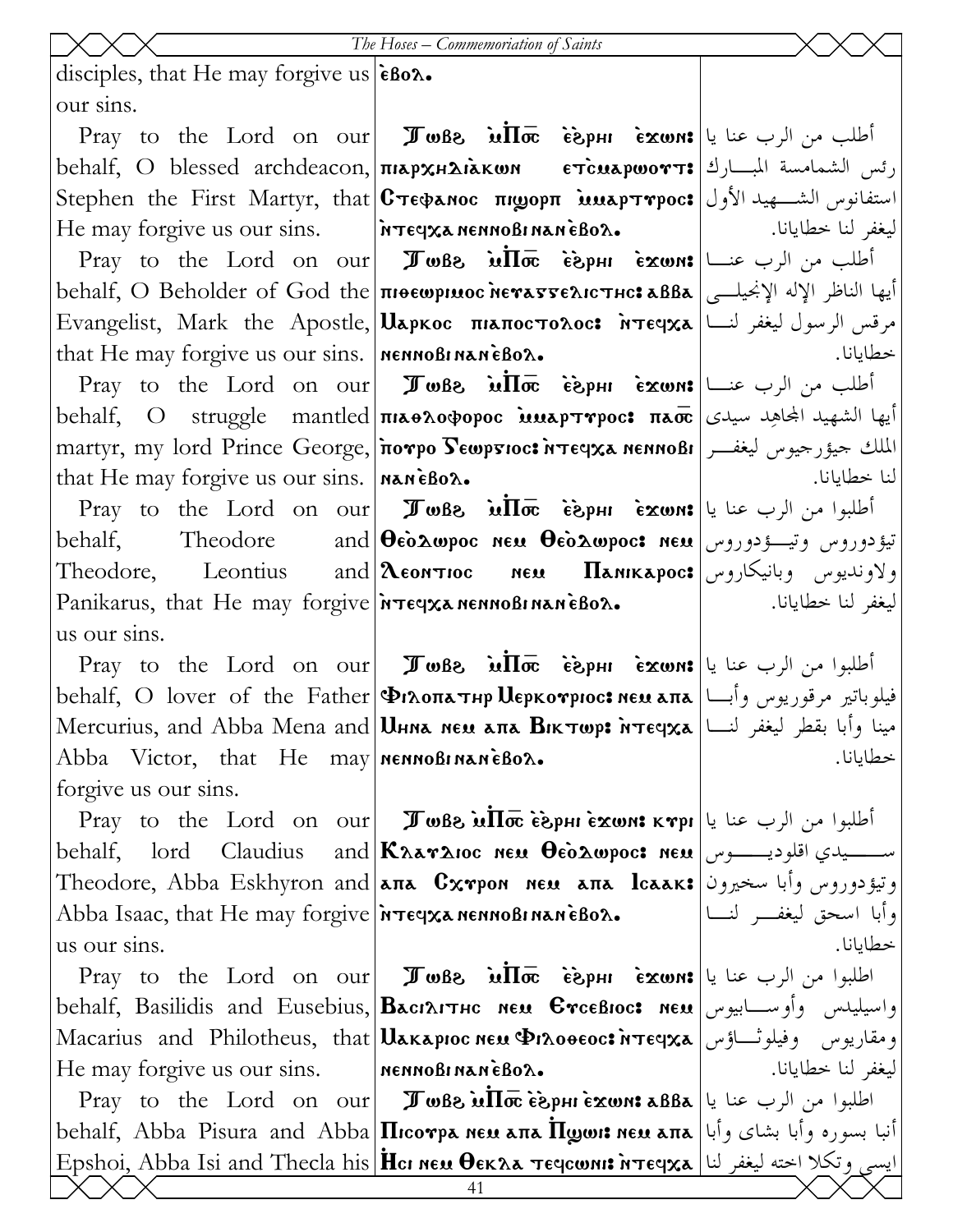disciples, that He may forgive us  $|\hat{\epsilon}$ Bo $\lambda$ . our sins.

behalf, O blessed archdeacon, $\vert$ πιѧρχн $\lambda$ ὶѧκωn eт̀с $\bm{x}$ арωοтт: $\vert$ اعط المبـــارك Stephen the First Martyr, that $|{\bf C}$ тєφалос пі ${\bf w}$ орп ̀ ${\bf u}$ март ${\bf v}$ рос ${\bf r}$  استفانوس الشـــهيد الأول He may forgive us our sins.

that He may forgive us our sins. |  $n$  ennoBinan eBo $\lambda$ .

that He may forgive us our sins. | MANEBOL.

behalf. Theodore Theodore, Leontius and  $\lambda$ **EXECUTER** Panikarus, that He may forgive **Moteqxa nennoßi nan èßox.** us our sins.

 $\Pr$ y to the Lord on our **Jo**Be  $\inf\bar{\varpi}$  iejphi is in  $\sup$ behalf, O lover of the Father Vilopathr Merkourioc> nem apa فيلوباتير مرقوريوس وأبـا Mercurius, and Abba Mena and $|\mathbf{U}$ нна нем апа Віктюр: אينا وأبا بقطر ليغفر لنــا Abba Victor, that He may **NEXT MOBINANEBOL.** forgive us our sins.

Abba Isaac, that He may forgive **MTECXa nennoBi nan èBox.** us our sins.

He may forgive us our sins.

 $\Pr$ اطلبوا من الرب عنا يا $\ket{\texttt{a}\texttt{B}}$ مة  $\bar{\mathbf{a}}$ ما $\mathbf{b}$ مة  $\mathbf{b}$ ما  $\mathbf{b}$  on  $\text{curl}$  اطلبوا من الرب عنا يا behalf, Abba Pisura and Abba $\big| \Pi$ rco ${\tt v}$ ра нем апа  $\Pi$ ழமா: нем апа $\big|$ با بشای وأبا بشای وأبا بشای و Epshoi, Abba Isi and Thecla his <mark>Hcı neu Oekaa teqcwnı: אايسى وتكلا اخته ليغفر لنا | E</mark>pshoi, A

 $\Pr$ y to the Lord on our **Jobs in** $\Pi$ **oe esphi carons** `ntefxa nennobi nan `ebol.

 $\Pr$ من الرب عنـــا $\ker~\mathbf{s}$  im $\mathbf{r}$  ،  $\mathbf{w}$   $\mathbf{s}$  ،  $\mathbf{w}$   $\mathbf{s}$  ،  $\mathbf{w}$  ،  $\mathbf{s}$  ،  $\mathbf{w}$  ،  $\mathbf{s}$ behalf, O Beholder of God the <mark>πιθεωριωος λεγαγελις πιε: ماها الناظر الإله الإنجيلـــى behalf, O Beholder of God the</mark>  $\text{Evangelist, } \text{Mark }$  the  $\text{ Apostle, } |\textbf{U}\textbf{xpk}$ ос  $\text{ maxnor.}$   $\text{max}$   $\text{Var}|\text{Lip}$  مرقس الرسول ليغفر لنـــا

 $\Pr$ من الرب عنـــا $\ker~\mathbf{s}$  im $\mathbf{w}$   $\mathbf{s}$   $\mathbf{s}$   $\mathbf{w}$   $\mathbf{s}$   $\mathbf{s}$   $\mathbf{w}$   $\mathbf{s}$   $\mathbf{s}$   $\mathbf{s}$   $\mathbf{s}$ behalf, O struggle mantled <mark>πιαθλοφορος mater moc: πασε ا</mark>يها الشهيد الجحاهِد سيدى martyr, my lord Prince George, $\vert$ потро  $\bf{S}$ ешр $\bf{F}$ юс: итеч $\bf{x}$ а неннові $\vert$  میؤرجیوس لیغفــر

 $\Pr$ y to the Lord on our **Jobs inToc esphi exwn:** أطلبوا من الرب عنا يا  $\bf\Theta$ eò $\bf\Delta}$ wpoc neu  $\bf\Theta$ eò $\bf\Delta}$ wpoc $\bf\Omega$  neu  $\big\vert$ Leontioc nem Panikaroc> ولاونديوس وبانيكاروس

 $\Pr$ الطلبوا من الرب عنا يا $\ker~\mathbf{F}$ wBe أطلبوا من الرب عنا يا behalf, lord Claudius and $|\mathbf{K}$ Aar $\mathbf{x}$ 100 ne $\mathbf{u}$  deò $\mathbf{\hat{a}}$ wpoc: ne $\mathbf{u}$  اســــيدي اقلوديـــــوس Theodore, Abba Eskhyron and|aπa Cxrpon neu aπa lcaak:|وتيؤدوروس وأبا سخيرون

Pray to the Lord on our Twb\ `m~P\_ `e`\rhi `ejwn> اطلبوا من الرب عنا يا behalf, Basilidis and Eusebius,|Васілітнс мем Єтсєвіос: мем $\,$   $\,$ ابيوس وأوســـابيوس Macarius and Philotheus, that Uakapıoc neu Pınooeoc: أومقاريوس وفيلوثـــاؤس nennobi nan `ebol.

ليغفر لنا خطايانا.

ليغفر لنا خطايانا.

خطايانا.

لنا خطايانا.

خطايانا.

وأبا اسحق ليغفـر لنـا خطايانا.

ليغفر لنا خطايانا.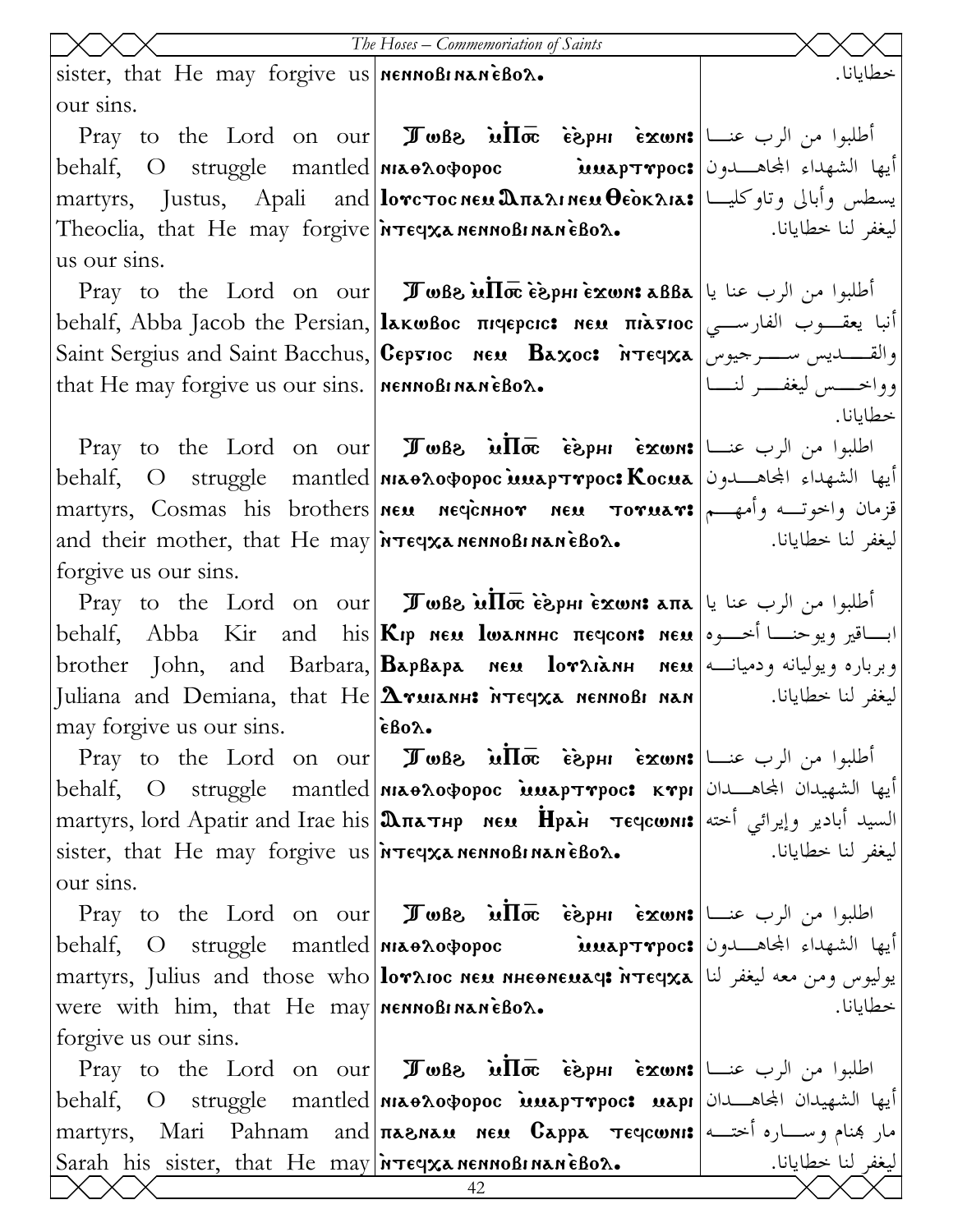|                                                                                                              | The Hoses - Commemoriation of Saints                                                                                                                                                                                                                                                                                                                                                                                                                                                                                                                                                                         |                             |
|--------------------------------------------------------------------------------------------------------------|--------------------------------------------------------------------------------------------------------------------------------------------------------------------------------------------------------------------------------------------------------------------------------------------------------------------------------------------------------------------------------------------------------------------------------------------------------------------------------------------------------------------------------------------------------------------------------------------------------------|-----------------------------|
| sister, that He may forgive us   NENNOBINANEBOX.                                                             |                                                                                                                                                                                                                                                                                                                                                                                                                                                                                                                                                                                                              | خطايانا.                    |
| our sins.                                                                                                    |                                                                                                                                                                                                                                                                                                                                                                                                                                                                                                                                                                                                              |                             |
|                                                                                                              | Pray to the Lord on our <b>I whe in like</b> $\check{\mathbf{c}}$ $\check{\mathbf{c}}$ $\check{\mathbf{c}}$ $\check{\mathbf{c}}$ and $\check{\mathbf{c}}$ $\check{\mathbf{c}}$                                                                                                                                                                                                                                                                                                                                                                                                                               |                             |
|                                                                                                              | behalf, O struggle mantled  <b>NI&amp;OAOOPOC MEAPTYPOC:</b> أيها الشهداء المجاهـــدون                                                                                                                                                                                                                                                                                                                                                                                                                                                                                                                       |                             |
| martyrs, Justus, Apali and  <b>lorcτocneu. התאת θεοκλιλε</b> العديد martyrs, Justus, Apali and               |                                                                                                                                                                                                                                                                                                                                                                                                                                                                                                                                                                                                              |                             |
| Theoclia, that He may forgive $\lambda$ -                                                                    |                                                                                                                                                                                                                                                                                                                                                                                                                                                                                                                                                                                                              | ليغفر لنا خطايانا.          |
| us our sins.                                                                                                 |                                                                                                                                                                                                                                                                                                                                                                                                                                                                                                                                                                                                              |                             |
|                                                                                                              | $\text{Pray}$ to the Lord on our <b>J</b> wBs $\text{M}$ σε εδρμιέχωns aBBa $ $ باب عنا يا                                                                                                                                                                                                                                                                                                                                                                                                                                                                                                                   |                             |
|                                                                                                              | behalf, Abba Jacob the Persian, <b>[laκωβoc πιαερειε: мεμ πιàσιος</b>   انبا يعقسوب الفارسي                                                                                                                                                                                                                                                                                                                                                                                                                                                                                                                  |                             |
|                                                                                                              | Saint Sergius and Saint Bacchus, Cepsioc neu Baxoc: NTEepxa   والقـــــــديس ســــــرجيوس                                                                                                                                                                                                                                                                                                                                                                                                                                                                                                                    |                             |
| that He may forgive us our sins. $n$ <b>NERIT NAME BOX.</b>                                                  |                                                                                                                                                                                                                                                                                                                                                                                                                                                                                                                                                                                                              | وواخــــس ليغفــــر لنــــا |
|                                                                                                              |                                                                                                                                                                                                                                                                                                                                                                                                                                                                                                                                                                                                              | خطايانا.                    |
|                                                                                                              | Pray to the Lord on our <b>I</b> wBs $\overline{u}\overline{\text{Im}}\overline{c}$ $\overline{\text{sign}}\overline{u}$ $\overline{\text{max}}$ $ u - v $                                                                                                                                                                                                                                                                                                                                                                                                                                                   |                             |
|                                                                                                              | behalf, O struggle mantled  <b>NIAOAOOPOC MAAPTYPOC: Kocua</b> الشهداء المجاهــدون                                                                                                                                                                                                                                                                                                                                                                                                                                                                                                                           |                             |
| martyrs, Cosmas his brothers neu necionnor neu Toruar: وأمهم ا                                               |                                                                                                                                                                                                                                                                                                                                                                                                                                                                                                                                                                                                              |                             |
|                                                                                                              | and their mother, that He may $\frac{1}{x}$ is near $\frac{1}{x}$ are $\frac{1}{x}$                                                                                                                                                                                                                                                                                                                                                                                                                                                                                                                          | ليغفر لنا خطايانا.          |
| forgive us our sins.                                                                                         |                                                                                                                                                                                                                                                                                                                                                                                                                                                                                                                                                                                                              |                             |
|                                                                                                              | Pray to the Lord on our <b>I w</b> Be $\overline{\text{w}}$ $\overline{\text{m}}$ <sub><math>\overline{\text{m}}</math> <math>\overline{\text{m}}</math> <math>\overline{\text{m}}</math> <math>\overline{\text{m}}</math> <math>\overline{\text{m}}</math> <math>\overline{\text{m}}</math> <math>\overline{\text{m}}</math> <math>\overline{\text{m}}</math> <math>\overline{\text{m}}</math> <math>\overline{\text{m}}</math> <math>\overline{\text{m}}</math> <math>\overline{\text{m}}</math> <math>\overline{\text{m}}</math> <math>\overline{\text{m}}</math> <math>\overline{\text{m}}</math> </sub> |                             |
| behalf, Abba Kir and his Kip New lwannuc πεςιτοπε New later leads                                            |                                                                                                                                                                                                                                                                                                                                                                                                                                                                                                                                                                                                              |                             |
| brother John, and Barbara, BapBapa Neu loraianh Neu                                                          |                                                                                                                                                                                                                                                                                                                                                                                                                                                                                                                                                                                                              |                             |
| Juliana and Demiana, that He  $\Delta$ тилан: אוד $\epsilon$ уха иєннові нан $ $                             |                                                                                                                                                                                                                                                                                                                                                                                                                                                                                                                                                                                                              |                             |
| may forgive us our sins. <b>EBo</b> $\lambda$ .                                                              |                                                                                                                                                                                                                                                                                                                                                                                                                                                                                                                                                                                                              |                             |
|                                                                                                              | Pray to the Lord on our <b>I</b> wBs $\overline{u}\overline{\text{Im}}\overline{c}$ $\overline{\text{sign}}\overline{u}$ $\overline{\text{max}}$ $ u - v $                                                                                                                                                                                                                                                                                                                                                                                                                                                   |                             |
| behalf, O struggle mantled  <b>MLO</b> Aopopoc <b>interprecs KTPI</b>                                        |                                                                                                                                                                                                                                                                                                                                                                                                                                                                                                                                                                                                              |                             |
| السيد أبادير وإيرائي أخته πartyrs, lord Apatir and Irae his <b> మπ</b> ατнр мем <b>H</b> pai   течсωм:       |                                                                                                                                                                                                                                                                                                                                                                                                                                                                                                                                                                                                              |                             |
| sister, that He may forgive us $\frac{1}{2}$ is the sense of $\frac{1}{2}$ .                                 |                                                                                                                                                                                                                                                                                                                                                                                                                                                                                                                                                                                                              | ليغفر لنا خطايانا.          |
| our sins.                                                                                                    |                                                                                                                                                                                                                                                                                                                                                                                                                                                                                                                                                                                                              |                             |
|                                                                                                              | Pray to the Lord on our <b>I</b> wBs $\overrightarrow{u}\overrightarrow{\text{In}\sigma}$ $\overrightarrow{e}$ $\overrightarrow{e}$ $\overrightarrow{r}$ $\overrightarrow{u}$ $\overrightarrow{v}$ $\overrightarrow{r}$                                                                                                                                                                                                                                                                                                                                                                                      |                             |
|                                                                                                              | behalf, O struggle mantled  <b>NI&amp;OAOOPOC MEAPTYPOC:</b> أيها الشهداء المجاهــــدون                                                                                                                                                                                                                                                                                                                                                                                                                                                                                                                      |                             |
| martyrs, Julius and those who loraioc neu nheoneuace wreqxa [من معه ليغفر لنا  martyrs, Julius and those who |                                                                                                                                                                                                                                                                                                                                                                                                                                                                                                                                                                                                              |                             |
| were with him, that He may   nennoBinaneBox.                                                                 |                                                                                                                                                                                                                                                                                                                                                                                                                                                                                                                                                                                                              | خطايانا.                    |
| forgive us our sins.                                                                                         |                                                                                                                                                                                                                                                                                                                                                                                                                                                                                                                                                                                                              |                             |
|                                                                                                              | Pray to the Lord on our <b>I when</b> $\overline{u}$ $\overline{w}$ $\overline{w}$ $\overline{w}$ $\overline{w}$ $\overline{w}$ $\overline{w}$ $\overline{w}$ $\overline{w}$ $\overline{w}$ $\overline{w}$ $\overline{w}$ $\overline{w}$ $\overline{w}$ $\overline{w}$ $\overline{w}$ $\overline{w}$ $\overline{w}$ $\overline{w}$ $\overline{w}$ $\overline{w}$                                                                                                                                                                                                                                             |                             |
| behalf, O struggle mantled  <b>NIAOAOOPOC MAAPTYPOC: MAPI</b>  الشهيدان المجاهـــدان                         |                                                                                                                                                                                                                                                                                                                                                                                                                                                                                                                                                                                                              |                             |
| martyrs, Mari Pahnam and πιδηικι New Cappa πεςτουηι: مار بهنام وسساره أختــه                                 |                                                                                                                                                                                                                                                                                                                                                                                                                                                                                                                                                                                                              |                             |
|                                                                                                              | Sarah his sister, that He may <mark>hreeyxa nennoBinanèBox.</mark>   اليغفر لنا خطايانا. المسمعة                                                                                                                                                                                                                                                                                                                                                                                                                                                                                                             |                             |
|                                                                                                              | 42                                                                                                                                                                                                                                                                                                                                                                                                                                                                                                                                                                                                           |                             |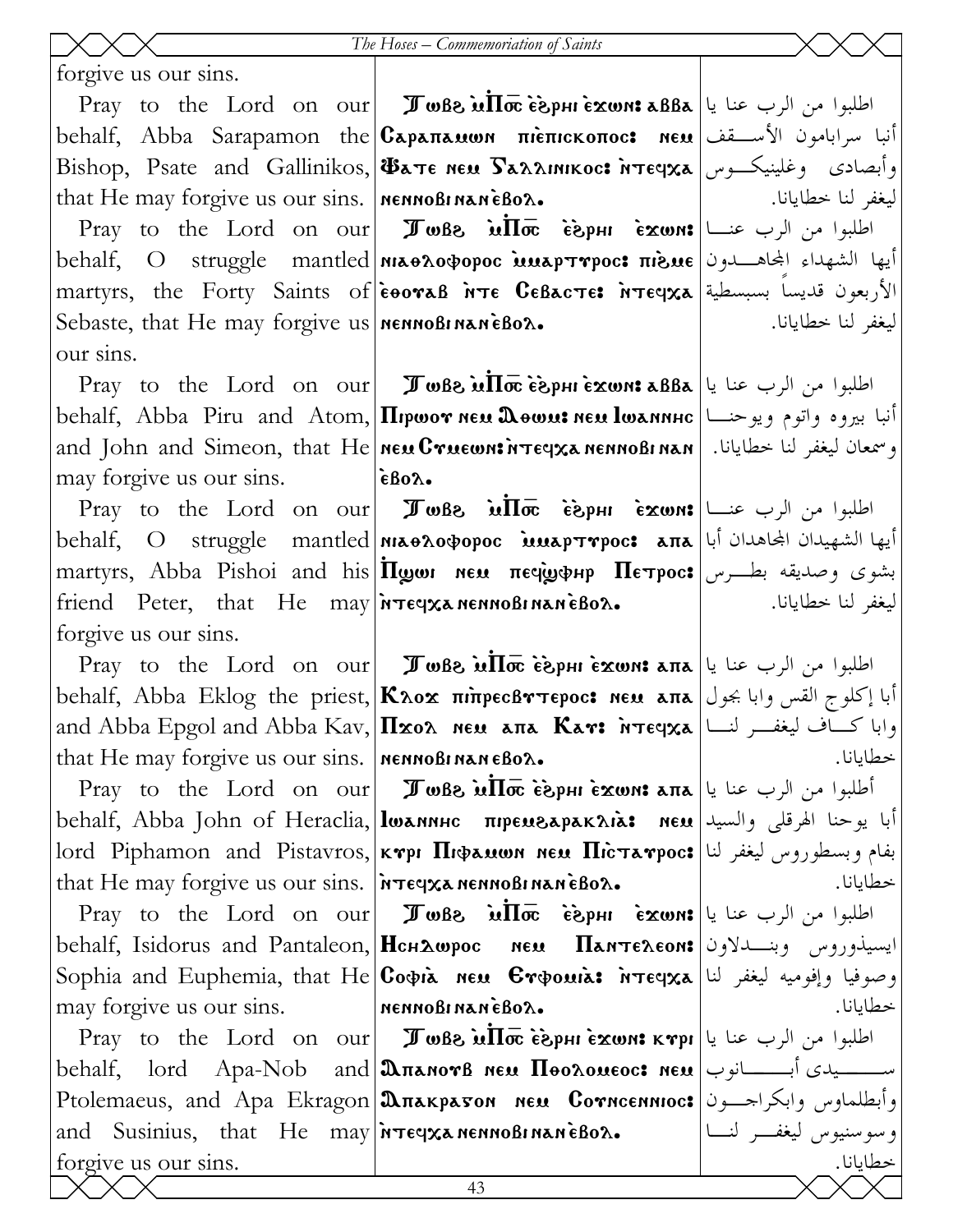forgive us our sins.

that He may forgive us our sins. |  $n$ еннові напевол.

Sebaste, that He may forgive us **NET MOBINAN EBOX.** our sins.

may forgive us our sins.

friend Peter, that He may  $\frac{1}{n}$   $\frac{1}{n}$   $\frac{1}{n}$   $\frac{1}{n}$   $\frac{1}{n}$   $\frac{1}{n}$   $\frac{1}{n}$   $\frac{1}{n}$ forgive us our sins.

that He may forgive us our sins. | NENNOBINANEBOY.

that He may forgive us our sins. **For eyxa nennoBinan eBo2.** 

may forgive us our sins.

and Susinius, that He may  $\frac{1}{n}$   $\frac{1}{n}$   $\frac{1}{n}$   $\frac{1}{n}$   $\frac{1}{n}$   $\frac{1}{n}$   $\frac{1}{n}$   $\frac{1}{n}$   $\frac{1}{n}$ forgive us our sins.

 $\Pr$ اطلبوا من الرب عنا يا $\ket{\texttt{a}\texttt{B}}$ مة  $\mathbf{\overline{a}}$ wB أصلبوا من الرب عنا يا behalf, Abba Sarapamon the $|{\bf C}$ apa $\pi$ anauwn  $\pi$ iè $\pi$ icko $\pi$ oc: neu $|$ سرابامون الأســقف Bishop, Psate and Gallinikos, $|\mathbf{\Phi}$ ате нем  $\mathbf{\Sigma}$ алликос: итечха $|$ وأبصادى وغلينيكــوس

 $\Pr$ اطلبوا من الرب عنـــا $\ker~\mathbf{s}$ ray to the Lord on our $\mathbf{s}$  ،  $\mathbf{s}$ لاه $\mathbf{s}$ behalf, O struggle mantled|**мьөλофорос шларттрос: пі̀зле** |ايها الشهداء الجحاهـــدون martyrs, the Forty Saints of $|\tilde{\texttt{e}}$ eoraß ה $\texttt{e}$ Geßac $\texttt{v}$ es `n $\texttt{v}$ eqxa الأربعون قديساً بسبسطية

 $\Pr$ اطلبوا من الرب عنا يا $\ket{\texttt{a}\texttt{B}}$ مة  $\mathbf{\overline{a}}$ wB أصلبوا من الرب عنا يا behalf, Abba Piru and Atom, $|\Pi$ pwor neu Дөwu: неи lwannнс $|$ يوه واتوم ويوحنـــا and John and Simeon, that He <code>ne</code>u<code>C $\bm{r}$ ue</code>un: وسمعان ليغفر لنا خطايانا.  $\bm{s}$  neu C $\bm{r}$ uewn: وسمعان ليغفر لنا خطايانا.  $\epsilon$ Bo $\lambda$ .

 $\Pr$ اطلبوا من الرب عنـــا $\ker~\mathbf{s}$ ray to the Lord on our $\mathbf{s}$  ،  $\mathbf{s}$ لاه $\mathbf{s}$ behalf, O struggle mantled <mark>|ньөлофорос миарттрос: апа |أيها الشهيدان الجحاهدان أبا |</mark> martyrs, Abba Pishoi and his $|\Pi$ ழமா ne $\bm u$  пeҷ̀ழஞ்нр  $\Pi$ етрос $\bm s$  بشوى وصديقه بطــرس

Pray to the Lord on our **I wbs ulloc esphi exwn: ا**طلبوا من الرب عنا يا behalf, Abba Eklog the priest, $\vert\mathbf K$ גס πιπρεσβντερος: new aπa أبا إكلوج القس وابا بجول and Abba Epgol and Abba Kav, $|\Pi$ xол пем апа Кат: нтечха $|$ نـــا $|$  میها

Pray to the Lord on our **I wbs ulloc esphi exwn: ana** أطلبوا من الرب عنا يا behalf, Abba John of Heraclia,|**lwannhc премгарак** $\Lambda$ **ia: мем** الهرقلى والسيد  $\operatorname{lord}$  Piphamon and Pistavros, $|$ k ${\bm\mathsf{v}}$ pı  $\prod$ ı $\varphi$ auwn neu  $\prod$ ic ${\bm\tau}$ a ${\bm\mathsf{v}}$ poc ${\bm\mathsf{s}}|$ ل

 $\Pr$ اطلبوا من الرب عنا يا $\ker~\mathbf{z}$ ray to the Lord on our $\Vert~\mathbf{J}$ wß  $\mathbf{z}$ ست  $\mathbf{z}$ behalf, Isidorus and Pantaleon, $\vert$ Hch $\Delta$ wpoc neu  $\,$  Панте $\,$ еом: $\vert$ ونا Sophia and Euphemia, that He $|{\bf C}$ o $\phi$ ia neu  $\bf G$ r $\phi$ ouia: `n $\bf{\tau}$ eqxa $|$ نا ليغفر لنا nennoßinan eßo $\lambda$ .

 $\Pr$ اطلبوا من الرب عنا يا $\ker~\mathbf{F}$ مت  $\mathbf{F}$ م $\mathbf{F}$ م $\mathbf{F}$ مع $\mathbf{F}$ مع $\mathbf{F}$ مع ا $\mathbf{F}$ مع ا $\mathbf{F}$ مع  $\mathbf{F}$ behalf, lord Apa-Nob and $|\textbf{2}\pi$ anovß neu  $\Pi$ bo $\Lambda$ oueoc: neu $|\text{2}\pi|$ ا Ptolemaeus, and Apa Ekragon|మπაкратом мен Corncennioc:|وأبطلماوس وابكراجــون

ليغفر لنا خطايانا. ليغفر لنا خطايانا.

ليغفر لنا خطايانا.

خطايانا.

خطايانا.

خطايانا.

وسوسنيوس ليغفـر لنـا خطايانا.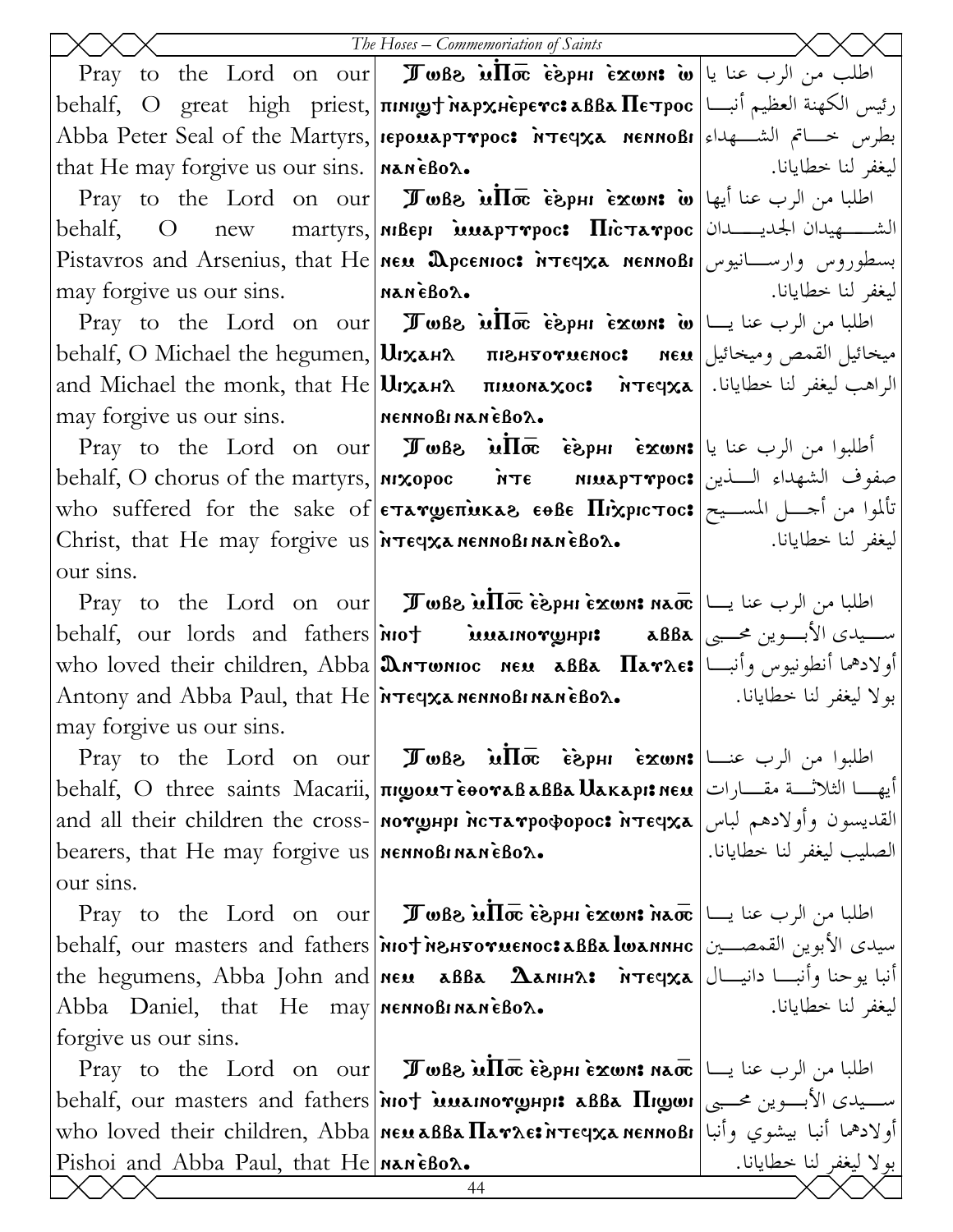|                                                                           | The Hoses - Commemoriation of Saints                                                                                                                                                                                                                                                                                                                        |                           |
|---------------------------------------------------------------------------|-------------------------------------------------------------------------------------------------------------------------------------------------------------------------------------------------------------------------------------------------------------------------------------------------------------------------------------------------------------|---------------------------|
|                                                                           | Pray to the Lord on our <b>I whe in the following in the lead of the lord on our</b>                                                                                                                                                                                                                                                                        |                           |
|                                                                           | رئيس الكهنة العظيم أنبا   behalf,   O   great   high   priest,   πινιωτ λερχμερενο: مقاهد Πετρος   بر                                                                                                                                                                                                                                                       |                           |
|                                                                           | Abba Peter Seal of the Martyrs, repouapTrpoc: MTEerxa MENNoBi  ابطرس خساتم الشكهداء                                                                                                                                                                                                                                                                         |                           |
| that He may forgive us our sins. $ $ NAN $\epsilon$ Bo $\lambda$ .        |                                                                                                                                                                                                                                                                                                                                                             | ليغفر لنا خطايانا.        |
|                                                                           | Pray to the Lord on our <b>I Twee in the is the form</b> $\mathbf{\hat{i}}$ $\mathbf{\hat{j}}$ be $\mathbf{\hat{j}}$                                                                                                                                                                                                                                        |                           |
|                                                                           | behalf, O new martyrs,   MiBepi MuapTrpoc: HicTarpoc   الشهيدان الجديــــــدان   behalf, O new martyrs,   MiBepi                                                                                                                                                                                                                                            |                           |
|                                                                           | Pistavros and Arsenius, that He New Dpcentoc: Megxa NennoBi اسطوروس وارســانيوس                                                                                                                                                                                                                                                                             |                           |
| may forgive us our sins. MANEBOX.                                         |                                                                                                                                                                                                                                                                                                                                                             | ليغفر لنا خطايانا.        |
|                                                                           | Pray to the Lord on our <b>IF</b> wBe $\inf$ $\bar{\sigma}$ ie $\sup$ if $\sigma$ is $\vert \cup$ $\vert$ $\bot$ $\vert$ $\bot$ $\vert$ $\bot$ $\vert$                                                                                                                                                                                                      |                           |
|                                                                           | behalf, O Michael the hegumen, Urxана привнуотиенос: пем   رابعه العام العام العام العام العام العام                                                                                                                                                                                                                                                        |                           |
|                                                                           | and Michael the monk, that He <b>Urxans Truonaxoc:</b> $n\pi$ eqxa and Michael the monk, that He Urxans                                                                                                                                                                                                                                                     |                           |
| may forgive us our sins. MennoBinaneBox.                                  |                                                                                                                                                                                                                                                                                                                                                             |                           |
|                                                                           | <b>Pray</b> to the Lord on our <b>I TwBe in Too esphi εχωns</b> $ u  \sim 1$                                                                                                                                                                                                                                                                                |                           |
|                                                                           | behalf, O chorus of the martyrs, <b>  MXOPOC MTE</b> MILAPTYPOC: صفوف الشهداء السذين                                                                                                                                                                                                                                                                        |                           |
|                                                                           | who suffered for the sake of <b>ETAYOETIOKAS EOBE HIXPICTOC:</b> تألموا من أحسل المسسيح                                                                                                                                                                                                                                                                     |                           |
|                                                                           | Christ, that He may forgive us $\frac{1}{x}$ is the nearest nearest naneally character $\frac{1}{x}$                                                                                                                                                                                                                                                        | ليغفر لنا خطايانا.        |
| our sins.                                                                 |                                                                                                                                                                                                                                                                                                                                                             |                           |
|                                                                           | Pray to the Lord on our <b>  மகைப்பி</b> ன் சேயர் போல வாற்று மான் வாழி பிடிக்கிய பிடிக்கும் பிடிக்கிய பிடிக்கிய பிடிக                                                                                                                                                                                                                                       |                           |
|                                                                           | behalf, our lords and fathers <b>not imamorghps aBBa</b> $\left  \bigcup_{i=1}^n S_i \right $ where $\left  \bigcup_{i=1}^n S_i \right $                                                                                                                                                                                                                    |                           |
|                                                                           | who loved their children, Abba మిగాwnioc neu aBBa Harre: اولادهما أنطونيوس وأنبسا                                                                                                                                                                                                                                                                           |                           |
|                                                                           | Antony and Abba Paul, that $He $ $\overline{r}$ $\overline{r}$ $\overline{r}$ $\overline{r}$ $\overline{r}$ $\overline{r}$ $\overline{r}$ $\overline{r}$ $\overline{r}$ $\overline{r}$ $\overline{r}$ $\overline{r}$ $\overline{r}$ $\overline{r}$ $\overline{r}$ $\overline{r}$ $\overline{r}$ $\overline{r}$ $\overline{r}$ $\overline{r}$ $\overline{r}$ | بولا ليغفر لنا خطايانا.   |
| may forgive us our sins.                                                  |                                                                                                                                                                                                                                                                                                                                                             |                           |
|                                                                           |                                                                                                                                                                                                                                                                                                                                                             |                           |
|                                                                           | أيهـــا الثلاثـــة مقــــارات  behalf, O three saints Macarii, πιωουττεθοναβαββα Uaκαpı: neu                                                                                                                                                                                                                                                                |                           |
|                                                                           | and all their children the cross- <b> norghpi hctarpodopoc: irteqxa</b> [بالقديسون وأولادهم لباس                                                                                                                                                                                                                                                            |                           |
| bearers, that He may forgive us $n$ menno Binan $\epsilon$ Bo $\lambda$ . |                                                                                                                                                                                                                                                                                                                                                             | الصليب ليغفر لنا خطايانا. |
| our sins.                                                                 |                                                                                                                                                                                                                                                                                                                                                             |                           |
|                                                                           | Pray to the Lord on our <b>I who willow</b> $\vec{a}$ or $\vec{b}$ and $\vec{b}$ $\vec{c}$ or $\vec{b}$                                                                                                                                                                                                                                                     |                           |
|                                                                           | behalf, our masters and fathers <i>  мот ментотиемос: مدل الأبوين</i> القمصــين   behalf, our masters and fathers   мот ментотиемос: авва lwannнс                                                                                                                                                                                                           |                           |
|                                                                           |                                                                                                                                                                                                                                                                                                                                                             | ليغفر لنا خطايانا.        |
| Abba Daniel, that He may   nennoBinaneBox.                                |                                                                                                                                                                                                                                                                                                                                                             |                           |
| forgive us our sins.                                                      | Pray to the Lord on our <b>I Jule in Trans</b> in $\overline{\text{max}}$ and $\overline{\text{max}}$ lupl                                                                                                                                                                                                                                                  |                           |
|                                                                           | behalf, our masters and fathers <i>inot</i> is allarinory up it alla <b>H</b> igor $ \psi_{\text{max}} $                                                                                                                                                                                                                                                    |                           |
|                                                                           | who loved their children, Abba พยม&B& Патлезитечханенновн أولادهما أنبا بيشوي وأنبا who loved their children, Abba                                                                                                                                                                                                                                          |                           |
| Pishoi and Abba Paul, that $He $ naneBo $\lambda$ .                       |                                                                                                                                                                                                                                                                                                                                                             | بولا ليغفر لنا خطايانا.   |
|                                                                           | 44                                                                                                                                                                                                                                                                                                                                                          |                           |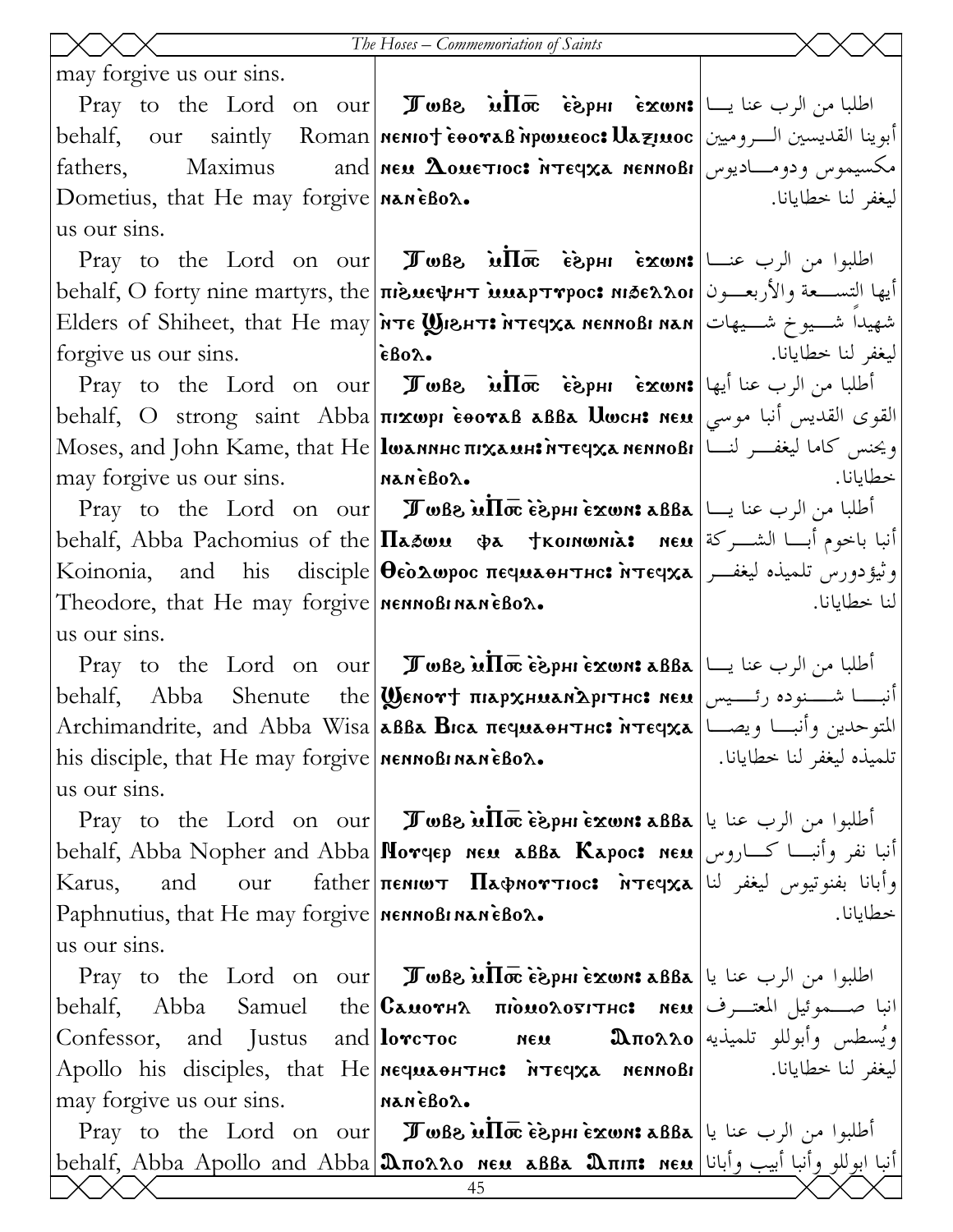may forgive us our sins.

 $\Pr$ اطلبا من الرب عنا يــا $\ket{\text{max}}$  ie  $\text{max}$  in  $\text{max}$   $\ket{\text{max}}$  . In  $\text{max}$ behalf, our saintly Roman |nenio† èooraß npwueoc: Uaziuoc |سوينا القديسين الــروميين fathers. Maximus Dometius, that He may forgive  $n$ an  $\epsilon$ Bo $\lambda$ . us our sins.

behalf, O forty nine martyrs, the <mark>πιενεψμτ ιμαρτγρος: niāeλλοι</mark> والأربعــون ال Elders of Shiheet, that He may $|{\bf \hat{M}}$ те  ${\bf \textbf{W}}$ внт $\bf{r}$  птеч ${\bf x}$ а меннові нан  $|$  شهيداً شــيوخ شــيهات forgive us our sins.

may forgive us our sins.

behalf, Abba Pachomius of the $|\bf{\Pi}$ مین به هنا باخوم أبــا الشـــركة  $\bf{\mu}$  ne $\bf{\mu}$ Koinonia, and his disciple $|\mathbf{\Theta}$ ѐо̀∆ωрос печиаонтнс: אדרפןха $|$ يغفــر | جنودورس تلميذه ليغفــر Theodore, that He may forgive **MENNORITALE BOX.** us our sins.

 $\Pr$ اطلبا من الرب عنا يــا $\Gamma$ ه TwBe أطلبا من الرب عنا يــا $\Gamma$ بة ف $\Pi$ w Be أطلبا من الرب عنا يــا behalf, Abba Shenute the|Ϣeno۳† πιαρχμωανλριτμο: new أنبــــا شـــنوده رئــــيس Archimandrite, and Abba Wisa|aßa Bıca πεςμαθΗτης: יالمتوحدين وأنبــا ويصــا his disciple, that He may forgive **NETRO MANEBOL.** us our sins.

Paphnutius, that He may forgive **NETRO PROBITATE Box.** us our sins.

behalf, Abba Samuel Confessor, and Justus may forgive us our sins.

neu  ${\bf A}$ ouetioc: מאשה האפן אסות האפשרא

ليغفر لنا خطايانا.

ليغفر لنا خطايانا.

خطايانا.

لنا خطايانا.

خطايانا.

تلميذه ليغفر لنا خطايانا.

ليغفر لنا خطايانا.

 $\Pr$ اطلبوا من الرب عنـــا $\ker~\mathbf{s}$ ray to the Lord on our $\mathbf{s}$  ،  $\mathbf{w}$ الا،  $\mathbf{s}$  $\epsilon$ Bo $\lambda$ .

 $\Pr$ zwn to the Lord on our **JwBe**  $\inf$ **wne exwn: أط**لبا من الرب عنا أيها behalf, O strong saint Abba|пı $\bm{x}$ wpı ѐвотав авва  $\bm{U}$ wсн $\bm{s}$  ме $\bm{u}$  موسي  ${\rm Moses,~and~John~Kame,~that~He\bigl| {\bf l}$ wannhc  $\pi$ i ${\bf x}$ a nen ${\bf n}$ a nenno<code>B</code>i ويحنس كاما ليغفـــر لنـــا nan `ebol.

 $\Pr$ اطلبا من الرب عنا يــا $\Gamma$ ه TwBe أطلبا من الرب عنا يــا $\Gamma$ بة ف $\Pi$ w Be أطلبا من الرب عنا يــا

 $\Pr$ z to the Lord on our $\mid~\bm{\mathcal{J}}$ wße ש $\bar{\mathbf{h}}$ e $\vec{\epsilon}$ ابوا من الرب عنا يا $\mid$  bray to the Lord on our behalf, Abba Nopher and Abba|<code>Nov</code>qep neu aßBa Kapoc: neu $\,$ انبا نفر وأنبـــا كــــاروس Karus, and our father $|\pi$ емют Пафмоттюс: нтечха $|\psi\rangle$ ما المغفر لنا

 $\Pr$ اطلبوا من الرب عنا يا $\ket{\texttt{a}\texttt{B}}$ مة  $\mathbf{\overline{a}}$ wB أصلبوا من الرب عنا يا Apollo his disciples, that He нечилонтнс: мтечха неннові انبا صـــموئيل المعتـــرف| Canoγhλ πιοnολο51тнс: nen and  $\lambda$ nan `ebol. ويُسطس وأبوللو تلميذيه

 $\Pr$ z to the Lord on our $\mid~\bm{\mathcal{J}}$ wße ש $\overline{\ln\bm{\varpi}}$ ègphièxwn: اطلبوا من الرب عنا يا behalf, Abba Apollo and Abba $|{\bf \Omega}$ полло нем авва  ${\bf \Omega}$ піп: нем $|$ ابوللو وأنبا أبيب وأبانا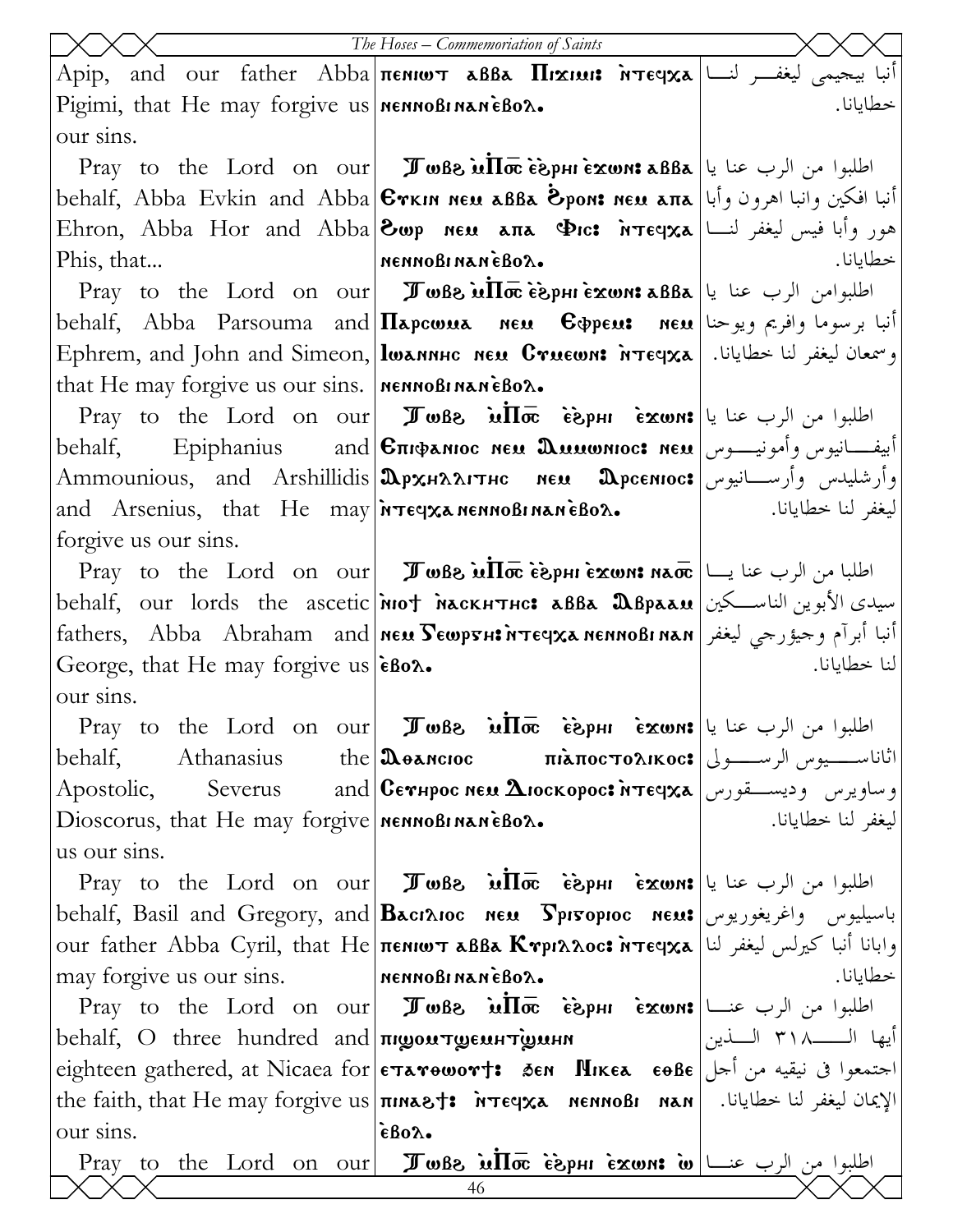|                                                            | The Hoses - Commemoriation of Saints                                                                                                                                                                                                                                                                          |                    |
|------------------------------------------------------------|---------------------------------------------------------------------------------------------------------------------------------------------------------------------------------------------------------------------------------------------------------------------------------------------------------------|--------------------|
|                                                            | Apip, and our father Abba пемют авва Піхни: мтечха أنبا بيحيمي ليغفــر لنــا  Арір, аnd оur father Abba                                                                                                                                                                                                       |                    |
| Pigimi, that He may forgive us <b>NERIO BIRANEBOX.</b>     |                                                                                                                                                                                                                                                                                                               | خطايانا.           |
| our sins.                                                  |                                                                                                                                                                                                                                                                                                               |                    |
|                                                            | Pray to the Lord on our <b>I Jule : <i>Jule</i></b> $\vec{H}$ or $\vec{e}$ $\vec{g}$ phi $\vec{g}$ and $\vec{g}$ and $\vec{g}$                                                                                                                                                                                |                    |
|                                                            | أنبا افكين وانبا اهرون وأبا   behalf, Abba Evkin and Abba €ткıн нем авва Ёрон: нем апа                                                                                                                                                                                                                        |                    |
|                                                            | Ehron, Abba Hor and Abba $\bigotimes_{\omega} p$ мем апа $\Phi$ ic: אנפּן ليغفر لنسا   بیس لیغفر لنسا   عر                                                                                                                                                                                                    |                    |
| Phis, that                                                 | NENNOBINANÈBOX.                                                                                                                                                                                                                                                                                               | خطايانا.           |
|                                                            | Pray to the Lord on our <b>I Jule : <i>Jule in To E</i> Exunt aBBa</b> اطلبوامن الرب عنا يا                                                                                                                                                                                                                   |                    |
|                                                            | behalf, Abba Parsouma and  <b>Hapcwua neu E</b> ippeu: neu juga eges de la p                                                                                                                                                                                                                                  |                    |
|                                                            | Ephrem, and John and Simeon, lwannнс мем Стиєши: أوسمعان ليغفر لنا خطايانا. [ Ephrem, and John and Simeon,                                                                                                                                                                                                    |                    |
| that He may forgive us our sins.   NENNOBINANEBOX.         |                                                                                                                                                                                                                                                                                                               |                    |
|                                                            | Pray to the Lord on our <b>I when</b> $\overline{u}$ $\overline{w}$ $\overline{e}$ $\overline{e}$ $\overline{e}$ $\overline{w}$ $\overline{w}$ is $\overline{w}$                                                                                                                                              |                    |
|                                                            | behalf, Epiphanius and <b>Cπιφαnioc neu Duuwnioc: neu</b> ابیفـــانیوس وأمونیــــوس behalf,                                                                                                                                                                                                                   |                    |
|                                                            | وأرشليدس وأرســـانيوس Дрхналитнс мем Дрсемюс: وأرشليدس وأرســـانيوس Ammounious, and Arshillidis                                                                                                                                                                                                               |                    |
|                                                            | and Arsenius, that He may $\frac{1}{2}$ $\frac{1}{2}$ $\frac{1}{2}$ $\frac{1}{2}$ $\frac{1}{2}$ $\frac{1}{2}$ $\frac{1}{2}$ $\frac{1}{2}$ $\frac{1}{2}$ $\frac{1}{2}$ $\frac{1}{2}$ $\frac{1}{2}$ $\frac{1}{2}$ $\frac{1}{2}$ $\frac{1}{2}$ $\frac{1}{2}$ $\frac{1}{2}$ $\frac{1}{2}$ $\frac{1}{2}$ $\frac{1$ | ليغفر لنا خطايانا. |
| forgive us our sins.                                       |                                                                                                                                                                                                                                                                                                               |                    |
|                                                            | Pray to the Lord on our <b>I Jule : المحالجا من</b> الرب عنا يسا   Pray to the Lord on our                                                                                                                                                                                                                    |                    |
|                                                            | behalf, our lords the ascetic <b>not nackhtric: aBBa Depaau</b> اسيدى الأبوين الناسكين                                                                                                                                                                                                                        |                    |
|                                                            | أنبا أبرآم وحيؤرجي ليغفر   fathers,   Abba   Abraham   and   мем Бешртн: أنبا أبرآم وحيؤرجي ليغفر   fathers,                                                                                                                                                                                                  |                    |
| George, that He may forgive us eBox.                       |                                                                                                                                                                                                                                                                                                               | لنا خطايانا.       |
| our sins.                                                  |                                                                                                                                                                                                                                                                                                               |                    |
|                                                            | Pray to the Lord on our <b>I Jule in the Sepsisting State</b>                                                                                                                                                                                                                                                 |                    |
| behalf,<br>Athanasius                                      | اثاناســـــيوس الرســـــولى πὶаπος τολικος (عدد τητί                                                                                                                                                                                                                                                          |                    |
| Apostolic,                                                 | Severus and CerHpoc New AIOCKOPOC: NTEYXA   Severus and   CerHpoc New AIOCKOPOC: NTEYXA                                                                                                                                                                                                                       |                    |
| Dioscorus, that He may forgive MennoBinaneBox.             |                                                                                                                                                                                                                                                                                                               | ليغفر لنا خطايانا. |
| us our sins.                                               |                                                                                                                                                                                                                                                                                                               |                    |
|                                                            | Pray to the Lord on our <b>I when</b> $\vec{u}$ $\vec{n}$ $\vec{\sigma}$ $\vec{\sigma}$ $\vec{\sigma}$ $\vec{\sigma}$ $\vec{\sigma}$ $\vec{\sigma}$ $\vec{\sigma}$ $\vec{\sigma}$                                                                                                                             |                    |
|                                                            | behalf, Basil and Gregory, and <b>Bacinioc neu Spiropioc neu:</b> واغريغوريوس ا                                                                                                                                                                                                                               |                    |
|                                                            | our father Abba Cyril, that He πεΝΙωτ aBBa Kγpιλλος: اوابانا أنبا كيرلس ليغفر لنا                                                                                                                                                                                                                             | خطايانا.           |
| may forgive us our sins.                                   | <b>A</b> A DA BONNORI NA NÈBO $\lambda$ .<br>Pray to the Lord on our <b>I</b> wBe $\overline{u}\overline{\text{In}}\overline{\text{ce}}$ is $\overline{u}$ in $\overline{v}$ $\overline{v}$ and $\overline{v}$                                                                                                |                    |
|                                                            |                                                                                                                                                                                                                                                                                                               |                    |
| behalf, O three hundred and <b>The Auge of The Augment</b> | eighteen gathered, at Nicaea for ETAYOWOYT: 3EN MIKEA EOBE صتمعوا في نيقيه من أجل                                                                                                                                                                                                                             |                    |
|                                                            | the faith, that He may forgive us $ \text{max}+1 $ $ \text{max}+1 $ $ \text{max}+1 $ $ \text{max}+1 $ $ \text{max}+1 $ ily $ \text{max}+1 $                                                                                                                                                                   |                    |
| our sins.                                                  | $\epsilon$ Bo $\lambda$ .                                                                                                                                                                                                                                                                                     |                    |
|                                                            | Pray to the Lord on our Just ide in Ture is not on the Lord on our Just allow in Ture is not in the prince in                                                                                                                                                                                                 |                    |
|                                                            | 46                                                                                                                                                                                                                                                                                                            |                    |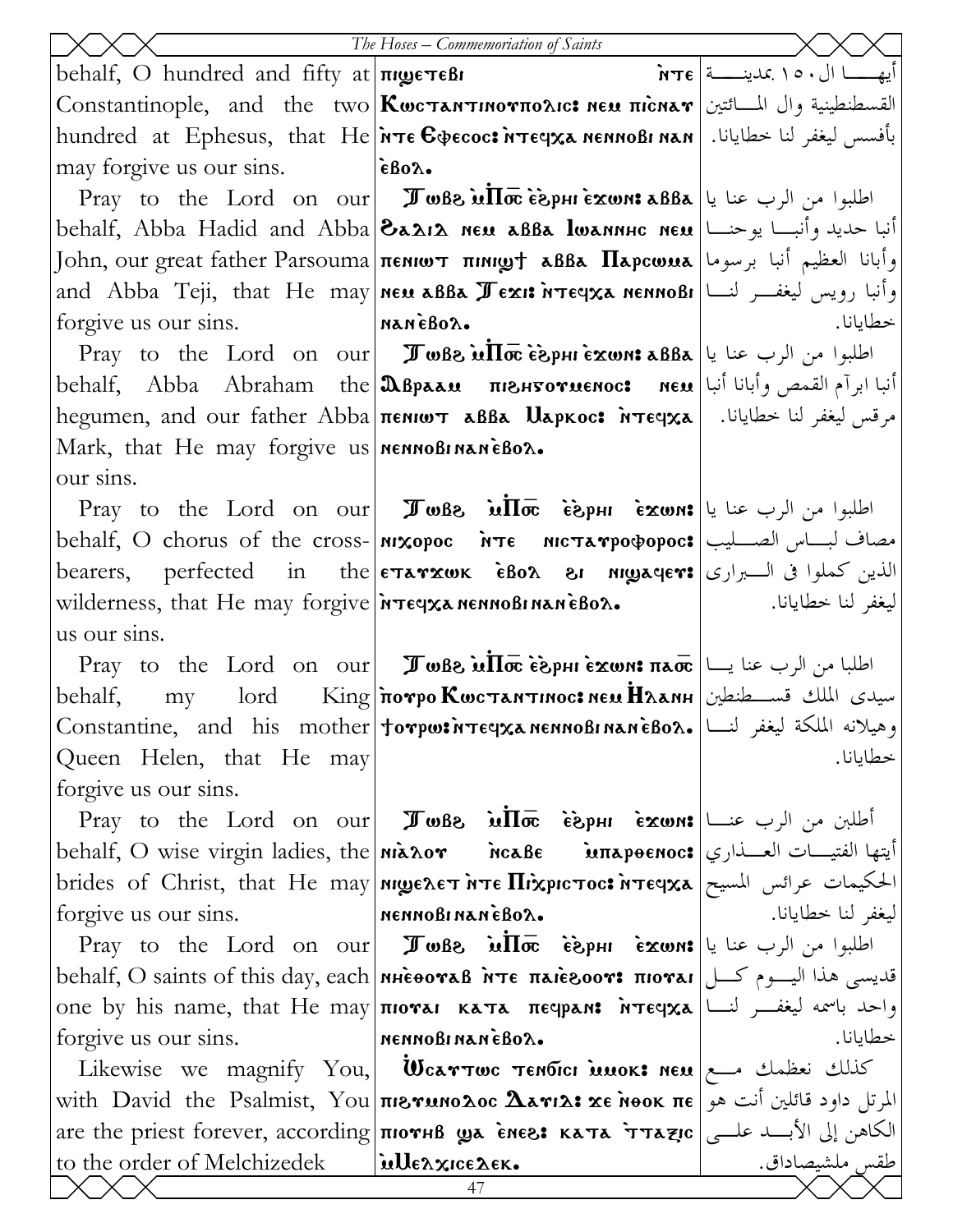|                                                           | The Hoses – Commemoriation of Saints                                                                                                                                                                                                                                                                                                                            |                    |
|-----------------------------------------------------------|-----------------------------------------------------------------------------------------------------------------------------------------------------------------------------------------------------------------------------------------------------------------------------------------------------------------------------------------------------------------|--------------------|
| behalf, O hundred and fifty at $\pi$ gue $\pi \epsilon B$ |                                                                                                                                                                                                                                                                                                                                                                 |                    |
|                                                           | Constantinople, and the two <b>Kωcτanτιnoνπoλιc: neu πὶcnaν</b> القسطنطينية وال المسائتين ا                                                                                                                                                                                                                                                                     |                    |
|                                                           | hundred at Ephesus, that He <b>אדе Сфесос: אדביו h</b> undred at Ephesus, that He <b>  אדе Сфесос: א</b>                                                                                                                                                                                                                                                        |                    |
| may forgive us our sins.                                  | εβολ.                                                                                                                                                                                                                                                                                                                                                           |                    |
|                                                           | Pray to the Lord on our <b>I whe in the lord on our I when</b> $\vec{a}$                                                                                                                                                                                                                                                                                        |                    |
|                                                           | behalf, Abba Hadid and Abba  <b>8a2i2 neu aBBa lwannhc neu</b>  انبا حديد وأنبـــا يوحنـــا                                                                                                                                                                                                                                                                     |                    |
|                                                           | وأبانا العظيم أنبا برسوما  John, our great father Parsouma πεΝιωτ πιΝιωτ هو آبانا العظيم أنبا برسوما                                                                                                                                                                                                                                                            |                    |
|                                                           | and Abba Teji, that He may new aBBa $\pi$ exi: אד $\epsilon$ eqxa nennoBi العفسر لنسا                                                                                                                                                                                                                                                                           |                    |
| acoas nan   nanébox.<br>forgive us our sins.              |                                                                                                                                                                                                                                                                                                                                                                 | خطايانا.           |
|                                                           | Pray to the Lord on our <b>I who willow</b> $\vec{a}$ be $\vec{a}$ abla $ u $ where $\vec{b}$                                                                                                                                                                                                                                                                   |                    |
|                                                           | أنبا ابرآم القمص وأبانا أنبا اسعه behalf, Abba Abraham the <b>  Ω</b> враам пюнтотиєнос: нем                                                                                                                                                                                                                                                                    |                    |
|                                                           | hegumen, and our father Abba πεΝΙωτ δββλ Uapκoc: Ντες λείμμεν - امرقس ليغفر لنا خطايانا.   hegumen, and our father Abba                                                                                                                                                                                                                                         |                    |
| Mark, that He may forgive us <b>MERIO MARGEON.</b>        |                                                                                                                                                                                                                                                                                                                                                                 |                    |
| our sins.                                                 |                                                                                                                                                                                                                                                                                                                                                                 |                    |
|                                                           | Pray to the Lord on our Juse $\overline{u}$ $\overline{w}$ $\overline{w}$ $\overline{w}$ $\overline{w}$ $\overline{w}$ $\overline{w}$ $\overline{w}$ $\overline{w}$ $\overline{w}$ $\overline{w}$ $\overline{w}$ $\overline{w}$ $\overline{w}$ $\overline{w}$ $\overline{w}$ $\overline{w}$ $\overline{w}$ $\overline{w}$ $\overline{w}$ $\overline{w}$ $\over$ |                    |
|                                                           | behalf, O chorus of the cross- Mxopoc $n\tau\epsilon$ nic $\tau\lambda\tau\epsilon$ nerrarpo $\phi$ opoc: مصاف لبساس الصسليب                                                                                                                                                                                                                                    |                    |
|                                                           | bearers, perfected in the <b>ETATXWK EBOA &amp; MILLAGETS</b> bearers, perfected in the <b>ETATXWK EBOA &amp; MILLAGETS</b>                                                                                                                                                                                                                                     |                    |
|                                                           | wilderness, that He may forgive $\frac{1}{n}$ $\frac{1}{n}$ $\frac{1}{n}$ $\frac{1}{n}$ $\frac{1}{n}$ $\frac{1}{n}$ wilderness, that He may forgive $\frac{1}{n}$ $\frac{1}{n}$ $\frac{1}{n}$ $\frac{1}{n}$ $\frac{1}{n}$ $\frac{1}{n}$                                                                                                                         |                    |
| us our sins.                                              |                                                                                                                                                                                                                                                                                                                                                                 |                    |
|                                                           | Pray to the Lord on our <b>I WBe uII</b> o <b>esphi εxwn: πλος</b> اطلبا من الرب عنا يــا Pray to the Lord on our                                                                                                                                                                                                                                               |                    |
| behalf,                                                   | my lord King <i>norpo Kwc</i> Tan Tinoc: New H $\lambda$ anh will simply                                                                                                                                                                                                                                                                                        |                    |
| Queen Helen, that He may                                  | Constantine, and his mother †orpw:พระบุรลทะททอธิเทลทะิธอล. سلكة ليغفر لنسا                                                                                                                                                                                                                                                                                      | خطايانا.           |
| forgive us our sins.                                      |                                                                                                                                                                                                                                                                                                                                                                 |                    |
|                                                           | Pray to the Lord on our <b>I</b> wBe $\overline{u}$ $\overline{w}$ $\overline{e}$ $\overline{e}$ $\overline{e}$ $\overline{w}$ $\overline{w}$ $\overline{w}$ $\overline{w}$ $\overline{w}$ $\overline{w}$ $\overline{w}$ $\overline{w}$ $\overline{w}$ $\overline{w}$ $\overline{w}$ $\overline{w}$ $\overline{w}$ $\overline{w}$ $\overline{w}$ $\overline{w}$ |                    |
|                                                           | behalf, O wise virgin ladies, the <b>  Mix λor         McaBe         Mixpeenoc:   أيتها</b> الفتيـــات العـــذاري   behalf, O wise virgin ladies, the   Mix λo <b>r</b>                                                                                                                                                                                         |                    |
|                                                           | brides of Christ, that He may <b>  міделет мте Піхрістос: мтечха</b>   الحكيمات عرائس المسيح                                                                                                                                                                                                                                                                    |                    |
| forgive us our sins.                                      | nennoßinanèßox.                                                                                                                                                                                                                                                                                                                                                 | ليغفر لنا خطايانا. |
|                                                           | Pray to the Lord on our <b>I whe inter exum:</b> اطلبوا من الرب عنا يا   Pray to the Lord on our                                                                                                                                                                                                                                                                |                    |
|                                                           | behalf, O saints of this day, each <b>  NHEOOYAB NTE πλΙΕδΟΟΥ: πΙΟΥλΙ</b>   محسى هذا اليوم كسل                                                                                                                                                                                                                                                                  |                    |
|                                                           | one by his name, that He may πιοναι κατα πεαραΝε Ντεαχα [سحد باسمه ليغفر لنسا   σηε                                                                                                                                                                                                                                                                             |                    |
| forgive us our sins.                                      | nennoßinaneßo $\lambda$ .                                                                                                                                                                                                                                                                                                                                       | خطايانا.           |
|                                                           | Likewise we magnify You, <b>WearTwe Tendici muok: New</b> $\sim$ $\sim$ $\sim$ $\sim$ $\sim$                                                                                                                                                                                                                                                                    |                    |
|                                                           | with David the Psalmist, You πι <b>8γμηολος Δλεγιλ: xe ноок πε</b>  بلمرتل داود قائلين أنت هو                                                                                                                                                                                                                                                                   |                    |
|                                                           | are the priest forever, according <b>novel wa enes: ката ттаде</b> $\left  \int f(x) \, dx \right $ like                                                                                                                                                                                                                                                        |                    |
| to the order of Melchizedek   μθελχις ελεκ.               |                                                                                                                                                                                                                                                                                                                                                                 | طقس ملشيصاداق.     |
|                                                           | 47                                                                                                                                                                                                                                                                                                                                                              |                    |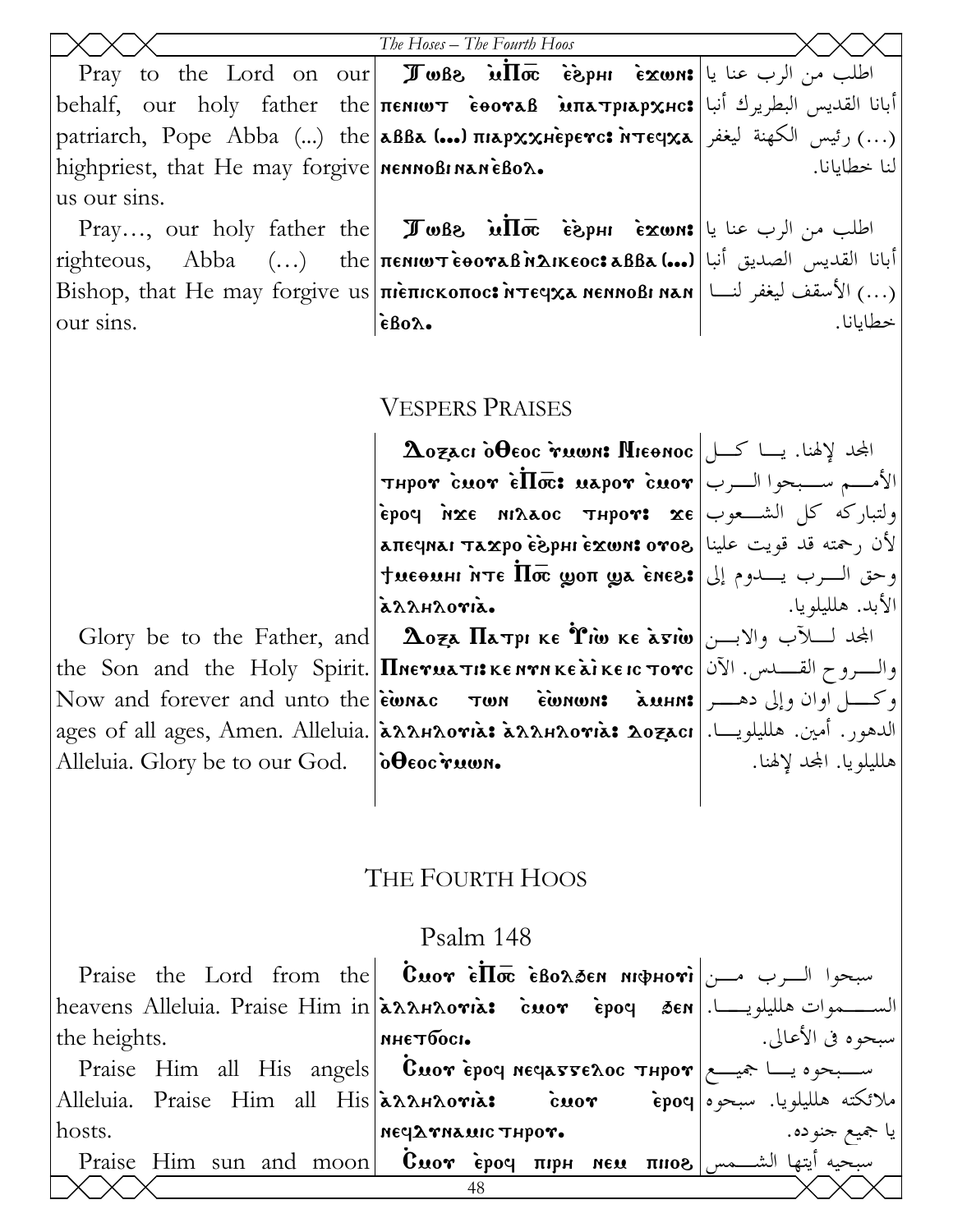|                                                   | The Hoses - The Fourth Hoos                                                                                                                                                                                                                                                                                                                                                                                                                                   |                  |
|---------------------------------------------------|---------------------------------------------------------------------------------------------------------------------------------------------------------------------------------------------------------------------------------------------------------------------------------------------------------------------------------------------------------------------------------------------------------------------------------------------------------------|------------------|
|                                                   | Pray to the Lord on our <b>I</b> wBs $\overline{u}\overline{\text{Im}}\overline{c}$ $\overline{\text{sign}}\overline{u}$ $\overline{\text{lim}}\overline{c}$ $\overline{\text{lim}}$ $\overline{c}$                                                                                                                                                                                                                                                           |                  |
|                                                   | behalf, our holy father the πεΝΙωτ εθοναβ Μπατριαρχμο: أبانا القديس البطريرك أنبا                                                                                                                                                                                                                                                                                                                                                                             |                  |
|                                                   | patriarch, Pope Abba () the  aBBa () anapxxHeperc: MTEqxa  الكهنة ليغفر   معه ب                                                                                                                                                                                                                                                                                                                                                                               |                  |
| highpriest, that He may forgive   NENNOBINANEBOX. |                                                                                                                                                                                                                                                                                                                                                                                                                                                               | لنا خطابانا.     |
| us our sins.                                      |                                                                                                                                                                                                                                                                                                                                                                                                                                                               |                  |
|                                                   | Pray, our holy father the <b>I</b> wBe $\overline{u}\overline{1}$ $\overline{\sigma}$ $\overline{\sigma}$ $\overline{\sigma}$ $\overline{\sigma}$ $\overline{\sigma}$ $\overline{\sigma}$ $\overline{\sigma}$ $\overline{\sigma}$ $\overline{\sigma}$ $\overline{\sigma}$ $\overline{\sigma}$ $\overline{\sigma}$ $\overline{\sigma}$ $\overline{\sigma}$ $\overline{\sigma}$ $\overline{\sigma}$ $\overline{\sigma}$ $\overline{\sigma}$ $\overline{\sigma}$ |                  |
|                                                   | righteous, Abba () the πεΝΙωτεθοναβήλικεος: aBBa () listing in the i                                                                                                                                                                                                                                                                                                                                                                                          |                  |
|                                                   | Bishop, that He may forgive us πιεπισκοπος: <i>i</i> τε γχλ κεινοβι κλη   الأسقف ليغفر لنا   Bishop, that He may forgive us                                                                                                                                                                                                                                                                                                                                   |                  |
| our sins.                                         | $\epsilon$ Bo $\lambda$ .                                                                                                                                                                                                                                                                                                                                                                                                                                     | خطايانا.         |
|                                                   |                                                                                                                                                                                                                                                                                                                                                                                                                                                               |                  |
|                                                   |                                                                                                                                                                                                                                                                                                                                                                                                                                                               |                  |
|                                                   | <b>VESPERS PRAISES</b>                                                                                                                                                                                                                                                                                                                                                                                                                                        |                  |
|                                                   | $\Delta$ المجد لإلهنا. يـــا كــــل  Aozaci õ $\theta$ eoc r̃uwn: Hieonoc                                                                                                                                                                                                                                                                                                                                                                                     |                  |
|                                                   | <b>THPOY</b> cuor ellos: $\text{uapor}$ cuor $ $ الأمـــم ســبحوا الـــرب                                                                                                                                                                                                                                                                                                                                                                                     |                  |
|                                                   | ولتباركه كل الشــعوب   ερος arxe niλaoc тнрот: xe                                                                                                                                                                                                                                                                                                                                                                                                             |                  |
|                                                   | لأن رحمته قد قويت علينا   клєчилі тахро є̀дрні є́хωм: отов                                                                                                                                                                                                                                                                                                                                                                                                    |                  |
|                                                   | $+$ ееодні нтє $\Pi$ ос доп дів внез $ \downarrow $ звиєнні ниевни                                                                                                                                                                                                                                                                                                                                                                                            |                  |
|                                                   | azzhzoria.                                                                                                                                                                                                                                                                                                                                                                                                                                                    | الأبد. هللبلويا. |

Glory be to the Father, and  $|$   $\Delta$ oza  $\Pi$ атрı ке  $\hat{\mathbf{r}}$ і̀w ке а̀ङі̀w $|$ الجحد لــــلآب والابـــن the Son and the Holy Spirit. **|Пнетиаті: кентнке àì кеіс тотс** |القــدس. الآن Now and forever and unto the ewnac الدهور. أمين. هلليلويـــا.|ages of all ages, Amen. Alleluia.|عُمْداندهور. أمين. هلليلويـــا.|ages of all ages, Alleluia. Glory be to our God.

#### THE FOURTH HOOS

 $\delta \Theta$  $\epsilon$ oc ruwn.

twn ewnwn:

وكــل اوان وإلى دهــر

هلليلويا. اجملد لإلهنا.

#### Psalm 148

|                                                                                                              | Praise the Lord from the <b>Cuor εΠ</b> σε εβολδεη MφHori                  |                   |
|--------------------------------------------------------------------------------------------------------------|----------------------------------------------------------------------------|-------------------|
| heavens Alleluia. Praise Him in كســـــموات هلليلويـــــا. heavens Alleluia. Praise Him in مكارها:           |                                                                            |                   |
| the heights.                                                                                                 | мнетбось.                                                                  | سبحوه في الأعالي. |
|                                                                                                              | Praise Him all His angels <b>Cuor</b> epoq neques repose $\frac{1}{2}$     |                   |
| Alleluia. Praise Him all His كاملائكته هلليلويا. سبحوه  Alleluia. Praise Him all His ملائكته هلليلويا. سبحوه |                                                                            |                   |
| hosts.                                                                                                       | NECLATHAMIC THPOT.                                                         | يا جميع جنوده.    |
|                                                                                                              | Praise Him sun and moon <b>Cuor epoq πIPH NEU πIIOS</b> $\int$ mino $\int$ |                   |
|                                                                                                              |                                                                            |                   |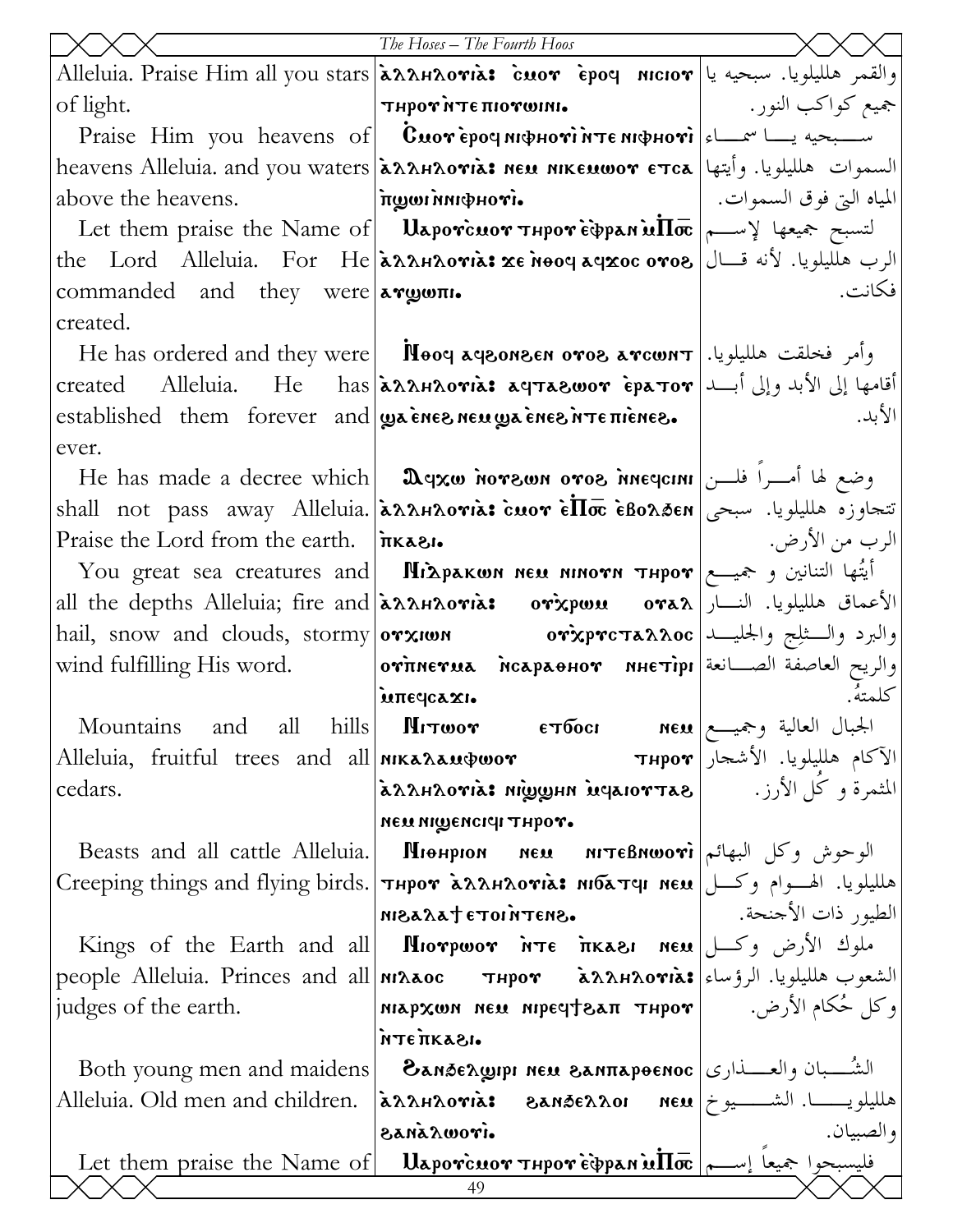|                                                                      | The Hoses - The Fourth Hoos                                                                                                                                            |                                |
|----------------------------------------------------------------------|------------------------------------------------------------------------------------------------------------------------------------------------------------------------|--------------------------------|
|                                                                      | والقمر هلليلويا. سبحيه يا Alleluia. Praise Him all you stars حُمْدُ مالليلويا. سبحيه يا Alleluia. Praise Him all you stars                                             |                                |
| of light.                                                            | THPOY NTE HIOYWINI.                                                                                                                                                    | جميع كواكب النور. ١١ - 1       |
|                                                                      | Praise Him you heavens of <b>Cuor</b> epoq $m\phi$ Hori $\alpha$ $\phi$                                                                                                |                                |
|                                                                      | heavens Alleluia. and you waters <b>[aʌʌɹʌoʏia: неи нікеишот єтса   ا</b> لسموات هلليلويا. وأيتها <b> </b>                                                             |                                |
| above the heavens.                                                   | $\cdot$ ivon $\Phi$ nni wy $\pi$                                                                                                                                       | المياه التي فوق السموات.       |
|                                                                      | Let them praise the Name of <b>U</b> aporcuor Thpore $\phi$ pan $\tilde{\textbf{u}}$ lo $\phi$ $\sim$ $\phi$ $\sim$ $\phi$                                             |                                |
|                                                                      | the Lord Alleluia. For He גאואמאו אוי הthe Lord Alleluia. For He                                                                                                       |                                |
| commanded and they were <b>argum.</b>                                |                                                                                                                                                                        | فكانت.                         |
| created.                                                             |                                                                                                                                                                        |                                |
|                                                                      | He has ordered and they were <b>N</b> ooq aqronsen oros arcount   . بوأمر فخلقت هلليلويا                                                                               |                                |
|                                                                      | أقامها إلى الأبد وإلى أبـــد  created     Alleluia.     He     has كما إلى الأبد وإلى أبـــد  created                                                                  |                                |
| established them forever and $\psi$ a energy energy are nonegatives. |                                                                                                                                                                        | الأبد.                         |
| ever.                                                                |                                                                                                                                                                        |                                |
|                                                                      | He has made a decree which <b>D</b> qxw nors no oros inequitively in the las made a decree which <b>D</b>                                                              |                                |
|                                                                      | shall not pass away Alleluia. גאואמאואוואווארגג shall not pass away Alleluia. נהאפנט هلليلويا. سبحي                                                                    |                                |
| Praise the Lord from the earth. $ \hat{\pi}$ KA81.                   |                                                                                                                                                                        | الرب من الأرض.                 |
|                                                                      | You great sea creatures and <b>Mixpakwn neu ninovn тнроv</b> رحميــــع   You great sea creatures and                                                                   |                                |
|                                                                      | all the depths Alleluia; fire and <b>[aʌʌʁnovia: ovixpwu ova</b> ʌ الأعماق هلليلويا. النسار                                                                            |                                |
|                                                                      | hail, snow and clouds, stormy orxiwn          orxprcтa $x \lambda \alpha$ c والبرد والسثلِج والجليـــد                                                                 |                                |
| wind fulfilling His word.                                            | والريح العاصفة الصـــانعة отпнетиа псараенот инетiрг                                                                                                                   | كلمتة                          |
| Mountains                                                            | intedcaxi.<br>and all hills <b>Mitwor ETOOCI NEX</b> $\begin{bmatrix} e & e \end{bmatrix}$ $\begin{bmatrix} 1 & 1 \end{bmatrix}$ $\begin{bmatrix} 1 & 1 \end{bmatrix}$ |                                |
| Alleluia, fruitful trees and all <b>NIKALAAMPWOY</b>                 |                                                                                                                                                                        | الآكام هلليلويا. الأشجار Пирот |
| cedars.                                                              | المثمرة و كُلّ الأرز. العملي العالمي المعام المعربي المعنى الأرز. المع                                                                                                 |                                |
|                                                                      | мем мішенсісі тирот.                                                                                                                                                   |                                |
| Beasts and all cattle Alleluia.                                      | الوحوش وكل البهائم Юсьяни исцаном понаниом в в                                                                                                                         |                                |
|                                                                      | هلليلويا. الهسوام وكسل Сreeping things and flying birds.  тнрот хланлотіх: мібатчі мем                                                                                 |                                |
|                                                                      | .SNETNIOTE LASSIN                                                                                                                                                      | الطيور ذات الأجنحة. ﴿ إِ       |
|                                                                      | Kings of the Earth and all  MIorpwor $n\tau \in \pi$ and all propose $ \psi(x) $                                                                                       |                                |
|                                                                      | people Alleluia. Princes and all niλλος     тнрот     λλλΗλονιλ: الشعوب هلليلويا. الرؤساء                                                                              |                                |
| judges of the earth.                                                 | وكل حُكام الأرض.   мідрхом мем иресуфал тнрот                                                                                                                          |                                |
|                                                                      | <b>NTETIKASI.</b>                                                                                                                                                      |                                |
| Both young men and maidens                                           | الشُــــبان والعـــــذارى  Замбелшри мем занлароемос                                                                                                                   |                                |
|                                                                      | Alleluia. Old men and children. [aʌʌʁʌvria:    ৪anāɛʌʌoɪ    nɛu  خلليلويــــــــا. الشــــــيوخ بين                                                                    |                                |
|                                                                      | airowazas                                                                                                                                                              | و الصبيان .                    |
|                                                                      | Let them praise the Name of   Uaporcuor Thpor Edpan ulta  ســم   Let them praise the Name of   Uaporcuor Thpor<br>49                                                   |                                |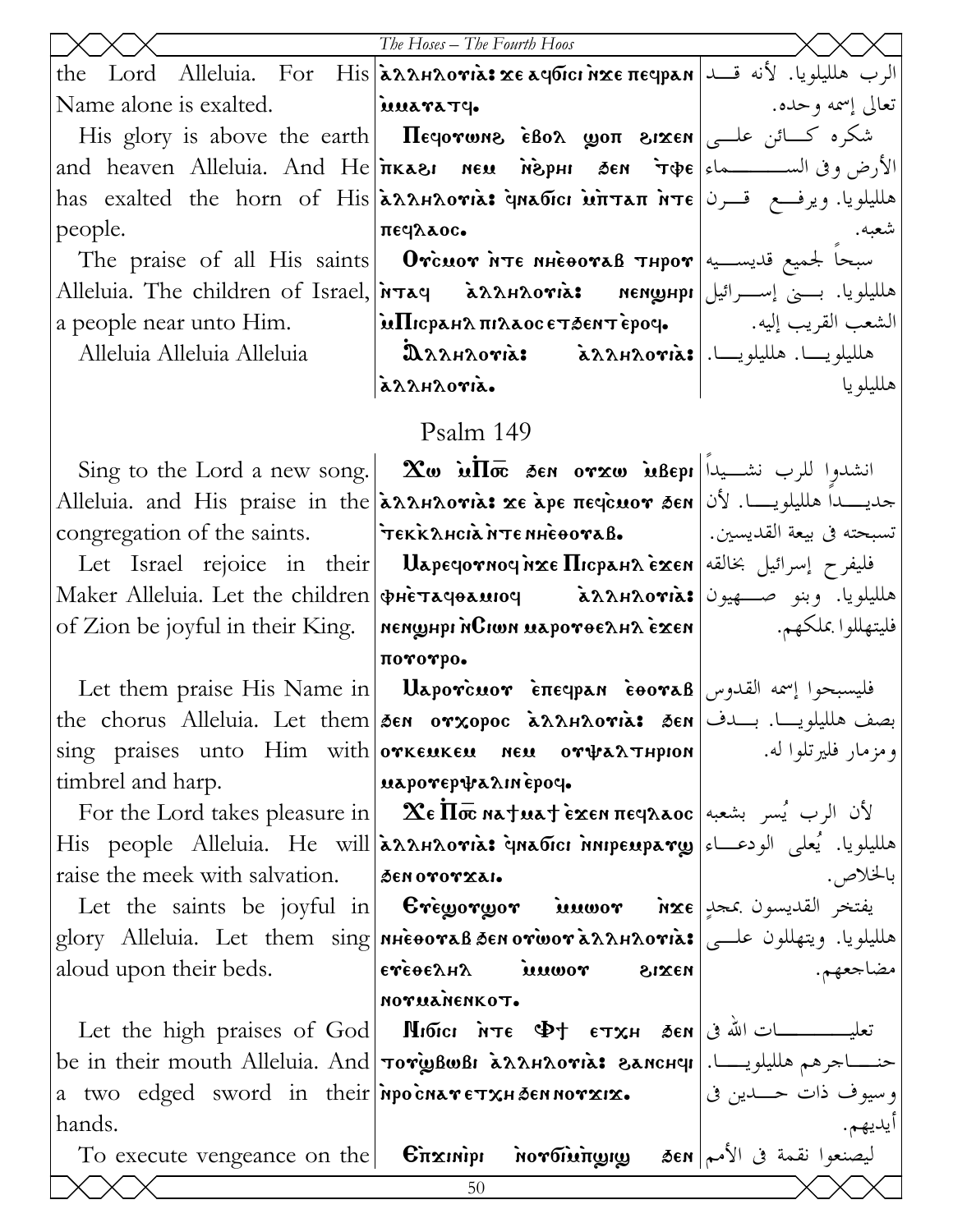|                                                                          | The Hoses - The Fourth Hoos                                                                                                                                                                                                                                                                                                                      |                     |
|--------------------------------------------------------------------------|--------------------------------------------------------------------------------------------------------------------------------------------------------------------------------------------------------------------------------------------------------------------------------------------------------------------------------------------------|---------------------|
|                                                                          | the Lord Alleluia. For His <mark>ລົກກາດຫລະ χε aqoici nxe πεqpan</mark> عليه إن الرب هلليلويا. لأنه قـــد                                                                                                                                                                                                                                         |                     |
| Name alone is exalted. <b>Example 1</b> is <b>Name alone is exalted.</b> |                                                                                                                                                                                                                                                                                                                                                  | تعالى إسمه وحده.    |
|                                                                          | His glory is above the earth   Πεφονωης εδολ ψοπ ειχεη   سنكره كسائن علــي                                                                                                                                                                                                                                                                       |                     |
|                                                                          | and heaven Alleluia. And He <b>inkası neu neyeni sen r</b> ope  الأرض وفي الســـــــماء                                                                                                                                                                                                                                                          |                     |
|                                                                          | has exalted the horn of His خەكىمە تىرن  has exalted the horn of His                                                                                                                                                                                                                                                                             |                     |
| people.                                                                  | πεγλλος.                                                                                                                                                                                                                                                                                                                                         | شعبه.               |
|                                                                          | The praise of all His saints <b>Orcuor NTE MHEOOTAB THPOT</b> $\left  \right $ with the praise of all His saints                                                                                                                                                                                                                                 |                     |
|                                                                          | هلليلويا. بــــني إســــرائيل Alleluia. The children of Israel, אقم Alleluia. The children of Israel                                                                                                                                                                                                                                             |                     |
|                                                                          |                                                                                                                                                                                                                                                                                                                                                  |                     |
| Alleluia Alleluia Alleluia                                               | බි $\lambda$ גראמא   а́ $\lambda$ д $\lambda$ ндот $\mathrm{i}$ а   ملليلويـــا.   а́ $\lambda$ д $\lambda$ д $\lambda$                                                                                                                                                                                                                          |                     |
|                                                                          | azzhzoria.                                                                                                                                                                                                                                                                                                                                       | هلليلو يا           |
|                                                                          | Psalm 149                                                                                                                                                                                                                                                                                                                                        |                     |
|                                                                          | Sing to the Lord a new song. $\alpha$ in $\overline{\text{Im}}$ and $\alpha$ and $\alpha$ and $\alpha$ in $\overline{\text{Im}}$ and $\alpha$ and $\alpha$ in $\overline{\text{Im}}$ and $\alpha$ and $\alpha$ and $\alpha$ in $\overline{\text{Im}}$ and $\alpha$ and $\alpha$ and $\alpha$ in $\overline{\text{Im}}$ and $\alpha$ and $\alpha$ |                     |
|                                                                          | Alleluia. and His praise in the <b>[λλλΗλονιλ: xe λpe πεςcuov δεn</b>   أنا Alleluia. and His praise in the                                                                                                                                                                                                                                      |                     |
| congregation of the saints.                                              | تسبحته في بيعة القديسين.   TEKKλHCIA NTE NHEOOVAB.                                                                                                                                                                                                                                                                                               |                     |
|                                                                          | Let Israel rejoice in their <b>Uapeyovnoy nxe П</b> icpaн $\lambda$ exen sile for level is                                                                                                                                                                                                                                                       |                     |
|                                                                          | هلليلويا. وبنو صـــهيون Хакеr Alleluia. Let the children фнетачвамюч     مطليلويا. وبنو صـــهيون                                                                                                                                                                                                                                                 |                     |
|                                                                          | of Zion be joyful in their King.  พยมนูนp พิเวิเขท มลpoขอยามา ร้อยท   www.alegraphy                                                                                                                                                                                                                                                              |                     |
|                                                                          | $\pi$ ororpo.                                                                                                                                                                                                                                                                                                                                    |                     |
|                                                                          | Let them praise His Name in   <b>Uaporcuor επες με το εθοναβ</b>  اسمه القدوس [Let them praise His Name in                                                                                                                                                                                                                                       |                     |
|                                                                          | the chorus Alleluia. Let them <i>d</i> en orxopoc $\lambda \lambda A A \lambda$ ori $\lambda$ : den   ابصف هلليلويســا. بـــــدف                                                                                                                                                                                                                 |                     |
|                                                                          | sing praises unto Him with orkenken nen orwarnpon                                                                                                                                                                                                                                                                                                | ومزمار فليرتلوا له. |
| timbrel and harp.                                                        | ιαλρονερψαλιη έρος.                                                                                                                                                                                                                                                                                                                              |                     |
|                                                                          | For the Lord takes pleasure in <b>  Δε Πσε ηλείτερε του πε</b> φλ <b>λος</b>   الأن الرب يُسر بشعبه                                                                                                                                                                                                                                              |                     |
|                                                                          | His people Alleluia. Не will аллнлотіа: чнабісі інпремрату) الطلويا. يُعلى الودعـــاء                                                                                                                                                                                                                                                            |                     |
| raise the meek with salvation.   SEN OTOTXAI.                            |                                                                                                                                                                                                                                                                                                                                                  | بالخلاص.            |
|                                                                          | Let the saints be joyful in <b>Creworwor inuwor hxe</b> less the saints be joyful in                                                                                                                                                                                                                                                             |                     |
|                                                                          | glory Alleluia. Let them sing nhèooraß ðen orivorà2λλHλoria: ويتهللون علــي                                                                                                                                                                                                                                                                      |                     |
| aloud upon their beds.                                                   | <b>εγέθελ</b> Ηλ μιωογ<br>$\vert$ naxis                                                                                                                                                                                                                                                                                                          | مضاجعهم.            |
|                                                                          | потианенкот.                                                                                                                                                                                                                                                                                                                                     |                     |
|                                                                          | تعليــــــــــــات الله في Let the high praises of God  Пибісі мтє Ф† єтхн бем                                                                                                                                                                                                                                                                   |                     |
|                                                                          | be in their mouth Alleluia. And <b>TorigBwBI EXAHAovia: SANCHY</b>   العميد الجرهم هلليلويـــــــــــــــــــــــــــ                                                                                                                                                                                                                            |                     |
|                                                                          | a two edged sword in their พpoс̀матетхнаеммотхіх.    اوسیوف ذات حـــدین فی                                                                                                                                                                                                                                                                       |                     |
| hands.                                                                   |                                                                                                                                                                                                                                                                                                                                                  |                     |
|                                                                          | To execute vengeance on the Crizinipi noroininging 3en Jero اليصنعوا نقمة في الأمم                                                                                                                                                                                                                                                               |                     |
|                                                                          | 50                                                                                                                                                                                                                                                                                                                                               |                     |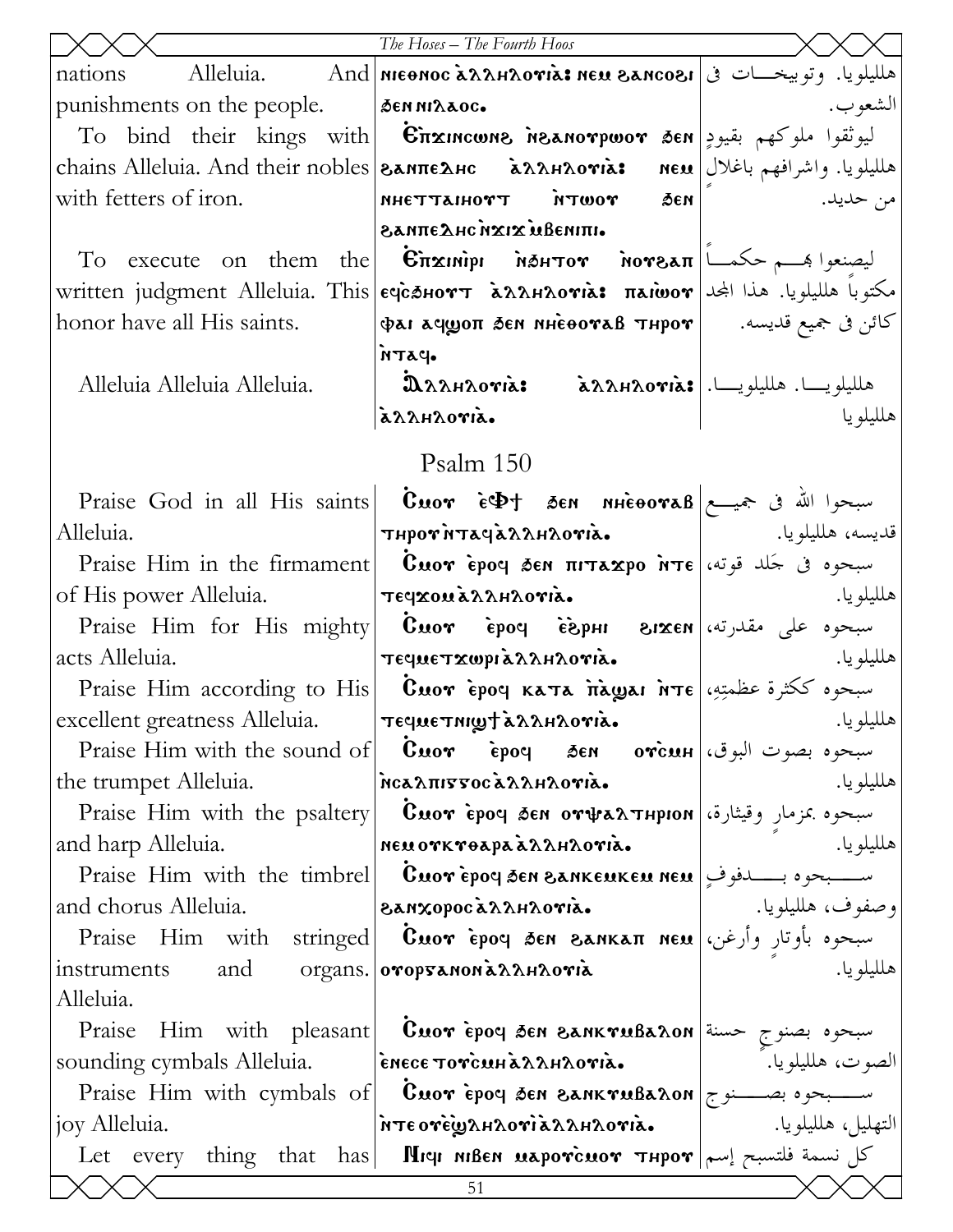|                                                                          | The Hoses - The Fourth Hoos                                                                                                                                                                               |               |
|--------------------------------------------------------------------------|-----------------------------------------------------------------------------------------------------------------------------------------------------------------------------------------------------------|---------------|
| nations                                                                  | Alleluia. And MEONOC ARAHAOTIA: NEU SANCOSI   فالمللويا. وتوبيخــات في   Alleluia.                                                                                                                        |               |
| punishments on the people. $ \phi$ <b>EN NIXAOC.</b>                     |                                                                                                                                                                                                           | الشعو ب.      |
|                                                                          | To bind their kings with <b>Enxincuns Meanorpwor 3en</b> بيوثقوا ملوكهم بقيودٍ To                                                                                                                         |               |
|                                                                          | chains Alleluia. And their nobles   SANIE ARC ARAHAOVIA: neu   مالميلويا. واشرافهم باغلال   chains Alleluia. And their nobles                                                                             |               |
| with fetters of iron.                                                    | <b>AUGE YOUTH TYOHIATTEN</b>                                                                                                                                                                              | من حديد.<br>. |
|                                                                          | • ΠΙΗΘΑΝ ΣΙΣΝ ΟΗ ΔΟΠΛΑΒ                                                                                                                                                                                   |               |
|                                                                          |                                                                                                                                                                                                           |               |
|                                                                          | written judgment Alleluia. This εφεδιοντ λλλιλονιλ: πλιωον  المجادا المجادا المجازا written                                                                                                               |               |
| honor have all His saints.                                               | $\vert \varphi$ كائن فى جميع قديسه.       фат афроп бем иненотав тнрот                                                                                                                                    |               |
|                                                                          | <b>PATH</b>                                                                                                                                                                                               |               |
| Alleluia Alleluia Alleluia.                                              | $\mathbf{\hat{a}}$ ملليلويـــا. هلليلويـــا. axxantorias axxantorias $\mathbf{\hat{a}}$                                                                                                                   |               |
|                                                                          | azzhzoria.                                                                                                                                                                                                | هلليلو يا     |
|                                                                          | Psalm 150                                                                                                                                                                                                 |               |
|                                                                          | Praise God in all His saints <b>Cuor</b> $\epsilon \Phi$ t sen nuevoral sen $\epsilon$                                                                                                                    |               |
| Alleluia.                                                                | $\vert$ ى تلايسە، ھلليلويا. $\vert$ aλλμλονιa. تلايسە، ھلليلويا. پ                                                                                                                                        |               |
|                                                                          | Praise Him in the firmament <b>Cuor ερο</b> φ δεν πιτεχρο ήτε εξενώ εξεντρο                                                                                                                               |               |
| of His power Alleluia.   τε φεραλληλονια.                                |                                                                                                                                                                                                           | هلليلويا.     |
|                                                                          | Praise Him for His mighty <b>Cuor</b> epoq espHI 81xen values along                                                                                                                                       |               |
| acts Alleluia.                                                           | τεςμετχωριλληλονιλ.                                                                                                                                                                                       |               |
|                                                                          | Praise Him according to His <b>Cuor epoq ката падда</b> пте عظمتِهِ، Praise Him according to His                                                                                                          |               |
| $\big $ excellent greatness Alleluia.              течиетнир†х̀ллнлотіх. |                                                                                                                                                                                                           |               |
|                                                                          | Praise Him with the sound of $ $ Cuor Epoq sen orcun $ \psi\rangle$ where $\psi$                                                                                                                          |               |
|                                                                          | the trumpet Alleluia.   MCanissocanAntoria.                                                                                                                                                               | هلليلو يا.    |
|                                                                          | Praise Him with the psaltery <b>  Cuor èpoq sen or<math>\psi</math>a<math>\lambda</math>тнрюн</b> وقيثارة، Praise Him with the psaltery                                                                   |               |
| and harp Alleluia.                                                       | nd harp Alleluia.<br>Praise Him with the timbrel <b>Cuor</b> epoy sen eankeukeu neu Praise Him with the timbrel <b>Cuor</b> epoy sen eankeukeu neu                                                        | هلليلو يا.    |
|                                                                          |                                                                                                                                                                                                           |               |
| and chorus Alleluia.                                                     | وصفوف، هلليلويا.<br>Id chorus Alleluia. <b>اوصفوف، هلليلويا.</b><br>Praise Him with stringed <b>Cuor èpoy sen eankaπ neu</b> وارغن، <mark>Praise Him with stringed</mark> <b>Cuor èpoy sen eankaπ neu</b> |               |
|                                                                          |                                                                                                                                                                                                           |               |
| instruments and organs. oropy anon a 22 AH20 via                         |                                                                                                                                                                                                           | هلليلو يا.    |
| Alleluia.                                                                |                                                                                                                                                                                                           |               |
|                                                                          | Praise Him with pleasant Cuor epoy sen SANKTUBARON = سبحوه بصنوج حسنة                                                                                                                                     |               |
|                                                                          | sounding cymbals Alleluia. Perece Torcuria Araoria.   الصوت، هلليلويا. ``   sounding cymbals Alleluia.                                                                                                    |               |
|                                                                          | Praise Him with cymbals of <b>Cuor</b> epoy sen SANKTUBARON $\sim$                                                                                                                                        |               |
| joy Alleluia.                                                            | litre oregia AHAOria AAHAOria.   التهليل، هلليلويا.                                                                                                                                                       |               |
|                                                                          | Let every thing that has <b>Mich Mish Mapovcuov Thpov</b> $ \text{max}$                                                                                                                                   |               |
|                                                                          | 51                                                                                                                                                                                                        |               |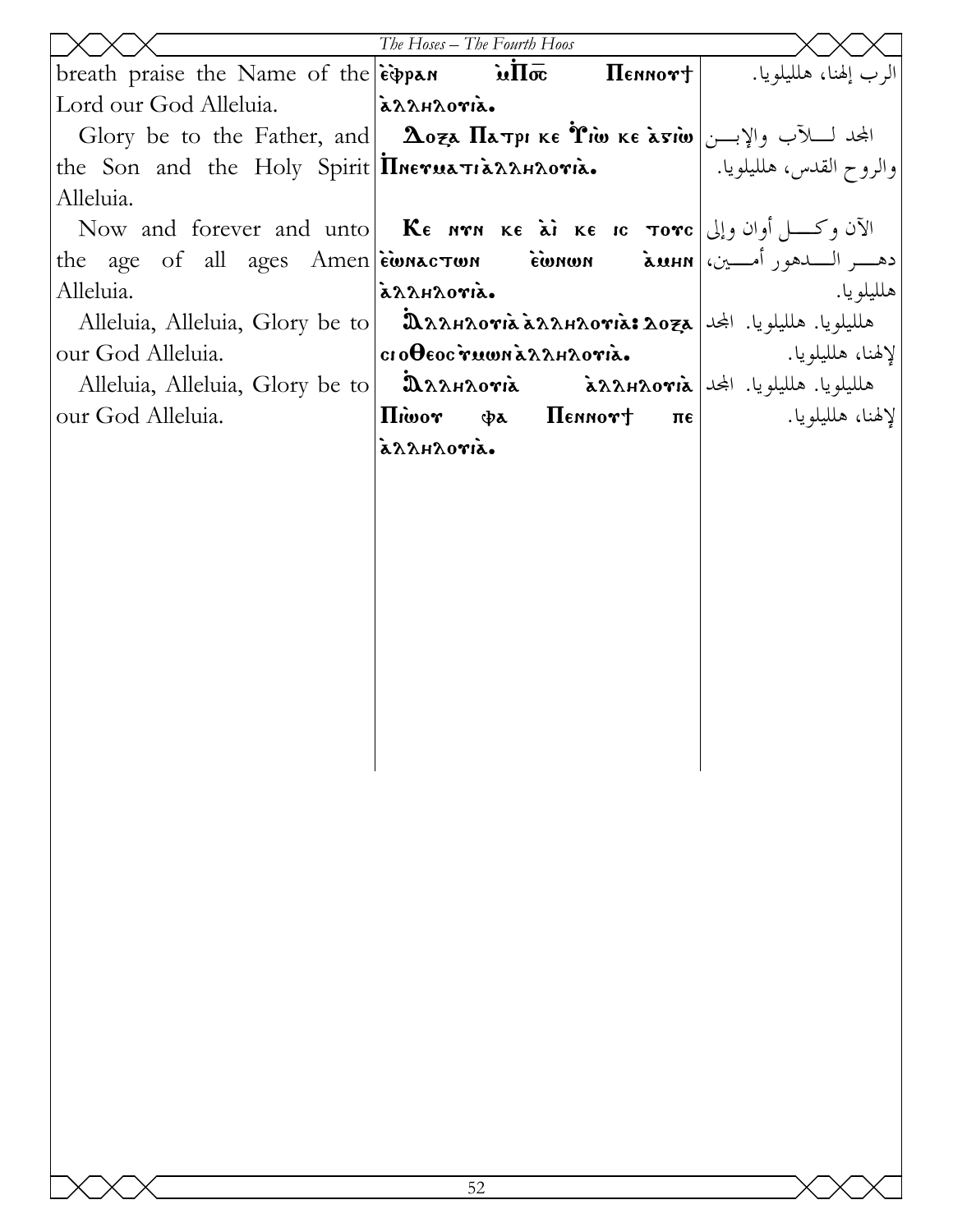|                                                                                                                                                                               | The Hoses - The Fourth Hoos |                      |                                                        |
|-------------------------------------------------------------------------------------------------------------------------------------------------------------------------------|-----------------------------|----------------------|--------------------------------------------------------|
| breath praise the Name of the $\epsilon \rightarrow \mathbf{u}$                                                                                                               |                             |                      | $\Pi$ الرب إلهنا، هلليلويا. $\Pi$ е́ммо́т $\pm$        |
| Lord our God Alleluia.                                                                                                                                                        | arrhroria.                  |                      |                                                        |
| Glory be to the Father, and $\Delta$ oza $\Pi$ a pr ke Tiw ke aviw $ y $ بالجد لسلآب والإبسن                                                                                  |                             |                      |                                                        |
| the Son and the Holy Spirit Inerua TianAnovia.                                                                                                                                |                             |                      | والروح القدس، هلليلويا.                                |
| Alleluia.                                                                                                                                                                     |                             |                      |                                                        |
| Now and forever and unto <b>Ke Now and forever and unto <b>Ke Now <math>\kappa</math>e</b> <math>\kappa</math> <b>ke IC Tore</b> <math>\lfloor \frac{1}{2} \rfloor</math></b> |                             |                      |                                                        |
| ca - دهــــر الـــــدهور أمـــــين،   the age of all ages Amen   èwnac Jun                                                                                                    |                             |                      |                                                        |
| Alleluia.                                                                                                                                                                     | azzhzoria.                  |                      | هلليلو يا.                                             |
| Alleluia, Alleluia, Glory be to                                                                                                                                               |                             |                      | AAAHAOTIÀ ÀAAHAOTIÀ: AOZA   KU ALLA AAHAOTIÀ ÀAAHAOTIÀ |
| our God Alleluia.                                                                                                                                                             | σιοθεος γιωνιάλληλογιά.     |                      |                                                        |
| Alleluia, Alleluia, Glory be to                                                                                                                                               |                             |                      |                                                        |
| our God Alleluia.                                                                                                                                                             | <b><i>Hiwor</i></b>         | фа Пеннот† пе $\mid$ | لإلهنا، هلليلويا.                                      |
|                                                                                                                                                                               | azzhzoria.                  |                      |                                                        |
|                                                                                                                                                                               |                             |                      |                                                        |
|                                                                                                                                                                               |                             |                      |                                                        |
|                                                                                                                                                                               |                             |                      |                                                        |
|                                                                                                                                                                               |                             |                      |                                                        |
|                                                                                                                                                                               |                             |                      |                                                        |
|                                                                                                                                                                               |                             |                      |                                                        |
|                                                                                                                                                                               |                             |                      |                                                        |
|                                                                                                                                                                               |                             |                      |                                                        |
|                                                                                                                                                                               |                             |                      |                                                        |
|                                                                                                                                                                               |                             |                      |                                                        |
|                                                                                                                                                                               |                             |                      |                                                        |
|                                                                                                                                                                               |                             |                      |                                                        |
|                                                                                                                                                                               |                             |                      |                                                        |
|                                                                                                                                                                               |                             |                      |                                                        |
|                                                                                                                                                                               |                             |                      |                                                        |
|                                                                                                                                                                               |                             |                      |                                                        |
|                                                                                                                                                                               |                             |                      |                                                        |
|                                                                                                                                                                               |                             |                      |                                                        |
|                                                                                                                                                                               |                             |                      |                                                        |
|                                                                                                                                                                               |                             |                      |                                                        |
|                                                                                                                                                                               |                             |                      |                                                        |
|                                                                                                                                                                               |                             |                      |                                                        |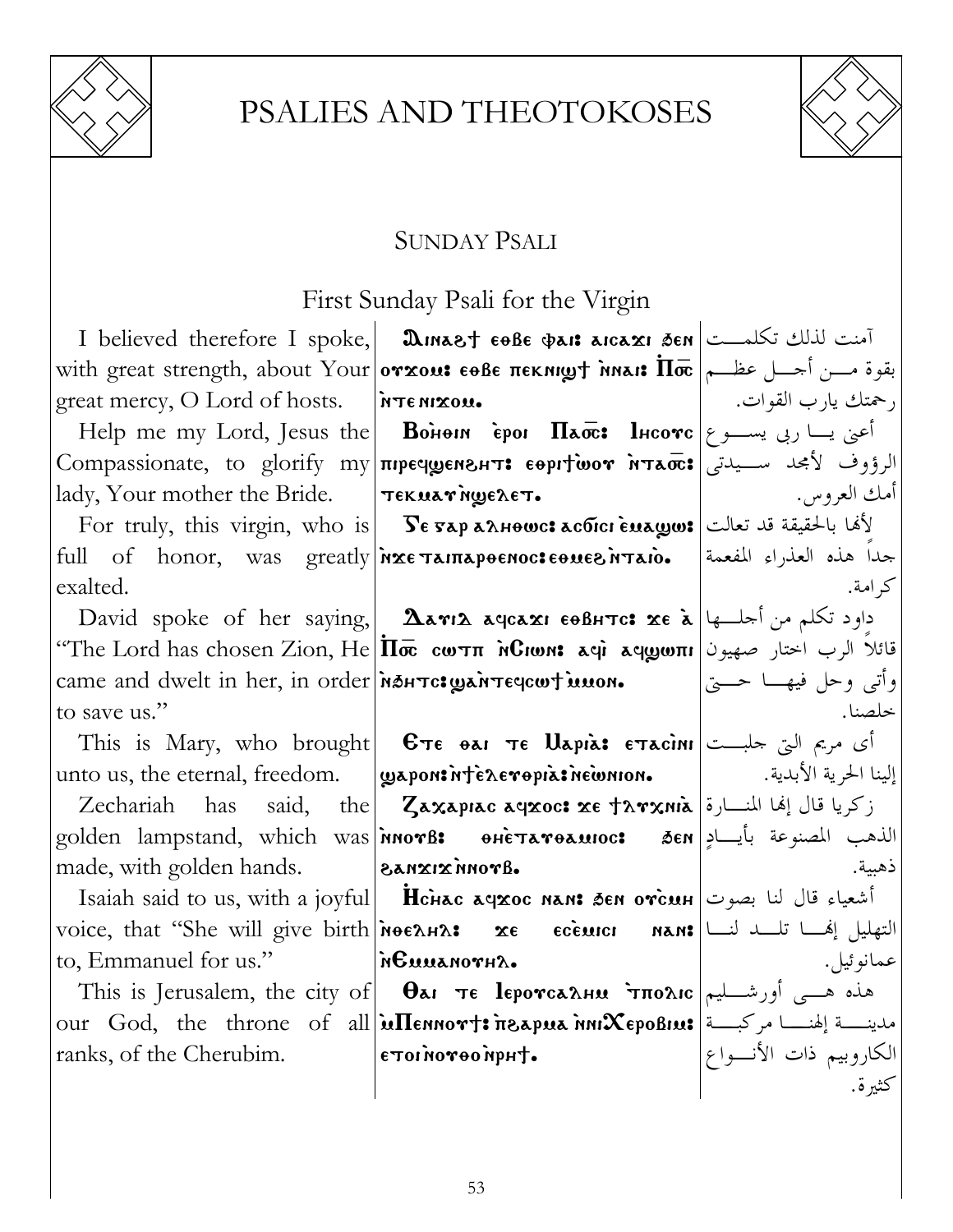

## PSALIES AND THEOTOKOSES



### SUNDAY PSALI

### First Sunday Psali for the Virgin

|                                                                                         | I believed therefore I spoke, <b>DINALLY 60BE CAST AGAY SEN</b> $\vert$ منت لذلك تكلمـــت                                                                |                        |
|-----------------------------------------------------------------------------------------|----------------------------------------------------------------------------------------------------------------------------------------------------------|------------------------|
|                                                                                         | with great strength, about Your отхом: сөве пекнирт мла: По   سن أحسل عظــم                                                                              |                        |
| great mercy, O Lord of hosts. FITE NIXOU.                                               |                                                                                                                                                          | رحمتك يارب القوات.     |
|                                                                                         | Help me my Lord, Jesus the <b>Bohem ipor <math>\Pi</math>aoe: l</b> Heo $\mathbf{r}$ e اعنی یسا ربی یســـو ع                                             |                        |
|                                                                                         | الرؤوف لأمجد سـيدتى Соmpassionate, to glorify my пречуенент: соргтоот итапе;                                                                             |                        |
| lady, Your mother the Bride.   Tεκμανήψελετ.                                            |                                                                                                                                                          | أمك العروس.            |
|                                                                                         | For truly, this virgin, who is   $\textbf{S}$ е яар а $\textbf{a}$ нөшс: асбісі ѐма $\textbf{g}$ шз قد تعالت   نالحقيقة قد تعالت                         |                        |
|                                                                                         | full of honor, was greatly <i>n</i> xe Tamapoenoc: eoues ntaio.  المغدراء المفعمة                                                                        |                        |
| exalted.                                                                                |                                                                                                                                                          | كر امة.                |
|                                                                                         | David spoke of her saying, <b>Aavis</b> ageaxi $\epsilon \theta$ BHTC: $\alpha \epsilon$ $\lambda$ $ \epsilon \rangle$ and $\alpha$ is $\alpha$          |                        |
|                                                                                         | "The Lord has chosen Zion, He $ \Pi\overline{\varpi} $ נשל الرب اختار صهيون ا $\eta$ ששו $\mathbf{u}$ are تائلا الرب اختار صهيون                         |                        |
| came and dwelt in her, in order <i>non-</i> came and dwelt in her, in order <i>non-</i> |                                                                                                                                                          | وأتبي وحل فيهسا حستي   |
| to save us."                                                                            |                                                                                                                                                          | خلصنا.                 |
|                                                                                         | This is Mary, who brought  $\bm{e}$ $\bm{\tau}$ e $\bm{e}$ $\bm{u}$ $\bm{\tau}$ e $\bm{u}$ $\bm{\tau}$ e $\bm{\tau}$ $\bm{\tau}$ $\bm{\tau}$ $\bm{\tau}$ |                        |
|                                                                                         | unto us, the eternal, freedom.   wapontinteneropiatine mon.       إلينا الحرية الأبدية.                                                                  |                        |
|                                                                                         | Zechariah has said, the Zaxapiac aqxoc: xe tarxnia أركريا قال إلها المنسارة                                                                              |                        |
|                                                                                         | golden lampstand, which was אnorß: әнетатәамюс: الذهب المصنوعة بأيـــادٍ golden lampstand, which was                                                     |                        |
| made, with golden hands. <b>anxix inovel.</b>                                           |                                                                                                                                                          | ذهبية.                 |
|                                                                                         | Isaiah said to us, with a joyful <b>Hchac agzoc nan: бел отселн</b>   اشعياء قال لنا بصوت                                                                |                        |
|                                                                                         | voice, that "She will give birth моелил: же есещен мам: التهليل إنهــا تلـــد لنـــا                                                                     |                        |
| to, Emmanuel for us." $\ \mathbf{R}\mathbf{u}\ \mathbf{x}\ $                            |                                                                                                                                                          | عمانوڻيل.              |
|                                                                                         | This is Jerusalem, the city of $ $ $\theta$ ar $\tau$ e leporca $\lambda$ ни $\tau$ по $\lambda$ ic $ $ المست العبر This is Jerusalem, the city of $ $   |                        |
|                                                                                         | our God, the throne of all <b>ullennort: neapua nniXepoBius</b> and $\sim$ 3. [4] our God, the throne of all                                             |                        |
| ranks, of the Cherubim.                                                                 | - τμηνιοθγονίιοτε                                                                                                                                        | الكاروبيم ذات الأنسواع |
|                                                                                         |                                                                                                                                                          | كثيرة.                 |
|                                                                                         |                                                                                                                                                          |                        |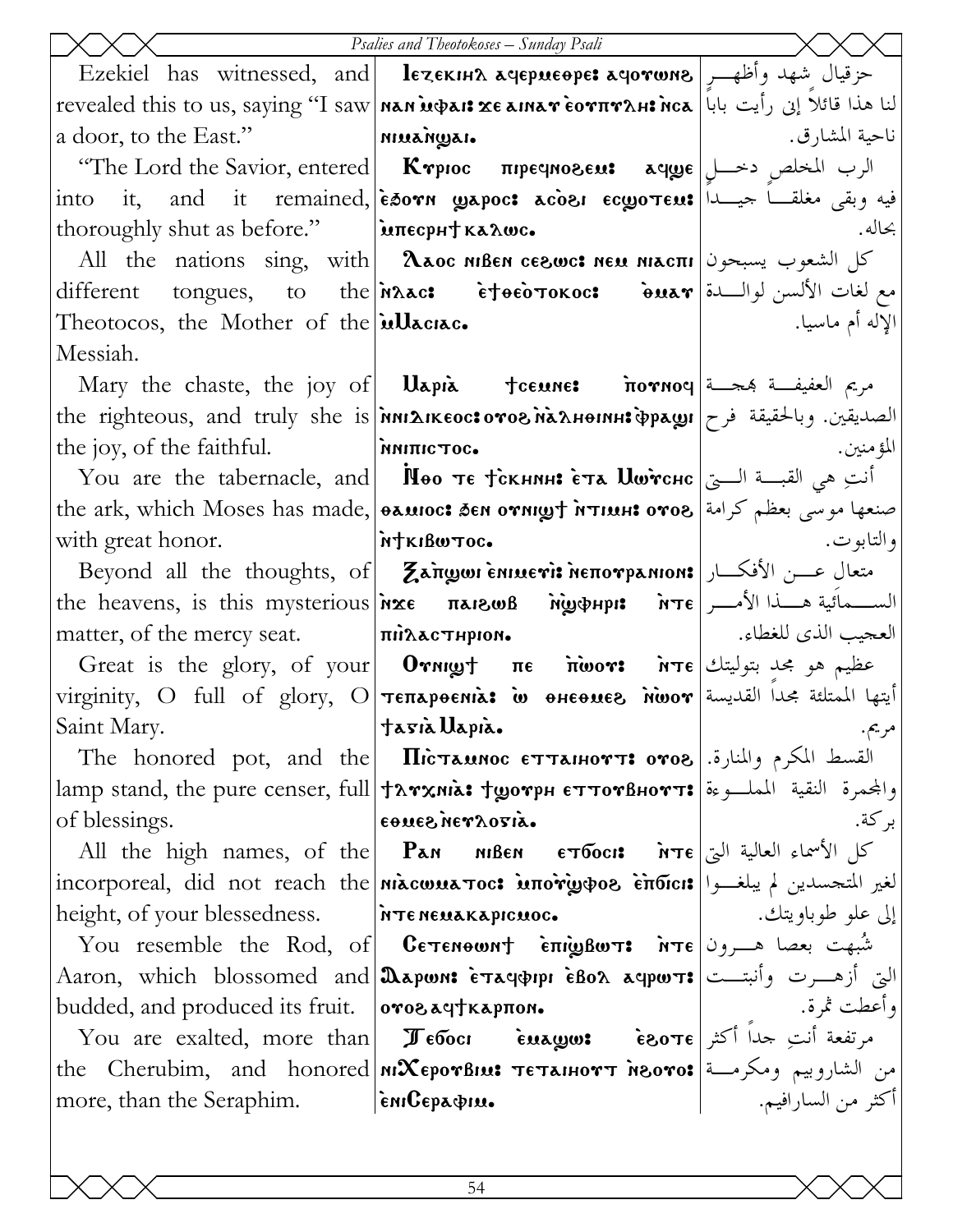|                                                          | Psalies and Theotokoses - Sunday Psali                                                                                                                                                                                                                                                                                  |                    |
|----------------------------------------------------------|-------------------------------------------------------------------------------------------------------------------------------------------------------------------------------------------------------------------------------------------------------------------------------------------------------------------------|--------------------|
|                                                          | Ezekiel has witnessed, and lezekins agepueope: حزقيال شهد وأظهــرٍ   Ezekiel has witnessed, and                                                                                                                                                                                                                         |                    |
|                                                          | لنا هذا قائلا إنى رأيت بابا   revealed this to us, saying "I saw   nan u�ai: xe aina r èo τπνλμ: nca                                                                                                                                                                                                                    |                    |
| $a$ door, to the East."                                  |                                                                                                                                                                                                                                                                                                                         | ناحية المشارق.     |
|                                                          | "The Lord the Savior, entered   Ктрюс пречновем: الرب المخلص دخــل   The Lord the Savior, entered                                                                                                                                                                                                                       |                    |
|                                                          | into it, and it remained, esorn gapoc: acosi ecgotess! الحيسدا العجيسانا بعضه علم العربة عن التجيسا ا                                                                                                                                                                                                                   |                    |
| thoroughly shut as before."   μπες pH καλως.             |                                                                                                                                                                                                                                                                                                                         | بحاله.             |
|                                                          | All the nations sing, with   λλος MBEN ce&wc: Neu MAcπι   الشعوب يسبحون                                                                                                                                                                                                                                                 |                    |
|                                                          | different tongues, to the Mac: etoeoTokoc: buar jouled ifferent tongues, to the Mac:                                                                                                                                                                                                                                    |                    |
| Theotocos, the Mother of the illaciac.                   |                                                                                                                                                                                                                                                                                                                         | الإله أم ماسيا.    |
| Messiah.                                                 |                                                                                                                                                                                                                                                                                                                         |                    |
|                                                          | Mary the chaste, the joy of   Uapia +ceune: nornoq  تعفيفة بمجسة                                                                                                                                                                                                                                                        |                    |
|                                                          | the righteous, and truly she is <i>inni</i> AIKEOC: отогла льенин: Фраун (الصديقين. وبالحقيقة فرح                                                                                                                                                                                                                       |                    |
| the joy, of the faithful. <b>NATELACTOC.</b>             |                                                                                                                                                                                                                                                                                                                         | المؤمنين.          |
|                                                          | You are the tabernacle, and   Пео те тскнин: ста Шwrснс   أنتِ هي القبسة السيّ                                                                                                                                                                                                                                          |                    |
|                                                          | the ark, which Moses has made,  منعها موسى بعظم كرامة  the ark, which Moses has made,  منعها موسى بعظم كرامة                                                                                                                                                                                                            |                    |
| with great honor.   MTKIBWTOC.                           |                                                                                                                                                                                                                                                                                                                         | و التابو ت.        |
|                                                          | Beyond all the thoughts, of <b>Zangole Terris Neπo γρanion:</b> امتعال عسن الأفكار                                                                                                                                                                                                                                      |                    |
|                                                          | the heavens, is this mysterious <i>in</i> xe πarsws Migothpis MTE   رالســمائية هــذا الأمــر                                                                                                                                                                                                                           |                    |
|                                                          | matter, of the mercy seat. $ \pi \mathbf{in} \lambda \mathbf{x}$ $\epsilon$ $\pi \mathbf{in} \lambda \mathbf{x}$ $\epsilon$ $\pi \mathbf{in} \lambda \mathbf{x}$                                                                                                                                                        |                    |
|                                                          | Great is the glory, of your <b>Ornight Tre inwors</b> $\overline{\mathbf{r}}$ $\mathbf{r}$ $\mathbf{r}$ $\mathbf{r}$ $\mathbf{r}$ $\mathbf{r}$ $\mathbf{r}$ $\mathbf{r}$ $\mathbf{r}$ $\mathbf{r}$ $\mathbf{r}$ $\mathbf{r}$ $\mathbf{r}$ $\mathbf{r}$ $\mathbf{r}$ $\mathbf{r}$ $\mathbf{r}$ $\mathbf{r}$ $\mathbf{r}$ |                    |
|                                                          | virginity, O full of glory, O TETTAPOENIA: w ΘΗΕΘΜΕΘ NWOT  ايتها الممتلئة مجدا القديسة                                                                                                                                                                                                                                  |                    |
| Saint Mary.                                              | tasià Uapià.                                                                                                                                                                                                                                                                                                            | مريم.              |
|                                                          | The honored pot, and the <b>  Пістаннос єттаннотт: отог</b>  القسط المكرم والمنارة.                                                                                                                                                                                                                                     |                    |
|                                                          | lamp stand, the pure censer, full   + ложна: + дотрн сттотвнотт: والمجمرة النقية المملوءة   атр stand, the pure censer, full   + ложна: + дотрн сттотвнотт:                                                                                                                                                             |                    |
| of blessings.                                            | εθμεδήεγλογιά.                                                                                                                                                                                                                                                                                                          | بر كة.             |
|                                                          | All the high names, of the Pan MBen ETToon: พิт $\epsilon$ ا الأسماء العالية التي                                                                                                                                                                                                                                       |                    |
|                                                          | incorporeal, did not reach the <b>  Mixcwua Toc: MTOriy + OG ETTOTCI:</b> إلغير المتحسدين لم يبلغــوا   incorporeal, did                                                                                                                                                                                                |                    |
| height, of your blessedness. [NTENEMAKAPICMOC.           |                                                                                                                                                                                                                                                                                                                         | إلى علو طوباويتك.  |
|                                                          | You resemble the Rod, of <b>Cetenewnt επιςιβωτ: mte</b> and the Rod, of                                                                                                                                                                                                                                                 |                    |
|                                                          | Aaron, which blossomed and 2 apwn: Etaq&ppi EBo2 aqpwt: التي أزهـــرت وأنبتـــت                                                                                                                                                                                                                                         |                    |
| budded, and produced its fruit.   <b>orogay thapmon.</b> |                                                                                                                                                                                                                                                                                                                         | وأعطت ثمرة.        |
|                                                          |                                                                                                                                                                                                                                                                                                                         |                    |
|                                                          | the Cherubim, and honored MCSEPOTBINI TETAIHOTT NOOTOS   من الشاروييم ومكرمة                                                                                                                                                                                                                                            |                    |
| more, than the Seraphim.   implepador.                   |                                                                                                                                                                                                                                                                                                                         | أكثر من السارافيم. |
|                                                          |                                                                                                                                                                                                                                                                                                                         |                    |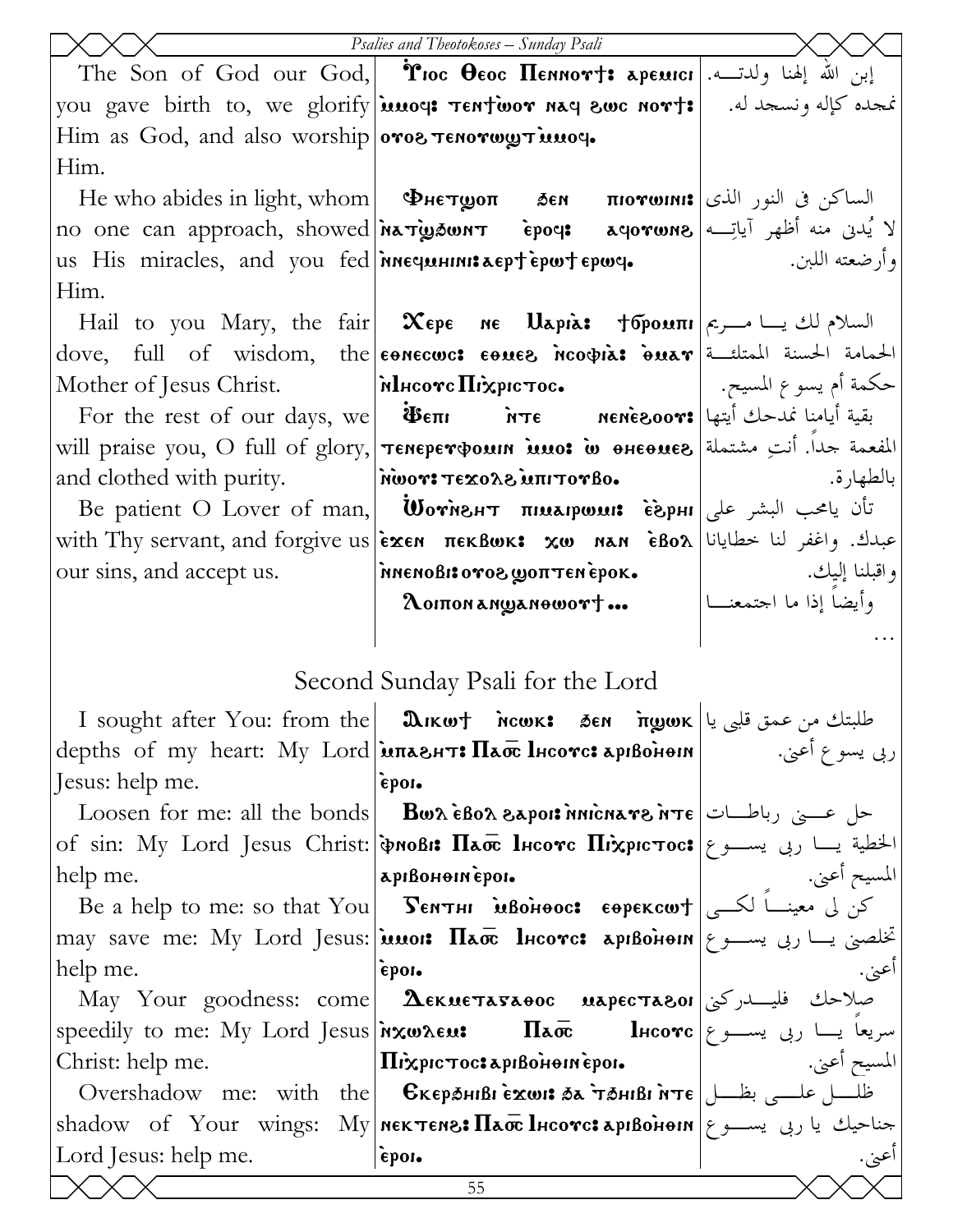|                                                  | Psalies and Theotokoses - Sunday Psali                                                                                                                   |                |
|--------------------------------------------------|----------------------------------------------------------------------------------------------------------------------------------------------------------|----------------|
|                                                  | The Son of God our God, <b>Moc Ococ Пеннот†: аремісі</b> ابن الله إلهنا ولدتــه.                                                                         |                |
|                                                  | you gave birth to, we glorify  <b>imog: Tentioor nag swc nort:</b>   .هجده كإله ونسجد له.                                                                |                |
| Him as God, and also worship oros Tenorwy Tunoy. |                                                                                                                                                          |                |
| Him.                                             |                                                                                                                                                          |                |
|                                                  | $\left  \frac{1}{2} \right $ الساكن في النور الذي [ He who abides in light, whom   Φнετωσπ   δεη   πιονωινι:                                             |                |
|                                                  | no one can approach, showed <i>ina Tigaun T</i> epoq: aqorwns  الا يُدنى منه أظهر آياتِه                                                                 |                |
|                                                  | us His miracles, and you fed  <b>Mnequelinis Lept epwile epwile</b>   www. etc.                                                                          |                |
| Him.                                             |                                                                                                                                                          |                |
|                                                  | Hail to you Mary, the fair   Χερε ne Uapia: †σρουπι   السلام لك يسا مسريم                                                                                |                |
|                                                  | dove, full of wisdom, the concours conce noopias onar detail that the let                                                                                |                |
|                                                  | حكمة أم يسوع المسيح.   Mother of Jesus Christ.   Mincorc Πιλεριστος.   السيح. .                                                                          |                |
|                                                  | For the rest of our days, we <b>iBem</b> $\overline{\text{h} \tau \epsilon}$ <b>Nene soors</b> $ \text{Lip} \tau \epsilon $ is readed with $\epsilon$    |                |
|                                                  | will praise you, O full of glory,   TENEPET wor in theo of esteads   ill                                                                                 |                |
|                                                  | and clothed with purity. Misson and clothed with purity.                                                                                                 | بالطهار ة.     |
|                                                  | Be patient O Lover of man, <b>Worner пимарши: فَأَ</b> ن يامحب البشر على                                                                                 |                |
|                                                  | with Thy servant, and forgive us exen πεκβωκ: xw nan εδολ  المعايانا   with Thy servant, and forgive us                                                  |                |
| our sins, and accept us.                         | واقبلنا إليك. ١٧ مام meno81: 0708 goπ Ten epok.                                                                                                          |                |
|                                                  |                                                                                                                                                          |                |
|                                                  |                                                                                                                                                          |                |
|                                                  | Second Sunday Psali for the Lord                                                                                                                         |                |
|                                                  | I sought after You: from the   మொய† ношк: бен пழшк   عللبتك من عمق قلبي يا                                                                               |                |
|                                                  | depths of my heart: My Lord $\lambda$ and $\lambda$ and $\lambda$ are liest apison-                                                                      | ربي يسوع أعني. |
| Jesus: help me.                                  | epon.                                                                                                                                                    |                |
| Loosen for me: all the bonds                     | $\mathbf B$ ש $\lambda$ $\hat{\mathbf e}$ באס $\lambda$ פֿ $\mathbf A$ ס $\mathbf A$ פֿ $\mathbf B$ ס $\lambda$ פֿ $\mathbf A$                           |                |
|                                                  | of sin: My Lord Jesus Christ: <b>  Probis II&amp;ox</b> lecove <b>II</b> ixpic rocs   الخطية يسا ربى يســـو ع                                            |                |
| help me.                                         | арівонопіероі.                                                                                                                                           | المسيح أعبي.   |
|                                                  | Be a help to me: so that You   SENTHI MBOHOOC: EOPEKCWT   $\sum_{i=1}^{n}$ $\sum_{j=1}^{n}$                                                              |                |
|                                                  | may save me: My Lord Jesus: <b>inno: Плос Incorc: артвонет</b> ( $\epsilon$ یســو ع                                                                      |                |
| help me.                                         | epon.                                                                                                                                                    | اعني.          |
|                                                  | May Your goodness: come  $\bm{\Lambda}$ екиєтаваос иареставої $ $ ركنى فليــــــــدركنى                                                                  |                |
|                                                  | speedily to me: My Lord Jesus $\lambda$ wxw.eu: <b>Ilao direction</b> Lico <b>v</b> c $\epsilon$ with $\lambda$                                          |                |
| Christ: help me.                                 | Πιχριστος: αριβοίτθικέροι.                                                                                                                               | المسيح أعبي.   |
|                                                  | Overshadow me: with the <b>  Єкєрэ́ніві є̀<math>x</math>ωі: هلس ملسى بظل   Оver</b> shadow me: with the <b>  Єкєрэ́ніві є̀<math>x</math>ωι: هم تو هو</b> |                |
|                                                  | shadow of Your wings: My Mek Tene: $\Pi$ ao lheorc: apibonein   جناحیك یا ربی یســـو ع                                                                   |                |
|                                                  |                                                                                                                                                          |                |
| Lord Jesus: help me.                             | epor.                                                                                                                                                    | اعني.          |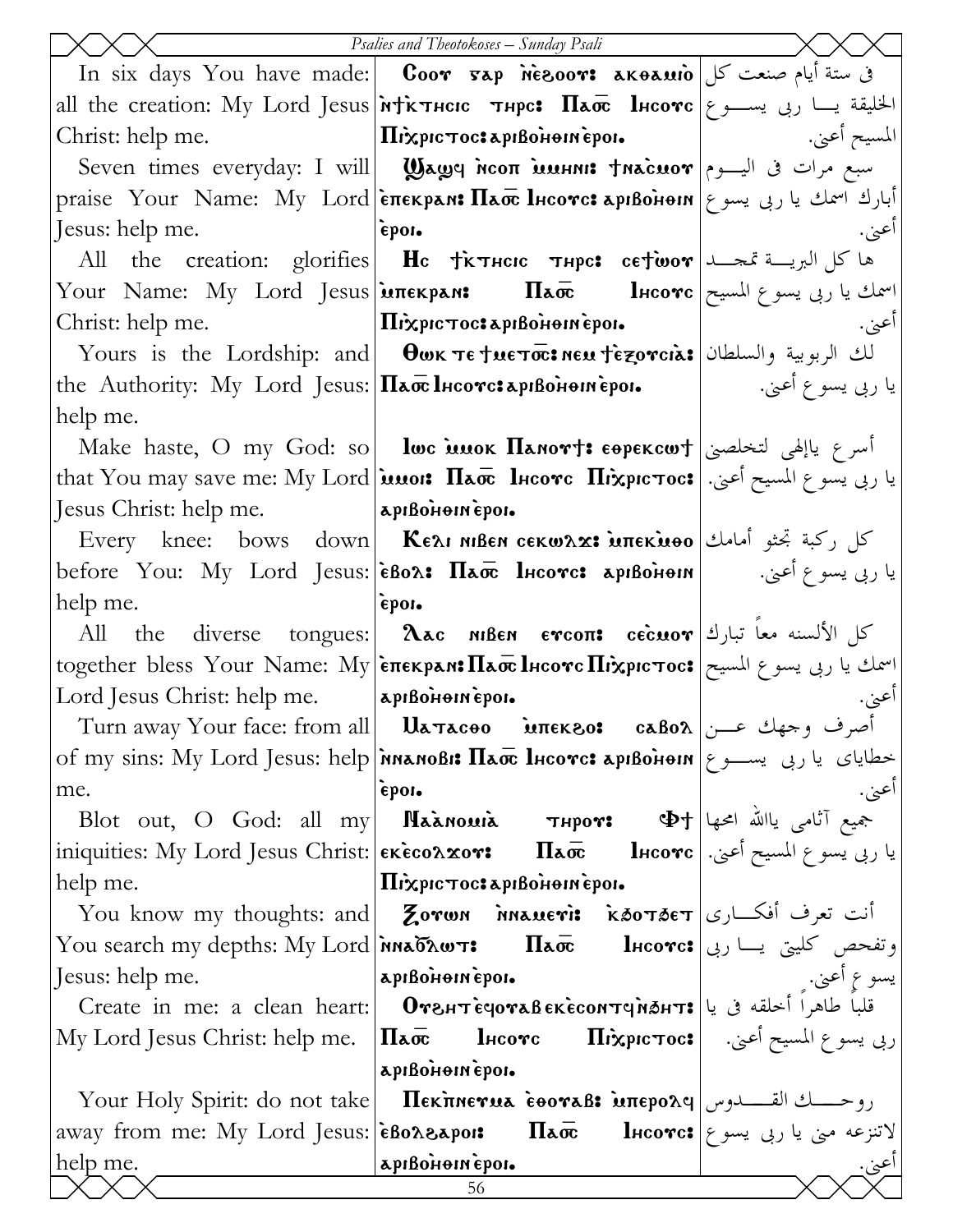|                                            | Psalies and Theotokoses - Sunday Psali                                                                                            |                   |
|--------------------------------------------|-----------------------------------------------------------------------------------------------------------------------------------|-------------------|
|                                            | In six days You have made: <b>Coor <math>\bar{x}</math>ap neesoor: akeamio</b> $\int$ ی ستة أيام صنعت كل                          |                   |
|                                            | all the creation: My Lord Jesus <i>Ntichter Hand</i> <b>Haore</b> lesses lesses is the creation: 1                                |                   |
| Christ: help me.                           | $ \Pi$ i $\chi$ pic $\tau$ oc: Lapibolioniepoi. $ $                                                                               | المسيح أعبي.      |
|                                            | Seven times everyday: I will   Wawy NCON MAHII: TNACMOT  السبع مرات فى اليسوم                                                     |                   |
|                                            | praise Your Name: My Lord επεκραν: Πασε Ιнсотс: арιβοнеин ربی یسوع praise Your Name: My Lord επεκραν: Γιάσε Ι                     |                   |
| Jesus: help me.                            | epon.                                                                                                                             | اعني.             |
|                                            | All the creation: glorifies <b>Hc Tix Their Thpe: cetwor</b> $\lambda$ and $\lambda$ and $\lambda$                                |                   |
|                                            | Your Name: My Lord Jesus <b>  MERERAN:</b> Πλοπ Πεισνε   اسمك يا ربى يسوع المسيح   Tour Name: My Lord Jesus                       |                   |
| Christ: help me.                           | $\mathbf{I}$ Trixpic to c: a pisolioni epoi-                                                                                      | اعني.             |
|                                            | $\sim$ Yours is the Lordship: and $\mid$ θωκ τε †μετσ $\bar{\rm \alpha}$ : neu †ετροτιλε السلطان                                  |                   |
|                                            | the Authority: My Lord Jesus: $\Pi$ a $\bar{\mathbf{\alpha}}$ Incorc: apiBonometron.                                              | يا ربي يسوع أعني. |
| help me.                                   |                                                                                                                                   |                   |
|                                            | Make haste, O my God: so   lwc แนok Панот†: єөрєксω†   اسرع ياإلهي لتخلصني                                                        |                   |
|                                            | يا ربى يسوع المسيح أعنى. [that You may save me: My Lord <b> المسيح أعنى. [th</b> at You may save me: My Lord                      |                   |
| Jesus Christ: help me.  apiBoHoneipoi.     |                                                                                                                                   |                   |
|                                            | كل ركبة تجثو أمامك  Every knee: bows down  <b>Κελι Nißen ceκωλx: يُمَثِلُ</b> رَكْبَة تَجْثُو أَمَامُكْ –                         |                   |
|                                            | يا ربى يسوع أعنى.         before You: My Lord Jesus:  èBo <b>^: Плос Інсотс: арıBòнеın</b>                                        |                   |
| help me.                                   | epon.                                                                                                                             |                   |
|                                            | All the diverse tongues: <b>Aac MBEN ETCOTI:</b> cecuor بحماً تبارك الألسنه معاً تبارك                                            |                   |
|                                            | اسمك يا ربى يسوع المسيح together bless Your Name: My επεκρελι:Πεσε Ιμςονς Πιχρις τος:                                             |                   |
| Lord Jesus Christ: help me.  apiBoHonepoi. |                                                                                                                                   | اعني.             |
|                                            | Turn away Your face: from all    Uaπacoo     ̀иπεκεο:    caBoλ أصرف وجهك عـــن                                                    |                   |
|                                            | of my sins: My Lord Jesus: help <b>MAANOB</b> i: $\Pi$ ao lucorc: apiBonom = با ربی یســـو ع                                      |                   |
| me.                                        | e.<br>Blot out, O God: all my <mark>Паа̀номіа тнрот: Ф</mark> † عليه بالله امحها إلام العهام العهام العهام العامل المعرفة العامل  |                   |
|                                            |                                                                                                                                   |                   |
|                                            | iniquities: My Lord Jesus Christ:   EKECOAXOV:         Пао        Iнсотс   أعني.   ariquities: My Lord Jesus Christ:   EKECOAXOV: |                   |
| help me.                                   | Πιχριστος: αριβοίθεια έροι.                                                                                                       |                   |
|                                            | You know my thoughts: and Zorwn Maueri: k30T3ET [أنت تعرف أفكـــارى                                                               |                   |
|                                            | You search my depths: My Lord אאה Tao Tao Encorc: وتفحص كليتي يسا ربي                                                             |                   |
| Jesus: help me.                            | sus: neıp me.<br>Create in me: a clean heart: <b>Отентечотавекесонтчиант:</b> قلباً طاهراً أخلقه فى يا                            |                   |
|                                            | ربي يسوع المسيح أعني. [Паотс Пі́хрістос:] ربي يسوع المسيح أعني. [                                                                 |                   |
| My Lord Jesus Christ: help me.             | apisonomepoi.                                                                                                                     |                   |
|                                            |                                                                                                                                   |                   |
|                                            |                                                                                                                                   |                   |
| help me.                                   | apıßonomepor.                                                                                                                     |                   |
|                                            | 56                                                                                                                                | <u>اعن.</u>       |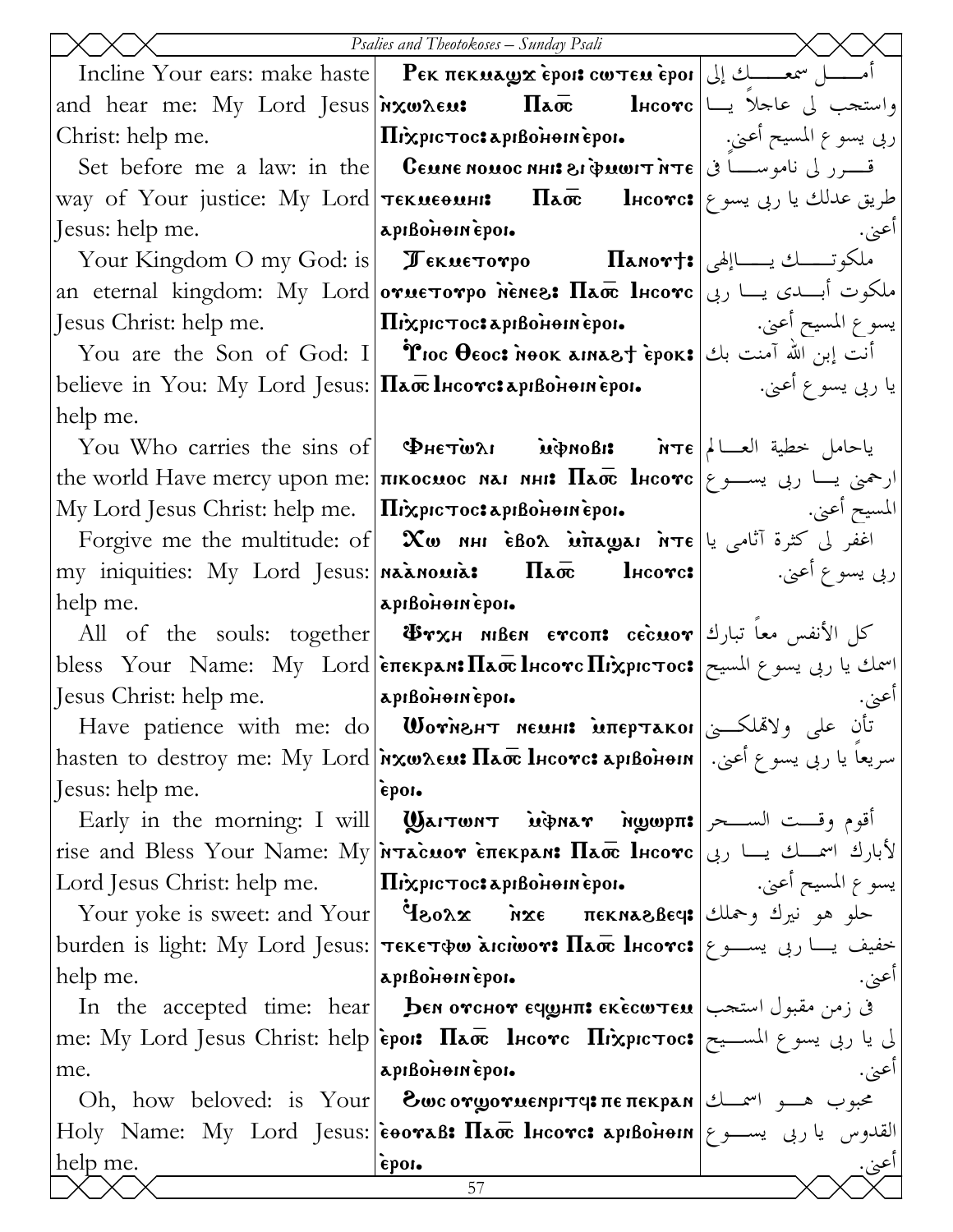|                                                                  | Psalies and Theotokoses - Sunday Psali                                                                                                                                                                                                                                       |                    |
|------------------------------------------------------------------|------------------------------------------------------------------------------------------------------------------------------------------------------------------------------------------------------------------------------------------------------------------------------|--------------------|
|                                                                  | Incline Your ears: make haste   PEK πεκμεν εροι: cω τεμ εροι   إلى المسلسلك إلى   Incline Your ears: make haste                                                                                                                                                              |                    |
|                                                                  | and hear me: My Lord Jesus <b> ixw2eu: Ilao       l</b> hcovc                               واستحب لي عاحلا يسا                                                                                                                                                              |                    |
|                                                                  | ربى يسوع المسيح أعني.   Mixpic Toc: apiBoHein epoi.   ربى يسوع المسيح أعني.                                                                                                                                                                                                  |                    |
|                                                                  | Set before me a law: in the <b>Ceune nouse nhis ei duwit nte</b> $\epsilon$ $\omega$ in $\epsilon$                                                                                                                                                                           |                    |
|                                                                  | way of Your justice: Му Lord тєкиєѳинн:    Па $\overline{\alpha}$ Інсотс: ویق عدلك یا ربی یسو ع                                                                                                                                                                              |                    |
| Jesus: help me.   apisonem epois                                 |                                                                                                                                                                                                                                                                              | أعني.              |
|                                                                  |                                                                                                                                                                                                                                                                              |                    |
|                                                                  | аn eternal kingdom: My Lord отиєтотро ненез: Пат Інсотс ملکوت أبـــدی یـــا ربی                                                                                                                                                                                              |                    |
|                                                                  |                                                                                                                                                                                                                                                                              |                    |
|                                                                  | You are the Son of God: I   Troc Ococ: Nook amast epok: أنت إبن الله آمنت بك                                                                                                                                                                                                 |                    |
|                                                                  |                                                                                                                                                                                                                                                                              |                    |
| help me.                                                         |                                                                                                                                                                                                                                                                              |                    |
|                                                                  | You Who carries the sins of <b>PHETWAI</b> <i>ind</i> noBi: $\pi$ i $ \lambda $ العالم العربية العامل خطية العسالم                                                                                                                                                           |                    |
|                                                                  | the world Have mercy upon me:   пикосмос мал мни: Паос lнеоте   ربی یسوع   the world Have mercy upon me:                                                                                                                                                                     |                    |
|                                                                  | $\rm My$ Lord Jesus Christ: help me.   $\rm \Pi$ i $\rm \chi p$ ic $\rm \tau o$ oc $\rm \star a$ pibo $\rm \tilde{H}$ iepoi $\rm \star$    www.architic.lelp me.   $\rm \Pi$ i $\rm \chi p$ ic $\rm \tau o$ oc $\rm \star a$ pibo $\rm \tilde{H}$ ibonientic poi $\rm \star$ |                    |
|                                                                  | Forgive me the multitude: of $\alpha$ $\infty$ $\alpha$ $\infty$ $\alpha$ $\alpha$ $\alpha$ $\alpha$ $\alpha$ $\alpha$ $\beta$ $\beta$ $\alpha$ $\beta$                                                                                                                      |                    |
|                                                                  | my iniquities: My Lord Jesus: <b>  Maxinouria: Ilao             lheove:</b>                             (به يسوع أعني.                                                                                                                                                       |                    |
| help me. apison apison apison apison.                            |                                                                                                                                                                                                                                                                              |                    |
|                                                                  | All of the souls: together <b>i</b> Urx milen ercon: cecuor الأنفس معاً تبارك                                                                                                                                                                                                |                    |
|                                                                  | bless Your Name: My Lord  επεκρενι: Πεσε Ιнсотс Πιχριστος: اسمك يا ربى يسوع المسيح                                                                                                                                                                                           |                    |
| Jesus Christ: help me.  apiBoHoinepoi.                           | -<br>Flave patience with me: do Wornsнт мемни мпертаког                                                                                                                                                                                                                      | أعنى.              |
|                                                                  |                                                                                                                                                                                                                                                                              |                    |
|                                                                  | سريعاً يا ربى يسو ع أعنى.  hasten to destroy me: My Lord אندريعاً يا ربى يسو ع أعنى.                                                                                                                                                                                         |                    |
| Jesus: help me.                                                  | epor.                                                                                                                                                                                                                                                                        |                    |
|                                                                  | Early in the morning: I will   Wагтюнт ѝфнат муюрп: أقوم وقست الســـحر   Early in the morning: I will                                                                                                                                                                        |                    |
|                                                                  | rise and Bless Your Name: My <b>Natacuov Elekpan: Пасе Інсотс</b> ربی   rise and Bless Your Name: My                                                                                                                                                                         |                    |
| Lord Jesus Christ: help me. $ \Pi$ ixpic $\tau$ oc: apißonomeno. |                                                                                                                                                                                                                                                                              | يسو ع المسيح أعني. |
|                                                                  | Your yoke is sweet: and Your  Ý80λx אנד πεκηλεθεφ: طو هو نيرك وحملك                                                                                                                                                                                                          |                    |
|                                                                  | خفيف يـــا ربي يســـو ع burden is light: My Lord Jesus:  тєкєтфо хісіюот: Пао lнсотс: خفيف يـــا ربي يســـو ع                                                                                                                                                                |                    |
| help me.                                                         | apıßonomepor.                                                                                                                                                                                                                                                                |                    |
|                                                                  | In the accepted time: hear <b>ben отснот ечунп: екесштем</b> $ \text{max}$ في زمن مقبول استجب                                                                                                                                                                                |                    |
| me.                                                              | لى يا ربى يسوع المســيح #me: My Lord Jesus Christ: help epoi: $\Pi$ a، و المســيح  #me: My Lord Jesus Christ: he<br>apıßonomepor.                                                                                                                                            |                    |
|                                                                  | Oh, how beloved: is Your <b>Οως ονωσνασιριτη: πεπεκρλη</b> $\left  \begin{array}{c} \mathcal{L} \end{array} \right $ $\mathcal{L}$                                                                                                                                           |                    |
|                                                                  | ${\rm Holy\; Name: \; My\; Lord\; Jesus: \`eoovaß: \; \Pi a\overline{a}$ lncovc: арıво̀нени $ \gamma $ القدوس يا ربى يســـو ع                                                                                                                                                |                    |
| help me.                                                         | epor.                                                                                                                                                                                                                                                                        |                    |
|                                                                  | 57                                                                                                                                                                                                                                                                           | اعن.               |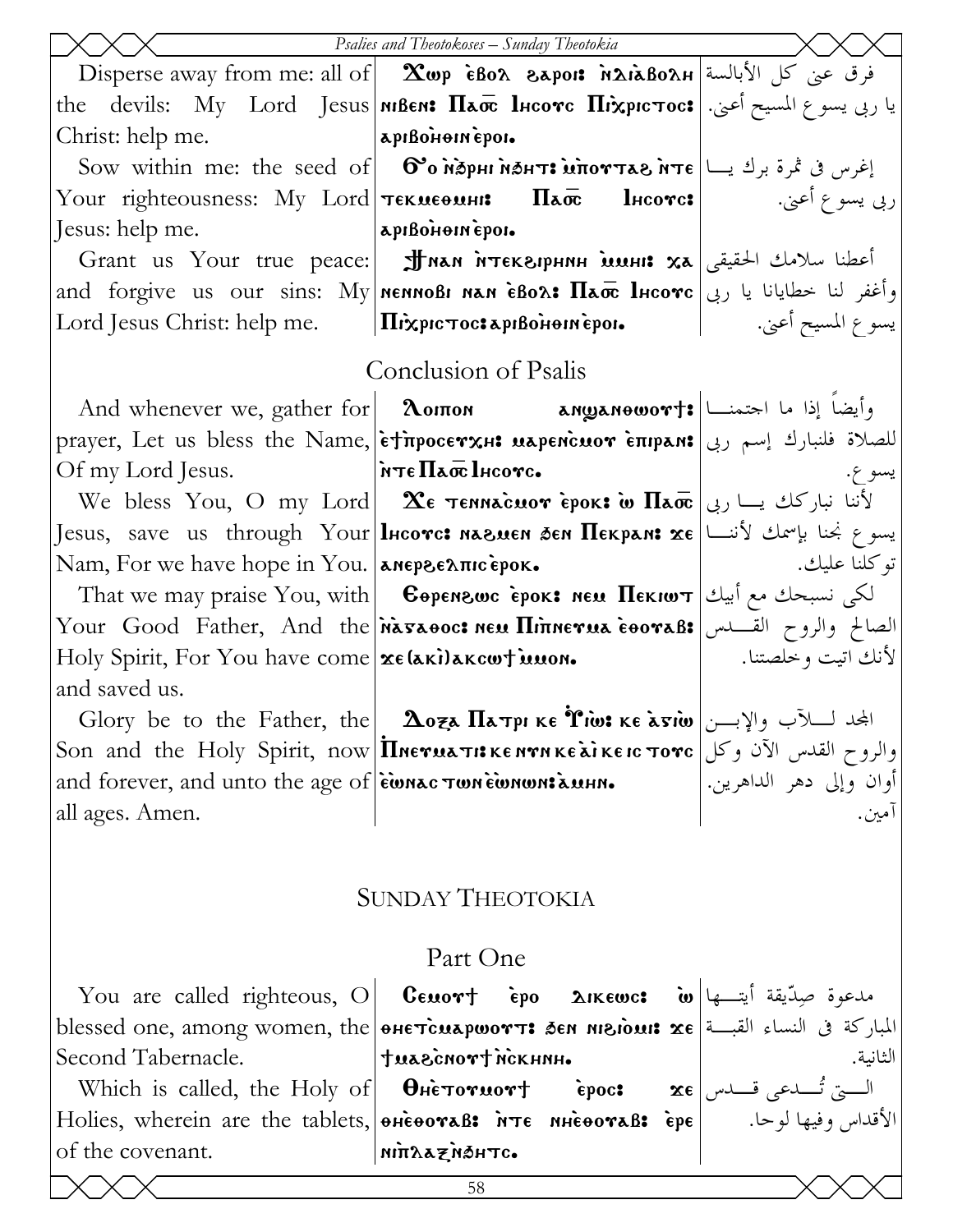|                                                                                                                                                                                                                                      | Psalies and Theotokoses - Sunday Theotokia                                                                                                                                                                                                                                    |                    |
|--------------------------------------------------------------------------------------------------------------------------------------------------------------------------------------------------------------------------------------|-------------------------------------------------------------------------------------------------------------------------------------------------------------------------------------------------------------------------------------------------------------------------------|--------------------|
|                                                                                                                                                                                                                                      | Disperse away from me: all of $\ \mathbf{x}_{\text{wp}}\ $ èBo $\alpha$ azpois $\ \mathbf{x}_{\text{abs}}\ $ فرق عني كل الأبالسة                                                                                                                                              |                    |
|                                                                                                                                                                                                                                      | the devils: My Lord Jesus <b>  MBEN: Плос Інсотс Піхрістос:</b> إيا ربي يسوع المسيح أعني. [the devils: My Lord Jesus                                                                                                                                                          |                    |
| Christ: help me. <b>Apisonie in Apisonie in Apisonie in Apisonie in Apisonie in Apisonie in Apisonie in Apisonie in Apisonie in Apisonie in Apisonie in Apisonie in Apisonie in Apisonie in Apisonie in Apisonie in Apisonie in </b> |                                                                                                                                                                                                                                                                               |                    |
|                                                                                                                                                                                                                                      | Sow within me: the seed of   О°о ѝठрни ѝठнт: ѝпоттав ѝтє  اغرس فى ثمرة برك يــا   Sow within me: the seed of                                                                                                                                                                  |                    |
|                                                                                                                                                                                                                                      | Your righteousness: Му Lord <b>  текмеемні: Плос Ннсотс:</b>   Му сультрани на простани                                                                                                                                                                                       |                    |
| Jesus: help me.   apisonem epoi.                                                                                                                                                                                                     |                                                                                                                                                                                                                                                                               |                    |
|                                                                                                                                                                                                                                      | Grant us Your true реасе: <del>Jлан итек</del> алрнин <b>минн: ха</b> اعطنا سلامك الحقيقى                                                                                                                                                                                     |                    |
|                                                                                                                                                                                                                                      | and forgive us our sins: My Mennoßi nan èBo $\alpha$ : Пао lнсотс $ $ ربی and forgive us our sins: My  nennoßi nan èBo $\alpha$ : Пао lнсотс                                                                                                                                  |                    |
|                                                                                                                                                                                                                                      |                                                                                                                                                                                                                                                                               |                    |
|                                                                                                                                                                                                                                      | Conclusion of Psalis                                                                                                                                                                                                                                                          |                    |
|                                                                                                                                                                                                                                      |                                                                                                                                                                                                                                                                               |                    |
|                                                                                                                                                                                                                                      | And whenever we, gather for   2 ΣοιποΝ   Σοιπον   Σοιπον   Σοιπον   Σοιπον   Σοιπον   Σ                                                                                                                                                                                       |                    |
|                                                                                                                                                                                                                                      | prayer, Let us bless the Name, etimpocerxH: uapencuor enipan: اللصلاة فلنبارك إسم ربى                                                                                                                                                                                         |                    |
| Of my Lord Jesus.   NTE Haoc IHCOTC.                                                                                                                                                                                                 |                                                                                                                                                                                                                                                                               | يسو ع.             |
|                                                                                                                                                                                                                                      | We bless You, O my Lord <b>Xe темнасиот ерок: w Паос</b> ربی <b>IIaoc</b> اینا نبارکك یسا ربی                                                                                                                                                                                 |                    |
|                                                                                                                                                                                                                                      | Jesus, save us through Your lncorc: naɛ.uen ðen Пекрам: xe نسوع نجنا بإسمك لأننـــا                                                                                                                                                                                           |                    |
|                                                                                                                                                                                                                                      |                                                                                                                                                                                                                                                                               |                    |
|                                                                                                                                                                                                                                      | That we may praise You, with <b>Copenzwc epok: Neu Hekiw T</b>                                                                                                                                                                                                                |                    |
|                                                                                                                                                                                                                                      | Your Good Father, And the navaoo: neu Hinnerua eooraB: الصالح والروح القــــدس Your Good Father, And the<br>Holy Spirit, For You have come   xe (aki) akcort is non.                                                                                                          | لأنك اتيت وخلصتنا. |
| and saved us.                                                                                                                                                                                                                        |                                                                                                                                                                                                                                                                               |                    |
|                                                                                                                                                                                                                                      | Glory be to the Father, the $\mid \Delta$ оза Патрике 'Гіш: ке а̀ѕіш $\mid$ المجد لــــا(آب والإبـــن                                                                                                                                                                         |                    |
|                                                                                                                                                                                                                                      |                                                                                                                                                                                                                                                                               |                    |
|                                                                                                                                                                                                                                      |                                                                                                                                                                                                                                                                               |                    |
| all ages. Amen.                                                                                                                                                                                                                      | والروح القدس الآن وكل  Son and the Holy Spirit, now <b>  Пиетиаті: ке нти ке а̀і ке іс тотс</b><br> أوان وإلى دهر الداهرين. <br> آمين.  all ages. Amen.                                                                                                                       |                    |
|                                                                                                                                                                                                                                      |                                                                                                                                                                                                                                                                               |                    |
|                                                                                                                                                                                                                                      |                                                                                                                                                                                                                                                                               |                    |
|                                                                                                                                                                                                                                      | <b>SUNDAY THEOTOKIA</b>                                                                                                                                                                                                                                                       |                    |
|                                                                                                                                                                                                                                      |                                                                                                                                                                                                                                                                               |                    |
|                                                                                                                                                                                                                                      | Part One                                                                                                                                                                                                                                                                      |                    |
|                                                                                                                                                                                                                                      | You are called righteous, O   CEMOTT EPO 2IKEWC: $\omega$  الله   You are called righteous, O   CEMOTT EPO 2IKEWC:                                                                                                                                                            |                    |
|                                                                                                                                                                                                                                      | blessed one, among women, the <b>  әнетсиаршотт: бем мівіомі: xe   المباركة فى النساء القبــة   b</b> lessed one, among women, the                                                                                                                                            |                    |
| Second Tabernacle.                                                                                                                                                                                                                   | - twasconort nckhnh<br> الثانية.<br>  Which is called, the Holy of <del>  Maecnory Mick Holes are   Which is called, the Holy of   Microruory</del><br> الأقداس وفيها لوحا.   Holies, wherein are the tablets, <mark>өнеөотав: йте мнееотав: ере</mark>   الأقداس وفيها لوحا. | الثانية.           |
|                                                                                                                                                                                                                                      |                                                                                                                                                                                                                                                                               |                    |
|                                                                                                                                                                                                                                      |                                                                                                                                                                                                                                                                               |                    |

**nin**<br>Azarin

of the covenant.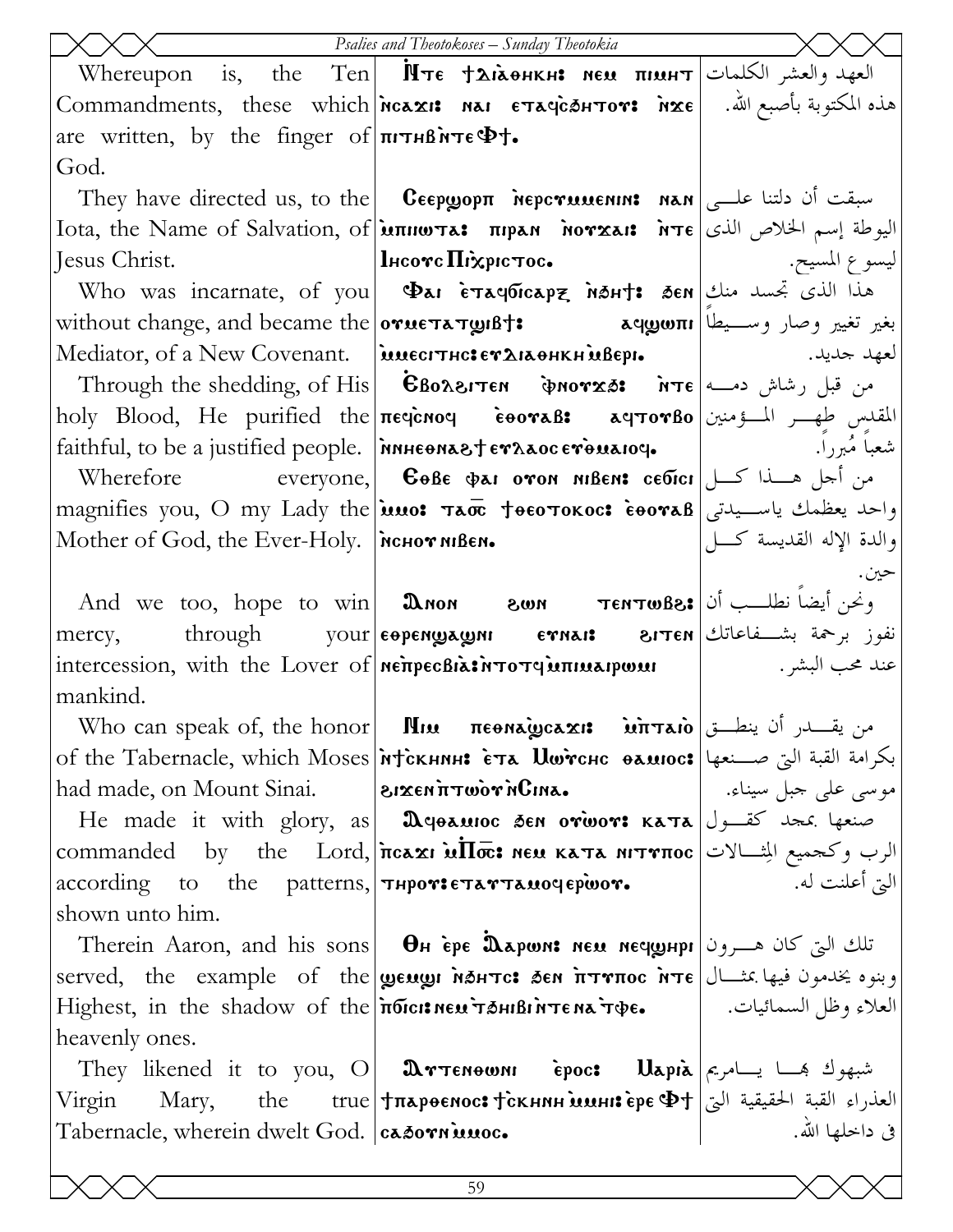|                                                                              | <b>Psalies and Theotokoses - Sunday Theotokia</b>                                                                              |                           |
|------------------------------------------------------------------------------|--------------------------------------------------------------------------------------------------------------------------------|---------------------------|
|                                                                              | Whereupon is, the Ten M $\tau$ є †діанкн: мєм пімн $\tau$ العهد والعشر الكلمات                                                 |                           |
|                                                                              | هذه المكتوبة بأصبع الله.   [Gommandments,   these   which พсахı:   маг  єтачс̀бнтот:   м̀хє                                    |                           |
| are written, by the finger of $\pi r$ and $\Phi r$ .                         |                                                                                                                                |                           |
| God.                                                                         |                                                                                                                                |                           |
|                                                                              | They have directed us, to the <b>C</b> eepwopn <b>Meperumentish Man</b> $ \psi\rangle$ and $ \psi\rangle$ where                |                           |
|                                                                              | Iota, the Name of Salvation, of עת שות דאר πιρεπ אות τε עیوطة إسم الخلاص الذی                                                  |                           |
| Jesus Christ.                                                                | $ \mathbf{l}$ нсотс $\mathbf{\Pi}$ і̀хрістос. $ $ ماسيح. $ $                                                                   |                           |
|                                                                              | Who was incarnate, of you <b>Dai ETACOICAPZ NAH: AEN</b> $\left \right $ الذي تجسد منك                                         |                           |
|                                                                              | بغير تغيير وصار وســـيطا without change, and became the ογμετλτωιΒ†: منظم تغيير وصار وســـيطا                                  |                           |
|                                                                              |                                                                                                                                |                           |
|                                                                              | Through the shedding, of His   $\epsilon$ Bo $\alpha$ וסואס • GBo $\alpha$ פאדפאס • הא $\epsilon$ Through the shedding, of His |                           |
|                                                                              | holy Blood, He purified the πεવενος εθονιδε αqτονβο المقدس طهــر المـــؤمنين                                                   |                           |
|                                                                              |                                                                                                                                |                           |
|                                                                              | Wherefore             everyone, <b>C</b> OBE $\phi$ AI OTON NIBEN: cedici من أجل هسنذا كسل                                     |                           |
|                                                                              | magnifies you, O my Lady the யயo: тао †өєотокос: с̀вотав سـيدتى magnifies you, O my Lady the                                   |                           |
| Mother of God, the Ever-Holy.   NCHOT NIBEN.                                 |                                                                                                                                | والدة الإله القديسة كـــل |
|                                                                              |                                                                                                                                | حين.                      |
|                                                                              | And we too, hope to win <b>Down 800n TENTWEE:</b> وُنِحْنِ أَيْضاً نِطْلِبٍ أَنْ                                               |                           |
|                                                                              | mercy, through your <b>expengrages in Express</b> $\frac{1}{2}$ interved through through                                       |                           |
|                                                                              | عند محب البشر. [المستر: intercession, with the Lover of   MeπpecBia: محند محب البشر. المستمر المستوى بين المستوى               |                           |
| mankind.                                                                     |                                                                                                                                |                           |
|                                                                              | Who can speak of, the honor <b>  Пии пеема̀усахі: سَ</b> ن يقـــدر أن ينطـــق   Who can speak of, the honor                    |                           |
|                                                                              | of the Tabernacle, which Moses Mick нин: Ета llwrcнс вамюс: ابكرامة القبة التي صــنعها                                         |                           |
|                                                                              | had made, on Mount Sinai.     الاقتصاد العديم العام العديم العديم العديم العديم العديم العديم العديم                           |                           |
|                                                                              | He made it with glory, as <b>D</b> epausoc sen orwor: $\kappa$ a and $\frac{1}{2}$ and $\kappa$ and $\alpha$                   |                           |
|                                                                              | commanded by the Lord, псахі мПос: мем ката иіттпос الرب وكحميع الشبالات                                                       | التي أعلنت له.            |
| according to the patterns, <i>THPOT</i> : ETATTAMOYEPWOT.<br>shown unto him. |                                                                                                                                |                           |
|                                                                              | Therein Aaron, and his sons <b>OH</b> epe <b>Dapwis New NeywHpi</b> تلك التي كان هـــرون                                       |                           |
|                                                                              | served, the example of the <b>geugi NSHTC: SEN TITTIOC NTE</b> Julius 3:4 Served, the example of the                           |                           |
|                                                                              | العلاء وظل السمائيات. [ ص Highest, in the shadow of the ποιειτανιει ταιθιντεικλτφε. [[العلاء وظل السمائيات. [                  |                           |
| heavenly ones.                                                               |                                                                                                                                |                           |
|                                                                              | They likened it to you, O <b>Drienown Epoc:</b> Uapia $\epsilon$ شبهوك بهما يسامريم                                            |                           |
|                                                                              | Virgin Mary, the true +паровнос: + скнин минг ере Ф+ العذراء القبة الحقيقية التي                                               |                           |
| Tabernacle, wherein dwelt God.   casovniunoc.                                |                                                                                                                                | في داخلها الله.           |
|                                                                              |                                                                                                                                |                           |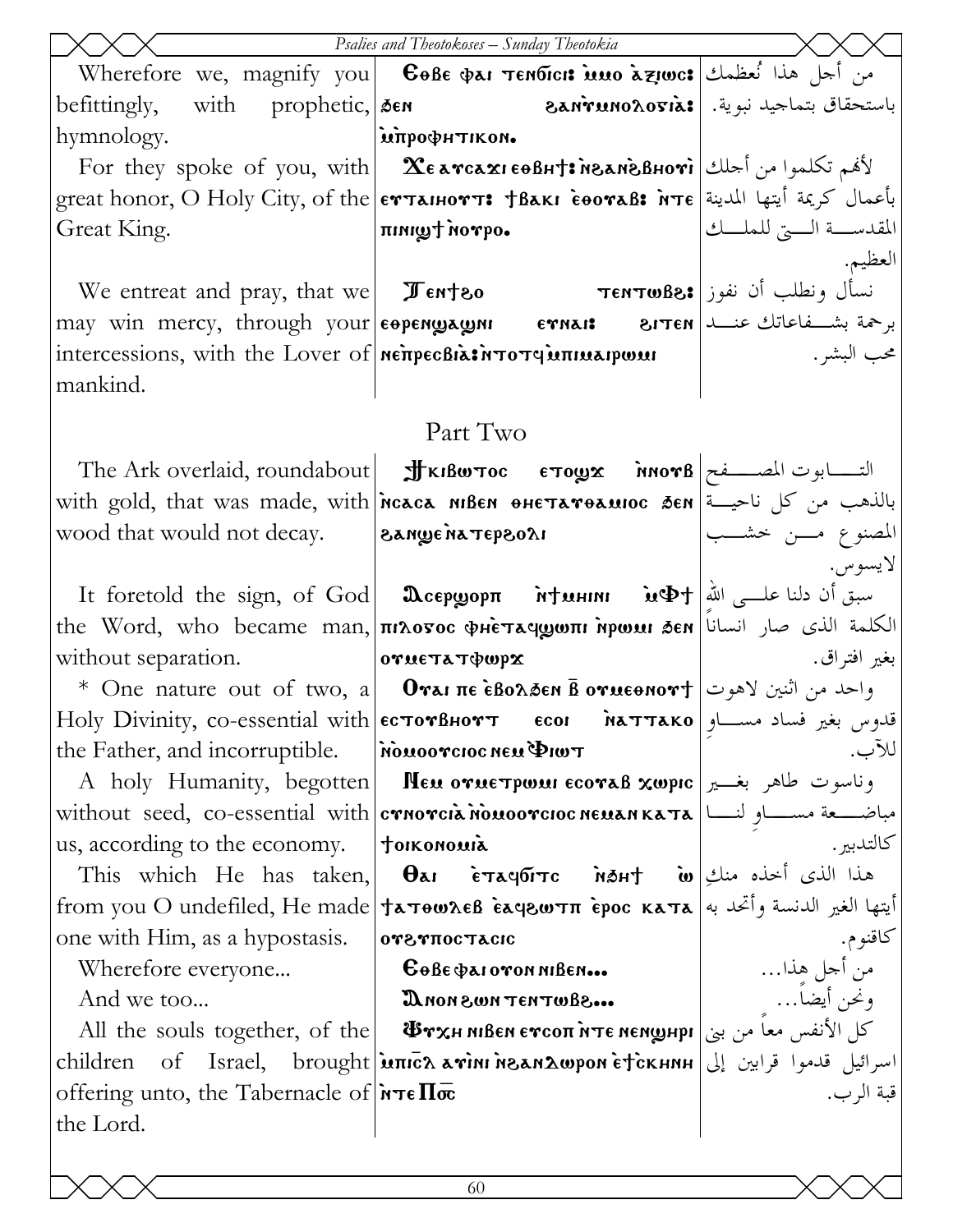|                                                                  | Psalies and Theotokoses - Sunday Theotokia                                                                                                                                                                                                                                                                                                                                                                                                                                                                                                                  |                               |
|------------------------------------------------------------------|-------------------------------------------------------------------------------------------------------------------------------------------------------------------------------------------------------------------------------------------------------------------------------------------------------------------------------------------------------------------------------------------------------------------------------------------------------------------------------------------------------------------------------------------------------------|-------------------------------|
|                                                                  | Nicrefore we, magnify you   Cole Dar Tendicis isso aziwes   نحل هذا نُعظمك                                                                                                                                                                                                                                                                                                                                                                                                                                                                                  |                               |
|                                                                  |                                                                                                                                                                                                                                                                                                                                                                                                                                                                                                                                                             |                               |
| hymnology.                                                       | імпрофитіком.                                                                                                                                                                                                                                                                                                                                                                                                                                                                                                                                               |                               |
|                                                                  | For they spoke of you, with <b>Σελγιαλιεθβητελιδελιονι  </b> الأَهْم تكلموا من أحلك   For they spoke of you, with                                                                                                                                                                                                                                                                                                                                                                                                                                           |                               |
|                                                                  | great honor, O Holy City, of the <b>ev танютт: Нвакі соотав: мте</b> عليها المدينة great honor, O Holy City, of the <b>ev танютт: Нвакі соотав:</b> i                                                                                                                                                                                                                                                                                                                                                                                                       |                               |
| Great King.                                                      | oqvon twint                                                                                                                                                                                                                                                                                                                                                                                                                                                                                                                                                 | المقدســـة الــــتي للملــــك |
|                                                                  |                                                                                                                                                                                                                                                                                                                                                                                                                                                                                                                                                             | العظيم.                       |
|                                                                  | We entreat and pray, that we $\boxed{\mathcal{J}}$ entreat and pray, that we $\boxed{\mathcal{J}}$ entr $\boxed{\mathcal{J}}$ entro $\boxed{\mathcal{J}}$                                                                                                                                                                                                                                                                                                                                                                                                   |                               |
|                                                                  | may win mercy, through your <b>EOPENWAWNI ETNAIS</b> 81TEN 2011 LIFTEN                                                                                                                                                                                                                                                                                                                                                                                                                                                                                      |                               |
|                                                                  | intercessions, with the Lover of <b>Net pechant of the Toron Contract point</b>                                                                                                                                                                                                                                                                                                                                                                                                                                                                             | محب البشر .                   |
| mankind.                                                         |                                                                                                                                                                                                                                                                                                                                                                                                                                                                                                                                                             |                               |
|                                                                  | Part Two                                                                                                                                                                                                                                                                                                                                                                                                                                                                                                                                                    |                               |
|                                                                  | The Ark overlaid, roundabout <b>Jthe Strage Strage Strage Strage Strai</b> n The Ark overlaid, roundabout                                                                                                                                                                                                                                                                                                                                                                                                                                                   |                               |
|                                                                  | with gold, that was made, with reaca MBEN ONETATORMIOC SEN and with gold, that was made, with reaca                                                                                                                                                                                                                                                                                                                                                                                                                                                         |                               |
| wood that would not decay. <b>Example in Tepsoli</b>             |                                                                                                                                                                                                                                                                                                                                                                                                                                                                                                                                                             | المصنوع مسن خشسب              |
|                                                                  |                                                                                                                                                                                                                                                                                                                                                                                                                                                                                                                                                             | لايسوس.                       |
|                                                                  | Tt foretold the sign, of God   $\textbf{D}$ серуор $\textbf{m}$ итини и $\textbf{M}$ Фт $\text{M}$                                                                                                                                                                                                                                                                                                                                                                                                                                                          |                               |
|                                                                  | the Word, who became man, πιλοσος φμετας ψοπι ήρωμι δεν   الكلمة الذي صار انسانا                                                                                                                                                                                                                                                                                                                                                                                                                                                                            |                               |
| without separation.                                              | orue τα τφωρχ                                                                                                                                                                                                                                                                                                                                                                                                                                                                                                                                               | بغير افتراق.                  |
|                                                                  | * One nature out of two, a   Отаі пе ѐволбен в отцеонот $\dag$   احد من اثنين لاهوت   Ме патите оит об туо, а   Отаї пе ѐволбен в отцеонот                                                                                                                                                                                                                                                                                                                                                                                                                  |                               |
|                                                                  | $ \!\!\operatorname{Holy}\nolimits\!\!\operatorname{Divinity}\nolimits\!,$ co-essential with $ \!$ ec $\texttt{rowB}$ нот $\texttt{\texttt{or}}\!\!\operatorname{--}\nolimits\!\!\operatorname{--}\nolimits\!\!\operatorname{--}\nolimits\!\!\operatorname{--}\nolimits\!\!\operatorname{--}\nolimits\!\!\operatorname{--}\nolimits\!\!\operatorname{--}\nolimits\!\!\operatorname{--}\nolimits\!\!\operatorname{--}\nolimits\!\!\operatorname{--}\nolimits\!\!\operatorname{--}\nolimits\!\!\operatorname{--}\nolimits\!\!\operatorname{--}\nolimits\!\!\$ |                               |
| the Father, and incorruptible.   MOMOOTCIOC NEM PIWT             |                                                                                                                                                                                                                                                                                                                                                                                                                                                                                                                                                             | للآب.                         |
|                                                                  | A holy Humanity, begotten   Neu orue¬pwui ecoraß xwpic   بوناسوت طاهر بغــير                                                                                                                                                                                                                                                                                                                                                                                                                                                                                |                               |
|                                                                  | without seed, co-essential with <b>crnorcia nouoorcioc neuan ka Ta</b> with                                                                                                                                                                                                                                                                                                                                                                                                                                                                                 |                               |
| us, according to the economy.                                    | toikonomia                                                                                                                                                                                                                                                                                                                                                                                                                                                                                                                                                  | كالتدبير .                    |
|                                                                  | This which He has taken, <b><math>\theta</math>ai</b> $\vec{\epsilon}$ $\vec{\epsilon}$ $\vec{\epsilon}$ $\vec{\epsilon}$ $\vec{\epsilon}$ $\vec{\epsilon}$ $\vec{\epsilon}$ $\vec{\epsilon}$ $\vec{\epsilon}$ $\vec{\epsilon}$ $\vec{\epsilon}$ $\vec{\epsilon}$ $\vec{\epsilon}$ $\vec{\epsilon}$ $\vec{\epsilon}$ $\vec{\epsilon}$ $\vec{\epsilon}$ $\vec{\epsilon}$ $\vec{\epsilon}$ $\vec{\epsilon}$ $\vec{\epsilon}$ $\vec{\epsilon}$ $\vec{\epsilon}$ $\$                                                                                            |                               |
|                                                                  | أيتها الغير الدنسة وأتحد به  from you O undefiled, He made †ѧтѳωλєß Èѧϥϩωτπ Èрос кѧтѧ                                                                                                                                                                                                                                                                                                                                                                                                                                                                       |                               |
| one with Him, as a hypostasis.                                   | <b>OYSTIOCTACIC</b>                                                                                                                                                                                                                                                                                                                                                                                                                                                                                                                                         | كاقنوم.                       |
|                                                                  |                                                                                                                                                                                                                                                                                                                                                                                                                                                                                                                                                             |                               |
|                                                                  | Wherefore everyone<br>And we too <b>Cobe parovon MBen Cobe All the souls together, of the</b><br>all the souls together, of the <b>The Macked Street of the Street of The All Computed Street Street Street in Terms</b>                                                                                                                                                                                                                                                                                                                                    |                               |
|                                                                  |                                                                                                                                                                                                                                                                                                                                                                                                                                                                                                                                                             |                               |
|                                                                  | children of Israel, brought   unich avini nean Awpon EtickHNH   إسرائيل قدموا قرابين إلى                                                                                                                                                                                                                                                                                                                                                                                                                                                                    |                               |
| offering unto, the Tabernacle of $\pi \epsilon \Pi \bar{\infty}$ |                                                                                                                                                                                                                                                                                                                                                                                                                                                                                                                                                             | قبة الر ب.                    |
| the Lord.                                                        |                                                                                                                                                                                                                                                                                                                                                                                                                                                                                                                                                             |                               |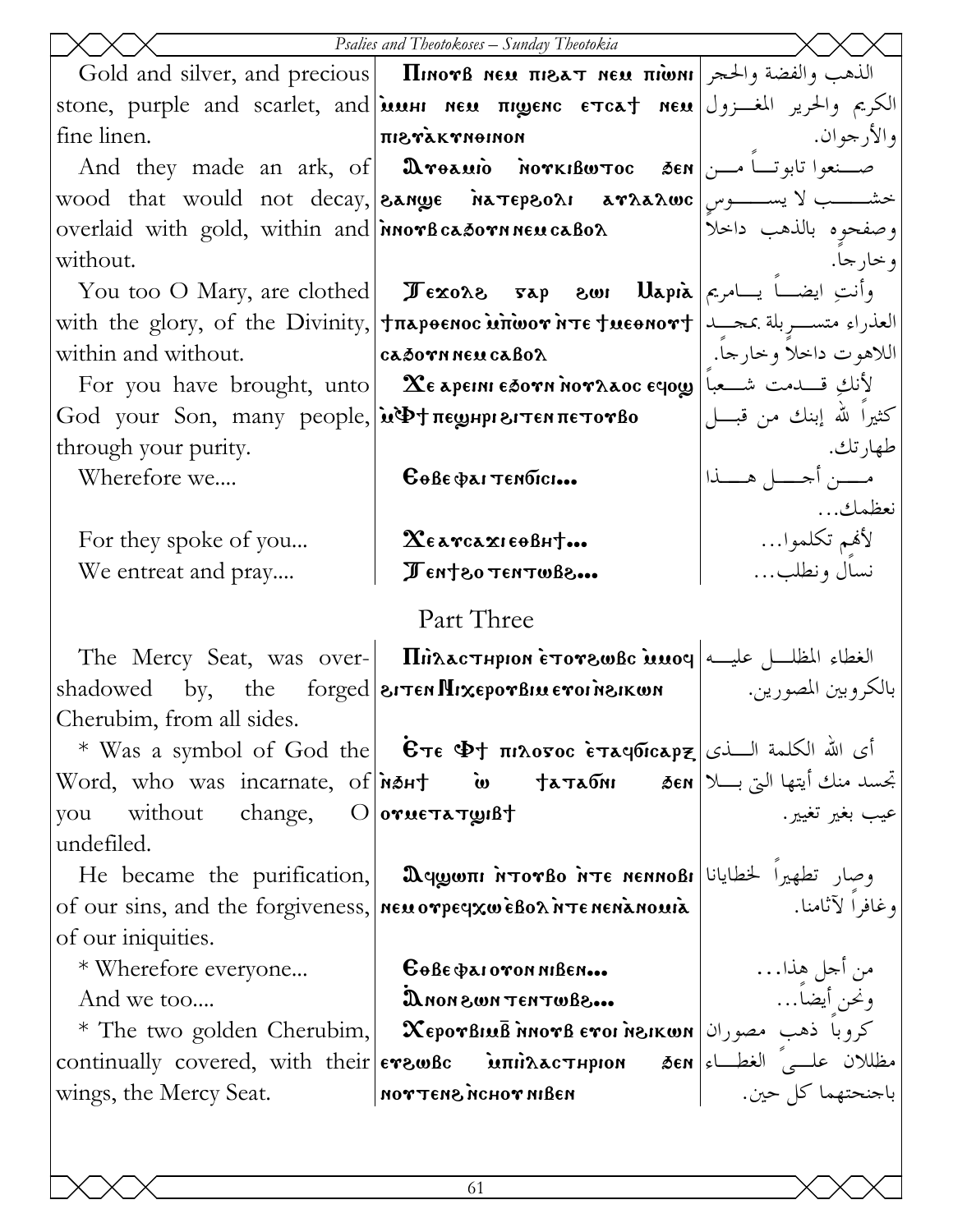|                                                              | Psalies and Theotokoses - Sunday Theotokia                                                                                                                                                                                     |                            |
|--------------------------------------------------------------|--------------------------------------------------------------------------------------------------------------------------------------------------------------------------------------------------------------------------------|----------------------------|
|                                                              | Gold and silver, and precious   Πικονβ κευ πιδετ κευ πιώνι   $\frac{1}{2}$   الذهب والفضة والحجر                                                                                                                               |                            |
|                                                              | stone, purple and scarlet, and ம்ம்பா меи πремс стса† меи الكريم والحرير المغـــزول                                                                                                                                            |                            |
| fine linen.                                                  | <b>ΠΙΒΥΑΚΥΝΘΙΝΟΝ</b>                                                                                                                                                                                                           | و الأرجو ان.               |
|                                                              | And they made an ark, of <b>Dreamio MorkiBwtoc 3en</b>                                                                                                                                                                         |                            |
|                                                              |                                                                                                                                                                                                                                |                            |
| overlaid with gold, within and <b>nor</b> B casorn neu caBox |                                                                                                                                                                                                                                | وصفحوه بالذهب داحلا        |
| without.                                                     |                                                                                                                                                                                                                                | و خار جا.                  |
|                                                              | You too O Mary, are clothed <b>I</b> $\epsilon$ <b>xo</b> $\lambda$ <b>s</b> $\alpha$ <b>p</b> and $\alpha$ $\alpha$ $\beta$ $\alpha$ $\beta$ $\beta$                                                                          |                            |
|                                                              | with the glory, of the Divinity, Trapoenoc wriver or it resport   العذراء متســـربلة بمحـــد                                                                                                                                   |                            |
| within and without.                                          | cadoyn neu cabox                                                                                                                                                                                                               | اللاهوت داخلاً وخارجاً.    |
|                                                              | For you have brought, unto $\ \mathbf{x}_\epsilon\ $ انكِ قـــدمت شـــعباً                                                                                                                                                     |                            |
| God your Son, many people,   и Ф + пе унри витем петотво     |                                                                                                                                                                                                                                | كثيراً لله إبنك من قبــــل |
| through your purity.                                         |                                                                                                                                                                                                                                | طهارتك.                    |
| Wherefore we                                                 | $6066$ $Q$ $\lambda$ i Tendici                                                                                                                                                                                                 | مـــــن أجـــــل هــــــذا |
|                                                              |                                                                                                                                                                                                                                | نعظمك                      |
| For they spoke of you                                        | $\mathbf{\chi}_{\epsilon}$ a reazi eo Bh $\dagger$                                                                                                                                                                             | لأفمِم تكلموا…             |
| We entreat and pray                                          | Jent 80 TENTWAR                                                                                                                                                                                                                | نسال ونطلب                 |
|                                                              | Part Three                                                                                                                                                                                                                     |                            |
|                                                              | The Mercy Seat, was over- <b>Il</b> inacThpion etorswBc inner algebral discussed likely                                                                                                                                        |                            |
| shadowed                                                     | by, the forged eiten Mixepor Bineroinsikum                                                                                                                                                                                     | بالكروبين المصورين.        |
| Cherubim, from all sides.                                    |                                                                                                                                                                                                                                |                            |
|                                                              | * Was a symbol of God the   $\bar{E}$ στε $\Phi$ † πιλογος εταφίσαρξ   أي الله الكلمة السذى                                                                                                                                    |                            |
|                                                              |                                                                                                                                                                                                                                |                            |
| you without change, O orue Ta Tuist                          |                                                                                                                                                                                                                                | عيب بغير تغيير.            |
| undefiled.                                                   |                                                                                                                                                                                                                                |                            |
|                                                              | He became the purification, $\alpha$ aqguer interse intersense $\alpha$ due to respect the purification, $\alpha$                                                                                                              |                            |
|                                                              | of our sins, and the forgiveness,   neu orpeyxweBox NTENENANOUIR   Viole Viole 9                                                                                                                                               |                            |
| of our iniquities.                                           |                                                                                                                                                                                                                                |                            |
| * Wherefore everyone                                         |                                                                                                                                                                                                                                |                            |
| And we too                                                   | And we too<br>  XeporBluB ทิทоrв erol ทิรเพต   الكووباً ذهب مصوران   The two golden Cherubim,   XeporBluB ทิทоrв erol ทิรเพต * The two golden Cherubim,  <br>  сontinually covered, with their    еrawBc    миталастирион    б |                            |
|                                                              |                                                                                                                                                                                                                                |                            |
|                                                              |                                                                                                                                                                                                                                |                            |
|                                                              |                                                                                                                                                                                                                                |                            |
|                                                              |                                                                                                                                                                                                                                |                            |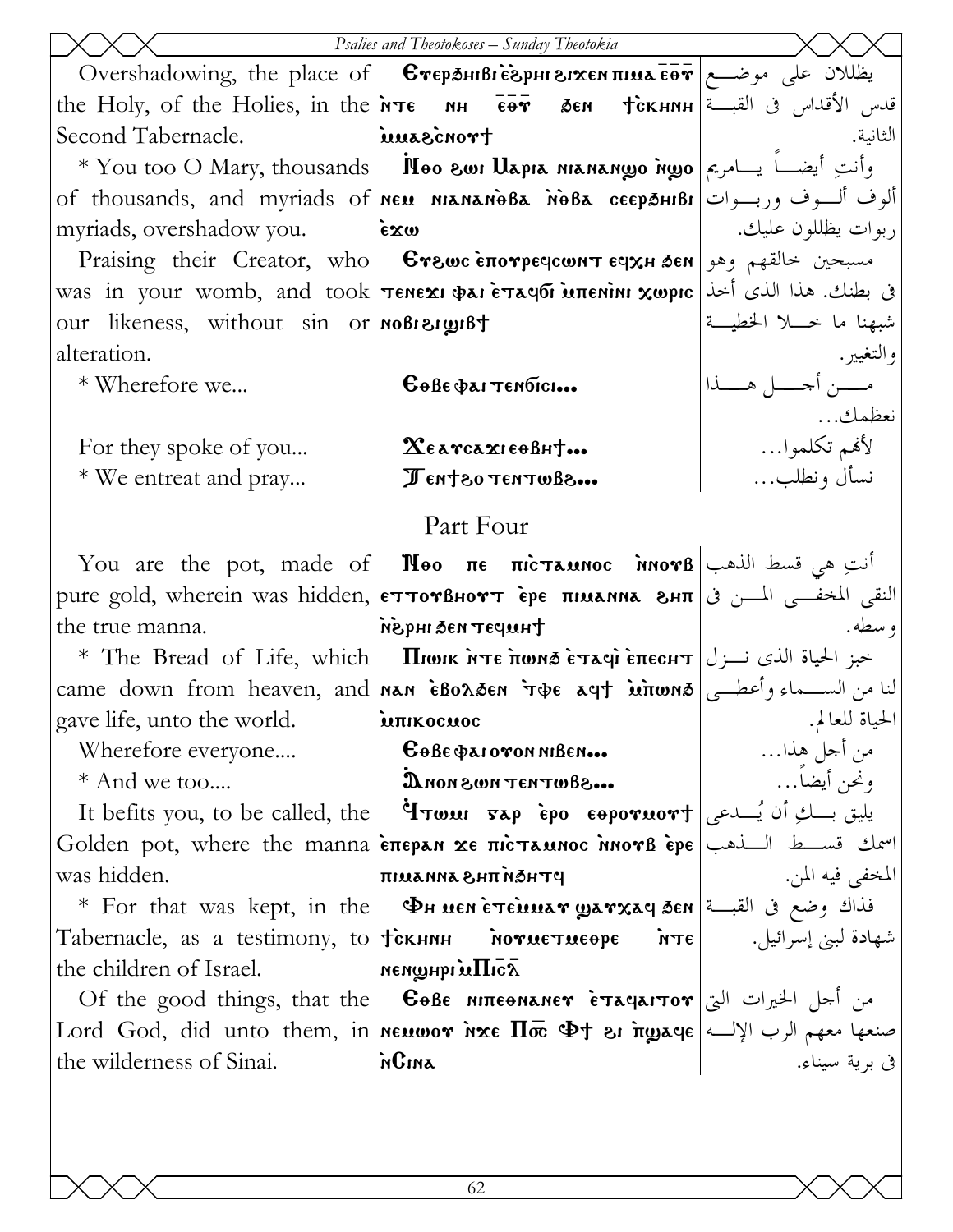|                                        | Psalies and Theotokoses - Sunday Theotokia                                                                                                                                                           |                        |
|----------------------------------------|------------------------------------------------------------------------------------------------------------------------------------------------------------------------------------------------------|------------------------|
|                                        | Overshadowing, the place of <b>  Єтераніві ѐерні зі<math>\mathbf{x}</math>емпіца е́от   موضـــع   Оvershadowing, the place of   Стераніві ѐврні зі<math>\mathbf{x}</math>емпіца е́от   о</b>         |                        |
|                                        | the Holy, of the Holies, in the $ \overline{\text{nr}} e - \overline{\text{nr}} - \overline{\overline{\text{e}} e} \overline{\text{r}} - \overline{\text{r}} e$ قدس الأقداس في القبـــة              |                        |
| Second Tabernacle.                     | tronosauu                                                                                                                                                                                            | الثانية.               |
|                                        | * You too O Mary, thousands      Noo swi Uapia nianango ngo   ارأنتِ أيضــــاً بـــامريم ا $\bullet$                                                                                                 |                        |
|                                        | of thousands, and myriads of neu niananoba note ceepsuibi   ألوف ألسوف وربسوات                                                                                                                       |                        |
| myriads, overshadow you.               | $\epsilon x \omega$                                                                                                                                                                                  | ربوات يظللون عليك.     |
|                                        | Praising their Creator, who <b>Crewc Erewc Eπονρες EUXH</b> SEN $\alpha$ وهو Praising their Creator, who <b>Crewc E</b>                                                                              |                        |
|                                        | ق بطنك. هذا الذي أخذ  was in your womb, and took  Tεnexi φai εταφδί υπεnini χωρις                                                                                                                    |                        |
| our likeness, without sin or noBisings |                                                                                                                                                                                                      | شبهنا ما حبلا الخطيسة  |
| alteration.                            |                                                                                                                                                                                                      | والتغيير .             |
| * Wherefore we                         | $\mathbf{G}$ өве фаттембісі                                                                                                                                                                          | مــــن أحــــل هــــذا |
|                                        |                                                                                                                                                                                                      | نعظمك                  |
| For they spoke of you                  | $\chi_{\epsilon}$ a reazi $\epsilon$ o Bh $\tau$                                                                                                                                                     | لأفمم تكلموا…          |
| * We entreat and pray                  | Jent 80 TENTWAR                                                                                                                                                                                      | نسأل ونطلب             |
|                                        | Part Four                                                                                                                                                                                            |                        |
|                                        | You are the pot, made of <b>N</b> eo πε πιετλευνος δινοντβ $\left  \begin{array}{cc} \sqrt{1-\frac{1}{n}} & \sqrt{1-\frac{1}{n}} \\ \sqrt{1-\frac{1}{n}} & \sqrt{1-\frac{1}{n}} \end{array} \right $ |                        |
|                                        | pure gold, wherein was hidden, <b>ETTOYBHOYT EPE THUANNA SHT</b> 3 النقى المخفــى المـــن فى الم معده                                                                                                |                        |
| the true manna.                        | thupar na& ingsn                                                                                                                                                                                     | و سطه.                 |
|                                        | * The Bread of Life, which   Пюнк ите пома етачі епеснт   خبز الحياة الذي نـــزل                                                                                                                     |                        |
|                                        | came down from heaven, and <b>NAN EBOASEN TOE AUT MINONS</b>                                                                                                                                         |                        |
| gave life, unto the world. MITIKOCHOC  |                                                                                                                                                                                                      | الحياة للعالم.         |
| Wherefore everyone                     | Gobe parovon niBen                                                                                                                                                                                   | من أجل هذا…            |
| * And we too                           | a.6800TH3T NWS NON                                                                                                                                                                                   | ونحن أيضاً…            |
| It befits you, to be called, the       | $\mathbf{P}$ يليق بسكِ أن يُسلحى   لاست Fap eeporwort يليق بسكِ أن                                                                                                                                   |                        |
|                                        | Golden pot, where the manna <b>επεραν χε πισταυνος ληστβ</b> ερε Like                                                                                                                                |                        |
| was hidden.                            | <b>PTHON THS SNN SUIT</b>                                                                                                                                                                            | المخفى فيه المن.       |
|                                        | * For that was kept, in the   $\,$ Фн иен етешиат уатхач бен   قذاك وضع فى القبــة                                                                                                                   |                        |
|                                        |                                                                                                                                                                                                      | شهادة لبني إسرائيل.    |
| the children of Israel.                | $\bar{X}$ อา $\prod$ นั้ง เขนพูหาจน                                                                                                                                                                  |                        |
|                                        | Of the good things, that the <b>C G</b> <sub>θ</sub> Bε NITE <b>ender</b> εταφαιτον الخيرات التي                                                                                                     |                        |
|                                        |                                                                                                                                                                                                      |                        |
| the wilderness of Sinai.               | aniJn                                                                                                                                                                                                | في برية سيناء.         |
|                                        |                                                                                                                                                                                                      |                        |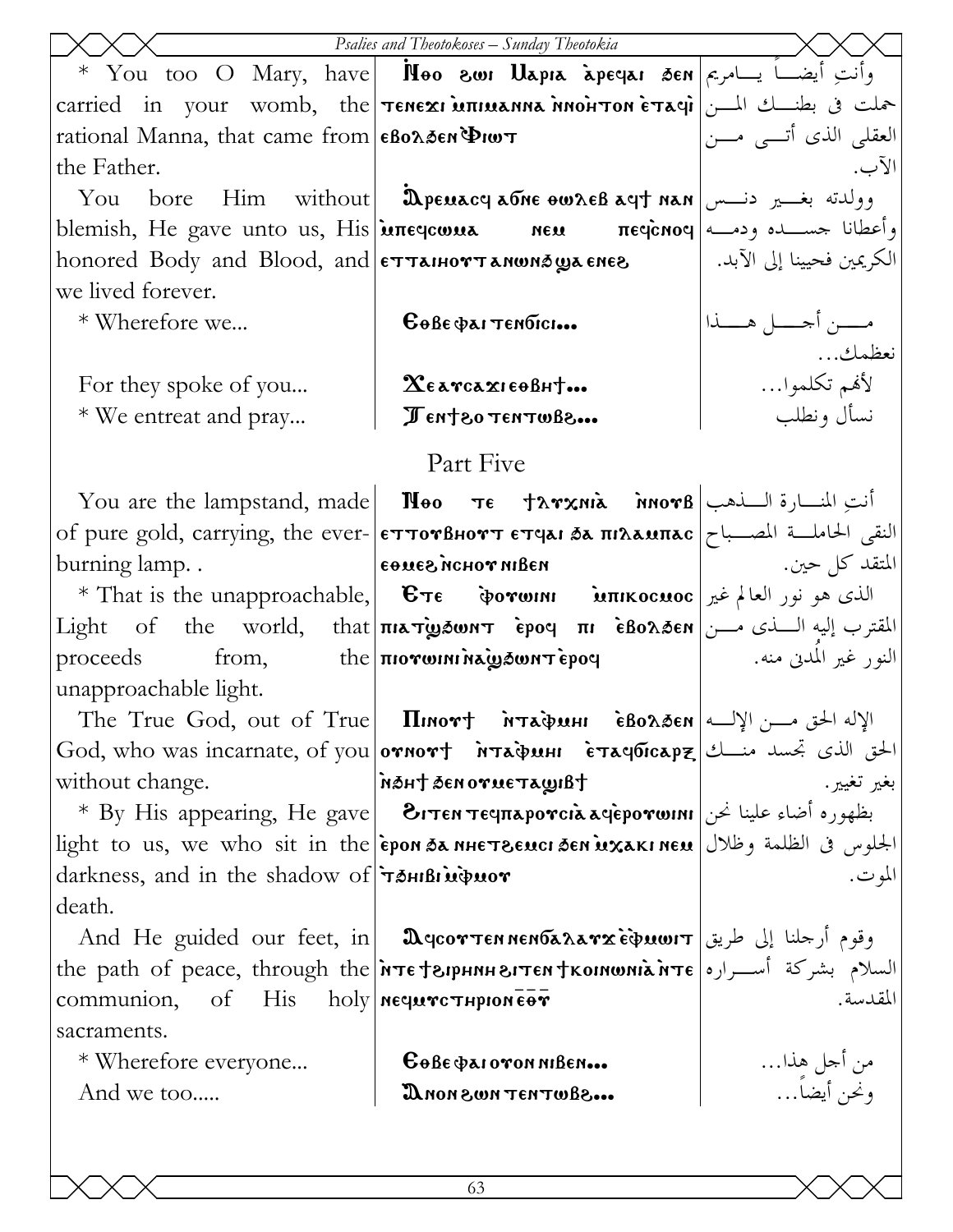|                                                                                                         | Psalies and Theotokoses - Sunday Theotokia                                                                                                                                                                                                                                                                                                                                                                                                                                                                                       |                            |
|---------------------------------------------------------------------------------------------------------|----------------------------------------------------------------------------------------------------------------------------------------------------------------------------------------------------------------------------------------------------------------------------------------------------------------------------------------------------------------------------------------------------------------------------------------------------------------------------------------------------------------------------------|----------------------------|
|                                                                                                         | * You too O Mary, have   Noo swi Uapia apeqai sen  التَّبَعُ أَيضَــا يَــامَرِيم الله عَلَيْهَا عَب                                                                                                                                                                                                                                                                                                                                                                                                                             |                            |
|                                                                                                         | carried in your womb, the TENEXI MILLANIA MONTON ETACILLE in your womb, the TENEXI MILLANIA MONTON ETACILLE                                                                                                                                                                                                                                                                                                                                                                                                                      |                            |
| rational Manna, that came from $\epsilon$ Bo $\lambda$ 5en $\Phi$ Iw $\tau$                             |                                                                                                                                                                                                                                                                                                                                                                                                                                                                                                                                  | العقلي الذي أتـــي مــــن  |
| the Father.                                                                                             |                                                                                                                                                                                                                                                                                                                                                                                                                                                                                                                                  | الآب.                      |
|                                                                                                         | You bore Him without   మpeuacy aone ownes ayt nan   وولدته بغــير دنـــس                                                                                                                                                                                                                                                                                                                                                                                                                                                         |                            |
|                                                                                                         | blemish, He gave unto us, His மாസേயூ معده πευ πες وأعطانا حســده ودمــه blemish, He gave unto us, His                                                                                                                                                                                                                                                                                                                                                                                                                            |                            |
|                                                                                                         | honored Body and Blood, and єттанюттаномэ́ழுаєнєв   الكريمين فحيينا إلى الآبد.                                                                                                                                                                                                                                                                                                                                                                                                                                                   |                            |
| we lived forever.                                                                                       |                                                                                                                                                                                                                                                                                                                                                                                                                                                                                                                                  |                            |
| * Wherefore we                                                                                          | $6066$ $Q$ антембиско                                                                                                                                                                                                                                                                                                                                                                                                                                                                                                            | مـــــن أحـــــل هــــــذا |
|                                                                                                         |                                                                                                                                                                                                                                                                                                                                                                                                                                                                                                                                  | نعظمك                      |
| For they spoke of you                                                                                   | $\chi_{\epsilon}$ a reazi $\epsilon$ o Bh $\dagger$                                                                                                                                                                                                                                                                                                                                                                                                                                                                              | لأفمم تكلموا…              |
| * We entreat and pray                                                                                   | Jent 20 TENTWB2                                                                                                                                                                                                                                                                                                                                                                                                                                                                                                                  | نسأل ونطلب                 |
|                                                                                                         | Part Five                                                                                                                                                                                                                                                                                                                                                                                                                                                                                                                        |                            |
|                                                                                                         | You are the lampstand, made   <b>Noo</b> $\tau \epsilon$ +λγχηιλ $\lambda$ $\lambda$ $\theta$   انت ِالمنسارة السلامب                                                                                                                                                                                                                                                                                                                                                                                                            |                            |
|                                                                                                         | of pure gold, carrying, the ever- επτονβнοντ ετqaι δα πιλαυπας النقى الحاملــة المصــباح                                                                                                                                                                                                                                                                                                                                                                                                                                         |                            |
| burning lamp                                                                                            | иэани тоной зэмөэ                                                                                                                                                                                                                                                                                                                                                                                                                                                                                                                | المتقد كل حين.             |
|                                                                                                         |                                                                                                                                                                                                                                                                                                                                                                                                                                                                                                                                  |                            |
|                                                                                                         | $Light$ of the world, that <b>πιλτώνου τ έρος πι εδολδεκ</b> المقترب إليه السناى مسن                                                                                                                                                                                                                                                                                                                                                                                                                                             |                            |
|                                                                                                         | $p$ roceeds from, the $\pi$ iorwini $\lambda$ w $\delta$ w $\tau$ epoq                                                                                                                                                                                                                                                                                                                                                                                                                                                           | النور غير المدني منه.      |
| unapproachable light.                                                                                   |                                                                                                                                                                                                                                                                                                                                                                                                                                                                                                                                  |                            |
|                                                                                                         | The True God, out of True   Пиютт йтафин • е́волбен الإله الحق مـــن الإلـــه                                                                                                                                                                                                                                                                                                                                                                                                                                                    |                            |
|                                                                                                         | God, who was incarnate, of you <b>ornort</b> $\overrightarrow{\bf{n}}$ $\overrightarrow{\bf{n}}$ $\overrightarrow{\bf{n}}$ $\overrightarrow{\bf{n}}$ $\overrightarrow{\bf{n}}$ $\overrightarrow{\bf{n}}$ $\overrightarrow{\bf{n}}$ $\overrightarrow{\bf{n}}$ $\overrightarrow{\bf{n}}$ $\overrightarrow{\bf{n}}$ $\overrightarrow{\bf{n}}$ $\overrightarrow{\bf{n}}$ $\overrightarrow{\bf{n}}$ $\overrightarrow{\bf{n}}$ $\overrightarrow{\bf{n}}$ $\overrightarrow{\bf{n}}$ $\overrightarrow{\bf{n}}$ $\overrightarrow{\bf{n}}$ |                            |
| without change.                                                                                         | <b>TalwaTaurona&amp;TH&amp;n</b>                                                                                                                                                                                                                                                                                                                                                                                                                                                                                                 | بغير تغيير.                |
|                                                                                                         | * By His appearing, He gave   Э́гтєм тєчпаротсіà ачѐротюни   بظهوره أضاء علينا نحن                                                                                                                                                                                                                                                                                                                                                                                                                                               |                            |
|                                                                                                         | light to us, we who sit in the <b>ером ба инетесисі бем ихакі нем</b> الجلوس في الظلمة وظلال                                                                                                                                                                                                                                                                                                                                                                                                                                     |                            |
| darkness, and in the shadow of $\vec{r}$ and $\vec{w}$ wor                                              |                                                                                                                                                                                                                                                                                                                                                                                                                                                                                                                                  | المو ت.                    |
| death.                                                                                                  |                                                                                                                                                                                                                                                                                                                                                                                                                                                                                                                                  |                            |
|                                                                                                         | And He guided our feet, in <b>D</b> qcorten Nentra darx Equout   أرجلنا إلى طريق                                                                                                                                                                                                                                                                                                                                                                                                                                                 |                            |
|                                                                                                         | the path of peace, through the <i>NTE</i> Jephnh SITEN JKOINWNIA NTE Jum in the path of peace, through the                                                                                                                                                                                                                                                                                                                                                                                                                       |                            |
| communion, of His holy $\lceil \frac{\text{deg}(\text{arg}(\mathbf{x}))}{\text{deg}(\mathbf{x})}\rceil$ |                                                                                                                                                                                                                                                                                                                                                                                                                                                                                                                                  | المقدسة.                   |
| sacraments.                                                                                             |                                                                                                                                                                                                                                                                                                                                                                                                                                                                                                                                  |                            |
| * Wherefore everyone                                                                                    | Gobe parovon niBen                                                                                                                                                                                                                                                                                                                                                                                                                                                                                                               | من أجل هذا<br>ونحن أيضاً   |
| And we too                                                                                              | <b>JANON SWOT HOT ON LE</b>                                                                                                                                                                                                                                                                                                                                                                                                                                                                                                      |                            |
|                                                                                                         |                                                                                                                                                                                                                                                                                                                                                                                                                                                                                                                                  |                            |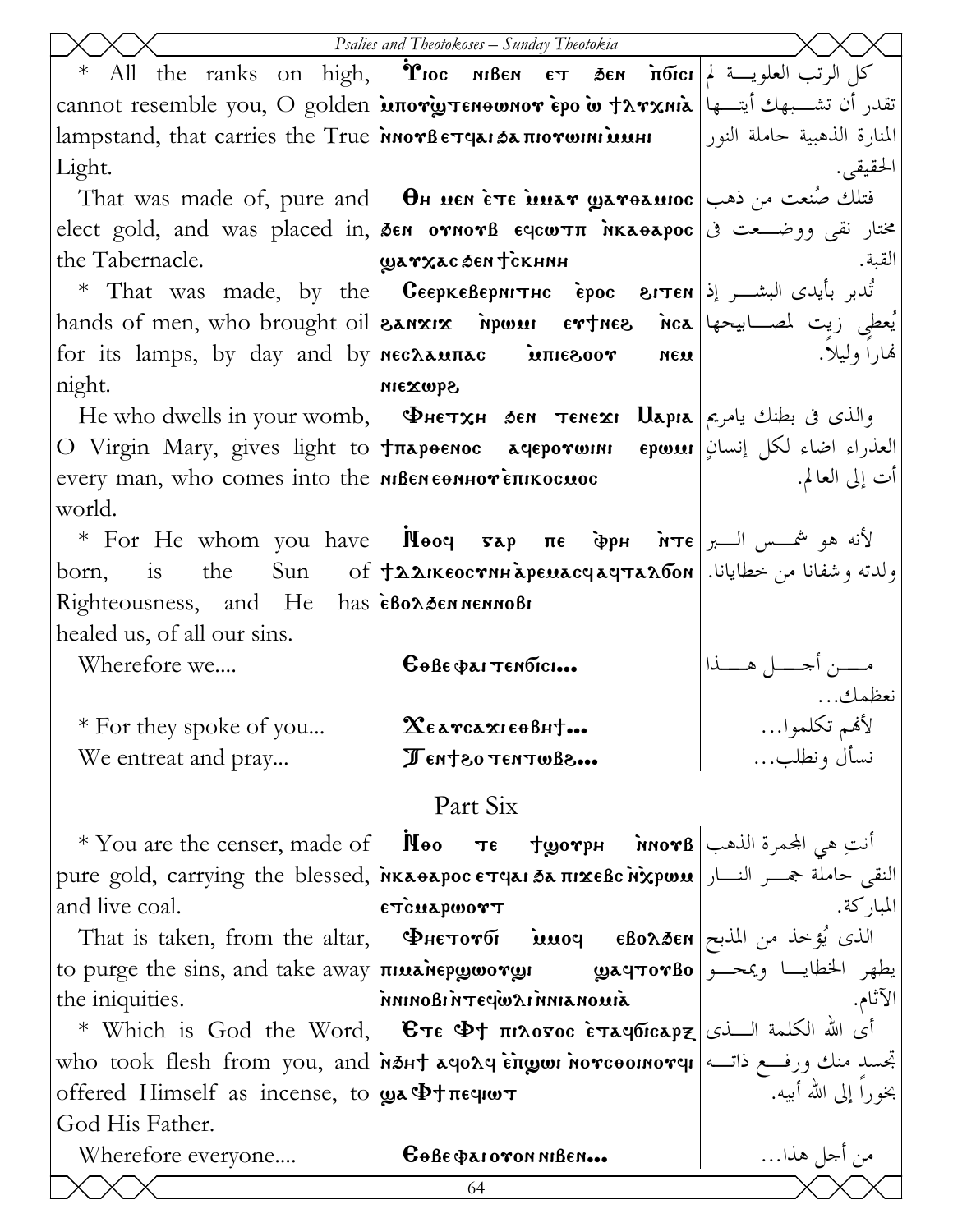|                                                                   | Psalies and Theotokoses - Sunday Theotokia                                                                                                  |                             |  |
|-------------------------------------------------------------------|---------------------------------------------------------------------------------------------------------------------------------------------|-----------------------------|--|
|                                                                   | * All the ranks on high,  <i>*</i> roc мвем $\epsilon$ т э $\epsilon$ м $\pi$ бісі $\vert$ > العلويــة لم                                   |                             |  |
|                                                                   | cannot resemble you, O golden <b>μπονωτειοωνον έρο ω tλνχnia</b>  ابتسمهك أيتسها   cannot resemble you, O golden                            |                             |  |
| lampstand, that carries the True InnorBerqaisa morwini uuHi       |                                                                                                                                             | المنارة الذهبية حاملة النور |  |
| Light.                                                            |                                                                                                                                             | الحقيقى.                    |  |
|                                                                   | That was made of, pure and <b>OH MEN ETE MUAT QATORMIOC</b> (افتلك صُنعت من ذهب                                                             |                             |  |
|                                                                   | elect gold, and was placed in, <i>δ</i> εη ογηογβ ε αριωτπ ηκλεθλρος عنار نقى ووضـعت فى                                                     |                             |  |
| the Tabernacle.                                                   | guarxac ðen tскнин                                                                                                                          | القبة.                      |  |
|                                                                   | * That was made, by the   CEEPKEBEPNITHC EPOC SITEN  فمايدى البشـــر إذ                                                                     |                             |  |
|                                                                   | hands of men, who brought oil <b>SANXIX Mpwan ertnes</b> nca less design in the set                                                         |                             |  |
|                                                                   | for its lamps, by day and by nechaunac intersoor neu                                                                                        | لهارا وليلا.                |  |
| night.                                                            | Sqwxan                                                                                                                                      |                             |  |
|                                                                   | He who dwells in your womb, <b>Фнетхн бем темех: Царіа</b>  جوالذي في بطنك يامريم   Не who dwells in your womb,                             |                             |  |
|                                                                   | O Virgin Mary, gives light to Tπapoenoc aqeporwini epwil العذراء اضاء لكل إنسانٍ O Virgin Mary, gives light to                              |                             |  |
| every man, who comes into the $n$ Bene on Hore entrocuse          |                                                                                                                                             | أت إلى العالم.              |  |
| world.                                                            |                                                                                                                                             |                             |  |
|                                                                   | * For He whom you have <b>N</b> ooq sap $\pi \epsilon$ $\phi$ p $\pi \epsilon$ $\pi \epsilon$ $\mu$ $\pi \epsilon$ $\mu$ $\mu$ $\mu$ $\tau$ |                             |  |
| born,                                                             | is the Sun of +22IKEOCTNH apENaCY aYTAAOON . اولدته وشفانا من خطايانا                                                                       |                             |  |
| Righteousness, and He has eBonden nennoBi                         |                                                                                                                                             |                             |  |
| healed us, of all our sins.                                       |                                                                                                                                             |                             |  |
| Wherefore we                                                      | $6066$ $Q$ $\lambda$ I TENDICI                                                                                                              | أحسسل هسسذا                 |  |
|                                                                   |                                                                                                                                             |                             |  |
| * For they spoke of you                                           | $\mathbf X$ e a rca $\mathbf x$ i eo Bh $\dagger$                                                                                           | لأفمم تكلموا…               |  |
| We entreat and pray                                               | Jent 80 TENTWBe                                                                                                                             | نسأل ونطلب                  |  |
| Part Six                                                          |                                                                                                                                             |                             |  |
|                                                                   | * You are the censer, made of   Поо те tworpн мотв   $\frac{1}{2}$ ii                                                                       |                             |  |
|                                                                   | pure gold, carrying the blessed, Mκαθαρος επιμίδα πιχεβς Mχρωμ   النقى حاملة جمسر النسار                                                    |                             |  |
| and live coal.                                                    | ETCUAPWOTT                                                                                                                                  | المباركة.                   |  |
| That is taken, from the altar,                                    | الذي يُؤخذ من المذبح  Φμετονδι و νιιος εβολδεη                                                                                              |                             |  |
|                                                                   | to purge the sins, and take away <b>πιμενιερωσονωι με φρατον βο</b> محمد و الخطايـــا ويمحـــو   to purge the sins, and take away           |                             |  |
| the iniquities.                                                   | SIMONAINNI RWP3TNIBONINN                                                                                                                    | الآثام.                     |  |
|                                                                   | * Which is God the Word,   $E\tau$ e $\Phi$ † $\pi$ 120000 è $\tau$ aqōrcap $\bm{z}$  أى الله الكلمة السذى                                  |                             |  |
|                                                                   | who took flesh from you, and <i>n</i> sht agorg engor norcoomorg [  اتجسد منك ورفع ذاته                                                     |                             |  |
| offered Himself as incense, to $\psi \rightarrow \psi + \pi \psi$ |                                                                                                                                             | بخوراً إلى الله أبيه.       |  |
| God His Father.                                                   |                                                                                                                                             |                             |  |
| Wherefore everyone                                                | $\mathbf{G}$ $\theta$ <i>B</i> $\epsilon$ $\phi$ <i>zi</i> ovon niBen                                                                       | من أجل هذا…                 |  |
|                                                                   | 64                                                                                                                                          |                             |  |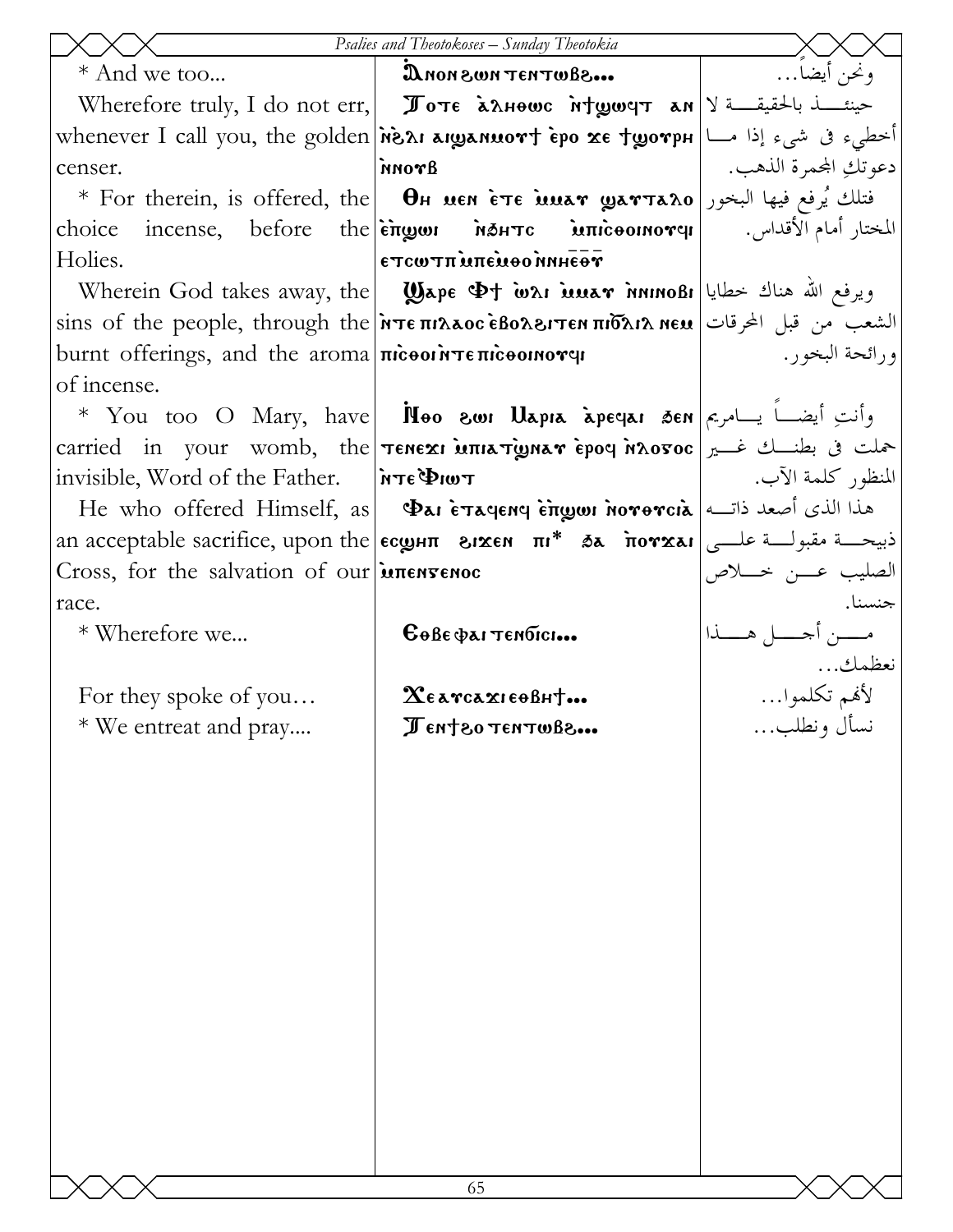|                                                                                         | Psalies and Theotokoses - Sunday Theotokia                                                                                      |                            |
|-----------------------------------------------------------------------------------------|---------------------------------------------------------------------------------------------------------------------------------|----------------------------|
| * And we too                                                                            | a.6800TH3T NWS NON                                                                                                              | ونحن أيضا…                 |
|                                                                                         | Wherefore truly, I do not err, $\ \mathcal{J}\text{or}\epsilon\ $ алноше $\ A\ $ ушерт ам $\ A\ $                               |                            |
|                                                                                         | whenever I call you, the golden near arganuovt epo xe tyovph [أخطىء فى شيء إذا مـــا                                            |                            |
| censer.                                                                                 | Aronn                                                                                                                           | دعو تكِ المحمرة الذهب.     |
|                                                                                         | * For therein, is offered, the <b>O</b> H wen ete waar warta20 الجنور العام بين البخور العام البخور العام فيها البخور ا         |                            |
| choice                                                                                  | incense, before the <b>engon</b> MAHTC Municoomorqu   المختار أمام الأقداس.                                                     |                            |
| Holies.                                                                                 | TG THRO OUT THE MOTH                                                                                                            |                            |
|                                                                                         | Wherein God takes away, the <b>Wape <math>\Phi</math>t wai iuuar innnoßi</b> الإسلام العيام المستمركية ويرفع الله صناك خطايا    |                            |
|                                                                                         | sins of the people, through the <b>Ντεπιλλος εβολειτεν πιδλιλ νευ</b>   الشعب من قبل المحرقات   sins of the people, through the |                            |
| burnt offerings, and the aroma $\pi$ $\alpha$ $\alpha$ $\pi$ $\alpha$ $\alpha$ $\alpha$ |                                                                                                                                 | ورائحة البخور .            |
| of incense.                                                                             |                                                                                                                                 |                            |
|                                                                                         | * You too O Mary, have   Noo swi Uapia apeyai sen $\vert$ جامريم   Kou too O Mary, have                                         |                            |
|                                                                                         | carried in your womb, the <b>TENEXI MILATIONAY EPOY NAOFOC</b> 3 المجملت في بطنسك غـــــــر                                     |                            |
| invisible, Word of the Father.                                                          | $T$ wi $\Phi$ <sub>3</sub> $Tn$                                                                                                 | المنظور كلمة الآب.         |
|                                                                                         | He who offered Himself, as <b>Φai επαγεηγ επωσι η ονθητία</b> (الذي أصعد ذاته He who offered Himself, as <b>b</b>               |                            |
|                                                                                         | an acceptable sacrifice, upon the <b>EcgHT 31xEN TII* 3d 1004xa1</b> and acceptable sacrifice, ироп the <b>EcgHT</b> 31xEN TI   |                            |
| Cross, for the salvation of our <i>intensence</i>                                       |                                                                                                                                 | الصليب عـــن خــــلاص      |
| race.                                                                                   |                                                                                                                                 | جنسنا.                     |
| * Wherefore we                                                                          | $\mathbf{G}$ өве фаттембісі                                                                                                     | مـــــن أجـــــل هــــــذا |
|                                                                                         |                                                                                                                                 | نعظمك                      |
| For they spoke of you                                                                   | $\mathbf X$ е атсахі еови $\dagger$                                                                                             | لأفمم تكلموا…              |
| * We entreat and pray                                                                   | Jent 80 TENTWB8                                                                                                                 | نسأل ونطلب                 |
|                                                                                         |                                                                                                                                 |                            |
|                                                                                         |                                                                                                                                 |                            |
|                                                                                         |                                                                                                                                 |                            |
|                                                                                         |                                                                                                                                 |                            |
|                                                                                         |                                                                                                                                 |                            |
|                                                                                         |                                                                                                                                 |                            |
|                                                                                         |                                                                                                                                 |                            |
|                                                                                         |                                                                                                                                 |                            |
|                                                                                         |                                                                                                                                 |                            |
|                                                                                         |                                                                                                                                 |                            |
|                                                                                         |                                                                                                                                 |                            |
|                                                                                         |                                                                                                                                 |                            |
|                                                                                         |                                                                                                                                 |                            |
|                                                                                         | 65                                                                                                                              |                            |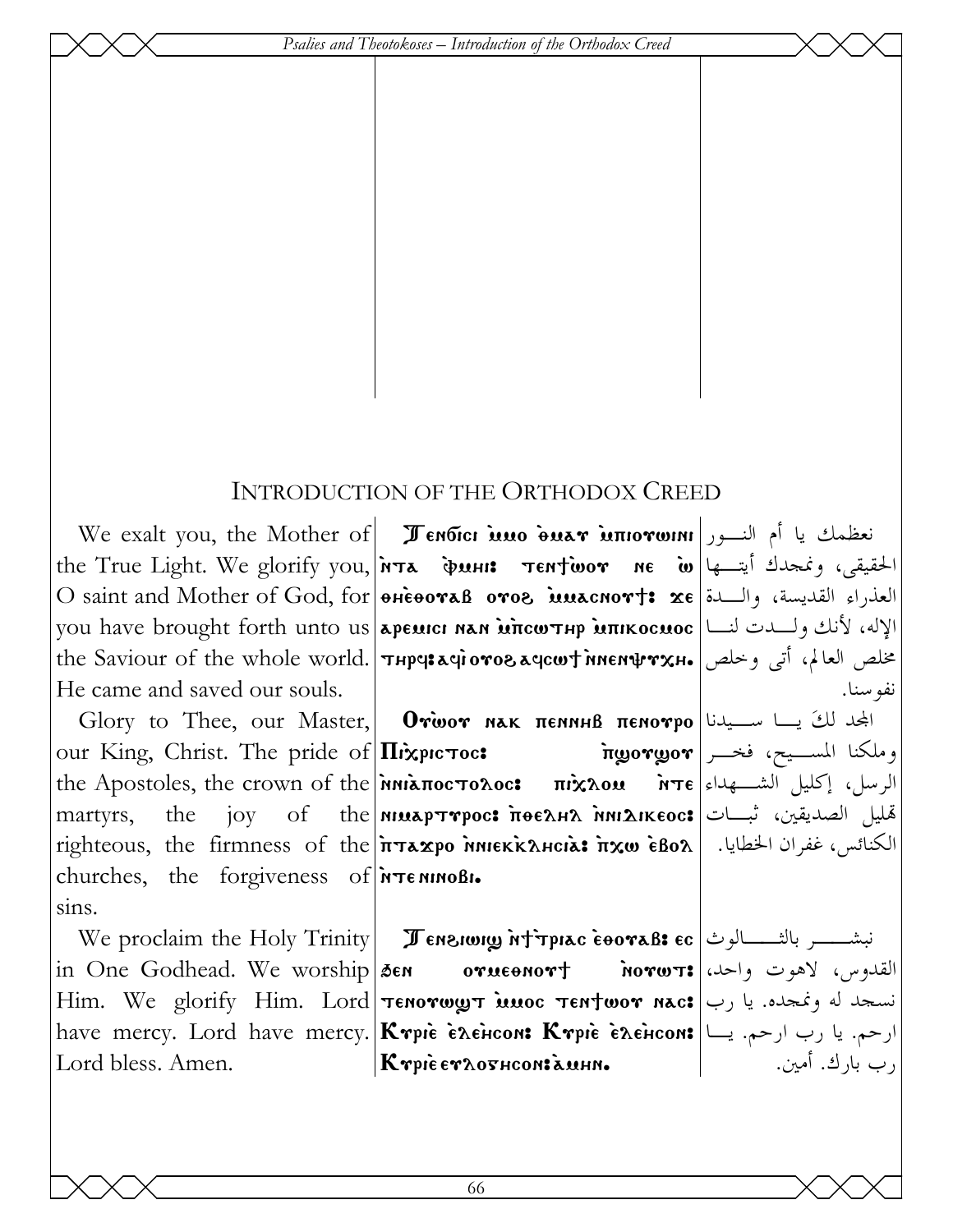Psalies and Theotokoses – Introduction of the Orthodox Creed

#### **INTRODUCTION OF THE ORTHODOX CREED**

We exalt you, the Mother of **I Tendici isso buar inforwini** أم النسور the True Light. We glorify you, *אד*א www. Tentwor ne in w O saint and Mother of God, for *exe ora* B oros innacnort: xe ULL واللسدة O saint and Mother of God, for *exe* you have brought forth unto us ареми ман млсотнр мпикосмос | الإله، لأنك ولسدت لنسا | the Saviour of the whole world. THPy: ayioros aycwt nnen prxH. تي وخلص العالم، أتي وخلص He came and saved our souls.

our King, Christ. The pride of  $\Pi$ *i*xpic Toc: the martyrs, churches, the forgiveness of **NTE NINOBI.**  $sins.$ 

Lord bless, Amen.

Glory to Thee, our Master, **Orwor NAK THE TENOTPO**  $\vert \psi \rangle$ the Apostoles, the crown of the *inni*aπocτoλoc: πιλλου *i*nτε الرسل، إكليل الشــهداء ا joy of the *nimap* Trpoc: поелна миакеос: تُبايل الصديقين، ثبــات  $righteous$ , the firmness of the  $n\pi x p o$   $nnek x n cia$ :  $n x \omega$   $eBox$   $|$   $\pm \omega$   $\omega$   $\omega$   $\omega$ 

We proclaim the Holy Trinity **I Ensiming Mt Tpiac coovaB: ec** بالثمسلوث We proclaim the Holy Trinity **I I** ensime is the normal set in One Godhead. We worship sen orueonort norwst: القدوس، لاهوت واحد، Elim. We glorify Him. Lord **Tenorwy Timoc Tentwor nac:** استجد له ونمجده. يا رب have mercy. Lord have mercy. Krpie Exencon: Krpie Exencon: | رحم. يا رب ارحم. يصا  $|K$ rpie er $\lambda$ ovhcon: auhn.

نفو سنا.

أسســـيح، فخـــر|πgorgor

ں یا لوگی اُمین پہ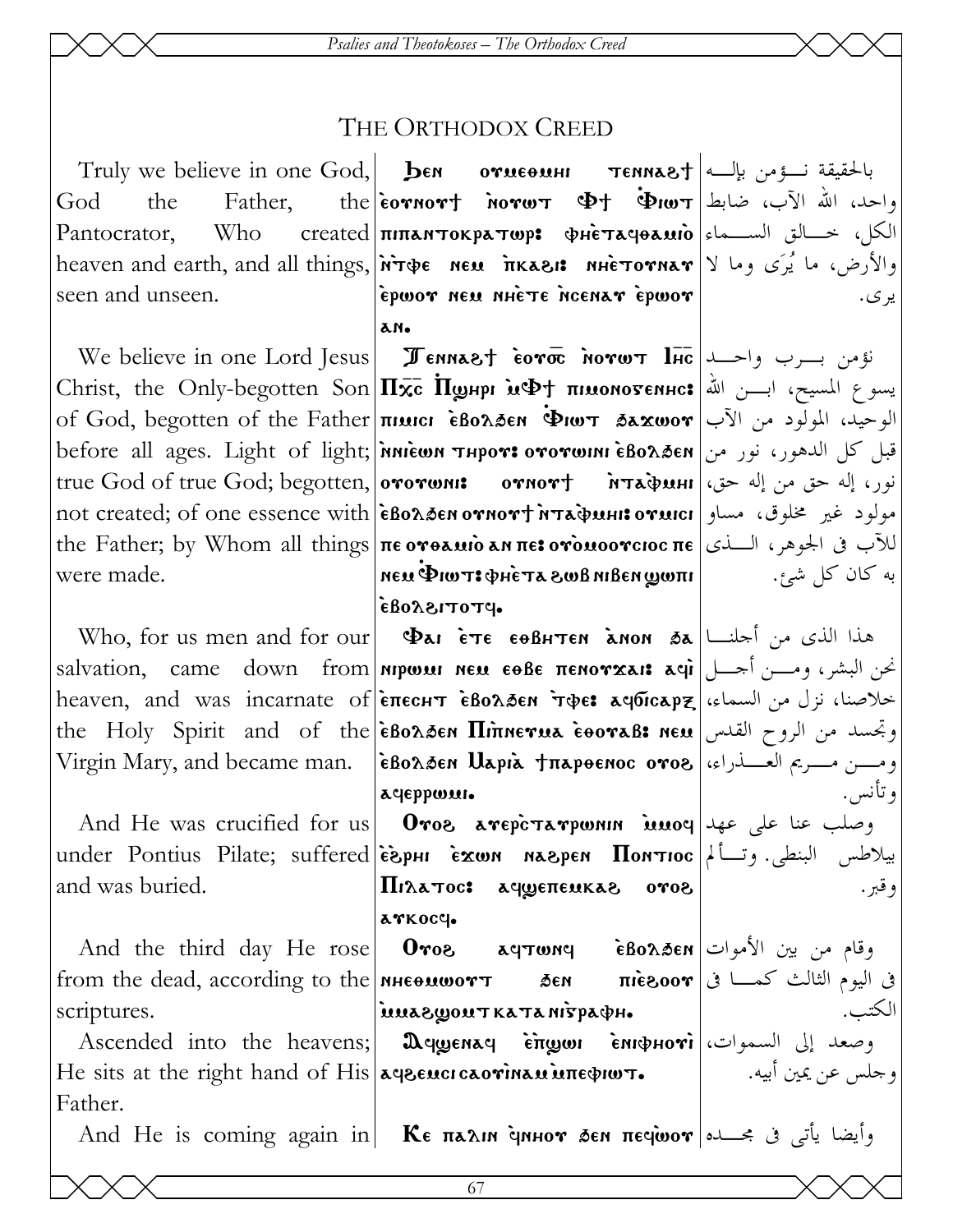#### THE ORTHODOX CREED

the God Father. Pantocrator. Who seen and unseen.

were made.

and was buried.

from the dead, according to the **NHE NHE NHE NHE EXEM** scriptures.

He sits at the right hand of His agencicaorinan interproor. Father.

 $\text{the}$   $\text{isomor}$   $\text{inom}$   $\text{inom}$   $\text{inom}$   $\text{inom}$   $\text{inom}$ الكل، خالق السهاء |Стеаted | піпантократюр: фнетачоаміо heaven and earth, and all things, *Notre New Trkasis NHETOTHAT* 2 والأرض، ما يُرَى وما لا epwor neu nhete neenar epwor λM.

We believe in one Lord Jesus Jennast coro norws lic  $\left|\frac{1}{\text{Hic}}\right|$ Christ, the Only-begotten Son **|П**xc **Поднри и Фт пимомотеннс:** يسوع المسيح، ابسن الله **Christ**, the Only-begotten Son | Пxc **Поднри и Фт** пимомотеннс: of God, begotten of the Father **πιμιαι εδολδεη Φιωτ δεχωον** |آلوحيد، المولود من الآب before all ages. Light of light; *inniewn* ד<sub>H</sub>por: ототшин èBo $x$ த்єм الدهور، نور من true God of true God; begotten, | ототши: потнот + Питафинг | (اله حق من إله حق من إله حق من الله حق not created; of one essence with | eBo $\lambda$ den ornort MTapuhi: مولود غير مخلوق، مساو the Father; by Whom all things πεονθελιίο an πειονδικοοντιος πε الآب في الجوهر، السذي  $\vert$ แพ $\omega$ ทอนิเท $\alpha$ พ $s$  ส $\tau$ ว์น $\phi$  เ $\tau$ พ $\psi$  นอท $\vert$  $\bullet$ PTOTISS083

Who, for us men and for our **Dai** ETE EOBHTEN ANON  $\delta a$ <sup>1</sup> salvation, came down from **nipwai neu eoße πεnoγxai: acjì** البشر، ومسن أجسل heaven, and was incarnate of  $\epsilon$ Enecht  $\epsilon$ Bo $\lambda$ Den Tope: aqoicapz the Holy Spirit and of the EBoasen **Hinnerua eooraB: neu** letter of the Virgin Mary, and became man. [εβολδεν Παριλ †παρθενιος ονοδ|العسدراء، [بيرم العسدراء ] астеррози.

And He was crucified for us **Oros arepcrarpwnin issum**  $\theta$ under Pontius Pilate; suffered |espHI Exwn Maspen  $\Pi$ onTioc |ريلاطس البنطى. وتسألم Πιλατος: αγωεπευκαε ονοε arkocc.

And the third day He rose | Oros agrwng EBo $\lambda$ zen | الأموات And the third day He rose | Oros agrwng inuasyonTKaTanispadh.

Ascended into the heavens; | Дещенае стщин стрноті | السموات، | Ascended into the heavens; | Дещенае

And He is coming again in | Κε παλιη άμμον δεν πεσώον | مسابق في مجسده And He is coming again in

یر ی.

به کان کل شئ.

و تأنس. و قبر .

ف اليوم الثالث كمـــا فى $\mathbf{r}$ 000 $\mathbf{r}$   $\mathbf{r}$ الكتب. و جلس عن يمين أبيه.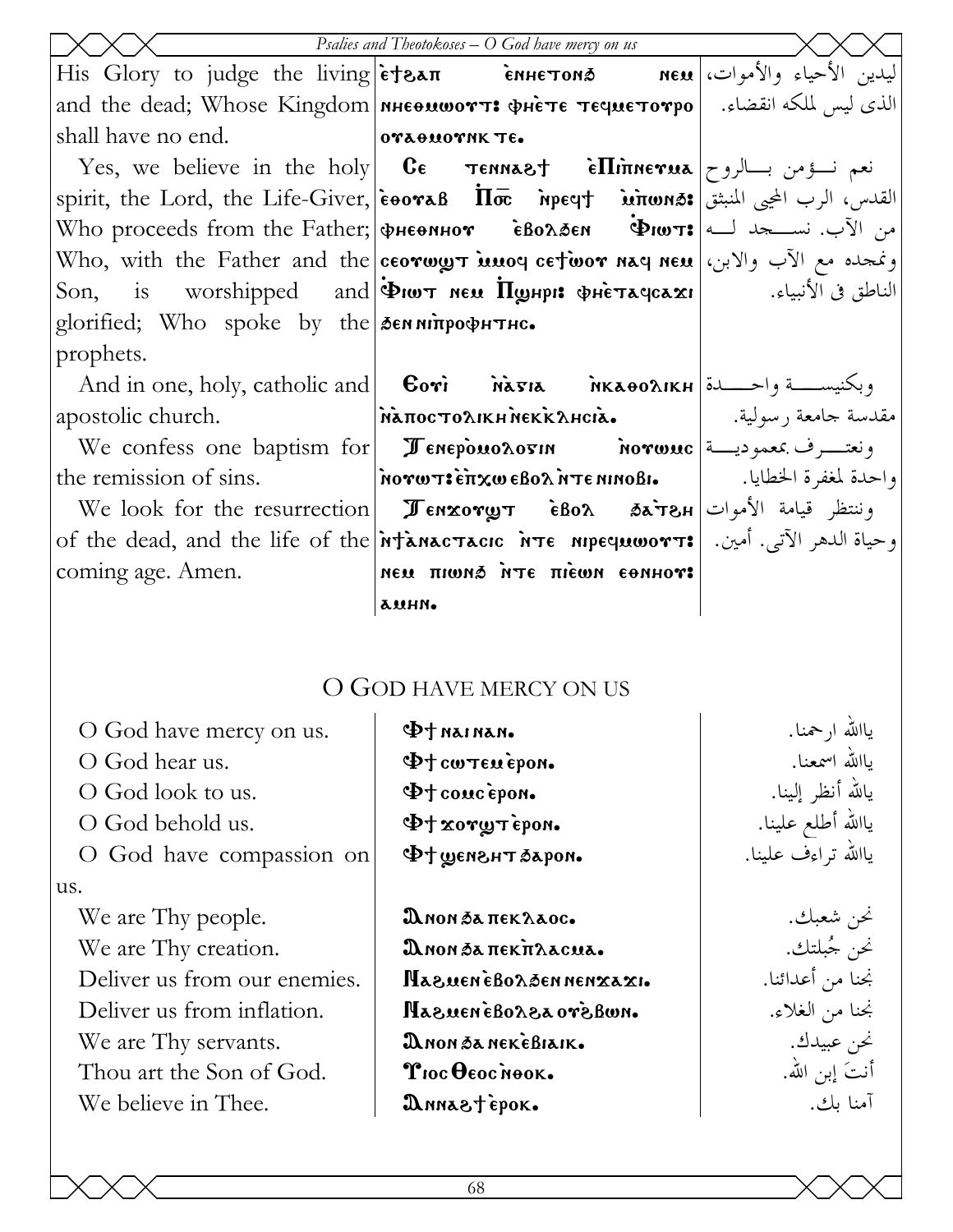|                                              | Psalies and Theotokoses $-$ O God have mercy on us                                                                                                                        |                   |
|----------------------------------------------|---------------------------------------------------------------------------------------------------------------------------------------------------------------------------|-------------------|
|                                              | ليدين الأحياء والأموات،  His Glory to judge the living è†&ап      сынетома     мем                                                                                        |                   |
|                                              | and the dead; Whose Kingdom   мнеомоотт: Фнете течиетотро   الذي ليس لملكه انقضاء. الله                                                                                   |                   |
| shall have no end.                           | $ $ ora $\theta$ work te.                                                                                                                                                 |                   |
|                                              | Yes, we believe in the holy   CE TENNAST EILIMETUA  تعم نسؤمن بسالروح                                                                                                     |                   |
|                                              | spirit, the Lord, the Life-Giver, $\left \frac{\partial u}{\partial x} - \frac{\partial u}{\partial y}\right  = \frac{\partial u}{\partial x}$ القدس، الرب المجيى المنبثق |                   |
|                                              | Who proceeds from the Father; фиеопнот • ѐволбен • Фиот: من الآب. نســــــجد لـــه   Who proceeds from the Father;                                                        |                   |
|                                              | Who, with the Father and the ceorwyt imod cetwor nad nem (الآب والابن، إ $\mathbf{\hat{y}}$                                                                               |                   |
|                                              | Son, is worshipped and $\phi$ iw neu $\overline{\Pi}$ று pretaqca $\alpha$ i wishipped and $\phi$ iw neu $\overline{\Pi}$                                                 |                   |
| glorified; Who spoke by the Senninporphysic. |                                                                                                                                                                           |                   |
| prophets.                                    |                                                                                                                                                                           |                   |
|                                              |                                                                                                                                                                           |                   |
| apostolic church.                            | مقدسة جامعة رسولية.   ΝάποςτολικΗΝεκκλΗςιά.                                                                                                                               |                   |
|                                              | We confess one baptism for <b>I Enepouolosin Morwuc</b> $\left  \begin{array}{ccc} \sim & \sim & \sim \end{array} \right.$ ونعتــــرف بمعموديــــة                        |                   |
|                                              | واحدة لمغفرة الخطايا.   ما διονωτι επχω εβολ λτε nino Bi واحدة لمغفرة الخطايا. لـ the remission of sins.                                                                  |                   |
|                                              | We look for the resurrection   JENXOTOT EBOR 35ATSH   We look for the resurrection   JENXOTOT                                                                             |                   |
|                                              | of the dead, and the life of the <b>intanactacic</b> ite supequoort: وحياة الدهر الآتي. أمين. [[of the dead, and the life of the                                          |                   |
| coming age. Amen.                            | Remea nwaiπ atní &nwiπ uan                                                                                                                                                |                   |
|                                              | auhn.                                                                                                                                                                     |                   |
|                                              |                                                                                                                                                                           |                   |
|                                              |                                                                                                                                                                           |                   |
| O GOD HAVE MERCY ON US                       |                                                                                                                                                                           |                   |
| O God have mercy on us.                      | $\Phi$ t nainan.                                                                                                                                                          | ياالله ارحمنا.    |
| O God hear us.                               | $\Phi$ + cw $\tau$ enepon.                                                                                                                                                | ياالله اسمعنا.    |
| O God look to us.                            | $\Phi$ + concepon.                                                                                                                                                        | يالله أنظر إلينا. |

O God behold us.

O God have compassion on us.

We are Thy people. We are Thy creation. Deliver us from our enemies. Deliver us from inflation. We are Thy servants. Thou art the Son of God.

We believe in Thee.

DNON SA TTEK LAOC. Днон бапекпласиа. NazuenèBorgennenxaxi. MazueneBorzaorzBwn. ANON DA NEKEBIAIK. Troc Oeoc Nook. DANNA& TEPOK.

ياالله أطلع علينا. ياالله تراءف علينا.

> نحن شعبك. نحن جُبلتك. نجنا من أعدائنا. نجنا من الغلاء. نحن عبيدك. أنتَ إبنِ الله. آمنا بك.

Ф+ хотутером.

·moqa& THSnay t¢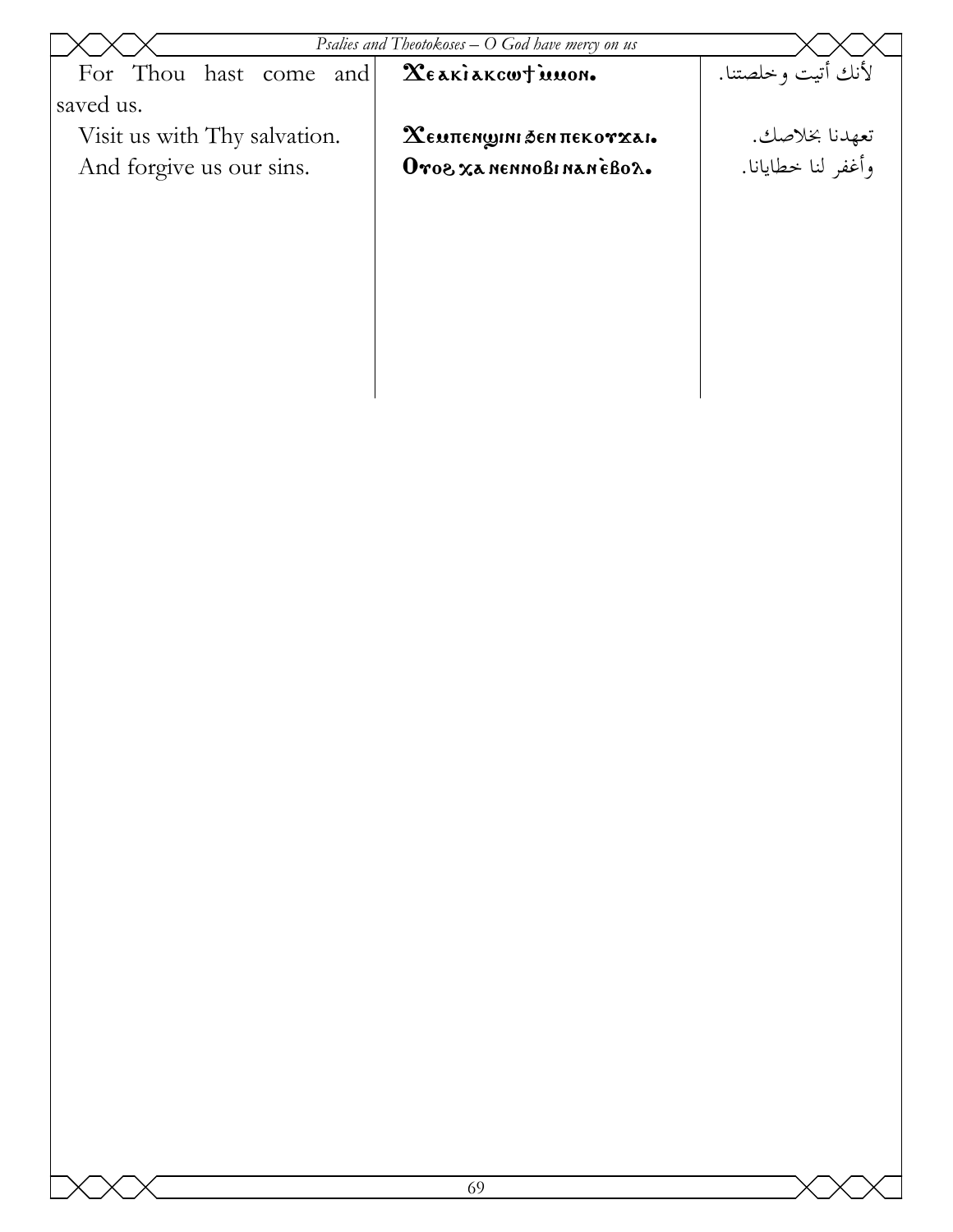| لأنك أتيت وخلصتنا.<br>For Thou hast come and<br>XE AKIAKCWT MUON.<br>saved us.<br>Visit us with Thy salvation.<br>تعهدنا بخلاصك.<br>وأغفر لنا خطايانا.<br>$\boldsymbol{\chi}$ емпен $\boldsymbol{\mathfrak{g}}$ іні бен пекот $\boldsymbol{\mathfrak{x}}$ аі.<br>And forgive us our sins.<br>Oros xa nennoBi nanéBox. | Psalies and Theotokoses $-$ O God have mercy on us |  |  |  |
|-----------------------------------------------------------------------------------------------------------------------------------------------------------------------------------------------------------------------------------------------------------------------------------------------------------------------|----------------------------------------------------|--|--|--|
|                                                                                                                                                                                                                                                                                                                       |                                                    |  |  |  |
|                                                                                                                                                                                                                                                                                                                       |                                                    |  |  |  |
|                                                                                                                                                                                                                                                                                                                       |                                                    |  |  |  |
|                                                                                                                                                                                                                                                                                                                       |                                                    |  |  |  |
|                                                                                                                                                                                                                                                                                                                       |                                                    |  |  |  |
|                                                                                                                                                                                                                                                                                                                       |                                                    |  |  |  |
|                                                                                                                                                                                                                                                                                                                       |                                                    |  |  |  |
|                                                                                                                                                                                                                                                                                                                       |                                                    |  |  |  |
|                                                                                                                                                                                                                                                                                                                       |                                                    |  |  |  |
|                                                                                                                                                                                                                                                                                                                       |                                                    |  |  |  |
|                                                                                                                                                                                                                                                                                                                       |                                                    |  |  |  |
|                                                                                                                                                                                                                                                                                                                       |                                                    |  |  |  |
|                                                                                                                                                                                                                                                                                                                       |                                                    |  |  |  |
|                                                                                                                                                                                                                                                                                                                       |                                                    |  |  |  |
|                                                                                                                                                                                                                                                                                                                       |                                                    |  |  |  |
|                                                                                                                                                                                                                                                                                                                       |                                                    |  |  |  |
|                                                                                                                                                                                                                                                                                                                       |                                                    |  |  |  |
|                                                                                                                                                                                                                                                                                                                       |                                                    |  |  |  |
|                                                                                                                                                                                                                                                                                                                       |                                                    |  |  |  |
|                                                                                                                                                                                                                                                                                                                       |                                                    |  |  |  |
|                                                                                                                                                                                                                                                                                                                       |                                                    |  |  |  |
|                                                                                                                                                                                                                                                                                                                       |                                                    |  |  |  |
|                                                                                                                                                                                                                                                                                                                       |                                                    |  |  |  |
|                                                                                                                                                                                                                                                                                                                       |                                                    |  |  |  |
|                                                                                                                                                                                                                                                                                                                       |                                                    |  |  |  |
|                                                                                                                                                                                                                                                                                                                       |                                                    |  |  |  |
|                                                                                                                                                                                                                                                                                                                       |                                                    |  |  |  |
|                                                                                                                                                                                                                                                                                                                       |                                                    |  |  |  |
|                                                                                                                                                                                                                                                                                                                       |                                                    |  |  |  |
|                                                                                                                                                                                                                                                                                                                       |                                                    |  |  |  |
|                                                                                                                                                                                                                                                                                                                       |                                                    |  |  |  |
|                                                                                                                                                                                                                                                                                                                       |                                                    |  |  |  |
|                                                                                                                                                                                                                                                                                                                       |                                                    |  |  |  |
|                                                                                                                                                                                                                                                                                                                       |                                                    |  |  |  |
|                                                                                                                                                                                                                                                                                                                       |                                                    |  |  |  |
|                                                                                                                                                                                                                                                                                                                       |                                                    |  |  |  |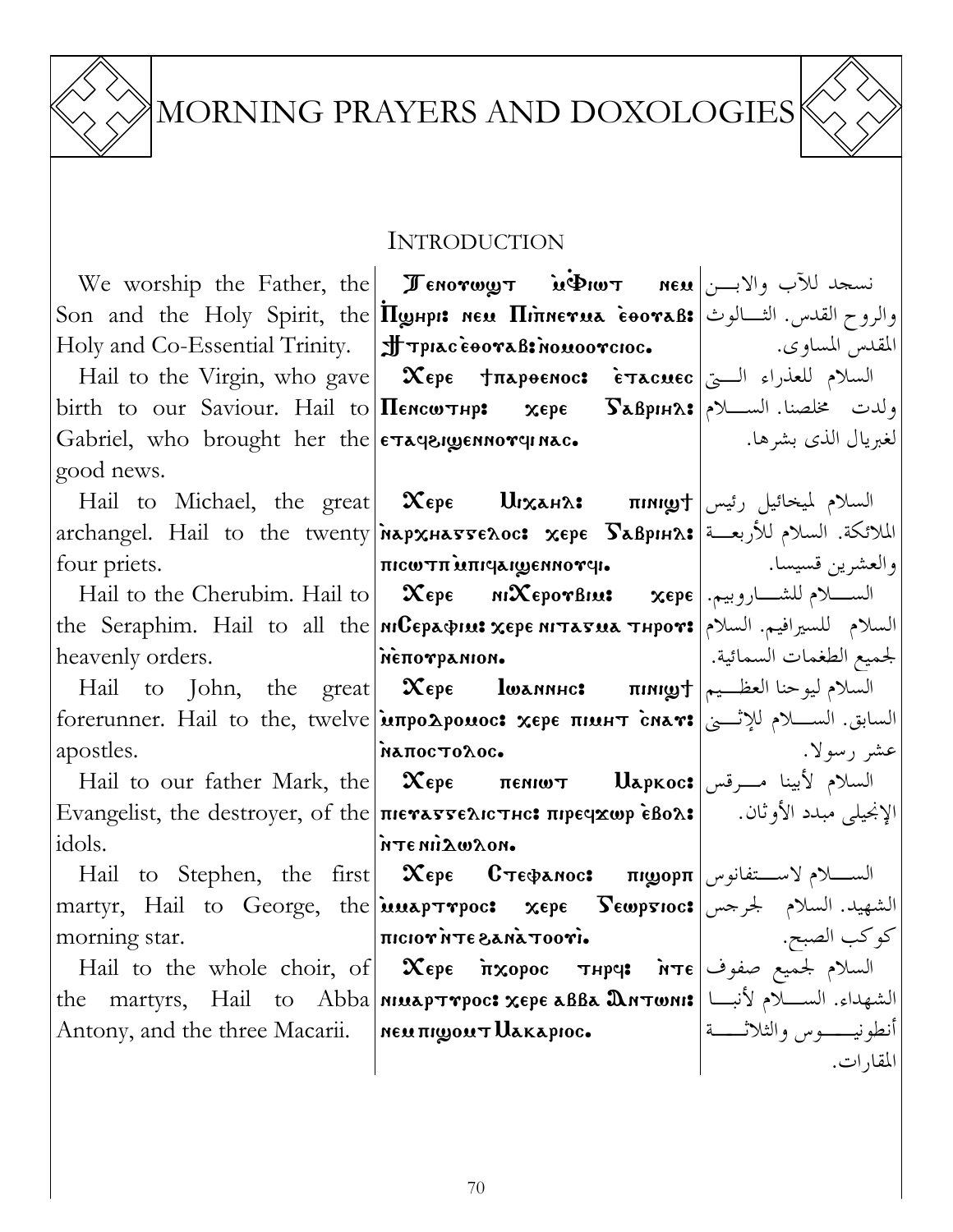

# MORNING PRAYERS AND DOXOLOGIES



#### INTRODUCTION

|               | We worship the Father, the <b>I Enorwy T</b> in $\Phi$ w T neu اسجد للآب والابـــن                                                                                                                                                                                                                                                                                                                                                                                                                                                           |                     |
|---------------|----------------------------------------------------------------------------------------------------------------------------------------------------------------------------------------------------------------------------------------------------------------------------------------------------------------------------------------------------------------------------------------------------------------------------------------------------------------------------------------------------------------------------------------------|---------------------|
|               | Son and the Holy Spirit, the <i>Ilghpi</i> : <b>New Himerua cooraB:</b> والروح القدس. الثــالوث                                                                                                                                                                                                                                                                                                                                                                                                                                              |                     |
|               |                                                                                                                                                                                                                                                                                                                                                                                                                                                                                                                                              |                     |
|               | Hail to the Virgin, who gave $\mid x_{\text{epe}} + \pi x_{\text{p}}$ السلام للعذراء الــــي                                                                                                                                                                                                                                                                                                                                                                                                                                                 |                     |
|               |                                                                                                                                                                                                                                                                                                                                                                                                                                                                                                                                              |                     |
|               | birth to our Saviour. Hail to <b>Hencw THP:</b> $x \in \mathbb{R}$ $\mathbb{R}$ $\mathbb{R}$ $\mathbb{R}$ $\mathbb{R}$ $\mathbb{R}$ $\mathbb{R}$                                                                                                                                                                                                                                                                                                                                                                                             |                     |
|               | Gabriel, who brought her the $ \epsilon\tau\text{a}$ explored nace                                                                                                                                                                                                                                                                                                                                                                                                                                                                           | لغبريال الذي بشرها. |
| good news.    |                                                                                                                                                                                                                                                                                                                                                                                                                                                                                                                                              |                     |
|               |                                                                                                                                                                                                                                                                                                                                                                                                                                                                                                                                              |                     |
|               | archangel. Hail to the twenty พลpxнаттелос: хере Бавринл: الملائكة. السلام للأربعــة                                                                                                                                                                                                                                                                                                                                                                                                                                                         |                     |
| four priets.  |                                                                                                                                                                                                                                                                                                                                                                                                                                                                                                                                              |                     |
|               | Hail to the Cherubim. Hail to $\vert$ $\infty$ $\infty$ $\infty$ $\infty$ $\infty$ $\infty$ $\infty$ $\infty$ $\infty$ $\infty$ $\infty$ $\infty$                                                                                                                                                                                                                                                                                                                                                                                            |                     |
|               | the Seraphim. Hail to all the <i>NIGEPAQIUS</i> xepe NITAFUA THPOT: السلام للسيرافيم. السلام الله                                                                                                                                                                                                                                                                                                                                                                                                                                            |                     |
|               |                                                                                                                                                                                                                                                                                                                                                                                                                                                                                                                                              |                     |
|               | Hail to John, the great $\alpha$ $\text{K}$ epe $\alpha$ $\text{I}$ $\text{W}$ $\text{M}$ $\text{M}$ $\text{M}$ $\text{M}$ $\text{M}$ $\text{M}$                                                                                                                                                                                                                                                                                                                                                                                             |                     |
|               | السابق. الســــلام للإثــــي   forerunner. Hail to the, twelve   Mapo Aponoc: xepe πιμΗτ cnav: السابق. الســــلام للإثــــي                                                                                                                                                                                                                                                                                                                                                                                                                  |                     |
| apostles.     |                                                                                                                                                                                                                                                                                                                                                                                                                                                                                                                                              |                     |
|               | Hail to our father Mark, the $\vert$ $\infty$ epe <b>пениот</b> $\vert$ $\vert$ $\perp$ $\parallel$ $\infty$ exoc: السلام لأبينا مـــرقس                                                                                                                                                                                                                                                                                                                                                                                                     |                     |
|               | Evangelist, the destroyer, of the пютавтелютнс: пречхор ѐвол:  الإنجيلي مبدد الأوثان.       Еvangelist, the destroyer, of the пютавтелютнс: الإ                                                                                                                                                                                                                                                                                                                                                                                              |                     |
| idols.        | MORWAIN 3TH                                                                                                                                                                                                                                                                                                                                                                                                                                                                                                                                  |                     |
|               | Hail to Stephen, the first <b>  Χερε Cτεφαnoc: πιμορπ</b>   السكلام لاستفانوس                                                                                                                                                                                                                                                                                                                                                                                                                                                                |                     |
|               | $ \text{matrix},\>\>\>\>\>\>\>\>\>\>\>\text{Hail}\>\>\>\>\text{to}\>\>\>\>\>\text{George},\>\>\>\text{the} \text{inner} \>\>\>\text{number},\>\>\>\text{upper} \>\>\>\text{upper} \>\>\>\text{upper} \>\>\text{upper} \>\>\text{upper} \>\>\>\text{upper} \>\>\text{lower} \>\>\>\text{lower} \>\>\text{lower} \>\>\text{lower} \>\>\text{lower} \>\>\text{lower} \>\>\text{lower} \>\>\text{lower} \>\>\text{lower} \>\>\text{lower} \>\>\text{lower} \>\>\text{lower} \>\>\text{lower} \>\>\text{lower} \>\>\text{lower} \>\>\text{lower}$ |                     |
| morning star. | $\text{minimize} \sum_{i=1}^{n} \text{minimize} \sum_{i=1}^{n} \text{minimize} \sum_{i=1}^{n} \text{minimize} \sum_{i=1}^{n} \text{minimize} \sum_{i=1}^{n} \text{minimize} \sum_{i=1}^{n} \text{minimize} \sum_{i=1}^{n} \text{minimize} \sum_{i=1}^{n} \text{minimize} \sum_{i=1}^{n} \text{minimize} \sum_{i=1}^{n} \text{minimize} \sum_{i=1}^{n} \text{minimize} \sum_{i=1}^{n} \text{minimize} \sum_{i=1}^{n} \text{minimize} \sum_{i=1$                                                                                               |                     |
|               |                                                                                                                                                                                                                                                                                                                                                                                                                                                                                                                                              |                     |
|               | السلام لجميع صفوف  Hail to the whole choir, of <b>Xepe أَسْتَلَهُمْ صَفُوفَا   Hail to the whole choir, of Xepe أَسْتَهَدَاء.</b> السَّلام لِمَحْمَّيْعِ صَفُوف <b>ًا   Hail to the whole choir, of <b>Xepe أَسْتَهَدَاء.</b> السَّلام</b>                                                                                                                                                                                                                                                                                                   |                     |
|               |                                                                                                                                                                                                                                                                                                                                                                                                                                                                                                                                              |                     |
|               |                                                                                                                                                                                                                                                                                                                                                                                                                                                                                                                                              |                     |
|               |                                                                                                                                                                                                                                                                                                                                                                                                                                                                                                                                              |                     |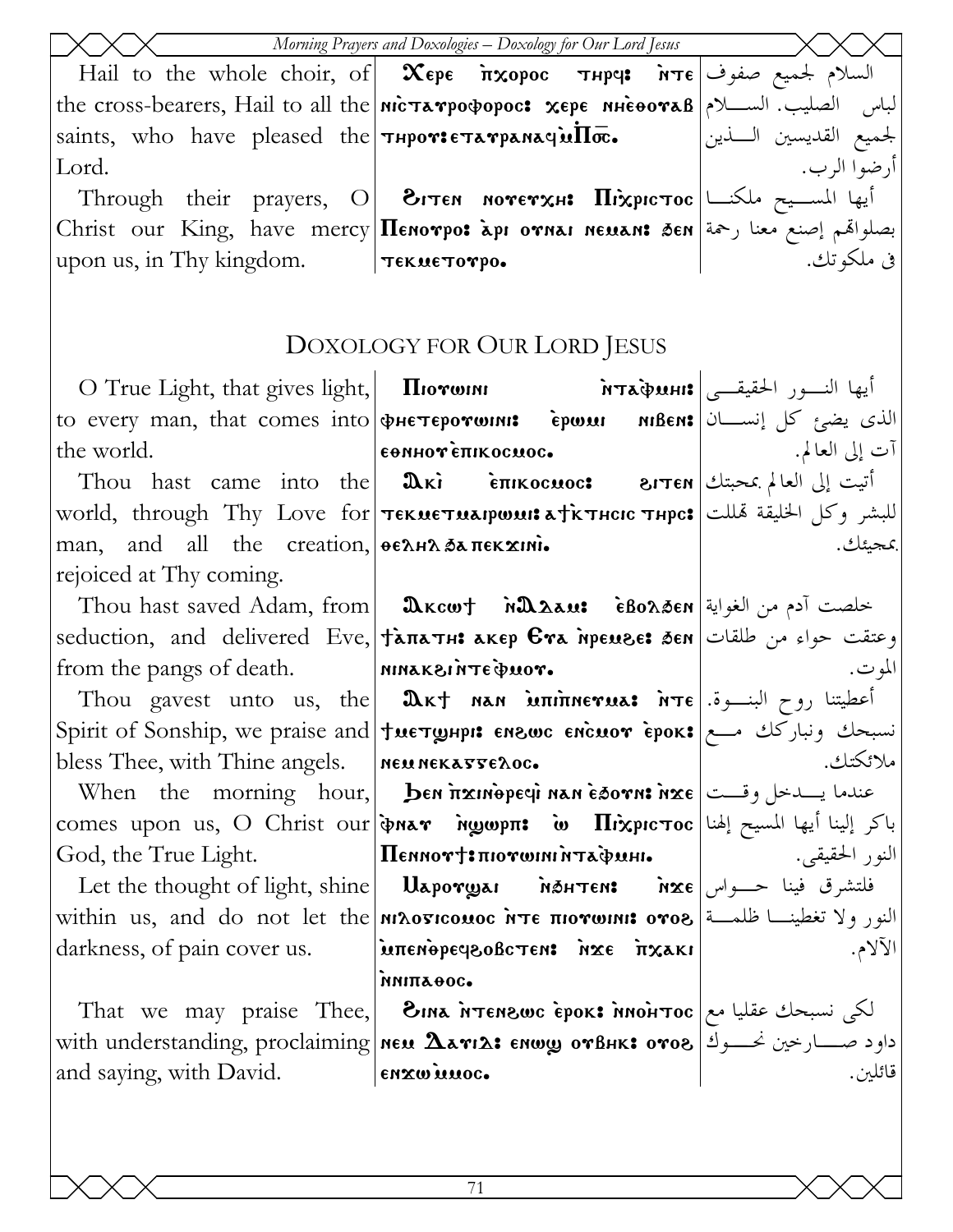|                                                                                      | Morning Prayers and Doxologies - Doxology for Our Lord Jesus                                                  |                         |
|--------------------------------------------------------------------------------------|---------------------------------------------------------------------------------------------------------------|-------------------------|
|                                                                                      |                                                                                                               |                         |
|                                                                                      | the cross-bearers, Hail to all the <b>nic Ta rpopopoc: xepe nieoora</b> B   المباس الصليب. الســـلام          |                         |
| saints, who have pleased the $\tau$ HPOTIETATPANAGUI $\Pi$ $\bar{\mathbf{\infty}}$ . |                                                                                                               | لجميع القديسين الـــذين |
| Lord.                                                                                |                                                                                                               | أرضوا الرب.             |
|                                                                                      | Through their prayers, O <b>BITEN NOTETXH: HIXPICTOC</b>                                                      |                         |
|                                                                                      | $ {\rm Christ}\>$ our ${\rm King},\>$ have $\sf{mercy} {\bf II}$ енотро: جصلواقم إصنع معنا رحمة إ $\bullet$ ا |                         |
| upon us, in Thy kingdom.                                                             | τεκαετογρο.                                                                                                   | في ملكوتك.              |
|                                                                                      |                                                                                                               |                         |

## DOXOLOGY FOR OUR LORD JESUS

|                                                            | O True Light, that gives light,   Пютони Матафинг   مالنسور الحقيقــى                                                                                                                                                                                                                                               |          |
|------------------------------------------------------------|---------------------------------------------------------------------------------------------------------------------------------------------------------------------------------------------------------------------------------------------------------------------------------------------------------------------|----------|
|                                                            | to every man, that comes into фистеротони: срози ивем: الذي يضيّ كل إنســان                                                                                                                                                                                                                                         |          |
| the world.                                                 |                                                                                                                                                                                                                                                                                                                     |          |
|                                                            | Thou hast came into the <b>E E Exercise CARGION A</b> Read of the <i>E</i> and <i>Came</i> into the <b>CARGION CARGION CONDITION</b>                                                                                                                                                                                |          |
|                                                            | world, through Thy Love for <b>TekueTuarpwur a f k Theic Thpe:</b> للبشر وكل الخليقة تمللت                                                                                                                                                                                                                          |          |
| man, and all the creation, <b><i>HEAHA SATTEKXINI.</i></b> |                                                                                                                                                                                                                                                                                                                     | يمجىئك.  |
| rejoiced at Thy coming.                                    |                                                                                                                                                                                                                                                                                                                     |          |
|                                                            | Thou hast saved Adam, from   మెkcw† พังมิมลม: فطصت آدم من الغواية                                                                                                                                                                                                                                                   |          |
|                                                            | seduction, and delivered Eve, Jana JHE AKEP Eva MPENSE: 3EN JULION, and delivered Eve, Jana Inc                                                                                                                                                                                                                     |          |
|                                                            |                                                                                                                                                                                                                                                                                                                     | المو ت.  |
|                                                            | Thou gavest unto us, the <b>Durt nan intimerua: ivile</b> it is the last $\mathbf{a}$                                                                                                                                                                                                                               |          |
|                                                            | Spirit of Sonship, we praise and tuergupp: Enswc ENCHOY EPOK: نسبحك ونباركك مـع                                                                                                                                                                                                                                     |          |
|                                                            | bless Thee, with Thine angels.   NEM NEKASSEROC.                                                                                                                                                                                                                                                                    | ملائكتك. |
|                                                            | When the morning hour, ben frameper nan esorn: مندما يسدحل وقست   When the morning hour,                                                                                                                                                                                                                            |          |
|                                                            | comes upon us, O Christ our   ψηλλ ν νημορπ: w Πιλριστος   إلينا أيها المسيح إلهنا   باكر إلينا أيها المسيح                                                                                                                                                                                                         |          |
|                                                            | God, the True Light. $ \Pi$ еммот $\dagger$ : пютшинта̀финь $ \Pi$                                                                                                                                                                                                                                                  |          |
|                                                            | Let the thought of light, shine <b>Uaporgial Materes Matrens</b> $\mathbf{\hat{n}}\mathbf{\hat{z}}\mathbf{\hat{\epsilon}}$ فلتشرق فينا حـــواس                                                                                                                                                                      |          |
|                                                            | within us, and do not let the <b>Mλοσιcouoc NTE πιογωιηι: oγοε</b> تغطينـــا ظلمـــة   within us, and do not let the                                                                                                                                                                                                |          |
|                                                            | darkness, of pain cover us. $\boxed{\text{incomplete}}$ bequonstriant $\frac{1}{2}$ $\frac{1}{2}$ $\frac{1}{2}$ $\frac{1}{2}$ $\frac{1}{2}$ $\frac{1}{2}$ $\frac{1}{2}$ $\frac{1}{2}$ $\frac{1}{2}$ $\frac{1}{2}$ $\frac{1}{2}$ $\frac{1}{2}$ $\frac{1}{2}$ $\frac{1}{2}$ $\frac{1}{2}$ $\frac{1}{2}$ $\frac{1}{2}$ | الآلام.  |
|                                                            | мипаеос.                                                                                                                                                                                                                                                                                                            |          |
|                                                            | That we may praise Thee, <b>BINA NTENSWG EPOK: MOHTOC</b> $\alpha$ $\alpha$ be the may praise Thee,                                                                                                                                                                                                                 |          |
|                                                            | with understanding, proclaiming NEW 2x712: ENWY OTBHK: 0TO8 3                                                                                                                                                                                                                                                       |          |
| and saying, with David.   ENXWILLOC.                       |                                                                                                                                                                                                                                                                                                                     | قائلين.  |
|                                                            |                                                                                                                                                                                                                                                                                                                     |          |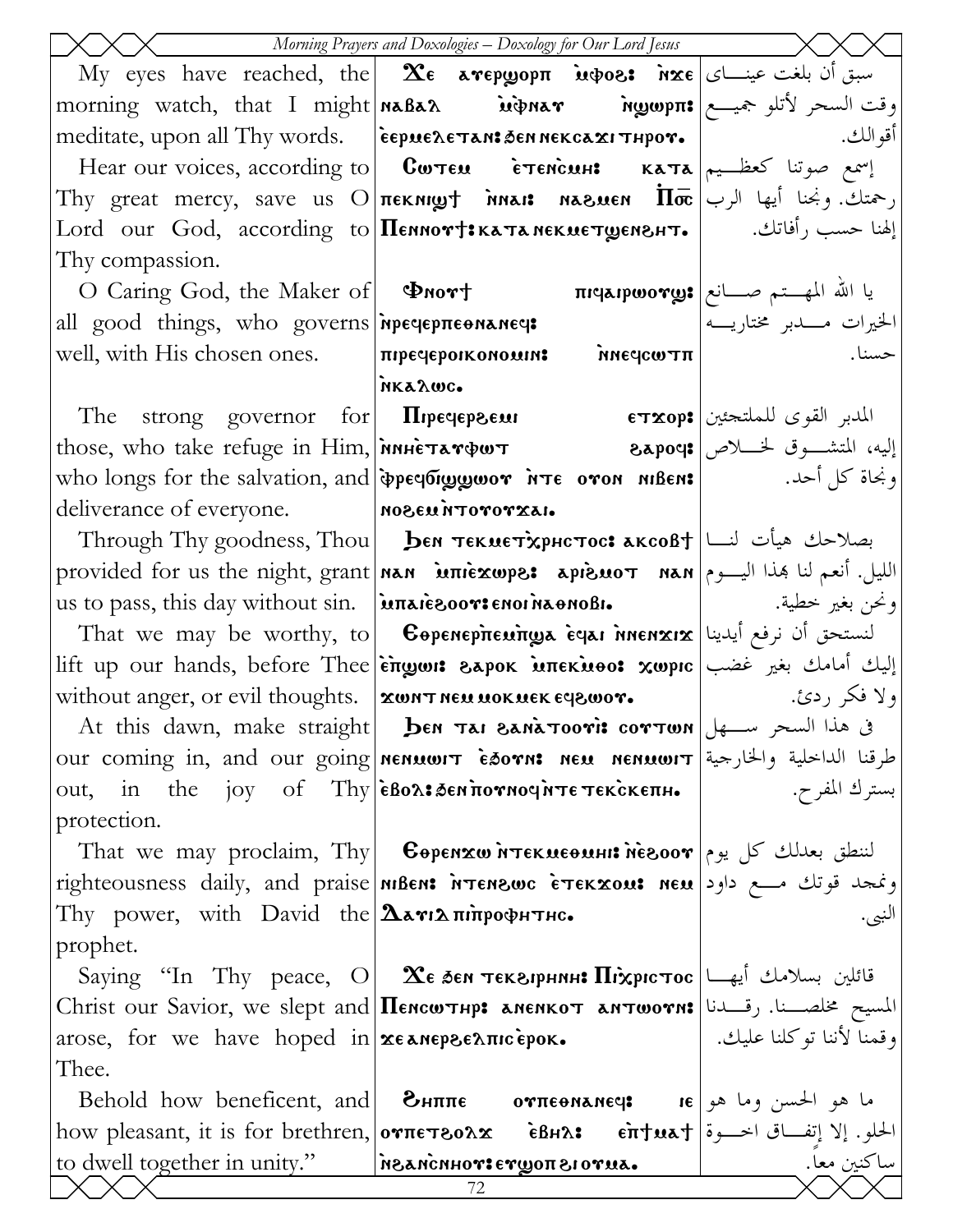|                                                                   | Morning Prayers and Doxologies - Doxology for Our Lord Jesus                                                                          |                              |
|-------------------------------------------------------------------|---------------------------------------------------------------------------------------------------------------------------------------|------------------------------|
|                                                                   | My eyes have reached, the <b>Σε aγερωoρπ invos: nxe</b> $\alpha$                                                                      |                              |
|                                                                   | morning watch, that I might <b> naBaλ       inprav ngopπ: و</b> قت السحر لأتلو جميـــع                                                |                              |
|                                                                   | meditate, upon all Thy words. [espuene Tan: Sennekca xi Thpor.                                                                        | أقو الك .                    |
|                                                                   | Hear our voices, according to $\vert$ Сwтем е́тенсин: ката $\vert$ اسمع صوتنا كعظـيم                                                  |                              |
|                                                                   | Thy great mercy, save us O $\pi$ EKNIQT MALI NASMEN $\overline{\Pi}$ $\overline{\varpi}$ / الرب Thy great mercy, save us O $\pi$      |                              |
|                                                                   | [لهنا حسب رأفاتك.       [ Lord our God, according to <b>[Пеннот†:катанекиет<math>\boldsymbol{\omega}</math>енънт.</b> [       (أها    |                              |
| Thy compassion.                                                   |                                                                                                                                       |                              |
|                                                                   | $\text{O}$ Caring God, the Maker of <b>Φnort πι περινονως</b> $\text{C}$ = τικρινονως = της της της της εναιρίας είναι της της πρ     |                              |
|                                                                   | all good things, who governs neer preenances                                                                                          | الخيرات مــــدبر مختاريــــه |
|                                                                   | well, with His chosen ones. $\vert \pi$ peqepoikonouin: $\delta$ $\delta$ neqcω $\pi$ π $\vert$                                       |                              |
|                                                                   | MK&AWC.                                                                                                                               |                              |
|                                                                   | The strong governor for <b>II</b> rpeqepsem <b>ETXOP:</b> المدبر القوى للملتحئين                                                      |                              |
|                                                                   | those, who take refuge in Him, <b>MARETATOUT 8apocs</b> exposition of the refuge in Him, <b>MARETATOUT</b>                            |                              |
|                                                                   | who longs for the salvation, and <b>peer to you are oron nibens</b>   who longs for the salvation, and <b>peer organ integration</b>  |                              |
| deliverance of everyone. Mozeu irrororxai.                        |                                                                                                                                       |                              |
|                                                                   | Through Thy goodness, Thou   <b>Бем текметхрнстос: аксо</b> в $f$  نصلاحك هيأت لنسا                                                   |                              |
|                                                                   | provided for us the night, grant <b>  nan</b> iniexwps: apisuoτ nan   الليل. أنعم لنا هذا اليـــوم   provided for us the night, grant |                              |
|                                                                   |                                                                                                                                       |                              |
|                                                                   | That we may be worthy, to <b>Copenepirenings equi inenxix</b> we is the worthy, to                                                    |                              |
|                                                                   | lift up our hands, before Thee  επωωι: гарок мпекиоо: хωрιс   إليك أمامك بغير غضب                                                     |                              |
| without anger, or evil thoughts.   XWNT NEM MOKMEK EY8WOT.        |                                                                                                                                       | ولا فكر ردئ. إ               |
|                                                                   | 8 At this dawn, make straight   ben Tai BanaTooris corTwn   السحر سلهل                                                                |                              |
|                                                                   | our coming in, and our going nenwort Esorn: neu nenwort  اطرقنا الداخلية والخارجية our coming in, and our going                       |                              |
|                                                                   |                                                                                                                                       |                              |
| protection.                                                       |                                                                                                                                       |                              |
|                                                                   | That we may proclaim, Thy   Copenxw MTEKMEONHI: NEBOOT   الننطق بعدلك كل يوم                                                          |                              |
|                                                                   | righteousness daily, and praise <b>MBEN: NTENSWC ETEKXOUS</b> neu   مفجد قوتك مسع داود                                                |                              |
| Thy power, with David the $\Delta x \cdot \ln \eta$               |                                                                                                                                       |                              |
| prophet.                                                          | Saying "In Thy peace, O <b>2 E бен текелрнин: Піхрістос</b> تقائلين بسلامك أيها                                                       |                              |
|                                                                   | Christ our Savior, we slept and Пенситнр: аненкот антиотн: رقــدنا   Christ our Savior, we slept and                                  |                              |
| arose, for we have hoped in $x \in \mathbb{R}$ are $\mathbb{R}$ . |                                                                                                                                       | وقمنا لأننا توكلنا عليك. [   |
| Thee.                                                             |                                                                                                                                       |                              |
|                                                                   | Behold how beneficent, and <b>θHππε oγπεθNANE</b> q: <b>IE</b> $\begin{bmatrix} 1 & 0 & 0 \\ 0 & 0 & 0 \end{bmatrix}$                 |                              |
|                                                                   | how pleasant, it is for brethren, <b>oνπετδολα εδμλ:</b> επτωλτ   i الحلو. إلا إتفاق اخرة                                             |                              |
|                                                                   | to dwell together in unity."   NEANCHHOTETYON BIOTUA.                                                                                 | ساكنين معا.                  |
|                                                                   | 72                                                                                                                                    |                              |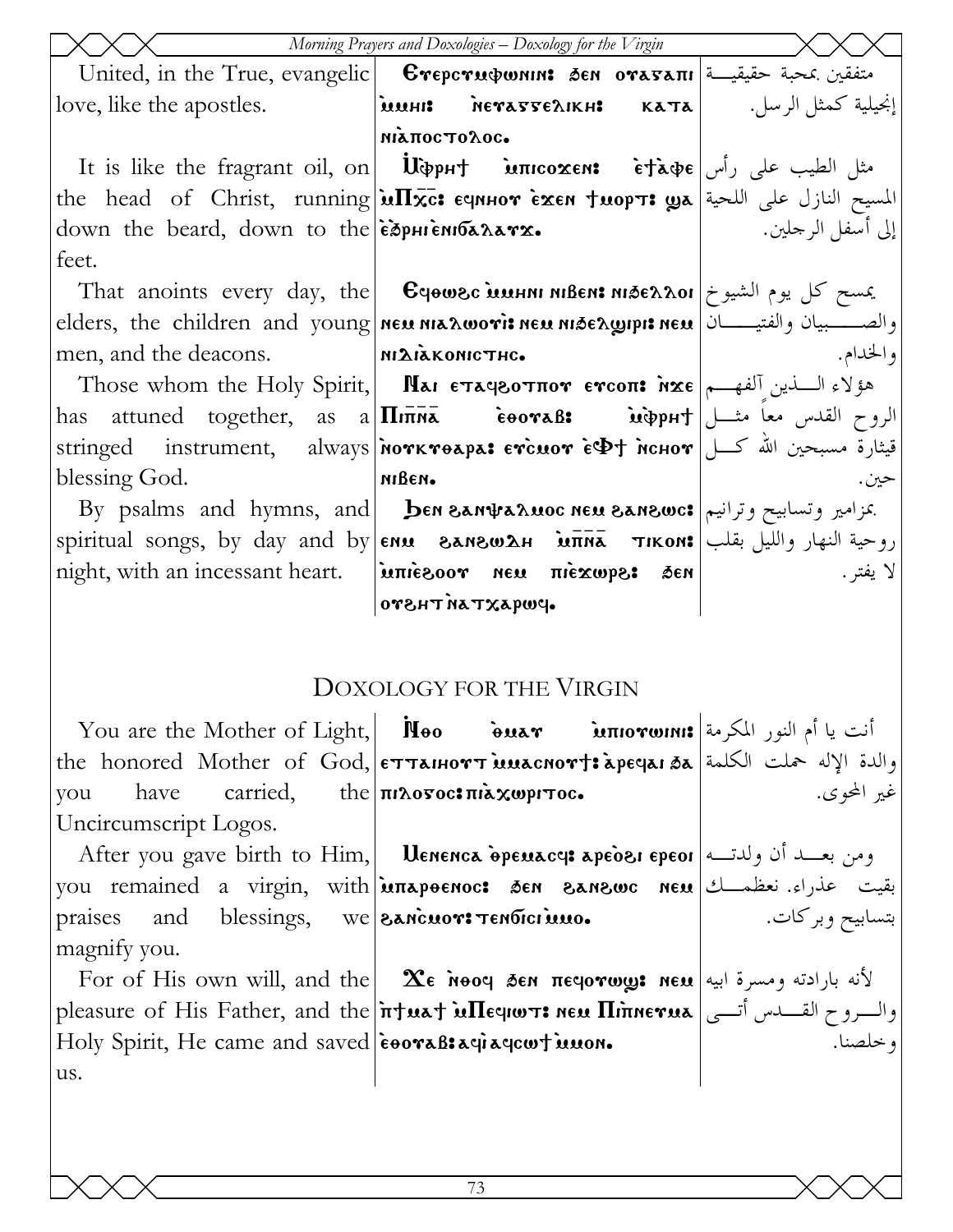|                                                           | Morning Prayers and Doxologies - Doxology for the Virgin                                                                                                                                                                                                                                                                                                                                                                                    |                   |
|-----------------------------------------------------------|---------------------------------------------------------------------------------------------------------------------------------------------------------------------------------------------------------------------------------------------------------------------------------------------------------------------------------------------------------------------------------------------------------------------------------------------|-------------------|
|                                                           | United, in the True, evangelic   <b>Crepcructumis 3en orasaπ</b> i   التفقين بمحبة حقيقية                                                                                                                                                                                                                                                                                                                                                   |                   |
| love, like the apostles.                                  | iuuHI: METATEAIKH: KATA   wuHI: VerayyeAIKH:                                                                                                                                                                                                                                                                                                                                                                                                |                   |
|                                                           | міапостолос.                                                                                                                                                                                                                                                                                                                                                                                                                                |                   |
|                                                           | It is like the fragrant oil, on UcopH intoxens etape $\int$ $\vec{r}$ at $\phi$ e $\int$ $\phi$ and $\phi$                                                                                                                                                                                                                                                                                                                                  |                   |
|                                                           | the head of Christ, running $\sqrt{\text{uTxc}}$ : eqnhor $\frac{\text{v}}{\text{v}}$ the head of Christ, running $\sqrt{\text{uTxc}}$ : eqnhor $\frac{\text{v}}{\text{v}}$                                                                                                                                                                                                                                                                 |                   |
| down the beard, down to the esphienion Aarx.              |                                                                                                                                                                                                                                                                                                                                                                                                                                             | إلى أسفل الرجلين. |
| feet.                                                     |                                                                                                                                                                                                                                                                                                                                                                                                                                             |                   |
|                                                           | That anoints every day, the <b>C</b> qowsc <b>issum MBEN: And Ex Aoi</b>   يمسح كل يوم الشيوخ                                                                                                                                                                                                                                                                                                                                               |                   |
|                                                           | elders, the children and young new nix novis new nise new prisine en election and young new                                                                                                                                                                                                                                                                                                                                                 |                   |
| men, and the deacons. MILIAKONICTHC.                      |                                                                                                                                                                                                                                                                                                                                                                                                                                             | والخدام.          |
|                                                           | Those whom the Holy Spirit, Mai ETaq80TH07 ETCON: NXE مؤلاء السندين آلفهم )                                                                                                                                                                                                                                                                                                                                                                 |                   |
|                                                           | has attuned together, as a $\pi\bar{\pi}$ is $\bar{\epsilon}$ $\bar{\epsilon}$ $\bar{\epsilon}$ $\bar{\epsilon}$ $\bar{\epsilon}$ $\bar{\epsilon}$ $\bar{\epsilon}$ $\bar{\epsilon}$ $\bar{\epsilon}$ $\bar{\epsilon}$ $\bar{\epsilon}$ $\bar{\epsilon}$ $\bar{\epsilon}$ $\bar{\epsilon}$ $\bar{\epsilon}$ $\bar{\epsilon}$ $\bar{\epsilon}$ $\bar{\epsilon}$ $\bar{\epsilon}$ $\bar{\epsilon}$ $\bar{\epsilon}$ $\bar{\epsilon}$ $\bar{\$ |                   |
|                                                           | stringed instrument, always พотктөара: стсиот сेФ† мснот صلحين الله كـــل                                                                                                                                                                                                                                                                                                                                                                   |                   |
| blessing God.                                             | мівем.                                                                                                                                                                                                                                                                                                                                                                                                                                      | حين.              |
|                                                           | $\rm\,By\,$ psalms $\rm\,and\,$ hymns, $\rm\,and\,$ <b>ben san<math>\rm\,wa</math>nes sanswc:</b> عزامیر وتساییح وترانیم.                                                                                                                                                                                                                                                                                                                   |                   |
|                                                           | spiritual songs, by day and by $ \mathbf{\epsilon n u} - \mathbf{\epsilon n s u} \times \mathbf{\epsilon n}$ روحية النهار والليل بقلب   spiritual songs, by day and by                                                                                                                                                                                                                                                                      |                   |
|                                                           | night, with an incessant heart.   μπιεερού Nεμ πιεχωρε: δεν                                                                                                                                                                                                                                                                                                                                                                                 | لا يفتر .         |
|                                                           | $o$ PWQAXTANTH $o$ PU                                                                                                                                                                                                                                                                                                                                                                                                                       |                   |
|                                                           |                                                                                                                                                                                                                                                                                                                                                                                                                                             |                   |
|                                                           | <b>DOXOLOGY FOR THE VIRGIN</b>                                                                                                                                                                                                                                                                                                                                                                                                              |                   |
|                                                           |                                                                                                                                                                                                                                                                                                                                                                                                                                             |                   |
|                                                           | the honored Mother of God, ETTAIHOTT MACNOTT: apeqai 3a اوالدة الإله حملت الكلمة                                                                                                                                                                                                                                                                                                                                                            |                   |
| have<br>you                                               | carried, the $\pi\lambda$ over $\pi\lambda$ xwpiroc.                                                                                                                                                                                                                                                                                                                                                                                        | غير المحوى.       |
| Uncircumscript Logos.                                     |                                                                                                                                                                                                                                                                                                                                                                                                                                             |                   |
|                                                           | ere you gave birth to Him, Uenenca opeuacy apeosi epeor (الدت) After you gave birth to Him, I                                                                                                                                                                                                                                                                                                                                               |                   |
|                                                           | you remained a virgin, with <b>inapeenoc: sen eanewc neu</b> test is der                                                                                                                                                                                                                                                                                                                                                                    |                   |
| and blessings, we <b>SANCHOTS TENDICI MAO.</b><br>praises |                                                                                                                                                                                                                                                                                                                                                                                                                                             | بتسابيح وبركات.   |
| magnify you.                                              |                                                                                                                                                                                                                                                                                                                                                                                                                                             |                   |
|                                                           | For of His own will, and the <b>  Ϫε אُ</b> ον πεφονως: neu عَلام بارادته ومسرة ابيه                                                                                                                                                                                                                                                                                                                                                        |                   |
|                                                           | pleasure of His Father, and the <i>i</i> rtuat in lequors nen Himnerua   والسروح القسدس أتسى                                                                                                                                                                                                                                                                                                                                                |                   |
| Holy Spirit, He came and saved eooraB: aqiaqcout innon.   |                                                                                                                                                                                                                                                                                                                                                                                                                                             | و خلصنا.          |
| us.                                                       |                                                                                                                                                                                                                                                                                                                                                                                                                                             |                   |
|                                                           |                                                                                                                                                                                                                                                                                                                                                                                                                                             |                   |
|                                                           |                                                                                                                                                                                                                                                                                                                                                                                                                                             |                   |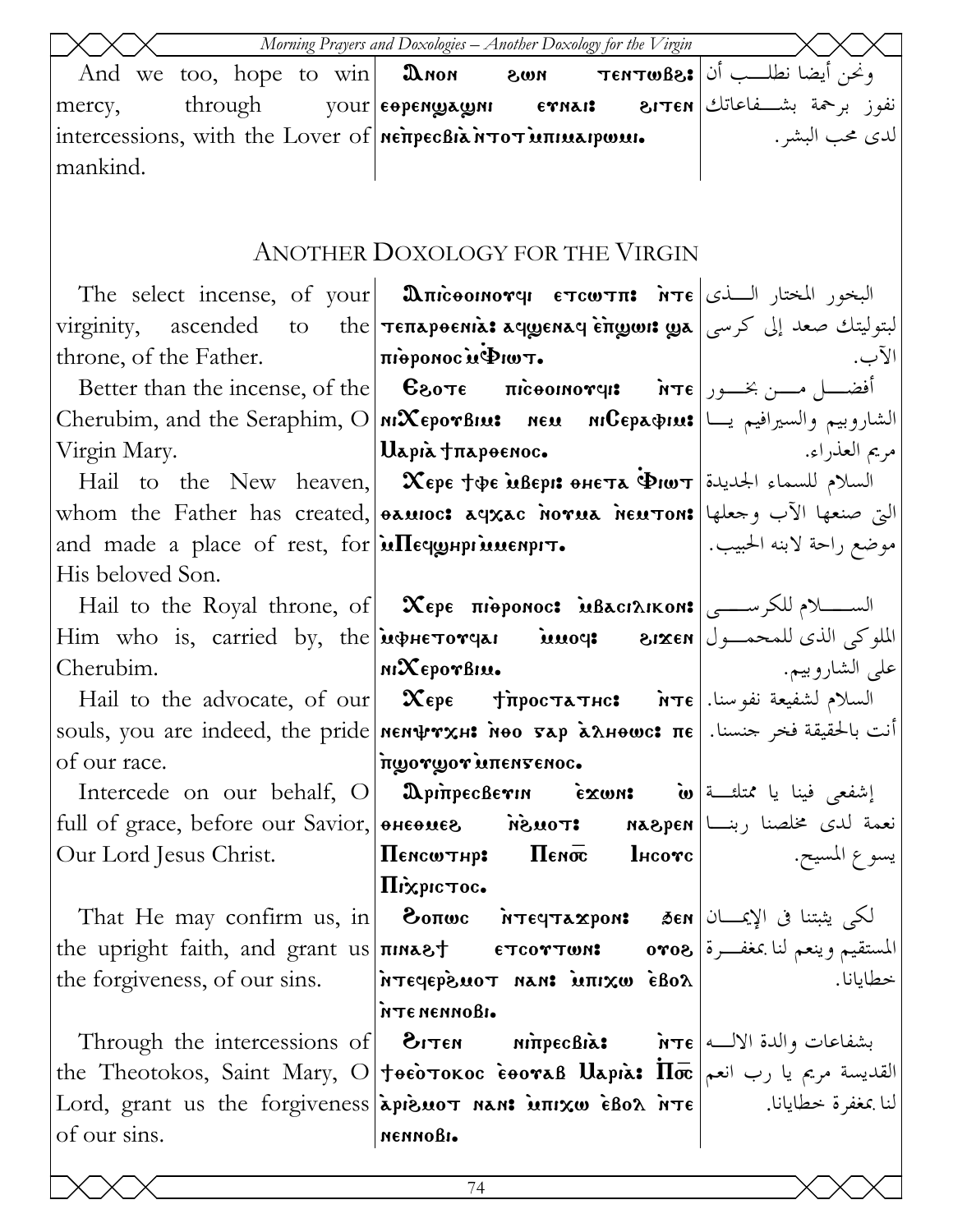| Morning Prayers and Doxologies - Another Doxology for the Virgin |                                                                                                                                                                                                                                                                                                                                        |          |  |
|------------------------------------------------------------------|----------------------------------------------------------------------------------------------------------------------------------------------------------------------------------------------------------------------------------------------------------------------------------------------------------------------------------------|----------|--|
|                                                                  | And we too, hope to win <b>D</b> non <b>800 SMON TENTWEE:</b> $\int$ $\phi \to \infty$                                                                                                                                                                                                                                                 |          |  |
| mercy,                                                           | through your eopenwayoun ernais diren under through                                                                                                                                                                                                                                                                                    |          |  |
|                                                                  |                                                                                                                                                                                                                                                                                                                                        |          |  |
| mankind.                                                         |                                                                                                                                                                                                                                                                                                                                        |          |  |
|                                                                  |                                                                                                                                                                                                                                                                                                                                        |          |  |
|                                                                  | ANOTHER DOXOLOGY FOR THE VIRGIN                                                                                                                                                                                                                                                                                                        |          |  |
|                                                                  |                                                                                                                                                                                                                                                                                                                                        |          |  |
|                                                                  | virginity, ascended to the <b>Teπapoenia: aqwenaq èπwon: ya   ال</b> بتوليتك صعد إلى كرسي                                                                                                                                                                                                                                              |          |  |
| throne, of the Father. $ \pi$ ioponoc $\mu \Phi$ Iw $\tau$ .     |                                                                                                                                                                                                                                                                                                                                        | الآب.    |  |
|                                                                  | Better than the incense, of the <b>C</b> 80τε πιδεοικονη: $\tilde{\mathbf{r}}$ τε $\tilde{\mathbf{r}}$ $\tilde{\mathbf{r}}$ δειτε                                                                                                                                                                                                      |          |  |
|                                                                  | Cherubim, and the Seraphim, O MXEporBius    neu    NiCepa&ius  الشاروبيم والسيرافيم يسا   Cherubim, and the Seraphim, O                                                                                                                                                                                                                |          |  |
|                                                                  |                                                                                                                                                                                                                                                                                                                                        |          |  |
|                                                                  | Hail to the New heaven, $\alpha$ $\exp$ $\exp$ $\exp$ $\exp$ $\sin \exp$ $\sin \exp$ $\sin \exp$                                                                                                                                                                                                                                       |          |  |
|                                                                  | whom the Father has created, <b>bauloc: aqxac norua neuton:</b> التي صنعها الآب وجعلها                                                                                                                                                                                                                                                 |          |  |
|                                                                  | and made a place of rest, for <b>in The expression of the set of control in the place</b> of rest, for <b>in Figure</b>                                                                                                                                                                                                                |          |  |
| His beloved Son.                                                 |                                                                                                                                                                                                                                                                                                                                        |          |  |
|                                                                  | Hail to the Royal throne, of $\alpha$ $\infty$ $\infty$ $\infty$ $\infty$ $\infty$ $\infty$ $\infty$ $\infty$ $\infty$ $\infty$ $\infty$ $\infty$ $\infty$ $\infty$ $\infty$ $\infty$ $\infty$ $\infty$ $\infty$ $\infty$ $\infty$ $\infty$ $\infty$ $\infty$ $\infty$ $\infty$ $\infty$ $\infty$ $\infty$ $\infty$ $\infty$           |          |  |
|                                                                  | Him who is, carried by, the <i>менетотча</i> имоч: вихем <i>  بالملوكي الذي للمحمــول</i>                                                                                                                                                                                                                                              |          |  |
| Cherubim.                                                        |                                                                                                                                                                                                                                                                                                                                        |          |  |
|                                                                  | Hail to the advocate, of our <b>Xepe +</b> $\pi$ <b>poc</b> $\pi$ $\pi$ <b>ree</b> $\pi$ <b>)</b> $\pi$ <b>c</b> $\pi$                                                                                                                                                                                                                 |          |  |
|                                                                  | souls, you are indeed, the pride <b> nen\rxH: нео 5ap àλнеωc: πε</b>   أنت بالحقيقة فخر جنسنا.                                                                                                                                                                                                                                         |          |  |
| of our race.                                                     | πωονωον Μπεηγεριος.                                                                                                                                                                                                                                                                                                                    |          |  |
|                                                                  | Intercede on our behalf, O   DpinpecBevin • exwn: أَسْفَعَى فِينا يا مُمْتَلَحِتْهُمْ [10] [11] [شفعي فينا يا                                                                                                                                                                                                                          |          |  |
|                                                                  |                                                                                                                                                                                                                                                                                                                                        |          |  |
|                                                                  |                                                                                                                                                                                                                                                                                                                                        |          |  |
|                                                                  | Піхрістос.<br>That He may confirm us, in   වං $\mathbf n$ ေကား ကားပောအေးစာ၊ အာ $\mathbf s$ ော) الکی یثبتنا فی الإیمــــان                                                                                                                                                                                                              |          |  |
|                                                                  |                                                                                                                                                                                                                                                                                                                                        |          |  |
|                                                                  | the upright faith, and grant us <b>πικετειρή επροντωκε ovos</b> 3. مغفرة (sovos 1<br>the forgiveness, of our sins. $ \overrightarrow{n\tau}$ ( $\rho$ ) $\overrightarrow{n\tau}$ $\overrightarrow{n\tau}$ $\overrightarrow{n\tau}$ $\overrightarrow{n\tau}$ $\overrightarrow{n\tau}$ $\overrightarrow{n\tau}$ $\overrightarrow{n\tau}$ | خطايانا. |  |
|                                                                  | • итеменновь                                                                                                                                                                                                                                                                                                                           |          |  |
|                                                                  | Through the intercessions of $\vert$ 3. ابشفاعات والدة الالــه   Through the intercessions of                                                                                                                                                                                                                                          |          |  |
|                                                                  | the Theotokos, Saint Mary, O <b>Jeèo Tokoc èeovaß Uapià: Пос</b> القديسة مريم يا رب انعم                                                                                                                                                                                                                                               |          |  |
|                                                                  | لنا بمغفرة خطايانا. [ Lord, grant us the forgiveness appendition nan: וلنا بمغفرة خطايانا.                                                                                                                                                                                                                                             |          |  |
| of our sins.                                                     | меммовь.                                                                                                                                                                                                                                                                                                                               |          |  |
|                                                                  |                                                                                                                                                                                                                                                                                                                                        |          |  |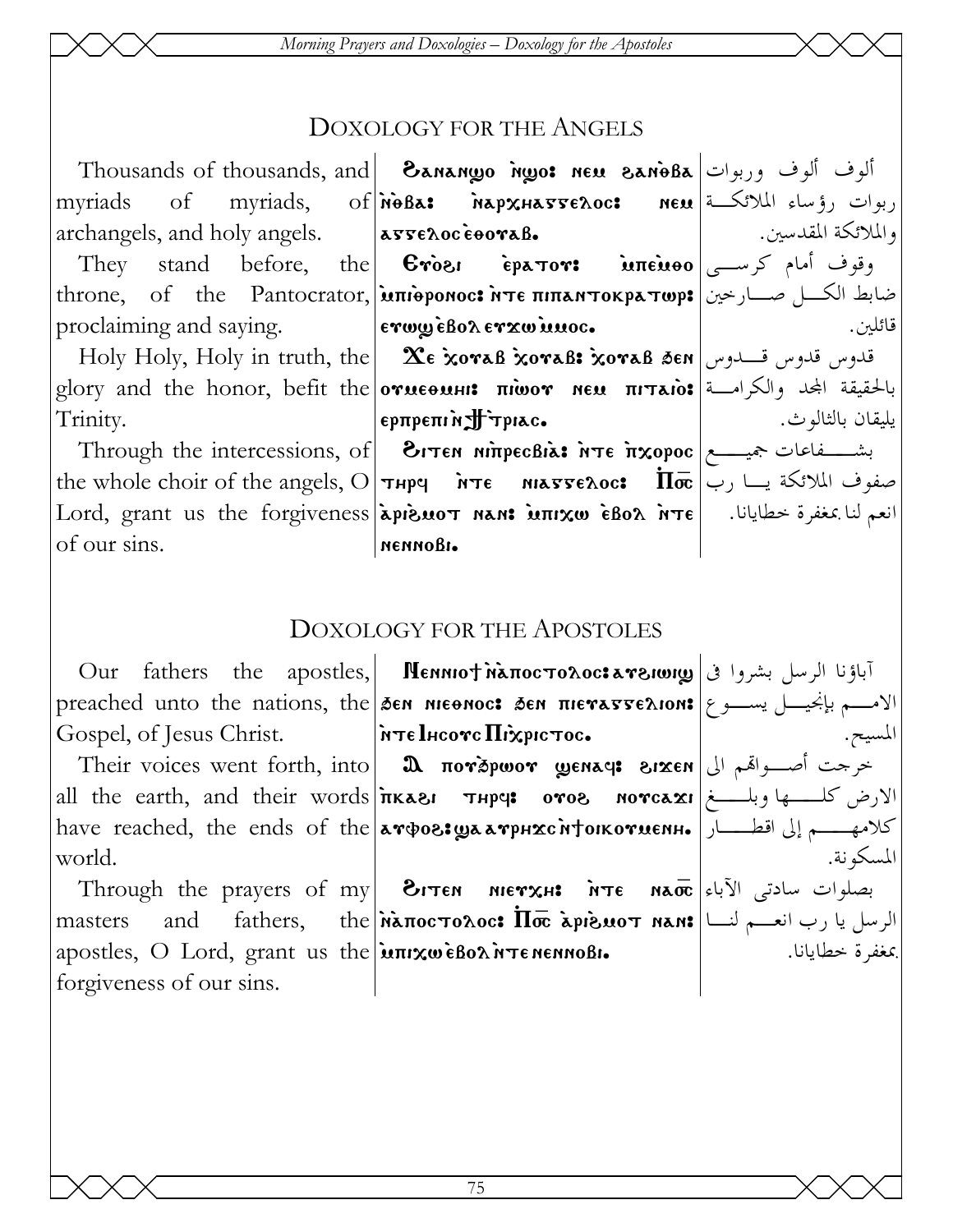Morning Prayers and Doxologies - Doxology for the Apostoles

### **DOXOLOGY FOR THE ANGELS**

Thousands of thousands, and | Eanango ngo: neu Banoßa | الوف ألوف وربوات | Thousands of thousands myriads, of *n*oBa: napxha55e20c: new like the new  $\sigma$ myriads والملائكة المقدسين. archangels, and holy angels. asseloceooraB. the **Cross epators** intensive  $\left| \begin{array}{cc} \sum_{i=1}^{n} a_i \end{array} \right|$ They stand before, throne, of the Pantocrator, **אחוה אדו האחוה ואדו המשל** ethrone, of the Pantocrator, **אחוה** proclaiming and saying. ενωω εβολενχω μπος. قائلين. Holy Holy, Holy in truth, the **2 Exorab xorab: xorab 3en**  $\vert$ باس قدوس قلبوس قلبوس العلاقة glory and the honor, befit the **orueousis πιωον neu πιταιο:** والكرامة and the honor, befit the **orueousis** epπpeπιnJFτpiac. يليقان بالثالوث. Trinity. Through the intercessions, of  $\vert$   $\bullet$   $\tau$ en  $\pi$  $\tau$ ecBi $\lambda$ :  $\tau$ e  $\tau$  $\tau$  $\infty$ poc $\vert$   $\rightarrow$   $\sim$ the whole choir of the angels,  $O|\tau$ нрч пте инаттелос:  $\overline{\text{In}}$  $\overline{\text{in}}$   $\rightarrow$   $\tau$   $\downarrow$  $\text{Lord, grant us the forgiveness|\text{apismum min}$  וنعم لنا بمغفرة خطايانا. [عדة هكة سمعة الله عديدة العديدة العديدة العديدة العديد of our sins. пеммовь.

## **DOXOLOGY FOR THE APOSTOLES**

Gospel, of Jesus Christ.

Their voices went forth, into  $\alpha$  norspwor wenage sixen J  $\alpha$  is  $\alpha$ all the earth, and their words *n*kasi They: oros norcaxi الارض كلــها وبلـــغ have reached, the ends of the **aroos: yaarphxcntoikoruenh.** إلى اقطـــار | have reached, the ends of the world.

masters apostles, O Lord, grant us the intravelson intenennosi. forgiveness of our sins.

Our fathers the apostles, **Menniot Maπocτoλoc: areiwig** اباؤنا الرسل بشروا فى المحدة preached unto the nations, the sen meenoc: sen πιεναστελιοn: إنجيسل يسوع preached unto the nations, the sen meenoc: sen πιεναστελιοn: |λτε Ιμεονε Πιχριετος.

Through the prayers of my **BITEN MIETXH:** *NTE NAO* [4] Through the prayers of my and fathers, the *n*anocronoc:  $\overline{\text{II}\bar{\sigma}}$  apisuot nan: الرسل يا رب انعهم لنسا | and

المسكه نة.

بمغفرة خطابانا.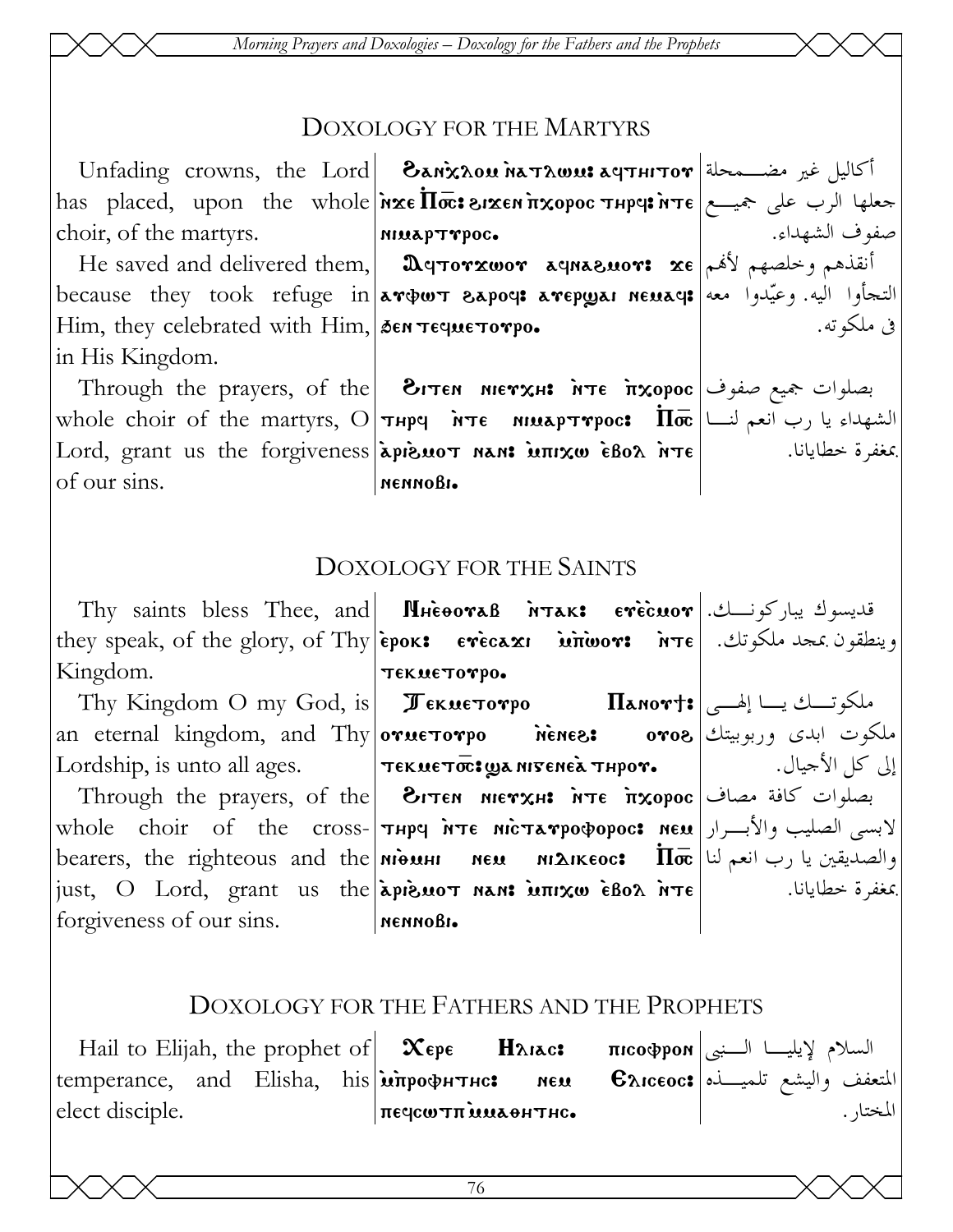*Morning Prayers and Doxologies – Doxology for the Fathers and the Prophets* 

#### DOXOLOGY FOR THE MARTYRS

Unfading crowns, the Lord |an`xlom `natlwm> afthitou أكاليل غير مضـمحلة has placed, upon the whole choir, of the martyrs.  $\mathbf{w}$ s pyrto  $\mathbf{w}$ s and  $\mathbf{w}$  is  $\mathbf{w}$ ni<mark>na</mark>pt<mark>r</mark>poc**.** جعلها الرب على جميـع صفوف الشهداء.

He saved and delivered them, | Дертотхшот деравднот: хе |أنقذهم وخلصهم لأهم because they took refuge in $\vert$ ar $\psi$ wt  $\delta$ apoq: arep $\psi$ ai ne $\alpha$ aq: وعيّدوا معه Him, they celebrated with  $\lim_{n \to \infty}$   $\frac{1}{2}$  sen  $\pi$ eque $\pi$ o $\pi$ po. in His Kingdom.

Through the prayers, of the **Вітен мієтхн: іттє ітхорос** جميع صفوف whole choir of the martyrs,  $\mathrm{O}|\bm{\tau}$ нрч  $\bm{\varepsilon}$  аниар $\bm{\tau}$ трос $\bm{\varepsilon}$   $\bm{\varepsilon}$  الشهداء يا رب انعم لنــا Lord, grant us the forgiveness apieuot nan: iunixw ebox ite of our sins. nennobi. بمغفرة خطايانا.

فى ملكوته.

#### DOXOLOGY FOR THE SAINTS

|                                                    | Thy saints bless Thee, and <b>  M</b> HeooraB   irak:  erecuor . قديسوك يباركونـــك                                                    |  |
|----------------------------------------------------|----------------------------------------------------------------------------------------------------------------------------------------|--|
|                                                    | they speak, of the glory, of Thy epok: $er\acute{e}c$ axi $\grave{u}\noverline{u}$ witwor: $r\overline{r}$ e $\downarrow$ exection $s$ |  |
| Kingdom.<br>$\tau$ Tekes To $\eta$ Tekes To $\eta$ |                                                                                                                                        |  |
|                                                    | Thy Kingdom O my God, is  $\textcolor{blue}{\blacktriangledown}$ бкистотро         Панот†: ملكوتــك يــا إلهـــى                       |  |
|                                                    | an eternal kingdom, and Thy orue torpo nenes: oros 3 املکوت ابدی وربوبیتك                                                              |  |
|                                                    |                                                                                                                                        |  |
|                                                    | Through the prayers, of the  Элтем мютхн: אجملوات كافة مصاف                                                                            |  |
|                                                    | whole choir of the cross- <b>  тнрч ите містатрофорос: мем</b>   الابسی الصلیب والأبــرار   whole choir of the cross-                  |  |
|                                                    | bearers, the righteous and the <b>NIGUAL MEM NEM</b> NEM <b>NIGE   اوالصديقين يا رب انعم لنا   b</b> earers, the righteous and the     |  |
|                                                    | just, O Lord, grant us the <b>apieuot nan: iunxω eBoλ nτε</b>   $\cdot$                                                                |  |
| forgiveness of our sins. NennoBI.                  |                                                                                                                                        |  |
|                                                    |                                                                                                                                        |  |

#### DOXOLOGY FOR THE FATHERS AND THE PROPHETS

Hail to Elijah, the prophet of $\|\mathbf x$ ере  $\|\mathbf H$ ль $\mathbf x$ с $\mathbf x$  пісофром $|$ السلام لإيليـــا الــنبى temperance, and Elisha, his|ம̀πрофнтнс: мем Елісеос:|مالمتعفف واليشع تلميــذه elect disciple.  $\vert$ печсωтп милонтнс. المختار.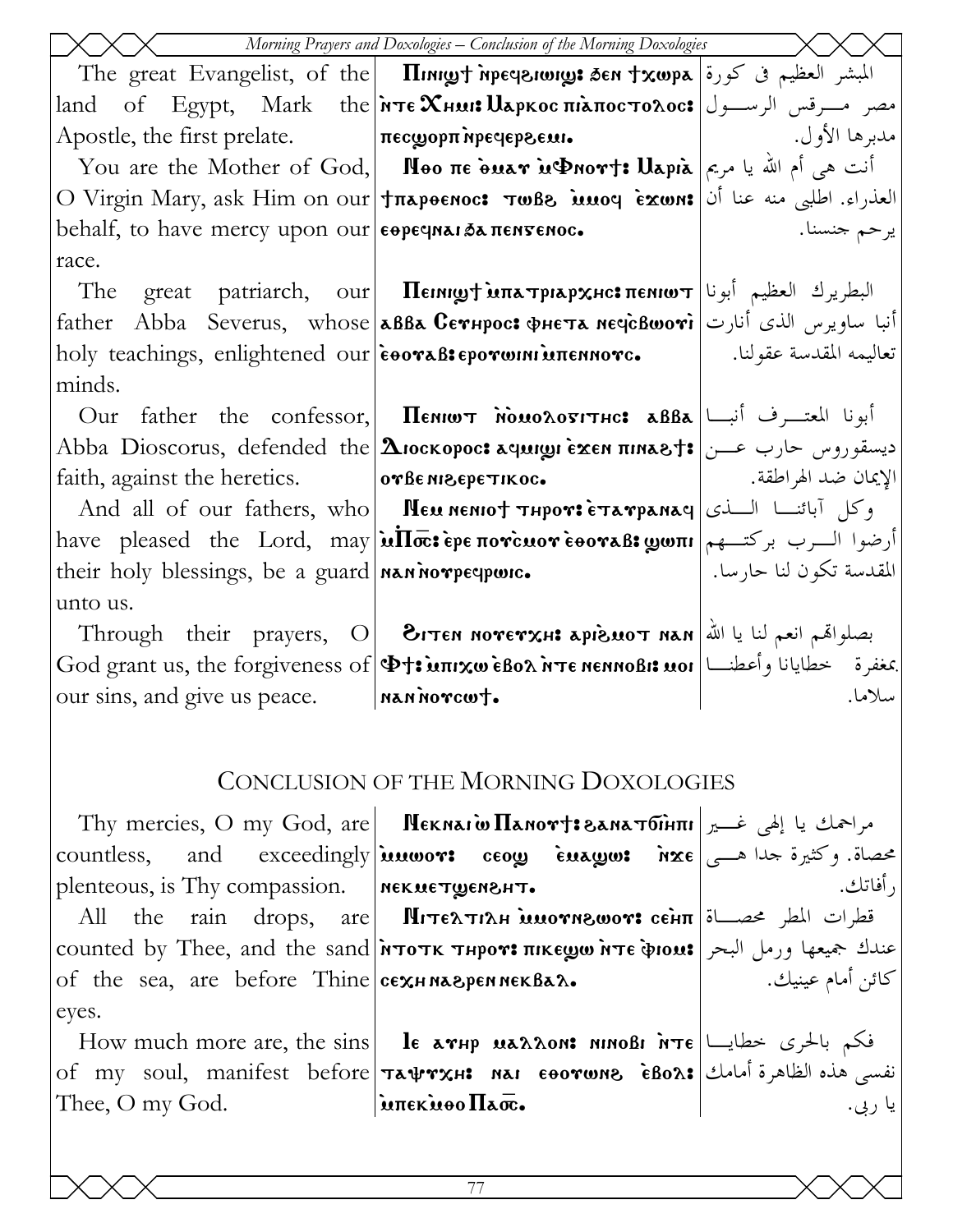| Morning Prayers and Doxologies - Conclusion of the Morning Doxologies |                                                                                                                                                                                                                                                                                                                                                                                                                                                                                                                                                                                                                                     |                         |
|-----------------------------------------------------------------------|-------------------------------------------------------------------------------------------------------------------------------------------------------------------------------------------------------------------------------------------------------------------------------------------------------------------------------------------------------------------------------------------------------------------------------------------------------------------------------------------------------------------------------------------------------------------------------------------------------------------------------------|-------------------------|
|                                                                       | The great Evangelist, of the <b>IImpyt meesiongs 3en txwpa</b> المبشر العظيم في كورة   The great Evangelist, of the                                                                                                                                                                                                                                                                                                                                                                                                                                                                                                                 |                         |
|                                                                       | land of Egypt, Mark the <b>Nore ΧHMI: Աapkoc πιλποc τολος:</b> الرسول                                                                                                                                                                                                                                                                                                                                                                                                                                                                                                                                                               |                         |
|                                                                       | Apostle, the first prelate. <b>Πεςωρρπ ήρε μερονικ</b> (1995) - (1991) Apostle, the first prelate.                                                                                                                                                                                                                                                                                                                                                                                                                                                                                                                                  |                         |
|                                                                       | You are the Mother of God, <b>  Νθο πε δυετ μΦηοτ†: Uapia</b>   انت هی أم الله یا مریم                                                                                                                                                                                                                                                                                                                                                                                                                                                                                                                                              |                         |
|                                                                       | العذراء. اطلبي منه عنا أن O Virgin Mary, ask Him on our   tπapeenoc: πωβ8 iuuoq exwn: العذراء. اطلبي منه عنا أن                                                                                                                                                                                                                                                                                                                                                                                                                                                                                                                     |                         |
| behalf, to have mercy upon our <b>ееречны</b> да пентенос.            |                                                                                                                                                                                                                                                                                                                                                                                                                                                                                                                                                                                                                                     | يرحم جنسنا.             |
| race.                                                                 |                                                                                                                                                                                                                                                                                                                                                                                                                                                                                                                                                                                                                                     |                         |
|                                                                       | The great patriarch, our <b>IIemmyt Matriarch ا</b> لبطريرك العظيم أبونا                                                                                                                                                                                                                                                                                                                                                                                                                                                                                                                                                            |                         |
|                                                                       | father Abba Severus, whose <b>авва Сетнрос: фнета нечѐвшоті</b> أنبا ساويرس الذى أنارت [ather Abba Severus, whose                                                                                                                                                                                                                                                                                                                                                                                                                                                                                                                   |                         |
|                                                                       | noly teachings, enlightened our εθοναβιερονωιΝιυπεΝΝονς.   القدسة عقولنا.   الصحة                                                                                                                                                                                                                                                                                                                                                                                                                                                                                                                                                   |                         |
| minds.                                                                |                                                                                                                                                                                                                                                                                                                                                                                                                                                                                                                                                                                                                                     |                         |
|                                                                       | Our father the confessor, <b><math>\Pi</math> <math>\overline{\text{N}}</math> <math>\overline{\text{N}}</math> <math>\overline{\text{N}}</math> <math>\overline{\text{N}}</math> <math>\overline{\text{N}}</math> <math>\overline{\text{N}}</math> <math>\overline{\text{N}}</math> <math>\overline{\text{N}}</math> <math>\overline{\text{N}}</math> <math>\overline{\text{N}}</math> <math>\overline{\text{N}}</math> <math>\overline{\text{N}}</math> <math>\overline{\text{N}}</math> <math>\overline{\text{N}}</math> <math>\overline{\text{N}}</math> <math>\overline{\text{N}}</math> <math>\overline{\text{N}}</math> </b> |                         |
|                                                                       | Abba Dioscorus, defended the Διοσκορος: میسقوروس حارب عـــن #Abba Dioscorus, defended the                                                                                                                                                                                                                                                                                                                                                                                                                                                                                                                                           |                         |
|                                                                       | faith, against the heretics. •••   orBe MI&EPETIKOC. •••   الإيمان ضد الهراطقة. ••   faith, against the heretics.                                                                                                                                                                                                                                                                                                                                                                                                                                                                                                                   |                         |
|                                                                       | And all of our fathers, who <b>  Neu nenio† тнрот: етатранач</b>   السلفى And all of our fathers, who                                                                                                                                                                                                                                                                                                                                                                                                                                                                                                                               |                         |
|                                                                       | have pleased the Lord, may <b>ullo: ερε πονεμον εθοναβ: yoni</b>   رضوا الرب بركتهم                                                                                                                                                                                                                                                                                                                                                                                                                                                                                                                                                 |                         |
| their holy blessings, be a guard <b>NARA</b> norpeque.                |                                                                                                                                                                                                                                                                                                                                                                                                                                                                                                                                                                                                                                     | المقدسة تكون لنا حارسا. |
| unto us.                                                              |                                                                                                                                                                                                                                                                                                                                                                                                                                                                                                                                                                                                                                     |                         |
|                                                                       | Through their prayers, O <b>BITEN NOTETXHE APISUOT NAN</b> إصلواهم انعم لنا يا الله   Through their prayers, O                                                                                                                                                                                                                                                                                                                                                                                                                                                                                                                      |                         |
|                                                                       | $\rm God~grant~us,~the~forgiveness~of $\Phi$$ جَعْفرة حطايانا وأعطنـــا ) ا $\sim$ Renargiveness of $\rm s$                                                                                                                                                                                                                                                                                                                                                                                                                                                                                                                         |                         |
| our sins, and give us peace. <b>ARA ARA POYSE</b>                     |                                                                                                                                                                                                                                                                                                                                                                                                                                                                                                                                                                                                                                     | سلاما.                  |
|                                                                       |                                                                                                                                                                                                                                                                                                                                                                                                                                                                                                                                                                                                                                     |                         |
|                                                                       | CONCLUSION OF THE MORNING DOXOLOGIES                                                                                                                                                                                                                                                                                                                                                                                                                                                                                                                                                                                                |                         |
|                                                                       |                                                                                                                                                                                                                                                                                                                                                                                                                                                                                                                                                                                                                                     |                         |
|                                                                       |                                                                                                                                                                                                                                                                                                                                                                                                                                                                                                                                                                                                                                     |                         |
|                                                                       | countless, and exceedingly innous comp enagles inxe and exceedingly                                                                                                                                                                                                                                                                                                                                                                                                                                                                                                                                                                 |                         |
| plenteous, is Thy compassion.   NEKMETWENSHT.                         |                                                                                                                                                                                                                                                                                                                                                                                                                                                                                                                                                                                                                                     | , أفاتك.                |
|                                                                       | All the rain drops, are Mιτελτιλμ μυονηδωον: сє̀нπ الطر محصــاة All the rain drops, are                                                                                                                                                                                                                                                                                                                                                                                                                                                                                                                                             |                         |
|                                                                       | counted by Thee, and the sand <b>ProTK THPOT: THEC DITE PIOUS</b> Just 3 and the sand ProTK THPOT: THKEWW NTE PIOUS                                                                                                                                                                                                                                                                                                                                                                                                                                                                                                                 |                         |

كائن أمام عينيك.

How much more are, the sins le arup uarrour ninoBi  $n\tau\epsilon$  =  $\epsilon$  +  $\epsilon$  +  $\epsilon$ of my soul, manifest before TAUTXH: NAI EOOTWN& EBOA: نفسى هذه الظاهرة أمامك Thee, O my God. intekioo Haoc. يا ربي.

of the sea, are before Thine cexHNA& PENNEKBAA.

eyes.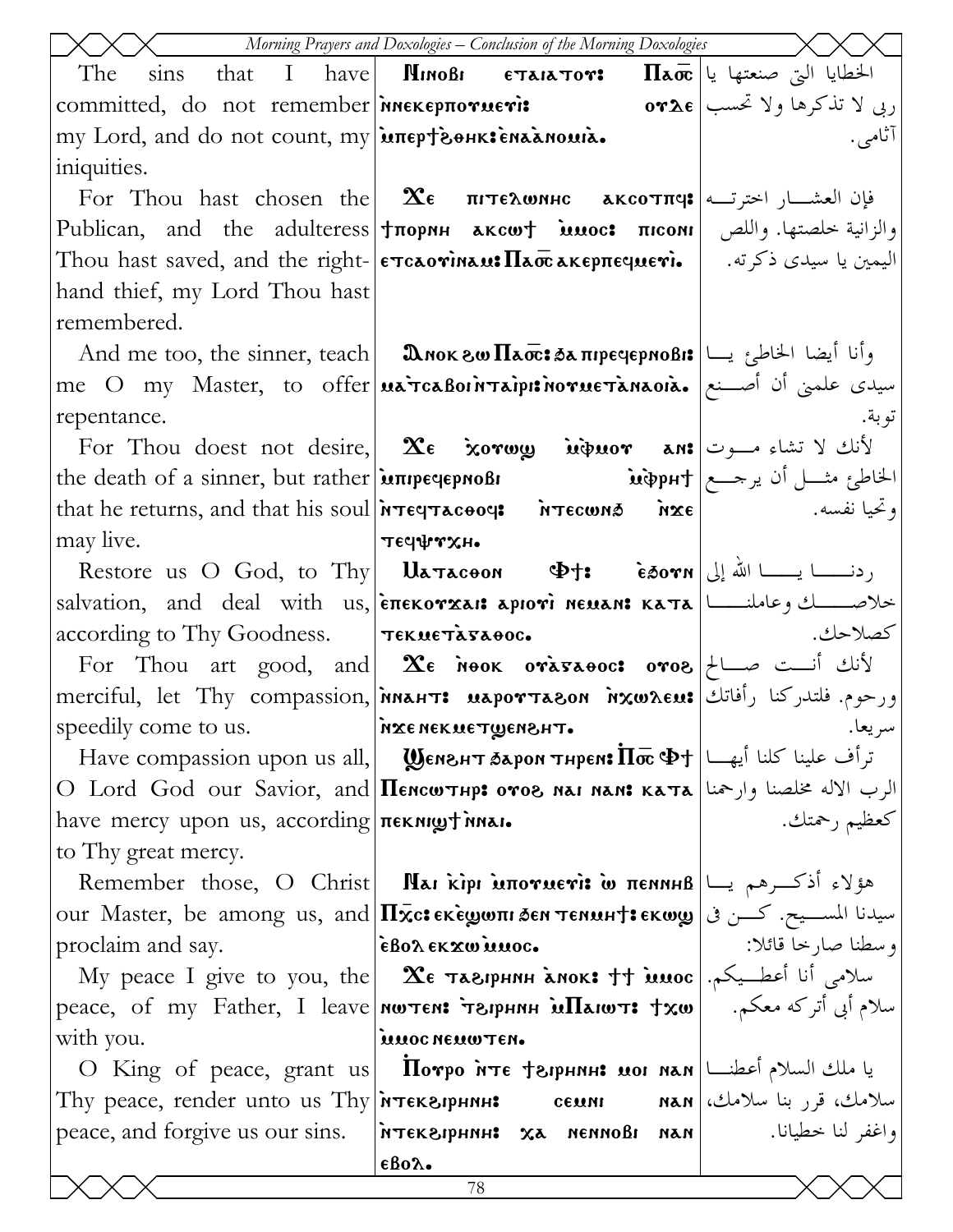|                                                      | Morning Prayers and Doxologies - Conclusion of the Morning Doxologies                                                                                   |                    |
|------------------------------------------------------|---------------------------------------------------------------------------------------------------------------------------------------------------------|--------------------|
| The<br>$\sin s$                                      | that I have <b>  Minoßi єтаіатот: Паос</b>  الخطايا التي صنعتها يا                                                                                      |                    |
|                                                      | ربي لا تذكرها ولا تحسب   committed, do not remember  плекерпотиеті: ربي لا تذكرها ولا تحسب                                                              |                    |
| my Lord, and do not count, my intepteenk: enaanouia. |                                                                                                                                                         | اثامي.             |
| iniquities.                                          |                                                                                                                                                         |                    |
|                                                      | For Thou hast chosen the <b>Δε πιτελωνικε ακεοτπι):</b> فإن العشـــار اخترتـــه                                                                         |                    |
|                                                      | Publican, and the adulteress   tπορημ aκcwt intons   meoni   والزانية خلصتها. واللص   Publican, and the adulteress                                      |                    |
|                                                      | Thou hast saved, and the right- єтсаоті́нам:Пао̄сакєрпє́чиєті.   اليمين يا سيدى ذكرته.   Тьои hast saved, and the right- єтсаоті́нам:Пао̄сакєрпє́чиєті. |                    |
| hand thief, my Lord Thou hast                        |                                                                                                                                                         |                    |
| remembered.                                          |                                                                                                                                                         |                    |
|                                                      | And me too, the sinner, teach <b>  మిగ్గుల్ మెడ్: رَ</b> أَنَا أَيْضَا الْحَاطِئِ بِسَا                                                                 |                    |
|                                                      | me O my Master, to offer <b>uarcaBointaipit novue tanaoia.</b> صيدى علمنى أن أصـنع                                                                      |                    |
| repentance.                                          |                                                                                                                                                         | تو بة .            |
|                                                      | For Thou doest not desire, $\alpha \in \mathbb{R}$ لأنك لا تشاء مـــوت                                                                                  |                    |
|                                                      |                                                                                                                                                         |                    |
|                                                      | that he returns, and that his soul <b>NTECTACOOCS NTECWING NXE</b>                                                                                      |                    |
| may live.                                            | $\mathbf{r}$                                                                                                                                            |                    |
|                                                      | Restore us O God, to Thy   Uatacoon $\Phi$ +: $\epsilon$ 50 $\mathbf{v}$ n   الله إلى   Restore us O God, to Thy                                        |                    |
|                                                      | salvation, and deal with us, επεκονχει: apιονί neuan: κατα  التصديك وعاملند    salvation, and deal with us,                                             |                    |
| according to Thy Goodness. TEKMETASAOC.              |                                                                                                                                                         | كصلاحك.            |
|                                                      | For Thou art good, and $\mathbf{\hat{x}}$ $\epsilon$ $\text{new}$ $\text{ex}$ $\text{new}$ $\text{new}$ $\text{new}$ $\text{new}$                       |                    |
|                                                      | merciful, let Thy compassion, <i>innahts</i> uaportagon <i>inxwreus</i> (أفاتك merciful, let Thy compassion, <i>innahts</i> uaportagon <i>i</i>         |                    |
| speedily come to us.                                 | AXE NEKNETWENSHT.                                                                                                                                       | سر يعا.            |
|                                                      | Have compassion upon us all,     Wемент баром тнрем: Пос Фт   ابن الله علينا كلنا أيها [Have compassion upon us all                                     |                    |
|                                                      | O Lord God our Savior, and Пенситнр: отог на нан: ката الرب الاله مخلصنا وارحمنا  О                                                                     |                    |
| have mercy upon us, according <b>nexilly</b> invar.  |                                                                                                                                                         | كعظيم رحمتك.       |
| to Thy great mercy.                                  |                                                                                                                                                         |                    |
|                                                      | Remember those, O Christ   Παι κίρι μπονμενί ω πενικιβ   العوّلاء أذكرهم يسا                                                                            |                    |
|                                                      | our Master, be among us, and $\Pi\bar{\mathbf{x}}$ c: $\epsilon\mathbf{x}$ èழமா бем темин $\mathbf{t}$ : سيدنا المســيح. كـــن فى                       |                    |
| proclaim and say.                                    | εβολ εκχω μμος.                                                                                                                                         | وسطنا صارخا قائلا: |
|                                                      | My peace I give to you, the $\vert$ Хе таврнин а́нок: †† и́шос $\vert \rightarrow$                                                                      |                    |
|                                                      | peace, of my Father, I leave мытем: של אדשрнин את реасе, of my Father, I leave мытем: سلام أبي أتركه معكم.                                              |                    |
| with you.                                            | <b>MUOC NEUWTEN.</b>                                                                                                                                    |                    |
| O King of peace, grant $us$                          | $\text{Inoppo}$ אדר לשלנ   תגום וסנו און ומאן אדר הראש היא סניים                                                                                        |                    |
|                                                      | Thy peace, render unto us Thy итекарнин: семии иан رمك، قرر بنا سلامك السلامك                                                                           |                    |
|                                                      | peace, and forgive us our sins. FORTEXSIPHNH: X3 NENNOBI NAN                                                                                            | واغفر لنا خطيانا.  |
|                                                      | $\epsilon$ Bo $\lambda$ .<br>78                                                                                                                         |                    |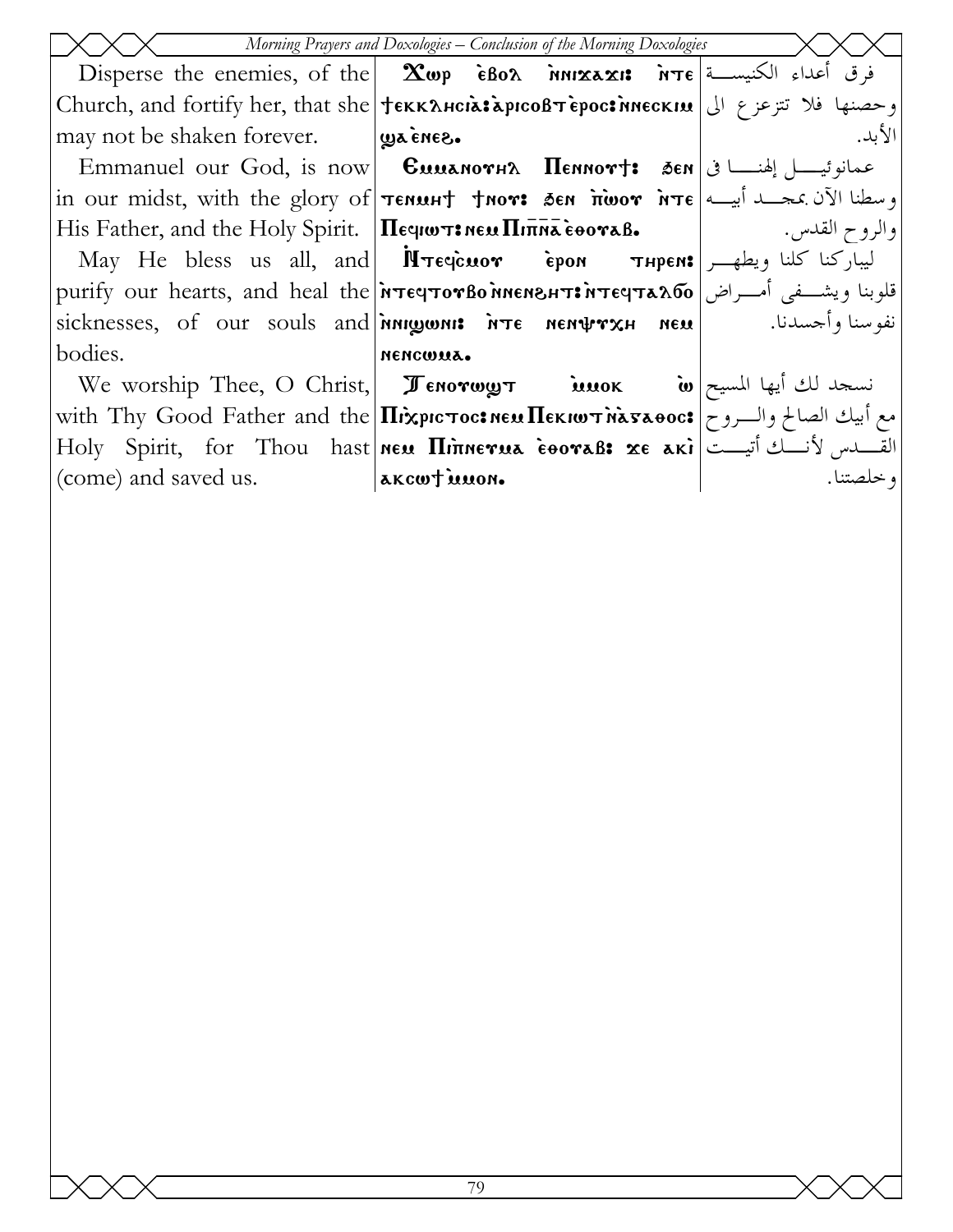| Morning Prayers and Doxologies - Conclusion of the Morning Doxologies |                                                                                                                                                         |           |  |
|-----------------------------------------------------------------------|---------------------------------------------------------------------------------------------------------------------------------------------------------|-----------|--|
|                                                                       | Disperse the enemies, of the <b>Exop èBo<math>\lambda</math></b> $\lambda$ $\lambda$ <b>inixaxis</b> $\lambda$ <b>i</b> $\tau \epsilon$ أعداء الكنيســة |           |  |
|                                                                       | وحصنها فلا تتزعزع الى   Church, and fortify her, that she   † вккансіа: арісовт ерос: мескім                                                            |           |  |
| may not be shaken forever. <b>Designed.</b>                           |                                                                                                                                                         | الأبد.    |  |
|                                                                       | Emmanuel our God, is now <b>Cuuanov+2 Hennov+:</b> 5en اعمانوئيــــــل إلهنـــــــــا في                                                                |           |  |
|                                                                       | in our midst, with the glory of <b>Tenunt from: Sen indor inte</b> and $\vec{x}$                                                                        |           |  |
|                                                                       |                                                                                                                                                         |           |  |
|                                                                       |                                                                                                                                                         |           |  |
|                                                                       | рurify our hearts, and heal the <b>мератотво мисмент: ت</b> لوبنا ويشفى أمــراض   purify our hearts, and heal the                                       |           |  |
|                                                                       | sicknesses, of our souls and <b>ingonis ite nemtrysh neu</b>                                                                                            |           |  |
| bodies.                                                               | NENCWUA.                                                                                                                                                |           |  |
|                                                                       | تسجد لك أيها المسيح We worship Thee, O Christ, Jenorwy تسجد لك أيها المسيح الله ع                                                                       |           |  |
|                                                                       | with Thy Good Father and the <b>Ilixpic Toc: NEMIEKIWT MATAOOC:</b> مع أبيك الصالح والسروح with Thy Good Father and the                                 |           |  |
|                                                                       | Holy Spirit, for Thou hast new <i>Hinnerua</i> cooraß: xe aki  تقسيس لأنسك أتيست                                                                        |           |  |
| (come) and saved us. <b>AKCWT MUON.</b>                               |                                                                                                                                                         | ا خلصتنا. |  |
|                                                                       |                                                                                                                                                         |           |  |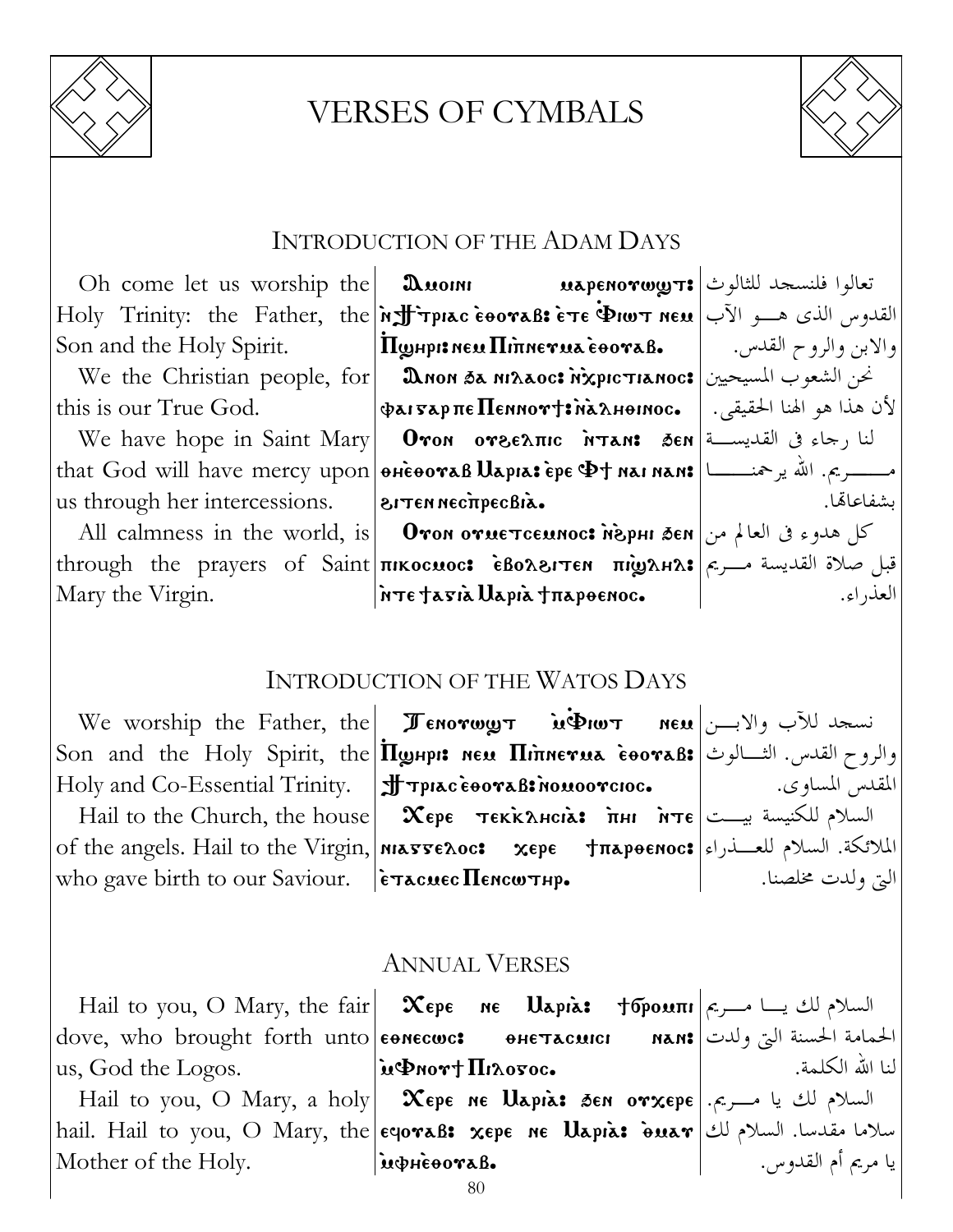

## VERSES OF CYMBALS



#### INTRODUCTION OF THE ADAM DAYS

Oh come let us worship the Son and the Holy Spirit.

We the Christian people, for this is our True God.

We have hope in Saint Mary us through her intercessions.

All calmness in the world, is Mary the Virgin.

 ${\rm Holy}$  Trinity: the Father, the  $|$ און $\bf H$ ין האופד $\bf H$  are  $\bf P$ iw nem القدوس الذى هــو الآب Amoini marenouw]t> تعالوا فلنسجد للثالوث  $\Pi$ ghpi: new  $\Pi$ innerua E $_{\rm e}$ ora $_{\rm B}$ .

 ${\bf \mathfrak A}$ non sa ni ${\bf \mathfrak A}$ ac: שלכט الشعوب المسيحيين  $\Phi$ ai 5ap $\pi$ e  $\Pi$ ennov $\dagger$ : na $\lambda$ hoinoc. that God will have mercy upon | өнеөотав  $\bm{\mathrm{U}}$ арıа: ере Ф† наі нан: مـــــريم. الله يرحمنــــــا  ${\bf 0}$ von o ${\bf v}$ eελπιc λτan: đen النا رجاء فى القديســة  $\cdot$ BITEN NECTIPECBIA.

through the prayers of Saint|πικοςμος: •̀βολειτεν πινολει $\ket{\pi}$  ملاة القديسة مــريم  ${\bf O}$ كل هدوء فى العالم من $\bm \epsilon$  ien كل هدوء فى العالم من

والابن والروح القدس. لأن هذا هو الهنا الحقيقى. بشفاعاهتا.

العذراء.

## Inte fasia Uapia frapoenoc.

## INTRODUCTION OF THE WATOS DAYS

 $\mathrm{We}$  vorship the Father, the  $|\hspace{0.1cm} {\bm{\mathcal J}}$ емотш $\bm{y}$ т пем  $|\hspace{0.1cm} {\bm{\mathcal v}}$  и $\Phi$ иот пем نسجد للآب والابـــن Holy and Co-Essential Trinity.

who gave birth to our Saviour.  $\|$ ѐтасмес $\Pi$ емсωтнр.

Son and the Holy Spirit, the  $|\Pi$ றுнр1: нем  $\Pi$ іпнетиа ̀еоотав: والروح القدس. الثـــالوث  $|\textcolor{red}{\textbf{f}}\textcolor{red}{\textbf{f}}$  Tpiac eooraB: nouoorcioc. Hail to the Church, the house |  $\bm{\chi_{\epsilon}}$ ре тек̀к $\bm{\chi}$ нсі $\bm{\kappa}$ : أسلام للكنيسة بيــت  $\mathrm{of\; the\; angles. \; Hail\; to\; the\; Virgin,}$ الملائكة. السلام للعــذراء

المقدس المساوى. التى ولدت مخلصنا.

#### ANNUAL VERSES

|                                                         | Hail to you, O Mary, the fair $\vert \mathcal{X}$ epe ne Uapia: †бромпн $\vert$ ج السلام لك يسا مـــريم                                    |                    |
|---------------------------------------------------------|--------------------------------------------------------------------------------------------------------------------------------------------|--------------------|
|                                                         | الحمامة الحسنة التي ولدت dove, who brought forth unto еөмесшс:     өнетасшсі      мам: نجى ولدت                                            |                    |
| $ $ us, God the Logos. $\dot{u}\Phi$ nor† $\Pi$ ixosoc. |                                                                                                                                            | لنا الله الكلمة.   |
|                                                         | – السلام لك يا مـــريم.  Hail to you, O Mary, a holy  – $\pmb{\chi}$ ере не $\pmb{\mathrm{U}}$ арі $\pmb{\lambda}$ зен от $\pmb{\chi}$ ере |                    |
|                                                         | $ \text{hail. Hail to you, O Mary, the  eqor\texttt{aB: xepe}$ ne $\texttt{Uapia: \texttt{\`ouar}}$ السلام لك $\texttt{w}$                 |                    |
| Mother of the Holy.                                     | inpresovaB.                                                                                                                                | يا مريم أم القدوس. |
|                                                         |                                                                                                                                            |                    |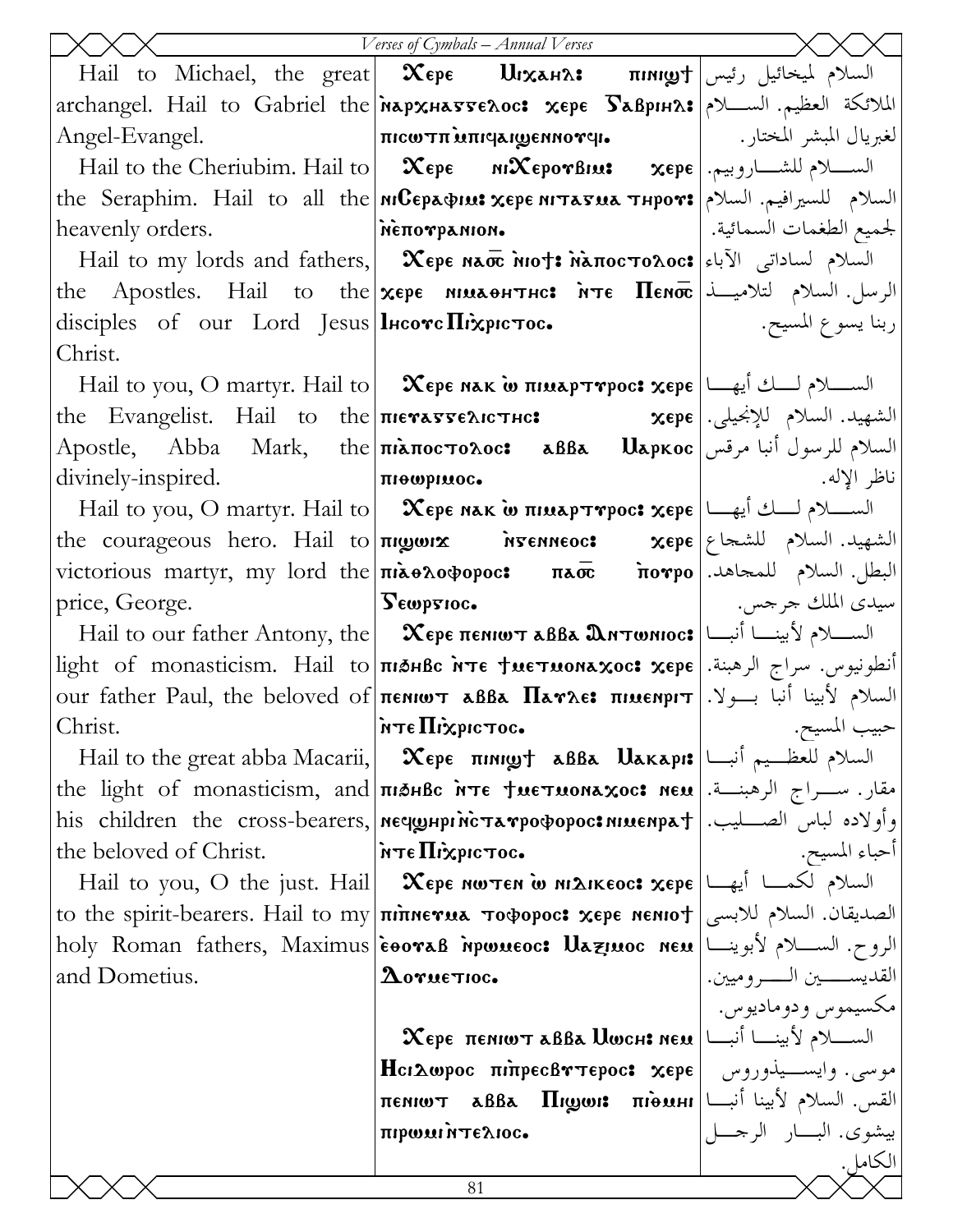|                                                 | Verses of Cymbals - Annual Verses                                                                                                                                  |                                                         |
|-------------------------------------------------|--------------------------------------------------------------------------------------------------------------------------------------------------------------------|---------------------------------------------------------|
|                                                 | Hail to Michael, the great $\propto$ $\mathcal{X}$ ере $\mathbf{U}$ السلام لميخائيل رئيس $\mathbf{I}$                                                              |                                                         |
|                                                 | archangel. Hail to Gabriel the Mapxнаттелос: хере Бавринл: الملائكة العظيم. الســـلام                                                                              |                                                         |
| Angel-Evangel.                                  |                                                                                                                                                                    |                                                         |
|                                                 | Hail to the Cheriubim. Hail to $\vert \mathbf{\propto}$ ере м $\mathbf{\propto}$ еро $\mathbf{\propto}$ вре $\vert$ . وبيم. [ $\mathbf{\propto}$ ере               |                                                         |
|                                                 | the Seraphim. Hail to all the MCEpapius xepe NITATUA THPOT: السلام للسيرافيم. السلام                                                                               |                                                         |
|                                                 | لجميع الطغمات السمائية.   ممركة معرفة متفسِّر معالجة معرفة من المتفسِّر من المتفسِّر العالجة من المت                                                               |                                                         |
|                                                 | Hail to my lords and fathers, <b>Χερε NATO MOT: MATOCTOAOC:</b> السلام لساداتي الآباء Hail to my lords and fathers, <b>Χερε NATO</b>                               |                                                         |
|                                                 | the Apostles. Hail to the <b>xepe MELAPTHC: NTE Henoc</b> University when $\mathbf{R}$ enocles. Hail to the $\mathbf{x}$ epe $\mathbf{R}$                          |                                                         |
| disciples of our Lord Jesus   lHcove Πιχριστος. |                                                                                                                                                                    | ربنا يسوع المسيح. ﴿ إِ                                  |
| Christ.                                         |                                                                                                                                                                    |                                                         |
|                                                 | Hail to you, O martyr. Hail to $\vert$ <b>Χερε κακ ω πιμαρτηρος: χερε</b> $\vert$ السلام لسلة أ                                                                    |                                                         |
|                                                 | the Evangelist. Hail to the πιεναντελιστικ: محتفيد. السلام للإنجيلي. the Evangelist. Hail to the πιεναντελιστικ                                                    |                                                         |
|                                                 | السلام للرسول أنبا مرقس Αpostle,    Abba    Mark,    the πὶѧποςтολος:    ѧββѧ    Uѧpκος                                                                            |                                                         |
| divinely-inspired.   Triewpruoc.                |                                                                                                                                                                    | ناظر الإله.                                             |
|                                                 | Hail to you, O martyr. Hail to $\vert$ $\infty$ ερε nak ω πιμαρτηρος: $x$ ερε $\vert$ الصلام لسلام لسلام ل                                                         |                                                         |
|                                                 | the courageous hero. Hail to πιωωιχ Myenneoc: xepe   بالشهيد. السلام للشحاع                                                                                        |                                                         |
|                                                 | victorious martyr, my lord the πιλθλοφορος: πλιποπρο πονρο   البطل. السلام للمحاهد.                                                                                |                                                         |
|                                                 |                                                                                                                                                                    |                                                         |
|                                                 | Hail to our father Antony, the $\vert$ $\mathbf{\chi}$ ερε πεκιωτ aBBa $\mathbf{\mathfrak{A}}$ Nτωκιοc: الســـلام لأبينـــا أنبـــا                                |                                                         |
|                                                 | light of monasticism. Hail to <b>The SHBC NTE TRETRONEXOC: XEPE</b> lequity . well                                                                                 |                                                         |
|                                                 | our father Paul, the beloved of <b>πεΝΙΟΥ αββα Παγλε: πιμεΝριτ</b>   السلام لأبينا أنبا بسولا.                                                                     |                                                         |
| Christ.                                         | inτεΠiχριστος.                                                                                                                                                     | حبيب المسيح.                                            |
|                                                 | Hail to the great abba Macarii, $\propto$ $\epsilon_{\rm p}$ $\kappa_{\rm p}$ $\kappa_{\rm p}$ $\kappa_{\rm p}$ $\kappa_{\rm p}$ $\kappa_{\rm p}$ $\kappa_{\rm p}$ |                                                         |
|                                                 | the light of monasticism, and <b>THALE NTE TUETUONEXOC: NEU</b> leage the light of monasticism, and <b>IndhBc</b> it is                                            |                                                         |
|                                                 | his children the cross-bearers, neqghpricTarpoopoc:nnuenpat . وأولاده لباس الصــــليب.                                                                             |                                                         |
| the beloved of Christ.                          | $\sim$ στοποιηχή Πενή                                                                                                                                              | أحباء المسيح.                                           |
|                                                 | Hail to you, O the just. Hail   Жере мотем о михикеос: хере  السلام لكمسا أيها                                                                                     |                                                         |
|                                                 | to the spirit-bearers. Hail to my πιπηετια τοφορος: χερε nento f   الصديقان. السلام للابسى                                                                         |                                                         |
|                                                 | holy Roman fathers, Maximus eooraB mpwueoc: Աazinoc neu الروح. الســــلام لأبوينـــا                                                                               |                                                         |
| and Dometius.                                   | $\boldsymbol{\Delta}$ oruetioc.                                                                                                                                    | القديســـــــين الـــــــروميين.<br>مکسیموس و دومادیوس. |
|                                                 |                                                                                                                                                                    |                                                         |
|                                                 |                                                                                                                                                                    |                                                         |
|                                                 | موسى. وايســيذوروس   Ηcιλωpoc πιπρεcβγτεpoc: xepe                                                                                                                  |                                                         |
|                                                 | $\pi$ enio $\tau$ abba $\prod$ igon: $\pi$ i $\theta$ uhi $\pi$ i<br>πιρωμιήτελιος.                                                                                | بيشوى. البسار الرجمـــل                                 |
|                                                 |                                                                                                                                                                    | الكامل.                                                 |
|                                                 | 81                                                                                                                                                                 |                                                         |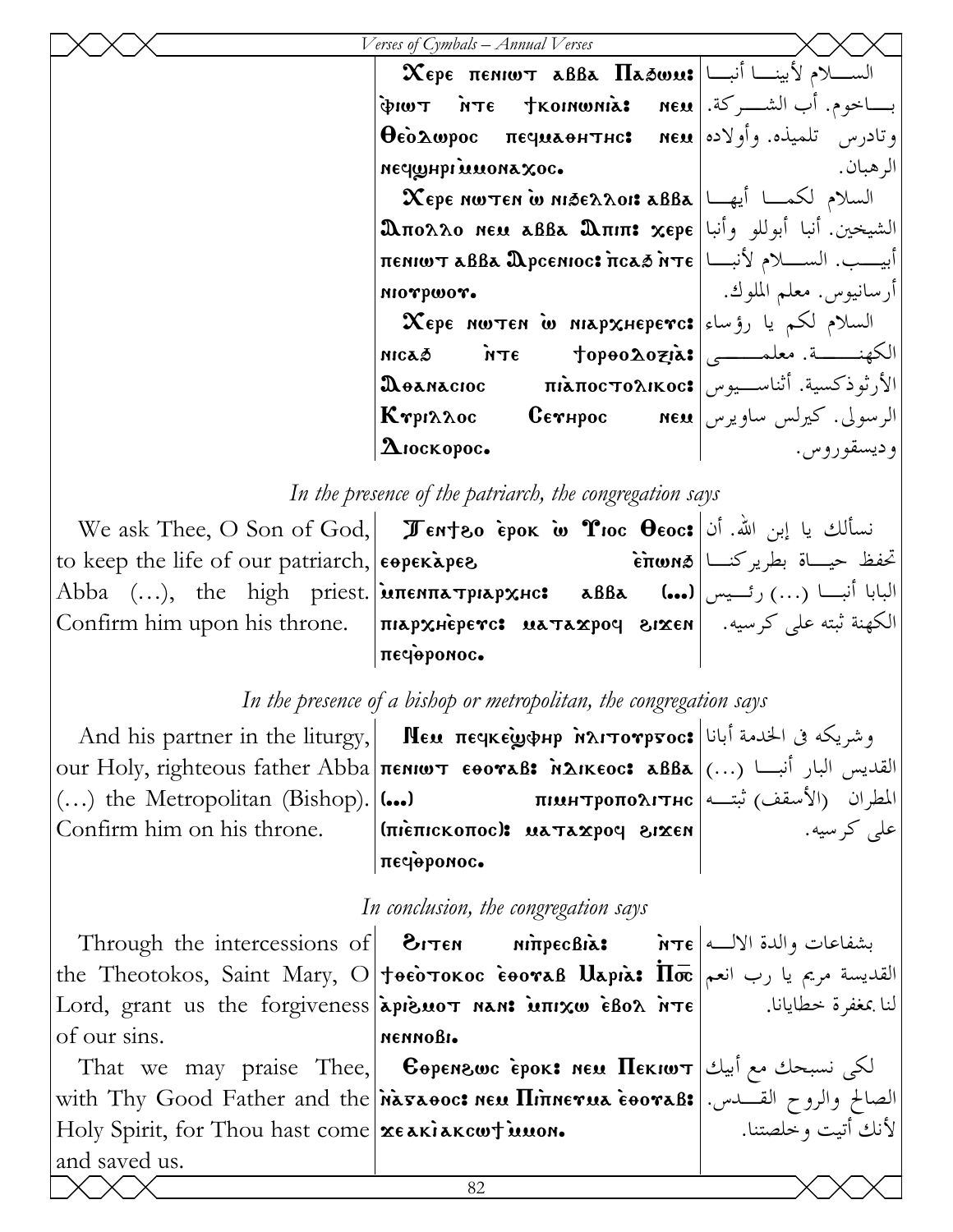| Verses of Cymbals – Annual Verses                                                                                                                        |                            |
|----------------------------------------------------------------------------------------------------------------------------------------------------------|----------------------------|
| $\chi_{\rm cpe}$ $\chi_{\rm cpe}$ $\chi_{\rm cpe}$ $\chi_{\rm cpe}$ $\chi_{\rm cpe}$ $\chi_{\rm cpe}$ $\chi_{\rm cpe}$ $\chi_{\rm cpe}$ $\chi_{\rm cpe}$ |                            |
| بســاخوم. أب الشـــركة. πει βιωτ ivτε tkomωnia: neu                                                                                                      |                            |
| $\Theta$ εδλωρος πεςμιλθητης: neu (او لاده) κέρλωρος πεςμιλθητης:                                                                                        |                            |
| оох зноми терени                                                                                                                                         | الر هبان.                  |
| $\mathbf X$ ере иштен ш мібе $\lambda$ лоі: авва $ \Box_{\mathbb A}\Box $ السلام لكمـــا أيهـــا                                                         |                            |
| $\mathbf{\mathfrak{A}}$ πολλο new aββa $\mathbf{\mathfrak{A}}$ πιπ: χερε الشيخين. أنبا أبوللو وأنبا                                                      |                            |
| TENIWT ABBA APCENIOC: πcaδ ήτε  زيسب. السلام لأنبا                                                                                                       |                            |
| MIOTPWOT.                                                                                                                                                | أرسانيوس. معلم الملوك.     |
| $\bm{\chi}$ epe nw $\bm{\tau}$ en w niap $\bm{\chi}$ неретс: السلام لكم يا رؤساء                                                                         |                            |
|                                                                                                                                                          |                            |
| الأرثوذكسية. أثناســـيوس πιλποςτολικος   πιλπο                                                                                                           |                            |
| $\kappa$ етри $\lambda$ ос Сетнрос                                                                                                                       | الرسولي. كيرلس ساويرس  NEU |
| $\boldsymbol{\Delta}$ іоскорос.                                                                                                                          | و ديسقو روس.               |

 *In the presence of the patriarch, the congregation says* 

|                                                                                                               | انسألك يا إبن الله. أن   We ask Thee, O Son of God,   Демтео ѐрок ம் Тюс Оеос: |                             |
|---------------------------------------------------------------------------------------------------------------|--------------------------------------------------------------------------------|-----------------------------|
| to keep the life of our patriarch, $\epsilon$ operapes                                                        |                                                                                | تحفظ حيساة بطريركنسا Επωνιδ |
| البابا أنبـــا (…) رئـــيس Abba   (…),   the   high   priest. אות пеитатриархнс:   авва    (…) رئـــيس المساء |                                                                                |                             |
| الكهنة ثبته على كرسيه. [Confirm him upon his throne. [пюрхнеретс: wa¬axpoq sixen] الكهنة ثبته على كرسيه.      |                                                                                |                             |
|                                                                                                               | песеромос.                                                                     |                             |

## *In the presence of a bishop or metropolitan, the congregation says*

And his partner in the liturgy, Mευ πεςκεςωφμρ κλιτονρτος: الخدمة أبانا ا $\lambda$ ιτονρτος our Holy, righteous father Abba|πεΝΙωτ εθονaβ: ألقديس البار أنبـــا (...)  $(...)$  the Metropolitan (Bishop).  $|(...)|$ Confirm him on his throne. (الأسقف) ثبتــه | пімнтропо $\Lambda$ ітнс ثبتــه | пімнтропо $\Lambda$ ітнс (nienickonoc): nataxpoq eixen πες<br />
πες<br />
πες<br />
πες<br />
πες<br />
πες<br />
πες<br />
πες<br />
πες<br />
πες<br />
πες<br />
πες<br />
πες<br />
πες<br />
πες<br />
πες<br />
πες<br />
πες<br />
πες<br />
πες<br />
πες<br />
πες<br />
π على كرسيه.

#### *In conclusion, the congregation says*

82 Through the intercessions of **EITEN** the Theotokos, Saint Mary, О $|$ †өѐотокос ̀е́өо $\bm{v}$ ав  $\bm{\mathrm{U}}$ арı̀а:  $\bm{\mathrm{I\!T\bar{c}}}\,$  القديسة مريم يا رب انعم Lord, grant us the forgiveness apieuot nan: iunixw ebox ite of our sins. ni<del>n</del>pecBia: nennobi. بشفاعات والدة الالـه لنا بمغفرة خطايانا. That we may praise Thee, Eqren\wc `erok> nem Pekiwt لكى نسبحك مع أبيك with Thy Good Father and the <mark>indsaooc: neu Піпнетиа ̀eooraß:</mark> الصالح والروح القـــدس. Holy Spirit, for Thou hast come xeakiakcwt innon. and saved us. لأنك أتيت وخلصتنا.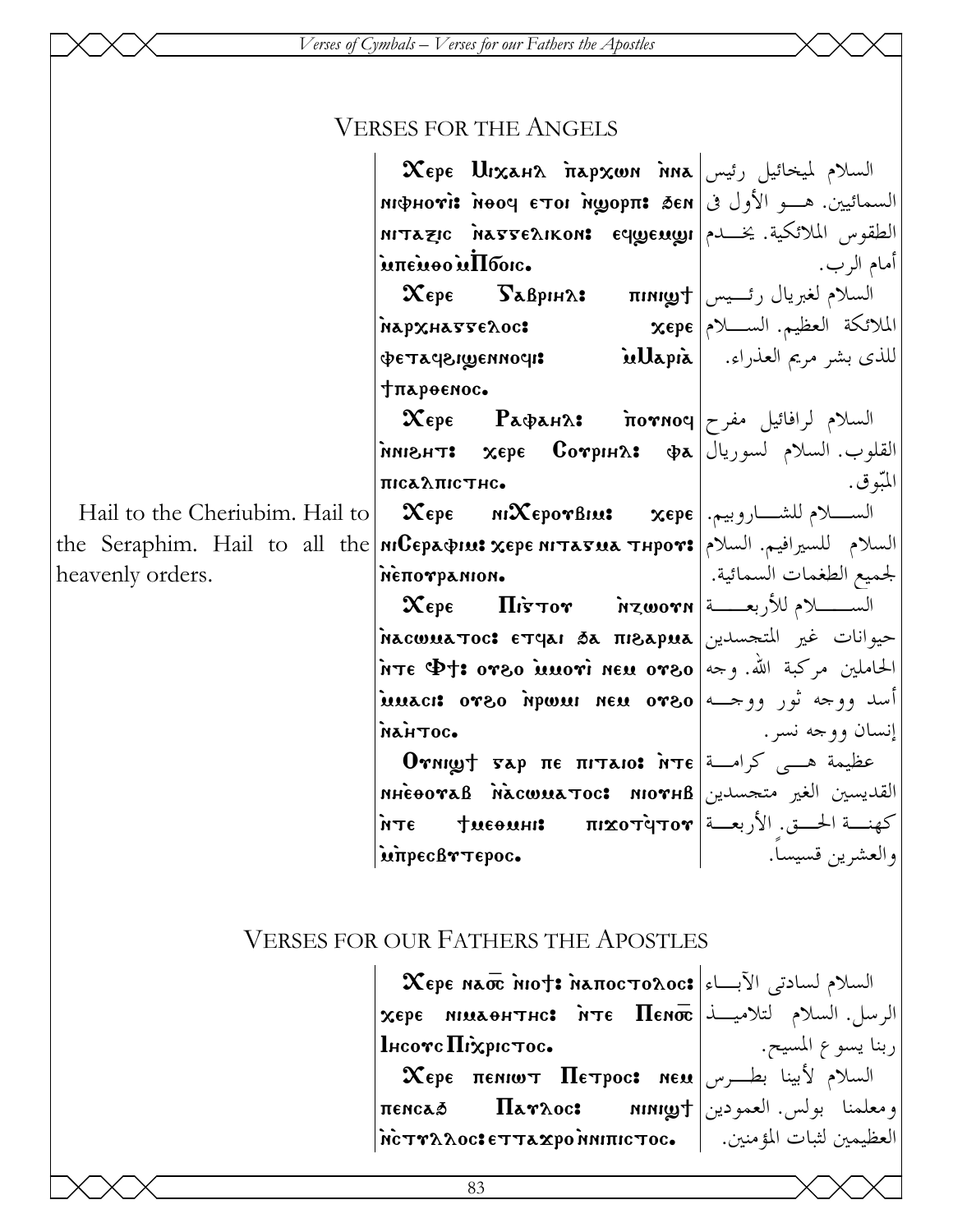## VERSES FOR THE ANGELS

 $\bm{\mathsf{X}}$ ере  $\bm{\mathsf{U}}$ і $\bm{\mathsf{x}}$ ан $\bm{\mathsf{\Lambda}}$  ітар $\bm{\mathsf{x}}$ юм і́ма  $\mid$ رئيس  $\bm{\mathsf{X}}$ السمائيين. هــو الأول في міфно**ті і**рорп**і** бем 'етоі прорп nitazic dastenikon: equeuugi sii siikitali mata  $\mathbf{\dot{m}}$ e $\mathbf{\dot{m}}$ oo $\mathbf{\dot{m}}$ lboic.  $\boldsymbol{\chi}$ epe  $\boldsymbol{\mathrm{S}}$ аврін $\boldsymbol{\mathsf{\Lambda}}$ : пімі $\boldsymbol{\mathrm{g}}$ т $\vdash$  رئـــيس  $\boldsymbol{\mathrm{g}}$ `Napxha55e2oc: vetaf\i]ennofi> `mMari`a ;parqenoc.  $\boldsymbol{\mathrm{\chi}}$ ере Рафан $\boldsymbol{\mathrm{a}}$ : תושולم لرافائيل مفرح القلوب. السلام لسوريال| хере Сотрин $\alpha$ : фа  $\pi$ ica $\lambda$  $\pi$ ic $\tau$ hc. Hail to the Cheriubim. Hail to the Seraphim. Hail to all the <mark>niCepaspius xepe nitasua thpors</mark> (السلام للسيرافيم. السلام للسيرافيم.  $\boldsymbol{\mathsf{X}}$ epe ni $\boldsymbol{\mathsf{X}}$ epo $\boldsymbol{\mathsf{v}}$ bius  $\boldsymbol{\mathsf{x}}$ epe الســـــلام للشـــــاروبيم. NETTO TRANION.

 $\bm{\chi}$ epe  $\Pi$ i $\bm{\tau}$ or ivzwo $\bm{r}$ a k $\downarrow$ الســــــــلام للأربعــــــة حيوانات غير المتجسدين|Σκacwuaπoc: eτqai sa πisapua `nte V;> ou\o `mmou`i nem ou\o الحاملين مركبة االله. وجه أسد ووجه ثور ووجـه|stuaci: orso npwur neu orso `na`htoc.

Отиішт тар пе пітаіо: йтє حظيمة هـــى كرامـــة) nhèooraß diacwuatoc: niorhb bixan ilial norhb hacwuato كهنــة الحــق. الأربعــة| тихот̀qтот و фите дате inpecBrTepoc.

أمام الرب. الملائكة العظيم. السـلام للذى بشر مريم العذراء. المبّوق. لجميع الطغمات السمائية. إنسان ووجه نسر. والعشرين قسيساً.

ربنا يسوع المسيح.

## VERSES FOR OUR FATHERS THE APOSTLES

heavenly orders.

 $\bm{\chi}$ ере на $\bm{\overline{w}}$  пот $\bm{\ast}$  напосто $\bm{\Lambda}$ ос $\bm{\ast}$  السلام لسادتى الآبــاء xere nimaqhthc> `nte Pen\_ الرسل. السلام لتلاميـذ  $l$ нсотс $\Pi$ іхрістос.  $\boldsymbol{\chi}$ epe  $\boldsymbol{\pi}$ eniw $\boldsymbol{\tau}$   $\boldsymbol{\Pi}$ e $\boldsymbol{\tau}$ poc: ne $\boldsymbol{\mu}$  السلام لأبينا بطـــرس penca' Pauloc> nini]; ومعلمنا بولس. العمودين العظيمين لثبات المؤمنين. | .mc̀тዮλλοc:εтта $\mathbf x$ ро̀ниπιстос |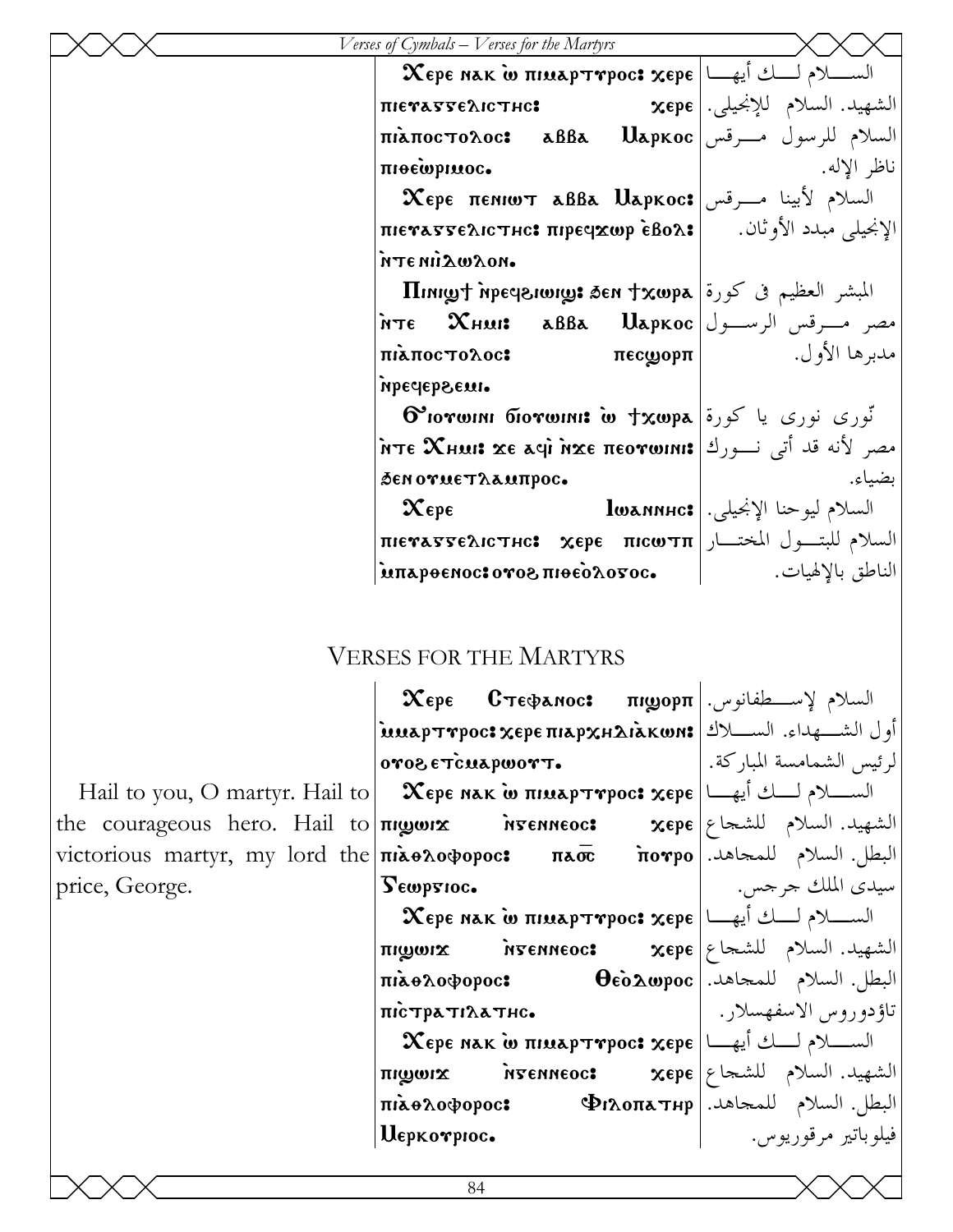| $\sigma$ of Cymoals $-$ V erses for the iviarityrs                             |                                                                                                                                                                          |
|--------------------------------------------------------------------------------|--------------------------------------------------------------------------------------------------------------------------------------------------------------------------|
|                                                                                |                                                                                                                                                                          |
| пієтабъєлістнс <b>:</b>                                                        | الشهيد. السلام للإنجيلي. XEPE                                                                                                                                            |
| السلام للرسول مـــرقس Πιλποςτολος: aßβa Uapkoc                                 |                                                                                                                                                                          |
| піоефрімос.                                                                    | ناظر الإله.                                                                                                                                                              |
| $\bm{\chi_{\epsilon}}$ السلام لأبينا مــرقس Хєрє пємют авва $U$ аркос $\bm{s}$ |                                                                                                                                                                          |
| الإنجيلي مبدد الأوثان. Πιεναστελιστικ: πηρεqχωρ εβολ:                          |                                                                                                                                                                          |
| •πολωλών τή                                                                    |                                                                                                                                                                          |
| $\Pi$ المبشر العظيم في كورة   Tiningt mpeqsiong: 3en $\tau$ xwpa               |                                                                                                                                                                          |
| $\overline{\text{MTE}}$ مصر مسرقس الرســول Dapkoc مصر مسرقس الرســول           |                                                                                                                                                                          |
| πιλπος τολος:                                                                  | $\pi$ ec $\boldsymbol{\mathsf{u}}$ op $\boldsymbol{\pi}$   $\boldsymbol{\mathsf{u}}$   $\boldsymbol{\mathsf{u}}$   $\boldsymbol{\mathsf{u}}$   $\boldsymbol{\mathsf{u}}$ |
| пресераемь                                                                     |                                                                                                                                                                          |
| $\mathbf{\Theta}$ וות ботшин: w †хωра آنوری یا کورة ان نوری یا کورها           |                                                                                                                                                                          |
| مصر لأنه قد أتى نـــورك жтє Жнш: хє дер пєотонн:                               |                                                                                                                                                                          |
| δεη ογμετλαμπρος.                                                              | بضياء.                                                                                                                                                                   |
| $\mathbf{\chi}_{\epsilon \mathrm{p} \epsilon}$                                 | السلام ليوحنا الإنجيلي. [ lwannнc:                                                                                                                                       |
| السلام للبتـول المختـار πιεγαστελιστικ: χερε πιςωτπ                            |                                                                                                                                                                          |
| απερθεπος: ονος πιθεόλονος.                                                    | الناطق بالإلهيات.                                                                                                                                                        |
|                                                                                |                                                                                                                                                                          |

## VERSES FOR THE MARTYRS

J.

|                                                                                     | $\bm{\chi_{\epsilon}}$ السلام لإســــطفانوس.   Хере     С $\bm{\tau}$ ефалос:     пирор $\bm{\pi}$                              |                            |
|-------------------------------------------------------------------------------------|---------------------------------------------------------------------------------------------------------------------------------|----------------------------|
|                                                                                     | أول الشـــهداء. الســـلاك xuapT۳poc: χερε πιapχнΔιaκωn: المســـلاك )                                                            |                            |
|                                                                                     | oro& ercuapwort.                                                                                                                | لرئيس الشمامسة المباركة. [ |
|                                                                                     | Hail to you, O martyr. Hail to $\vert$ Xepe nak ω πιμαρτηρος: χερε $\vert$ السلام لــــك أيهــــا                               |                            |
| the courageous hero. Hail to  $\pi$ yenneoc: $\pi$ $\pi$ epe  الشهيد. السلام للشجاع |                                                                                                                                 |                            |
| victorious martyr, my lord the πιλθλοφορος: πλιπό πονρο . البطل. السلام للمجاهد.    |                                                                                                                                 |                            |
| price, George.                                                                      | Lembrioc.                                                                                                                       | سيدي الملك جرجس.           |
|                                                                                     |                                                                                                                                 |                            |
|                                                                                     | $\pi$ الشهيد. السلام للشحاع   xepe روم معنى بن معند السلام للشحاع                                                               |                            |
|                                                                                     | $\vec{n}$ البطل. السلام للمجاهد. $\vec{\theta}$ $\vec{\theta}$ $\vec{\theta}$ $\vec{\theta}$ $\vec{n}$ $\vec{n}$ $\vec{\theta}$ |                            |
|                                                                                     | πιστρατιλατης.                                                                                                                  | تاؤدوروس الاسفهسلار .      |
|                                                                                     |                                                                                                                                 |                            |
|                                                                                     | $\pi$ الشهيد. السلام للشجاع   xepe وسعة متابع الشهيد.                                                                           |                            |
|                                                                                     | $\overline{\text{max}}$ 9) البطل. السلام للمجاهد. $\Phi$ ו $\Lambda$ ס $\pi$ 7Hp                                                |                            |
|                                                                                     | Uepkorpioc.                                                                                                                     | فيلو باتير مرقوريوس.       |
|                                                                                     |                                                                                                                                 |                            |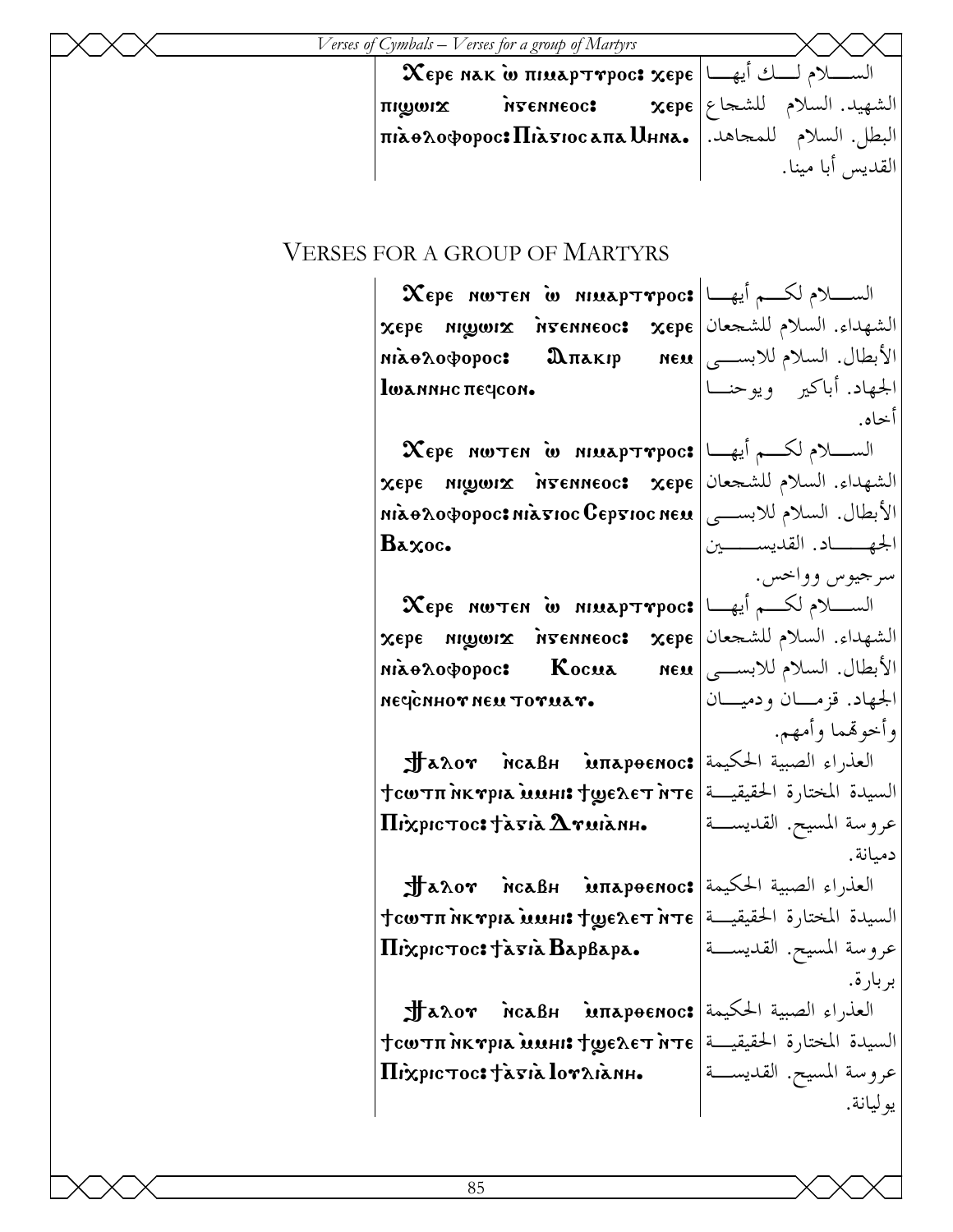$\bm{\chi}$ epe nak w  $\bm{\pi}$ imap $\bm{\tau}$ rpoc:  $\bm{\chi}$ epe  $\left|\left.\bm{\omega}\right|\right|$ الســـــلام لــــك أيهـــا priments interneoc:  $\pi$ البطل. السلام للمجاهد. $\mid$  hià $\theta$ 20  $\varphi$ o $\varphi$ opoc:  $\Pi$ ià $\pi$ 10 a $\pi$ a Uhna.

الشهيد. السلام للشجاع القديس أبا مينا.

الجهاد. أباكير ويوحنـا

الجهــاد. القديســين

الجهاد. قزمـان ودميـان

وأخوهتما وأمهم.

دميانة.

بربارة.

يوليانة.

سرجيوس وواخس.

أخاه.

## VERSES FOR A GROUP OF MARTYRS

 $\bm{\chi}$ epe nwten w niuaptrpoc: الســـلام لكــــم أيهـــا xere ni]wij `ngenneoc> xere الشهداء. السلام للشجعان niao2oopopoc: Дпакір lwannhc *necicon*. الأبطال. السلام للابسـى

 $\bm{\chi}$ epe nwten w niuaptrpoc: الســــلام لكـــــم أيهـــا xere ni]wij `ngenneoc> xere الشهداء. السلام للشجعان الأبطال. السلام للابســـى| mixə $\alpha$ o $\varphi$ opoc: nix $\mathbf{z}$ ıoc Gep $\mathbf{x}$ ıoc ne $\mathbf{u}$ Baxoc.

 $\bm{\chi}$ epe nwten w niuaptrpoc: الســـلام لكــــم أيهـــا xere ni]wij `ngenneoc> xere الشهداء. السلام للشجعان niao2oopopoc: Kocua negenhor neu toruar. الأبطال. السلام للابسـى

**Jahov incaBh imapoenoc: العذراء الصبية الحكيمة** לאשע **i**nk $\mathbf r$ pla שרא $\mathbf r$ inte 'طقيقيــة' | те  $\Pi$ ixpictoc: tagia  $\Delta$ ruianh. عروسة المسيح. القديسـة

**Jahov incaBh imapoenoc: العذراء الصبية الحكيمة** לאשאת **ht r**pia שוואג לעשב לשבאב לשפאל לвелет ите לשבאב д $\epsilon$  $\Pi$ ixpictoc: tagia BapBapa. عروسة المسيح. القديسـة

**JJ**aλor McaBh intapoenoc:|العذراء الصبية الحكيمة לאשע **i**nk $\mathbf r$ pla שרא $\mathbf r$ inte 'طقيقيــة' | те Hixpictoc: tagia loraianh.

عروسة المسيح. القديسـة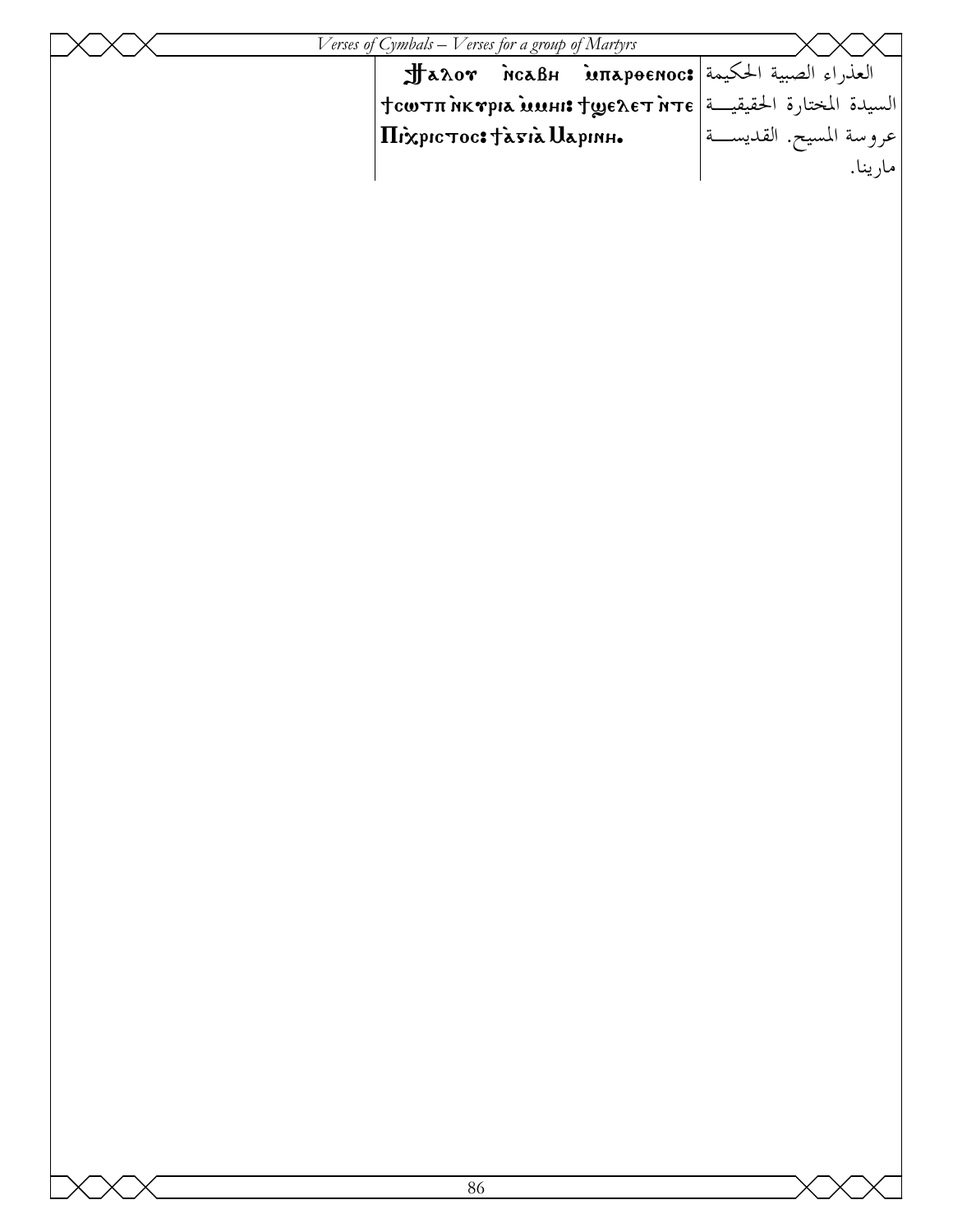| Verses of Cymbals – Verses for a group of Martyrs                                           |                           |
|---------------------------------------------------------------------------------------------|---------------------------|
| العذراء الصبية الحكيمة Jaλor McaBH Mπapoenoc: العذراء الصبية الحكيمة                        |                           |
| $\vert$ السيدة المختارة الحقيقيـــة $\vert$ эте السيدة المختارة الحقيقيـــة   Нсотп̀мктрю ) |                           |
| $ \Pi$ ixpic $\tau$ oc: tàsia Uapınh.                                                       | عروسة المسيح. القديســـة' |
|                                                                                             | مار ينا.                  |
|                                                                                             |                           |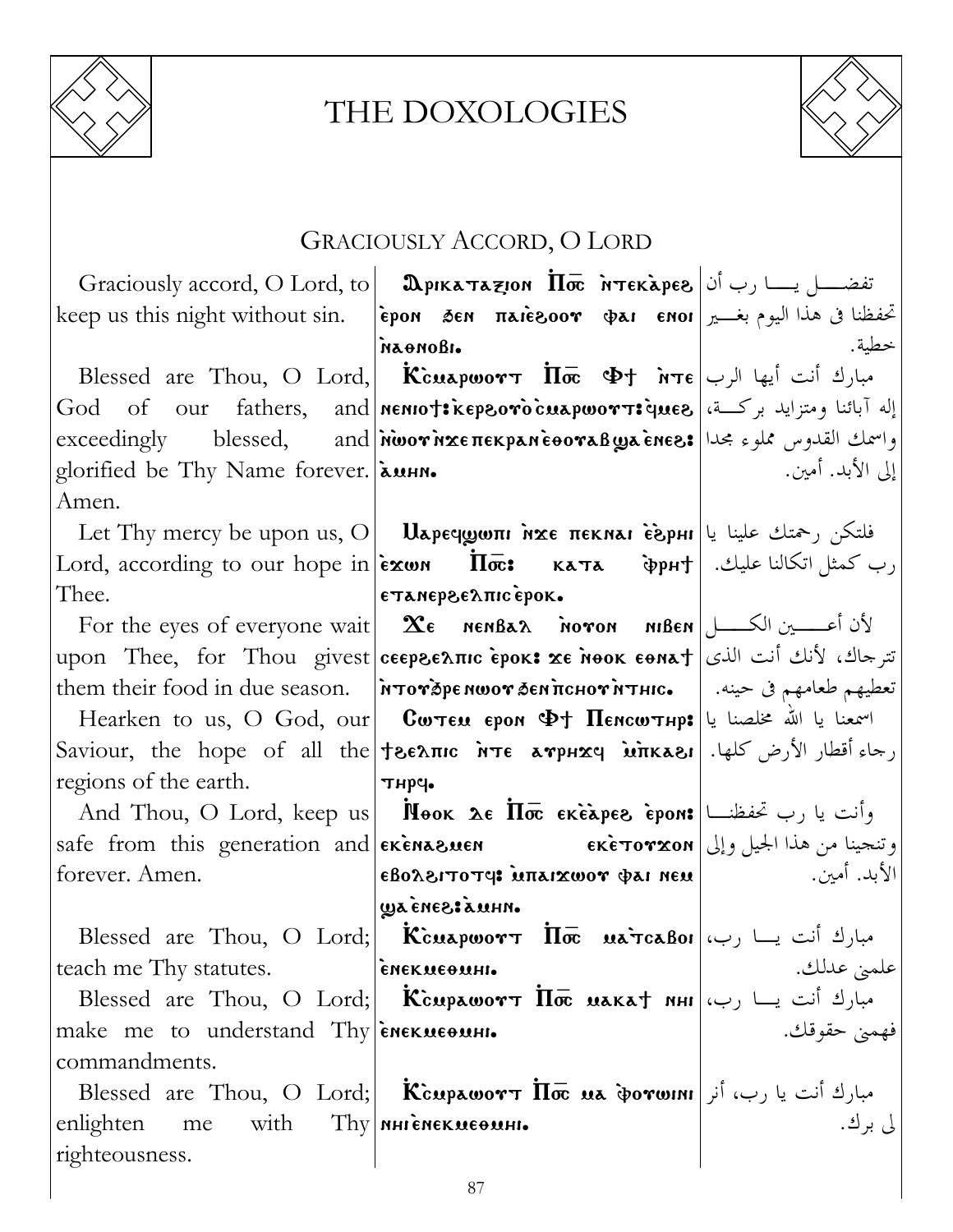

## THE DOXOLOGIES



## GRACIOUSLY ACCORD, O LORD

|                                                         | Graciously accord, O Lord, to   Ωρικαταγιοη Πσε Ντεκλρεδ $ \psi\rangle$ (جا $ \psi\rangle$ is set of the Usia of Denotes in Tex                                                                                                                                                                          |                  |
|---------------------------------------------------------|----------------------------------------------------------------------------------------------------------------------------------------------------------------------------------------------------------------------------------------------------------------------------------------------------------|------------------|
| keep us this night without sin.                         | $\epsilon$ تحفظنا في هذا اليوم بغـــــــير  epon $\delta$ en $\pi$ aie enor)                                                                                                                                                                                                                             |                  |
|                                                         | паоновы                                                                                                                                                                                                                                                                                                  | خطية.            |
|                                                         | Blessed are Thou, O Lord, Kcuapwort $\overline{\Pi} \overline{\sigma}$ $\Phi$ t $\overline{\eta}$ $\tau \epsilon$ $\vert$ بارك أنت أيها الرب                                                                                                                                                             |                  |
|                                                         | [إله آبائنا ومتزايد بركــة،  God of our fathers, and nenio†: kepsoro cuapworT: إله آبائنا ومتزايد بركــة،                                                                                                                                                                                                |                  |
|                                                         | exceedingly blessed, and <i>i</i> wor <i>n</i> xe πεκρανιέθονα Busines: القدوس مملوء مجدا   exceedingly                                                                                                                                                                                                  |                  |
| glorified be Thy Name forever. [амни.                   |                                                                                                                                                                                                                                                                                                          | إلى الأبد. أمين. |
| Amen.                                                   |                                                                                                                                                                                                                                                                                                          |                  |
|                                                         | Let Thy mercy be upon us, O   $\bf{U}$ Аречротн ихе пекнан едрнн المعرفة علينا يا                                                                                                                                                                                                                        |                  |
|                                                         | Lord, according to our hope in $ \tilde{\epsilon} \times \omega $ (ب كمثل اتكالنا عليك.   Дота, ассогдит поре in $ \tilde{\epsilon} \times \omega $                                                                                                                                                      |                  |
| Thee.                                                   | εταπερεελπις έροκ.                                                                                                                                                                                                                                                                                       |                  |
|                                                         | For the eyes of everyone wait $\ \mathbf{x}_{\epsilon}\ $ <b>And Serveryone wait</b> $\ \mathbf{x}_{\epsilon}\ $                                                                                                                                                                                         |                  |
|                                                         | تترجاك، لأنك أنت الذي   upon Thee, for Thou givest ceepseλπις εροκ: xe Nook εθΝα +                                                                                                                                                                                                                       |                  |
|                                                         | them their food in due season.  мтотаремшот денистот итнис.   معطيهم طعامهم فى حينه.                                                                                                                                                                                                                     |                  |
|                                                         | Hearken to us, O God, our <b>Corea epon <math>\Phi</math>† Пенситнр:</b> اسمعنا یا الله مخلصنا یا الله ا                                                                                                                                                                                                 |                  |
|                                                         | Saviour, the hope of all the teenic <b>NTE arpHXq inKasi</b> Jet (الأرض كلها. Saviour, the hope of all the teenic <b>NTE</b>                                                                                                                                                                             |                  |
| regions of the earth.                                   | тнрч.                                                                                                                                                                                                                                                                                                    |                  |
|                                                         | And Thou, O Lord, keep us <b>  Nook λε Πσε εκέλρεδ έροn:</b>   رب تحفظنــا   And Thou, O Lord, keep us                                                                                                                                                                                                   |                  |
|                                                         | وتنجينا من هذا الجيل وإلى  safe from this generation and  ekenasuen              ekeтorxon الجيل وإلى                                                                                                                                                                                                    |                  |
| forever. Amen.                                          | $\mathcal{E}$ الأبد. أمين. $\mathbf{u}$ = $\mathbf{u}$ = $\mathbf{u}$ = $\mathbf{u}$ = $\mathbf{u}$ = $\mathbf{u}$ = $\mathbf{u}$ = $\mathbf{u}$ = $\mathbf{u}$ = $\mathbf{u}$ = $\mathbf{u}$ = $\mathbf{u}$ = $\mathbf{u}$ = $\mathbf{u}$ = $\mathbf{u}$ = $\mathbf{u}$ = $\mathbf{u}$ = $\mathbf{u}$ = |                  |
|                                                         | ununs tsana aw                                                                                                                                                                                                                                                                                           |                  |
|                                                         | Blessed are Thou, O Lord; <b>Kcuapwort <math>\Pi \overline{\mathbf{\in}}</math> uarcaboi</b> (صبارك أنت يسا رب،                                                                                                                                                                                          |                  |
| teach me Thy statutes.                                  | емекмеетни•                                                                                                                                                                                                                                                                                              | علميٰ عدلك.      |
|                                                         | Blessed are Thou, O Lord; <b>Kcupawort <math>\Pi</math>oe</b> wakat NHI (صبارك أنت يــا رب                                                                                                                                                                                                               |                  |
| make me to understand Thy $\epsilon$ nex $\alpha$ even. |                                                                                                                                                                                                                                                                                                          | فهمني حقوقك.     |
| commandments.                                           |                                                                                                                                                                                                                                                                                                          |                  |
|                                                         | Blessed are Thou, O Lord; Kcupawor $\overline{\text{II}\bar{\sigma}}$ ua dorwini أنر $\sim$ hilossed are Thou, O Lord; Kcupawor $\overline{\text{II}\bar{\sigma}}$                                                                                                                                       |                  |
| enlighten<br>me with Thy NHI сиские омн.                |                                                                                                                                                                                                                                                                                                          | لى برك.          |
| righteousness.                                          |                                                                                                                                                                                                                                                                                                          |                  |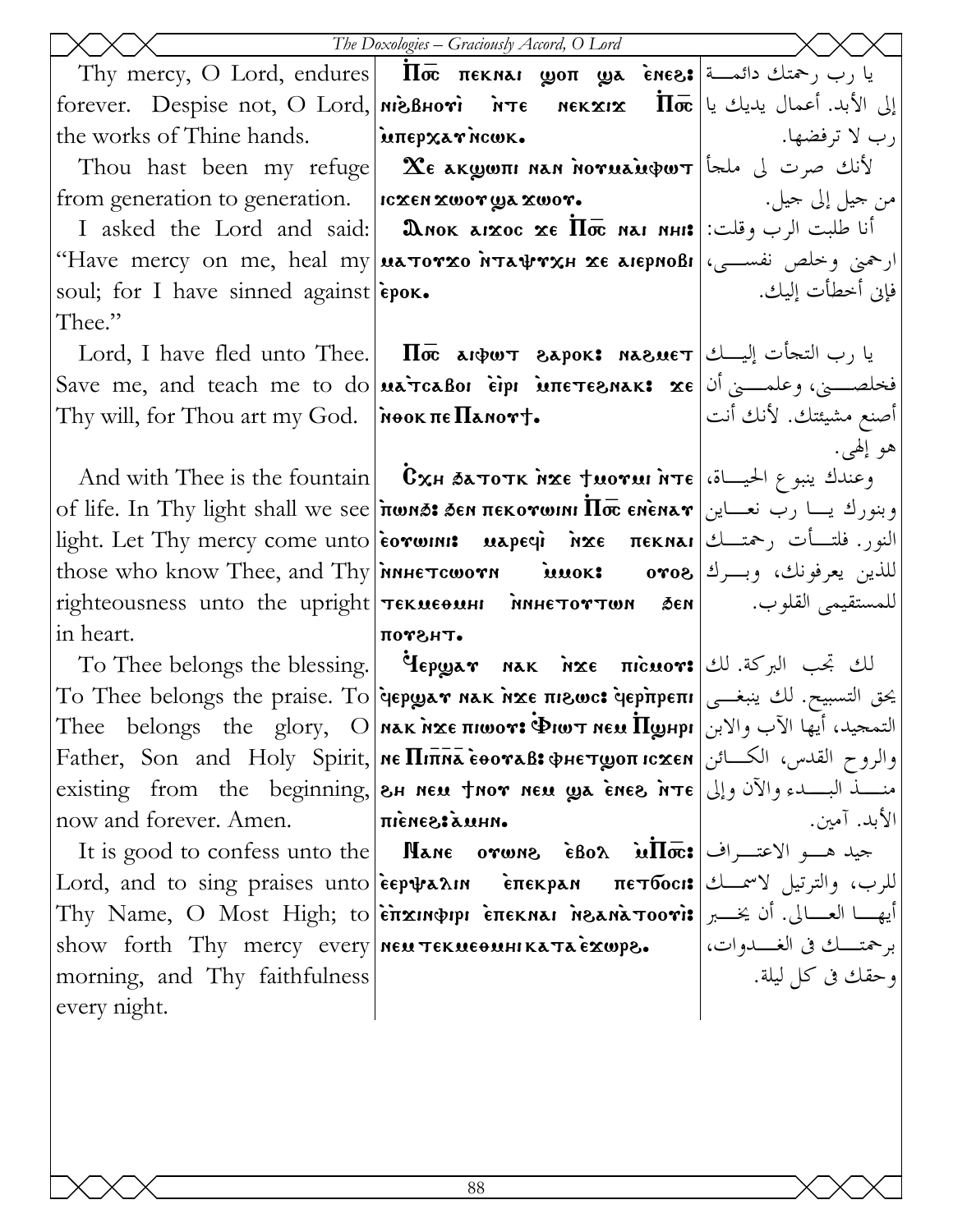|                                                                 | The Doxologies - Graciously Accord, O Lord                                                                                                                                                                    |                       |
|-----------------------------------------------------------------|---------------------------------------------------------------------------------------------------------------------------------------------------------------------------------------------------------------|-----------------------|
|                                                                 | Thy mercy, O Lord, endures <b>II</b> $\overline{\mathbf{a}}$ <b>III</b> $\overline{\mathbf{a}}$ <b>EXIVE 1998</b> $\overline{\mathbf{a}}$ are $\mathbf{a}$ and $\mathbf{a}$                                   |                       |
|                                                                 | forever. Despise not, O Lord, MigBHori MTE MEKXIX $\overline{\Pi}$ ت الأبد. أعمال يديك يا                                                                                                                     |                       |
| the works of Thine hands. <b>Example 22 Auroran</b> ce Views.   |                                                                                                                                                                                                               | رب لا ترفضها.         |
|                                                                 | Thou hast been my refuge   $\mathbf{\hat{x}}$ e akwwiti nan noruau $\phi$ w $\tau$  أنك صرت لى ملحأ                                                                                                           |                       |
| from generation to generation.  ICXEN XWOTUA XWOT.              |                                                                                                                                                                                                               |                       |
|                                                                 | I asked the Lord and said: <b>D</b> . Mok arxoc xe $\Pi$ oc nar nhi: أنا طلبت الرب وقلت:                                                                                                                      |                       |
|                                                                 | "Have mercy on me, heal my นลтотхо нтафтхн хе аюрнові ارحمني وخلص نفســي،                                                                                                                                     |                       |
| soul; for I have sinned against epox.                           |                                                                                                                                                                                                               | فإن أخطأت إليك.       |
| Thee."                                                          |                                                                                                                                                                                                               |                       |
|                                                                 | Lord, I have fled unto Thee. <b>II</b> <sub>o</sub> are are <b>Export: NALL MAGE I</b> Lord, I have fled unto Thee. <b>II</b> <sub>o</sub> are vert as port: $\mathbf{R}$                                     |                       |
|                                                                 | Save me, and teach me to do <b>uarcaBor eipr intertesnak: xe</b> أنا   Save me, and teach me to do                                                                                                            |                       |
| Thy will, for Thou art my God. $\vert$ <b>NOOK THE TRANOTT.</b> |                                                                                                                                                                                                               | أصنع مشيئتك. لأنك أنت |
|                                                                 |                                                                                                                                                                                                               | هو إلهي.              |
|                                                                 | And with Thee is the fountain <b>CxH SATOTK NXE TWOYMI NTE</b> (الحيساة، And with Thee is the fountain                                                                                                        |                       |
|                                                                 | of life. In Thy light shall we see πωмన: бем пекотωии По емѐмат وبنورك يـــا رب نعـــاين                                                                                                                      |                       |
|                                                                 |                                                                                                                                                                                                               |                       |
|                                                                 | those who know Thee, and Thy innet cworn innok: oros 3. وبسرك الله الله عرفونك، وبسرك ال                                                                                                                      |                       |
|                                                                 |                                                                                                                                                                                                               |                       |
| in heart.                                                       | потант.<br>To Thee belongs the blessing. <b>Hepway</b> nak $n \times e$ $\pi$ icuor: الك تجب البركة. لك                                                                                                       |                       |
|                                                                 | To Thee belongs the praise. To <b>[depwear nak nxe πιεως: depπpeπι</b>   يحق التسبيح. لك ينبغــى                                                                                                              |                       |
|                                                                 |                                                                                                                                                                                                               |                       |
|                                                                 | Father, Son and Holy Spirit, NE <i>Hinna</i> EboraB: PHETWON ICXEN USLA, Son and Holy Spirit, NE Hinna EboraB: PHETWON                                                                                        |                       |
|                                                                 | existing from the beginning,  2H NEN JNOT NEN WA ENES NTE   وإلى   existing from the beginning,  2H Nen ven we                                                                                                |                       |
| now and forever. Amen.                                          | <b>MHUÁ</b> :S3MJIN                                                                                                                                                                                           | الأبد. آمين.          |
|                                                                 | Tt is good to confess unto the <b>Nane orwns</b> $\hat{\epsilon}$ 802 $\hat{\boldsymbol{\mu}}$ $\overline{\boldsymbol{\mu}}$ $\overline{\boldsymbol{\sigma}}$ : الاعتـــراف The section of $\boldsymbol{\mu}$ |                       |
|                                                                 | للرب، والترتيل لاسمـــك  Lord, and to sing praises unto εερψαλιn    επεκραn    πεπδοει: [للرب، والترتيل لاسمـــك                                                                                              |                       |
|                                                                 | أيهـــا العـــالي. أن يخـــبر Thy Name, O Most High; to ὲπxɪnφɪpɪ ὲπεκnaɪ n̄sanàтoori: أيهـــا العـــالي. أن                                                                                                  |                       |
|                                                                 | show forth Thy mercy every   MEN TEKNEONHIKATAEXWP8. إرجمتـــك في الغـــدوات،                                                                                                                                 |                       |
| morning, and Thy faithfulness                                   |                                                                                                                                                                                                               | وحقك في كل ليلة.      |
| every night.                                                    |                                                                                                                                                                                                               |                       |
|                                                                 |                                                                                                                                                                                                               |                       |
|                                                                 |                                                                                                                                                                                                               |                       |
|                                                                 |                                                                                                                                                                                                               |                       |
|                                                                 |                                                                                                                                                                                                               |                       |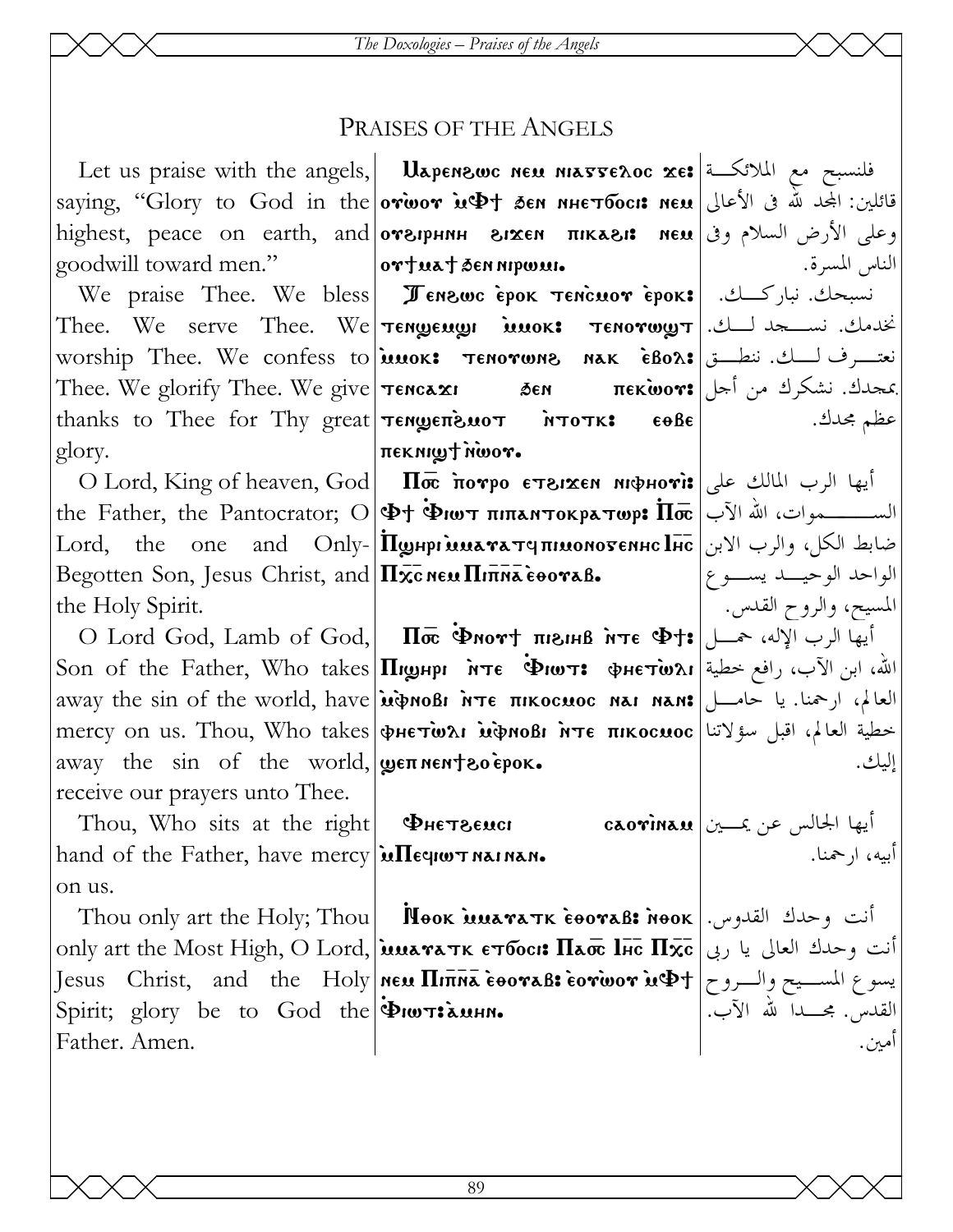#### **PRAISES OF THE ANGELS**

goodwill toward men."

Thee. We glorify Thee. We give **Tencaxi** 56N thanks to Thee for Thy great Tengenewor NTOTK: glory.

Begotten Son, Jesus Christ, and  $\Pi_{\mathbf{X}\mathbf{C}}$  new  $\Pi_{\mathbf{H}\mathbf{X}}$  everal. the Holy Spirit.

away the sin of the world,  $\psi$  en neutro epox. receive our prayers unto Thee.

Thou, Who sits at the right  $\Phi$ He Teuen hand of the Father, have mercy in The quor nainan. on us.

Spirit; glory be to God the PIWTEAMHN. Father, Amen.

Let us praise with the angels, **Uapenswc нем навтелос xe:** فلنسبح مع الملائكة saying, "Glory to God in the orwor in the ten инетбоси ием الأعالي العد لله في الأعالي العديد المجمع highest, peace on earth, and **or siphinh sixen πikasi: neu** وعلى الأرض السلام وفي nighest, peace on earth, and ortuat sennipwui.

Ne praise Thee. We bless Jenzwc epok Tencuor epok: نسبحك. نباركسك. إ خدمك. نســـجد لـــك. |Thee. We serve Thee. We Tengeng innox: Tenorwy T worship Thee. We confess to **innok:** TENOTWAR NAK EBOA: نعتسرف لسك. نطبق ا  $\epsilon$ oße *πεκηιωτήωον.* 

O Lord, King of heaven, God | П $\bar{x}$  потро стъгжен июрноті: أيها الرب المالك على  $\rm Lord,$  the one and  $\rm Only$ - Порнргимататепномотеннс  $\overline{\rm Inc}$  والرب الابن

O Lord God, Lamb of God,  $\boxed{\text{Im}\bar{\bm{\sigma}}}$  Флот $\dag$  лизны ите Ф $\dag\ast$  (بها الرب آلإله، حسل الله، ابن الآب، رافع خطية|Son of the Father, Who takes **|Пиднри мте Фиот: фнетюли** away the sin of the world, have *inversion inte*  $\pi$  intocuse nat nan: العالم، ارحمنا. يا حامــــل mercy on us. Thou, Who takes wre virabuoli NTE TIKOCMOC is in the last is the ready

Thou only art the Holy; Thou **Nook MEDAN MEDALE:** 100K  $\cdot$  160K  $\cdot$  160K  $\cdot$  160K only art the Most High, O Lord, issuara TK ETOCI: Паос Iнс Пхс | إنت وحدك العالي يا ربي Jesus Christ, and the Holy ทอม  $\Pi$ inka eooraB: eorwor is $\Phi$ t $|$  الســيح والــروح  $\Phi$ t

الناس المسرة. بمجدك. نشكرك من أجل|πek̀wor: عظم مجدك .

> الواحد الوحيـــد يســـوع المسيح، والروح القدس. أ إليك.

اً أيها الجالس عن يمـــين| cao�ina.u أبيه، ا, حمنا.

> القدس. مجــــدا لله الآب. أمين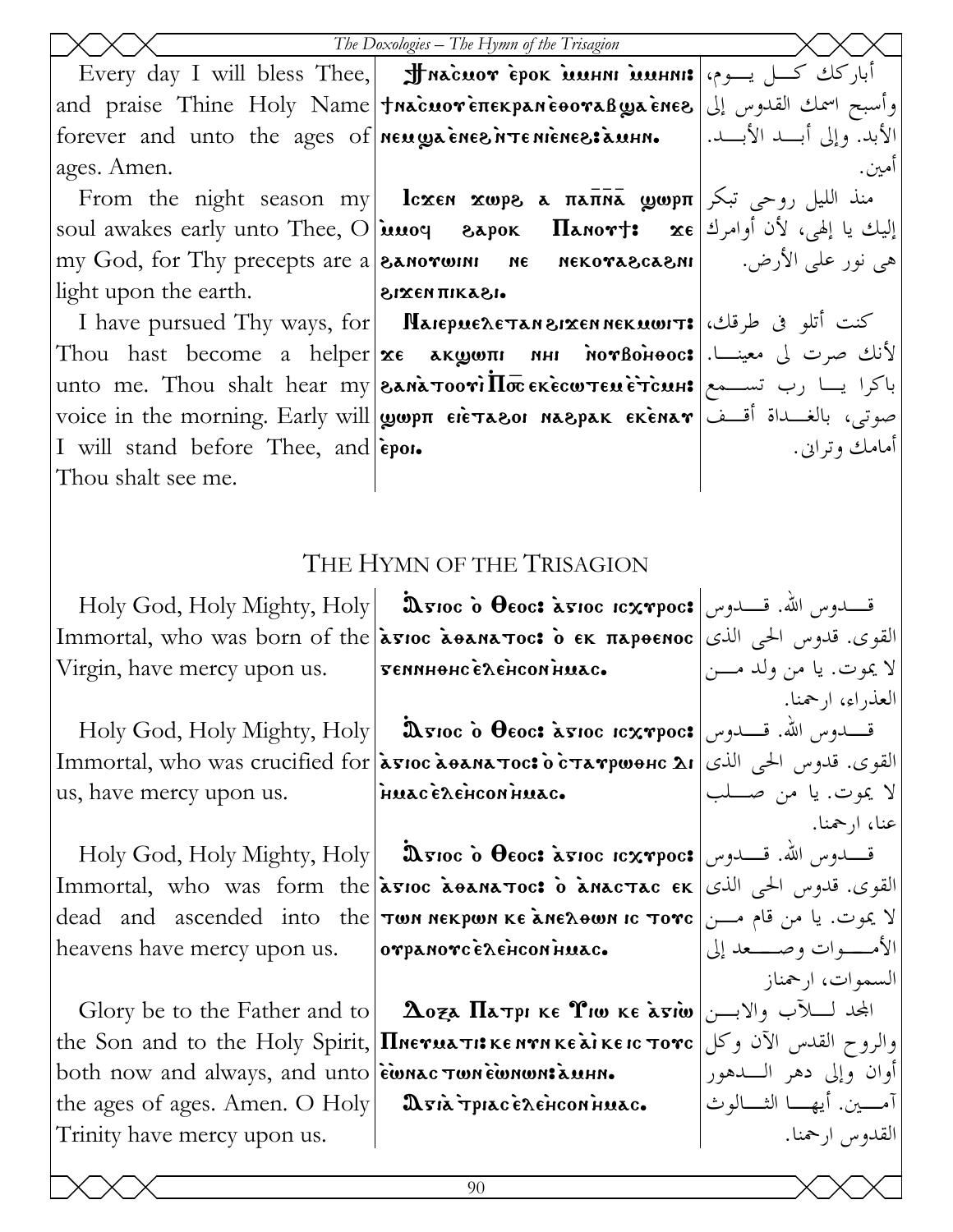|                                                          | The Doxologies - The Hymn of the Trisagion                                                                                                                                                                                                                                     |                                     |
|----------------------------------------------------------|--------------------------------------------------------------------------------------------------------------------------------------------------------------------------------------------------------------------------------------------------------------------------------|-------------------------------------|
|                                                          | Every day I will bless Thee, <b>J Macuor epok munni munni:</b> أباركك كسل يسوم،                                                                                                                                                                                                |                                     |
|                                                          | وأسبح اسمك القدوس إلى and praise Thine Holy Name <b>  tnacuoveπεκρaneeovaß waee ares</b>                                                                                                                                                                                       |                                     |
| forever and unto the ages of neugaenes irrenienes: aunn. |                                                                                                                                                                                                                                                                                | الأبد. وإلى أبـــد الأبـــد.        |
| ages. Amen.                                              |                                                                                                                                                                                                                                                                                | امين.                               |
|                                                          | From the night season my lcxen xwps a $\pi$ a $\bar{\pi}$ wwp $\pi$ ) is the night season my                                                                                                                                                                                   |                                     |
|                                                          | soul awakes early unto Thee, O <b>innoq</b> eapok <b>Ilanov†:</b> xe إليك يا إلهي، لأن أوامرك <b>x</b> e                                                                                                                                                                       |                                     |
|                                                          | my God, for Thy precepts are a <b>SANOTWINI ME MEKOTASCASNI</b>   $\omega$ می نور علی الأرض.                                                                                                                                                                                   |                                     |
| light upon the earth.                                    | $\sim$ 1.5 $\sim$ 1.5 $\sim$ 1.5 $\sim$ 1.5 $\sim$ 1.5 $\sim$ 1.5 $\sim$ 1.5 $\sim$ 1.5 $\sim$ 1.5 $\sim$ 1.5 $\sim$ 1.5 $\sim$ 1.5 $\sim$ 1.5 $\sim$ 1.5 $\sim$ 1.5 $\sim$ 1.5 $\sim$ 1.5 $\sim$ 1.5 $\sim$ 1.5 $\sim$ 1.5 $\sim$ 1.5 $\sim$ 1.5 $\sim$ 1.5 $\sim$ 1.5 $\sim$ |                                     |
|                                                          | T have pursued Thy ways, for <b>NaiepueAe TAN 812EN NEK UCHT:</b> ( ) كنت أتلو فى طرقك                                                                                                                                                                                         |                                     |
|                                                          | Thou hast become a helper xe AKwwni NHI MorBoHooc: الأنك صرت لي معينــا.                                                                                                                                                                                                       |                                     |
|                                                          | unto me. Thou shalt hear my <b>SANA TOO TILE EXECW TELLE TCALIE TOO ME ALLE AUTEL</b>                                                                                                                                                                                          |                                     |
|                                                          | voice in the morning. Early will <b>  wep Tele Taeor Maepak Ekenar</b>   موتى، بالغسداة أقسف                                                                                                                                                                                   |                                     |
| I will stand before Thee, and epon.                      |                                                                                                                                                                                                                                                                                | أمامك وتراين.                       |
| Thou shalt see me.                                       |                                                                                                                                                                                                                                                                                |                                     |
|                                                          |                                                                                                                                                                                                                                                                                |                                     |
|                                                          | THE HYMN OF THE TRISAGION                                                                                                                                                                                                                                                      |                                     |
|                                                          | Holy God, Holy Mighty, Holy $\ \mathbf{x}$ rioc o $\mathbf{\theta}$ eoc: ة محدوس الله. قسلة وس                                                                                                                                                                                 |                                     |
|                                                          | Immortal, who was born of the <b>asioc aeanatios o εκ πapeenoc</b> القوى. قدوس الحي الذي                                                                                                                                                                                       |                                     |
| Virgin, have mercy upon us.                              | теминонселенсомнилс.                                                                                                                                                                                                                                                           | لا يموت. يا من ولد مــــن           |
|                                                          |                                                                                                                                                                                                                                                                                | العذراء، ارحمنا.                    |
|                                                          |                                                                                                                                                                                                                                                                                |                                     |
|                                                          | القوى. قدوس الحي الذي   Іmmortal, who was crucified for   а̀вюс а̀еалатос: о̀ с̀татрюенс ді                                                                                                                                                                                    |                                     |
| us, have mercy upon us.                                  | HUACE LEHCONHUAC.                                                                                                                                                                                                                                                              | لا يموت. يا من صــــلب              |
|                                                          |                                                                                                                                                                                                                                                                                | عنا، ا <sub>ر</sub> حمنا.           |
|                                                          | Holy God, Holy Mighty, Holy $ $ asioc o $\theta$ eoc: asioc icxrpoc: قسدوس الله. قسطوس                                                                                                                                                                                         |                                     |
|                                                          | Immortal, who was form the <b>asioc asanations</b> o anactac EK JULI, who was form the lasioc asanations o                                                                                                                                                                     |                                     |
|                                                          | dead and ascended into the <b>TON NEKPWA KE ANE AOWA IC TOTC</b> ) لا يموت. يا من قام مـــن                                                                                                                                                                                    |                                     |
| heavens have mercy upon us.                              | orpanorc exencon huac.                                                                                                                                                                                                                                                         | الأمـــــوات وصـــــعد إلى          |
|                                                          |                                                                                                                                                                                                                                                                                | السموات، ارجمناز                    |
|                                                          | Glory be to the Father and to <b>Δοξε Πετρι κε Υιω κε λτιω</b> $ y $ (View Let Lake                                                                                                                                                                                            |                                     |
|                                                          | the Son and to the Holy Spirit, <b>IInerua Ti KE NYN KE ai KE IC TOYC</b> (والروح القدس الآن وكل                                                                                                                                                                               |                                     |
| both now and always, and unto ewnac TwnewnoustauHn.      |                                                                                                                                                                                                                                                                                | أوان وإلى دهر الــــدهور            |
| the ages of ages. Amen. O Holy                           | Asià tpiac è dencon nuac.                                                                                                                                                                                                                                                      | آمــــــين. أيهــــــا الثـــــالوث |
| Trinity have mercy upon us.                              |                                                                                                                                                                                                                                                                                | القدوس ارحمنا.                      |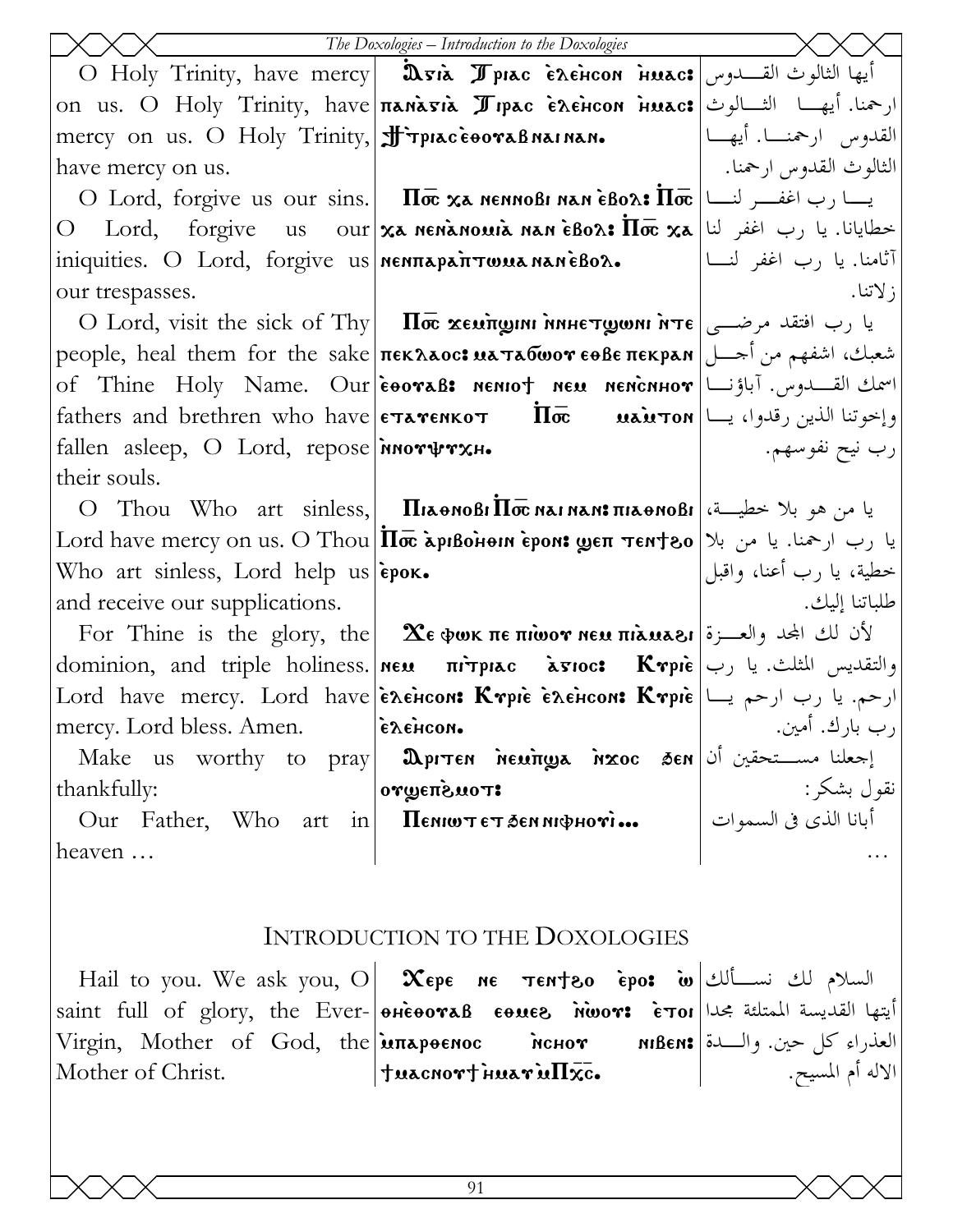|                                                     | The Doxologies - Introduction to the Doxologies                                                                                                                                                                  |                           |
|-----------------------------------------------------|------------------------------------------------------------------------------------------------------------------------------------------------------------------------------------------------------------------|---------------------------|
|                                                     | O Holy Trinity, have mercy   Dria Ppiac Exencon inuac: أيها الثالوث القــــدوس                                                                                                                                   |                           |
|                                                     | on us. O Holy Trinity, have <b>nanasia <i>J</i> ipac exencon nuac:</b> ارحمنا. أيهـا الثــالوث                                                                                                                   |                           |
| mercy on us. O Holy Trinity, Finity, oceanaBnainan. |                                                                                                                                                                                                                  | القدوس ارحمنـــا. أيهـــا |
| have mercy on us.                                   |                                                                                                                                                                                                                  | الثالوث القدوس ارحمنا.    |
|                                                     |                                                                                                                                                                                                                  |                           |
|                                                     | $\text{O}$ Lord, forgive us our <b>xa nenanowia nan èBox: Iloc xa</b> أنه با رب اغفر لنا                                                                                                                         |                           |
|                                                     | iniquities. O Lord, forgive us  <b>MENTAPATTWUA NANEBOA.</b> [مصر اغفر لنسا]                                                                                                                                     |                           |
| our trespasses.                                     |                                                                                                                                                                                                                  | ; لاتنا.                  |
|                                                     | $\mathrm{O} \,\, \mathrm{Lord}, \, \mathrm{visit} \,\, \mathrm{the} \,\, \mathrm{sick} \,\, \mathrm{of} \,\, \mathrm{Thy} \big  \quad \overline{\mathrm{Hoc}} \,\, \overline{\mathrm{\bf x}}$ یا رب افتقد مرضــی |                           |
|                                                     | شعبك، اشفهم من أحسل  people, heal them for the sake πεκλλος: wa τλίωον εθβε πεκρλη                                                                                                                               |                           |
|                                                     | of Thine Holy Name. Our eoral: nentot neu nenchror  اسمك القسدوس. آباؤنا                                                                                                                                         |                           |
|                                                     | fathers and brethren who have $ \epsilon \text{trans} \cdot \pi - \pi \cdot \pi $ وإخوتنا الذين رقدوا، يـــا                                                                                                     |                           |
| fallen asleep, O Lord, repose norway                |                                                                                                                                                                                                                  | رب نيح نفوسهم.            |
| their souls.                                        |                                                                                                                                                                                                                  |                           |
|                                                     | O Thou Who art sinless, <b>  Пілемові<math>\Pi</math>оє магмам<math>\mathbf{s}</math>пілемові</b> عيا من هو بلا خطيسة،                                                                                           |                           |
|                                                     | Lord have mercy on us. О Thou По дривоно и вром: уеп темтоо  ایا رب ارحمنا. یا من بلا                                                                                                                            |                           |
| Who art sinless, Lord help us epox.                 |                                                                                                                                                                                                                  | خطية، يا رب أعنا، واقبل   |
| and receive our supplications.                      |                                                                                                                                                                                                                  | طلباتنا إليك.             |
|                                                     | For Thine is the glory, the <b>XE wok TE THOOT NEU TIRUARI</b> ( $\mathbf{r}$ ) لأن لك المجد والعسرة                                                                                                             |                           |
|                                                     |                                                                                                                                                                                                                  |                           |
|                                                     | Lord have mercy. Lord have energie cont Krpie energie lural bave let have le have let have let have                                                                                                              |                           |
| mercy. Lord bless. Amen.                            | сленсом.                                                                                                                                                                                                         | رب بارك. أمين.            |
| Make us worthy to pray                              |                                                                                                                                                                                                                  |                           |
| thankfully:                                         | or ψεπελιοτ:                                                                                                                                                                                                     |                           |
| Our Father, Who art in                              | جعلنا مســـتحقين أن   TER MORTEN MENTRA MERITYS ASEN<br>  نقول بشكر:<br>  أبانا الذي في السموات  <br>  أبانا الذي في السموات  <br>••• Гронфии из& тэ тwna $\Pi$                                                  |                           |
| heaven                                              |                                                                                                                                                                                                                  |                           |
|                                                     |                                                                                                                                                                                                                  |                           |
|                                                     | INTRODUCTION TO THE DOXOLOGIES                                                                                                                                                                                   |                           |

Hail to you. We ask you, O  $\mid$   $\infty$ epe  $\mid$  ne  $\mid$   $\tau$ en $\uparrow$ eo $\mid$   $\bullet$   $\mid$   $\bullet$   $\mid$   $\downarrow$   $\downarrow$   $\downarrow$   $\downarrow$ saint full of glory, the Ever-|อค่e้องขอ<code>B</code> eoues พิพงจร e้วง Virgin, Mother of God, the **імпареенос менот** мівен: Mother of Christ.  $\mathbf{z}$ Tuacnort Huar iu $\Pi \mathbf{x}$ c. العذراء كل حين. والـدة الاله أم المسيح.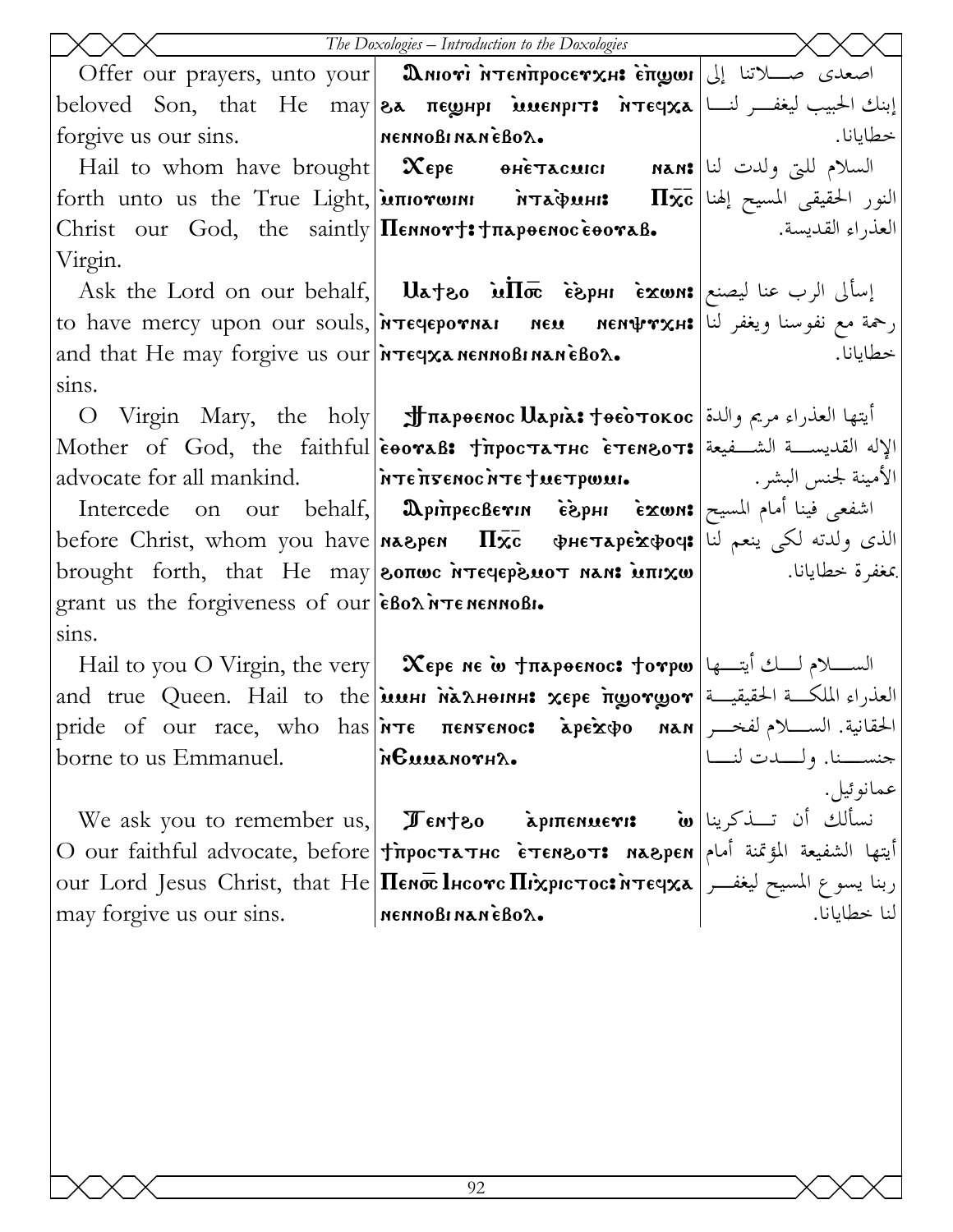|                                                             | The Doxologies - Introduction to the Doxologies                                                                                                   |                                             |
|-------------------------------------------------------------|---------------------------------------------------------------------------------------------------------------------------------------------------|---------------------------------------------|
|                                                             | Offer our prayers, unto your <b>Aniovi MTENTIPOCETXHE ETTOWII</b> [1] اصعدی صلاتنا إلی                                                            |                                             |
|                                                             |                                                                                                                                                   |                                             |
| forgive us our sins. MennoBinaneBox.                        |                                                                                                                                                   | خطايانا.                                    |
|                                                             |                                                                                                                                                   |                                             |
|                                                             | forth unto us the True Light, илютоин мтафинн: Пхс علمة النور الحقيقي المسيح إلهنا                                                                |                                             |
|                                                             | Christ our God, the saintly Πεηποντ: Tπαρθεπος εθοναβ.   العذراء القديسة.                                                                         |                                             |
| Virgin.                                                     |                                                                                                                                                   |                                             |
|                                                             | Ask the Lord on our behalf, <b>Uateo in Toc</b> $\epsilon$ $\sin$ $\alpha$ $\sin$ $\sin$ $\sin$ $\sin$                                            |                                             |
|                                                             | to have mercy upon our souls, [MTECLEPOTNAI NEN MENTTXH: [محمة مع نفوسنا ويغفر لنا to have mercy upon our souls                                   |                                             |
| and that He may forgive us our <b>Free x AME AND REAL</b> . |                                                                                                                                                   | خطايانا.                                    |
| sins.                                                       |                                                                                                                                                   |                                             |
|                                                             | O Virgin Mary, the holy <b>J περθεποι Uspis: Tθεο τοκος</b> ايتها العذراء مريم والدة                                                              |                                             |
|                                                             | Mother of God, the faithful eooraB: TrpocTaTHC ETENSOT: الإله القديسة الشـفيعة Mother of God, the faithful                                        |                                             |
|                                                             |                                                                                                                                                   |                                             |
|                                                             | Intercede on our behalf, <b>DpinpecBevin esphi exwns</b>                                                                                          |                                             |
|                                                             | before Christ, whom you have <b>Maspen <math>\Pi \overline{\mathbf{x}}</math>c</b> $\phi$ He $\tau$ ape $\mathbf{x}$ poq: الذي ولدته لكي ينعم لنا |                                             |
|                                                             | brought forth, that He may <b>[BOTTOL MTECLEPS MOT MAN: MTIXW</b>                                                                                 |                                             |
| grant us the forgiveness of our ends in TenennoBi.          |                                                                                                                                                   |                                             |
| sins.                                                       |                                                                                                                                                   |                                             |
|                                                             | Hail to you O Virgin, the very <b>Xepe ne ω +π</b> λρθεπος: torpw تحرم لسلام للك أيتسها                                                           |                                             |
|                                                             | and true Queen. Hail to the <b>issus Nahoms xepe frogorgor</b> = العذراء الملكة الحقيقية                                                          |                                             |
|                                                             | pride of our race, who has <i>i</i> rte πεηγεριος apexpo nan pride of our race, who has interession of                                            |                                             |
| borne to us Emmanuel.                                       | <i><b>NGUUANOTHA.</b></i>                                                                                                                         | حنســــنا. ولـــــدٰت لنــــاً<br>عمانوئيل. |
|                                                             |                                                                                                                                                   |                                             |
|                                                             | We ask you to remember us,   $\pi$ <sub>ent</sub> zo   مكة مكوينا   We ask you to remember us,   $\pi$                                            |                                             |
|                                                             | O our faithful advocate, before Tipoc TATHC ETENSOT: мадрен  أيتها الشفيعة المؤتمنة أمام                                                          |                                             |
|                                                             |                                                                                                                                                   |                                             |
| may forgive us our sins. MennoBinaneBox.                    |                                                                                                                                                   |                                             |
|                                                             |                                                                                                                                                   |                                             |
|                                                             |                                                                                                                                                   |                                             |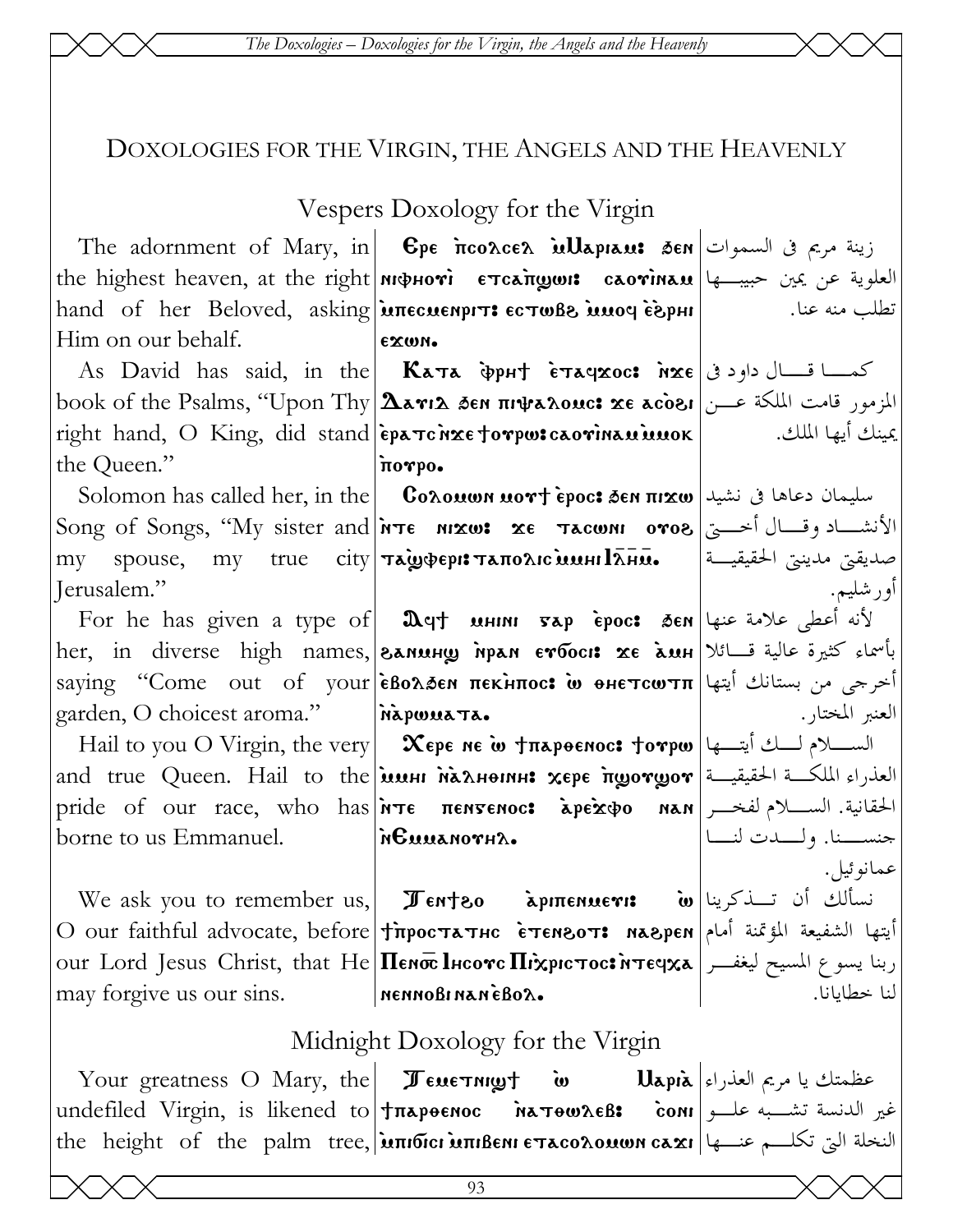The Doxologies - Doxologies for the Virgin, the Angels and the Heavenly

## DOXOLOGIES FOR THE VIRGIN, THE ANGELS AND THE HEAVENLY

## Vespers Doxology for the Virgin

 $\mathbf{I}$ 

| The adornment of Mary, in <b>C</b> pe <b>n</b> coacea <b>illapiant 3en</b> Jum ازينة مريم في السموات <b>The</b> adornment of Mary, in                                  |                                                                                                                                                                                                                                                           |  |
|------------------------------------------------------------------------------------------------------------------------------------------------------------------------|-----------------------------------------------------------------------------------------------------------------------------------------------------------------------------------------------------------------------------------------------------------|--|
| the highest heaven, at the right   мфноті стсапуши: саотімам   العلوية عن يمين حبيب ها                                                                                 |                                                                                                                                                                                                                                                           |  |
|                                                                                                                                                                        |                                                                                                                                                                                                                                                           |  |
| EXWN.                                                                                                                                                                  |                                                                                                                                                                                                                                                           |  |
| As David has said, in the <b>Kata</b> $\Phi$ pht $\epsilon$ <b>xaqxoc:</b> $\alpha \le \epsilon$ $ \psi $ and $\Delta \le \epsilon$                                    |                                                                                                                                                                                                                                                           |  |
| book of the Psalms, "Upon Thy $\Delta$ arı $\Delta$ ðen $\pi$ ir $\psi$ a $\lambda$ ouc: xe acòei المزمور قامت الملكة عـــن                                            |                                                                                                                                                                                                                                                           |  |
| right hand, O King, did stand epa Tchxe forpw: caorinau innok   الملك. المستوجمة المعاملة                                                                              |                                                                                                                                                                                                                                                           |  |
| πoγpo.                                                                                                                                                                 |                                                                                                                                                                                                                                                           |  |
| Solomon has called her, in the <b>Coλουων μον + èpoc: ت</b> صليمان دعاها في نشيد Solomon has called her, in the <b>Coλουων μον + èpoc: ق</b> صد ا                      |                                                                                                                                                                                                                                                           |  |
|                                                                                                                                                                        |                                                                                                                                                                                                                                                           |  |
| $\text{ceil}$ ملايقيّ ملاينتي الحقيقيـــة $\text{max}$ , متبعّ العقيقيــة العقيقيــة ال                                                                                |                                                                                                                                                                                                                                                           |  |
|                                                                                                                                                                        | أورشليم.                                                                                                                                                                                                                                                  |  |
|                                                                                                                                                                        |                                                                                                                                                                                                                                                           |  |
| her, in diverse high names, கலையத் அலை வார்க்கை வார்க்கப்பு அவர் வாதி அல்லா                                                                                            |                                                                                                                                                                                                                                                           |  |
|                                                                                                                                                                        |                                                                                                                                                                                                                                                           |  |
| garden, O choicest aroma."   MapwwaTa.                                                                                                                                 | العنبر المختار .                                                                                                                                                                                                                                          |  |
| Hail to you O Virgin, the very $\ \mathbf{x}_{\text{epe}}\ $ $\mathbf{x}_{\text{epe}}\ $ $\mathbf{v}_{\text{m}}\ $ $\mathbf{v}_{\text{epe}}$ $\mathbf{v}_{\text{epe}}$ |                                                                                                                                                                                                                                                           |  |
| $ \!$ and true Queen. Hail to the $ \! $ العذراء الملكــة الحقيقيـــة $ \! $ and true Queen. Hail to the $ \! $                                                        |                                                                                                                                                                                                                                                           |  |
| pride of our race, who has <i>i</i> rte πεηγεηος: apexo nan <i>i</i> الحقانية. السللام لفخــر                                                                          |                                                                                                                                                                                                                                                           |  |
| borne to us Emmanuel. $\mathbf{h}$ <b>Euuanov</b> $\mathbf{h}$                                                                                                         | جنســــنا. ولـــــدت لنـــــا                                                                                                                                                                                                                             |  |
|                                                                                                                                                                        | عمانوڻيل.                                                                                                                                                                                                                                                 |  |
| We ask you to remember us, <b>I Tenteo</b> apmenuer: <b>iv</b> w تسألك أن تسذكرينا                                                                                     |                                                                                                                                                                                                                                                           |  |
|                                                                                                                                                                        |                                                                                                                                                                                                                                                           |  |
| our Lord Jesus Christ, that He <b>Henoc lucove Hixpic Toc: integxa</b>   ربنا يسوع المسيح ليغفـــر                                                                     |                                                                                                                                                                                                                                                           |  |
| may forgive us our sins. MennoBinaneBox.                                                                                                                               | لنا خطايانا.                                                                                                                                                                                                                                              |  |
| Midnight Doxology for the Virgin                                                                                                                                       |                                                                                                                                                                                                                                                           |  |
|                                                                                                                                                                        | For he has given a type of   $\Omega$ q† инии $\sigma$ ар ѐрос: бем علامة عنها<br>saying "Come out of your εδολδεη πεκλπος: w θΗετςωτπ انحرجى من بستانك أيتها <br>O our faithful advocate, before TipocTATHC ETENBOT: MABPEN  أيتها الشفيعة المؤتمنة أمام |  |

Your greatness O Mary, the Jewernight عير الدنسة تشب علو اundefiled Virgin, is likened to Jπapoenoc MarowAeB: coni the height of the palm tree, **μπιδιει μπιβεΝΙ ετασολομων σαχι** مختلم عنها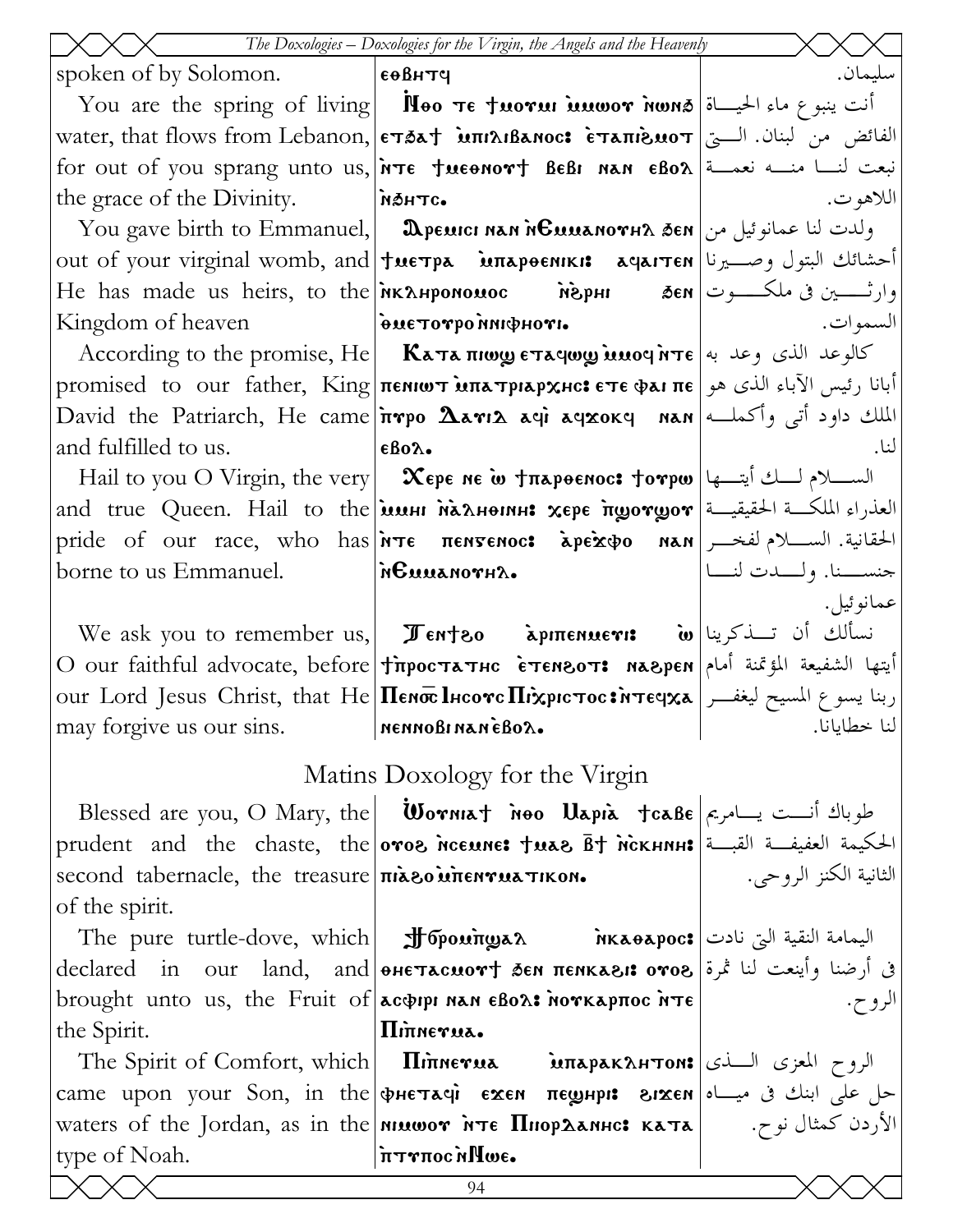|                                                                       | The Doxologies - Doxologies for the Virgin, the Angels and the Heavenly                                                    |                            |
|-----------------------------------------------------------------------|----------------------------------------------------------------------------------------------------------------------------|----------------------------|
| spoken of by Solomon.                                                 | еөвнтч                                                                                                                     | سليمان.                    |
|                                                                       | You are the spring of living <b>Noo TE fuorul multiply</b> $\mathbf{F}$ is $\mathbf{F}$ is $\mathbf{F}$                    |                            |
|                                                                       | الفائض من لبنان. الـــتي  water, that flows from Lebanon, επδα†່ນπιλιβαnoc: أفائض من لبنان. الـــتي                        |                            |
|                                                                       | for out of you sprang unto us, <i>i</i> rte tuenort BeBI NAN eBo $\lambda$ i                                               |                            |
| the grace of the Divinity.                                            | MOHTC.                                                                                                                     | اللاهو ت.                  |
|                                                                       | You gave birth to Emmanuel, <b>     Desuici нан немианотн</b> ден   ولدت لنا عمانوئيل من                                   |                            |
|                                                                       |                                                                                                                            |                            |
|                                                                       | He has made us heirs, to the мклнромомос    мерни    дем العرض ملكـــــوت                                                  |                            |
| Kingdom of heaven <b>Example 3 by Formal Power or point of heaven</b> |                                                                                                                            | السموات.                   |
|                                                                       | According to the promise, He   <b>Καταπιως εταγως υπογήτε</b>   بالوعد الذي وعد به                                         |                            |
|                                                                       | أبانا رئيس الآباء الذي هو promised to our father, King πεΝιωτ млатріархнс: ετε φаї πε                                      |                            |
|                                                                       |                                                                                                                            |                            |
| and fulfilled to us.                                                  | εβολ.                                                                                                                      | لنا.                       |
|                                                                       | Hail to you O Virgin, the very <b>X</b> ερε ne ω <del>Jnapoenoc: Jorpω</del> على أيت بها                                   |                            |
|                                                                       | and true Queen. Hail to the <b>insul Maxheinh: xepe frogorgor</b> and true Queen. Hail to the in                           |                            |
|                                                                       | pride of our race, who has <b>אדε πεηγεηος: مَجتمَع بَالْحَ</b> قَانِيَّة. الســــلام لفخـــر   pride of our race, who has |                            |
| borne to us Emmanuel.                                                 | AHTONAMOTH'S.                                                                                                              | حنســـنا. ولــــدت لنــــا |
|                                                                       |                                                                                                                            | عمانوئيل.                  |
|                                                                       | We ask you to remember us, <b>I Tentzo</b> apmenuer: <b>iv</b> w تسألك أن تسذكرينا                                         |                            |
|                                                                       | O our faithful advocate, before   †простатнс  ѐтемзот:  мазрем   أيتها الشفيعة المؤتمنة أمام                               |                            |
|                                                                       | our Lord Jesus Christ, that He <b> Пемос Інсотс Піхрістос: تر</b> بنا يسوع المسيح ليغفــر   معر                            |                            |
| may forgive us our sins.                                              | nennoßi nan eßo $\lambda_\bullet$                                                                                          | لنا خطايانا.               |
|                                                                       | Matins Doxology for the Virgin                                                                                             |                            |
|                                                                       | Blessed are you, O Mary, the <b>Worniat noo Uapia tcaße</b> $\sim$ $\sim$ $\sim$ $\sim$ $\sim$                             |                            |
|                                                                       | prudent and the chaste, the отов нсемне: †мав в † нскнин: الحكيمة العفيفة القبــة                                          |                            |
| second tabernacle, the treasure niaeo intenvia TIKON.                 |                                                                                                                            | الثانية الكنز الروحي.      |
| of the spirit.                                                        |                                                                                                                            |                            |
|                                                                       | The pure turtle-dove, which <b>  J bpoungar Micore,</b> اليمامة النقية التي نادت                                           |                            |
|                                                                       | في أرضنا وأينعت لنا ثمرة  declared   in   our   land,   and  ohe tacuort sen πεηκαει: oro8                                 |                            |
|                                                                       | brought unto us, the Fruit of $\alpha$ acoppi nan $\epsilon$ Bo $\alpha$ : norkapπoc $\lambda$ T $\epsilon$                | الرو ح.                    |
| the Spirit.                                                           | ΠITTNETUA.                                                                                                                 |                            |
|                                                                       | The Spirit of Comfort, which <b>Ilinerua MITALE MAGES</b> 11 Mercey 14th Spirit of Comfort, which <b>Ilinerua</b>          |                            |
|                                                                       | came upon your Son, in the фнетачи ехем пешнри гихем على ابنك فى ميساه  сате ироп уоиг Son, in the                         |                            |
|                                                                       | waters of the Jordan, as in the <b> мишот нте Пнорданнс: ката  </b> بالأردن كمثال نوح.                                     |                            |
| type of Noah.                                                         | iτγπος η Πωε.                                                                                                              |                            |
|                                                                       | 94                                                                                                                         |                            |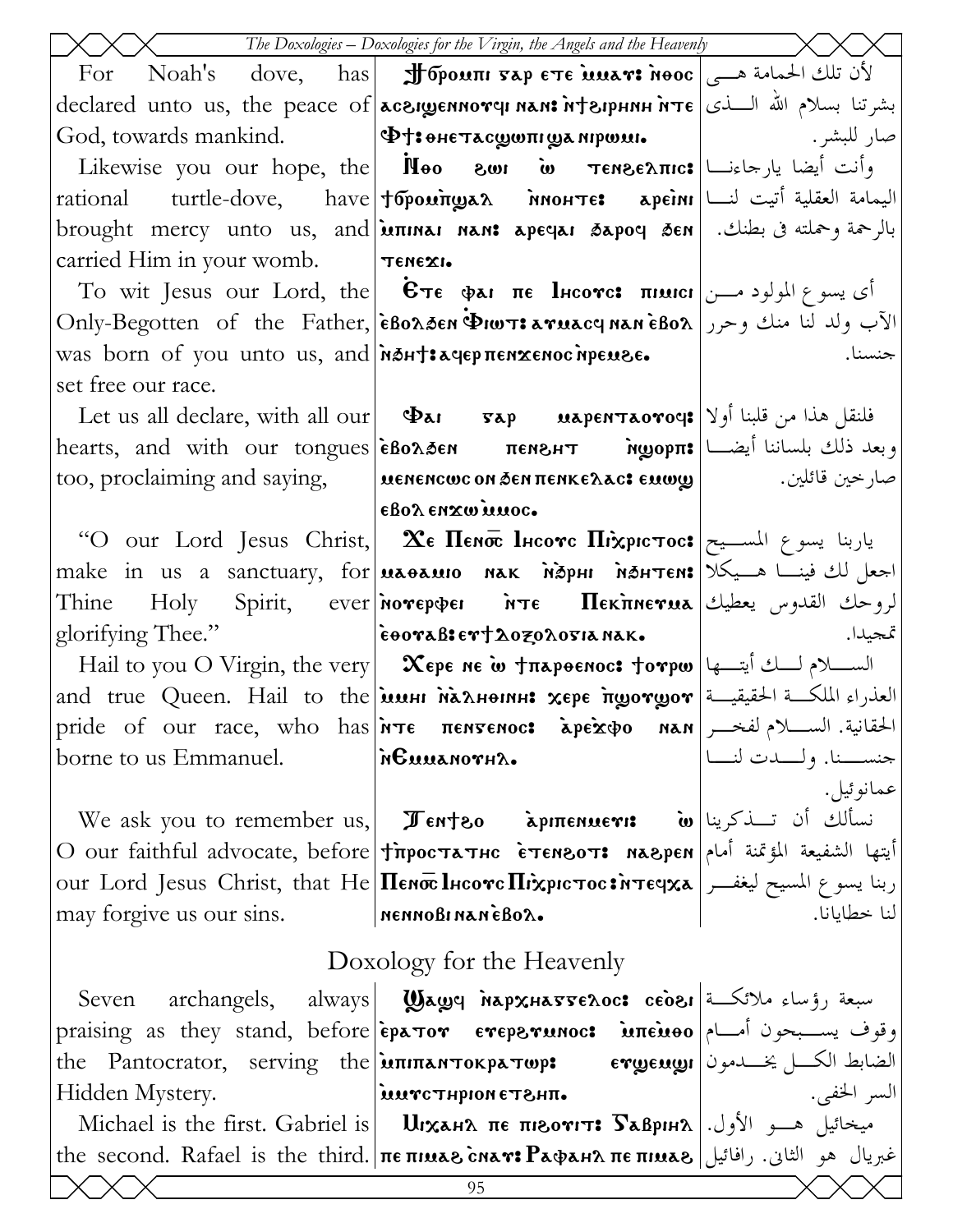|                                                                | $\begin{picture}(180,10) \put(0,0){\line(1,0){10}} \put(15,0){\line(1,0){10}} \put(15,0){\line(1,0){10}} \put(15,0){\line(1,0){10}} \put(15,0){\line(1,0){10}} \put(15,0){\line(1,0){10}} \put(15,0){\line(1,0){10}} \put(15,0){\line(1,0){10}} \put(15,0){\line(1,0){10}} \put(15,0){\line(1,0){10}} \put(15,0){\line(1,0){10}} \put(15,0){\line($ |                            |
|----------------------------------------------------------------|-----------------------------------------------------------------------------------------------------------------------------------------------------------------------------------------------------------------------------------------------------------------------------------------------------------------------------------------------------|----------------------------|
|                                                                | For Noah's dove, has <b>Johoum vap ETE muar: Nooc</b> $\mathbf{c}$ and $\mathbf{c}$ if $\mathbf{c}$                                                                                                                                                                                                                                                 |                            |
|                                                                | declared unto us, the peace of acargennory NAM: htapHNH NTE   بشرتنا بسلام الله السذى                                                                                                                                                                                                                                                               |                            |
|                                                                |                                                                                                                                                                                                                                                                                                                                                     |                            |
|                                                                | وأنت أيضا يارجاءنـــا Tenze λπιc: مة Meo zwi في Likewise you our hope, the                                                                                                                                                                                                                                                                          |                            |
|                                                                | rational turtle-dove, have foponing an inourre: apeinn in the dove, have foponing                                                                                                                                                                                                                                                                   |                            |
|                                                                | brought mercy unto us, and μπικει και: apeqaι δερος δεκ  أبالرحمة وحملته في بطنك. [brought mercy unto us, and                                                                                                                                                                                                                                       |                            |
| carried Him in your womb.   TENEXI.                            |                                                                                                                                                                                                                                                                                                                                                     |                            |
|                                                                | To wit Jesus our Lord, the $ $ επε φαι πε lncore: πιμιει $ $ باسوع المولود مـــن                                                                                                                                                                                                                                                                    |                            |
|                                                                | Only-Begotten of the Father, EBonden PIWT: aruacy Nan EBon   الآب ولد لنا منك وحرر                                                                                                                                                                                                                                                                  |                            |
| was born of you unto us, and non-taquep $\pi$ enxenoc inpense. |                                                                                                                                                                                                                                                                                                                                                     | جنسنا.                     |
| set free our race.                                             |                                                                                                                                                                                                                                                                                                                                                     |                            |
|                                                                |                                                                                                                                                                                                                                                                                                                                                     |                            |
|                                                                | hearts, and with our tongues εβολδεη πενελτ Myopπ: وبعد ذلك بلساننا أيضا                                                                                                                                                                                                                                                                            |                            |
|                                                                |                                                                                                                                                                                                                                                                                                                                                     |                            |
|                                                                | εβολ εηχω μμος.                                                                                                                                                                                                                                                                                                                                     |                            |
|                                                                | "O our Lord Jesus Christ,   Хе Пемо Інсотс Піхрістос: ياربنا يسوع المســيح إ                                                                                                                                                                                                                                                                        |                            |
|                                                                | make in us a sanctuary, for <b>MAGAMIO NAK NOPHI NOHTEN:</b> اجعل لك فينـا هـيكلا                                                                                                                                                                                                                                                                   |                            |
|                                                                | Thine Holy Spirit, ever Morepier MTE Hekmerua الروحك القدوس يعطيك                                                                                                                                                                                                                                                                                   |                            |
|                                                                | $\text{glorifying Thee."}$ $\text{eoorableer}$ $\text{aDer}$ $\text{awide}$                                                                                                                                                                                                                                                                         |                            |
|                                                                | Hail to you O Virgin, the very <b>  Χερε ne ω †περθεnoc: †oγρω</b>  السلام لسلة أيتسها   Hail to you O Virgin, the very                                                                                                                                                                                                                             |                            |
|                                                                | and true Queen. Hail to the <b>inush rangers xepe ingorgor</b> = العذراء الملكة الحقيقية   and true Queen. Hail to the                                                                                                                                                                                                                              |                            |
|                                                                | pride of our race, who has <i>i</i> nte πεηγεριος: apexto nan <i>i</i> bit im the pride of our race, who has <i>i</i> nte πεηγεριος: apexto nan <i>i</i>                                                                                                                                                                                            |                            |
| borne to us Emmanuel.                                          | <i>i</i> nGuuanovha.                                                                                                                                                                                                                                                                                                                                | جنســـنا. ولــــدت لنــــا |
|                                                                |                                                                                                                                                                                                                                                                                                                                                     | عمانوئيل.                  |
|                                                                | We ask you to remember us, <b>I Tenteo</b> apmenuer: مُسألك أن تسذكرينا "We ask you to remember us                                                                                                                                                                                                                                                  |                            |
|                                                                | O our faithful advocate, before Tippoстатнс ETENBOT: naBpEN   التفا الشفيعة المؤتمنة أمام                                                                                                                                                                                                                                                           |                            |
|                                                                | our Lord Jesus Christ, that He <b>Henoc l</b> hcove <b>Hixpic toc: أربنا يسوع المسيح ليغفــر our</b> Lord Jesus Christ, that He <b>Henoc l</b> hcove <b>Hixpic toc:</b>                                                                                                                                                                             |                            |
| may forgive us our sins. MennoBinaneBox.                       |                                                                                                                                                                                                                                                                                                                                                     | لنا خطايانا.               |
|                                                                | Doxology for the Heavenly                                                                                                                                                                                                                                                                                                                           |                            |
|                                                                | Seven archangels, always  <b>Waws MapxHasse2oc: ceoe, ا</b> سبعة رؤساء ملائكة                                                                                                                                                                                                                                                                       |                            |
|                                                                | praising as they stand, before <b>epator eveperunoc: inteuso</b> and they stand, before <b>epator eveperunoc:</b> inteural interpreties                                                                                                                                                                                                             |                            |
|                                                                | the Pantocrator, serving the <b>ininan Tokpa Top:</b> ergengi external thanks                                                                                                                                                                                                                                                                       |                            |
| Hidden Mystery.                                                | and ST and Human Strum (                                                                                                                                                                                                                                                                                                                            | السر الخفي.                |
|                                                                | Michael is the first. Gabriel is     UIханл пе пьотит: Sаврна   الأول.   Мichael is the first. Gabriel is     U                                                                                                                                                                                                                                     |                            |
|                                                                | the second. Rafael is the third. <b>πεπιμελ char: Paφaнλ πεπιμελ</b> اغبريال هو الثاني. رافائيل                                                                                                                                                                                                                                                     |                            |
|                                                                | 95                                                                                                                                                                                                                                                                                                                                                  |                            |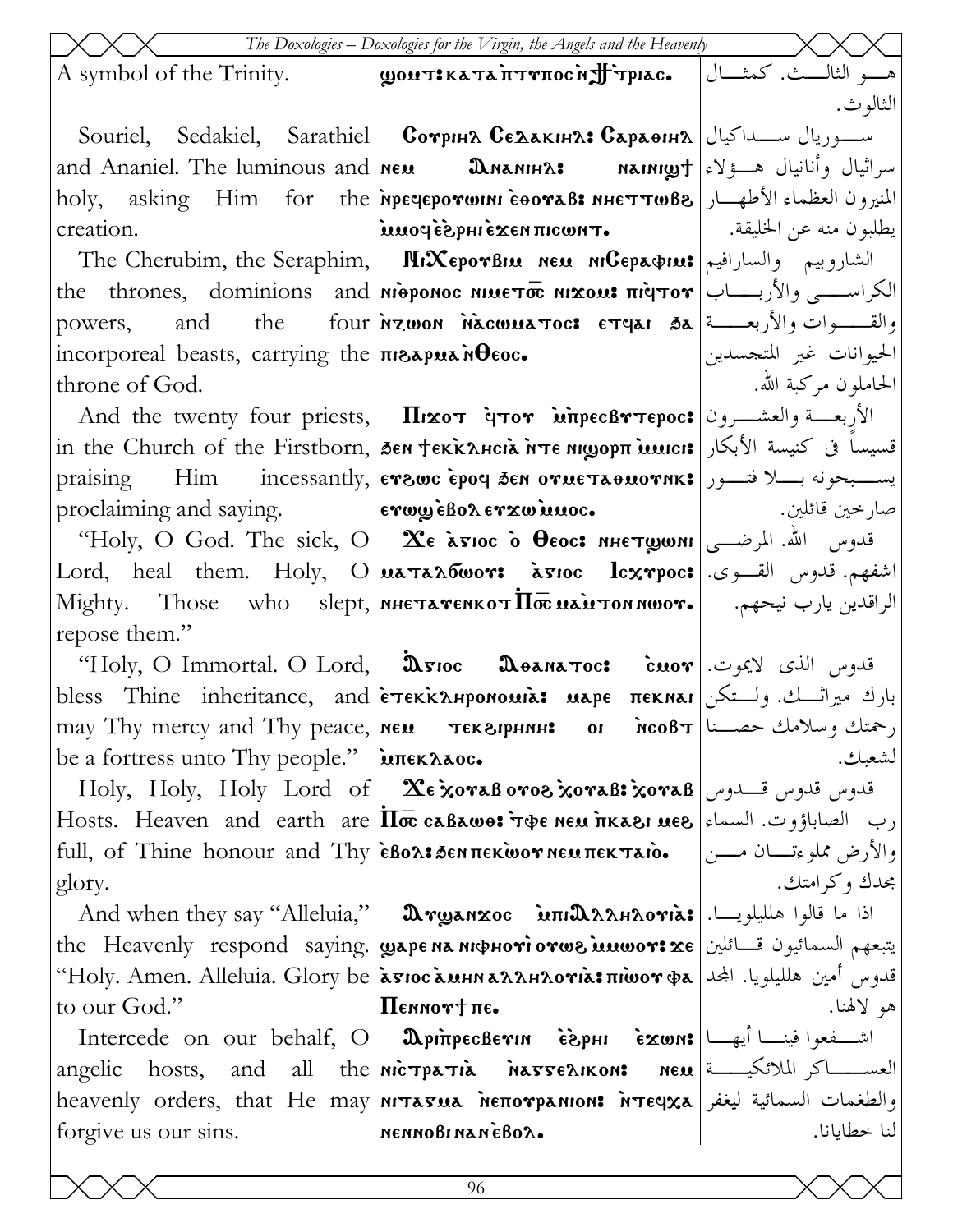| The Doxologies – Doxologies for the Virgin, the Angels and the Heavenly |                                                                                                                                                   |                         |
|-------------------------------------------------------------------------|---------------------------------------------------------------------------------------------------------------------------------------------------|-------------------------|
|                                                                         | A symbol of the Trinity. <b>JEEN A</b> symbol of the Trinity. <b>Signar: الثال</b> ث. كمثـــال                                                    |                         |
|                                                                         |                                                                                                                                                   | الثالو ث.               |
|                                                                         | Souriel, Sedakiel, Sarathiel  Сотрия Седакина: Сараөнна كيال  Souriel, Sedakiel, Sarathiel  Сотрина                                               |                         |
|                                                                         |                                                                                                                                                   |                         |
|                                                                         | المنيرون العظماء الأطهـــار   holy, asking Him for the  мречеротшин соотав: ннеттшве                                                              |                         |
| creation.                                                               |                                                                                                                                                   |                         |
|                                                                         | The Cherubim, the Seraphim, <b>  HIXEpovBIM NEM MICEPa&amp;IM: إلشاروبيم   والسارافيم   The Cherubim, the Seraphim,   NIXEPOVBIM NEM NICEPA</b>   |                         |
|                                                                         | the thrones, dominions and <b>Mieponoc NIMETOR MIXOM: πρίτον</b> $ U_{\text{t}} $                                                                 |                         |
|                                                                         | powers, and the four <b>inzwon nacwua too: ETGAI 3a a</b>                                                                                         |                         |
|                                                                         | incorporeal beasts, carrying the <b>The Algebra Metal</b>                                                                                         | الحيوانات غير المتجسدين |
| throne of God.                                                          |                                                                                                                                                   | الحاملون مركبة الله.    |
|                                                                         | And the twenty four priests, <b>Ilixot qtor witpecBrtepoc:</b> الأربعة والعشـــرون                                                                |                         |
|                                                                         | in the Church of the Firstborn, SEN TEKRAHCIA NTE MLOPIT MUICI   الأبكار ا                                                                        |                         |
|                                                                         | praising Him incessantly, evewe epoq sen ovue Taouovnk: يستجونه بسلا فتسور                                                                        |                         |
|                                                                         | proclaiming and saying.   $\ket{\text{erwy} \text{e} \text{Bo} \text{r} \text{c} \text{w} \text{u} \text{u} \text{o} \text{c}}$ .                 |                         |
|                                                                         | "Holy, O God. The sick, O $\alpha$ $\alpha$ б тос о̀ Осос: инстуюми الله. المرضـــي                                                               |                         |
|                                                                         | $\text{Lord}, \text{~heal}$ them. $\text{Holy}, \text{~O}$  اشفهم. قدوس القـــوى.  $\text{3.74}$ kg100 $\text{cm}$                                |                         |
|                                                                         | Mighty. Those who slept, мнетатемкот $\overline{\text{H}\bar{\text{c}}\text{}}$ иа̀итон моот. الراقدين يارب نيحهم. والمجمعة                       |                         |
| repose them."                                                           |                                                                                                                                                   |                         |
|                                                                         | "Holy, O Immortal. O Lord,  Дуюс Дөлматос: مقدوس الذي لايموت. "Holy, O Immortal. O Lord                                                           |                         |
|                                                                         | bless Thine inheritance, and <b>  етекканромоміа: маре пекма</b> н   والث ميراثـــك. ولــتكن                                                      |                         |
|                                                                         | may Thy mercy and Thy peace, $ \text{new} - \text{reks}$ $\text{repunk} - \text{or} - \text{r}$ $\text{rcoBr}$ $ \text{t} - \text{c} - \text{c} $ | لشعىك.                  |
| be a fortress unto Thy people."   MITTEK AAOC.                          | Holy, Holy, Holy Lord of $\alpha$ $\alpha$ e xoraß oros xoraß: xoraß محلوس قلدوس قلدوس قلدوس ا                                                    |                         |
|                                                                         | رب الصاباؤوت. السماء   Hosts. Heaven and earth are   Πσε caBawo: ער الصاباؤوت. السماء   Alosts. Heaven and earth are                              |                         |
|                                                                         |                                                                                                                                                   |                         |
| glory.                                                                  |                                                                                                                                                   | مجدك وكرامتك.           |
|                                                                         | And when they say "Alleluia,"   మెణ్నుగ్రాణ్ మπι $\mathbf{a}$ λληλονιλε   اذا ما قالوا هلليلويــا.                                                |                         |
|                                                                         | the Heavenly respond saying.   wape Na Nichovi ovwe innove xe   يتبعهم السمائيون قسائلين                                                          |                         |
|                                                                         | قدوس أمين هلليلويا. المجد   Holy. Amen. Alleluia. Glory be  الكة Glory be التم العامة "Holy. Amen. Alleluia. G                                    |                         |
| to our God."                                                            | $\vert{\bf \Pi}$ ennor† $\pi$ e.                                                                                                                  | هو لالهنا.              |
|                                                                         | Intercede on our behalf, O <b>DpinpecBevin</b> $\epsilon$ <b>exwn:</b> اشــفعوا فينـــا أيهـــا   Intercede on our behalf, O                      |                         |
|                                                                         | angelic hosts, and all the nic patia nargenous neu angelic hosts, and all the nic oparations neu                                                  |                         |
|                                                                         | heavenly orders, that He may niπaτua neπoγpanion: nτεqχa بعنفر  heavenly orders, that He may niπaτua                                              |                         |
| forgive us our sins.                                                    | NENNOBINANÈBOA.                                                                                                                                   | لنا خطايانا.            |
|                                                                         |                                                                                                                                                   |                         |
|                                                                         | 96                                                                                                                                                |                         |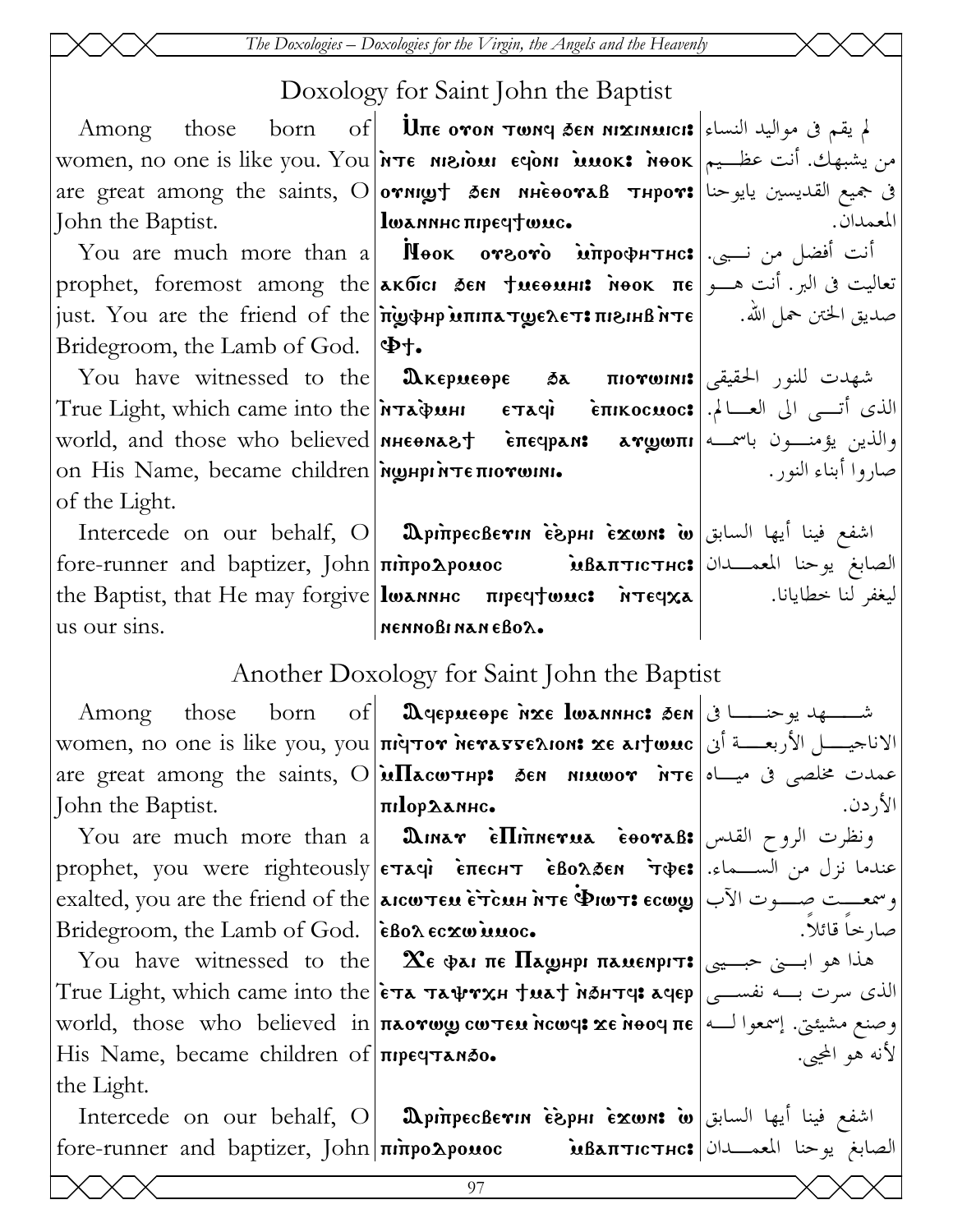*The Doxologies – Doxologies for the Virgin, the Angels and the Heavenly* 

## Doxology for Saint John the Baptist

Among those John the Baptist.

Bridegroom, the Lamb of God.

on His Name, became children Neuprin τεπιονωπι. of the Light.

us our sins.

the Light.

women, no one is like you. You <del>dre ansiour eqoni immok: أ</del>نت عظـيم аre great among the saints, O $\vert$ отншу $\dagger$  бен ннеоотав тнрот: $\vert$ ي جميع القديسين يايوحنا  $\lim\epsilon$  ovon  $\tau$ wnd  $\delta$ en ni ${\rm x}$ inmici: النساء  $\lambda$  $|$ lwannhc  $\pi$ ipeq $\dagger$ wuc.

 ${\rm You}$  are much more than a $|$   ${\rm Meo}$ к отгото̀  $\dot{\rm \bf un}$ рофн ${\rm\bf true}$ нс: أنت أفضل من نـبى. prophet, foremost among the $\vert$ акбісі зем †иеөині: меок πе $\vert$ نعاليت فى البر. أنت هـــو just. You are the friend of the `p`]vhr `mpipat]elet> pi\ihb `nte صديق الختن حمل االله.  $\Phi$ t.

You have witnessed to the  $\mid$   $\pmb{\mathfrak{A}}$ кериеөре  $\mid$  эль пютонн: شهدت للنور الحقيقى الذى أتــى الى العــالم.|True Light, which came into the אדαڤة etaqii `eπικοcωoc:| الذى أتــى الى العــالم.| world, and those who believed|nheona&† èπeqpan: aγgwπr|فين يؤمنــون باسمــه

Intercede on our behalf, O Ari`precbeuin `e`\rhi `ejwn> `w اشفع فينا أيها السابق fore-runner and baptizer, John **πίπρο2ρουος مسلم الله معمدان المعم**ــدان المعمــدان the Baptist, that He may forgive **loxnnhc** пречтомс: итечха nennobi nan ebol.

ليغفر لنا خطايانا.

صاروا أبناء النور.

الأردن.

صارخاً قائلاً.

لأنه هو المحيى.

المعمدان.

## Another Doxology for Saint John the Baptist

Among those born women, no one is like you, you <del>nigtor herasse</del>aion: xe aitwuc |الاناجيــــل الأربعــــة أنى are great among the saints, O $\vert$ ம $\Pi$ கсம $\tau$ нр: бен инишот `н $\tau$ е $\vert$ ه ميــاه  $\tau$ John the Baptist. Afermeqre `nje Iwannhc> 'en شــهد يوحنــا فى |πilop2anhc.

You are much more than a **| మిபாகும் சொர்பாளையுக `eooraß: و**نظرت الروح القدس prophet, you were righteously|εταφὶ ềπεςμτ ềβολδεκ ̈тфε:|مندما نزل من الســـماء. وسمعـــت صـــوت الآب| exalted, you are the friend of the <mark>аксотем ѐт̀син ̀ите Фкот: есо</code>ی صـــوت الآب</mark> Bridegroom, the Lamb of God. | EBox Ecxwinnoc.

 ${\hbox{You\,\,} }$  Mou  ${\hbox{~hare\,\,} }$  witnessed to the  $\hbox{~\,\,}$   $\hbox{~\,\,}$  Хе фат пе  ${\hbox{~\,\,} }$   ${\hbox{~\,\,} }$  дмемргт:  $\text{True Light, which came into the }|\tilde{\mathop{\bf{er}}\nolimits}$ a  $\text{max}$ yat  $\text{max}$ aqep $\text{sup}\left| \text{sum}\right|$ الذى سرت بــه نفســى وصنع مشيئتي. إسمعوا لـــه| world, those who believed in|πaorwy cwтεu ncwq: xe nooq πe His Name, became children of **The STANSO.** 

Intercede on our behalf, O Ari`precbeuin `e`\rhi `ejwn> `w اشفع فينا أيها السابق fore-runner and baptizer, John|πιπροΔροιιος `mbaπτιςτης:|الصابغ يوحنا المعمــدان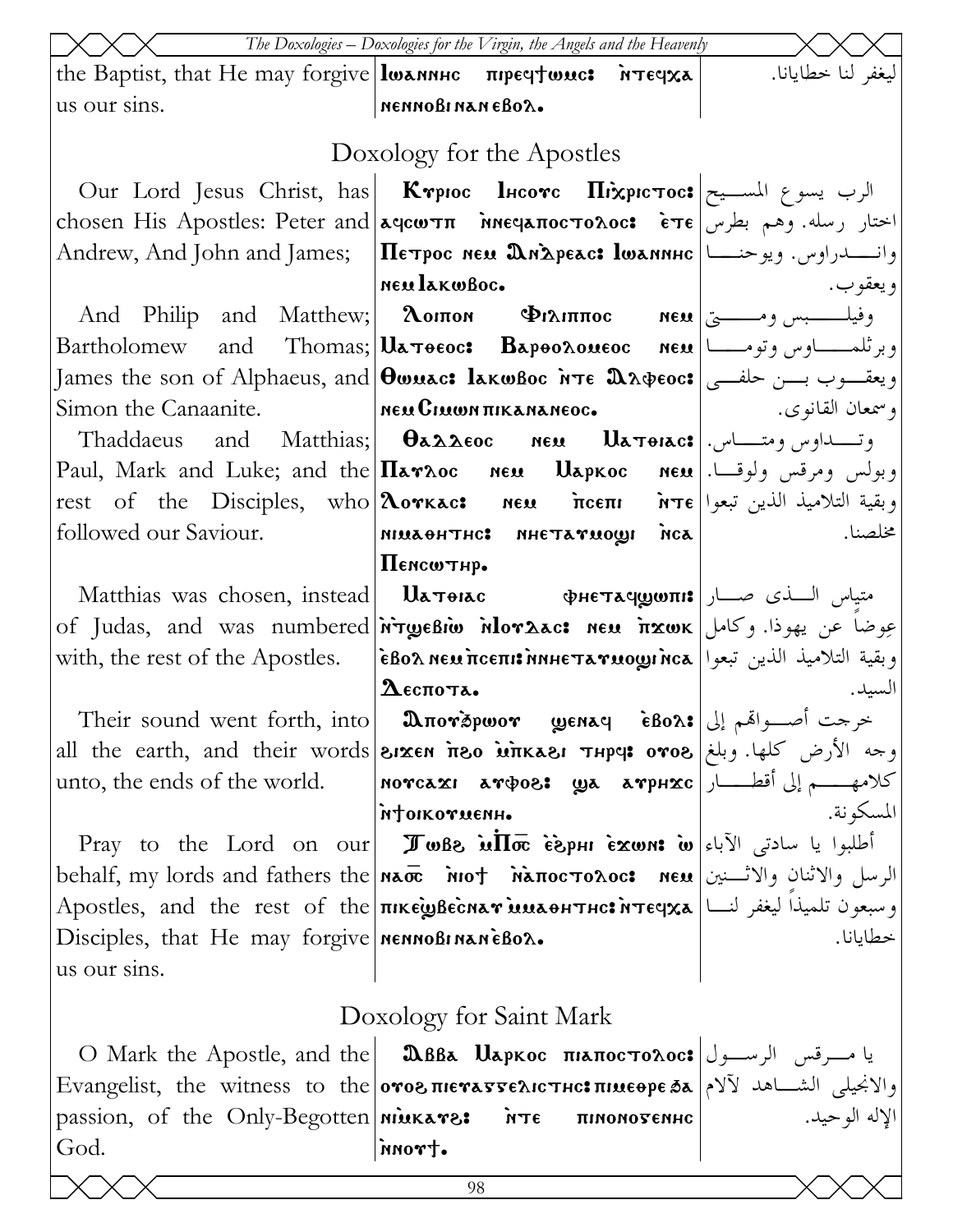|                                                | The Doxologies - Doxologies for the Virgin, the Angels and the Heavenly                                                                                                   |                    |
|------------------------------------------------|---------------------------------------------------------------------------------------------------------------------------------------------------------------------------|--------------------|
|                                                | the Baptist, that He may forgive losannuc $\pi$ rpeqtouc: $\pi$ reqxa                                                                                                     | ليغفر لنا خطايانا. |
| us our sins.                                   | меммовимамевол.                                                                                                                                                           |                    |
|                                                | Doxology for the Apostles                                                                                                                                                 |                    |
|                                                | Our Lord Jesus Christ, has <b>Krpioc lucorc Hixpic Toc:</b> الرب يسوع المســيح                                                                                            |                    |
|                                                |                                                                                                                                                                           |                    |
|                                                | Andrew, And John and James; Петрос нем Длареас: lwannнс اواس. ويوحنـــا                                                                                                   |                    |
|                                                | neulakwBoc.                                                                                                                                                               | و يعقو ب.          |
|                                                | And Philip and Matthew;  <b>λοιπο Φιλιππος Neu</b> وفيلـــــــبس ومـــــــيّ  And Philip and Matthew;  <b>λοιπο Φιλιππος</b>                                              |                    |
|                                                |                                                                                                                                                                           |                    |
|                                                | James the son of Alphaeus, and  <code><math>\bm{\theta}</math>wuac: lakwBoc</code> א $\bm{\tau}$ e هندوب بسن حلفـــي $\bm{s}$                                             |                    |
| Simon the Canaanite. Mex CIMENTIKANANEOC.      |                                                                                                                                                                           | و سمعان القانوي.   |
|                                                | 7haddaeus and Matthias;  $\theta$ a $\lambda$ aeoc neu Uatorac:  وتـــــداوس ومتـــــاس.                                                                                  |                    |
|                                                | Paul, Mark and Luke; and the <b>Narxoc   neu   Uapkoc   neu</b> اوبولس ومرقس ولوقــا.                                                                                     |                    |
|                                                | rest of the Disciples, who <b>Aorkac:</b> neu ncem n refly . وبقية التلاميذ الذين تبعوا                                                                                   |                    |
| followed our Saviour.                          |                                                                                                                                                                           | مخلصنا.            |
|                                                | $\prod$ емсωтнр.                                                                                                                                                          |                    |
|                                                | Matthias was chosen, instead   $\alpha$ متياس السذى صـــار   Matthias was chosen, instead                                                                                 |                    |
|                                                | of Judas, and was numbered <i>i</i> ry unior hor act new it xwk (حوضا عن يهوذا. وكامل                                                                                     |                    |
| with, the rest of the Apostles.                | وبقية التلاميذ الذين تبعوا   εβολ neω πceπι: nnheтaγωoωι nca                                                                                                              |                    |
|                                                | $\mathbf{\Omega}$ еспота.                                                                                                                                                 | السيد.             |
|                                                | Their sound went forth, into   మпотэршот уенач свол: طوحت أصبواهم إلى                                                                                                     |                    |
|                                                | all the earth, and their words <b>Sixen nos inkasi Thpe: 0708</b> [bless] all the earth, and their words                                                                  |                    |
| unto, the ends of the world.                   | كلامهـــــم إلى أقطــــــار  мотсахі атфог, да атрнхс<br>муоткотиенн.                                                                                                     | المسكو نة.         |
|                                                | Pray to the Lord on our <b>I whe in the lord on our I where ight is rewrit w</b> $ \vec{v} $                                                                              |                    |
|                                                | الرسل والاثنان والاثسنين behalf, my lords and fathers the nao inot ManocToAoc: الرسل والاثنان والاثسنين                                                                   |                    |
|                                                | Apostles, and the rest of the <b> пікѐувеснат млаонтнс: птечха  </b> اليغفر لنسا   Apostles, and the rest of the                                                          |                    |
| Disciples, that He may forgive MennoBinaneBox. |                                                                                                                                                                           | خطايانا.           |
| us our sins.                                   |                                                                                                                                                                           |                    |
|                                                | Doxology for Saint Mark                                                                                                                                                   |                    |
|                                                |                                                                                                                                                                           |                    |
|                                                | 0 Mark the Apostle, and the <b>  ΩBBa Uapkoc πιαποςτολος:</b> يا مسرقس الرسسول                                                                                            |                    |
|                                                | والانحيلي الشــاهد لآلام  Evangelist, the witness to the oros πιενατελιστικ: πιμεθρε δα<br>passion, of the Only-Begotten <b>  мінкате:</b> ите пимиотемне   الإله الوحيد. |                    |
| God.                                           | nnort.                                                                                                                                                                    |                    |
|                                                |                                                                                                                                                                           |                    |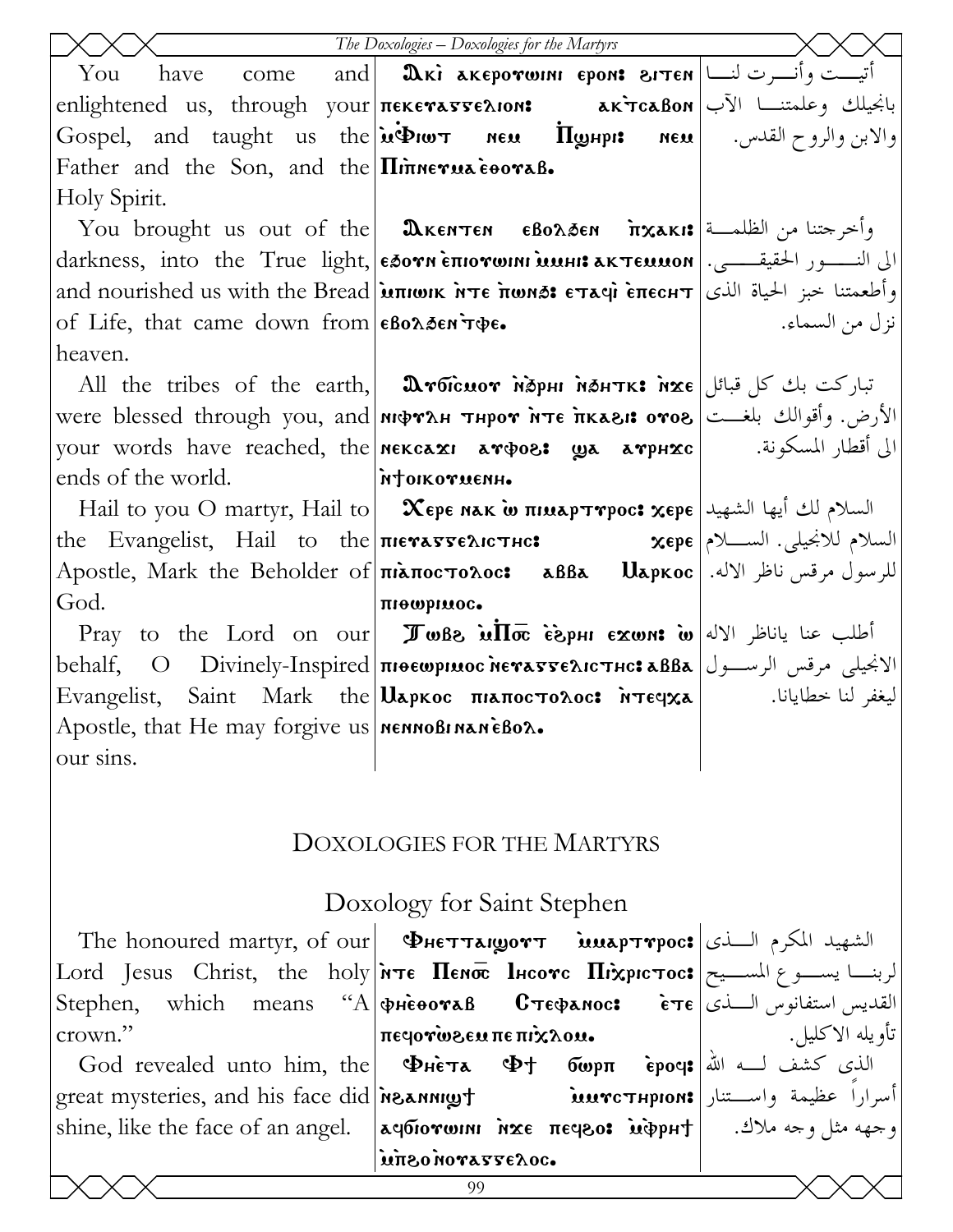|                                                                                             | The Doxologies - Doxologies for the Martyrs                                                                                                                                                                                                                                                                                                                        |                 |
|---------------------------------------------------------------------------------------------|--------------------------------------------------------------------------------------------------------------------------------------------------------------------------------------------------------------------------------------------------------------------------------------------------------------------------------------------------------------------|-----------------|
| You                                                                                         | have come and $\vert$ дкі акеротонн ером: гтем $\vert$ التيست وأنسرت لنسا                                                                                                                                                                                                                                                                                          |                 |
|                                                                                             | enlightened us, through your πεκεναστελιοn: مانجيلك وعلمتنــا الآب  enlightened us, through your πεκεναστελιοn                                                                                                                                                                                                                                                     |                 |
|                                                                                             | Gospel, and taught us the <b>iveliar nex Hyspit nex Nex</b> 1 ( $\theta$ بن والزوح القدس. <b>[Gospel</b>                                                                                                                                                                                                                                                           |                 |
| Father and the Son, and the <i>Ininerua</i> cooral.                                         |                                                                                                                                                                                                                                                                                                                                                                    |                 |
| Holy Spirit.                                                                                |                                                                                                                                                                                                                                                                                                                                                                    |                 |
|                                                                                             | You brought us out of the   Дкентен еволбен пхакі: وأخرجتنا من الظلمــة [You brought us out of the                                                                                                                                                                                                                                                                 |                 |
|                                                                                             | darkness, into the True light, εδονη επιονωιηι минι λκτεμμοη   الى النور الحقيقـــي.   darkness, into the True light,   εδονη επιονωιηι минι λκτεμμοη                                                                                                                                                                                                              |                 |
|                                                                                             | and nourished us with the Bread <b>inter interval Example Frace Steed</b> Theorities of the Bread interest $\epsilon$                                                                                                                                                                                                                                              |                 |
| of Life, that came down from $\epsilon$ Bo $\lambda$ Den $\tau \phi \epsilon$ .             |                                                                                                                                                                                                                                                                                                                                                                    | نزل من السماء.  |
| heaven.                                                                                     |                                                                                                                                                                                                                                                                                                                                                                    |                 |
|                                                                                             | All the tribes of the earth, <b>Aroicuor Maphi Mahtk: تباركت بك كل قبائل All</b> the tribes of the earth, <b>Aroicuor Maphi Mahtk:</b>                                                                                                                                                                                                                             |                 |
|                                                                                             | الأرض. وأقوالك بلغــت   were blessed through you, and мфтлн тнрот ите пкази отог                                                                                                                                                                                                                                                                                   |                 |
|                                                                                             |                                                                                                                                                                                                                                                                                                                                                                    |                 |
| ends of the world. <b>The intervention interventional contract in the set of the world.</b> |                                                                                                                                                                                                                                                                                                                                                                    |                 |
|                                                                                             | Hail to you O martyr, Hail to $\vert$ Xερε nak ω πιμαρτηρος: χερε السلام لك أيها الشهيد                                                                                                                                                                                                                                                                            |                 |
|                                                                                             | the Evangelist, Hail to the πιεναντελιστικ: مسلام للانجيلي. السسلام للأنجيلي. السلام للأ                                                                                                                                                                                                                                                                           |                 |
|                                                                                             | للرسول مرقس ناظر الاله.  Apostle, Mark the Beholder of πιλποςτολος: مقس ناظر الاله.  Apostle, Mark the Beholder of                                                                                                                                                                                                                                                 |                 |
| God.                                                                                        | πιθωριμος.                                                                                                                                                                                                                                                                                                                                                         |                 |
|                                                                                             | Pray to the Lord on our <b>I</b> wBe $\overline{u}$ $\overline{10}$ $\overline{0}$ $\overline{10}$ $\overline{0}$ $\overline{10}$ $\overline{0}$ $\overline{0}$ $\overline{0}$ $\overline{0}$ $\overline{0}$ $\overline{0}$ $\overline{0}$ $\overline{0}$ $\overline{0}$ $\overline{0}$ $\overline{0}$ $\overline{0}$ $\overline{0}$ $\overline{0}$ $\overline{0}$ |                 |
|                                                                                             | الانجيلي مرقس الرسول   behalf,     O    Divinely-Inspired   πιθεωρικος λεγλετρελιστης: λββλ                                                                                                                                                                                                                                                                        |                 |
|                                                                                             | Evangelist, Saint Mark the <b>U</b> apkoc πιαποστολος: <i>Νεεγχ</i> α   <del>Συναι</del> βείς, Saint Mark the   Uapkoc πιαποστολος: <i>Νεεγχ</i> α                                                                                                                                                                                                                 |                 |
| Apostle, that He may forgive us   NENNOBI NANEBOX.                                          |                                                                                                                                                                                                                                                                                                                                                                    |                 |
| our sins.                                                                                   |                                                                                                                                                                                                                                                                                                                                                                    |                 |
|                                                                                             |                                                                                                                                                                                                                                                                                                                                                                    |                 |
|                                                                                             |                                                                                                                                                                                                                                                                                                                                                                    |                 |
|                                                                                             | <b>DOXOLOGIES FOR THE MARTYRS</b>                                                                                                                                                                                                                                                                                                                                  |                 |
|                                                                                             |                                                                                                                                                                                                                                                                                                                                                                    |                 |
|                                                                                             | Doxology for Saint Stephen                                                                                                                                                                                                                                                                                                                                         |                 |
|                                                                                             | The honoured martyr, of our <b>PHETTAILOVT</b> is in propose ILLA, I limit                                                                                                                                                                                                                                                                                         |                 |
|                                                                                             | Lord Jesus Christ, the holy <i>i</i> rre <b>Πευσε Ιμεονε Πιχριετος:</b> الربنسا يسموع المسسيح                                                                                                                                                                                                                                                                      |                 |
|                                                                                             | Stephen, which means "A $\phi$ HeooraB <b>C</b> Te $\phi$ anoc: $\epsilon$ Te $ \psi\rangle$ Austral                                                                                                                                                                                                                                                               |                 |
| crown."                                                                                     | πε φτώδει πε πιλλου.                                                                                                                                                                                                                                                                                                                                               | تأويله الاكليل. |
|                                                                                             |                                                                                                                                                                                                                                                                                                                                                                    |                 |
|                                                                                             | great mysteries, and his face did мзаннщут имтетнрюм: وأسراراً عظيمة واســـتنار                                                                                                                                                                                                                                                                                    |                 |
|                                                                                             | shine, like the face of an angel.   kqбiorwini мхє πεqεο: أوجهه مثل وجه ملاك.   shine, like the face of an angel.   kqбiorwini                                                                                                                                                                                                                                     |                 |
|                                                                                             | uπεο MOΥΑΓΓελος.                                                                                                                                                                                                                                                                                                                                                   |                 |
|                                                                                             | 99                                                                                                                                                                                                                                                                                                                                                                 |                 |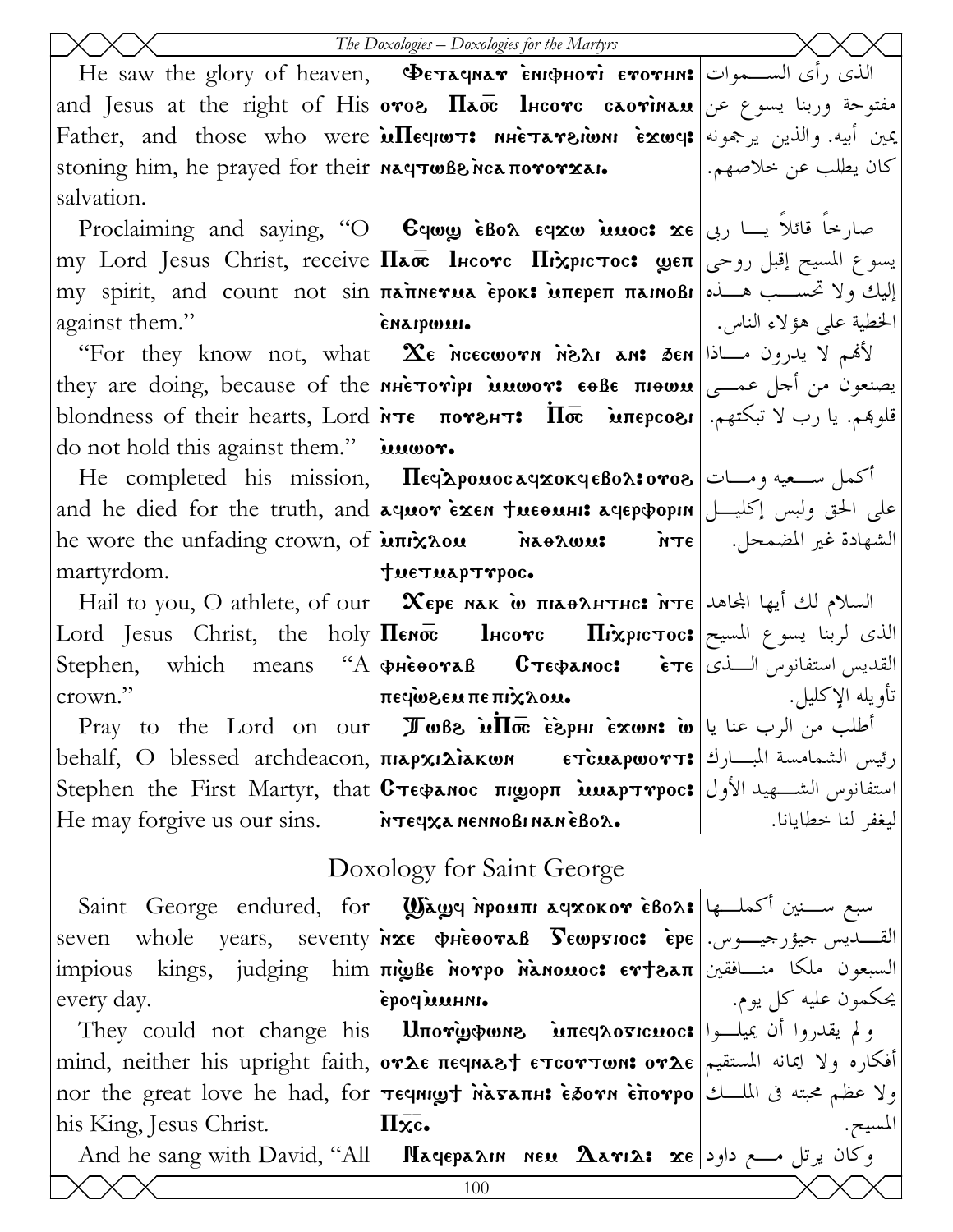|                                                     | The Doxologies - Doxologies for the Martyrs                                                                                                                                                                                                                                    |                     |
|-----------------------------------------------------|--------------------------------------------------------------------------------------------------------------------------------------------------------------------------------------------------------------------------------------------------------------------------------|---------------------|
|                                                     | He saw the glory of heaven, <b>Φετλαγιλή ενιφμονί ενονιμι:</b> الذي رأى الســموات He saw the glory of heaven, <b>Φετλαγιλή</b>                                                                                                                                                 |                     |
|                                                     | and Jesus at the right of His <b>oros <math>\Pi</math>aoc lucorc caorinau</b> and Jesus at the right of His <b>oros <math>\Pi</math>aoc lucorc caorinau</b>                                                                                                                    |                     |
|                                                     | Eather, and those who were <b>integrams nhetaresions exwes</b> and those who were <b>integrams</b>                                                                                                                                                                             |                     |
|                                                     | stoning him, he prayed for their <b>  naqτωβ&amp; nca πογογχaι.</b>   المكان يطلب عن خلاصهم.                                                                                                                                                                                   |                     |
| salvation.                                          |                                                                                                                                                                                                                                                                                |                     |
|                                                     | Proclaiming and saying, "O <b>Cywy eBox eyxw innoc: xe</b> صارحا قائلا يسا ربى                                                                                                                                                                                                 |                     |
|                                                     | my Lord Jesus Christ, receive <b>Паос Інсотс Піхрістос: மூєп</b> روحي   سوع المسيح إقبل روحي                                                                                                                                                                                   |                     |
|                                                     | my spirit, and count not sin πannerua epok: uπepeπ πannoßi  مقسـب هـــذه  my spirit, and count not sin                                                                                                                                                                         |                     |
| against them."                                      |                                                                                                                                                                                                                                                                                |                     |
|                                                     | "For they know not, what   $\bm{\chi}_{\bm{\epsilon}}$ нессоотн нела ден  نانم لا يدرون مـــاذا [ For they know not, what ]                                                                                                                                                    |                     |
|                                                     | they are doing, because of the <b>MHETOTIPI MUWOT: 60BE πIOWU</b> $\cos$ 3                                                                                                                                                                                                     |                     |
|                                                     | blondness of their hearts, Lord <b>NTE NOTE: Iloc MTEPCOSI</b>   بارب لا تبكتهم. [blondness of their hearts, Lord                                                                                                                                                              |                     |
| do not hold this against them." $\lambda$ $\lambda$ |                                                                                                                                                                                                                                                                                |                     |
|                                                     | He completed his mission, <b>Πε</b> φλροπος αφχοκφεβολ:0908 [صدات   He completed his mission, <b>Πε</b> φλροπος                                                                                                                                                                |                     |
|                                                     | and he died for the truth, and aquor Exen Tueouni aqep popin [على الحق ولبس إكليـــل                                                                                                                                                                                           |                     |
|                                                     | he wore the unfading crown, of <b>μπιχλου διαθλωμε</b> διτε   . الشهادة غير المضمحل. الصحر العامة                                                                                                                                                                              |                     |
|                                                     |                                                                                                                                                                                                                                                                                |                     |
|                                                     | Hail to you, O athlete, of our <b>Xepe NAK w πιλθλΗΤΗς: MTE</b> السلام لك أيها الجاهد Hail to you, O athlete, of our                                                                                                                                                           |                     |
|                                                     | Lord Jesus Christ, the holy <b>Πεησε lucove Πιλεριστος:</b> الذي لربنا يسوع المسيح                                                                                                                                                                                             |                     |
|                                                     | Stephen, which means "A $\phi$ $\vec{a}$ $\vec{b}$ $\vec{c}$ $\vec{c}$ $\vec{c}$ $\vec{c}$ $\vec{c}$ $\vec{c}$ $\vec{c}$ $\vec{c}$ $\vec{c}$ $\vec{c}$ $\vec{c}$ $\vec{c}$ $\vec{c}$ $\vec{c}$ $\vec{c}$ $\vec{c}$ $\vec{c}$ $\vec{c}$ $\vec{c}$ $\vec{c}$ $\vec{c}$ $\vec{c}$ |                     |
| crown."                                             | ι με το αχίπ <b>επίλ</b> του στ                                                                                                                                                                                                                                                | تأويله الإكليل.     |
|                                                     | Pray to the Lord on our <b>I</b> wBe $\inf \bar{\mathbf{\sigma}}$ $\hat{\mathbf{\sigma}}$ $\mathbf{\hat{\sigma}}$ $\mathbf{\hat{\sigma}}$ $\mathbf{\hat{\mu}}$ $\mathbf{\hat{\mu}}$ $\mathbf{\hat{\mu}}$ $\mathbf{\hat{\mu}}$                                                  |                     |
|                                                     | behalf, O blessed archdeacon,  $\pi$ رئيس الشمامسة المبارك  5 مى متابع مى متابع الشمامسة المبارك   5 مى                                                                                                                                                                        |                     |
|                                                     | Stephen the First Martyr, that <b>C</b> πεφαnoc πιωορπ <b>imapτγροc:</b> استفانوس الشكهيد الأول                                                                                                                                                                                |                     |
|                                                     | He may forgive us our sins.   $\lambda$ TEGXA NENNOBINANEBOX.                                                                                                                                                                                                                  | ليغفر لنا خطايانا.  |
| Doxology for Saint George                           |                                                                                                                                                                                                                                                                                |                     |
|                                                     | Saint George endured, for Wawy ipouni ayxokov eBors (2) سبع ســنين أكملــها                                                                                                                                                                                                    |                     |
|                                                     | seven whole years, seventy nxe wheeovas Sewpsioc: epe   . القسديس حيؤر حيدوس.                                                                                                                                                                                                  |                     |
|                                                     | impious kings, judging him πιωβε Norpo Nanowoc: εττελπ تسبعون ملكا منــافقين                                                                                                                                                                                                   |                     |
| every day.                                          | epoclient.                                                                                                                                                                                                                                                                     | يحكمون عليه كل يوم. |
|                                                     | ولم يقدروا أن يميلوا They could not change his Uπorφφωne interprosicuoc:                                                                                                                                                                                                       |                     |
|                                                     | mind, neither his upright faith, ονλε πες περιτικότητων συλε  افكاره ولا ايمانه المستقيم                                                                                                                                                                                       |                     |
|                                                     | nor the great love he had, for <b>Teeningt MASATH: eSorn Enorpo</b> اولا عظم محبته في الملـــك                                                                                                                                                                                 |                     |
| his King, Jesus Christ.                             | $\Pi \overline{\mathbf{x}}$ .                                                                                                                                                                                                                                                  |                     |
|                                                     | And he sang with David, "All  <b>Nagepann neu <math>\Delta</math>ari<math>\lambda</math>:</b> xe وكان يرتل مـــع داود                                                                                                                                                          |                     |
|                                                     | 100                                                                                                                                                                                                                                                                            |                     |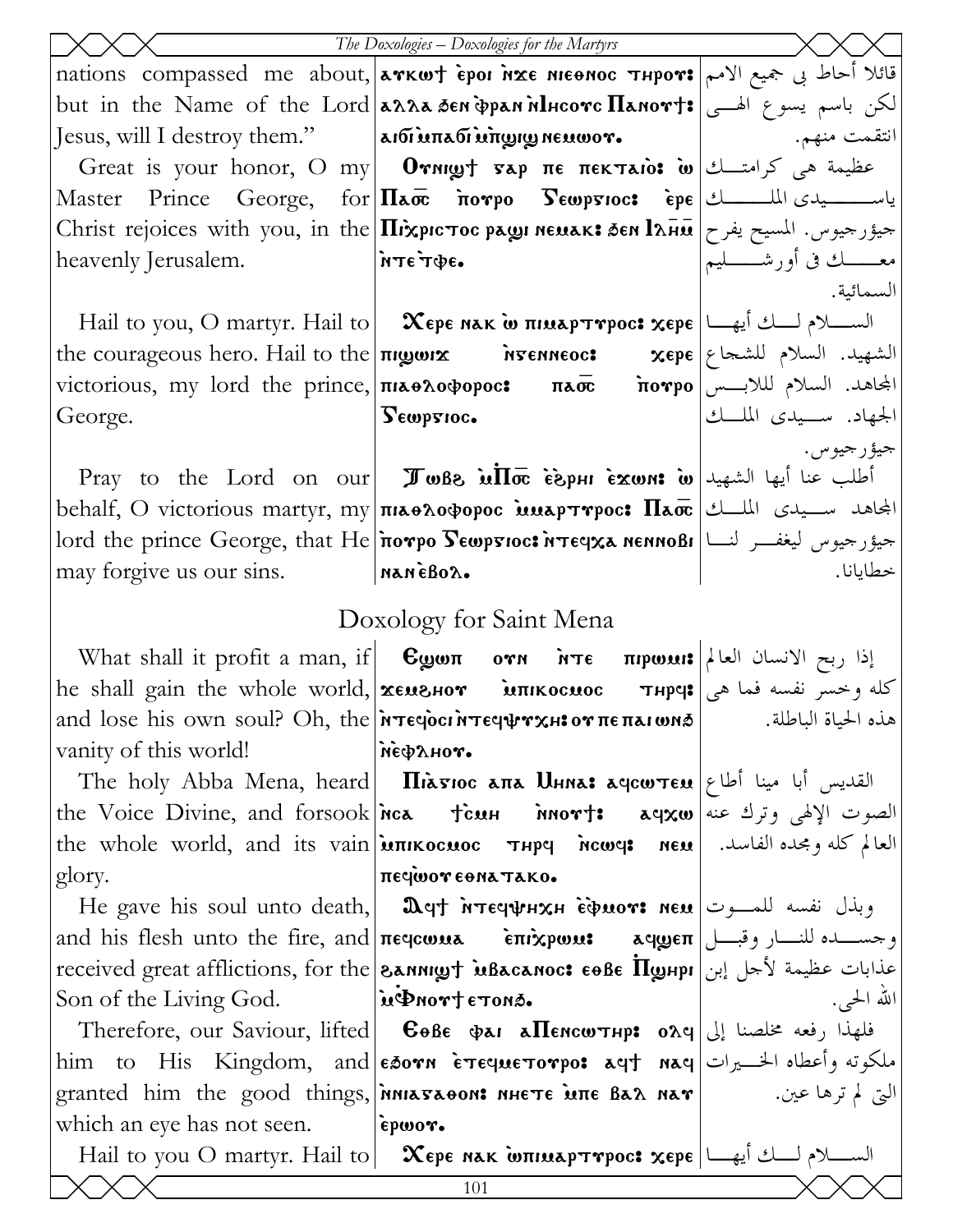|                                                                 | The Doxologies - Doxologies for the Martyrs                                                                                                             |                                |
|-----------------------------------------------------------------|---------------------------------------------------------------------------------------------------------------------------------------------------------|--------------------------------|
|                                                                 | nations  compassed  me  about, arkwt èpor irxe мюног тнрот: قائلا أحاط بي جميع الامم                                                                    |                                |
|                                                                 | but in the Name of the Lord <b>anna Sen pannilusorc Hanort:</b> الكن باسم يسوع الهـــى                                                                  |                                |
|                                                                 | Jesus, will I destroy them."   ماتقمت منهم. [صدر انتقمت منهم. الله ] anti and impute wor.                                                               |                                |
|                                                                 | Great is your honor, O my   Oγnigyt sap πε πεκταιο: أعظيمة هي كرامتــك  Great is your honor, O my                                                       |                                |
|                                                                 | Master Prince George, for $\Pi$ ao norpo $S$ ewprioc: epe المسلسلة عليه المعدي الملسسطين المسلسلة المجموعة المعاملة                                     |                                |
|                                                                 | Christ rejoices with you, in the <b>Ilixpic Toc pags NEMAK: SEN l</b> and = بعيور جيوس. المسيح يفرح                                                     |                                |
| heavenly Jerusalem.                                             | $\bullet$ э $\Phi$ т $\epsilon$ эти $\parallel$                                                                                                         | معــــــك فى أورشــــــــــليم |
|                                                                 |                                                                                                                                                         | السمائية.                      |
|                                                                 | Hail to you, O martyr. Hail to $\vert$ Хере нак w пиларттрос: хере $\vert$ السلام لسلام لسلام السلام العام الله السلام ل                                |                                |
|                                                                 | the courageous hero. Hail to the $\pi$ rgorx $\alpha$ $\pi$ Fenneoc: $\alpha$ $\pi$ epe $\alpha$ $\beta$ $\beta$ $\beta$ $\beta$ $\gamma$               |                                |
|                                                                 | victorious, my lord the prince, <b>πιδάντρος καιτιστικό ποντρο</b> المجاهد. السلام لللابـــس victorious, my lord the prince,                            |                                |
| George.                                                         | Lempsioc.                                                                                                                                               | الجهاد. ســيدى الملــك         |
|                                                                 |                                                                                                                                                         | جيؤرجيوس.                      |
|                                                                 | Pray to the Lord on our <b>I</b> whe in $\overline{u}$ is $\overline{v}$ is $\overline{v}$ is $\overline{v}$ is $\overline{v}$ lexent if $\overline{v}$ |                                |
|                                                                 | behalf, O victorious martyr, my $ \pi$ ia odopoc is is $\pi$ pres $\pi$ a $ \ell $ الجاهد سـيدى الملــك                                                 |                                |
|                                                                 | lord the prince George, that He <i>i</i> rorpo Sewpsioc: <i>איפּן איז a nennoßi</i>  سیور حیوس لیغفـــر لنـــا                                          |                                |
| may forgive us our sins. MANEBOX.                               |                                                                                                                                                         | خطايانا.                       |
|                                                                 | Doxology for Saint Mena                                                                                                                                 |                                |
|                                                                 | What shall it profit a man, if $ $ $\mathbf{C}$ gwn $\text{OPT}$ $\mathbf{C}$ $\mathbf{C}$ ול $ $ און $ $                                               |                                |
|                                                                 | he shall gain the whole world, <b>xeushor introcuoc Thpe:</b> أكله وخسر نفسه فما هي                                                                     |                                |
|                                                                 | and lose his own soul? Oh, the <i>i</i> re epocritical or ne πarwns   and lose his own soul? Oh, the <i>i</i> re epocritical                            |                                |
| vanity of this world!                                           | $\tilde{\mathbf{m}}$                                                                                                                                    |                                |
|                                                                 | The holy Abba Mena, heard   <b>Iliasioc ana Uhna: aqcw<math>\tau</math>cu</b>   القديس أبا مينا أطاع                                                    |                                |
|                                                                 | the Voice Divine, and forsook nca tien nort: aqxw as exer left as exer                                                                                  |                                |
|                                                                 | the whole world, and its vain <b>imixocuoc THPY</b> new rew   العالم كله ومجده الفاسد.                                                                  |                                |
| glory.                                                          | πεςώον εθηλτλκο.                                                                                                                                        |                                |
|                                                                 | He gave his soul unto death,   Дет нтеецинхн едиот: неи   وبذل نفسه للمسوت                                                                              |                                |
|                                                                 | and his flesh unto the fire, and πε التسار وقبل اله and his flesh unto the fire, and   πε الله الله عليه العدي                                          |                                |
|                                                                 | received great afflictions, for the <b>Sannigh Macanoc: сове Пунрі</b> [ابن عظيمة لأحل إبن                                                              |                                |
| Son of the Living God. ighort erons.                            |                                                                                                                                                         | الله الحبي.                    |
|                                                                 | Therefore, our Saviour, lifted   $\bm{\mathsf{G}}$ өве фат а $\bm{\Pi}$ емсотнр: ол $\bm{\mathsf{q}}$ إلى الله العامة المعاشرة المعامل ال               |                                |
|                                                                 | him to His Kingdom, and esorn èтеqueтorpo: aq† naq  الخسيرات ا<br>granted him the good things, $\left \right.$ MNIATAON: NHETE MITE BAA NAT $\left $    |                                |
| which an eye has not seen. $\left  \epsilon_{\text{p}} \right $ |                                                                                                                                                         |                                |
|                                                                 | Hail to you O martyr. Hail to $\vert$ Хере нак <b>опиларттрос: хере</b> $\vert \Box$ السلام لسلة أ                                                      |                                |
|                                                                 |                                                                                                                                                         |                                |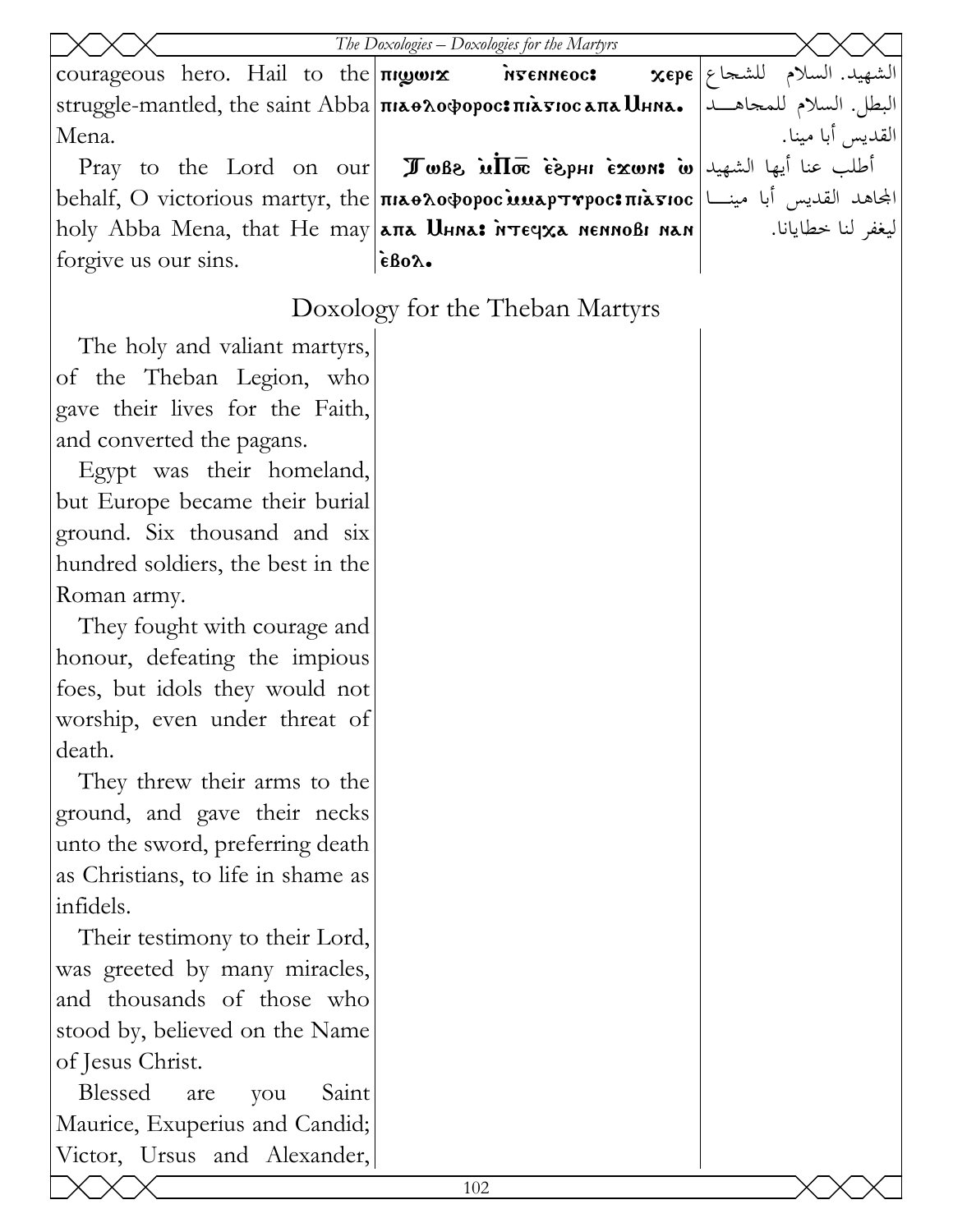|                                                                                                                                                                                                                                                                                                            | The Doxologies - Doxologies for the Martyrs                                                                                                                                    |                              |
|------------------------------------------------------------------------------------------------------------------------------------------------------------------------------------------------------------------------------------------------------------------------------------------------------------|--------------------------------------------------------------------------------------------------------------------------------------------------------------------------------|------------------------------|
| $\frac{1}{2}$ courageous hero. Hail to the $\frac{1}{2}$ $\frac{1}{2}$ $\frac{1}{2}$ $\frac{1}{2}$ $\frac{1}{2}$ $\frac{1}{2}$ $\frac{1}{2}$ $\frac{1}{2}$ $\frac{1}{2}$ $\frac{1}{2}$ $\frac{1}{2}$ $\frac{1}{2}$ $\frac{1}{2}$ $\frac{1}{2}$ $\frac{1}{2}$ $\frac{1}{2}$ $\frac{1}{2}$ $\frac{1}{2}$ $\$ |                                                                                                                                                                                | الشهيد. السلام للشجاع   xepe |
|                                                                                                                                                                                                                                                                                                            | البطل. السلام للمجاهـــد  .struggle-mantled, the saint Abba πιλθοφορος:πιλτιος λιμηλ.                                                                                          |                              |
| Mena.                                                                                                                                                                                                                                                                                                      |                                                                                                                                                                                | القديس أبا مينا.             |
|                                                                                                                                                                                                                                                                                                            | Pray to the Lord on our <b>I</b> who is $\overline{Im}$ $\overline{cos}$ $\overline{cos}$ $\overline{cos}$ $\overline{cos}$ $\overline{cos}$ $\overline{cos}$ $\overline{cos}$ |                              |
|                                                                                                                                                                                                                                                                                                            | behalf, O victorious martyr, the πιλθλοφορος inap τηρος πιλτιος [محاهد القديس أبا مينا                                                                                         |                              |
|                                                                                                                                                                                                                                                                                                            | holy Abba Mena, that He may $\lambda$ па $\lambda$ ниа: итечха неннові нан                                                                                                     | ليغفر لنا خطايانا.           |
| forgive us our sins.                                                                                                                                                                                                                                                                                       | $\epsilon$ Bo $\lambda$ .                                                                                                                                                      |                              |
|                                                                                                                                                                                                                                                                                                            | Doxology for the Theban Martyrs                                                                                                                                                |                              |
| The holy and valiant martyrs,                                                                                                                                                                                                                                                                              |                                                                                                                                                                                |                              |
| of the Theban Legion, who                                                                                                                                                                                                                                                                                  |                                                                                                                                                                                |                              |
| gave their lives for the Faith,                                                                                                                                                                                                                                                                            |                                                                                                                                                                                |                              |
| and converted the pagans.                                                                                                                                                                                                                                                                                  |                                                                                                                                                                                |                              |
| Egypt was their homeland,                                                                                                                                                                                                                                                                                  |                                                                                                                                                                                |                              |
| but Europe became their burial                                                                                                                                                                                                                                                                             |                                                                                                                                                                                |                              |
| ground. Six thousand and six                                                                                                                                                                                                                                                                               |                                                                                                                                                                                |                              |
| hundred soldiers, the best in the                                                                                                                                                                                                                                                                          |                                                                                                                                                                                |                              |
| Roman army.                                                                                                                                                                                                                                                                                                |                                                                                                                                                                                |                              |
| They fought with courage and                                                                                                                                                                                                                                                                               |                                                                                                                                                                                |                              |
| honour, defeating the impious                                                                                                                                                                                                                                                                              |                                                                                                                                                                                |                              |
| foes, but idols they would not                                                                                                                                                                                                                                                                             |                                                                                                                                                                                |                              |
| worship, even under threat of                                                                                                                                                                                                                                                                              |                                                                                                                                                                                |                              |
| death.                                                                                                                                                                                                                                                                                                     |                                                                                                                                                                                |                              |
| They threw their arms to the                                                                                                                                                                                                                                                                               |                                                                                                                                                                                |                              |
| ground, and gave their necks                                                                                                                                                                                                                                                                               |                                                                                                                                                                                |                              |
| unto the sword, preferring death                                                                                                                                                                                                                                                                           |                                                                                                                                                                                |                              |
| as Christians, to life in shame as                                                                                                                                                                                                                                                                         |                                                                                                                                                                                |                              |
| infidels.                                                                                                                                                                                                                                                                                                  |                                                                                                                                                                                |                              |
| Their testimony to their Lord,                                                                                                                                                                                                                                                                             |                                                                                                                                                                                |                              |
| was greeted by many miracles,                                                                                                                                                                                                                                                                              |                                                                                                                                                                                |                              |
| and thousands of those who                                                                                                                                                                                                                                                                                 |                                                                                                                                                                                |                              |
| stood by, believed on the Name                                                                                                                                                                                                                                                                             |                                                                                                                                                                                |                              |
| of Jesus Christ.                                                                                                                                                                                                                                                                                           |                                                                                                                                                                                |                              |
| Blessed<br>are<br>Saint<br>you                                                                                                                                                                                                                                                                             |                                                                                                                                                                                |                              |
| Maurice, Exuperius and Candid;                                                                                                                                                                                                                                                                             |                                                                                                                                                                                |                              |
| Victor, Ursus and Alexander,                                                                                                                                                                                                                                                                               |                                                                                                                                                                                |                              |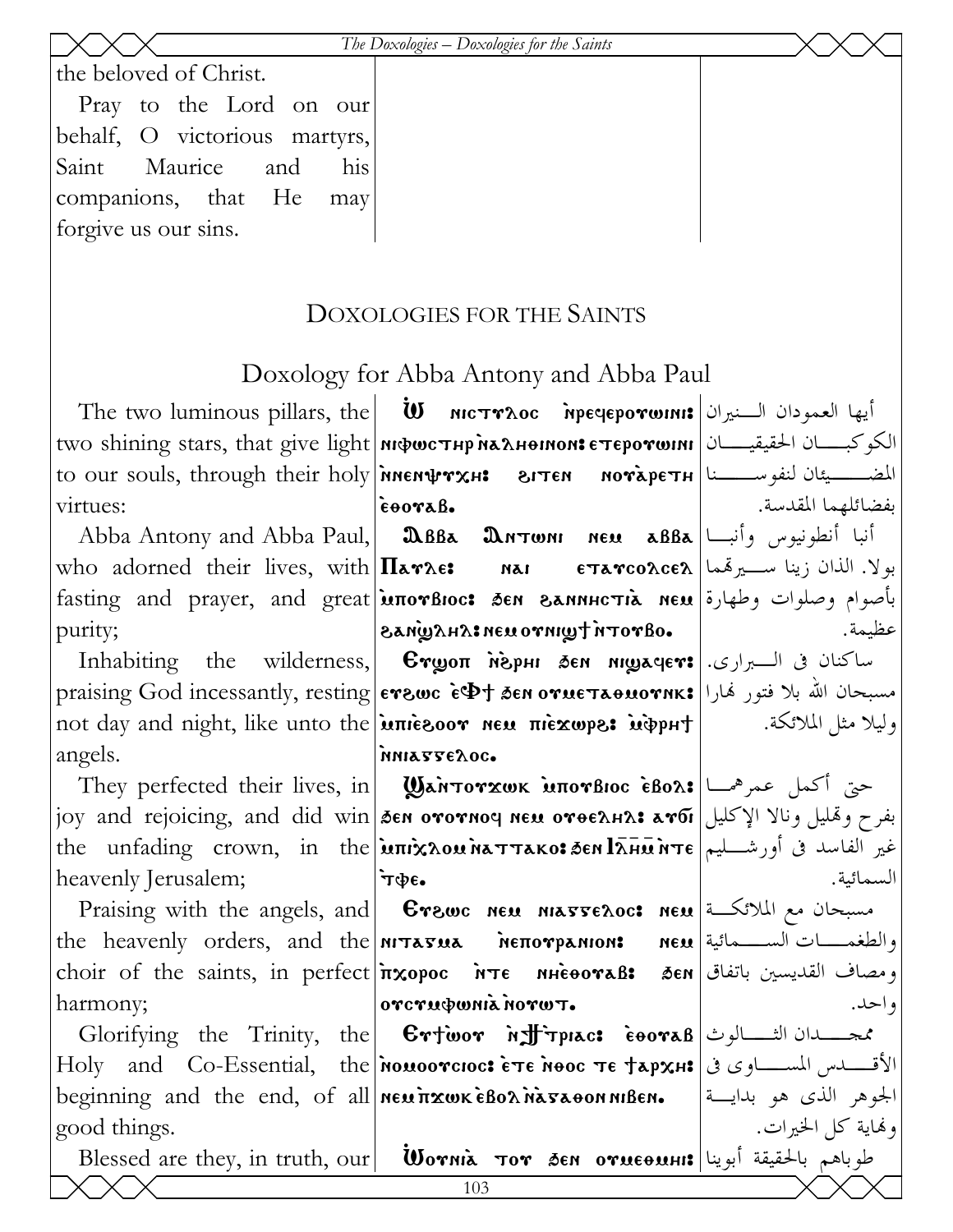The Doxologies – Doxologies for the Saints

the beloved of Christ.

Pray to the Lord on our behalf, O victorious martyrs, Saint Maurice his and companions, that He may forgive us our sins.

## DOXOLOGIES FOR THE SAINTS

## Doxology for Abba Antony and Abba Paul

The two luminous pillars, the  $|$  **W MCTTAOC Mpegeporwinis**  $|\psi|$   $\rightarrow$   $\mathbb{R}$ الكوكبـــان الحقيقيــــان| two shining stars, that give light|июфистнр малнонив стеротини to our souls, through their holy *inen* **WARE 21TEN** MOTAPETH is an integral to our souls, through their holy virtues:

who adorned their lives, with  $\Pi$ <sub>a</sub> $\gamma$  $\epsilon$ :  $\gamma$ purity;

Inhabiting the angels.

heavenly Jerusalem;

the heavenly orders, and the **NITATUA** DETOYPANION: choir of the saints, in perfect  $\frac{1}{x} \times \frac{1}{y} \times \frac{1}{y} \times \frac{1}{z}$ harmony;

good things.

Blessed are they, in truth, our

 $\epsilon$  $\theta$ Abba Antony and Abba Paul, **DBBa DATWNI NEM aBBa**  $\left| \right|$ <sup>i</sup> fasting and prayer, and great **inorBioc: 3en SANNHCTIA NEM** polyone player, and great .oaroth twinro usn : AHAWAS

wilderness,  $\mid$  Стуоп мерні бем мітачет: ساكنان فى الـــبرارى praising God incessantly, resting erews  $\epsilon \Phi$ t den orue $\tau$ аоиотик: الله بلا فتور فهارا not day and night, like unto the **uniezoor** new πιεχωρε: uφρH+ MNIATTEAOC.

They perfected their lives, in **Wantorxwk inorsioc eBox:**  $\left| \bigcup_{n=1}^{\infty} \mathbb{E} \right|$ joy and rejoicing, and did win|த்தை ототноч нем отоедна: مفرح وتمليل ونالا الإكليل|joy and rejoicing, and did win|த்தை ототноч нем отоедна: the unfading crown, in the **inix LOU MATTAKO: SEN LAHER MTE** (equaller the unfading crown, in the  $\cdot$   $\cdot$ 

Praising with the angels, and | Grewc NEM MATTELOC: NEM | مسبحان مع الملائكة orcrudwnianorwT.

Holy and Co-Essential, the nouoorcioc:  $\epsilon \tau \epsilon$  nooc  $\tau \epsilon$   $\tau \Delta p \chi_H$ ; الأقسطس المسلوي في beginning and the end, of all  $\left|\right|$  new  $\overline{n}$  xwk  $\overline{\right|}$  Bo $\lambda$   $\overline{\right|}$   $\overline{\right|}$  and  $\overline{\right|}$  and  $\overline{\right|}$  and  $\overline{\right|}$  and  $\overline{\right|}$  and  $\overline{\left|}$  and  $\overline{\left|}$  and  $\overline{\left|}$  and  $\overline{\left|}$  and  $\overline{\left|}$  and

بفضائلهما المقدسة. بولا. الذان زينا سيرتمما | ETATCOACEA عظمة.

وليلا مثل الملائكة.

السمائية.

والطغمـــــات الســــــمائية| neu ومصاف القديسين باتفاق| ðen و احد.

الجوهر الذي هو بدايسة وفماية كل الخيرات.  $\mathbfbfW}$ طوباهم بالحقيقة أبوينا| $\mathbf{w}$  σεν σνιεθινης (باهم بالحقيقة أبوينا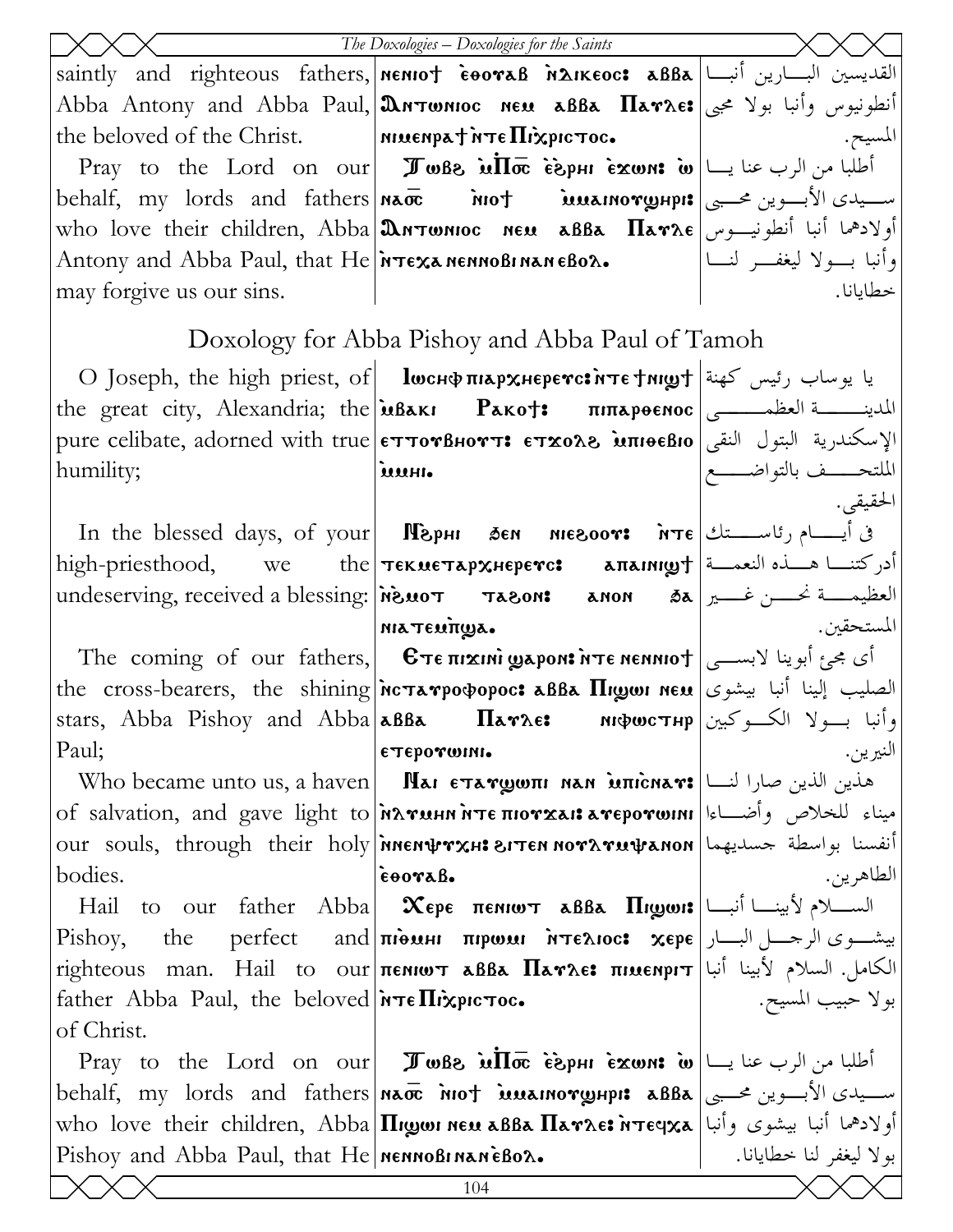|                                                                                                                                                                     | The Doxologies $-D$ oxologies for the Saints                                                                                                                          |                            |
|---------------------------------------------------------------------------------------------------------------------------------------------------------------------|-----------------------------------------------------------------------------------------------------------------------------------------------------------------------|----------------------------|
|                                                                                                                                                                     | saintly and righteous fathers, <b>  MENIOT EOOTAB MAIKEOC: ABBA</b>                                                                                                   |                            |
|                                                                                                                                                                     | Abba Antony and Abba Paul, <b>Antonioc neu aBBa Har</b> ae: أنطونيوس وأنبا بولا مجبي                                                                                  |                            |
| the beloved of the Christ. $\vert$ MIMENPAT $\pi \epsilon \Pi$ $\chi$ protoc.                                                                                       |                                                                                                                                                                       | المسيح.                    |
|                                                                                                                                                                     | Pray to the Lord on our <b>I whe in the form</b> $\cos \theta$ <b>Pray</b> to the Lord on our <b>I J</b> when $\sin \theta$ $\sin \theta$ $\sin \theta$ $\sin \theta$ |                            |
|                                                                                                                                                                     | behalf, my lords and fathers <b>Nace iof iverally intervally the set of the set of the set of the behalf, my</b>                                                      |                            |
|                                                                                                                                                                     | who love their children, Abba <b>Antwnioc neu aBBa <math>\prod_{\alpha \in \alpha}</math></b> is it is in the set of $\log x$                                         |                            |
|                                                                                                                                                                     | Antony and Abba Paul, that $He $ $\lambda \tau \in \mathcal{R}$ $\lambda$ nennoBi naneBo $\lambda \bullet$                                                            | وأنبا بسولا ليغفسر لنسا    |
| may forgive us our sins.                                                                                                                                            |                                                                                                                                                                       | خطايانا.                   |
|                                                                                                                                                                     | Doxology for Abba Pishoy and Abba Paul of Tamoh                                                                                                                       |                            |
|                                                                                                                                                                     | O Joseph, the high priest, of   lwcнфпіархнєрєтс: یا یوساب رئیس کهنة   О                                                                                              |                            |
|                                                                                                                                                                     | the great city, Alexandria; the <b>μβακι Ρακο†: πιπαρθενιος</b> الملدينـــــة العظمــــــي                                                                            |                            |
|                                                                                                                                                                     | pure celibate, adorned with true <b>επτονβнοντ: ετχολ8 innoeBio</b> الإسكندرية البتول النقى                                                                           |                            |
| humility;                                                                                                                                                           | uuni.                                                                                                                                                                 | الملتحـــــف بالتواضـــــع |
|                                                                                                                                                                     |                                                                                                                                                                       | الحقيقي.                   |
|                                                                                                                                                                     | $\text{In the blessed days, of your}$ [ <b>Nephi Sen niesoor:</b> $\text{NTE}$ ( $\text{NTE}$ ) $\text{NTE}$                                                          |                            |
|                                                                                                                                                                     | high-priesthood, we the <b>τεκυεταρχ</b> Ηερενο: <b>aπainigh</b> and the bigh-priesthood,                                                                             |                            |
|                                                                                                                                                                     | undeserving, received a blessing: <i>inguot</i> Tagon: anon sa and sail in the serving, received a blessing: $\lambda$                                                |                            |
|                                                                                                                                                                     | MIATENTINA.                                                                                                                                                           | المستحقين.                 |
|                                                                                                                                                                     | The coming of our fathers, <b>Επεπιχικί ωροκελτεκεκκιστ</b>   ای مجمع أبوینا لابســـی                                                                                 |                            |
|                                                                                                                                                                     |                                                                                                                                                                       |                            |
|                                                                                                                                                                     | وأنبا بسولا الكسوكبين stars, Abba Pishoy and Abba aßBa     Патле:     мюростнр                                                                                        |                            |
| Paul;                                                                                                                                                               | етеротонн.                                                                                                                                                            | النيرين.                   |
|                                                                                                                                                                     | Who became unto us, a haven   <b>Mai ETAYWOTII NAN MITICHAY:</b> هذين الذين صارا لنــا                                                                                |                            |
|                                                                                                                                                                     | of salvation, and gave light to MATUHN NTE пютхан атеротонн   استاء للخلاص وأضــاءا<br>our souls, through their holy พิทธศษรร.นะ ยารถ ทอรมรายปรดทดท                   |                            |
| bodies.                                                                                                                                                             | coorab.                                                                                                                                                               | الطاهرين.                  |
|                                                                                                                                                                     | Hail to our father Abba <b>Χερε πε</b> νιωτ <b>aBBa Πιωωι:</b> السكام لأبينـــا أنبــــا [Hail to our father Abba                                                     |                            |
| Pishoy,                                                                                                                                                             | بيشـــوى الرجــــل البــــار   the      perfect      and  πιθωμι   πιρωωι   мтєλιος:   xєpє                                                                           |                            |
|                                                                                                                                                                     | righteous man. Hail to our πεΝΙωτ aBBa Παγλε: πιμεΝριτ ألكامل. السلام لأبينا أنبا                                                                                     |                            |
| father Abba Paul, the beloved $\ \mathbf{r}\ $ $\mathbf{r}$ $\mathbf{r}$ $\mathbf{r}$ $\mathbf{r}$ $\mathbf{r}$ $\mathbf{r}$ $\mathbf{r}$ $\mathbf{r}$ $\mathbf{r}$ |                                                                                                                                                                       | بولا حبيب المسيح.          |
| of Christ.                                                                                                                                                          |                                                                                                                                                                       |                            |
|                                                                                                                                                                     | Pray to the Lord on our <b>I when</b> $\vec{u}$ $\vec{u}$ $\vec{v}$ $\vec{v}$ $\vec{v}$ $\vec{v}$ $\vec{v}$ $\vec{v}$ $\vec{v}$ $\vec{v}$                             |                            |
|                                                                                                                                                                     | behalf, my lords and fathers na mot inuamory pp: aBBa seller equiped when the physical set                                                                            |                            |
|                                                                                                                                                                     | who love their children, Abba Πιωωι nεω aßBa Πaγλε: أولادهما أنبا بيشوى وأنبا  who love their children, Abba                                                          |                            |
| Pishoy and Abba Paul, that He MennoBinaneBox.                                                                                                                       |                                                                                                                                                                       | بولا ليغفر لنا خطايانا.    |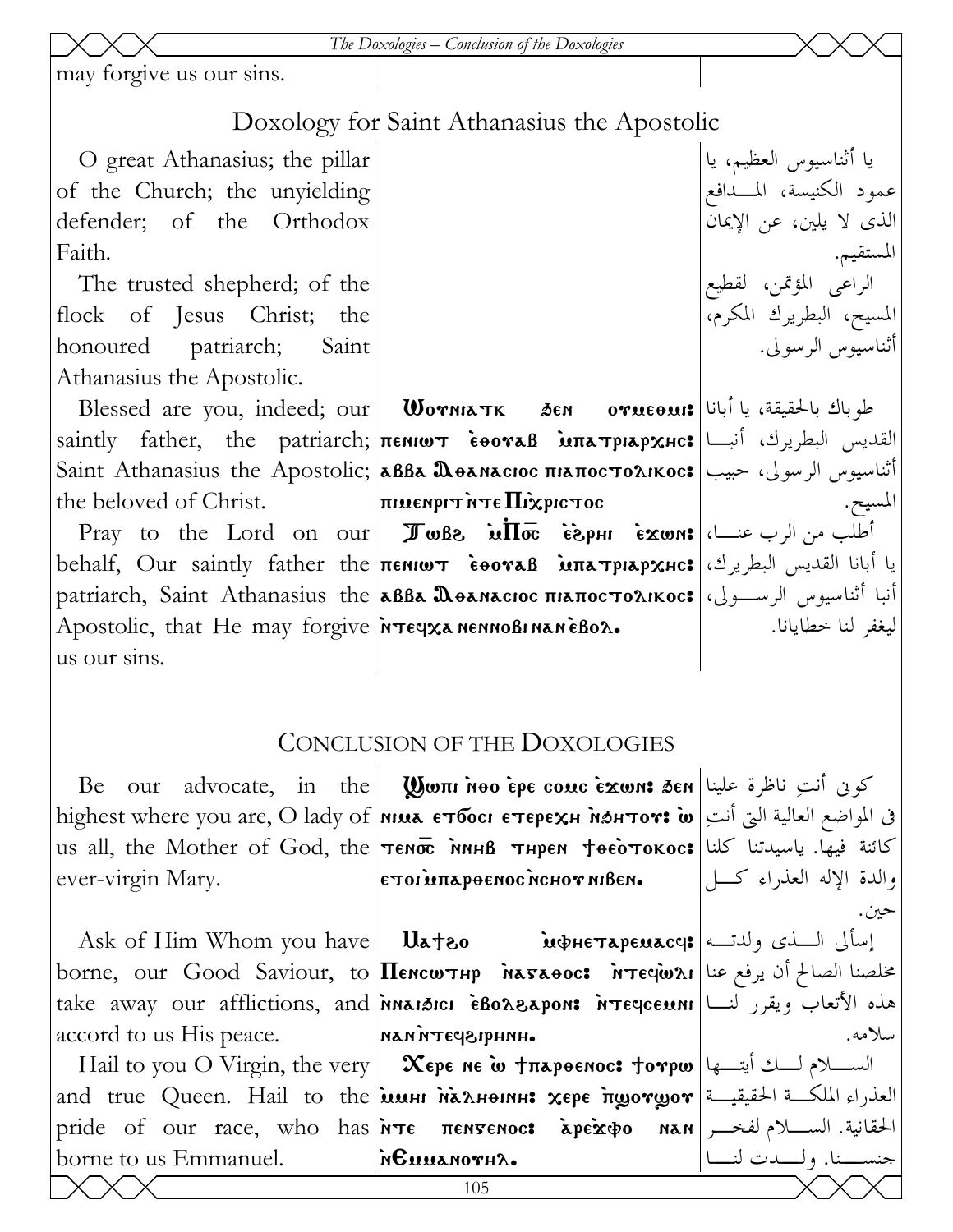#### *The Doxologies – Conclusion of the Doxologies*

may forgive us our sins.

## Doxology for Saint Athanasius the Apostolic

O great Athanasius; the pillar of the Church; the unyielding defender; of the Orthodox Faith.

The trusted shepherd; of the flock of Jesus Christ; the honoured patriarch; Saint Athanasius the Apostolic.

the beloved of Christ.

Apostolic, that He may forgive **inteqxa nennoBinanèBox.** us our sins.

Blessed are you, indeed; our| Worniatk Ten orucouis|أبانا|السلام Blessed are you, indeed; our saintly father, the patriarch;|πεмιωτ ὲθονaβ ̀мпатріархнс:|ألقديس البطريرك، أنبــا Saint Athanasius the Apostolic;|aßBa Ωөанасюс піапосто $\Lambda$ ікос:|مجيب الرسولى، حبيب  $\vert$ πιμεηριτή τα Πιχριστος

 $\Pr$ اللب من الرب عنـــا، $\ker~\bullet$  العلب من الرب عنـــا،  $\ker~\bullet$   $\ker~\bullet$  الع $\Pi$ مة  $\bullet$  الع $\Pi$ يا أبانا القديس البطريرك،|Եehalf, Our saintly father the <del>πε</del>νιωτ čooraβ мπaтрιaр ${\bf x}$ нс: patriarch, Saint Athanasius the|aßBa Ωөанасюс піапосто $\alpha$ ікос:|أنبا أثناسيوس الرســـولى،

الراعى المؤتمن، لقطيع المسيح، البطريرك المكرم، أثناسيوس الرسولى. المسيح.

يا أثناسيوس العظيم، يا

عمود الكنيسة، المـدافع

الذى لا يلين، عن الإيمان

المستقيم.

# ليغفر لنا خطايانا.

## CONCLUSION OF THE DOXOLOGIES

Be our advocate, in the }wpi `nqo `ere comc `ejwn> 'en كونى أنتِ ناظرة علينا  ${\rm higher\, where\, you\, are,\, O\,lady\, of}$ אומא е ${\rm\, force\,\, energy}$  - האפאו האפאר ו ${\rm\,$ **s** $المواضع العالية التى أنتِ$ us all, the Mother of God, the $\mid$ тєм $\overline{\textbf{w}}$  тиреи † $\textbf{e}$ ѐотокос $\textbf{s}$  كائنة فيها. ياسيدتنا كلنا ever-virgin Mary.  $|\epsilon$ toi èntapoenoc nchov niben.

accord to us His peace.

borne to us Emmanuel.

Ask of Him Whom you have | Ua†80 мфнетаремасч: اسألى الــذى ولدتــه borne, our Good Saviour, to **|Пемсютнр `науаоос: `нтеq̀ю**ли|الصالح أن يرفع عنا take away our afflictions, and|**`nnai3ici •̀Bo^&apon: `nteqceuni**|الأتعاب ويقرر لنـــا nan `ntef\irhnh.

Hail to you O Virgin, the very | Жере не ̀w †пароенос: †отри |الســـلام لـــك أيتـــها and true Queen. Hail to the $|\dot{\bm{\mathsf{u}}}$ мин м̀алнонин: хере  $\overline{\text{u}}$ уот $\bm{\mathsf{g}}$ от $|\vec{\mathsf{u}}|$ ал pride of our race, who has <mark>א $\texttt{in}$ те пентенос: الحقانية. الســــلام لفخـــر |pride of our race, who has</mark> `nEmmanouhl.

والدة الإله العذراء كـل حين. سلامه.

جنســنا. ولــدت لنــا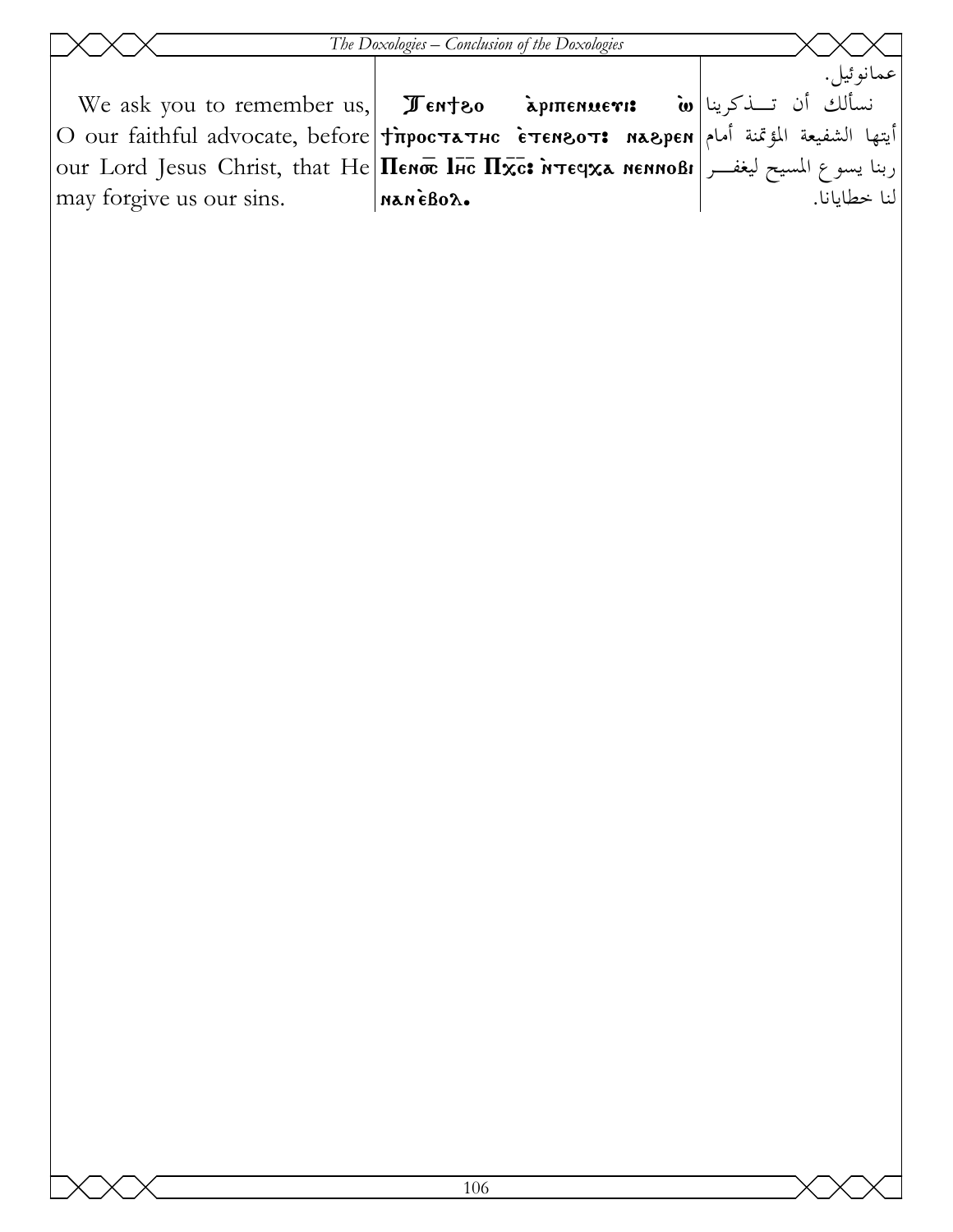|                                                                                                                                                                                                                                                    | The Doxologies – Conclusion of the Doxologies                                     |              |
|----------------------------------------------------------------------------------------------------------------------------------------------------------------------------------------------------------------------------------------------------|-----------------------------------------------------------------------------------|--------------|
|                                                                                                                                                                                                                                                    |                                                                                   | عمانو ئيل.   |
|                                                                                                                                                                                                                                                    | We ask you to remember us, $ $ Fentzo apmenuer: $\omega$ $ \omega $ in $ $ in $ $ |              |
| O our faithful advocate, before tпростатнс ETEN&OT: na&pen أيتها الشفيعة المؤتمنة أمام                                                                                                                                                             |                                                                                   |              |
| $ \!\:\hspace{0.15cm}\textrm{our Lord Jesus Christ, that He} \overline{\mathbf{H}}$ enot les christ, that He $ \overline{\mathbf{H}}$ enot les $\overline{\mathbf{h}}$ eqxa иенновн $ \!\:\hspace{0.15cm}\textrm{L}}\!\:$ ربنا يسوع المسيح ليغفــر |                                                                                   |              |
| may forgive us our sins.                                                                                                                                                                                                                           | nanèBoa.                                                                          | لنا خطايانا. |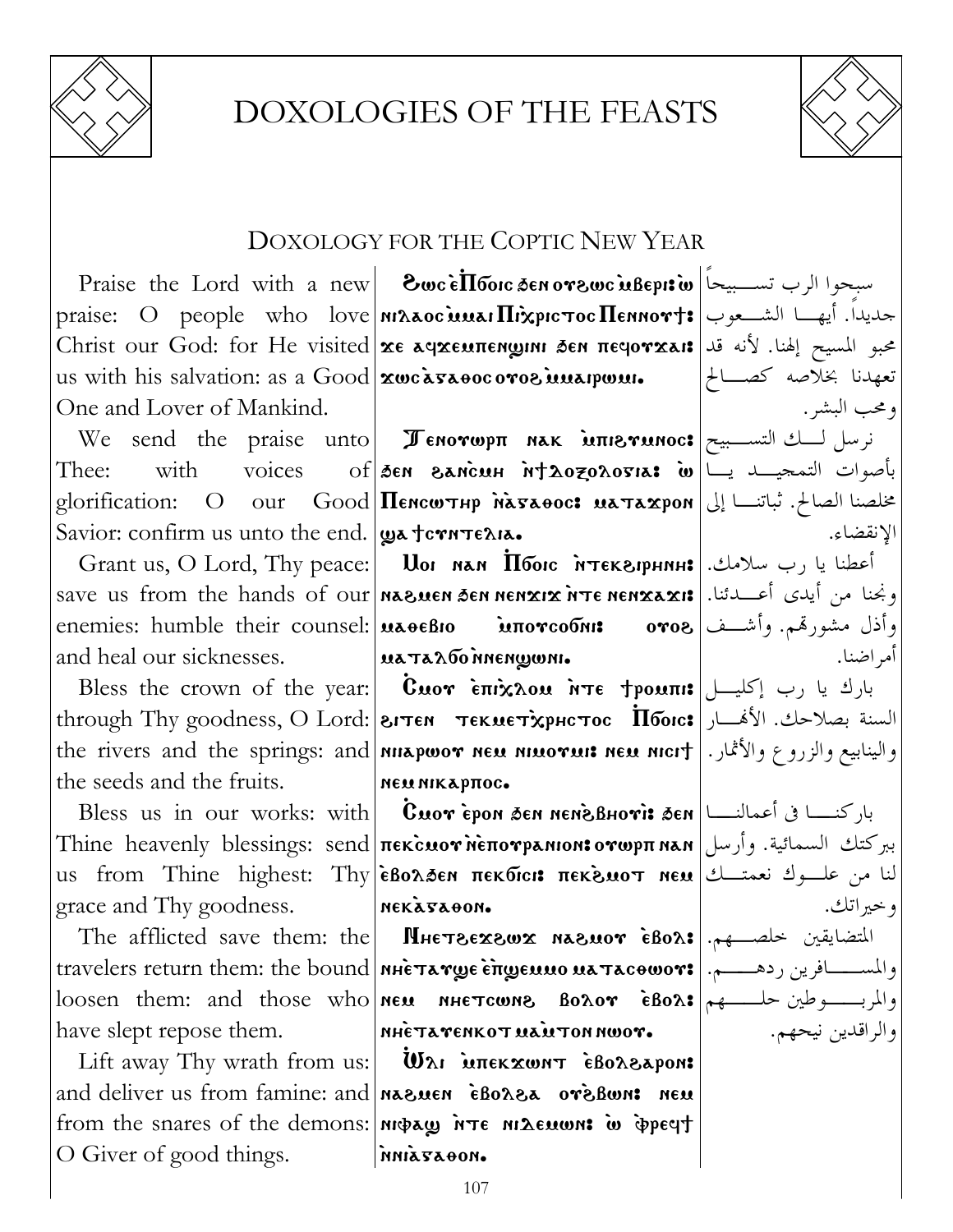

## **DOXOLOGIES OF THE FEASTS**



## **DOXOLOGY FOR THE COPTIC NEW YEAR**

us with his salvation: as a Good **zwcaszoocorog interprett.** One and Lover of Mankind.

Thee: with voices Savior: confirm us unto the end. | Wa tern TELIA.

enemies: humble their counsel: |uaeeBIO MITOTCOONIS and heal our sicknesses.

the seeds and the fruits.

grace and Thy goodness.

have slept repose them.

O Giver of good things.

Praise the Lord with a new **8wc Ellonc Sen or 2wc usepis w** | i praise: O people who love *MAAOC MAAI Hixpic Toc* Hennort: الشعوب محبو المسيح إلهنا. لأنه قد Christ our God: for He visited xe aqxeunengini sen neqorxai: عبو المسيح إلهنا. لأنه قد

We send the praise unto **I CHOTOPH NAK MILITIEY MOCS**  $of|$ den Bancuh nt20zo20sia: الله ناصوات التمجيـــد يـــا glorification: O our Good Пенситнр наталос: матахрон إلى العالم: ثباتنا إلى

Grant us, O Lord, Thy peace: | Uor мам Пбою мтекарнин: | رب سلامك. save us from the hands of our neasuen sen nenxix n Te nenxaxis | المستدانا. иаталбоменщины.

Bless the crown of the year: **Cuor επιχλου ητε trouns**  $\left| \bigcup_{i=1}^{\infty} \mathbb{R}^2$  بارك يا رب إكليــل through Thy goodness, О Lord: | гитем текметхрнстос  $\overline{\text{II}}$ бою: السنة بصلاحك. الأفسار the rivers and the springs: and <mark>nuapwor neu nuorui: neu nicit</mark> . والينابيع والزروع والأثمار. **NEW MIKAPTIOC.** 

Bless us in our works: with **Cuor** epon sen nenes usin but works: باركنسا في أعمالنسا | Bless us ببركتك السمائية. وأرسل|Τhine heavenly blessings: send|πεκ̀сиот̀мѐπотрамюм:отωрπмам (ببركتك السمائية. us from Thine highest: Thy εβολδεη πεκδιαι: πεκενιοτ new تنا من علــوك نعمتــك | us from Thine highest: Thy NEKATAOON.

The afflicted save them: the **MHETSEXSWX MASMOT EBOA:** المتضايقين خلصهم. loosen them: and those who new nue towns Boror  $\epsilon$ Bors  $|\star - \star|$ **NHETAYENKOT NANTON NWOY.** 

Lift away Thy wrath from us:  $\|\mathbf{W}\|$  interxwar  $\epsilon$ Bo $\lambda$ 8 apon: and deliver us from famine: and nazuen eBorza oreBon: neu from the snares of the demons: *MIGLAGY* NTE MILENWAI W POPEYT **MILZTAOON.** 

تعهدنا بخلاصه كصــالح ومحب البشر . الانقضاء. وأذل مشورقم. وأشــف|8000 أمر اضنا. و خير اتك. والراقدين نيحهم.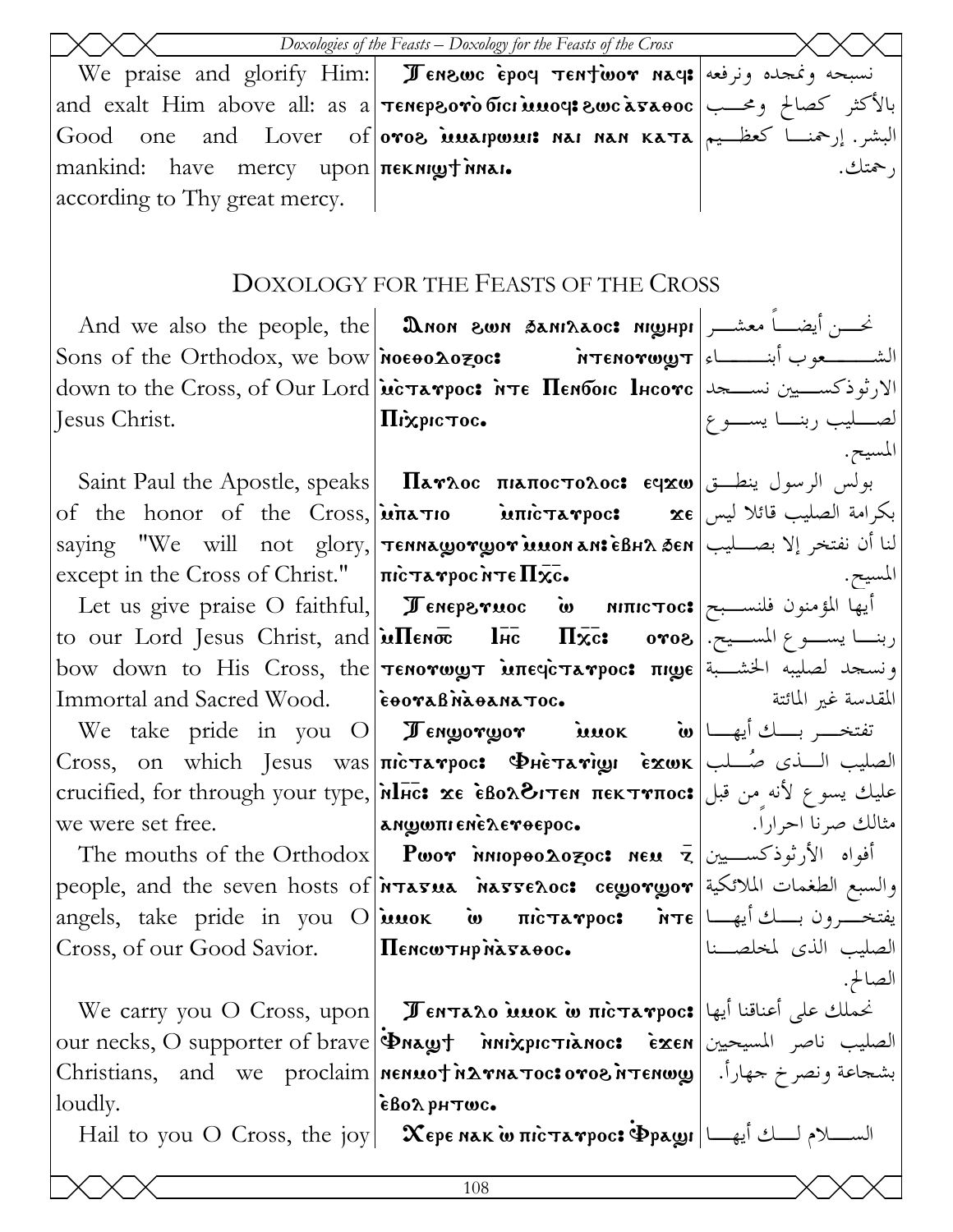|                                                                                 | Doxologies of the Feasts - Doxology for the Feasts of the Cross                                                                                                                                   |                                 |
|---------------------------------------------------------------------------------|---------------------------------------------------------------------------------------------------------------------------------------------------------------------------------------------------|---------------------------------|
|                                                                                 | We praise and glorify Him:   Jenswe epoq $\tau$ entwor naq: السبحه ونمجده ونرفعه                                                                                                                  |                                 |
|                                                                                 | and exalt Him above all: as a <b>темергото бісі шиоч: гос ата өос</b> حصالح ومحسب                                                                                                                 |                                 |
|                                                                                 | Good one and Lover of oros interponts nat nan Kata  سشر. إرحمنـــا كعظــيم  Good one and Lover of   oros                                                                                          |                                 |
| mankind: have mercy upon nex night near.                                        |                                                                                                                                                                                                   | , حمتك.                         |
| according to Thy great mercy.                                                   |                                                                                                                                                                                                   |                                 |
|                                                                                 |                                                                                                                                                                                                   |                                 |
|                                                                                 | DOXOLOGY FOR THE FEASTS OF THE CROSS                                                                                                                                                              |                                 |
|                                                                                 |                                                                                                                                                                                                   |                                 |
|                                                                                 | And we also the people, the <b>  இல்லை தகார்க்கா வழுடிர</b> ் அவை அவர்                                                                                                                            |                                 |
|                                                                                 |                                                                                                                                                                                                   |                                 |
|                                                                                 | down to the Cross, of Our Lord <b>[uctarpoc: MTE Henboic lucorc</b>   الارثوذكســـيين نســــــجد   down to the Cross, of Our Lord                                                                 |                                 |
| Jesus Christ.                                                                   | Піхрістос.                                                                                                                                                                                        | لصـــــليب ربنـــــا يســـــو ع |
|                                                                                 |                                                                                                                                                                                                   | المسيح.                         |
|                                                                                 | Saint Paul the Apostle, speaks   Παγλος πιαποςτολος: εqχω   بولس الرسول ينطــق<br>of the honor of the Cross, <b>μπετιο μπιεταγρος:</b> $\mathbf{x} \boldsymbol{\epsilon}$ بكرامة الصليب قائلا ليس |                                 |
|                                                                                 | لنا أن نفتخر إلا بصـــليب   saying "We will not glory,   <b>Tennaworwor Muon an: èBHA 5en</b>                                                                                                     |                                 |
| except in the Cross of Christ." $ \pi\mathbf{c}\cdot\mathbf{x}\cdot\mathbf{b} $ |                                                                                                                                                                                                   | المسيح.                         |
|                                                                                 | Let us give praise O faithful, <b>Feneperuoc io nific tocs</b> $\left  \text{arrows} \right $                                                                                                     |                                 |
|                                                                                 | to our Lord Jesus Christ, and <b>in Terror lice IFIX: oros</b> وبنسا يسبوع المسسيح.                                                                                                               |                                 |
|                                                                                 | bow down to His Cross, the <b>Tenorwy inegcrarpoc: nige</b> liming letting bow                                                                                                                    |                                 |
| Immortal and Sacred Wood. [EDOTABINATION-                                       |                                                                                                                                                                                                   | المقدسة غير المائتة             |
|                                                                                 | We take pride in you O <b>Fengorgor innok w</b> $\left \frac{1}{s}\right $                                                                                                                        |                                 |
|                                                                                 | Cross, on which Jesus was πισταγρος: ΦHeταγινων εχωκ الصليب السذى صُلب                                                                                                                            |                                 |
|                                                                                 | crucified, for through your type, MIHC: xe εδολδιτεΝ πεκτνπος: طيك يسوع لأنه من قبل                                                                                                               |                                 |
| we were set free.                                                               |                                                                                                                                                                                                   |                                 |
|                                                                                 | The mouths of the Orthodox  Pwor אווס Pwor innopeo                                                                                                                                                |                                 |
|                                                                                 | people, and the seven hosts of <b>Prasua hasseroc: ceyoryor</b> الطغمات الملائكية                                                                                                                 |                                 |
|                                                                                 | angels, take pride in you O iuuok w mic nicrarpoc: in the lumine                                                                                                                                  |                                 |
| Cross, of our Good Savior.   Пенситнр на часо                                   |                                                                                                                                                                                                   | الصليب الذى لمخلصــنا           |
|                                                                                 |                                                                                                                                                                                                   | الصالح.                         |
|                                                                                 | We carry you O Cross, upon   Jentaro Muok w пістатрос: على أعناقنا أيها                                                                                                                           |                                 |
|                                                                                 | our necks, O supporter of brave   Φηλωτ   νικλριστιληος: εχεη   ناصر المسيحيين   our necks, O supporter of brave<br>بشجاعة ونصرخ حهاراً. [@Christians, and we proclaim nenuo†אתαποιεογοδήτενω     |                                 |
| loudly.                                                                         | εβολρμτως.                                                                                                                                                                                        |                                 |
|                                                                                 | Hail to you O Cross, the joy   Χερε NAK ω πιστανρος: Φραωι   السلام لمسلام لمسلام الله الله الله بين                                                                                              |                                 |
|                                                                                 |                                                                                                                                                                                                   |                                 |
| 108                                                                             |                                                                                                                                                                                                   |                                 |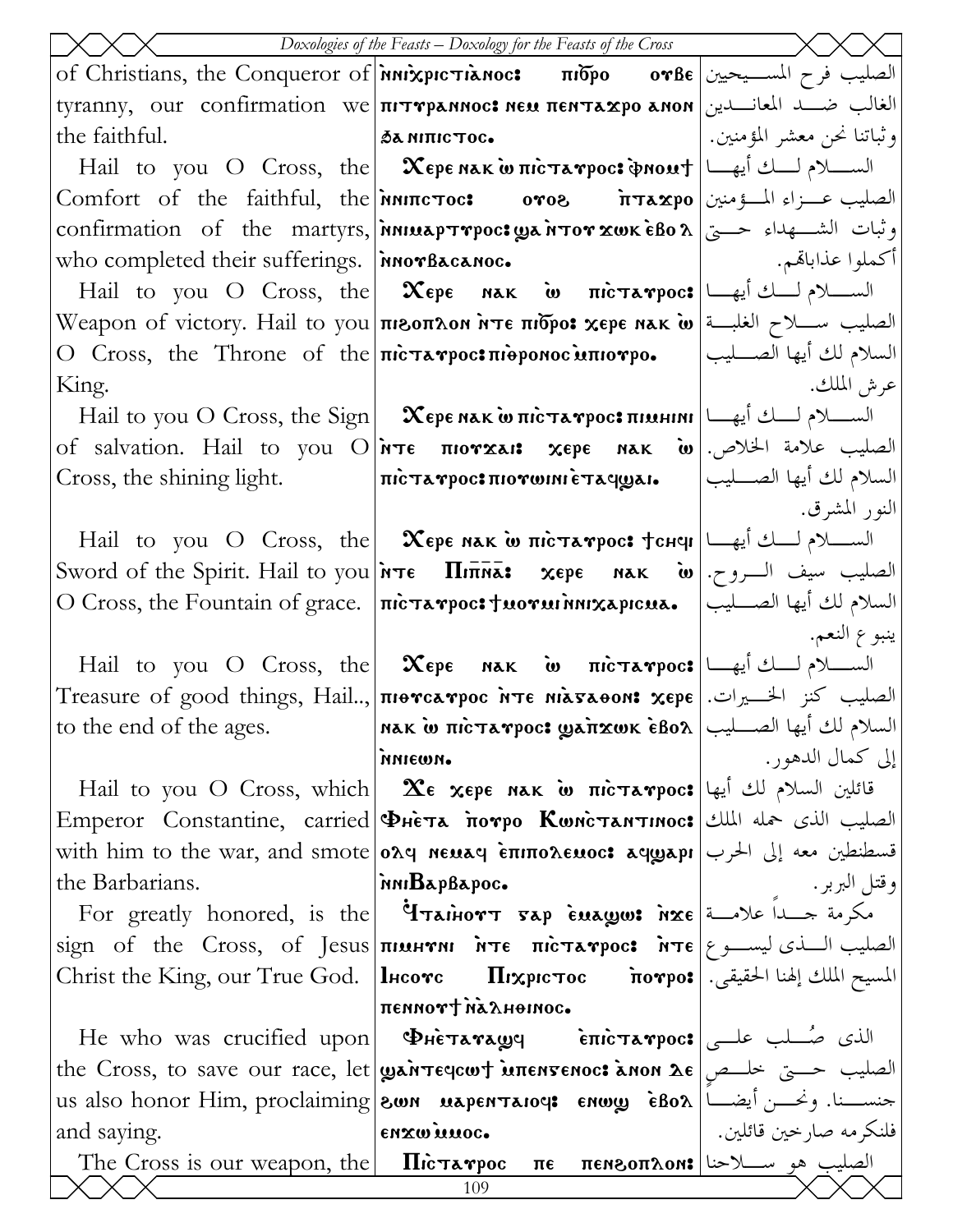| Doxologies of the Feasts - Doxology for the Feasts of the Cross |                                                                                                                                                                                                                                                                                                                                                                                                                                                                         |                            |  |
|-----------------------------------------------------------------|-------------------------------------------------------------------------------------------------------------------------------------------------------------------------------------------------------------------------------------------------------------------------------------------------------------------------------------------------------------------------------------------------------------------------------------------------------------------------|----------------------------|--|
|                                                                 | of Christians, the Conqueror of $\lambda$ πίδρο ον Βε $\lambda$ σενδε $\lambda$ τιδρο ον Βε                                                                                                                                                                                                                                                                                                                                                                             |                            |  |
|                                                                 | tyranny, our confirmation we πιτηρεπικος: neu πειτεχρο εποι  الغالب ضــد المعانـــدين                                                                                                                                                                                                                                                                                                                                                                                   |                            |  |
| the faithful.                                                   | $\delta$ a ni $\pi$ ic $\tau$ oc $\bullet$                                                                                                                                                                                                                                                                                                                                                                                                                              | وثباتنا نحن معشر المؤمنين. |  |
|                                                                 | Hail to you O Cross, the <b>Χερε κακίω πιστανρος: φηοική</b> $\Box$ السكلام لك أيها                                                                                                                                                                                                                                                                                                                                                                                     |                            |  |
|                                                                 | Comfort of the faithful, the <i>n</i> MIT <b>(1998 - 175 λεγο</b> (الصليب عــزاء المـــؤمنين ا                                                                                                                                                                                                                                                                                                                                                                          |                            |  |
|                                                                 | confirmation of the martyrs, <i>innuap τηρος ωα π</i> ον xωκ εβολ   وثبات الشكهداء حسيّ                                                                                                                                                                                                                                                                                                                                                                                 |                            |  |
| who completed their sufferings.   invorBacanoc.                 |                                                                                                                                                                                                                                                                                                                                                                                                                                                                         | أكملوا عذاباقم.            |  |
|                                                                 | Hail to you O Cross, the <b>Χερε nak w πιcτaγρος</b> السكلام لك باع بين Hail to you O Cross, the <b>Χερε nak w</b>                                                                                                                                                                                                                                                                                                                                                      |                            |  |
|                                                                 | Weapon of victory. Hail to you πιεοπλοκ ήτε πιδρο: χερε κακ ω الصليب سلاح الغلبة   Weapon of victory. Hail to you                                                                                                                                                                                                                                                                                                                                                       |                            |  |
|                                                                 | O Cross, the Throne of the πιστενρος:πιθρονος υπιονρο.  السلام لك أيها الصــليب                                                                                                                                                                                                                                                                                                                                                                                         |                            |  |
| King.                                                           |                                                                                                                                                                                                                                                                                                                                                                                                                                                                         | عرش الملك.                 |  |
|                                                                 | Hail to you О Cross, the Sign $\vert$ Хере нак и пістатрос: пімніні $\vert$ السلام لسلام لسلام الله الله المجموع الله الله المجموع الله الله المجموع الله المجموع المجموع الله المجموع الله المجموع الله الله المجموع الله الله الل                                                                                                                                                                                                                                     |                            |  |
|                                                                 | of salvation. Hail to you $O$ <sup>2</sup> וואדε πιονχaι: χερε nak ω. الصليب علامة الحالاص.                                                                                                                                                                                                                                                                                                                                                                             |                            |  |
| Cross, the shining light.                                       | $ \pi$ السلام لك أيها الصــــليب $ \pi$ ه العربية:πὶста $r$ рос $\mathbf r$ лѝста                                                                                                                                                                                                                                                                                                                                                                                       |                            |  |
|                                                                 |                                                                                                                                                                                                                                                                                                                                                                                                                                                                         | النور المشرق.              |  |
|                                                                 | Hail to you O Cross, the <b>Хере мак w пістатрос: fснен</b> $\left  \bigcup_{i=1}^{\infty} \mathbb{I}_{i} \right $                                                                                                                                                                                                                                                                                                                                                      |                            |  |
|                                                                 | السلام لك أيها الصـــليب   O Cross, the Fountain of grace.   πισταγρος των νιινηχερισω.   السلام لك أيها الصـــليب                                                                                                                                                                                                                                                                                                                                                      |                            |  |
|                                                                 |                                                                                                                                                                                                                                                                                                                                                                                                                                                                         | ينبوع النعم.               |  |
|                                                                 | Hail to you O Cross, the $\infty$ $\infty$ $\infty$ $\infty$ $\infty$ $\infty$ $\infty$ $\infty$ $\infty$ $\infty$ $\infty$ $\infty$                                                                                                                                                                                                                                                                                                                                    |                            |  |
|                                                                 | Treasure of good things, Hail, πιθνελνρος ητε ΜιλσλθοΝ: χερε   الصليب كنز الخسيرات.   Treasure of good things, Hail,                                                                                                                                                                                                                                                                                                                                                    |                            |  |
| to the end of the ages.                                         | السلام لك أيها الصــــليب  nak w πιcτaγpoc: yaπxwk ẽBoλ                                                                                                                                                                                                                                                                                                                                                                                                                 |                            |  |
|                                                                 | иинет.                                                                                                                                                                                                                                                                                                                                                                                                                                                                  | إلى كمال الدهور .          |  |
|                                                                 | Hail to you O Cross, which   $\mathbf{X}$ e xepe мак w $\pi$ ic $\pi$ a $\mathbf{v}$ poc: قائلين السلام لك أيها                                                                                                                                                                                                                                                                                                                                                         |                            |  |
|                                                                 | Emperor Constantine, carried PHETA MOTPO KWNCTANTINOC: الصليب الذي حمله الملك                                                                                                                                                                                                                                                                                                                                                                                           |                            |  |
|                                                                 | with him to the war, and smote <b>oλq neuaq επιπολεμος: aqwapı</b> الحرب <b>oλq neuaq επιπολεμος: قسطنطین معه إلى</b> الحرب                                                                                                                                                                                                                                                                                                                                             |                            |  |
| the Barbarians.                                                 | inni <b>B</b> apBapoc.                                                                                                                                                                                                                                                                                                                                                                                                                                                  | وقتل البربر .              |  |
|                                                                 | For greatly honored, is the <b>Trainory sap enages inxe</b> and all a solver a solver                                                                                                                                                                                                                                                                                                                                                                                   |                            |  |
|                                                                 | $\begin{bmatrix} \text{sign} & \text{of} & \text{the} & \text{Cross}, & \text{of} & \text{Jesus} \end{bmatrix}$ $\begin{bmatrix} \text{minmin} & \text{in} & \text{in} & \text{in} & \text{in} & \text{in} & \text{in} & \text{in} & \text{in} & \text{in} & \text{in} & \text{in} & \text{in} & \text{in} & \text{in} & \text{in} & \text{in} & \text{in} & \text{in} & \text{in} & \text{in} & \text{in} & \text{in} & \text{in} & \text{in} & \text{in} & \text{in}$ |                            |  |
|                                                                 | المسيح الملك إلهنا الحقيقي. Christ the King, our True God.  lncovc        Πιχριστος                            novpo:                                                                                                                                                                                                                                                                                                                                                   |                            |  |
|                                                                 | пеммот ула льнопос.                                                                                                                                                                                                                                                                                                                                                                                                                                                     |                            |  |
|                                                                 | He who was crucified upon <b>ΦHe Ta Tagg</b> entertampoc: الذي صُلب علي                                                                                                                                                                                                                                                                                                                                                                                                 |                            |  |
|                                                                 | the Cross, to save our race, let <b>ganter intersence anon λε</b> $\left  \begin{array}{cc} \text{if } \\ \text{otherwise} \end{array} \right $ intersence $\left  \begin{array}{cc} \text{if } \\ \text{otherwise} \end{array} \right $                                                                                                                                                                                                                                |                            |  |
|                                                                 | us also honor Him, proclaiming <b>  800 n uapentaioci enwy</b> eBox   العضا العدم us also honor Him, proclaiming   800 n                                                                                                                                                                                                                                                                                                                                                |                            |  |
| and saying.                                                     | enxwinnoc.                                                                                                                                                                                                                                                                                                                                                                                                                                                              | فلنكر مه صار حين قائلين.   |  |
|                                                                 | The Cross is our weapon, the <b>Πιέταγρος πε πεκερπλοκ:</b> الصليب هو سـلاحنا   The Cross is our weapon, the<br>109                                                                                                                                                                                                                                                                                                                                                     |                            |  |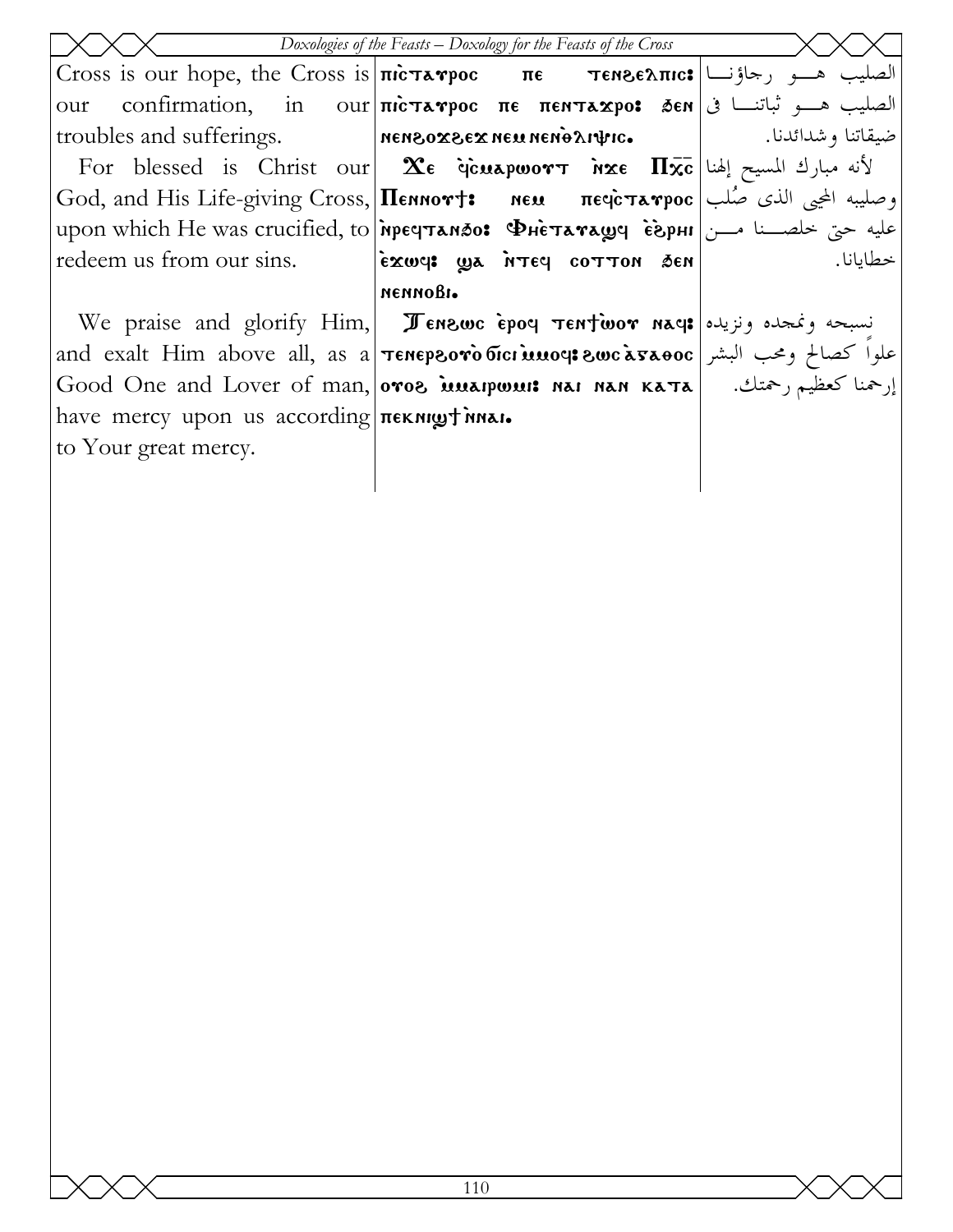| Doxologies of the Feasts - Doxology for the Feasts of the Cross |                                                                                                                                                 |          |  |  |
|-----------------------------------------------------------------|-------------------------------------------------------------------------------------------------------------------------------------------------|----------|--|--|
|                                                                 | Cross is our hope, the Cross is $\pi$ ic πε πενεδπικε $\frac{1}{\pi}$ (see Tense λπικε                                                          |          |  |  |
| our                                                             | الصليب هـــو ثباتنـــا في ا confirmation,    in    our πιστενρος  πε  πεητεχρο:  ,δεη في الصليب هـــو ثباتنـــا في                              |          |  |  |
|                                                                 | roubles and sufferings. Mensox3EX NEU nend Artro. 1 and sufferings.                                                                             |          |  |  |
|                                                                 | For blessed is Christ our <b>2:</b> $\alpha$ <b>ce discuspwort inxe <math>\Pi \overline{\mathbf{x}}</math>c</b> $\alpha$ إنه مبارك المسيح إلهنا |          |  |  |
|                                                                 | God, and His Life-giving Cross, <b> Пеннот†:</b> ием печстатрос   رصليبه المحيى الذي صُلب                                                       |          |  |  |
|                                                                 | upon which He was crucified, to <b>пречтандо: Фнетаташе серні</b> اسن ا                                                                         |          |  |  |
|                                                                 | redeem us from our sins.   exwel wa NTEY COTTON SEN                                                                                             | خطابانا. |  |  |
|                                                                 | иеимови.                                                                                                                                        |          |  |  |
|                                                                 | We praise and glorify Him, Jenswe epoq Tentwor naq: السبحه ونمجده ونزيده                                                                        |          |  |  |
|                                                                 | and exalt Him above all, as a <b>Tenepsoro bici muoce swc asaoc</b>   البشر and exalt Him above all, as a                                       |          |  |  |
|                                                                 | Good One and Lover of man, oros <b>issuarposit nai nan Kata</b>   ارحمنا كعظيم رحمتك.   Good One and Lover of man,   oros                       |          |  |  |
| have mercy upon us according <b>nexilly</b> invar.              |                                                                                                                                                 |          |  |  |
| to Your great mercy.                                            |                                                                                                                                                 |          |  |  |
|                                                                 |                                                                                                                                                 |          |  |  |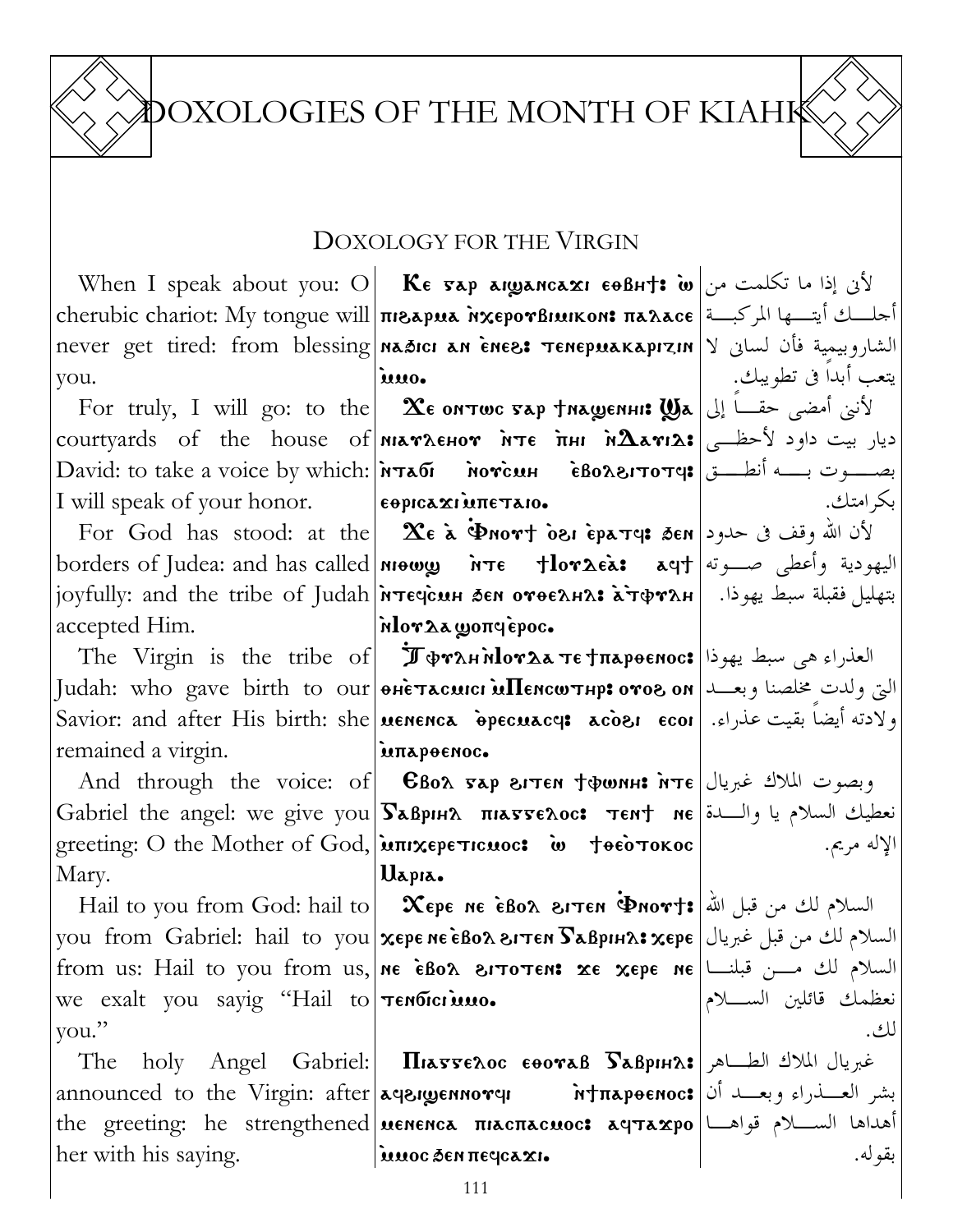DOXOLOGIES OF THE MONTH OF KIAHK

### DOXOLOGY FOR THE VIRGIN

you. `mmo.

I will speak of your honor.

accepted Him.

remained a virgin.

Mary.

we exalt you sayig "Hail to **Tendici uno.** you."

 $\text{The \quad \text{Any} \quad \text{Angle} \quad \text{Gabriel:} \quad \text{Max}$ خبريال الملاك الطـــاهر announced to the Virgin: after|aqaigennorqi irfnapoenoc:|أنا|announced to the Virgin: after the greeting: he strengthened **| uenenca πιαςπαςuoc: αqταxpo** |مداها الســـلام قواهـــا her with his saying. imoc Sen negcaxi.

When I speak about you: O $\vert$  Ke 5ap aiganca ${\bf x}$ i e $\theta$ bh†: أن إذا ما تكلمت من $\vert$ cherubic chariot: My tongue will **πιεδρυδ λχερονβιμικοn: παλαce** أجلــك أيتــها المركبــة never get tired: from blessing|naāici an ènes: тепериакарızın|Y الشاروبيمية فأن لسانى لا

For truly, I will go: to the **| Хеомтwc тар †машенн: Wa |**الأننى أمضى حقــا إلى إ $\forall$ courtyards of the house of $\left|$ матленот ̀нте ̀пни й $\bm \Lambda$ аті $\bm \lambda$ : ديار بيت داود لأحظــى David: to take a voice by which:|พรลดี мотс̀мн ѐволетотче;|بصـــوت بـــه أنطـــق  $\epsilon$  epica $\mathbf{x}$ i interaio.

For God has stood: at the **Xe à Pnort osi èpa<code>rq</code>: الأن الله وقف فى حدود** borders of Judea: and has called <mark>niowy нте tlor2eà: aqt</mark> اليهودية وأعطى صـــوته | joyfully: and the tribe of Judah|พระยุс̀นн ฮะм отоелнл: خَهليل فقبلة سبط يهوذا.  $\mathbf{r}\mathbf{r}$ and the tribe of Judah | nlorλa ωοπqèpoc.

The Virgin is the tribe of  $\big|$   $\mathbf{\hat{J}}\mathbf{\Phi}$ rah n $\mathbf{hor}$ a te $\mathbf{\tau}$ napoenoc: العذراء هى سبط يهوذا Judah: who gave birth to our|өнстасшсı шПенсwтнр:отог он|التى ولدت مخلصنا وبعــد Savior: and after His birth: she menenca `qrecmacf> ac`o\i ecoi ولادته أيضاً بقيت عذراء. `mparqenoc.

And through the voice: of CBox бар згтем †финн: ите عبريال )And through the voice: of Gabriel the angel: we give you $|\bf{S}$ aврıн $\bf{A}$  піатте $\bf{A}$ ос: тем $\bf{t}$  ме $|\bf{\Sigma}$ با والــدة greeting: O the Mother of God, **απιχερετιcuoc:** w **τθεότοκος** Uapia.

Hail to you from God: hail to  $|$   $\bm{\chi}$ ере не ѐво $\bm{\chi}$  витен  $\bm{\Phi}$ мот $\bm{\tau}$ : السلام لك من قبل الله you from Gabriel: hail to you $\vert{\bf x}$ ере не ѐво ${\bf a}$ втен  $\bf{S}$ аврıн $\bf{a}$ з ${\bf x}$ ере $\vert$  السلام لك من قبل غبريال from us: Hail to you from us,  $\mid$ ne èBo $\lambda$  sitoten: xe xepe ne $\mid$ السلام لك مــن قبلنــا

بكرامتك.

يتعب أبداً فى تطويبك.

الإله مريم.

نعظمك قائلين السـلام لك.

بقوله.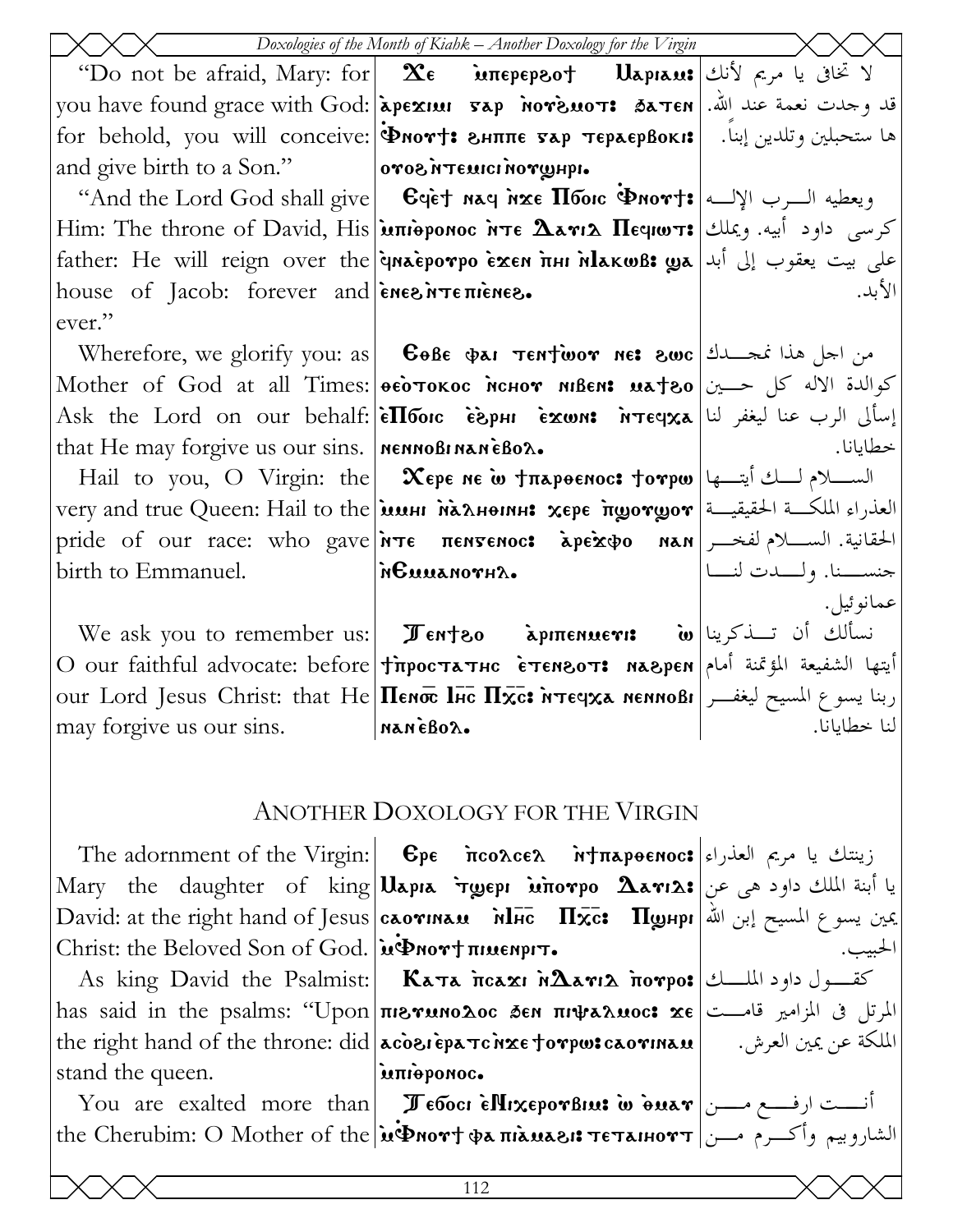|                                                         | Doxologies of the Month of Kiahk - Another Doxology for the Virgin                                                                                                                                                                                                                                            |                                |
|---------------------------------------------------------|---------------------------------------------------------------------------------------------------------------------------------------------------------------------------------------------------------------------------------------------------------------------------------------------------------------|--------------------------------|
|                                                         | "Do not be afraid, Mary: for   Σε மாерергот ปарнаи: الا تخافى يا مريم لأنك                                                                                                                                                                                                                                    |                                |
|                                                         | you have found grace with God: apeхии гар мотемот: батен   أناد وجدت نعمة عند الله.                                                                                                                                                                                                                           |                                |
|                                                         | for behold, you will conceive: [Pnort: SHITTE 5AP TEPAEPBOKI: [ . بما ستحبلين وتلدين إبناً. [16]                                                                                                                                                                                                              |                                |
| and give birth to a Son."   <b>orog</b> MTEMICI NOTUHI. |                                                                                                                                                                                                                                                                                                               |                                |
|                                                         | "And the Lord God shall give   Cyet nay nxe <b>Hoorc Pnort:</b> ويعطيه السرب الإلسه   And the Lord God shall give                                                                                                                                                                                             |                                |
|                                                         | Him: The throne of David, His <b>junieponoc irte <math>\Delta</math>ari</b> $\Delta$ <b>Heqiwit:</b> ريملك Him: The throne of David, His <b>junieponoc irte <math>\Delta</math>ari</b> $\Delta$ Heqiwit: $\Delta$                                                                                             |                                |
|                                                         | على بيت يعقوب إلى أبد  father: He will reign over the <b>inaeporpo exen пни мельсизе ула</b>                                                                                                                                                                                                                  |                                |
| house of Jacob: forever and <i>energienes.</i>          |                                                                                                                                                                                                                                                                                                               | الأبد.                         |
| ever."                                                  |                                                                                                                                                                                                                                                                                                               |                                |
|                                                         | Wherefore, we glorify you: as   <b>GoBe <math>\phi</math>AI TENTWOY NE: 8WC</b>   عضد اجل هذا نمجسلك                                                                                                                                                                                                          |                                |
|                                                         | Mother of God at all Times: <b>  осотокос менот мівем: иатео   ح</b> والدة الاله كل حــين   Mother of God at all Times                                                                                                                                                                                        |                                |
|                                                         | Ask the Lord on our behalf: <b>eTlouc esphi exwn:</b> $\text{argmax}$ $\text{argmax}$ اسألى الرب عنا ليغفر لنا                                                                                                                                                                                                |                                |
| that He may forgive us our sins.   NENNOBINANEBOX.      |                                                                                                                                                                                                                                                                                                               | خطايانا.                       |
|                                                         | Hail to you, O Virgin: the <b>Χερε Ne ω +π</b> λροεπος: torpω تحدير السكلام لك أيتسها                                                                                                                                                                                                                         |                                |
|                                                         | very and true Queen: Hail to the <b>імині палнення хере ітуотурот</b> = العذراء الملكة الحقيقية                                                                                                                                                                                                               |                                |
|                                                         | pride of our race: who gave <i>NTE</i> <b>πεηγεριος: apextpo nan</b> bie bien pride of our race: who gave <i>NTE</i>                                                                                                                                                                                          |                                |
| birth to Emmanuel.                                      | SHTOMALLON                                                                                                                                                                                                                                                                                                    | حنســــنا. ولــــــدت لنـــــا |
|                                                         |                                                                                                                                                                                                                                                                                                               | عمانو ئيل.                     |
|                                                         | We ask you to remember us:   $\pi$ <sub>ent</sub> zo   مكابة معكوه معرفة السائك أن تسفكرينا                                                                                                                                                                                                                   |                                |
|                                                         | O our faithful advocate: before Tippoстатнс стемвот: маврем أيتها الشفيعة المؤتمنة أمام                                                                                                                                                                                                                       |                                |
|                                                         | our Lord Jesus Christ: that He <b>IIenoc lic IIxc: MTEqxa nennoßi</b>   ربنا يسوع المسيح ليغفــر                                                                                                                                                                                                              |                                |
| may forgive us our sins. MANEBOX.                       |                                                                                                                                                                                                                                                                                                               |                                |
|                                                         |                                                                                                                                                                                                                                                                                                               |                                |
|                                                         | ANOTHER DOXOLOGY FOR THE VIRGIN                                                                                                                                                                                                                                                                               |                                |
|                                                         | The adornment of the Virgin: <b>Epe</b> $\frac{1}{2}$ $\frac{1}{2}$ $\frac{1}{2}$ $\frac{1}{2}$ $\frac{1}{2}$ $\frac{1}{2}$ $\frac{1}{2}$ $\frac{1}{2}$ $\frac{1}{2}$ $\frac{1}{2}$ $\frac{1}{2}$ $\frac{1}{2}$ $\frac{1}{2}$ $\frac{1}{2}$ $\frac{1}{2}$ $\frac{1}{2}$ $\frac{1}{2}$ $\frac{1}{2}$ $\frac{1$ |                                |
|                                                         | Mary the daughter of king Uapia τωρερι inorpo $\Delta$ ari $\Delta$ : يا أبنة الملك داود هي عن                                                                                                                                                                                                                |                                |
|                                                         | David: at the right hand of Jesus   саотиам    Мнс    Пхс:    Пунрн   أبن الله المسيح إبن الله الكلم                                                                                                                                                                                                          |                                |
| Christ: the Beloved Son of God. iv Dnort muenpin.       |                                                                                                                                                                                                                                                                                                               |                                |
|                                                         | As king David the Psalmist:  Κατα ποαχι ΝΔανιλ πονρο: الملسك Δs king David the Psalmist:  Κατα ποαχι ΝΔανιλ πονρο                                                                                                                                                                                             |                                |
|                                                         | has said in the psalms: "Upon πιεγανιολος δεν πιψαλαιος: xε  المرتل فى المزامير قامــت                                                                                                                                                                                                                        |                                |
|                                                         | the right hand of the throne: did   acosi epa Tc nxe torpw: caorinau   الملكة عن يمين العرش. الله الله                                                                                                                                                                                                        |                                |
| stand the queen.                                        | ілпіеромос.                                                                                                                                                                                                                                                                                                   |                                |
|                                                         | You are exalted more than <b>I EllixeporBine: w</b> duar $\omega$ $\sim$ $\omega$ $\sim$ $\omega$                                                                                                                                                                                                             |                                |
|                                                         | the Cherubim: O Mother of the <i>in</i> Phort фа пілиаві: тетанютт  الشاروييم وأكرم مسن                                                                                                                                                                                                                       |                                |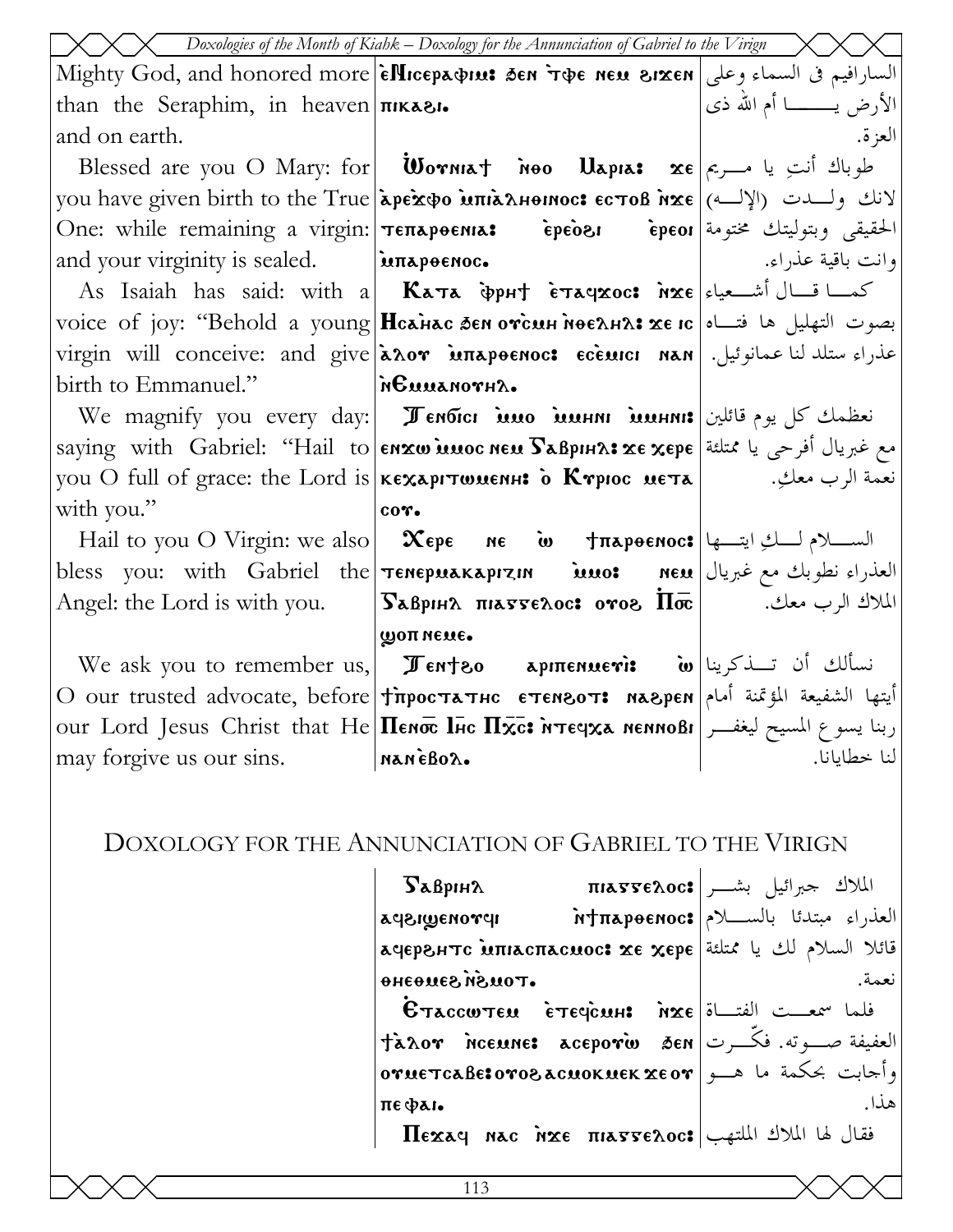|                                                         | $\sqrt{ }$ Doxologies of the Month of Kiahk – Doxology for the Annunciation of Gabriel to the Virign                                                                                      |                              |
|---------------------------------------------------------|-------------------------------------------------------------------------------------------------------------------------------------------------------------------------------------------|------------------------------|
|                                                         | Mighty God, and honored more  èllicepa&iu: 3en r�e neu 8ixen   وعلى   Mighty God, and honored more                                                                                        |                              |
| than the Seraphim, in heaven $\pi$                      |                                                                                                                                                                                           | الأرض يـــــــــا أم الله ذي |
| and on earth.                                           |                                                                                                                                                                                           | العزة.                       |
|                                                         | Blessed are you O Mary: for <b>Wormat Noo Uapia: xe</b> $\epsilon$ $\epsilon$ $\rightarrow$ $\epsilon$ $\rightarrow$ $\epsilon$                                                           |                              |
|                                                         | you have given birth to the True apeхфо ипіалнонос: естов ихе (الإله) уои have given birth to the True   арехфо                                                                           |                              |
|                                                         | One: while remaining a virgin: <b>TETTAPOENIA:</b> Fepeos Fepeoi a virgin: الحقيقي وبتوليتك مختومة                                                                                        |                              |
| and your virginity is sealed. <b>EXECUTE:</b> $\lambda$ |                                                                                                                                                                                           | وانت باقية عذراء.            |
|                                                         | As Isaiah has said: with a <b>Kata</b> $\Phi$ pht $\epsilon$ <b>xaqxoc:</b> $\eta$ x $\epsilon$ $\sim$ $\epsilon$ $\sim$ $\epsilon$ $\sim$                                                |                              |
|                                                         | voice of joy: "Behold a young Hcanac sen orcun nee nas xe ic   التهليل ها فتــاه   voice of joy: "Behold a young                                                                          |                              |
|                                                         | virgin will conceive: and give <b>aλογ млароенос: есемісі нан</b> salie exiculus virgin will                                                                                              |                              |
|                                                         |                                                                                                                                                                                           |                              |
|                                                         | We magnify you every day: <b>  Ленбісі ілло іллнні іллнні: ن</b> عظمك كل يوم قائلين                                                                                                       |                              |
|                                                         | saying with Gabriel: "Hail to enxw innoc nen SaBpin ?! xe xepe still de saying with Gabriel: "Hail to                                                                                     |                              |
|                                                         | you O full of grace: the Lord is кехартишенн: • • Ктрюс мета           • بعمة الرب معكِ.           уои О full                                                                             |                              |
| with you."                                              | co <sub>v</sub>                                                                                                                                                                           |                              |
|                                                         | Hail to you O Virgin: we also $\vert$ Χερε ne ω $\frac{1}{2}$ $\frac{1}{2}$ $\frac{1}{2}$ $\frac{1}{2}$ $\frac{1}{2}$ $\frac{1}{2}$ $\frac{1}{2}$                                         |                              |
|                                                         | bless you: with Gabriel the Tenepuakapizin inuo: neu just as selected the bless                                                                                                           |                              |
|                                                         | Angel: the Lord is with you. <b>SaBpIHA THASSEAOC: over <math>\overline{\Pi}</math></b> $\overline{\infty}$ . Angel: the Lord is with you. <b>SaBpIHA <math>\overline{\Lambda}</math></b> |                              |
|                                                         | <b>WOTT NEXE.</b>                                                                                                                                                                         |                              |
|                                                         | We ask you to remember us, $\ \mathcal{F}$ enteo apmenueri: $\omega$ $\omega$ $\omega$                                                                                                    |                              |
|                                                         | O our trusted advocate, before Tipoстатнс стемзот: мазрем أيتها الشفيعة المؤتمنة أمام                                                                                                     |                              |
|                                                         | our Lord Jesus Christ that He <b>Henoc luc Hister in Tegxa nennoßi</b> [مينا يسوع المسيح ليغفــر                                                                                          |                              |
| may forgive us our sins. MANEBOX.                       |                                                                                                                                                                                           | لنا خطايانا.                 |

# DOXOLOGY FOR THE ANNUNCIATION OF GABRIEL TO THE VIRIGN

| $\mathbf{S}$ аврін $\mathbf{A}$                                                                                                                                                                                                                                                                                                    | الملاك حبرائيل بشر   mia55e2.oc:               |
|------------------------------------------------------------------------------------------------------------------------------------------------------------------------------------------------------------------------------------------------------------------------------------------------------------------------------------|------------------------------------------------|
| <b>1pronagusps</b>                                                                                                                                                                                                                                                                                                                 | العذراء مبتدئا بالســــلام πtπapəenoc <b>:</b> |
| قائلا السلام لك يا ممتلئة  aqepaнтс Minacπacuoc: xe xepe                                                                                                                                                                                                                                                                           |                                                |
| <b>. TOUSN SEUGERG</b>                                                                                                                                                                                                                                                                                                             | نعمة.                                          |
| $\mathbf{B}$ $\mathbf{B}$ $\mathbf{B}$ $\mathbf{C}$ $\mathbf{C}$ $\mathbf{C}$ $\mathbf{C}$ $\mathbf{C}$ $\mathbf{C}$ $\mathbf{C}$ $\mathbf{C}$ $\mathbf{C}$ $\mathbf{C}$ $\mathbf{C}$ $\mathbf{C}$ $\mathbf{C}$ $\mathbf{C}$ $\mathbf{C}$ $\mathbf{C}$ $\mathbf{C}$ $\mathbf{C}$ $\mathbf{C}$ $\mathbf{C}$ $\mathbf{C}$ $\mathbf{$ |                                                |
| العفيفة صب ته. فكرت  Jaxov nceune: aceporw sen                                                                                                                                                                                                                                                                                     |                                                |
| وأجابت بحكمة ما هــو @ornetcaBe:0ro8acnoknekxeor                                                                                                                                                                                                                                                                                   |                                                |
| пефањ                                                                                                                                                                                                                                                                                                                              | هذا.                                           |
| $\Pi$ EXAY NAC NXE $\Pi$ ATTE $\Lambda$ OC: الملاك الملاك الملتهب                                                                                                                                                                                                                                                                  |                                                |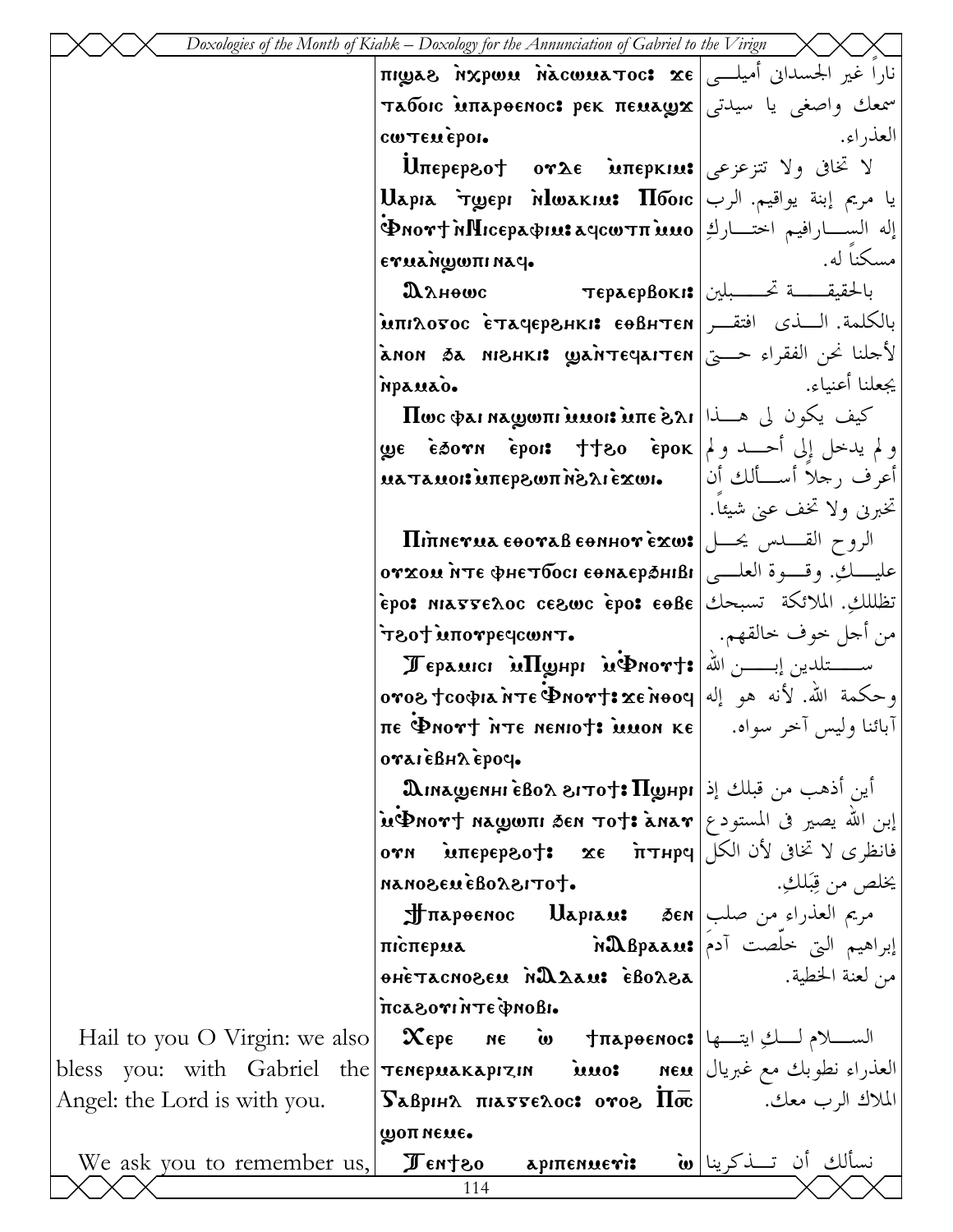| نارا غير الجسداني أميلــي   πιωαλί ναρων λίκτος κε<br>سمعك واصغى يا سيدتى   Taбoic Mapeenoc: pek πεμaωx<br>العذر اء.<br>cw Texepon.<br>$U$ περερεο† ογλε μπερκιω: الا تخافي ولا تتزعزعي<br>يا مريم إبنة يواقيم. الرب   Uapıa `ryepı `nlwakıu: Пбоіс<br>$\Phi$ إله الســـارافيم اختـــاركِ  отфисерафия ачсотп)<br>مسكنا له.<br>εγμαή ψωπι και.<br>بالحقيقـــــة تحــــــبلين  тераервокі:<br>Данешс<br>بالكلمة. السذى افتقــر  Mπιλοσος ὲταςερ&нкі: εθβнтєм.<br>لأحلنا نحن الفقراء حـــى   а́ном да инзнкі: шайтєчаттєн<br>يجعلنا أعنباء.<br>npauao.<br>$\bm{\Pi}$ ون لي هـــذا $\bm{\mu}$ ة الله على الله على الله على الله على الله على الله على الله على الله على الله على ال<br>ولم يدخل إلى أحــد ولم  ge   èsorn   èpois   ††80   èpok<br>أعرف رجلاً أسسألك أن   μaτauoi:uπep&ωπ mõs 1 exwi<br>تخبريي ولا تخف عبي شيئاً.<br>الروح القسلس يحسل Rinnerua eooraß eonhor exw:<br>عليـــكِ. وقسوة العلـــى  отхом ите фнетбосі еөлаєраніві<br>تَظْلَلْكِ. الملائكة تسبحك   epo: eos eole وepo: epo: nasse $\lambda$ oc ce<br>من أحل حوف حالقهم.<br>T80+ MOPSPECOUNT.<br>Jepauici MyHpi ughort: الله = Tepauici in TyHpi<br>وحكمة الله. لأنه هو إله φοντ: xe nooy=" وحكمة الله. لأنه هو إله<br>πε Φηοντ ήτε ηεηιοτ: μυοη κε  اآبائنا وليس آخر سواه. [πε Φηοντ ήτε ηεηιοτ<br>oraieBHA epoc.<br>${\bf \Omega}$ اين أذهب من قبلك إذ ${\bf \Pi}$ بابو) ${\bf \Gamma}$ 1707 ${\bf \Omega}$ 680 ה $i$<br>$\mathbf{u}$ ות الله يصير فى المستودع   மு $\mathbf{u}$ காக்கோ $\mathbf{v}$ என $\mathbf{v}$ , $\mathbf{u}$<br>oγn $\text{im}$ epepeo†: xe $\text{im}$ ττнрq $ \text{min}$ $\text{min}$<br>يخلص من قِبَلْكِ.<br>·totis/odáuasonan<br>إبراهيم التي خلصت آدم \$RBpaau Marepua وابراهيم التي خلصت آدم<br>من لعنة الخطية. [مح Boxea in Magnosen in Magnosen in Magnosen in Magnosen in Algnosen in Algnosen in Algnosen<br>.ιθοπφθητή ιγοδλοπ<br>Hail to you O Virgin: we also   $\mathbf x$ ερε ne ω †περθεπος: الســـلام لــــكِ ايتـــها<br>bless you: with Gabriel the Tenepuakaprzin inuo: neu just as single<br>$\overline{S}$ авріня піаттелос: отог $\overline{\text{Inc}}$   $\overline{S}$<br>попиеме. |                              | Doxologies of the Month of Kiahk – Doxology for the Annunciation of Gabriel to the Virign |  |
|----------------------------------------------------------------------------------------------------------------------------------------------------------------------------------------------------------------------------------------------------------------------------------------------------------------------------------------------------------------------------------------------------------------------------------------------------------------------------------------------------------------------------------------------------------------------------------------------------------------------------------------------------------------------------------------------------------------------------------------------------------------------------------------------------------------------------------------------------------------------------------------------------------------------------------------------------------------------------------------------------------------------------------------------------------------------------------------------------------------------------------------------------------------------------------------------------------------------------------------------------------------------------------------------------------------------------------------------------------------------------------------------------------------------------------------------------------------------------------------------------------------------------------------------------------------------------------------------------------------------------------------------------------------------------------------------------------------------------------------------------------------------------------------------------------------------------------------------------------------------------------------------------------------------------------------------------------------------------------------------------------------------------------------------------------------------------------------------------------------|------------------------------|-------------------------------------------------------------------------------------------|--|
|                                                                                                                                                                                                                                                                                                                                                                                                                                                                                                                                                                                                                                                                                                                                                                                                                                                                                                                                                                                                                                                                                                                                                                                                                                                                                                                                                                                                                                                                                                                                                                                                                                                                                                                                                                                                                                                                                                                                                                                                                                                                                                                |                              |                                                                                           |  |
|                                                                                                                                                                                                                                                                                                                                                                                                                                                                                                                                                                                                                                                                                                                                                                                                                                                                                                                                                                                                                                                                                                                                                                                                                                                                                                                                                                                                                                                                                                                                                                                                                                                                                                                                                                                                                                                                                                                                                                                                                                                                                                                |                              |                                                                                           |  |
|                                                                                                                                                                                                                                                                                                                                                                                                                                                                                                                                                                                                                                                                                                                                                                                                                                                                                                                                                                                                                                                                                                                                                                                                                                                                                                                                                                                                                                                                                                                                                                                                                                                                                                                                                                                                                                                                                                                                                                                                                                                                                                                |                              |                                                                                           |  |
|                                                                                                                                                                                                                                                                                                                                                                                                                                                                                                                                                                                                                                                                                                                                                                                                                                                                                                                                                                                                                                                                                                                                                                                                                                                                                                                                                                                                                                                                                                                                                                                                                                                                                                                                                                                                                                                                                                                                                                                                                                                                                                                |                              |                                                                                           |  |
|                                                                                                                                                                                                                                                                                                                                                                                                                                                                                                                                                                                                                                                                                                                                                                                                                                                                                                                                                                                                                                                                                                                                                                                                                                                                                                                                                                                                                                                                                                                                                                                                                                                                                                                                                                                                                                                                                                                                                                                                                                                                                                                |                              |                                                                                           |  |
|                                                                                                                                                                                                                                                                                                                                                                                                                                                                                                                                                                                                                                                                                                                                                                                                                                                                                                                                                                                                                                                                                                                                                                                                                                                                                                                                                                                                                                                                                                                                                                                                                                                                                                                                                                                                                                                                                                                                                                                                                                                                                                                |                              |                                                                                           |  |
|                                                                                                                                                                                                                                                                                                                                                                                                                                                                                                                                                                                                                                                                                                                                                                                                                                                                                                                                                                                                                                                                                                                                                                                                                                                                                                                                                                                                                                                                                                                                                                                                                                                                                                                                                                                                                                                                                                                                                                                                                                                                                                                |                              |                                                                                           |  |
|                                                                                                                                                                                                                                                                                                                                                                                                                                                                                                                                                                                                                                                                                                                                                                                                                                                                                                                                                                                                                                                                                                                                                                                                                                                                                                                                                                                                                                                                                                                                                                                                                                                                                                                                                                                                                                                                                                                                                                                                                                                                                                                |                              |                                                                                           |  |
|                                                                                                                                                                                                                                                                                                                                                                                                                                                                                                                                                                                                                                                                                                                                                                                                                                                                                                                                                                                                                                                                                                                                                                                                                                                                                                                                                                                                                                                                                                                                                                                                                                                                                                                                                                                                                                                                                                                                                                                                                                                                                                                |                              |                                                                                           |  |
|                                                                                                                                                                                                                                                                                                                                                                                                                                                                                                                                                                                                                                                                                                                                                                                                                                                                                                                                                                                                                                                                                                                                                                                                                                                                                                                                                                                                                                                                                                                                                                                                                                                                                                                                                                                                                                                                                                                                                                                                                                                                                                                |                              |                                                                                           |  |
|                                                                                                                                                                                                                                                                                                                                                                                                                                                                                                                                                                                                                                                                                                                                                                                                                                                                                                                                                                                                                                                                                                                                                                                                                                                                                                                                                                                                                                                                                                                                                                                                                                                                                                                                                                                                                                                                                                                                                                                                                                                                                                                |                              |                                                                                           |  |
|                                                                                                                                                                                                                                                                                                                                                                                                                                                                                                                                                                                                                                                                                                                                                                                                                                                                                                                                                                                                                                                                                                                                                                                                                                                                                                                                                                                                                                                                                                                                                                                                                                                                                                                                                                                                                                                                                                                                                                                                                                                                                                                |                              |                                                                                           |  |
|                                                                                                                                                                                                                                                                                                                                                                                                                                                                                                                                                                                                                                                                                                                                                                                                                                                                                                                                                                                                                                                                                                                                                                                                                                                                                                                                                                                                                                                                                                                                                                                                                                                                                                                                                                                                                                                                                                                                                                                                                                                                                                                |                              |                                                                                           |  |
|                                                                                                                                                                                                                                                                                                                                                                                                                                                                                                                                                                                                                                                                                                                                                                                                                                                                                                                                                                                                                                                                                                                                                                                                                                                                                                                                                                                                                                                                                                                                                                                                                                                                                                                                                                                                                                                                                                                                                                                                                                                                                                                |                              |                                                                                           |  |
|                                                                                                                                                                                                                                                                                                                                                                                                                                                                                                                                                                                                                                                                                                                                                                                                                                                                                                                                                                                                                                                                                                                                                                                                                                                                                                                                                                                                                                                                                                                                                                                                                                                                                                                                                                                                                                                                                                                                                                                                                                                                                                                |                              |                                                                                           |  |
|                                                                                                                                                                                                                                                                                                                                                                                                                                                                                                                                                                                                                                                                                                                                                                                                                                                                                                                                                                                                                                                                                                                                                                                                                                                                                                                                                                                                                                                                                                                                                                                                                                                                                                                                                                                                                                                                                                                                                                                                                                                                                                                |                              |                                                                                           |  |
|                                                                                                                                                                                                                                                                                                                                                                                                                                                                                                                                                                                                                                                                                                                                                                                                                                                                                                                                                                                                                                                                                                                                                                                                                                                                                                                                                                                                                                                                                                                                                                                                                                                                                                                                                                                                                                                                                                                                                                                                                                                                                                                |                              |                                                                                           |  |
|                                                                                                                                                                                                                                                                                                                                                                                                                                                                                                                                                                                                                                                                                                                                                                                                                                                                                                                                                                                                                                                                                                                                                                                                                                                                                                                                                                                                                                                                                                                                                                                                                                                                                                                                                                                                                                                                                                                                                                                                                                                                                                                |                              |                                                                                           |  |
|                                                                                                                                                                                                                                                                                                                                                                                                                                                                                                                                                                                                                                                                                                                                                                                                                                                                                                                                                                                                                                                                                                                                                                                                                                                                                                                                                                                                                                                                                                                                                                                                                                                                                                                                                                                                                                                                                                                                                                                                                                                                                                                |                              |                                                                                           |  |
|                                                                                                                                                                                                                                                                                                                                                                                                                                                                                                                                                                                                                                                                                                                                                                                                                                                                                                                                                                                                                                                                                                                                                                                                                                                                                                                                                                                                                                                                                                                                                                                                                                                                                                                                                                                                                                                                                                                                                                                                                                                                                                                |                              |                                                                                           |  |
|                                                                                                                                                                                                                                                                                                                                                                                                                                                                                                                                                                                                                                                                                                                                                                                                                                                                                                                                                                                                                                                                                                                                                                                                                                                                                                                                                                                                                                                                                                                                                                                                                                                                                                                                                                                                                                                                                                                                                                                                                                                                                                                |                              |                                                                                           |  |
|                                                                                                                                                                                                                                                                                                                                                                                                                                                                                                                                                                                                                                                                                                                                                                                                                                                                                                                                                                                                                                                                                                                                                                                                                                                                                                                                                                                                                                                                                                                                                                                                                                                                                                                                                                                                                                                                                                                                                                                                                                                                                                                |                              |                                                                                           |  |
|                                                                                                                                                                                                                                                                                                                                                                                                                                                                                                                                                                                                                                                                                                                                                                                                                                                                                                                                                                                                                                                                                                                                                                                                                                                                                                                                                                                                                                                                                                                                                                                                                                                                                                                                                                                                                                                                                                                                                                                                                                                                                                                |                              |                                                                                           |  |
|                                                                                                                                                                                                                                                                                                                                                                                                                                                                                                                                                                                                                                                                                                                                                                                                                                                                                                                                                                                                                                                                                                                                                                                                                                                                                                                                                                                                                                                                                                                                                                                                                                                                                                                                                                                                                                                                                                                                                                                                                                                                                                                |                              |                                                                                           |  |
|                                                                                                                                                                                                                                                                                                                                                                                                                                                                                                                                                                                                                                                                                                                                                                                                                                                                                                                                                                                                                                                                                                                                                                                                                                                                                                                                                                                                                                                                                                                                                                                                                                                                                                                                                                                                                                                                                                                                                                                                                                                                                                                |                              |                                                                                           |  |
|                                                                                                                                                                                                                                                                                                                                                                                                                                                                                                                                                                                                                                                                                                                                                                                                                                                                                                                                                                                                                                                                                                                                                                                                                                                                                                                                                                                                                                                                                                                                                                                                                                                                                                                                                                                                                                                                                                                                                                                                                                                                                                                |                              |                                                                                           |  |
|                                                                                                                                                                                                                                                                                                                                                                                                                                                                                                                                                                                                                                                                                                                                                                                                                                                                                                                                                                                                                                                                                                                                                                                                                                                                                                                                                                                                                                                                                                                                                                                                                                                                                                                                                                                                                                                                                                                                                                                                                                                                                                                |                              |                                                                                           |  |
|                                                                                                                                                                                                                                                                                                                                                                                                                                                                                                                                                                                                                                                                                                                                                                                                                                                                                                                                                                                                                                                                                                                                                                                                                                                                                                                                                                                                                                                                                                                                                                                                                                                                                                                                                                                                                                                                                                                                                                                                                                                                                                                |                              |                                                                                           |  |
|                                                                                                                                                                                                                                                                                                                                                                                                                                                                                                                                                                                                                                                                                                                                                                                                                                                                                                                                                                                                                                                                                                                                                                                                                                                                                                                                                                                                                                                                                                                                                                                                                                                                                                                                                                                                                                                                                                                                                                                                                                                                                                                |                              |                                                                                           |  |
|                                                                                                                                                                                                                                                                                                                                                                                                                                                                                                                                                                                                                                                                                                                                                                                                                                                                                                                                                                                                                                                                                                                                                                                                                                                                                                                                                                                                                                                                                                                                                                                                                                                                                                                                                                                                                                                                                                                                                                                                                                                                                                                |                              |                                                                                           |  |
|                                                                                                                                                                                                                                                                                                                                                                                                                                                                                                                                                                                                                                                                                                                                                                                                                                                                                                                                                                                                                                                                                                                                                                                                                                                                                                                                                                                                                                                                                                                                                                                                                                                                                                                                                                                                                                                                                                                                                                                                                                                                                                                |                              |                                                                                           |  |
|                                                                                                                                                                                                                                                                                                                                                                                                                                                                                                                                                                                                                                                                                                                                                                                                                                                                                                                                                                                                                                                                                                                                                                                                                                                                                                                                                                                                                                                                                                                                                                                                                                                                                                                                                                                                                                                                                                                                                                                                                                                                                                                |                              |                                                                                           |  |
|                                                                                                                                                                                                                                                                                                                                                                                                                                                                                                                                                                                                                                                                                                                                                                                                                                                                                                                                                                                                                                                                                                                                                                                                                                                                                                                                                                                                                                                                                                                                                                                                                                                                                                                                                                                                                                                                                                                                                                                                                                                                                                                |                              |                                                                                           |  |
|                                                                                                                                                                                                                                                                                                                                                                                                                                                                                                                                                                                                                                                                                                                                                                                                                                                                                                                                                                                                                                                                                                                                                                                                                                                                                                                                                                                                                                                                                                                                                                                                                                                                                                                                                                                                                                                                                                                                                                                                                                                                                                                | Angel: the Lord is with you. |                                                                                           |  |
|                                                                                                                                                                                                                                                                                                                                                                                                                                                                                                                                                                                                                                                                                                                                                                                                                                                                                                                                                                                                                                                                                                                                                                                                                                                                                                                                                                                                                                                                                                                                                                                                                                                                                                                                                                                                                                                                                                                                                                                                                                                                                                                |                              |                                                                                           |  |
| We ask you to remember us, <b>Fentzo</b> apmenueris i w نسألك أن تسذكرينا الله We ask you to remember us,<br>114                                                                                                                                                                                                                                                                                                                                                                                                                                                                                                                                                                                                                                                                                                                                                                                                                                                                                                                                                                                                                                                                                                                                                                                                                                                                                                                                                                                                                                                                                                                                                                                                                                                                                                                                                                                                                                                                                                                                                                                               |                              |                                                                                           |  |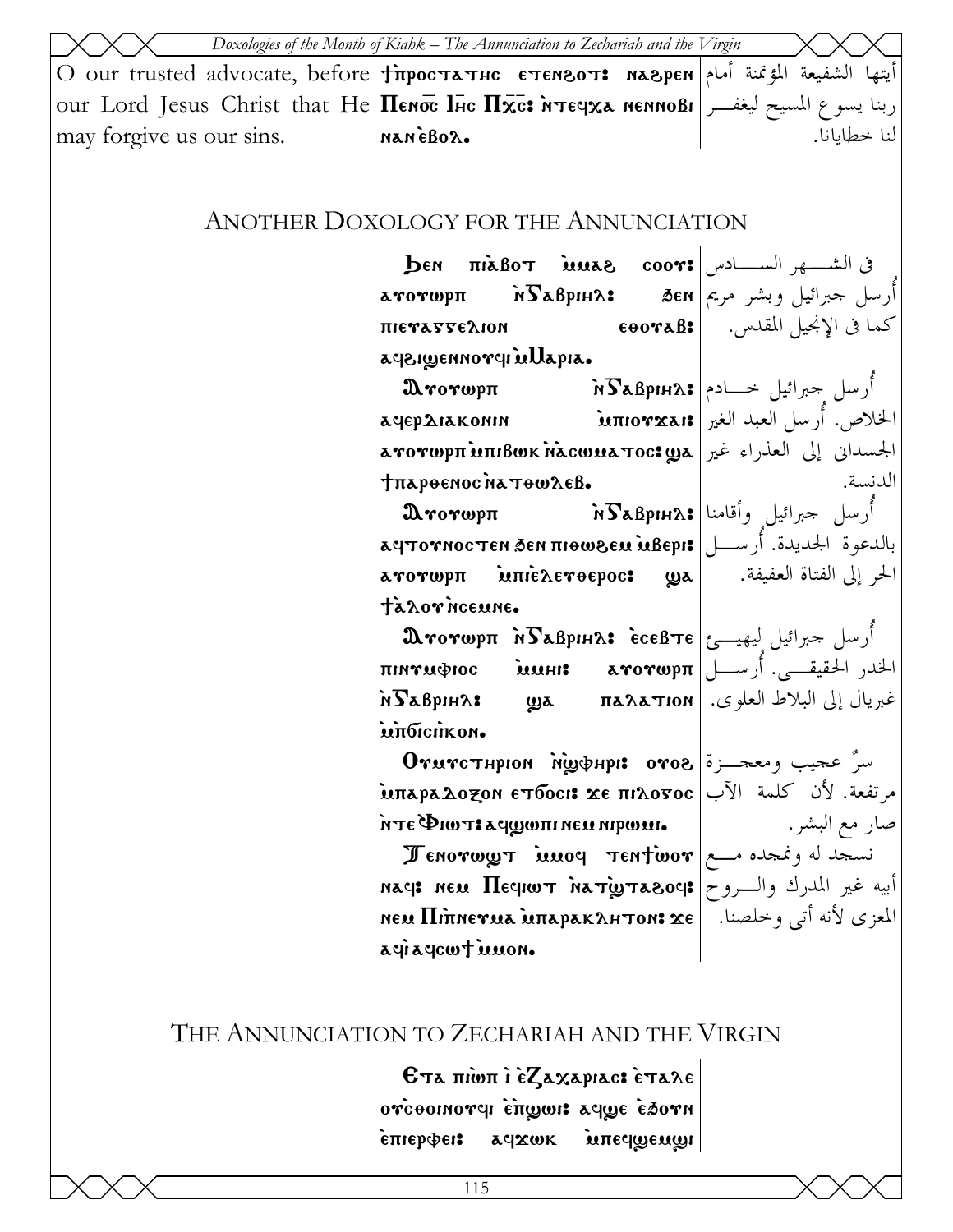|                          | Doxologies of the Month of Kiahk – The Annunciation to Zechariah and the Virgin                                                                               |              |
|--------------------------|---------------------------------------------------------------------------------------------------------------------------------------------------------------|--------------|
|                          |                                                                                                                                                               |              |
|                          | $ _{\text{out}}$ Lord Jesus Christ that He  $\Pi$ емо $\bar{\mathbf{c}}$ Пяс $\Pi \tilde{\mathbf{x}}$ с: איז פין אפומאו $ _{\text{out}}$ פון $ _{\text{out}}$ |              |
| may forgive us our sins. | InanèBoa.                                                                                                                                                     | لنا خطابانا. |

### ANOTHER DOXOLOGY FOR THE ANNUNCIATION

| $\mathbf{b}$ EN $\pi$ iaBo $\tau$ iuuas coor: ســـادس                                               |                                                          |
|-----------------------------------------------------------------------------------------------------|----------------------------------------------------------|
|                                                                                                     |                                                          |
| ΠΙΕΥΑΣΣΕΛΙΟΝ                                                                                        | كما في الإنجيل المقدس.       €007aB:                     |
| aysigennoryi ullapia.                                                                               |                                                          |
| $\mathbf{A}$ rorwp $\pi$                                                                            | أُرسل جبرائيل خـــادم \$Bpıн2\$i ``                      |
| الخلاص. أرسل العبد الغير πιογχaι:قtriorxa، الخلاص. أرسل العبد الغير                                 |                                                          |
| الجسداني إلى العذراء غير குrorwpπ மாபீஸ்ட் nacwயa Toc: الجسداني إلى العذراء غير                     |                                                          |
| <b><i>TπαρθεΝος Νατθωλεβ.</i></b>                                                                   | الدنسة.                                                  |
| $\mathbf{A}$ rorwp $\pi$                                                                            | أرسل جبرائيل وأقامنا \$я $\bf{S}$ аврıн $\lambda$ ́ا     |
| بالدعوة الجديدة. أرسط   аqтотностен бен пються дей ивері                                            |                                                          |
|                                                                                                     |                                                          |
| ta zor neeune.                                                                                      |                                                          |
|                                                                                                     | ارسل حبرائيل ليهيــئ θπ λδεβριμλ: έсєβτε تمرائيل ليهيــئ |
|                                                                                                     |                                                          |
| مُبريال إلى البلاط العلوى.   па $\bf{a}$ атюм   فبريال إلى البلاط العلوى.   п $\bf{a}$ врн $\bf{a}$ |                                                          |
| ιιπδιειλκου.                                                                                        |                                                          |
| $0$ rurcтнрюм м̀ழூфнрі: 0ro8 200 میر به $\sim$                                                      |                                                          |
| مرتفعة. لأن كلمة الآب Μπερελο <del>z</del> on ετбoci <b>: x</b> e πιλοσος                           |                                                          |
| λτε Φιωτ: aqwwπι neu nipwui.                                                                        | صار مع البشر .                                           |
| $\pi$ Enorwy $\pi$ innoq $\pi$ Entivor $\sim$                                                       |                                                          |
| أبيه غير المدرك والـــروح ‡rag: neu $\Pi$ eqiw ay أبيه غير المدرك والـــروح                         |                                                          |
| المعزى لأنه أتى وخلصنا.   neu Πιπneγua นπapaκλнтon: xe                                              |                                                          |
| agiagewt innon.                                                                                     |                                                          |

# THE ANNUNCIATION TO ZECHARIAH AND THE VIRGIN

 $\varepsilon$ та пішпі е $z$ ахаріас: етале ovcoonovel enge afge esorn `epiervei> afjwk `mpef]em]i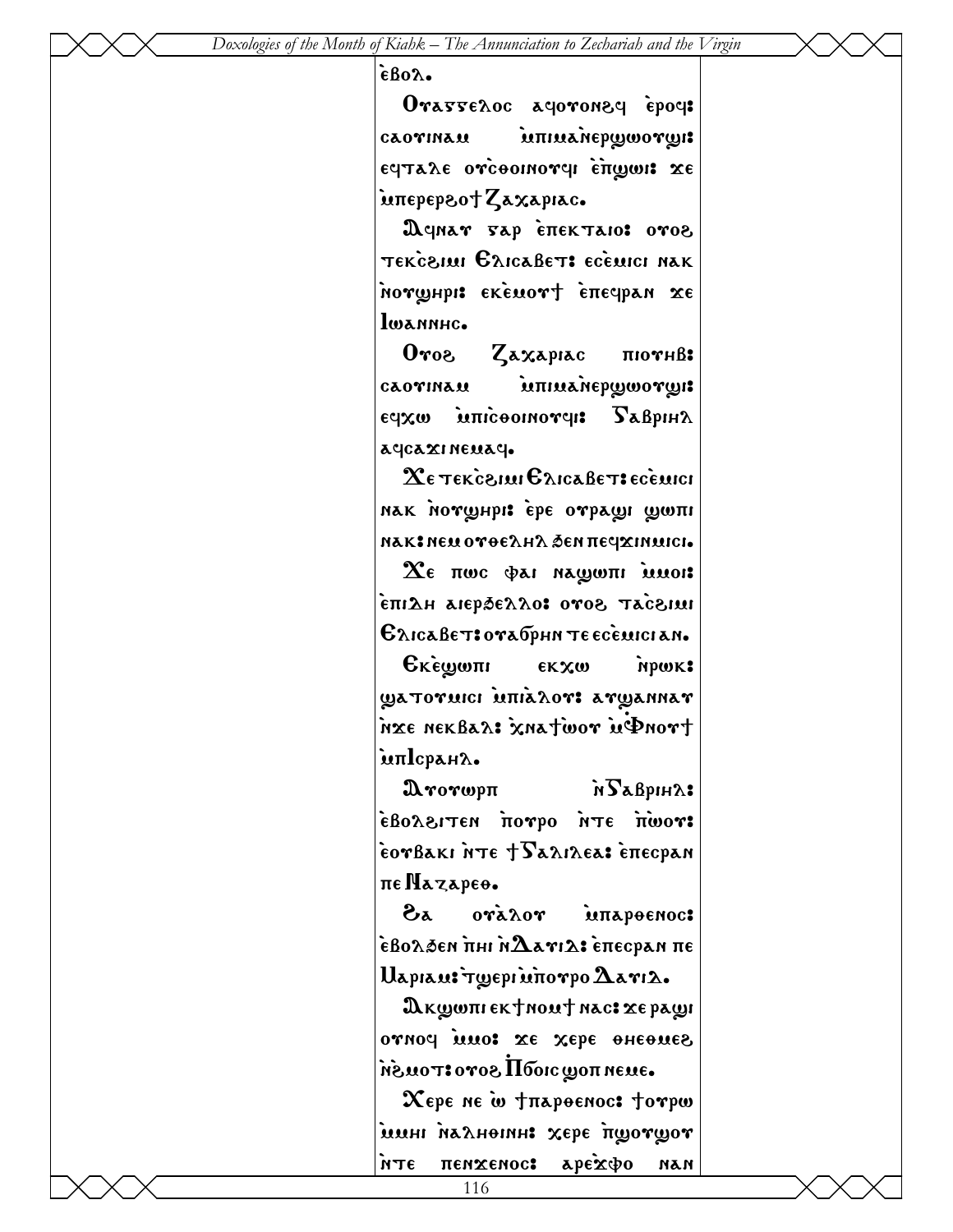$\epsilon$ Bo $\lambda$ .

| Orasseloc actoronect epoct  |  |  |
|-----------------------------|--|--|
| cλoγιnλu inπιμλήθρωσιων (31 |  |  |
| εςταλε ονέθοικονοι επωω: χε |  |  |
| intepepsotZaxapiac.         |  |  |

Deinar Fap ETTEKTAIO: 0708 TEKCEILLI GAICABET: ECELLICI NAK Morwhpi: EKEMOrt Enecipan xe lwannhc.

Zaxapiac  $0<sub>ros</sub>$  $\pi$ 10 $\gamma$  $H$  $\beta$ : iunuanepwworwi CAOVINAM ε τρατισθούπω ωχρε  $S$ a $\beta$ pih $\lambda$ accaxineuac.

 $\mathbf X$ є тексенці Єлісавет: есемісі нак нотунрі: ере отраці ципі мак: немотоелна бен печхимись.

 $\chi_{\epsilon}$  noe dat nagont muot ιαιδόστ δονο ιοκλεθερτα μΔιπέ Елісавет: отабрин те есемісіан.

**Екешели εκχω** NPWK: WATOVUICI UNIALOVI AVWANNAV nxe nekBa2: xnatwor uPnort ienlcpahλ.

 $\mathbf{A}$ rorwp $\mathbf{\pi}$ is Suigaze **: TOWN STH OGYON MSTISSOLS** eorBaki nte + Salikea: enecpan πε Ναγαρεο.

ಹಿ  $0$ ra $\lambda$ 0r мпареемос:  $\epsilon$ волбен пні н $\mathbf{\hat{A}}$ атід: епесран пе Uapiau: Tyepi unorpo Aari2.

D κωωπι εκ τη συντ πας: χε ραωι canoch more ze xebe oneones ·θυστιοποιολη δονοιτου. Хере не w +пароенос: torpw имні налнепин: хере пшотшот

**αρελφο** 

NAN

пемхемос:

**PLN**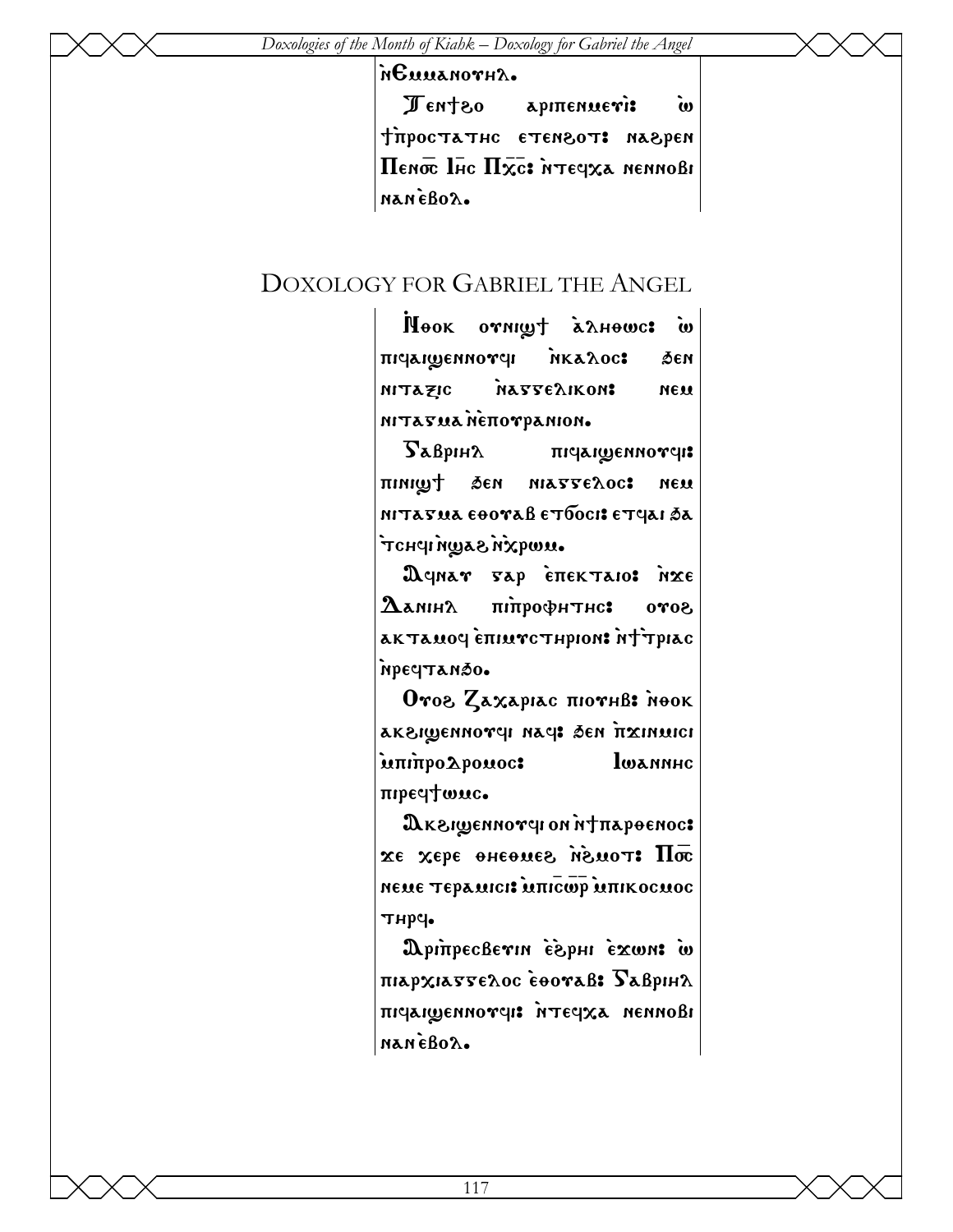#### $\hat{\mathbf{h}}$ Emmanovh $\lambda$ .

Ten†zo apiπenue**ri:** w tipoctathc etensot: naspen  $\Pi$ ено $\overline{\mathbf{c}}$  Inc  $\Pi \overline{\mathbf{x}}$ c: итеч $\mathbf{x}$ а неннові nan cBoa.

### DOXOLOGY FOR GABRIEL THE ANGEL

Wook ornight annouse w niqaiwennovqi nkaloc: Ben nitazic nasserikon: nem nitavua nėnovpanion.

 $\Gamma$ аврін $\alpha$  пічаіфеннотчі: pini]; 'en niaggeloc> nem nitavua eoovaß etboci: etqai sa wwqxn sawniphot

Deinar vap enektaio: nxe  ${\bf \Omega}$ алін $\mathbf{\Lambda}$  піпрофитис: ото $\mathbf{\delta}$ ak Tauoy eniurc Thpion: Not Tpiac `nreftan'o.

Oroz Zaxapiac *norhb*: Nook aksiwennovel nae: Ben Itxinuici informoc: lwannhc nibed<sub>4</sub> more.

 $\mathfrak A$ к $\epsilon$ гуеннотчі он іт $\uparrow$ пароєнос:  $\overline{\text{m}}$  xepe  $\overline{\text{m}}$  and  $\overline{\text{m}}$ neme τεραπιci: **Μπιcωρ** Μπικοcmoc THPY.

WpinpecBevin espHi exwn: w  $\pi$ iap $\chi$ iagge $\lambda$ oc  $\epsilon$ eoraß:  $\Gamma$ aßpih $\lambda$ niqaigennovel: NTEEXA nennobi nan eBoa.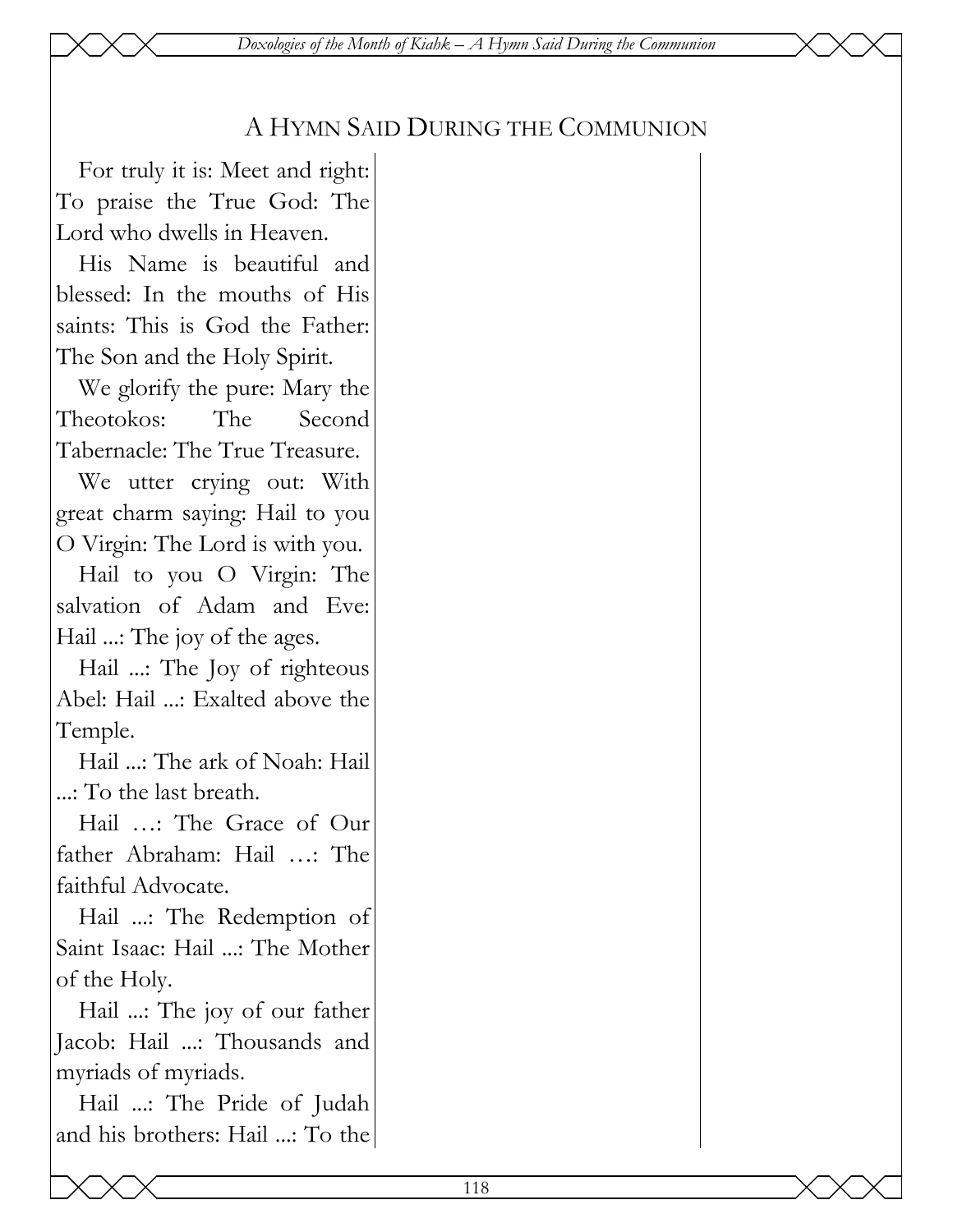*Doxologies of the Month of Kiahk – A Hymn Said During the Communion* 

## A HYMN SAID DURING THE COMMUNION

For truly it is: Meet and right: To praise the True God: The Lord who dwells in Heaven.

His Name is beautiful and blessed: In the mouths of His saints: This is God the Father: The Son and the Holy Spirit.

We glorify the pure: Mary the Theotokos: The Second Tabernacle: The True Treasure.

We utter crying out: With great charm saying: Hail to you O Virgin: The Lord is with you.

Hail to you O Virgin: The salvation of Adam and Eve: Hail ...: The joy of the ages.

Hail ...: The Joy of righteous Abel: Hail ...: Exalted above the Temple.

Hail ...: The ark of Noah: Hail ...: To the last breath.

Hail …: The Grace of Our father Abraham: Hail …: The faithful Advocate.

Hail ...: The Redemption of Saint Isaac: Hail ...: The Mother of the Holy.

Hail ...: The joy of our father Jacob: Hail ...: Thousands and myriads of myriads.

Hail ...: The Pride of Judah and his brothers: Hail ...: To the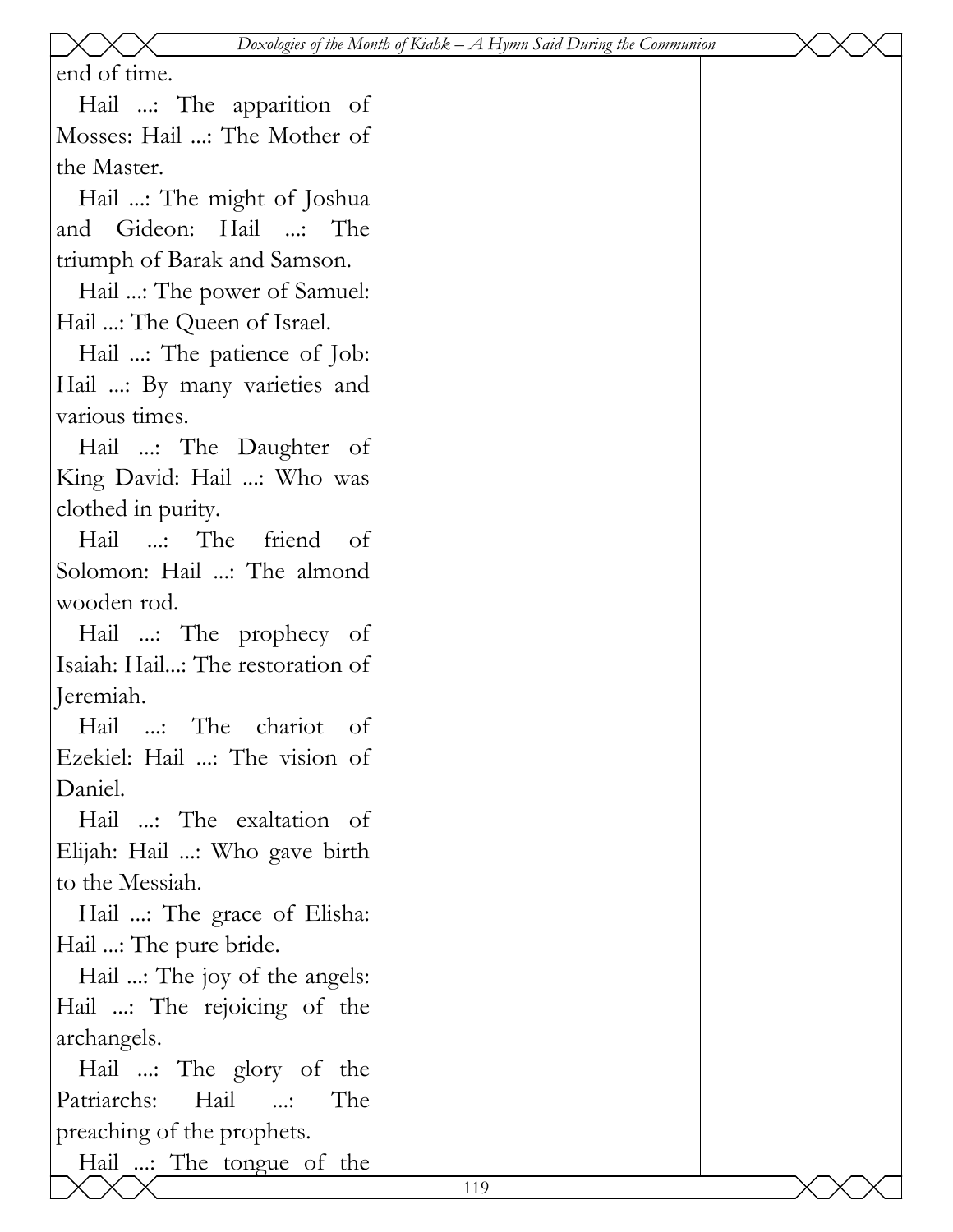|                                          | Doxologies of the Month of Kiahk $-A$ Hymn Said During the Communion |  |
|------------------------------------------|----------------------------------------------------------------------|--|
| end of time.                             |                                                                      |  |
| Hail : The apparition of                 |                                                                      |  |
| Mosses: Hail : The Mother of             |                                                                      |  |
| the Master.                              |                                                                      |  |
| Hail : The might of Joshua               |                                                                      |  |
| and Gideon: Hail : The                   |                                                                      |  |
| triumph of Barak and Samson.             |                                                                      |  |
| Hail : The power of Samuel:              |                                                                      |  |
| Hail : The Queen of Israel.              |                                                                      |  |
| Hail : The patience of Job:              |                                                                      |  |
| Hail : By many varieties and             |                                                                      |  |
| various times.                           |                                                                      |  |
| Hail : The Daughter of                   |                                                                      |  |
| King David: Hail : Who was               |                                                                      |  |
| clothed in purity.                       |                                                                      |  |
| Hail : The friend<br>ot                  |                                                                      |  |
| Solomon: Hail : The almond               |                                                                      |  |
| wooden rod.                              |                                                                      |  |
| Hail : The prophecy of                   |                                                                      |  |
| Isaiah: Hail: The restoration of         |                                                                      |  |
| Jeremiah.                                |                                                                      |  |
| Hail : The chariot of                    |                                                                      |  |
| Ezekiel: Hail : The vision of            |                                                                      |  |
| Daniel.                                  |                                                                      |  |
| Hail : The exaltation of                 |                                                                      |  |
| Elijah: Hail : Who gave birth            |                                                                      |  |
| to the Messiah.                          |                                                                      |  |
| Hail : The grace of Elisha:              |                                                                      |  |
| Hail : The pure bride.                   |                                                                      |  |
| Hail : The joy of the angels:            |                                                                      |  |
| Hail : The rejoicing of the              |                                                                      |  |
| archangels.                              |                                                                      |  |
| Hail : The glory of the                  |                                                                      |  |
| Patriarchs:<br>Hail<br>The<br>$\ldots$ : |                                                                      |  |
| preaching of the prophets.               |                                                                      |  |
| Hail : The tongue of the                 |                                                                      |  |
|                                          | 119                                                                  |  |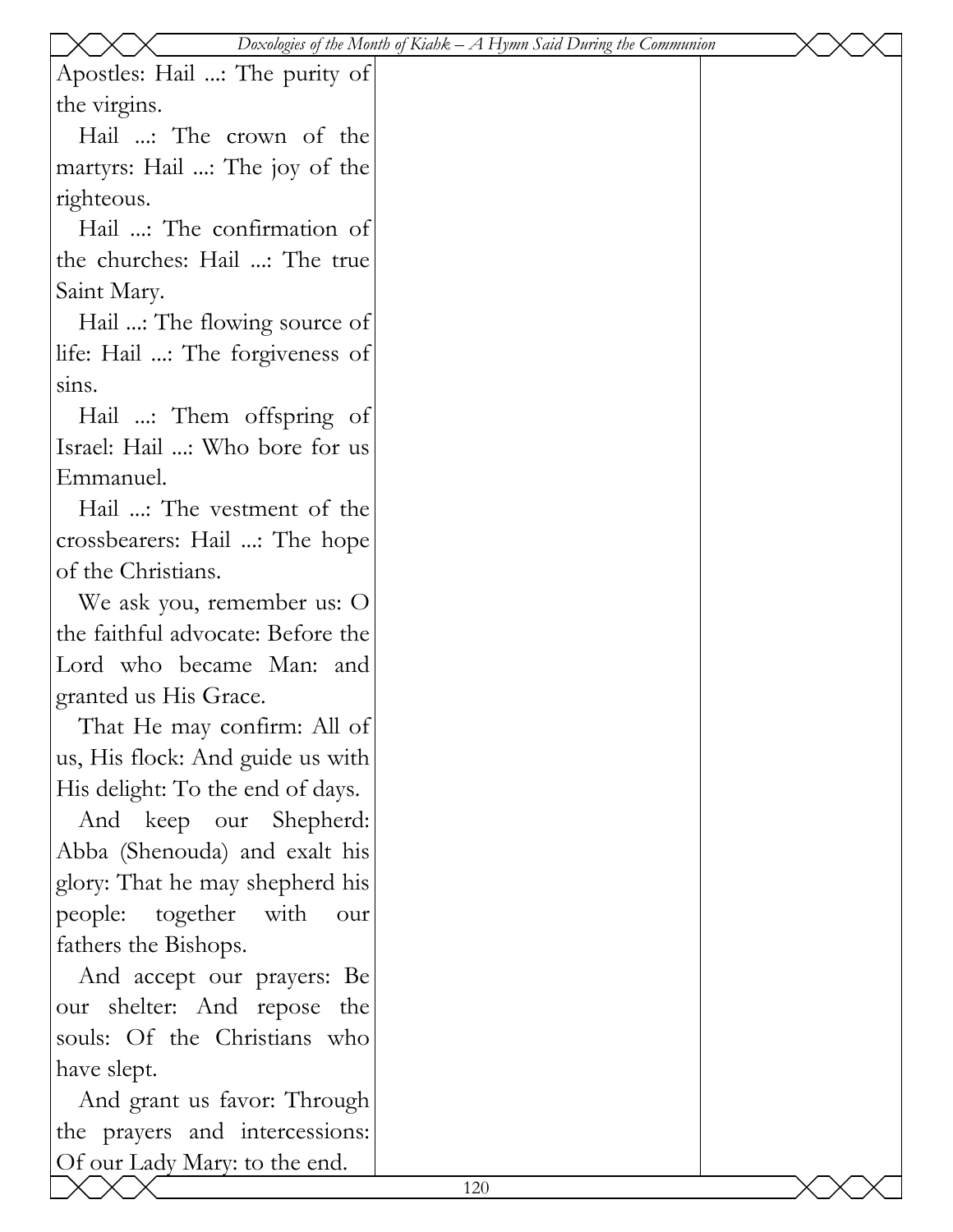|                                   |     | Doxologies of the Month of Kiahk $-A$ Hymn Said During the Communion |  |
|-----------------------------------|-----|----------------------------------------------------------------------|--|
| Apostles: Hail : The purity of    |     |                                                                      |  |
| the virgins.                      |     |                                                                      |  |
| Hail : The crown of the           |     |                                                                      |  |
| martyrs: Hail : The joy of the    |     |                                                                      |  |
| righteous.                        |     |                                                                      |  |
| Hail : The confirmation of        |     |                                                                      |  |
| the churches: Hail : The true     |     |                                                                      |  |
| Saint Mary.                       |     |                                                                      |  |
| Hail : The flowing source of      |     |                                                                      |  |
| life: Hail : The forgiveness of   |     |                                                                      |  |
| sins.                             |     |                                                                      |  |
| Hail : Them offspring of          |     |                                                                      |  |
| Israel: Hail : Who bore for us    |     |                                                                      |  |
| Emmanuel.                         |     |                                                                      |  |
| Hail : The vestment of the        |     |                                                                      |  |
| crossbearers: Hail : The hope     |     |                                                                      |  |
| of the Christians.                |     |                                                                      |  |
| We ask you, remember us: O        |     |                                                                      |  |
| the faithful advocate: Before the |     |                                                                      |  |
| Lord who became Man: and          |     |                                                                      |  |
| granted us His Grace.             |     |                                                                      |  |
| That He may confirm: All of       |     |                                                                      |  |
| us, His flock: And guide us with  |     |                                                                      |  |
| His delight: To the end of days.  |     |                                                                      |  |
| And keep our Shepherd:            |     |                                                                      |  |
| Abba (Shenouda) and exalt his     |     |                                                                      |  |
| glory: That he may shepherd his   |     |                                                                      |  |
| people: together with<br>our      |     |                                                                      |  |
| fathers the Bishops.              |     |                                                                      |  |
| And accept our prayers: Be        |     |                                                                      |  |
| our shelter: And repose the       |     |                                                                      |  |
| souls: Of the Christians who      |     |                                                                      |  |
| have slept.                       |     |                                                                      |  |
| And grant us favor: Through       |     |                                                                      |  |
| the prayers and intercessions:    |     |                                                                      |  |
| Of our Lady Mary: to the end.     |     |                                                                      |  |
|                                   | 120 |                                                                      |  |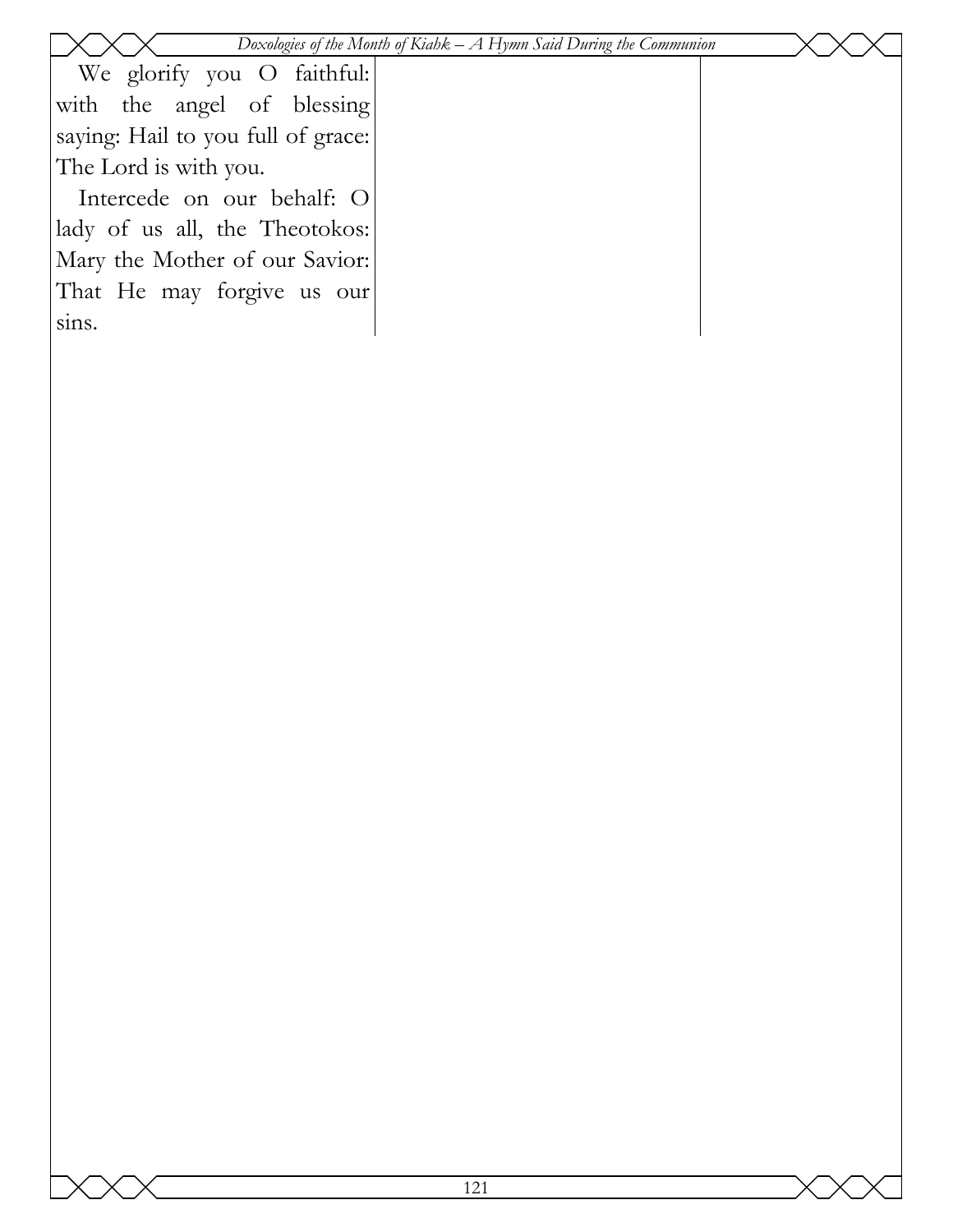|                                    | Doxologies of the Month of Kiahk $-A$ Hymn Said During the Communion |  |
|------------------------------------|----------------------------------------------------------------------|--|
| We glorify you O faithful:         |                                                                      |  |
| with the angel of blessing         |                                                                      |  |
| saying: Hail to you full of grace: |                                                                      |  |
| The Lord is with you.              |                                                                      |  |
| Intercede on our behalf: O         |                                                                      |  |
| lady of us all, the Theotokos:     |                                                                      |  |
| Mary the Mother of our Savior:     |                                                                      |  |
| That He may forgive us our         |                                                                      |  |
| sins.                              |                                                                      |  |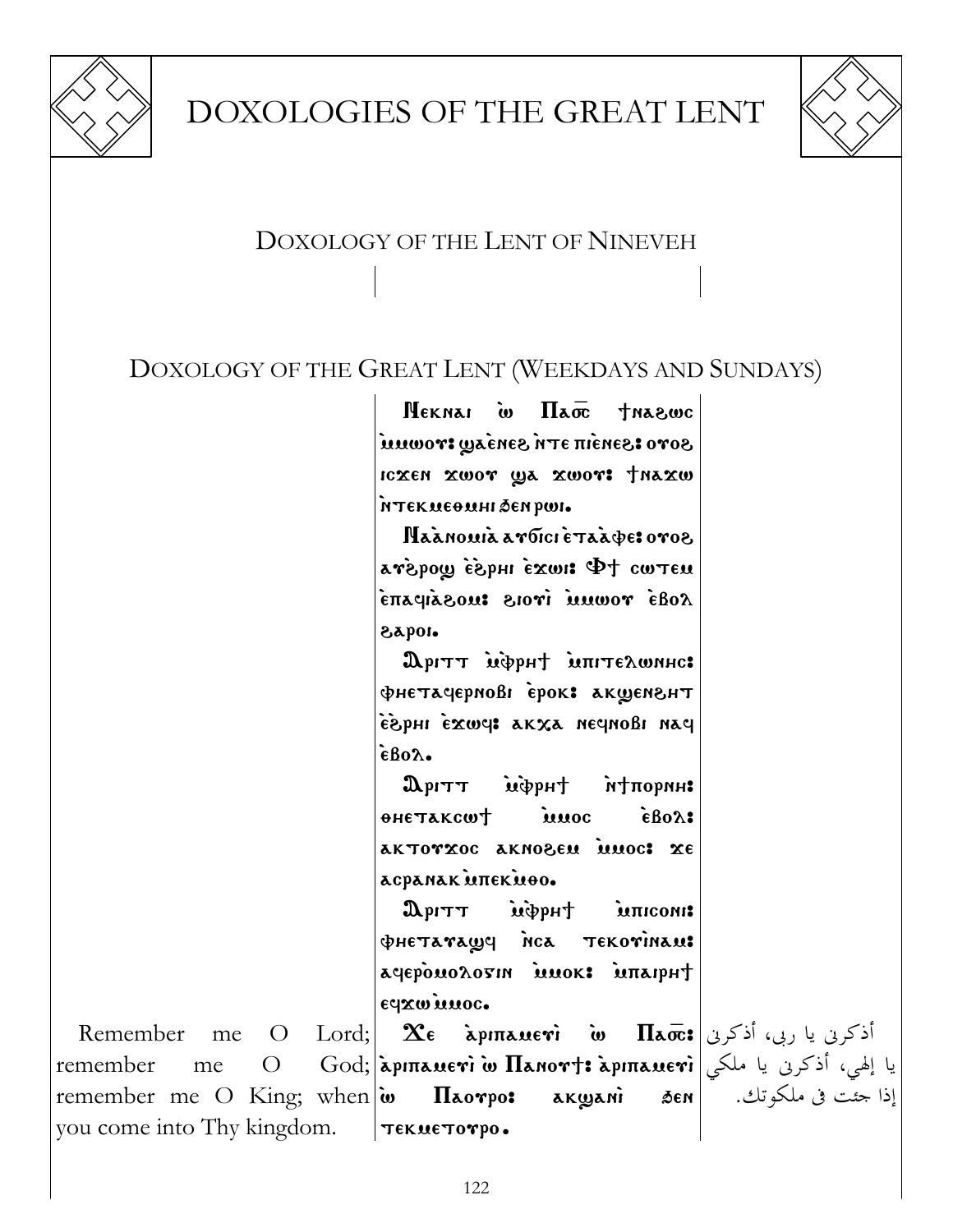

# DOXOLOGIES OF THE GREAT LENT



# DOXOLOGY OF THE LENT OF NINEVEH

### DOXOLOGY OF THE GREAT LENT (WEEKDAYS AND SUNDAYS)

 $N$ EKNAI W  $\Pi$ a $\bar{x}$  tha $\alpha$ wc  $\mathcal{S}$ ovo  $\mathbf{t}$ esnám a produtí icxen xwor ya xwor: thaxw `ntekmeqmhi 'en rwi.

Naanowia aroici etaabe: oroo avepous  $\Phi$  investing upogent chaqia zowi ivois uosaipani \aroi.

 $\mathbf{\Omega}$ рітт мерн $\dagger$  мпітелюннс:  $\Phi$ нетачернові ерок: акщенент `e`\rhi `ejwf> akxa nefnobi naf  $\epsilon$ Bo $\lambda$ .

 $\mathbf{D}_{\text{P}}$ ohetakcwt imoc eBo2: aktovxoc akno&em imoc: xe acpanak unekuoo.

 $\mathfrak{D}_{\mathrm{PITT}}$   $\mathfrak{m}$   $\mathfrak{p}_{\mathrm{PIT}}$   $\mathfrak{p}_{\mathrm{PITT}}$  $\Phi$ HETATAWY NCA TEKOTINAM: agepowologin mwok: intaipht edxw imoc.

Remember me O Lord; remember me O remember me O King; when  $\omega$ you come into Thy kingdom.  $\bm{\chi_{\epsilon}}$  أذكرنى يا ربى، أذكرنى $\bm{\pi_{\epsilon}}$ مى  $\bm{\Pi_{\bar{\kappa}}}$ ة نيا إلهي، أذكرنى يا ملكي $\max$ i àpı $\max$ arj: ما $\limsup$  $\Pi$ aovpo: ak $\omega$ anì sen $|$ TEKMETOTPO.

إذا جئت فى ملكوتك.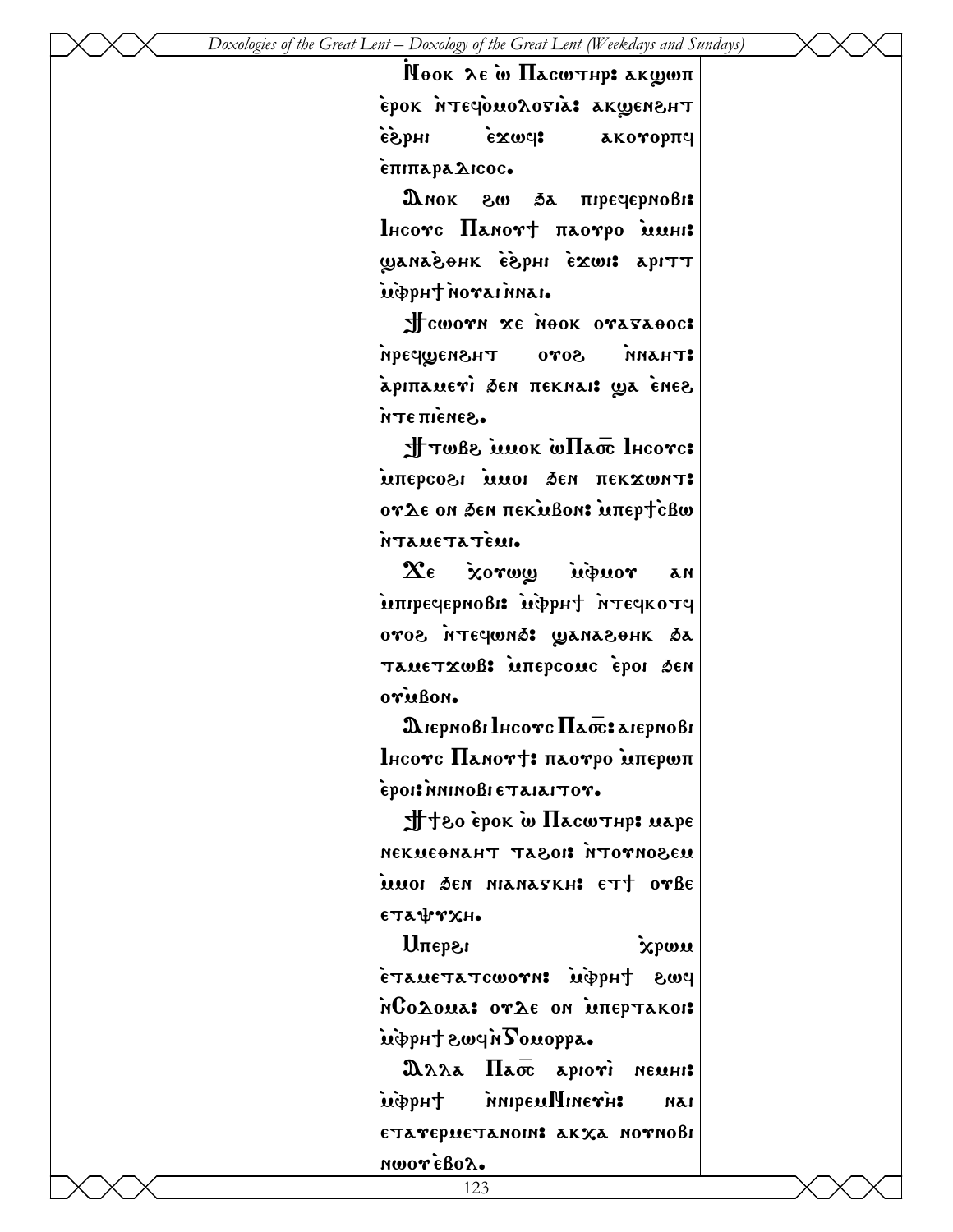Hook Le w **Hacwthp:** akwwn EPOK NTECOMOLOSIA: AKWENSHT  $\epsilon$ )  $\epsilon$  $\alpha$   $\alpha$  akorop $\pi$ q `epiparadicoc.

 $\mathbf{\Omega}$ мок  $\mathbf{\Omega} \mathbf{w}$   $\delta \mathbf{a}$  піречернові:  $l$ нсотс  $\Pi$ анот $\dagger$  паотро мини: ETHE EUWE'S HOGANALLY `m`vrh; `nouai `nnai.

 $\frac{1}{x}$ cwovn xe nook ovasaooc: truann sovo Tusnawpan apinamevi sen neknai: ya ènes `nte pi`ene\.

 $\pm$ Twb $\epsilon$  is now well as Incorc: inwxaan in den dekxwnt: oγλε on sen πεκμβοn: uπερτcβω `ntametat`emi.

 $\chi_{\epsilon}$  xorwy inprior an integepnoßi: impet itegkotg oros nteqwns: Wanasohk sa Tametxwß: intepcomc epoi sen oru<sub>Bon</sub>.

 $\mathbf{\mathfrak{A}}$ iepnoßi Ihcovc  $\Pi$ a $\overline{\text{oc}}$ : aiepnoßi  $l$ нсотс Памот $+$ : паотро мпершп `eroi>`nninobi etaiaitou.

 $\pm$ +30 èpok w  $\Pi$ acw $\tau$ hp: uape nekmeqnaht ta\oi> `ntouno\em muoi Ben nianaskh: ett ovbe  $\epsilon$ Ta $\Psi$ rxh.

 $U^{\text{m}}$   $\mathcal{X}^{\text{m}}$ pws tuq $\phi$  : wroworatation  $\mathbf{\hat{n}}$ Co $\mathbf{\hat{a}}$ oua: or $\mathbf{\hat{a}}$ e on inteptakoi: inippht swein Tomoppa.

 $\mathfrak{A}\lambda\lambda$   $\overline{\mathfrak{A}}$   $\overline{\mathfrak{A}}$   $\overline{\mathfrak{A}}$   $\overline{\mathfrak{A}}$   $\overline{\mathfrak{A}}$   $\overline{\mathfrak{A}}$   $\overline{\mathfrak{A}}$   $\overline{\mathfrak{A}}$   $\overline{\mathfrak{A}}$   $\overline{\mathfrak{A}}$   $\overline{\mathfrak{A}}$   $\overline{\mathfrak{A}}$   $\overline{\mathfrak{A}}$   $\overline{\mathfrak{A}}$   $\overline{\mathfrak{A}}$   $\overline{\mathfrak{A}}$  `m`vrh; `nniremNineu`h> nai etarepuetanoin: akxa nornoßi nwor eBol.

123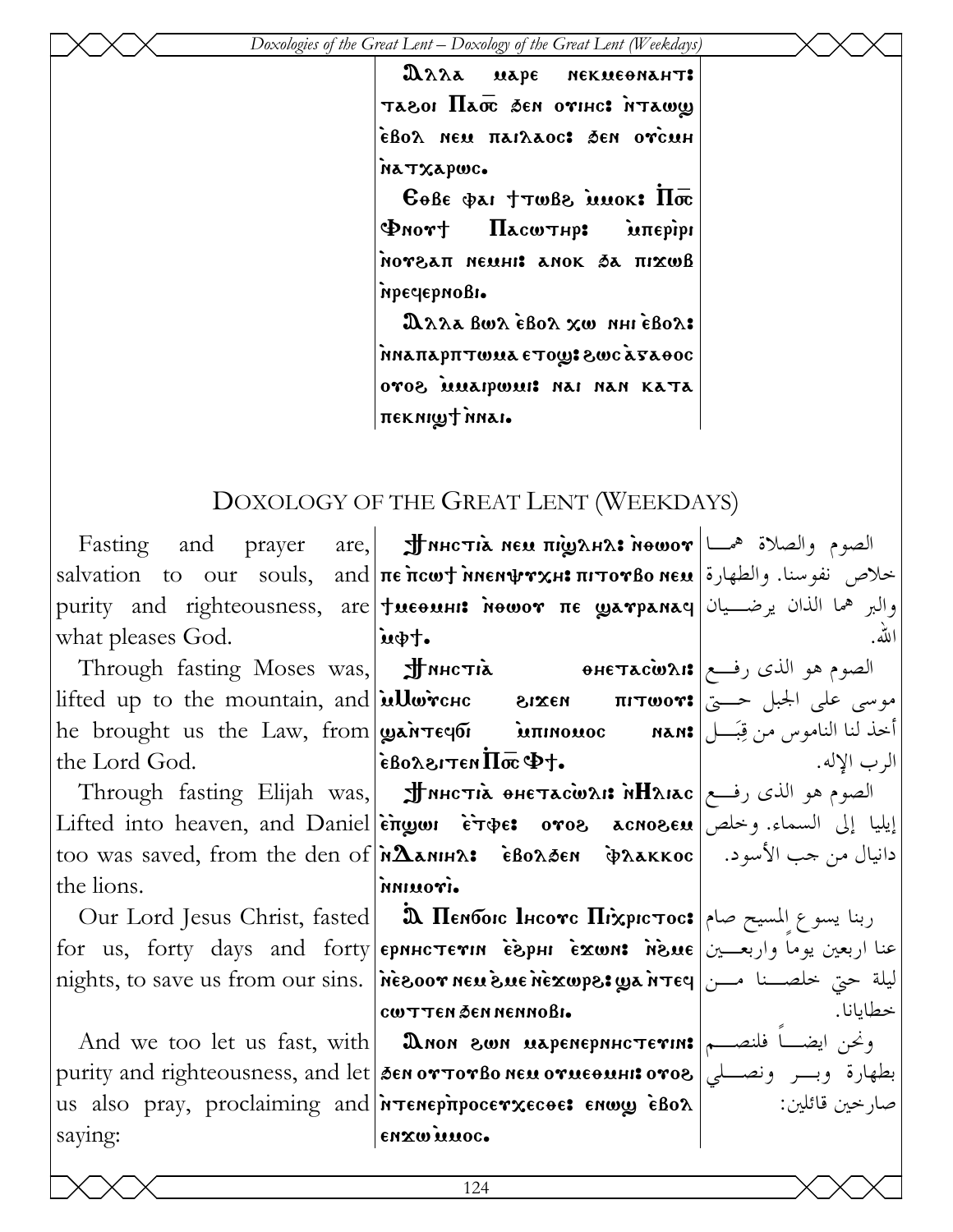$2\lambda\lambda\lambda$  $\mathbf{u}\mathbf{a}\mathbf{p}\mathbf{\epsilon}$ иекмеемант: TASOI HATE SEN OVIHICE NTAWW εβολ neu παιλαος: δεη ογεμh NATXAPWC.

 $6066$   $\phi$ ai  $\dagger$ TWB<sub>2</sub> iluok:  $\Pi\overline{\infty}$  $\Phi$ nort Пасштир: intepips NOTEAN NEUHI ANOK SA NIXWB mpecyepnoBI.

Длла Вол Евол хо ингевол: MARAPHTWUA ETOW: SWCATAOOC oros innapwin: nai nan kata neknigt nnai.

# DOXOLOGY OF THE GREAT LENT (WEEKDAYS)

|                                                     | Fasting and prayer are, <b>J</b> MHc <b>τιλ NEW πιζηλΗλ: Newor</b> $\left  \begin{array}{cc} \mathbf{a} & \mathbf{b} \end{array} \right $ Fasting and prayer are, <b>J</b> MHc <b>τιλ New πιζηλΗλ: Newor</b>                                                                                                                                                                                                                                                                    |       |
|-----------------------------------------------------|---------------------------------------------------------------------------------------------------------------------------------------------------------------------------------------------------------------------------------------------------------------------------------------------------------------------------------------------------------------------------------------------------------------------------------------------------------------------------------|-------|
|                                                     | خلاص نفوسنا. والطهارة  salvation to our souls, and πε πιωτ νη εντικι πιτονβο neu                                                                                                                                                                                                                                                                                                                                                                                                |       |
|                                                     | purity and righteousness, are tweensi newor ne warpanay will get the only                                                                                                                                                                                                                                                                                                                                                                                                       |       |
| what pleases God. $\vert \mathbf{u}\phi\mathbf{y}.$ |                                                                                                                                                                                                                                                                                                                                                                                                                                                                                 | الله. |
|                                                     | me product was, and through fasting Moses was, <b>JHNHCTIA (1996) </b><br>الصوم هو الذي رفع <b>(1996) Өнетас̀was</b> (1998) В                                                                                                                                                                                                                                                                                                                                                   |       |
|                                                     | lifted up to the mountain, and <b>illwiche BIXEN прост:</b> الجبل حسيّ على الجبل حسيّ                                                                                                                                                                                                                                                                                                                                                                                           |       |
|                                                     | he brought us the Law, from <b>ganTeqoi innomoc</b> nan: أخذ لنا الناموس من قِبَـــل                                                                                                                                                                                                                                                                                                                                                                                            |       |
|                                                     | the Lord God. $\epsilon$ Bo $\alpha$ Bridge $\overline{\theta}$ $\overline{\theta}$ $\overline{\theta}$ $\overline{\theta}$ $\overline{\theta}$ $\overline{\theta}$ $\overline{\theta}$ $\overline{\theta}$ $\overline{\theta}$ $\overline{\theta}$ $\overline{\theta}$ $\overline{\theta}$ $\overline{\theta}$ $\overline{\theta}$ $\overline{\theta}$ $\overline{\theta}$ $\overline{\theta}$ $\overline{\theta}$ $\overline{\theta}$ $\overline{\theta}$ $\overline{\theta}$ |       |
|                                                     | — الصوم هو الذي رفــع  Through fasting Elijah was,    अपि अवत्यात्रे өнетас̀о для рыбов (فــع                                                                                                                                                                                                                                                                                                                                                                                   |       |
|                                                     | Lifted into heaven, and Daniel engon eroes acnosen ايليا إلى السماء. وخلص                                                                                                                                                                                                                                                                                                                                                                                                       |       |
|                                                     | too was saved, from the den of <b>MAANIHA: •</b> GBoAðen • �Aakkoc   من جب الأسود. • إtoo was saved, from the den of                                                                                                                                                                                                                                                                                                                                                            |       |
| the lions.                                          | irounn                                                                                                                                                                                                                                                                                                                                                                                                                                                                          |       |
|                                                     | Our Lord Jesus Christ, fasted      ఏ Пембою Інсотс Піхрістос: اربنا يسوع المسيح صام                                                                                                                                                                                                                                                                                                                                                                                             |       |
|                                                     | for us, forty days and forty <b>epnuc terin espul exwn: news</b> $\mathbf{u}$ e et less and forty ep                                                                                                                                                                                                                                                                                                                                                                            |       |
|                                                     | nights, to save us from our sins. Nesoor neusue nexupes ya n Tey  سلة حتى خلصــنا مــن                                                                                                                                                                                                                                                                                                                                                                                          |       |
|                                                     | COUTTEN DEN NENNOBI.                                                                                                                                                                                                                                                                                                                                                                                                                                                            |       |
|                                                     | And we too let us fast, with <b>  Don son uspenephHc Terin:</b> ونحن ايضـــا فلنصـــم                                                                                                                                                                                                                                                                                                                                                                                           |       |
|                                                     | purity and righteousness, and let sen or TorBo neu orueounis oros   وبسر ونصلى                                                                                                                                                                                                                                                                                                                                                                                                  |       |
|                                                     | us also pray, proclaiming and <i>i</i> renepitpocerxecoe: enwy eBox   wide also pray, proclaiming and <i>i</i> renepitpocerxecoe:                                                                                                                                                                                                                                                                                                                                               |       |
| saying:                                             | enzwinnoc.                                                                                                                                                                                                                                                                                                                                                                                                                                                                      |       |
|                                                     |                                                                                                                                                                                                                                                                                                                                                                                                                                                                                 |       |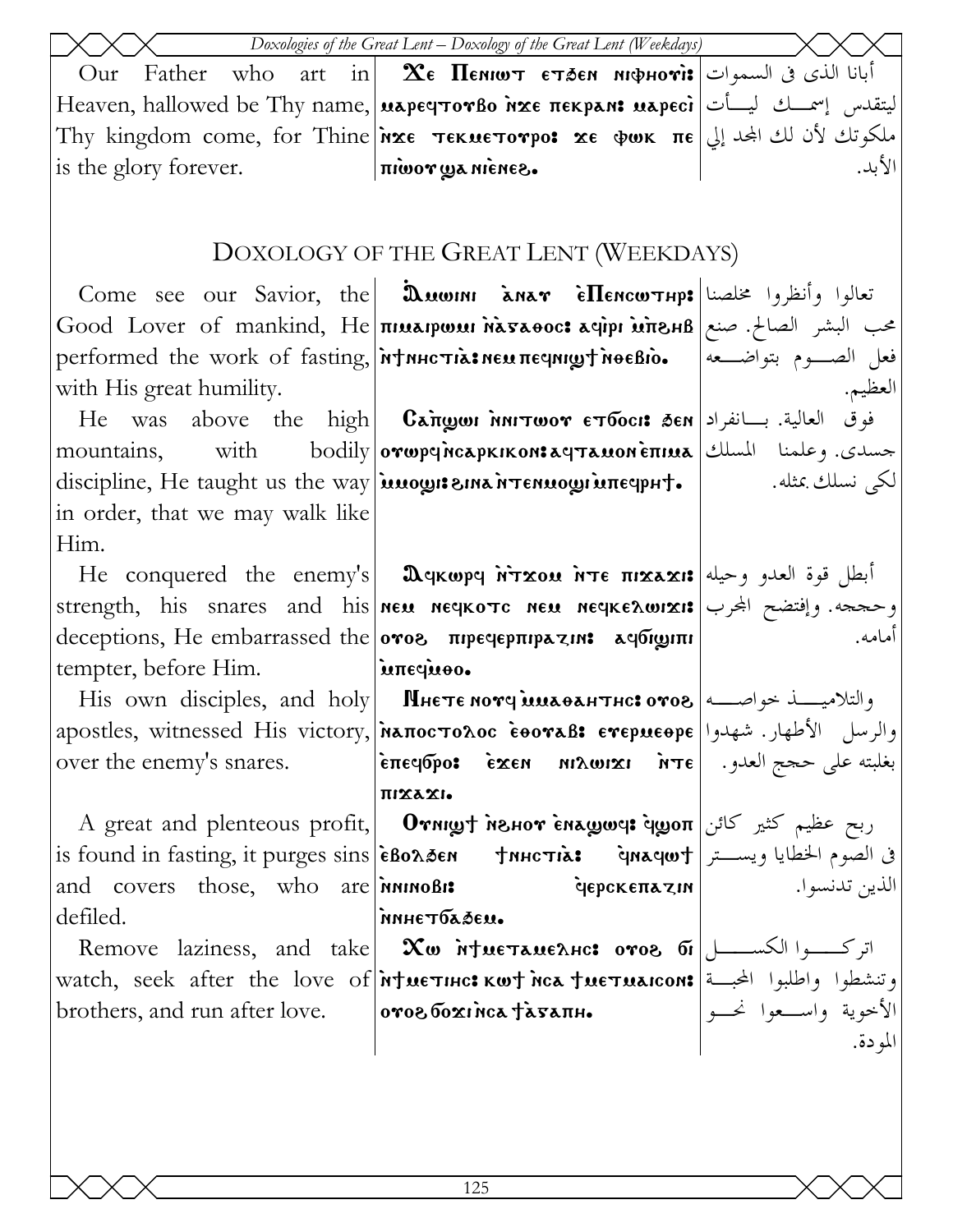|                                 | Doxologies of the Great Lent - Doxology of the Great Lent (Weekdays)                                                                                                                                                                          |         |
|---------------------------------|-----------------------------------------------------------------------------------------------------------------------------------------------------------------------------------------------------------------------------------------------|---------|
| Our                             | Father who art in $\mathbf X$ e <b>Пемют етлем мифноті:</b> أبانا الذي في السموات                                                                                                                                                             |         |
|                                 | ليتقدس إسمـــك ليـــأت Heaven, hallowed be Thy name, <b>μερες τον βο λχε πεκρελε μερες</b> ليتقدس إسمـــك ليـــأت                                                                                                                             |         |
|                                 | Thy kingdom come, for Thine ixe TEKNETOTPO: xe QWK ME إلي   Thy kingdom come, for Thine                                                                                                                                                       |         |
|                                 |                                                                                                                                                                                                                                               | الأبد.  |
|                                 |                                                                                                                                                                                                                                               |         |
|                                 | DOXOLOGY OF THE GREAT LENT (WEEKDAYS)                                                                                                                                                                                                         |         |
|                                 | Come see our Savior, the <b>Duwini anar Elencw THP:</b> تعالوا وأنظروا مخلصنا                                                                                                                                                                 |         |
|                                 | محب البشر الصالح. صنع  Good Lover of mankind, He πιμληνωμι hashoos λφηνι μπενιβ                                                                                                                                                               |         |
|                                 | performed the work of fasting, <i>MtHHCTIA: NEU TIE qHIQT NOEBIO.</i>   الصدوم بتواضـعه                                                                                                                                                       |         |
| with His great humility.        |                                                                                                                                                                                                                                               | العظيم. |
|                                 | He was above the high <b>Cangon MITOOT ETTOOIS SEN</b> بالعالية. بسانفراد He was above the high <b>Cangon MITOOT</b>                                                                                                                          |         |
| mountains, with                 | جسدي. وعلمنا    المسلك  bodily orwpqncapkikon:aqтanoneπina                                                                                                                                                                                    |         |
|                                 | discipline, He taught us the way   <i>innogri sina rennogri une</i> qpht.   and sail and set                                                                                                                                                  |         |
| in order, that we may walk like |                                                                                                                                                                                                                                               |         |
| Him.                            |                                                                                                                                                                                                                                               |         |
|                                 | He conquered the enemy's <b>  Ω</b> qκωpq אדֹר τιε πιχλημείς (ابطل قوة العدو وحيله He conquered the enemy's                                                                                                                                   |         |
|                                 | strength, his snares and his neu neqkotc neu neqkeswizi: وحججه. وإفتضح المجرب                                                                                                                                                                 |         |
|                                 | deceptions, He embarrassed the oros πιρεφερπιρατικε αφδιαιπι                                                                                                                                                                                  | أمامه.  |
| tempter, before Him.            | intequeo.                                                                                                                                                                                                                                     |         |
|                                 |                                                                                                                                                                                                                                               |         |
|                                 | apostles, witnessed His victory, [NATIOCTOAOC EOOTAB: ETEPMEOPE   اوالرسل الأطهار. شهدوا                                                                                                                                                      |         |
| over the enemy's snares.        | επεςισρο: εχεη μιλωιχι λτε  اعتلم العدود   επεςισρο: εχεη μιλωιχι                                                                                                                                                                             |         |
|                                 | πιχλχι.                                                                                                                                                                                                                                       |         |
|                                 | A great and plenteous profit, <b>Ornigt менот енашет: ربح عظیم کثیر کائن</b> A great and plenteous profit, <b>Отнит менот енашет:</b>                                                                                                         |         |
|                                 | في الصوم الخطايا ويست ر  is found in fasting, it purges sins èВолаем   тинстіа: في الصوم الخطايا ويستر                                                                                                                                        |         |
|                                 | and covers those, who are <i>n</i> innoßis <b>depckentarin</b> and covers those, who are <i>ninno</i> Bis                                                                                                                                     |         |
| defiled.                        | nnhe Toasen.                                                                                                                                                                                                                                  |         |
|                                 | derned.<br>Remove laziness, and take <b>Xw intueramentes oros</b><br> watch, seek after the love of <b>intuerincs kwt ica tuermaicons</b>  الأخوية واستعوا نحسة  <br> https: and run after love.    <b>oros бохгітса tа́вапн.</b><br> المودة. |         |
|                                 |                                                                                                                                                                                                                                               |         |
|                                 |                                                                                                                                                                                                                                               |         |
|                                 |                                                                                                                                                                                                                                               |         |
|                                 |                                                                                                                                                                                                                                               |         |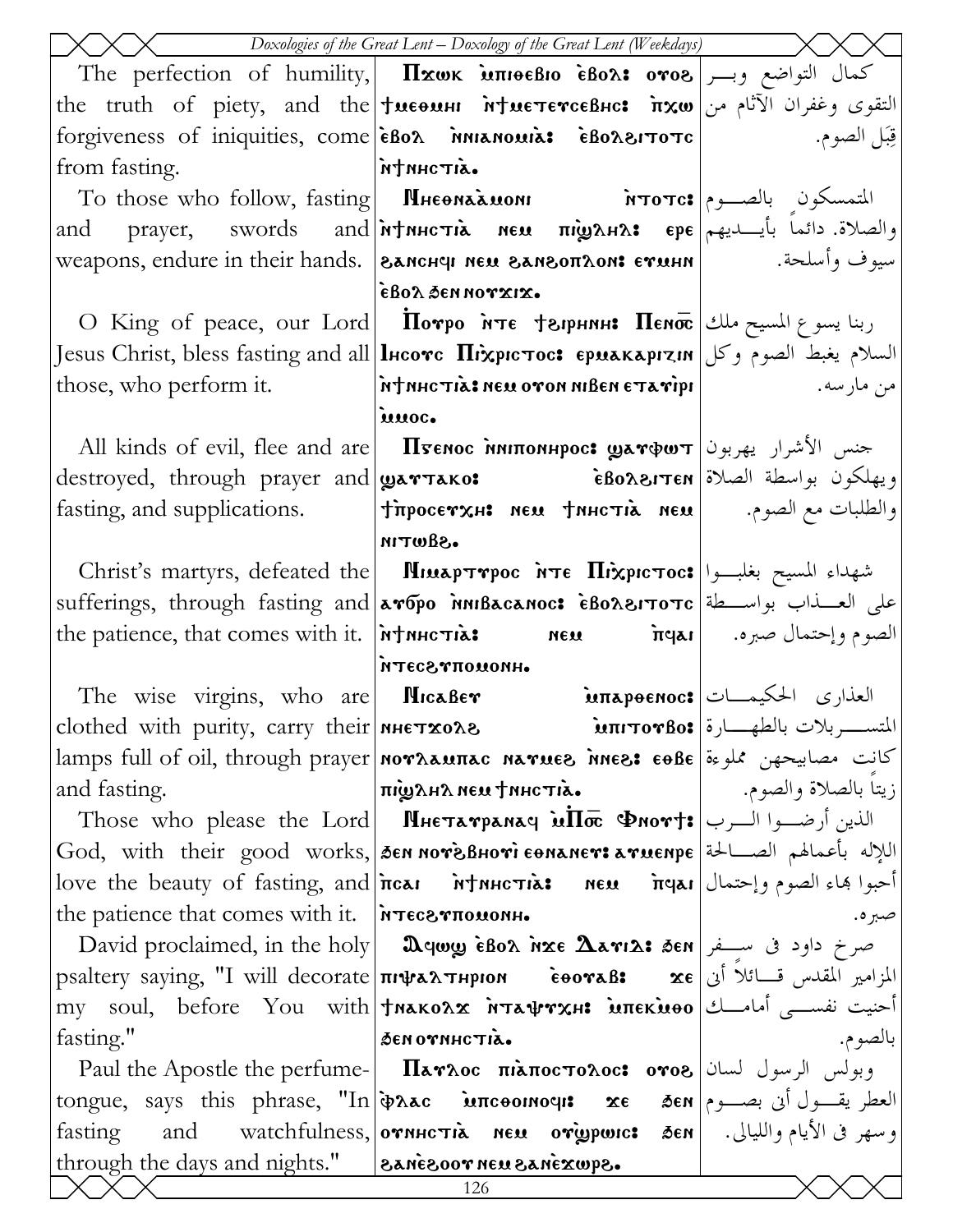|                                                        | Doxologies of the Great Lent - Doxology of the Great Lent (Weekdays)                                                                                                     |                        |
|--------------------------------------------------------|--------------------------------------------------------------------------------------------------------------------------------------------------------------------------|------------------------|
|                                                        | The perfection of humility, $\vert$ $\pi$ xwk $\texttt{inneBio}$ ebox: $\texttt{oro}$ e) كمال التواضع وبسر                                                               |                        |
|                                                        | the truth of piety, and the <b>tweensulf of the truth of piety, and the the truth</b>                                                                                    |                        |
|                                                        | forgiveness of iniquities, come eBox iniumousis eBoxerore                                                                                                                | قِبَلِ الصوم.          |
| from fasting.   MANICTIL.                              |                                                                                                                                                                          |                        |
|                                                        | To those who follow, fasting   Мнеона́амом Мототс: المتمسكون بالصــوم                                                                                                    |                        |
|                                                        | and prayer, swords and <i>i</i> rtnuction of the mightnes of pe plants. <a></a>                                                                                          |                        |
|                                                        | سيوف وأسلحة.         weapons, endure in their hands.  ارجم العجميد المعلمين المعلمين المعلمين العجمي                                                                     |                        |
|                                                        | έβολ δεη ηονχιχ.                                                                                                                                                         |                        |
|                                                        | $\text{O}$ King of peace, our Lord   Потро ите †арнин: Пеиос   ربنا يسوع المسيح ملك                                                                                      |                        |
|                                                        | Jesus Christ, bless fasting and all lнсотс Піхрістос: єриакарізія وكل Jesus Christ, bless fasting and all                                                                |                        |
|                                                        | rhose, who perform it. <b>hthartia: New ovon NIBEN ETA vipi</b>   widely new properties, who perform it.                                                                 |                        |
|                                                        | innoc.                                                                                                                                                                   |                        |
|                                                        | All kinds of evil, flee and are <b>  Пуенос нипоннрос: датфит</b>   الأشرار يهربون                                                                                       |                        |
|                                                        |                                                                                                                                                                          |                        |
| fasting, and supplications.                            | $ \texttt{impocervx} \texttt{s}$ neu $\texttt{dnncria}$ neu $ \texttt{impocervx}\texttt{r} $                                                                             |                        |
|                                                        | .Sawtin                                                                                                                                                                  |                        |
|                                                        | Christ's martyrs, defeated the <b>MIMAPTYPOC MTE HIXPICTOC:</b> بشهداء المسيح بغلبوا                                                                                     |                        |
|                                                        | sufferings, through fasting and <i>aropo nniBacanoc</i> : eBoAerToTc allow the Line                                                                                      |                        |
|                                                        |                                                                                                                                                                          |                        |
|                                                        | <b>HROMOTT SOBTH</b><br>The wise virgins, who are MicaBer <b>imapoenoc:</b> العذارى الحكيمــات                                                                           |                        |
|                                                        | clothed with purity, carry their <b>MHETXOA8 inity interpretion</b> $\mathbf{a}$                                                                                         |                        |
|                                                        | lamps full of oil, through prayer  <b>noγλαμπας naγμεδ nes: εθβε</b>  اكانت مصابيحهن مملوءة                                                                              |                        |
| and fasting.                                           | піфана нем тинстіа.                                                                                                                                                      | ; يتاً بالصلاة والصوم. |
|                                                        | Those who please the Lord <b>  Пиетатранач иП</b> $\overline{\mathbf{x}}$ <b>Phort:</b> الذين أرضــوا الــرب                                                             |                        |
|                                                        | God, with their good works, SEN NOTESBHOTI EONANET: aTUENPE  اللإله بأعمالهم الصــالحة   God                                                                             |                        |
|                                                        | $\alpha$ love the beauty of fasting, and $ \tilde{\pi}$ iot $\tilde{\pi}$ $\tilde{\pi}$ ל new $\tilde{\pi}$ שה $\alpha$ ן love the beauty of fasting, and $ \tilde{\pi}$ |                        |
| the patience that comes with it. <b>FITECSTTOMONH.</b> |                                                                                                                                                                          | صبره.                  |
|                                                        | David proclaimed, in the holy   <b>Deqwy eBox inxe <math>\Delta</math>ari2: 3en</b>   صرخ داود فی ســفر                                                                  |                        |
|                                                        | psaltery saying, "I will decorate <b>πιψαλτηριον εθοναβ:</b> xe  المزامير المقدس قسائلاً أن                                                                              |                        |
|                                                        | my soul, before You with †พลหอล $\bm{x}$ พันสุขรหะ มิทะหมอง أحنيت نفســـی أمامـــك                                                                                       |                        |
| fasting."                                              | SENOTNHCTIA.                                                                                                                                                             | بالصوم.                |
|                                                        | Paul the Apostle the perfume-   Παγλος πιλποςτολος: ογο8   سان   Paul the Apostle the perfume-   Παγλος πιλπος                                                           |                        |
|                                                        | tongue, says this phrase, "In <i>in</i> ac incoomous xe sen and you, says this phrase, "In in and wroton our se                                                          |                        |
| fasting                                                | and watchfulness, ornhc ria neu origpwic: 3en    وسهر في الأيام والليالي. [and watchfulness,   ornhc ria                                                                 |                        |
| through the days and nights."   eanesoor neu sanexupe. |                                                                                                                                                                          |                        |
|                                                        | 126                                                                                                                                                                      |                        |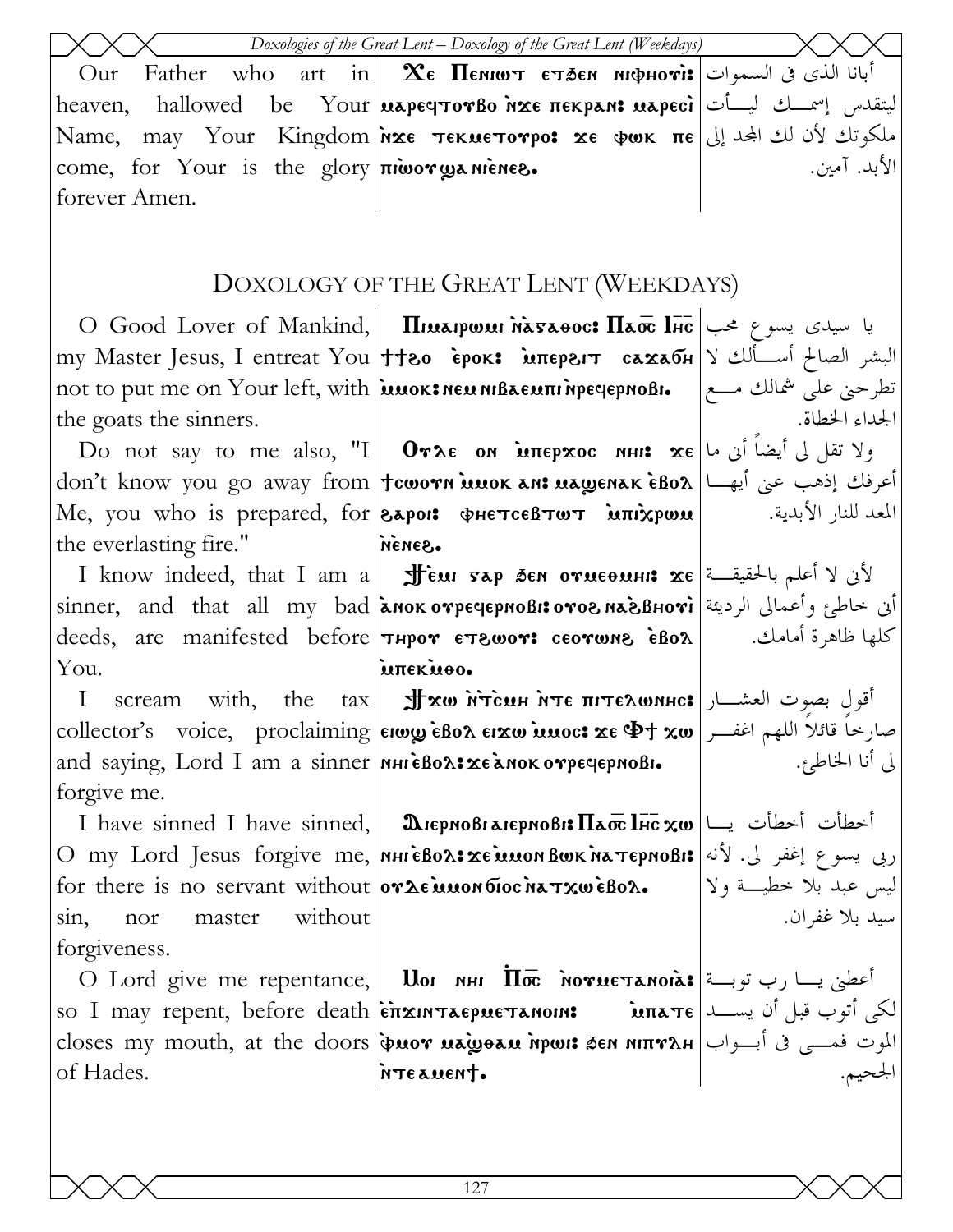|                                                              | Doxologies of the Great Lent - Doxology of the Great Lent (Weekdays)                                                                                    |                       |
|--------------------------------------------------------------|---------------------------------------------------------------------------------------------------------------------------------------------------------|-----------------------|
| Our                                                          | Father who art in $\mathbf X$ e <b>Пемют</b> етлем мфнот: أبانا الذي في السموات                                                                         |                       |
|                                                              | heaven, hallowed be Your <b>μερες τον βο ήχε πεκρελε μερεςi</b> المتقدس إسمسك ليسأت                                                                     |                       |
|                                                              | Name, may Your Kingdom nxε τεκμετονρο: xε φωκ πε إلى المجد إلى الله عد العديد العديد العديد العديد ا                                                    |                       |
| come, for Your is the glory niwor wanienes.                  |                                                                                                                                                         | الأبد. آمين.          |
| forever Amen.                                                |                                                                                                                                                         |                       |
|                                                              |                                                                                                                                                         |                       |
|                                                              |                                                                                                                                                         |                       |
|                                                              | DOXOLOGY OF THE GREAT LENT (WEEKDAYS)                                                                                                                   |                       |
|                                                              | O Good Lover of Mankind, <b>IImapwu Masaoc: Паст Inc</b>   میدی یسوع محب                                                                                |                       |
|                                                              | my Master Jesus, I entreat You ++30 εροκ: мπερειτ caxaбн   y البشر الصالح أسـألك لا                                                                     |                       |
|                                                              | not to put me on Your left, with <b>  μυοκ: NEAL AND POR POON POON</b> POOK POOK POOK POOK                                                              |                       |
| the goats the sinners.                                       |                                                                                                                                                         | الجداء الخطاة.        |
|                                                              | Do not say to me also, "I  <b>Orλε on мπερχος ині: χε</b>  رلا تقل لی أيضا أين ما                                                                       |                       |
|                                                              | don't know you go away from †cworn แมงк ลท: แลพูยาลห e้Bo $\lambda$  أعرفك إذهب عنى أيهـــا                                                             |                       |
|                                                              | Me, you who is prepared, for <b>Sapois ФНЕТСЕВТОТ мпіхром</b>   المعد للنار الأبدية.                                                                    |                       |
| the everlasting fire."                                       | SONON                                                                                                                                                   |                       |
|                                                              | I know indeed, that I am a   அர்ப்ய சகர த்வ отмесяни хе   الأنى لا أعلم بالحقيقة                                                                        |                       |
|                                                              | sinner, and that all my bad או אסי אסי אסאם sinner, and that all my bad אن خاطئ وأعمالي الرديئة                                                         |                       |
|                                                              | deeds, are manifested before <b>THPOY ET8WOY: CEOYWN8 EBOA</b>   $\blacksquare$ dlate diagnostic defore <b>THPOY</b> ET8WOY: ceorwne                    |                       |
| You.                                                         | intekuso.                                                                                                                                               |                       |
| $\mathbf{I}$                                                 | أقولِ بصوت العشـــار  scream with, the tax Jfxw พัรсัมน พระ πιτελωνικα                                                                                  |                       |
|                                                              | collector's voice, proclaiming erwy eBon Erxw innoc: xe \$+ xw   بصار خاً قائلاً اللهم اغفر                                                             |                       |
| and saying, Lord I am a sinner   мнієвольже алокотречернові. |                                                                                                                                                         | لى أنا الخاطئ.        |
| forgive me.                                                  |                                                                                                                                                         |                       |
|                                                              | I have sinned I have sinned, <b>D</b> uepnoBraiepnoBi: Πaoc lHc xw   المحطأت أخطأت فالمحافي الكلمة I have sinned I have sinned,                         |                       |
|                                                              | O my Lord Jesus forgive me,   мні свол: хе шион вык на тернові: إي يسوع إغفر لي. لأنه   O my Lord Jesus forgive me,   мні свол: хе шион вык на тернові: |                       |
|                                                              | for there is no servant without $\sigma \lambda \epsilon \mathbf{u}$ won $\sigma \alpha \mathbf{v}$ $\mathbf{v}$ $\alpha \mathbf{v}$                    | ليس عبد بلا خطيسة ولا |
| without<br>master<br>sin,<br>nor                             |                                                                                                                                                         | سيد بلا غفران.        |
| forgiveness.                                                 |                                                                                                                                                         |                       |
|                                                              | O Lord give me repentance, <b>Uor инг Пос мотистанова:</b> أعطني يسا رب توبسة O                                                                         |                       |
|                                                              | لكي أتوب قبل أن يســـد  so I may repent, before death επαιητισμετικοιη κατε                                                                             |                       |
|                                                              | closes my mouth, at the doors <b>φυον μεψθαυ ήρωι: δεν μιπν</b> λΗ الموت فمسى فى أبسواب                                                                 |                       |
| of Hades.                                                    | inteauent.                                                                                                                                              |                       |
|                                                              |                                                                                                                                                         |                       |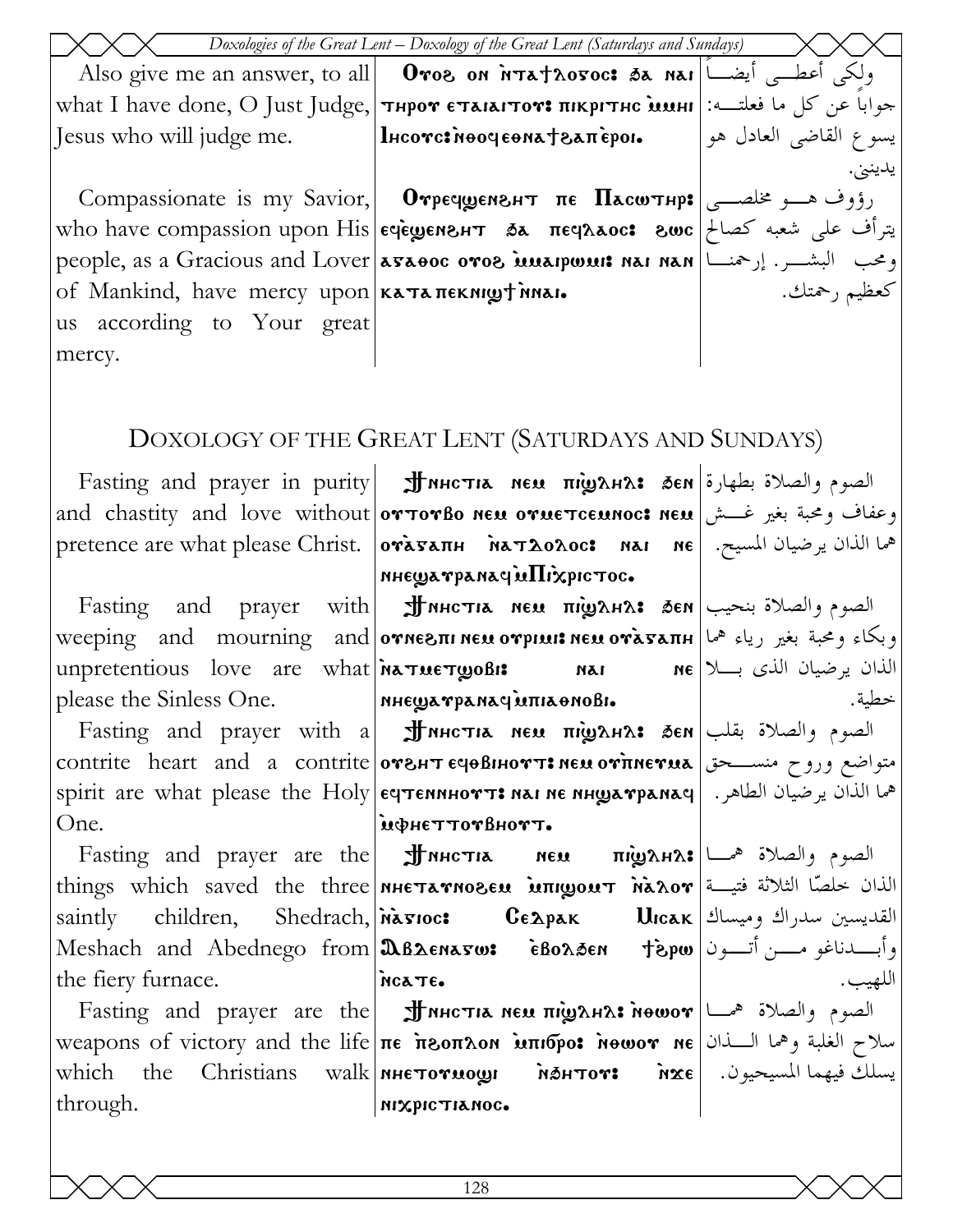|                                                      | Doxologies of the Great Lent – Doxology of the Great Lent (Saturdays and Sundays)                                                                                                                                                                                                                                                                                                                                                                                                                                    |              |
|------------------------------------------------------|----------------------------------------------------------------------------------------------------------------------------------------------------------------------------------------------------------------------------------------------------------------------------------------------------------------------------------------------------------------------------------------------------------------------------------------------------------------------------------------------------------------------|--------------|
|                                                      | Also give me an answer, to all     Oros on nTathovoc: تولكي أعطــي أيضــــا  Also give me an answer, to all                                                                                                                                                                                                                                                                                                                                                                                                          |              |
|                                                      | what I have done, O Just Judge, тнрот стакатот: пікрітнс шині : حوابا عن كل ما فعلتــه: ا                                                                                                                                                                                                                                                                                                                                                                                                                            |              |
|                                                      | يسوع القاضي العادل هو   Incorc: моочеема†запѐрог.   مارا [esus who will judge me.   ما                                                                                                                                                                                                                                                                                                                                                                                                                               |              |
|                                                      |                                                                                                                                                                                                                                                                                                                                                                                                                                                                                                                      | يدينن.       |
|                                                      | Compassionate is my Savior, <b>  Отречуенент пе Паситнр:</b> رؤوف هــو مخلصــی                                                                                                                                                                                                                                                                                                                                                                                                                                       |              |
|                                                      | سرأف على شعبه كصالح  who have compassion upon His eqewers + 5x πεqλλος: وترأف على شعبه كصالح                                                                                                                                                                                                                                                                                                                                                                                                                         |              |
|                                                      | people, as a Gracious and Lover <b>Asaeoc oros innapwint nai nan</b> let $\left  \begin{array}{c} \mathbf{r} \rightarrow \mathbf{r} \rightarrow \mathbf{r} \rightarrow \mathbf{r} \rightarrow \mathbf{r} \rightarrow \mathbf{r} \rightarrow \mathbf{r} \rightarrow \mathbf{r} \rightarrow \mathbf{r} \rightarrow \mathbf{r} \rightarrow \mathbf{r} \rightarrow \mathbf{r} \rightarrow \mathbf{r} \rightarrow \mathbf{r} \rightarrow \mathbf{r} \rightarrow \mathbf{r} \rightarrow \mathbf{r} \rightarrow \mathbf{r}$ |              |
| of Mankind, have mercy upon <b>KATA TEKNIGH MAI.</b> |                                                                                                                                                                                                                                                                                                                                                                                                                                                                                                                      | كعظيم رحمتك. |
| us according to Your great                           |                                                                                                                                                                                                                                                                                                                                                                                                                                                                                                                      |              |
| mercy.                                               |                                                                                                                                                                                                                                                                                                                                                                                                                                                                                                                      |              |
|                                                      |                                                                                                                                                                                                                                                                                                                                                                                                                                                                                                                      |              |
|                                                      |                                                                                                                                                                                                                                                                                                                                                                                                                                                                                                                      |              |
|                                                      | DOXOLOGY OF THE GREAT LENT (SATURDAYS AND SUNDAYS)                                                                                                                                                                                                                                                                                                                                                                                                                                                                   |              |
|                                                      | Fasting and prayer in purity <b>JINHCTIA NEM TIMERIAS</b> δεν εναφερείας εναλετική θεσμέλλον θα                                                                                                                                                                                                                                                                                                                                                                                                                      |              |
|                                                      | and chastity and love without orTorBo neu orueTceunoc: neu وعفاف ومحبة بغير غــش                                                                                                                                                                                                                                                                                                                                                                                                                                     |              |
|                                                      | معما الذان يرضيان المسيح.   pretence are what please Christ.   orasanh   Mat Aoλoc:   Mai   Me                                                                                                                                                                                                                                                                                                                                                                                                                       |              |
|                                                      | пнешатранаси Піхрістос.                                                                                                                                                                                                                                                                                                                                                                                                                                                                                              |              |
|                                                      | Fasting and prayer with <b>JINHCTIA NEU TILO AHA:</b> SEN الصوم والصلاة بنحيب                                                                                                                                                                                                                                                                                                                                                                                                                                        |              |
|                                                      | weeping and mourning and orne in the orpluit neu oragant lead of the server                                                                                                                                                                                                                                                                                                                                                                                                                                          |              |
|                                                      | unpretentious love are what <b>NATUETWOBIS</b> MAI ME NE NE ME ME                                                                                                                                                                                                                                                                                                                                                                                                                                                    |              |
| please the Sinless One. MHEWATPANAGUITIAONOBI.       |                                                                                                                                                                                                                                                                                                                                                                                                                                                                                                                      | خطية.        |
|                                                      | Fasting and prayer with a  $\sharp$ мнстıл нем пі̀удн $\alpha$ : бен $ $ باه الصوم والصلاة بقلب                                                                                                                                                                                                                                                                                                                                                                                                                      |              |
|                                                      | contrite heart and a contrite <b>orght суевнотт: нем отпнетиа</b> متواضع وروح منســـحق                                                                                                                                                                                                                                                                                                                                                                                                                               |              |
|                                                      | spirit are what please the Holy eqtennHort: nai ne nHyarpanaq   الذان يرضيان الطاهر.                                                                                                                                                                                                                                                                                                                                                                                                                                 |              |
| One.                                                 | MOHETTOTBHOTT.                                                                                                                                                                                                                                                                                                                                                                                                                                                                                                       |              |
|                                                      | Fasting and prayer are the <b>JINHCTIA</b> NEU πιναλΗλ: الصوم والصلاة همسا                                                                                                                                                                                                                                                                                                                                                                                                                                           |              |
|                                                      | things which saved the three <b>NHETATNOBEN MITILIOUT NAROT</b>                                                                                                                                                                                                                                                                                                                                                                                                                                                      |              |
|                                                      | saintly children, Shedrach, Masioc: CEApak Ulcak   فالقديسين سدراك وميساك التعديسين سدراك وميساك                                                                                                                                                                                                                                                                                                                                                                                                                     |              |
|                                                      | وأبسدناغو مسن أتسون Meshach and Abednego from &B2EN&5W: EBo2.3EN fispw                                                                                                                                                                                                                                                                                                                                                                                                                                               |              |
| the fiery furnace.                                   | NCATE.                                                                                                                                                                                                                                                                                                                                                                                                                                                                                                               | اللهيب.      |
|                                                      | $\text{Fasting}$ and prayer are the <b>JINHCTIA NEM <math>\text{m}</math>) الصوم والصلاة همسا</b>                                                                                                                                                                                                                                                                                                                                                                                                                    |              |
|                                                      | weapons of victory and the life πε πεοπλοη <b>απιδρο: Newor ne</b> will be a victory and the life πε πεοπλοη <b>απιδρο:</b> Newor ne                                                                                                                                                                                                                                                                                                                                                                                 |              |
|                                                      | which the Christians walk NHETOTUOLI MSHTOT: inxe  المسيحيون. [علام السيحيون                                                                                                                                                                                                                                                                                                                                                                                                                                         |              |
| through.                                             | міхрістіанос.                                                                                                                                                                                                                                                                                                                                                                                                                                                                                                        |              |
|                                                      |                                                                                                                                                                                                                                                                                                                                                                                                                                                                                                                      |              |
|                                                      |                                                                                                                                                                                                                                                                                                                                                                                                                                                                                                                      |              |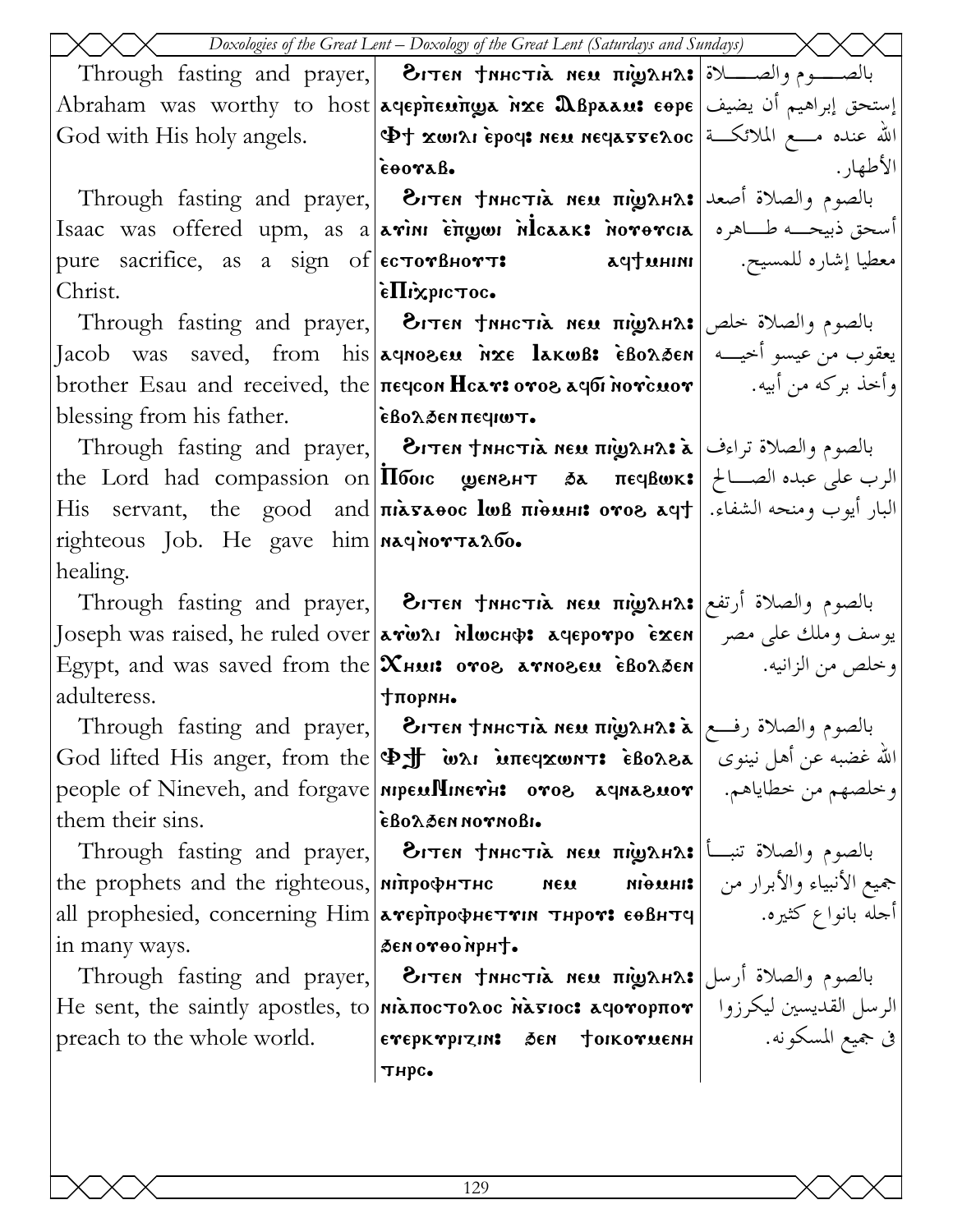|                                            | Doxologies of the Great Lent - Doxology of the Great Lent (Saturdays and Sundays)                                                               |           |
|--------------------------------------------|-------------------------------------------------------------------------------------------------------------------------------------------------|-----------|
|                                            | Through fasting and prayer, <b>Вітем †инстіл нем пі̀удна: ب</b> الصــــوم والصـــــلاة Through fasting and prayer,                              |           |
|                                            | Abraham was worthy to host aqep <del>he</del> unga nxe Dispaau: eope يستحق إبراهيم أن يضيف                                                      |           |
|                                            | God with His holy angels. $ \Phi$ t xwisi Epoci neu neclasses. الله عنده مسع الملائكة                                                           |           |
|                                            | EOOVAB.                                                                                                                                         | الأطهار . |
|                                            | Through fasting and prayer, 3. بالصوم والصلاة أصعد Through fasting and prayer, 1                                                                |           |
|                                            | Isaac was offered upm, as a avim engon Mcaak: novovcia Jacho de Sance Was offered upm, as a lavin E                                             |           |
|                                            | pure sacrifice, as a sign of   естотвнотт: معطيا إشاره للمسيح. المسيح المسيح المسيح                                                             |           |
| Christ.                                    | $\epsilon$ . in $\epsilon$                                                                                                                      |           |
|                                            | Through fasting and prayer, <b>Витем тинстіл нем підулна:</b> بالصوم والصلاة خلص                                                                |           |
|                                            | Jacob was saved, from his వqnoseu אَتَعْوَى مِنْ عِيسُو أُخِيْسُه إِ                                                                            |           |
|                                            | وأخذ بركه من أبيه.         brother Esau and received, the πεqcon <b>Hcar: ονοs aqбi novcuov</b>                                                 |           |
| blessing from his father.  εβολδεν περιωτ. |                                                                                                                                                 |           |
|                                            | Through fasting and prayer, <b>الصوم والصلاة تراءف [ Through fasting and prayer,</b> بالصوم والصلاة تراءف                                       |           |
|                                            | the Lord had compassion on <b>Πόοις geneer sa πεγβωκ:</b> الرب على عبده الصــالح   the Lord had compassion on                                   |           |
|                                            | His servant, the good and <b>πιλελθος lωβ πιθωμι: ovos λeyt</b>   البار أيوب ومنحه الشفاء.                                                      |           |
| righteous Job. He gave him naquorTano.     |                                                                                                                                                 |           |
| healing.                                   |                                                                                                                                                 |           |
|                                            | Through fasting and prayer,   Эгтем †мнстія мем підулнл: أرتفع   Through fasting and prayer,                                                    |           |
|                                            | Joseph was raised, he ruled over கால்வ моснф: лефротро Ехен  يوسف وملك على مصر                                                                  |           |
|                                            |                                                                                                                                                 |           |
| adulteress.                                | тормн.                                                                                                                                          |           |
|                                            | Through fasting and prayer, <b>Витем †инстіл нем пі̀удназ ліст</b> е رفع Through fasting and prayer,   ди                                       |           |
|                                            | God lifted His anger, from the $ \Phi$ $\#$ ωλι μπε καντι εδολελ $ $ نينوى $ $ δεδολελ                                                          |           |
|                                            | people of Nineveh, and forgave <b>  мрем!Чиетн: отог ачнагмот</b>    من خطاياهم. People of Nineveh, and forgave   <b>мрем!Чиетн:</b>            |           |
| them their sins.                           | εβολδεη πον ποβι.                                                                                                                               |           |
|                                            | Through fasting and prayer, <b>Вітем †инстіл нем пі̀удна: ب</b> الصوم والصلاة تنبأ                                                              |           |
|                                            | the prophets and the righteous, <b>  NITPOΦHTHC MEM</b> MioMHI: جميع الأنبياء والأبرار من   the prophets and the righteous, <b>  NITPOΦHTHC</b> |           |
|                                            | all prophesied, concerning Him <b>avepirpo PHETTIN THPOV: EOBHTI</b>   $\blacksquare$ all prophesied, concerning Him                            |           |
| in many ways.                              | Senovoonpht.                                                                                                                                    |           |
|                                            | Through fasting and prayer,  Эгтем †инстіл нем піділнл: بالصوم والصلاة أرسل                                                                     |           |
|                                            | He sent, the saintly apostles, to <b>  niλποcτολος λλετιος: λεγονορπον</b>   الرسل القديسين ليكرزوا                                             |           |
|                                            | g جميع المسكونه. [   етерктризив бен †окотиенн   سلكونه. [ етерктризив бен †окотиенн                                                            |           |
|                                            | тнрс.                                                                                                                                           |           |
|                                            |                                                                                                                                                 |           |
|                                            |                                                                                                                                                 |           |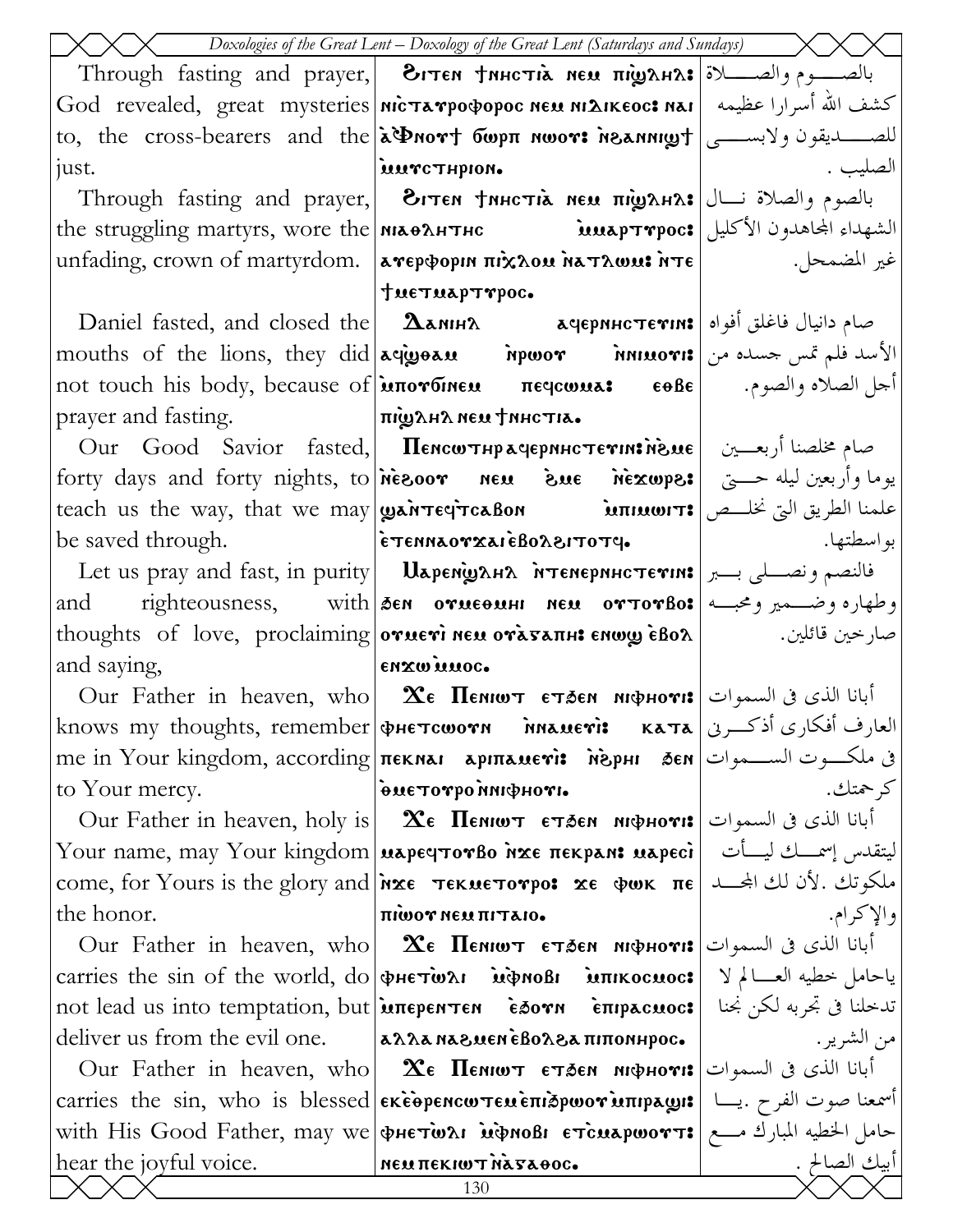|                                                                                        | $\times$ Doxologies of the Great Lent – Doxology of the Great Lent (Saturdays and Sundays) $\times$                       |                        |
|----------------------------------------------------------------------------------------|---------------------------------------------------------------------------------------------------------------------------|------------------------|
|                                                                                        | Through fasting and prayer, <b>Витем тинстіа нем пішана:</b> ابالصدوم والصللة Through fasting and prayer,   ди            |                        |
|                                                                                        | Sod revealed, great mysteries  <b>nicTarpopopoc neu ni2ikeoc: ا</b> كشف الله أسرارا عظيمه   God revealed, great mysteries |                        |
|                                                                                        | to, the cross-bearers and the <b>a Phort бωρπ nwor: neannigh</b> = l                                                      |                        |
| just.                                                                                  | iuurcTHpion.                                                                                                              | الصليب .               |
|                                                                                        | Through fasting and prayer, 3. والصلاة نسال ا $\mathbf{r}$ and prayer, المحموم والصلاة نسال                               |                        |
|                                                                                        | the struggling martyrs, wore the <b>MAOAHTHC it is aptrpoc:</b> الشهداء المجاهدون الأكليل                                 |                        |
|                                                                                        | unfading, crown of martyrdom.  aγερφοριη πιχλου λατλωυι: λτε                                                              |                        |
|                                                                                        | tue Tuap Trpoc.                                                                                                           |                        |
|                                                                                        | Daniel fasted, and closed the <b>  <math>\Delta</math>амін</b> $\lambda$ <b>  ачернистетін: م</b> ام دانیال فاغلق أفواه   |                        |
|                                                                                        | mouths of the lions, they did agigor inpwor innuori: الأسد فلم تمس جسده من   mouths of the lions, they did                |                        |
|                                                                                        | not touch his body, because of <b>μπονбινευ</b> πες περεωμα: εθβε  الجمل الصلاه والصوم. [ not touch his body, because of  |                        |
| prayer and fasting.  предлагаем тинсти.                                                |                                                                                                                           |                        |
|                                                                                        | Our Good Savior fasted,  Пенсотнрачерннстетивноме  صام مخلصنا أربعــين                                                    |                        |
|                                                                                        | forty days and forty nights, to ness oor new sue nexwpe: يوما وأربعين ليله حسيّ   forty days and forty nights, to         |                        |
|                                                                                        | teach us the way, that we may <b>wanter reabon immonts</b> and we had we may <b>wanter in the way</b>                     |                        |
|                                                                                        |                                                                                                                           |                        |
|                                                                                        |                                                                                                                           |                        |
|                                                                                        | and righteousness, with sen orueoun neu ortorBo: وطهاره وضمير ومحبسه                                                      |                        |
|                                                                                        |                                                                                                                           |                        |
| and saying,<br>$\mathsf{env}$ and $\mathsf{env}$ and $\mathsf{env}$ and $\mathsf{env}$ |                                                                                                                           |                        |
|                                                                                        | Our Father in heaven, who   $\alpha$ є Пємют єтаєм мюрнот: أبانا الذي في السموات                                          |                        |
|                                                                                        | knows my thoughts, remember фнетсшоти плацеті: ката العارف أفكاري أذكرني المعت                                            |                        |
|                                                                                        | me in Your kingdom, according <del>neknar apmanevis Nophi Ben Jen المسمو</del> ات الســـموات                              |                        |
| to Your mercy.                                                                         | •ινομφική ο τον τενθ                                                                                                      | كرحمتك.                |
|                                                                                        | Our Father in heaven, holy is   $x_{\epsilon}$ Пемют $\epsilon$ тэем мфнот:   ابانا الذی فی السموات                       |                        |
|                                                                                        | Your name, may Your kingdom μaρεqτoνβo אנש או Your name, may Your kingdom                                                 |                        |
|                                                                                        | come, for Yours is the glory and <i>\inxe</i> TekueTorpo: xe ψωκ πε المكوتك. لأن لك الجحد ا                               |                        |
| the honor.                                                                             | <b>THEORY MESS THAT OF</b>                                                                                                | والإكرام.              |
|                                                                                        | Our Father in heaven, who   Хе Пемют стэем мфнот: أبانا الذي في السموات                                                   |                        |
|                                                                                        | carries the sin of the world, do   PHETWAI MPNOBI MIKOCHOC: ياحامل خطيه العسالم لا                                        |                        |
|                                                                                        | not lead us into temptation, but   uπερεΝΤΕΝ εδοΥΝ επιρισιωσε   ندخلنا فى تجربه لكن نجنا                                  |                        |
|                                                                                        | deliver us from the evil one. $ a\lambda\lambda a \lambda a \lambda e \lambda e \lambda e \lambda a \pi n$                | من الشرير .            |
|                                                                                        | Our Father in heaven, who   $\mathbf{\hat{x}}$ е Пемют стэем мфнот:   أبانا الذي في السموات                               |                        |
|                                                                                        | carries the sin, who is blessed <b>εκεθρεηςωτευεπιδρωον υπιρλωμε</b>   اسمعنا صوت الفرح. يــا   carries the sin, who is   |                        |
|                                                                                        | with His Good Father, may we фнетыл иднов етсиаршотт: حامل الخطيه المبارك مــع                                            |                        |
| hear the joyful voice.                                                                 | <b>NEW THEKIWT NATAOOG.</b><br>130                                                                                        | أبيك الصالح .<br> <br> |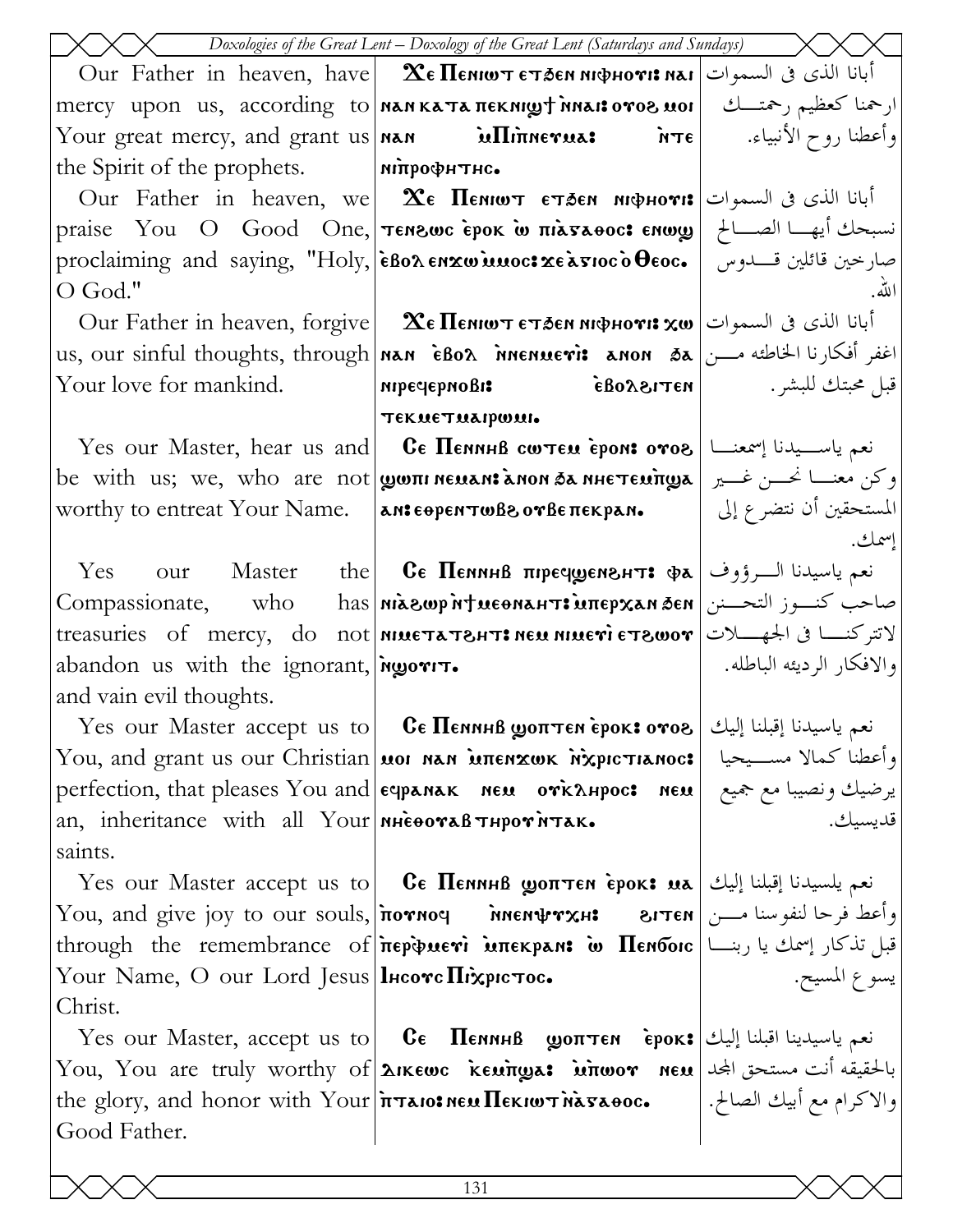| Doxologies of the Great Lent – Doxology of the Great Lent (Saturdays and Sundays) |                                                                                                                                                                                                                          |                           |  |
|-----------------------------------------------------------------------------------|--------------------------------------------------------------------------------------------------------------------------------------------------------------------------------------------------------------------------|---------------------------|--|
|                                                                                   | Our Father in heaven, have <b>  <math>\alpha</math>E</b> Пемют етлем мфнот: أبانا الذي في السموات   Our Father in heaven, have                                                                                           |                           |  |
|                                                                                   | mercy upon us, according to <b>MANKATA πεκΝιωτ MALI: 10708 MOI</b>                                                                                                                                                       |                           |  |
|                                                                                   | Your great mercy, and grant us <b>Nan internal to be a</b> $\pi$ <b>e</b> $\mid$ $\pi$                                                                                                                                   |                           |  |
| the Spirit of the prophets. MITHOODHTHC.                                          |                                                                                                                                                                                                                          |                           |  |
|                                                                                   | Our Father in heaven, we <b>  <math>\alpha</math> Пемиот етэем мифнот:</b> أبانا الذي في السموات                                                                                                                         |                           |  |
|                                                                                   | praise You O Good One, <b>Tenswc εροκ ω πιλτλθοσ: enwy</b> الصبالح   praise You O Good One, <b>Tenswc εροκ ω πιλτλθοσ:</b>                                                                                               |                           |  |
|                                                                                   |                                                                                                                                                                                                                          |                           |  |
| O God."                                                                           |                                                                                                                                                                                                                          | الله.                     |  |
|                                                                                   | Our Father in heaven, forgive   $\alpha_{\epsilon}$ Пемют стаем мфнот: $\alpha$ ю   أبانا الذي في السموات                                                                                                                |                           |  |
|                                                                                   | us, our sinful thoughts, through <b>  NAN EBOA MENLETI:</b> ANON 5A   اغفر أفكارنا الخاطئه مـــن                                                                                                                         |                           |  |
| Your love for mankind.                                                            | قبل محبتك للبشر. [ BOλ8ITEN   ΠΡΕΨΕΡΝΟΒΙ:                                                                                                                                                                                |                           |  |
|                                                                                   | текметиагромь                                                                                                                                                                                                            |                           |  |
|                                                                                   | Yes our Master, hear us and <b>Ce Пенннв сотем ероне отог</b>   سمه ياســيدنا إسمعنـــا   Yes our Master, hear us and                                                                                                    |                           |  |
|                                                                                   | be with us; we, who are not <b>wom neuan: anon 3a nhe teunga</b>   وكن معنسا نحسن غسير                                                                                                                                   |                           |  |
|                                                                                   | worthy to entreat Your Name. $\ $ an: $\epsilon$ open $\tau$ wBe $\alpha$ are $\kappa$ pan.                                                                                                                              | المستحقين أن نتضرع إلى    |  |
|                                                                                   |                                                                                                                                                                                                                          | إسمك.                     |  |
|                                                                                   | Yes our Master the CE Пенннв пречуенент: Фа انعم ياسيدنا الــرؤوف   Yes                                                                                                                                                  |                           |  |
|                                                                                   | Compassionate, who has <b>niagwp ntueonahts uπepxan den</b> bi-                                                                                                                                                          |                           |  |
|                                                                                   | treasuries of mercy, do not <b>MIMETATEHT: NEU MIMETE TEWOT</b>                                                                                                                                                          |                           |  |
| abandon us with the ignorant, $\omega$                                            |                                                                                                                                                                                                                          | والافكار الرديئه الباطله. |  |
| and vain evil thoughts.                                                           |                                                                                                                                                                                                                          |                           |  |
|                                                                                   | ${\rm Yes\,\,\,our\,\,\, Master\,\, accept\,\,us\,\,to\,\, 0}$ فعم ياسيدنا إقبلنا إليك   Yes  our  Master  accept  us  to $\vert$ Ge ${\bf \Pi}$ еминß ${\bf \text{gamma}}$ ерок ${\bf \text{cov}}$ о ${\bf \text{vol}}$ |                           |  |
|                                                                                   | You, and grant us our Christian μοι nan μπεnxωκ λχριστιαnoc:  وأعطنا كمالا مســيحيا                                                                                                                                      |                           |  |
|                                                                                   | perfection, that pleases You and едрамак мем отклирос: мем برضيك ونصيبا مع جميع  <br>an inheritance with all Your мнеотавтнротитак.                                                                                      |                           |  |
| an, inheritance with all Your NiesoraB THPOTNTAK.                                 |                                                                                                                                                                                                                          |                           |  |
| saints.                                                                           |                                                                                                                                                                                                                          |                           |  |
|                                                                                   | Yes our Master accept us to <b>Ce Πεημηβ ωρπτεη εροκε μa</b> انعم يلسيدنا إقبلنا إليك   Yes our Master accept us to                                                                                                      |                           |  |
|                                                                                   | You, and give joy to our souls, потноч    мненфтхн:    гтен  اوأعط فرحا لنفوسنا مـــن [                                                                                                                                  |                           |  |
| Your Name, O our Lord Jesus   lHcove Πιχριστος.                                   | through the remembrance of περφμετι μπεκρινι ω Πενδοις   بسمك يا ربنسا   through the remembrance of                                                                                                                      |                           |  |
| Christ.                                                                           |                                                                                                                                                                                                                          | يسوع المسيح.              |  |
|                                                                                   | Yes our Master, accept us to <b>Ce Πεημηβ ωρπτεη εροκ:</b> العم ياسيدينا اقبلنا إليك                                                                                                                                     |                           |  |
|                                                                                   | You, You are truly worthy of <b>λικεως κευπωρε: whwor neu</b> بالحقيقه أنت مستحق المجد   You, You are truly worthy of                                                                                                    |                           |  |
|                                                                                   | the glory, and honor with Your <del> πταιο: Μεκιωτ λάσαθο</del> ς.   ابيك الصالح.                                                                                                                                        |                           |  |
| Good Father.                                                                      |                                                                                                                                                                                                                          |                           |  |
|                                                                                   |                                                                                                                                                                                                                          |                           |  |
|                                                                                   | 131                                                                                                                                                                                                                      |                           |  |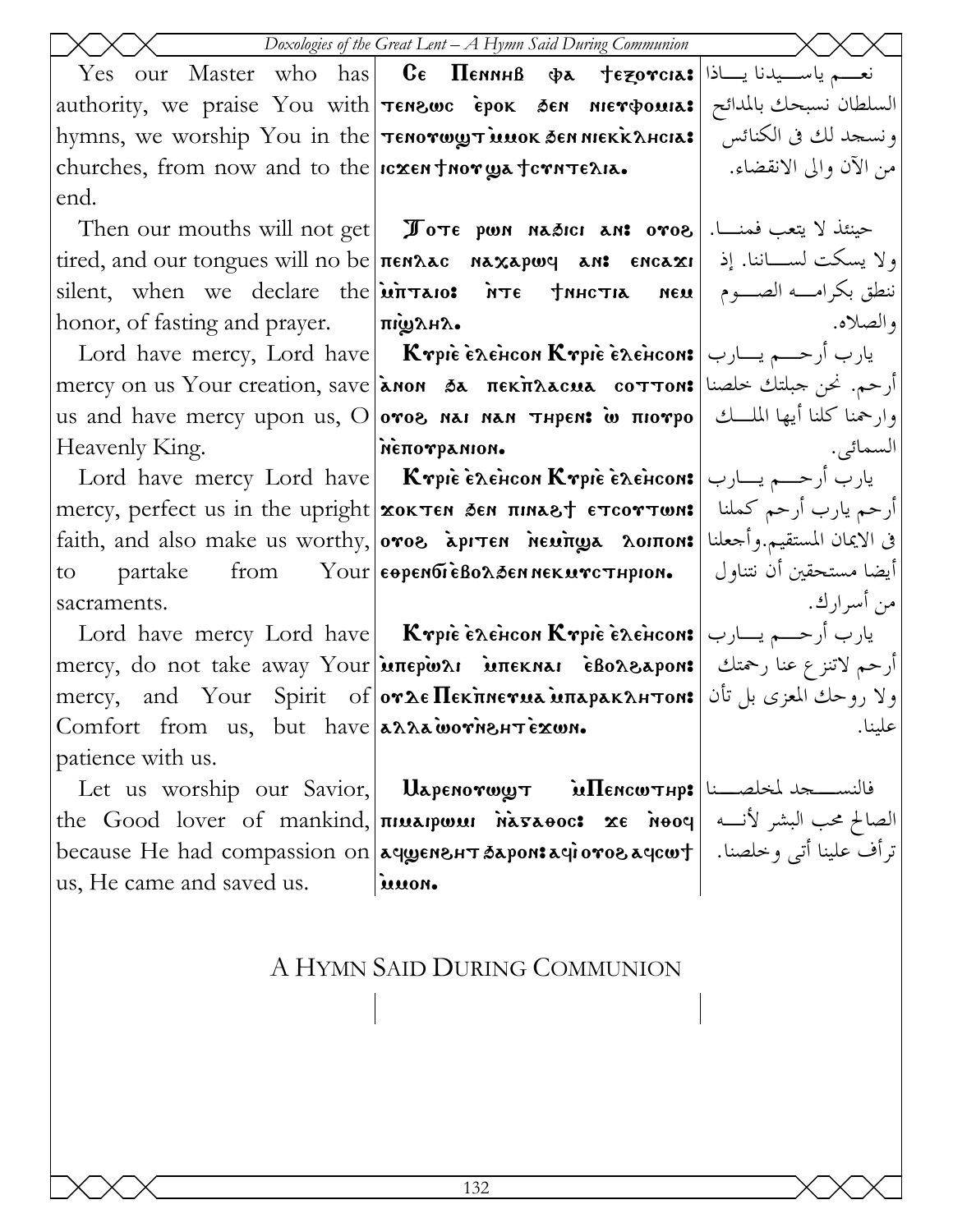نعه ياسيدنا يساذا  $C_{\epsilon}$   $\prod_{\epsilon}$ <sub>nnHB</sub> Yes our Master who has  $\Phi$  $\lambda$ tezorcia:| authority, we praise You with Tenzwe epok den nierowna: hymns, we worship You in the Tenorwy Tunok Sen Niekk AHCIA: churches, from now and to the  $ncxen$  thor wa term  $\tau$ exia. end.

silent, when we declare the  $\overline{\text{unit}}$ honor, of fasting and prayer.

Heavenly King.

to. partake from sacraments.

Comfort from us. but have annamentexun. patience with us.

us, He came and saved us.

Then our mouths will not get **I** ove pon nasici an: ove  $\vert$ . حينئذ لا يتعب فمنـــا tired, and our tongues will no be  $n$  ren $\lambda$ ac naxapwy an: encaxi NEM |  $\mathbf{u}$   $\mathbf{u}$ 

السلطان نسبحك بالمدائح

ونسجد لك في الكنائس

ولا يسكت لســــاننا. إذ

ننطق بكرامــــه الصـــــوم

وارحمنا كلنا أيها الملسك

يارب أرحـــم يـــارب

أرحم يارب أرحم كملنا

في الايمان المستقيم.وأجعلنا أيضا مستحقين أن نتناول

يارب أرحـــم يـــارب

أرحم لاتنزع عنا رحمتك

ولا روحك المعزى بل تأن

والصلاه.

السمائي.

من أسرارك.

علىنا.

من الآن والي الانقضاء.

Lord have mercy, Lord have **Krpie exencon Krpie exencons** =  $\vert \psi \rangle$  = Lord have mercy, Lord have mercy on us Your creation, save **| ληοη δε πεκπλλαιμε coττon: ارحم.** نحن جبلتك خلصنا | mercy on us Your creation, save us and have mercy upon us, O oros nai nan THPEN: w  $m$ NETTOTPANION.

Lord have mercy Lord have  $\kappa_{\text{min}}$  is a senson Krpie exences! mercy, perfect us in the upright xokTEN SEN HINAST ETCOTTWN: faith, and also make us worthy, oros apiten newings noinon:  $\text{Your}$   $\epsilon$   $\theta$   $\text{p}$   $\epsilon$   $\theta$   $\theta$   $\epsilon$   $\theta$   $\theta$   $\lambda$   $\delta$   $\epsilon$   $\theta$   $\theta$   $\epsilon$   $\kappa$   $\theta$   $\epsilon$   $\tau$   $\tau$   $\theta$   $\theta$   $\theta$ 

Lord have mercy Lord have  $\kappa_{\text{min}}$   $\kappa_{\text{min}}$   $\kappa_{\text{min}}$ mercy, do not take away Your unepwar internal eBoA&apon: mercy, and Your Spirit of **or Le Пекпиетиа ипаракантом:** 

Let us worship our Savior,  $U$ dapenorwyt  $\tilde{u}$ Hencw $\tau$ нр: $\left|$ الفلسسجد لمخلصــنا the Good lover of mankind, πιμειρωμι νεπερος: xe νοοφ | الصالح محب البشر لأنه | ترأف علينا أتى وخلصنا. | because He had compassion on|ачуенант барон: ترأف علينا أتى وخلصنا. | iuuon.

# A HYMN SAID DURING COMMUNION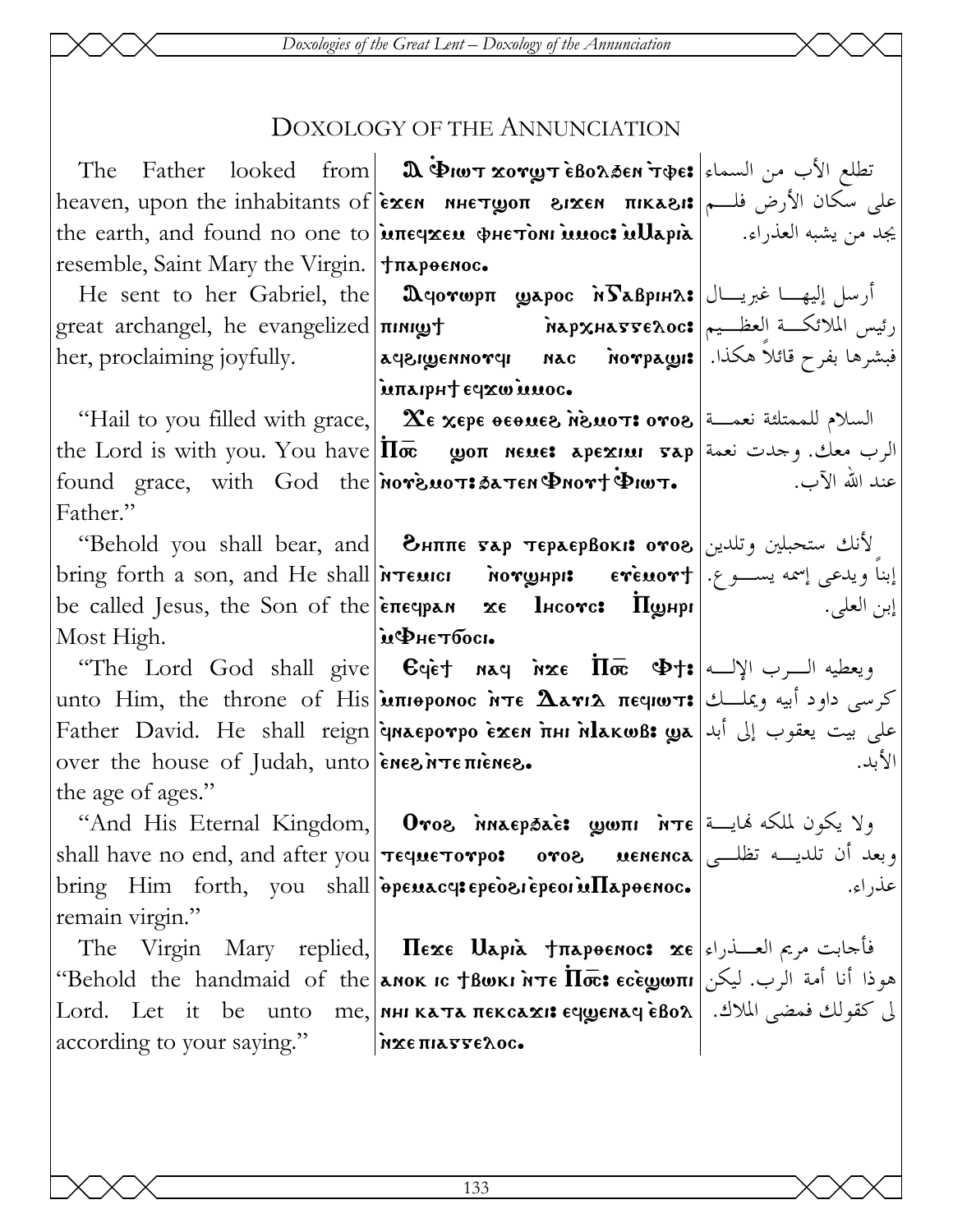Doxologies of the Great Lent - Doxology of the Annunciation

### DOXOLOGY OF THE ANNUNCIATION

|                                                   | The Father looked from <b>a SUAT XOTY TEBOLSEN</b> TOPES IV MORE THE THE TAT                                                                                                |        |
|---------------------------------------------------|-----------------------------------------------------------------------------------------------------------------------------------------------------------------------------|--------|
|                                                   | heaven, upon the inhabitants of <b>exen nhetroon 81xen πικλει:</b> مطلي سكان الأرض فله                                                                                      |        |
|                                                   | the earth, and found no one to <b>interace of Hetoni muoc: inllapia</b>    بجد من يشبه العذراء.                                                                             |        |
| resemble, Saint Mary the Virgin.   Trapoenoc.     |                                                                                                                                                                             |        |
|                                                   | He sent to her Gabriel, the <b>  Ωqovωpπ _ωερος NS&amp;BpiH2.:</b> أرسل إليهــا غيريـــال   He sent to her Gabriel, the                                                     |        |
|                                                   |                                                                                                                                                                             |        |
|                                                   | her, proclaiming joyfully.            aqaı $\bm{y}$ enno $\bm{r}$ qı      nac      no $\bm{r}$ payı:   محكذا.  الاسترها بفرح قائلاً هكذا.                                   |        |
|                                                   | iunaipht eqxwinnoc.                                                                                                                                                         |        |
|                                                   | "Hail to you filled with grace, $\alpha$ $\alpha$ $\gamma$ $\alpha$ $\gamma$ $\alpha$ $\gamma$ $\alpha$ $\gamma$ $\alpha$ $\gamma$ $\alpha$ $\gamma$ $\alpha$ $\gamma$      |        |
|                                                   | the Lord is with you. You have $ \overline{\text{In}\bar{\infty}}\>$ שסח neue: арехни $\text{gap}$ and is with you. You have $ \overline{\text{In}\bar{\infty}}\>$          |        |
|                                                   | found grace, with God the <b>nore мот: батен Фиот+ Фиот.</b>   $\vec{v}$ = 1. الله الآب.                                                                                    |        |
| Father."                                          |                                                                                                                                                                             |        |
|                                                   | لأنك ستحبلين وتلدين Behold you shall bear, and   Знππє тар тєраєрвокі: отов ''                                                                                              |        |
|                                                   | bring forth a son, and He shall <b>interior inorghpis creatort</b> l. يبنا ويدعى إسمه يســـوع. [ bring forth a son, and He shall                                            |        |
|                                                   | be called Jesus, the Son of the $ \tilde{\epsilon} \pi \epsilon q p \times n \times \epsilon $ <b>Порнри</b> $ \tilde{\epsilon} \pi \epsilon q p \times n \times \epsilon $ |        |
| Most High.  иФнетбось                             |                                                                                                                                                                             |        |
|                                                   | "The Lord God shall give <b>C</b> qet naq nxe $\overline{\text{In}\bar{\text{m}}}$ $\Phi$ t: ويعطيه السرب الإلــه )                                                         |        |
|                                                   | unto Him, the throne of His <b>juπιθροnoc ǹπε Δεγιλ πε quoπ:</b> كرسي داود أبيه ويملــك   unto Him, the throne of His                                                       |        |
|                                                   | Father David. He shall reign <b>inaeporpo exen fini hlakwß: ع</b> لى بيت يعقوب إلى أبد   Father David. He shall reign                                                       |        |
| over the house of Judah, unto energive πιεπειρεσ. |                                                                                                                                                                             | الأبد. |
| the age of ages."                                 |                                                                                                                                                                             |        |
|                                                   | "And His Eternal Kingdom,  Отог млаерэле: يكون لملكه فمايــة (And His Eternal Kingdom,  Отог млаерэле                                                                       |        |
|                                                   | shall have no end, and after you <b>Teque Torpo: oros uenenca</b> $\frac{d}{dx}$ $\frac{d}{dx}$ ord                                                                         |        |
|                                                   | $\vert$ bring Him forth, you shall $\vert$ $\tilde{\mathbf{e}}$ penacy: epedesi epeorin $\Pi$ apoenoc.                                                                      | عذراء. |
| remain virgin."                                   |                                                                                                                                                                             |        |
|                                                   | The Virgin Mary replied, Πεχε Uapia †πapoenoc: xe العسدراء The Virgin Mary replied,   Πεχε Uapia                                                                            |        |
|                                                   | هوذا أنا أمة الرب. ليكن Behold the handmaid of the אמס וъранок и те $\overline{\text{h}\varpi}$ : هوذا أنا أمة الرب. ليكن                                                   |        |
|                                                   | $ \mathrm{Lord. \quad Let \quad it \quad be \quad unto \quad me,}$ און און ג $\mathrm{star} \times \mathrm{star}$ האזון און האפן און און און און און און און און און א      |        |
| according to your saying."   MEE THATTEROC.       |                                                                                                                                                                             |        |
|                                                   |                                                                                                                                                                             |        |

133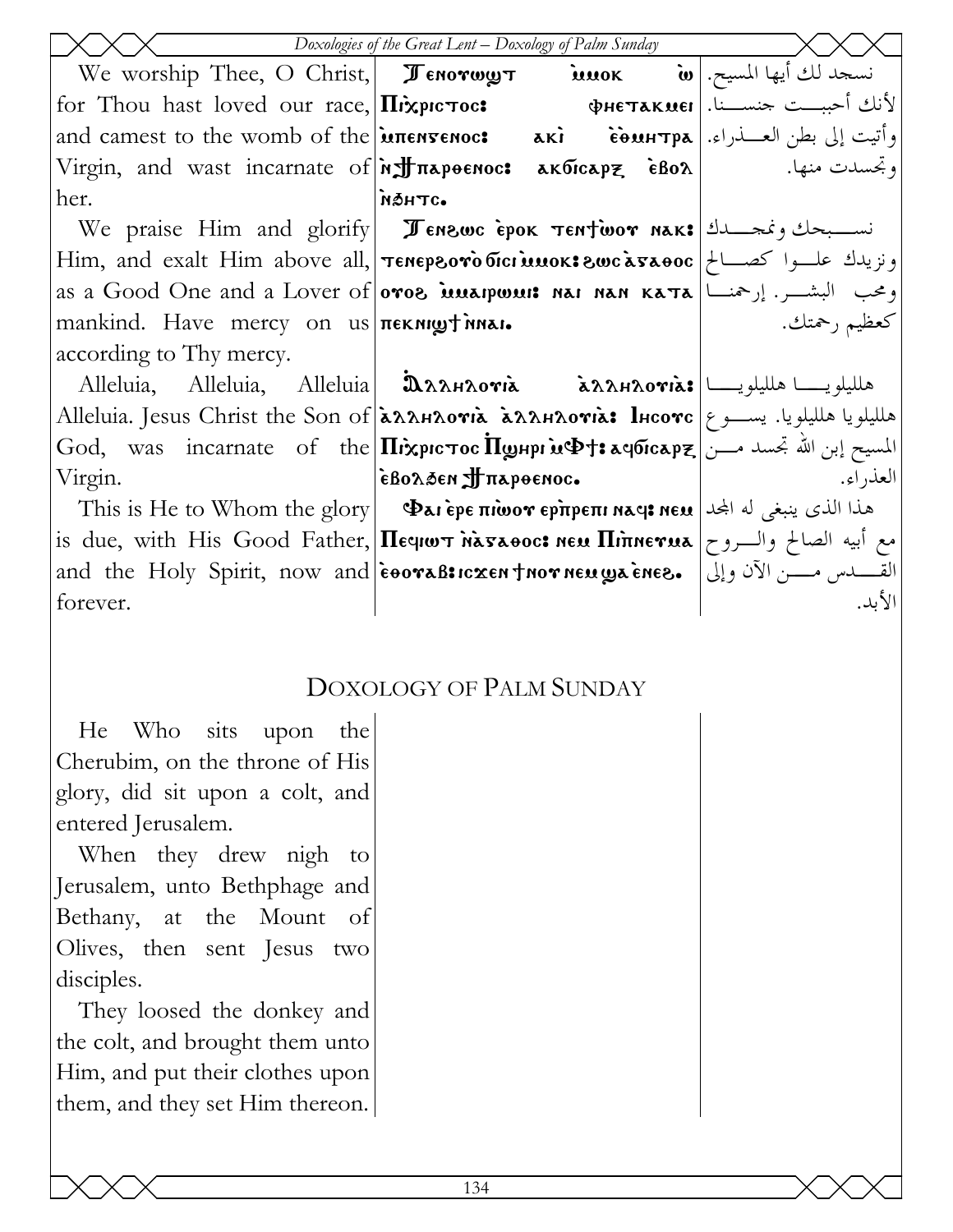|                                                             | Doxologies of the Great Lent - Doxology of Palm Sunday                                                                                                  |              |
|-------------------------------------------------------------|---------------------------------------------------------------------------------------------------------------------------------------------------------|--------------|
|                                                             | We worship Thee, O Christ, <b>Fenorwy T imok w</b> . وسجد لك أيها المسيح. We worship Thee, O Christ, <b>Fenorwy T</b>                                   |              |
|                                                             | for Thou hast loved our race, $\ln x$ pic roc: $\phi$ He $\pi x$ Kuel, $\frac{1}{x}$ $\frac{1}{y}$ is $\frac{1}{y}$                                     |              |
|                                                             | and camest to the womb of the <b>EXTENSENOCS</b> aki countrpa   and camest to the womb of the <b>EXTENSES aki</b>                                       |              |
|                                                             |                                                                                                                                                         |              |
| her.                                                        | <b>мантс.</b>                                                                                                                                           |              |
|                                                             | We praise Him and glorify <b>I Enswe Epok TENTWOY NAK:</b> نستبحك ونمجتـــدك                                                                            |              |
|                                                             | Him, and exalt Him above all, <b>Tenepsoro bici muok: 8wc a5a00c</b>   محصـالح   Him, and exalt Him above all,   <b>Tenepsoro bici muok: 8wc a5a00c</b> |              |
|                                                             | as a Good One and a Lover of <b>oros innapwint nai nan ката</b>  رحمنـــا   as a Good One and a Lover of                                                |              |
| mankind. Have mercy on $us \pi \in \mathbb{R}$ mexicularity |                                                                                                                                                         | كعظيم رحمتك. |
| according to Thy mercy.                                     |                                                                                                                                                         |              |
|                                                             | Alleluia, Alleluia, Alleluia <b>D</b> AAHAOTIA AAAHAOTIA: هلليلويـــــا هلليلويــــــا                                                                  |              |
|                                                             | Alleluia. Jesus Christ the Son of <b>LAAAHAOVIA LAAHAOVIA: lHcovc</b>   مالليلويا. يســـو ع                                                             |              |
|                                                             | God, was incarnate of the <b>II</b> : المسيح إبن الله تجسد مـــن  God, was incarnate of the <b>II: المسيح إبن الله</b> تجسد مـــن                       |              |
| Virgin.                                                     | EBOλ3EN JTπαρθεΝος.                                                                                                                                     | العذر اء.    |
|                                                             | This is He to Whom the glory   $\Phi$ ai èpe $\pi$ iwo $r$ ep $\pi$ pe $\pi$ i naq $\mathbf s$ ne $\mathbf u$   الحله الجد                              |              |
|                                                             | is due, with His Good Father, <b>Hequot Masaooc: New Hinnerua</b>   والسروح   as due, with His Good Father,                                             |              |
|                                                             | and the Holy Spirit, now and eooraB: القسم مسـن الآن وإلى   .and the Holy Spirit, now and eooraB: rxen froor neuga enes                                 |              |
| forever.                                                    |                                                                                                                                                         | الأبد.       |

### **DOXOLOGY OF PALM SUNDAY**

sits the He **Who** upon Cherubim, on the throne of His glory, did sit upon a colt, and entered Jerusalem.

When they drew nigh to Jerusalem, unto Bethphage and Bethany, at the Mount of Olives, then sent Jesus two disciples.

They loosed the donkey and the colt, and brought them unto Him, and put their clothes upon them, and they set Him thereon.